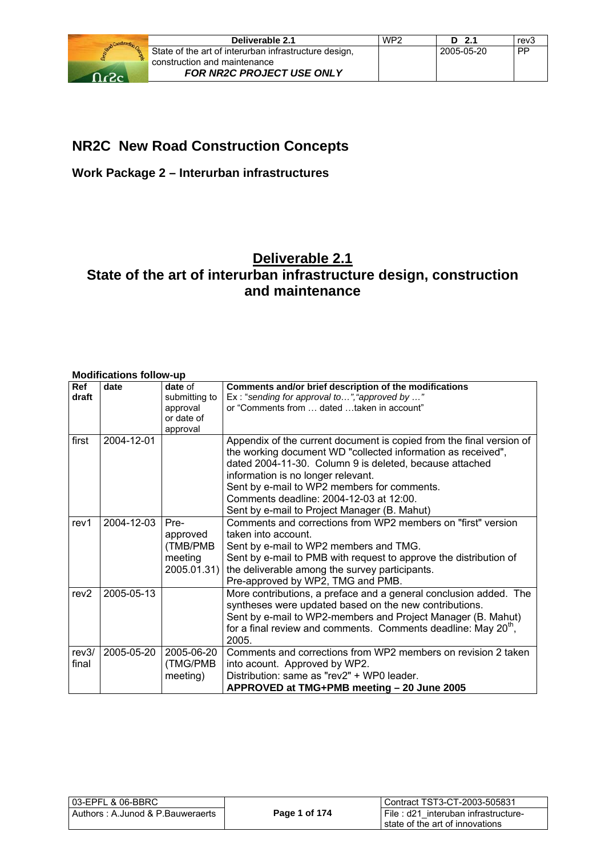

## **NR2C New Road Construction Concepts**

## **Work Package 2 – Interurban infrastructures**

## **Deliverable 2.1 State of the art of interurban infrastructure design, construction and maintenance**

#### **Modifications follow-up**

| Ref<br>draft     | date       | date of<br>submitting to<br>approval<br>or date of      | Comments and/or brief description of the modifications<br>Ex: "sending for approval to", "approved by "<br>or "Comments from  dated taken in account"                                                                                                                                                                                                                           |
|------------------|------------|---------------------------------------------------------|---------------------------------------------------------------------------------------------------------------------------------------------------------------------------------------------------------------------------------------------------------------------------------------------------------------------------------------------------------------------------------|
| first            | 2004-12-01 | approval                                                | Appendix of the current document is copied from the final version of<br>the working document WD "collected information as received",<br>dated 2004-11-30. Column 9 is deleted, because attached<br>information is no longer relevant.<br>Sent by e-mail to WP2 members for comments.<br>Comments deadline: 2004-12-03 at 12:00.<br>Sent by e-mail to Project Manager (B. Mahut) |
| rev <sub>1</sub> | 2004-12-03 | Pre-<br>approved<br>(TMB/PMB)<br>meeting<br>2005.01.31) | Comments and corrections from WP2 members on "first" version<br>taken into account.<br>Sent by e-mail to WP2 members and TMG.<br>Sent by e-mail to PMB with request to approve the distribution of<br>the deliverable among the survey participants.<br>Pre-approved by WP2, TMG and PMB.                                                                                       |
| rev <sub>2</sub> | 2005-05-13 |                                                         | More contributions, a preface and a general conclusion added. The<br>syntheses were updated based on the new contributions.<br>Sent by e-mail to WP2-members and Project Manager (B. Mahut)<br>for a final review and comments. Comments deadline: May $20^{\circ}$ ,<br>2005.                                                                                                  |
| rev3/<br>final   | 2005-05-20 | 2005-06-20<br>(TMG/PMB)<br>meeting)                     | Comments and corrections from WP2 members on revision 2 taken<br>into acount. Approved by WP2.<br>Distribution: same as "rev2" + WP0 leader.<br>APPROVED at TMG+PMB meeting - 20 June 2005                                                                                                                                                                                      |

| l 03-EPFL & 06-BBRC                 |               | Contract TST3-CT-2003-505831           |
|-------------------------------------|---------------|----------------------------------------|
| l Authors : A.Junod & P.Bauweraerts | Page 1 of 174 | I File : d21 interuban infrastructure- |
|                                     |               | state of the art of innovations        |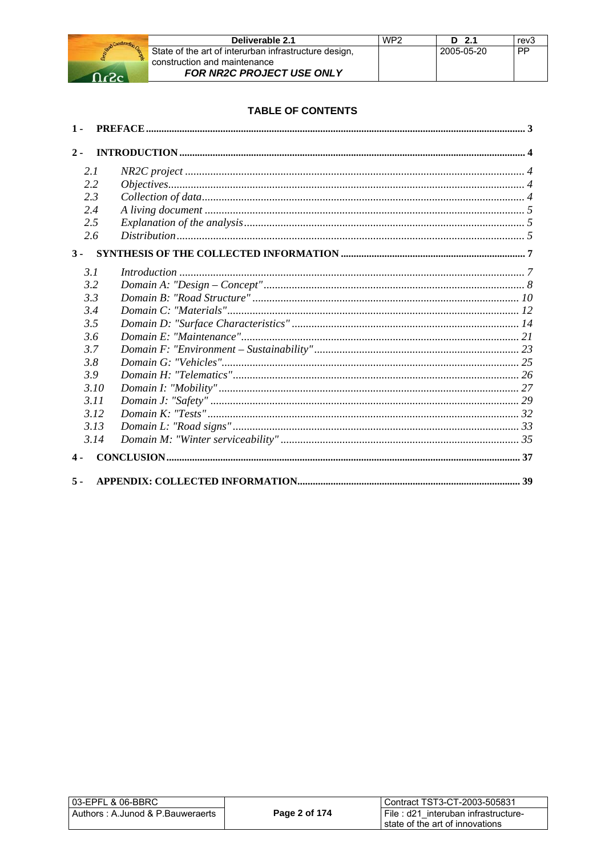

| Deliverable 2.1                                       | WP <sub>2</sub> | $D$ 2.1    | rev3 |
|-------------------------------------------------------|-----------------|------------|------|
| State of the art of interurban infrastructure design, |                 | 2005-05-20 | - PP |
| construction and maintenance                          |                 |            |      |
| <b>FOR NR2C PROJECT USE ONLY</b>                      |                 |            |      |

#### **TABLE OF CONTENTS**

| $1 -$         |  |
|---------------|--|
| $2 -$         |  |
| 2.1           |  |
| 2.2           |  |
| 2.3           |  |
| 2.4           |  |
| 2.5           |  |
| 2.6           |  |
| $3 -$         |  |
| 3.1           |  |
| 3.2           |  |
| 3.3           |  |
| 3.4           |  |
| 3.5           |  |
| 3.6           |  |
| 3.7           |  |
| 3.8           |  |
| 3.9           |  |
| 3.10          |  |
| 3.11          |  |
| 3.12          |  |
| 3.13          |  |
| 3.14          |  |
| $\mathbf 4$ - |  |
| $5 -$         |  |

| l 03-EPFL & 06-BBRC              |               | Contract TST3-CT-2003-505831                                           |
|----------------------------------|---------------|------------------------------------------------------------------------|
| Authors: A.Junod & P.Bauweraerts | Page 2 of 174 | File: d21 interuban infrastructure-<br>state of the art of innovations |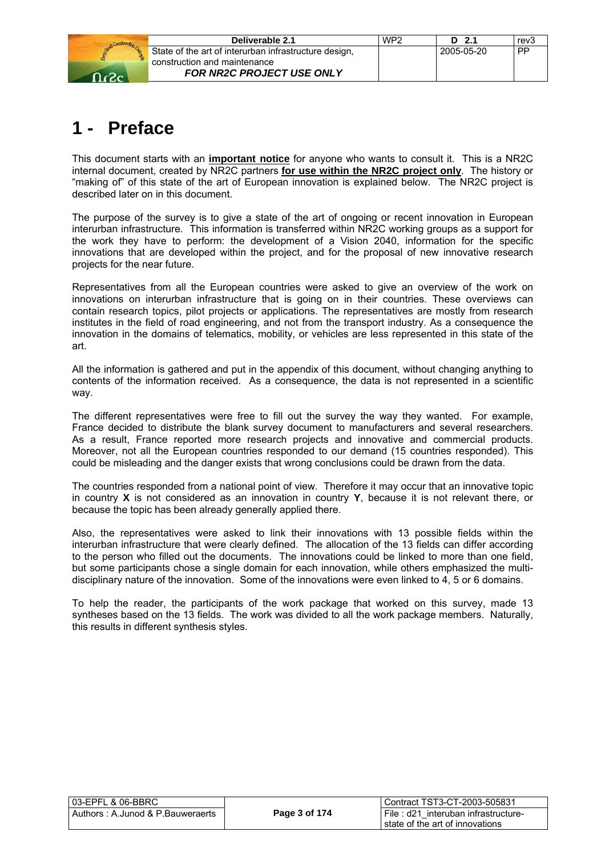

| Deliverable 2.1                                       | WP <sub>2</sub> | $D$ 2.1    | rev3 |
|-------------------------------------------------------|-----------------|------------|------|
| State of the art of interurban infrastructure design, |                 | 2005-05-20 | . PP |
| construction and maintenance                          |                 |            |      |
| <b>FOR NR2C PROJECT USE ONLY</b>                      |                 |            |      |

# **1 - Preface**

This document starts with an **important notice** for anyone who wants to consult it. This is a NR2C internal document, created by NR2C partners **for use within the NR2C project only**. The history or "making of" of this state of the art of European innovation is explained below. The NR2C project is described later on in this document.

The purpose of the survey is to give a state of the art of ongoing or recent innovation in European interurban infrastructure. This information is transferred within NR2C working groups as a support for the work they have to perform: the development of a Vision 2040, information for the specific innovations that are developed within the project, and for the proposal of new innovative research projects for the near future.

Representatives from all the European countries were asked to give an overview of the work on innovations on interurban infrastructure that is going on in their countries. These overviews can contain research topics, pilot projects or applications. The representatives are mostly from research institutes in the field of road engineering, and not from the transport industry. As a consequence the innovation in the domains of telematics, mobility, or vehicles are less represented in this state of the art.

All the information is gathered and put in the appendix of this document, without changing anything to contents of the information received. As a consequence, the data is not represented in a scientific way.

The different representatives were free to fill out the survey the way they wanted. For example, France decided to distribute the blank survey document to manufacturers and several researchers. As a result, France reported more research projects and innovative and commercial products. Moreover, not all the European countries responded to our demand (15 countries responded). This could be misleading and the danger exists that wrong conclusions could be drawn from the data.

The countries responded from a national point of view. Therefore it may occur that an innovative topic in country **X** is not considered as an innovation in country **Y**, because it is not relevant there, or because the topic has been already generally applied there.

Also, the representatives were asked to link their innovations with 13 possible fields within the interurban infrastructure that were clearly defined. The allocation of the 13 fields can differ according to the person who filled out the documents. The innovations could be linked to more than one field, but some participants chose a single domain for each innovation, while others emphasized the multidisciplinary nature of the innovation. Some of the innovations were even linked to 4, 5 or 6 domains.

To help the reader, the participants of the work package that worked on this survey, made 13 syntheses based on the 13 fields. The work was divided to all the work package members. Naturally, this results in different synthesis styles.

| 03-EPFL & 06-BBRC                |  |  |
|----------------------------------|--|--|
| Authors: A.Junod & P.Bauweraerts |  |  |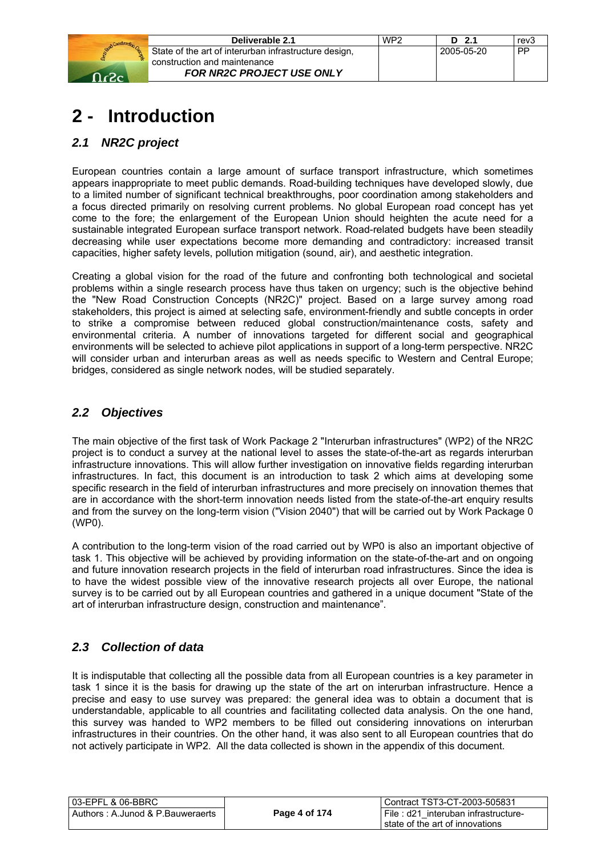

| Deliverable 2.1                                       | WP <sub>2</sub> | D 2.1      | rev <sub>3</sub> |
|-------------------------------------------------------|-----------------|------------|------------------|
| State of the art of interurban infrastructure design, |                 | 2005-05-20 | <b>PP</b>        |
| construction and maintenance                          |                 |            |                  |
| <b>FOR NR2C PROJECT USE ONLY</b>                      |                 |            |                  |

# **2 - Introduction**

## *2.1 NR2C project*

European countries contain a large amount of surface transport infrastructure, which sometimes appears inappropriate to meet public demands. Road-building techniques have developed slowly, due to a limited number of significant technical breakthroughs, poor coordination among stakeholders and a focus directed primarily on resolving current problems. No global European road concept has yet come to the fore; the enlargement of the European Union should heighten the acute need for a sustainable integrated European surface transport network. Road-related budgets have been steadily decreasing while user expectations become more demanding and contradictory: increased transit capacities, higher safety levels, pollution mitigation (sound, air), and aesthetic integration.

Creating a global vision for the road of the future and confronting both technological and societal problems within a single research process have thus taken on urgency; such is the objective behind the "New Road Construction Concepts (NR2C)" project. Based on a large survey among road stakeholders, this project is aimed at selecting safe, environment-friendly and subtle concepts in order to strike a compromise between reduced global construction/maintenance costs, safety and environmental criteria. A number of innovations targeted for different social and geographical environments will be selected to achieve pilot applications in support of a long-term perspective. NR2C will consider urban and interurban areas as well as needs specific to Western and Central Europe; bridges, considered as single network nodes, will be studied separately.

## *2.2 Objectives*

The main objective of the first task of Work Package 2 "Interurban infrastructures" (WP2) of the NR2C project is to conduct a survey at the national level to asses the state-of-the-art as regards interurban infrastructure innovations. This will allow further investigation on innovative fields regarding interurban infrastructures. In fact, this document is an introduction to task 2 which aims at developing some specific research in the field of interurban infrastructures and more precisely on innovation themes that are in accordance with the short-term innovation needs listed from the state-of-the-art enquiry results and from the survey on the long-term vision ("Vision 2040") that will be carried out by Work Package 0 (WP0).

A contribution to the long-term vision of the road carried out by WP0 is also an important objective of task 1. This objective will be achieved by providing information on the state-of-the-art and on ongoing and future innovation research projects in the field of interurban road infrastructures. Since the idea is to have the widest possible view of the innovative research projects all over Europe, the national survey is to be carried out by all European countries and gathered in a unique document "State of the art of interurban infrastructure design, construction and maintenance".

## *2.3 Collection of data*

It is indisputable that collecting all the possible data from all European countries is a key parameter in task 1 since it is the basis for drawing up the state of the art on interurban infrastructure. Hence a precise and easy to use survey was prepared: the general idea was to obtain a document that is understandable, applicable to all countries and facilitating collected data analysis. On the one hand, this survey was handed to WP2 members to be filled out considering innovations on interurban infrastructures in their countries. On the other hand, it was also sent to all European countries that do not actively participate in WP2. All the data collected is shown in the appendix of this document.

| 03-EPFL & 06-BBRC                |               | Contract TST3-CT-2003-505831        |
|----------------------------------|---------------|-------------------------------------|
| Authors: A.Junod & P.Bauweraerts | Page 4 of 174 | File: d21 interuban infrastructure- |
|                                  |               | state of the art of innovations     |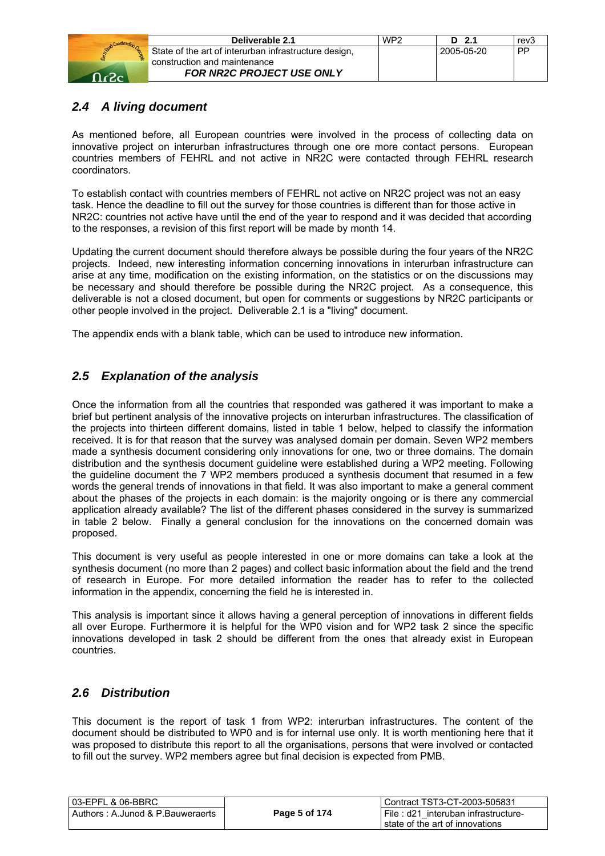

| Deliverable 2.1                                       | WP <sub>2</sub> | $D$ 2.1      | rev <sub>3</sub> |
|-------------------------------------------------------|-----------------|--------------|------------------|
| State of the art of interurban infrastructure design, |                 | l 2005-05-20 | <b>PP</b>        |
| construction and maintenance                          |                 |              |                  |
| <b>FOR NR2C PROJECT USE ONLY</b>                      |                 |              |                  |

## *2.4 A living document*

As mentioned before, all European countries were involved in the process of collecting data on innovative project on interurban infrastructures through one ore more contact persons. European countries members of FEHRL and not active in NR2C were contacted through FEHRL research coordinators.

To establish contact with countries members of FEHRL not active on NR2C project was not an easy task. Hence the deadline to fill out the survey for those countries is different than for those active in NR2C: countries not active have until the end of the year to respond and it was decided that according to the responses, a revision of this first report will be made by month 14.

Updating the current document should therefore always be possible during the four years of the NR2C projects. Indeed, new interesting information concerning innovations in interurban infrastructure can arise at any time, modification on the existing information, on the statistics or on the discussions may be necessary and should therefore be possible during the NR2C project. As a consequence, this deliverable is not a closed document, but open for comments or suggestions by NR2C participants or other people involved in the project. Deliverable 2.1 is a "living" document.

The appendix ends with a blank table, which can be used to introduce new information.

## *2.5 Explanation of the analysis*

Once the information from all the countries that responded was gathered it was important to make a brief but pertinent analysis of the innovative projects on interurban infrastructures. The classification of the projects into thirteen different domains, listed in table 1 below, helped to classify the information received. It is for that reason that the survey was analysed domain per domain. Seven WP2 members made a synthesis document considering only innovations for one, two or three domains. The domain distribution and the synthesis document guideline were established during a WP2 meeting. Following the guideline document the 7 WP2 members produced a synthesis document that resumed in a few words the general trends of innovations in that field. It was also important to make a general comment about the phases of the projects in each domain: is the majority ongoing or is there any commercial application already available? The list of the different phases considered in the survey is summarized in table 2 below. Finally a general conclusion for the innovations on the concerned domain was proposed.

This document is very useful as people interested in one or more domains can take a look at the synthesis document (no more than 2 pages) and collect basic information about the field and the trend of research in Europe. For more detailed information the reader has to refer to the collected information in the appendix, concerning the field he is interested in.

This analysis is important since it allows having a general perception of innovations in different fields all over Europe. Furthermore it is helpful for the WP0 vision and for WP2 task 2 since the specific innovations developed in task 2 should be different from the ones that already exist in European countries.

## *2.6 Distribution*

This document is the report of task 1 from WP2: interurban infrastructures. The content of the document should be distributed to WP0 and is for internal use only. It is worth mentioning here that it was proposed to distribute this report to all the organisations, persons that were involved or contacted to fill out the survey. WP2 members agree but final decision is expected from PMB.

| 03-EPFL & 06-BBRC                |               | Contract TST3-CT-2003-505831        |
|----------------------------------|---------------|-------------------------------------|
| Authors: A.Junod & P.Bauweraerts | Page 5 of 174 | File: d21 interuban infrastructure- |
|                                  |               | l state of the art of innovations   |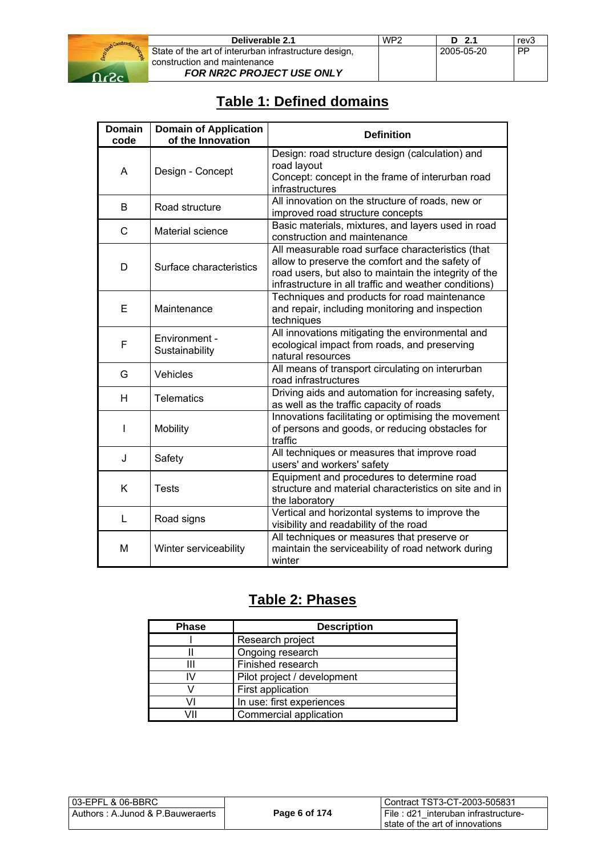

## **Table 1: Defined domains**

| <b>Domain</b><br>code | <b>Domain of Application</b><br>of the Innovation | <b>Definition</b>                                                                                                                                                                                                      |
|-----------------------|---------------------------------------------------|------------------------------------------------------------------------------------------------------------------------------------------------------------------------------------------------------------------------|
| A                     | Design - Concept                                  | Design: road structure design (calculation) and<br>road layout<br>Concept: concept in the frame of interurban road<br>infrastructures                                                                                  |
| B                     | Road structure                                    | All innovation on the structure of roads, new or<br>improved road structure concepts                                                                                                                                   |
| C                     | Material science                                  | Basic materials, mixtures, and layers used in road<br>construction and maintenance                                                                                                                                     |
| D                     | Surface characteristics                           | All measurable road surface characteristics (that<br>allow to preserve the comfort and the safety of<br>road users, but also to maintain the integrity of the<br>infrastructure in all traffic and weather conditions) |
| E                     | Maintenance                                       | Techniques and products for road maintenance<br>and repair, including monitoring and inspection<br>techniques                                                                                                          |
| F                     | Environment -<br>Sustainability                   | All innovations mitigating the environmental and<br>ecological impact from roads, and preserving<br>natural resources                                                                                                  |
| G                     | Vehicles                                          | All means of transport circulating on interurban<br>road infrastructures                                                                                                                                               |
| н                     | <b>Telematics</b>                                 | Driving aids and automation for increasing safety,<br>as well as the traffic capacity of roads                                                                                                                         |
| I                     | Mobility                                          | Innovations facilitating or optimising the movement<br>of persons and goods, or reducing obstacles for<br>traffic                                                                                                      |
| J                     | Safety                                            | All techniques or measures that improve road<br>users' and workers' safety                                                                                                                                             |
| K                     | <b>Tests</b>                                      | Equipment and procedures to determine road<br>structure and material characteristics on site and in<br>the laboratory                                                                                                  |
| L                     | Road signs                                        | Vertical and horizontal systems to improve the<br>visibility and readability of the road                                                                                                                               |
| M                     | Winter serviceability                             | All techniques or measures that preserve or<br>maintain the serviceability of road network during<br>winter                                                                                                            |

## **Table 2: Phases**

| <b>Phase</b> | <b>Description</b>          |
|--------------|-----------------------------|
|              | Research project            |
|              | Ongoing research            |
| Ш            | Finished research           |
| I٧           | Pilot project / development |
|              | First application           |
| J١           | In use: first experiences   |
| 711          | Commercial application      |

| 03-EPFL & 06-BBRC_                |               | Contract TST3-CT-2003-505831        |
|-----------------------------------|---------------|-------------------------------------|
| Authors : A.Junod & P.Bauweraerts | Page 6 of 174 | File: d21 interuban infrastructure- |
|                                   |               | l state of the art of innovations_  |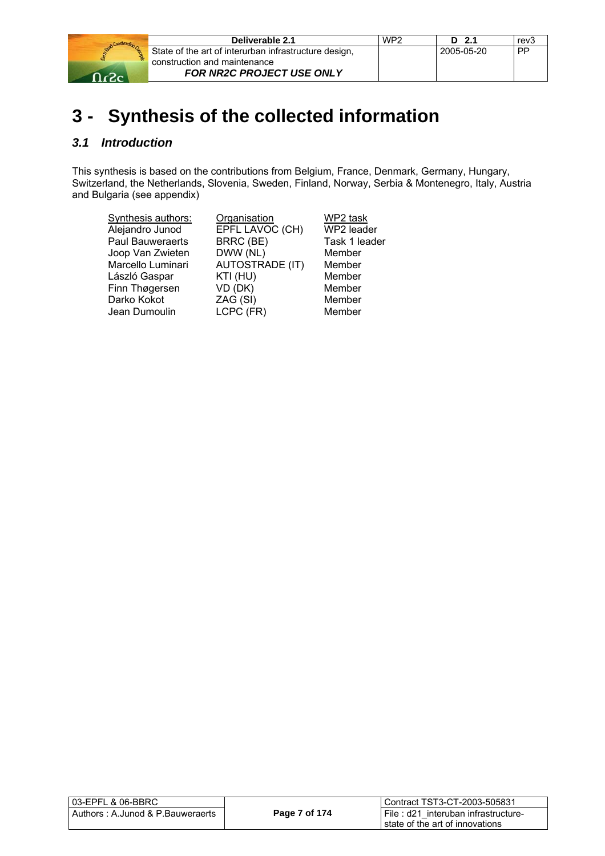

| Deliverable 2.1                                       | WP <sub>2</sub> | D 2.1      | rev3      |
|-------------------------------------------------------|-----------------|------------|-----------|
| State of the art of interurban infrastructure design, |                 | 2005-05-20 | <b>PP</b> |
| construction and maintenance                          |                 |            |           |
| <b>FOR NR2C PROJECT USE ONLY</b>                      |                 |            |           |

# **3 - Synthesis of the collected information**

## *3.1 Introduction*

This synthesis is based on the contributions from Belgium, France, Denmark, Germany, Hungary, Switzerland, the Netherlands, Slovenia, Sweden, Finland, Norway, Serbia & Montenegro, Italy, Austria and Bulgaria (see appendix)

| Synthesis authors: | Organisation           | WP2 task      |
|--------------------|------------------------|---------------|
| Alejandro Junod    | EPFL LAVOC (CH)        | WP2 leader    |
| Paul Bauweraerts   | BRRC (BE)              | Task 1 leader |
| Joop Van Zwieten   | DWW (NL)               | Member        |
| Marcello Luminari  | <b>AUTOSTRADE (IT)</b> | Member        |
| László Gaspar      | KTI (HU)               | Member        |
| Finn Thøgersen     | VD (DK)                | Member        |
| Darko Kokot        | ZAG (SI)               | Member        |
| Jean Dumoulin      | LCPC (FR)              | Member        |

| l 03-EPFL & 06-BBRC                 |               | Contract TST3-CT-2003-505831                                           |
|-------------------------------------|---------------|------------------------------------------------------------------------|
| l Authors : A.Junod & P.Bauweraerts | Page 7 of 174 | File: d21 interuban infrastructure-<br>state of the art of innovations |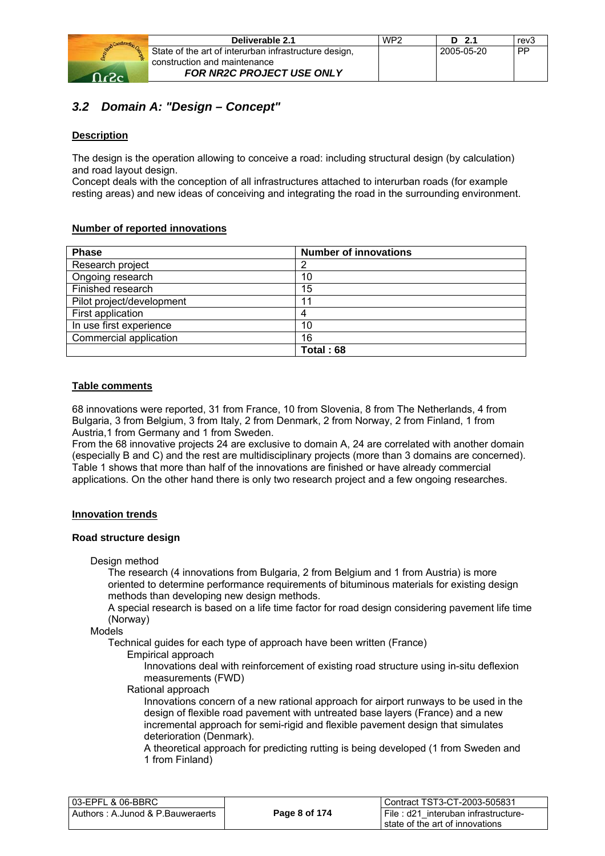

| Deliverable 2.1                                       | WP <sub>2</sub> | D 2.1      | rev3      |
|-------------------------------------------------------|-----------------|------------|-----------|
| State of the art of interurban infrastructure design, |                 | 2005-05-20 | <b>PP</b> |
| construction and maintenance                          |                 |            |           |
| <b>FOR NR2C PROJECT USE ONLY</b>                      |                 |            |           |

## *3.2 Domain A: "Design – Concept"*

#### **Description**

The design is the operation allowing to conceive a road: including structural design (by calculation) and road layout design.

Concept deals with the conception of all infrastructures attached to interurban roads (for example resting areas) and new ideas of conceiving and integrating the road in the surrounding environment.

#### **Number of reported innovations**

| <b>Phase</b>              | <b>Number of innovations</b> |
|---------------------------|------------------------------|
| Research project          | 2                            |
| Ongoing research          | 10                           |
| Finished research         | 15                           |
| Pilot project/development | 11                           |
| First application         | 4                            |
| In use first experience   | 10                           |
| Commercial application    | 16                           |
|                           | Total: 68                    |

#### **Table comments**

68 innovations were reported, 31 from France, 10 from Slovenia, 8 from The Netherlands, 4 from Bulgaria, 3 from Belgium, 3 from Italy, 2 from Denmark, 2 from Norway, 2 from Finland, 1 from Austria,1 from Germany and 1 from Sweden.

From the 68 innovative projects 24 are exclusive to domain A, 24 are correlated with another domain (especially B and C) and the rest are multidisciplinary projects (more than 3 domains are concerned). Table 1 shows that more than half of the innovations are finished or have already commercial applications. On the other hand there is only two research project and a few ongoing researches.

#### **Innovation trends**

#### **Road structure design**

Design method

The research (4 innovations from Bulgaria, 2 from Belgium and 1 from Austria) is more oriented to determine performance requirements of bituminous materials for existing design methods than developing new design methods.

A special research is based on a life time factor for road design considering pavement life time (Norway)

Models

Technical guides for each type of approach have been written (France)

Empirical approach

Innovations deal with reinforcement of existing road structure using in-situ deflexion measurements (FWD)

Rational approach

Innovations concern of a new rational approach for airport runways to be used in the design of flexible road pavement with untreated base layers (France) and a new incremental approach for semi-rigid and flexible pavement design that simulates deterioration (Denmark).

A theoretical approach for predicting rutting is being developed (1 from Sweden and 1 from Finland)

| l 03-EPFL & 06-BBRC              |               | Contract TST3-CT-2003-505831          |
|----------------------------------|---------------|---------------------------------------|
| Authors: A.Junod & P.Bauweraerts | Page 8 of 174 | I File: d21 interuban infrastructure- |
|                                  |               | state of the art of innovations       |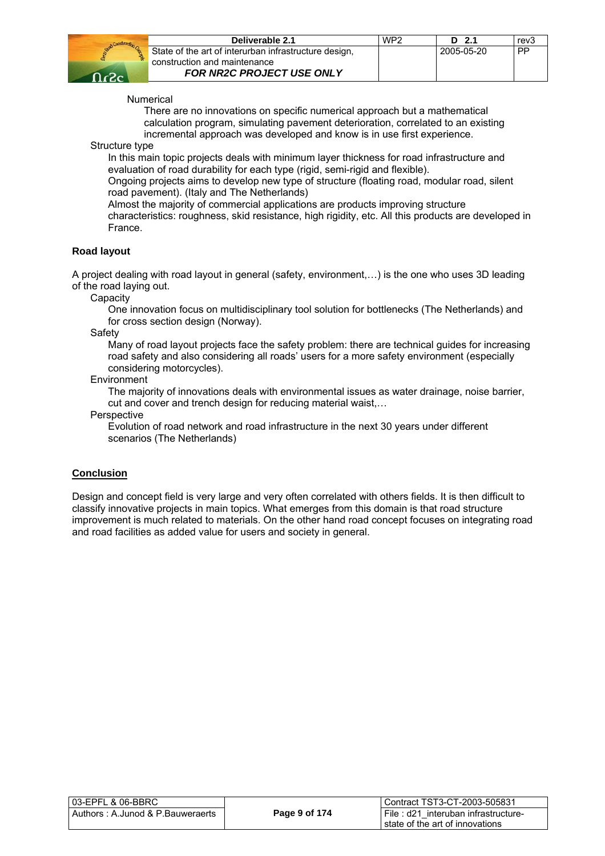

| Deliverable 2.1                                       | WP <sub>2</sub> | D 2.1      | rev3 |
|-------------------------------------------------------|-----------------|------------|------|
| State of the art of interurban infrastructure design, |                 | 2005-05-20 | l PP |
| construction and maintenance                          |                 |            |      |
| <b>FOR NR2C PROJECT USE ONLY</b>                      |                 |            |      |

Numerical

There are no innovations on specific numerical approach but a mathematical calculation program, simulating pavement deterioration, correlated to an existing incremental approach was developed and know is in use first experience.

Structure type

In this main topic projects deals with minimum layer thickness for road infrastructure and evaluation of road durability for each type (rigid, semi-rigid and flexible).

Ongoing projects aims to develop new type of structure (floating road, modular road, silent road pavement). (Italy and The Netherlands)

Almost the majority of commercial applications are products improving structure

characteristics: roughness, skid resistance, high rigidity, etc. All this products are developed in France.

#### **Road layout**

A project dealing with road layout in general (safety, environment,…) is the one who uses 3D leading of the road laying out.

**Capacity** 

One innovation focus on multidisciplinary tool solution for bottlenecks (The Netherlands) and for cross section design (Norway).

Safety

Many of road layout projects face the safety problem: there are technical guides for increasing road safety and also considering all roads' users for a more safety environment (especially considering motorcycles).

#### Environment

The majority of innovations deals with environmental issues as water drainage, noise barrier, cut and cover and trench design for reducing material waist,…

**Perspective** 

Evolution of road network and road infrastructure in the next 30 years under different scenarios (The Netherlands)

#### **Conclusion**

Design and concept field is very large and very often correlated with others fields. It is then difficult to classify innovative projects in main topics. What emerges from this domain is that road structure improvement is much related to materials. On the other hand road concept focuses on integrating road and road facilities as added value for users and society in general.

| l 03-EPFL & 06-BBRC                 |               | l Contract TST3-CT-2003-505831        |
|-------------------------------------|---------------|---------------------------------------|
| l Authors : A.Junod & P.Bauweraerts | Page 9 of 174 | I File: d21 interuban infrastructure- |
|                                     |               | I state of the art of innovations     |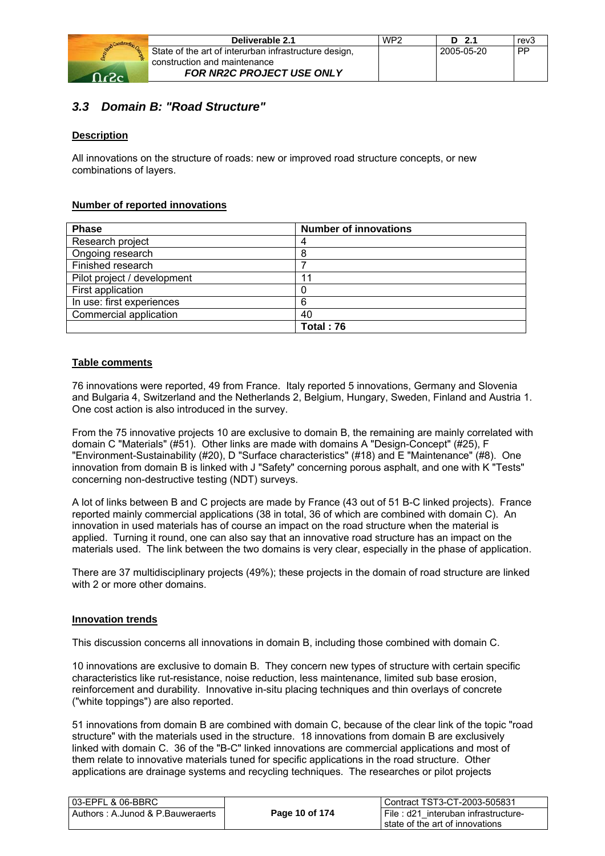

| Deliverable 2.1                                       | WP <sub>2</sub> | $D$ 2.1    | rev3      |
|-------------------------------------------------------|-----------------|------------|-----------|
| State of the art of interurban infrastructure design, |                 | 2005-05-20 | <b>PP</b> |
| construction and maintenance                          |                 |            |           |
| <b>FOR NR2C PROJECT USE ONLY</b>                      |                 |            |           |

## *3.3 Domain B: "Road Structure"*

#### **Description**

All innovations on the structure of roads: new or improved road structure concepts, or new combinations of layers.

#### **Number of reported innovations**

| <b>Phase</b>                | <b>Number of innovations</b> |
|-----------------------------|------------------------------|
| Research project            | 4                            |
| Ongoing research            | 8                            |
| Finished research           |                              |
| Pilot project / development |                              |
| First application           |                              |
| In use: first experiences   | 6                            |
| Commercial application      | 40                           |
|                             | Total: 76                    |

#### **Table comments**

76 innovations were reported, 49 from France. Italy reported 5 innovations, Germany and Slovenia and Bulgaria 4, Switzerland and the Netherlands 2, Belgium, Hungary, Sweden, Finland and Austria 1. One cost action is also introduced in the survey.

From the 75 innovative projects 10 are exclusive to domain B, the remaining are mainly correlated with domain C "Materials" (#51). Other links are made with domains A "Design-Concept" (#25), F "Environment-Sustainability (#20), D "Surface characteristics" (#18) and E "Maintenance" (#8). One innovation from domain B is linked with J "Safety" concerning porous asphalt, and one with K "Tests" concerning non-destructive testing (NDT) surveys.

A lot of links between B and C projects are made by France (43 out of 51 B-C linked projects). France reported mainly commercial applications (38 in total, 36 of which are combined with domain C). An innovation in used materials has of course an impact on the road structure when the material is applied. Turning it round, one can also say that an innovative road structure has an impact on the materials used. The link between the two domains is very clear, especially in the phase of application.

There are 37 multidisciplinary projects (49%); these projects in the domain of road structure are linked with 2 or more other domains.

#### **Innovation trends**

This discussion concerns all innovations in domain B, including those combined with domain C.

10 innovations are exclusive to domain B. They concern new types of structure with certain specific characteristics like rut-resistance, noise reduction, less maintenance, limited sub base erosion, reinforcement and durability. Innovative in-situ placing techniques and thin overlays of concrete ("white toppings") are also reported.

51 innovations from domain B are combined with domain C, because of the clear link of the topic "road structure" with the materials used in the structure. 18 innovations from domain B are exclusively linked with domain C. 36 of the "B-C" linked innovations are commercial applications and most of them relate to innovative materials tuned for specific applications in the road structure. Other applications are drainage systems and recycling techniques. The researches or pilot projects

| 03-EPFL & 06-BBRC                |                | Contract TST3-CT-2003-505831           |
|----------------------------------|----------------|----------------------------------------|
| Authors: A.Junod & P.Bauweraerts | Page 10 of 174 | i File : d21 interuban infrastructure- |
|                                  |                | state of the art of innovations        |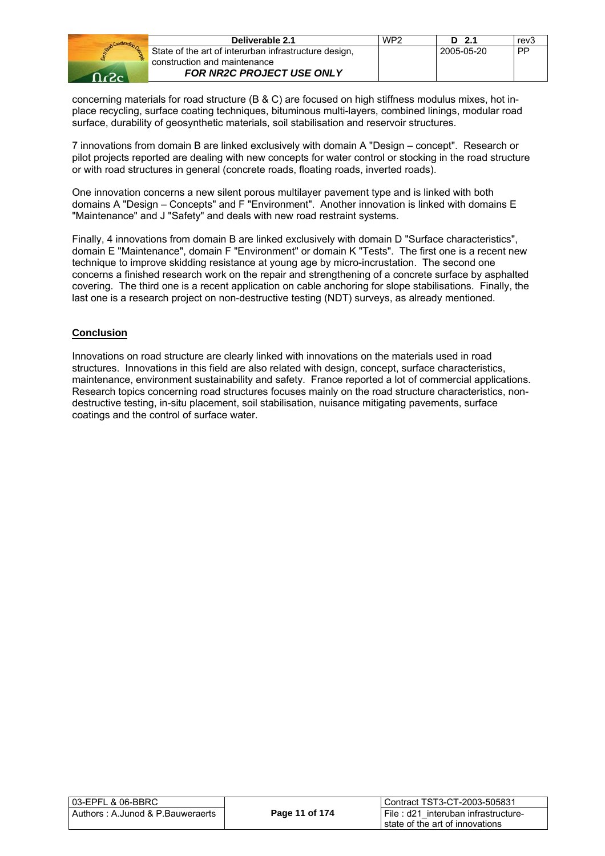

| Deliverable 2.1                                       | WP <sub>2</sub> | D 2.1      | rev3      |
|-------------------------------------------------------|-----------------|------------|-----------|
| State of the art of interurban infrastructure design, |                 | 2005-05-20 | <b>PP</b> |
| construction and maintenance                          |                 |            |           |
| <b>FOR NR2C PROJECT USE ONLY</b>                      |                 |            |           |

concerning materials for road structure (B & C) are focused on high stiffness modulus mixes, hot inplace recycling, surface coating techniques, bituminous multi-layers, combined linings, modular road surface, durability of geosynthetic materials, soil stabilisation and reservoir structures.

7 innovations from domain B are linked exclusively with domain A "Design – concept". Research or pilot projects reported are dealing with new concepts for water control or stocking in the road structure or with road structures in general (concrete roads, floating roads, inverted roads).

One innovation concerns a new silent porous multilayer pavement type and is linked with both domains A "Design – Concepts" and F "Environment". Another innovation is linked with domains E "Maintenance" and J "Safety" and deals with new road restraint systems.

Finally, 4 innovations from domain B are linked exclusively with domain D "Surface characteristics", domain E "Maintenance", domain F "Environment" or domain K "Tests". The first one is a recent new technique to improve skidding resistance at young age by micro-incrustation. The second one concerns a finished research work on the repair and strengthening of a concrete surface by asphalted covering. The third one is a recent application on cable anchoring for slope stabilisations. Finally, the last one is a research project on non-destructive testing (NDT) surveys, as already mentioned.

#### **Conclusion**

Innovations on road structure are clearly linked with innovations on the materials used in road structures. Innovations in this field are also related with design, concept, surface characteristics, maintenance, environment sustainability and safety. France reported a lot of commercial applications. Research topics concerning road structures focuses mainly on the road structure characteristics, nondestructive testing, in-situ placement, soil stabilisation, nuisance mitigating pavements, surface coatings and the control of surface water.

| 03-EPFL & 06-BBRC_                |                | l Contract TST3-CT-2003-505831      |
|-----------------------------------|----------------|-------------------------------------|
| Authors : A.Junod & P.Bauweraerts | Page 11 of 174 | File: d21 interuban infrastructure- |
|                                   |                | l state of the art of innovations.  |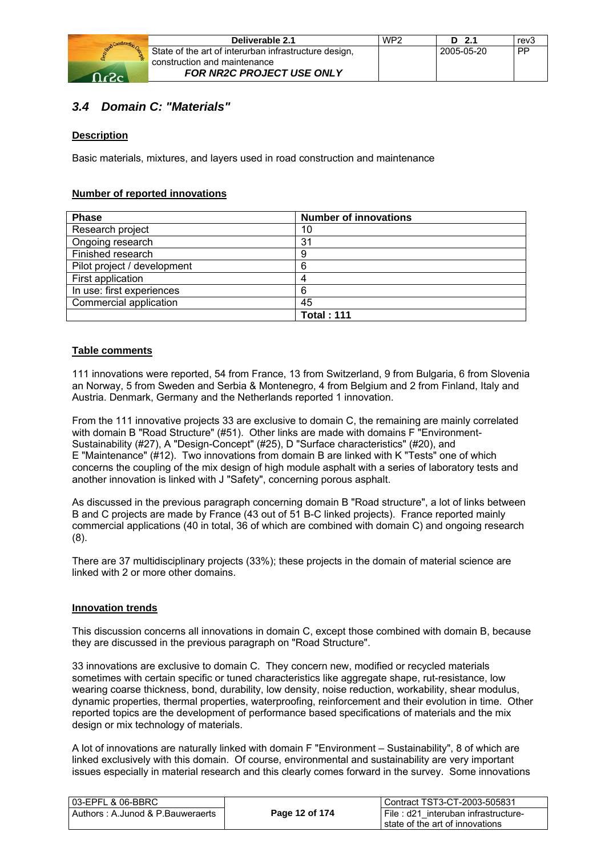

| Deliverable 2.1                                       | WP <sub>2</sub> | $D$ 2.1    | rev3 |
|-------------------------------------------------------|-----------------|------------|------|
| State of the art of interurban infrastructure design, |                 | 2005-05-20 | PP   |
| construction and maintenance                          |                 |            |      |
| <b>FOR NR2C PROJECT USE ONLY</b>                      |                 |            |      |

## *3.4 Domain C: "Materials"*

#### **Description**

Basic materials, mixtures, and layers used in road construction and maintenance

#### **Number of reported innovations**

| <b>Phase</b>                | <b>Number of innovations</b> |
|-----------------------------|------------------------------|
| Research project            | 10                           |
| Ongoing research            | 31                           |
| Finished research           | 9                            |
| Pilot project / development | 6                            |
| First application           | 4                            |
| In use: first experiences   | 6                            |
| Commercial application      | 45                           |
|                             | <b>Total: 111</b>            |

#### **Table comments**

111 innovations were reported, 54 from France, 13 from Switzerland, 9 from Bulgaria, 6 from Slovenia an Norway, 5 from Sweden and Serbia & Montenegro, 4 from Belgium and 2 from Finland, Italy and Austria. Denmark, Germany and the Netherlands reported 1 innovation.

From the 111 innovative projects 33 are exclusive to domain C, the remaining are mainly correlated with domain B "Road Structure" (#51). Other links are made with domains F "Environment-Sustainability (#27), A "Design-Concept" (#25), D "Surface characteristics" (#20), and E "Maintenance" (#12). Two innovations from domain B are linked with K "Tests" one of which concerns the coupling of the mix design of high module asphalt with a series of laboratory tests and another innovation is linked with J "Safety", concerning porous asphalt.

As discussed in the previous paragraph concerning domain B "Road structure", a lot of links between B and C projects are made by France (43 out of 51 B-C linked projects). France reported mainly commercial applications (40 in total, 36 of which are combined with domain C) and ongoing research (8).

There are 37 multidisciplinary projects (33%); these projects in the domain of material science are linked with 2 or more other domains.

#### **Innovation trends**

This discussion concerns all innovations in domain C, except those combined with domain B, because they are discussed in the previous paragraph on "Road Structure".

33 innovations are exclusive to domain C. They concern new, modified or recycled materials sometimes with certain specific or tuned characteristics like aggregate shape, rut-resistance, low wearing coarse thickness, bond, durability, low density, noise reduction, workability, shear modulus, dynamic properties, thermal properties, waterproofing, reinforcement and their evolution in time. Other reported topics are the development of performance based specifications of materials and the mix design or mix technology of materials.

A lot of innovations are naturally linked with domain F "Environment – Sustainability", 8 of which are linked exclusively with this domain. Of course, environmental and sustainability are very important issues especially in material research and this clearly comes forward in the survey. Some innovations

| l 03-EPFL & 06-BBRC              |                | Contract TST3-CT-2003-505831        |
|----------------------------------|----------------|-------------------------------------|
| Authors: A.Junod & P.Bauweraerts | Page 12 of 174 | File: d21 interuban infrastructure- |
|                                  |                | state of the art of innovations     |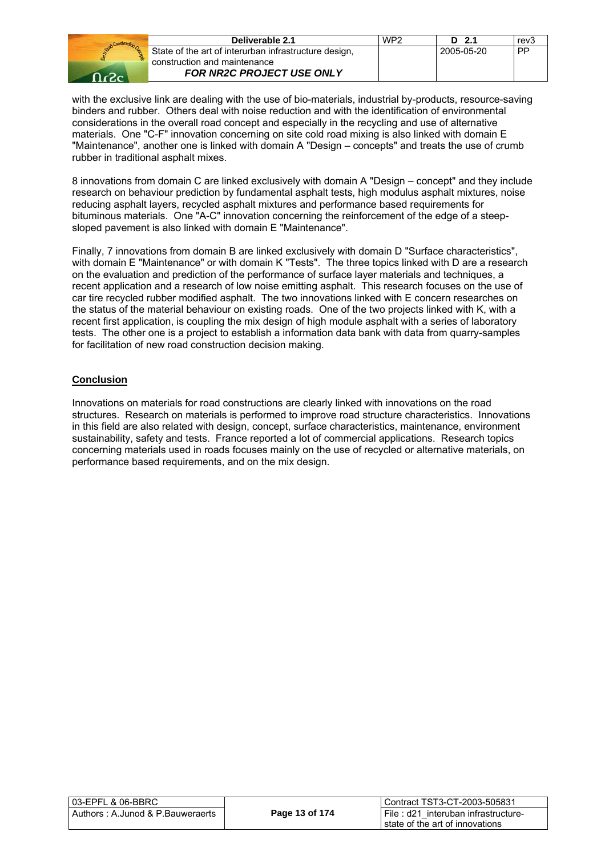| <b>Construction</b> |        |
|---------------------|--------|
| <b>OBSTA</b>        | S<br>c |
|                     |        |
|                     |        |

| Deliverable 2.1                                       | WP <sub>2</sub> | D 2.1      | rev3 |
|-------------------------------------------------------|-----------------|------------|------|
| State of the art of interurban infrastructure design, |                 | 2005-05-20 | l PP |
| construction and maintenance                          |                 |            |      |
| <b>FOR NR2C PROJECT USE ONLY</b>                      |                 |            |      |

with the exclusive link are dealing with the use of bio-materials, industrial by-products, resource-saving binders and rubber. Others deal with noise reduction and with the identification of environmental considerations in the overall road concept and especially in the recycling and use of alternative materials. One "C-F" innovation concerning on site cold road mixing is also linked with domain E "Maintenance", another one is linked with domain A "Design – concepts" and treats the use of crumb rubber in traditional asphalt mixes.

8 innovations from domain C are linked exclusively with domain A "Design – concept" and they include research on behaviour prediction by fundamental asphalt tests, high modulus asphalt mixtures, noise reducing asphalt layers, recycled asphalt mixtures and performance based requirements for bituminous materials. One "A-C" innovation concerning the reinforcement of the edge of a steepsloped pavement is also linked with domain E "Maintenance".

Finally, 7 innovations from domain B are linked exclusively with domain D "Surface characteristics", with domain E "Maintenance" or with domain K "Tests". The three topics linked with D are a research on the evaluation and prediction of the performance of surface layer materials and techniques, a recent application and a research of low noise emitting asphalt. This research focuses on the use of car tire recycled rubber modified asphalt. The two innovations linked with E concern researches on the status of the material behaviour on existing roads. One of the two projects linked with K, with a recent first application, is coupling the mix design of high module asphalt with a series of laboratory tests. The other one is a project to establish a information data bank with data from quarry-samples for facilitation of new road construction decision making.

#### **Conclusion**

Innovations on materials for road constructions are clearly linked with innovations on the road structures. Research on materials is performed to improve road structure characteristics. Innovations in this field are also related with design, concept, surface characteristics, maintenance, environment sustainability, safety and tests. France reported a lot of commercial applications. Research topics concerning materials used in roads focuses mainly on the use of recycled or alternative materials, on performance based requirements, and on the mix design.

| 03-EPFL & 06-BBRC_                |                | Contract TST3-CT-2003-505831          |
|-----------------------------------|----------------|---------------------------------------|
| Authors : A.Junod & P.Bauweraerts | Page 13 of 174 | I File: d21 interuban infrastructure- |
|                                   |                | I state of the art of innovations     |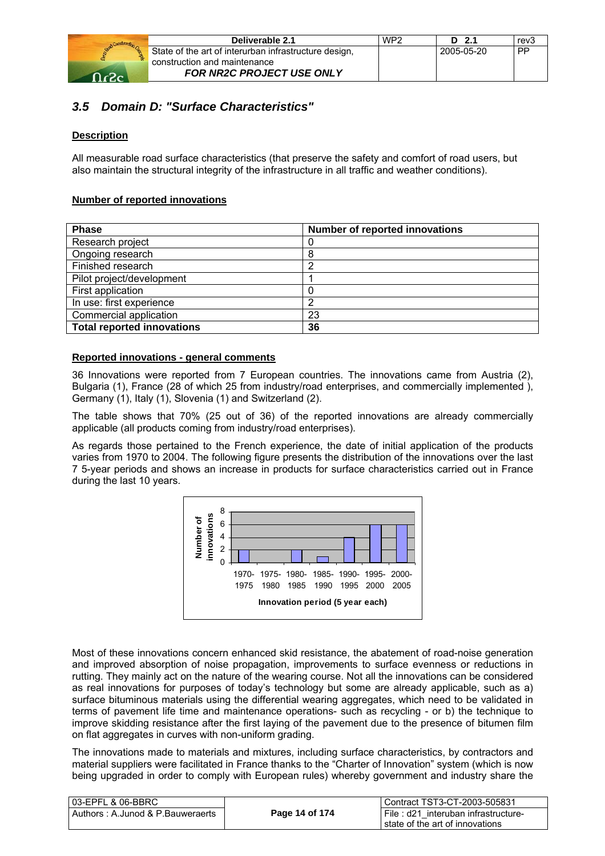

| Deliverable 2.1                                       | WP <sub>2</sub> | $D$ 2.1    | rev3      |
|-------------------------------------------------------|-----------------|------------|-----------|
| State of the art of interurban infrastructure design, |                 | 2005-05-20 | <b>PP</b> |
| construction and maintenance                          |                 |            |           |
| <b>FOR NR2C PROJECT USE ONLY</b>                      |                 |            |           |

## *3.5 Domain D: "Surface Characteristics"*

#### **Description**

All measurable road surface characteristics (that preserve the safety and comfort of road users, but also maintain the structural integrity of the infrastructure in all traffic and weather conditions).

#### **Number of reported innovations**

| <b>Phase</b>                      | <b>Number of reported innovations</b> |
|-----------------------------------|---------------------------------------|
| Research project                  | 0                                     |
| Ongoing research                  | 8                                     |
| Finished research                 | ◠                                     |
| Pilot project/development         |                                       |
| First application                 |                                       |
| In use: first experience          | ◠                                     |
| Commercial application            | 23                                    |
| <b>Total reported innovations</b> | 36                                    |

#### **Reported innovations - general comments**

36 Innovations were reported from 7 European countries. The innovations came from Austria (2), Bulgaria (1), France (28 of which 25 from industry/road enterprises, and commercially implemented ), Germany (1), Italy (1), Slovenia (1) and Switzerland (2).

The table shows that 70% (25 out of 36) of the reported innovations are already commercially applicable (all products coming from industry/road enterprises).

As regards those pertained to the French experience, the date of initial application of the products varies from 1970 to 2004. The following figure presents the distribution of the innovations over the last 7 5-year periods and shows an increase in products for surface characteristics carried out in France during the last 10 years.



Most of these innovations concern enhanced skid resistance, the abatement of road-noise generation and improved absorption of noise propagation, improvements to surface evenness or reductions in rutting. They mainly act on the nature of the wearing course. Not all the innovations can be considered as real innovations for purposes of today's technology but some are already applicable, such as a) surface bituminous materials using the differential wearing aggregates, which need to be validated in terms of pavement life time and maintenance operations- such as recycling - or b) the technique to improve skidding resistance after the first laying of the pavement due to the presence of bitumen film on flat aggregates in curves with non-uniform grading.

The innovations made to materials and mixtures, including surface characteristics, by contractors and material suppliers were facilitated in France thanks to the "Charter of Innovation" system (which is now being upgraded in order to comply with European rules) whereby government and industry share the

| l 03-EPFL & 06-BBRC              |                | l Contract TST3-CT-2003-505831            |
|----------------------------------|----------------|-------------------------------------------|
| Authors: A.Junod & P.Bauweraerts | Page 14 of 174 | File : $d21$<br>interuban infrastructure- |
|                                  |                | I state of the art of innovations         |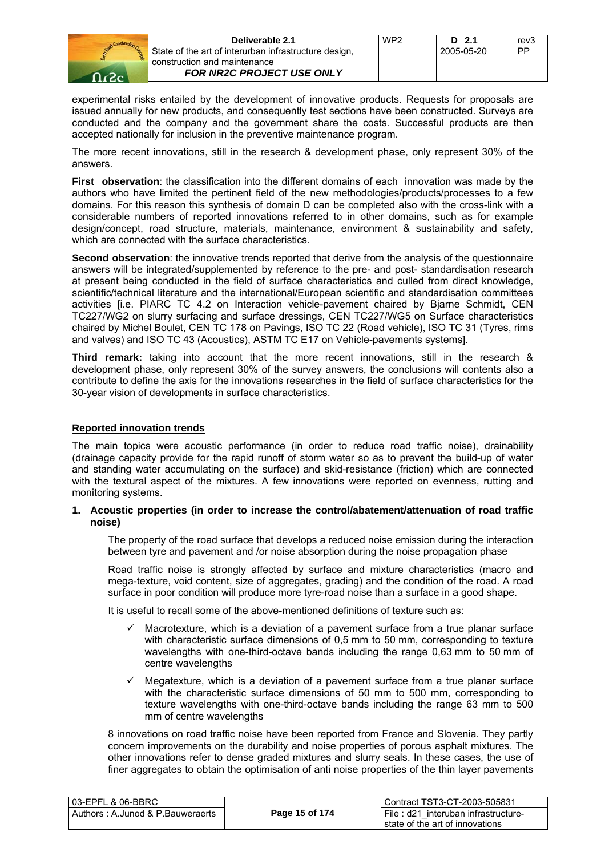

| Deliverable 2.1                                       | WP2 | $D$ 2.1    | rev3      |
|-------------------------------------------------------|-----|------------|-----------|
| State of the art of interurban infrastructure design, |     | 2005-05-20 | <b>PP</b> |
| construction and maintenance                          |     |            |           |
| <b>FOR NR2C PROJECT USE ONLY</b>                      |     |            |           |

experimental risks entailed by the development of innovative products. Requests for proposals are issued annually for new products, and consequently test sections have been constructed. Surveys are conducted and the company and the government share the costs. Successful products are then accepted nationally for inclusion in the preventive maintenance program.

The more recent innovations, still in the research & development phase, only represent 30% of the answers.

**First observation**: the classification into the different domains of each innovation was made by the authors who have limited the pertinent field of the new methodologies/products/processes to a few domains. For this reason this synthesis of domain D can be completed also with the cross-link with a considerable numbers of reported innovations referred to in other domains, such as for example design/concept, road structure, materials, maintenance, environment & sustainability and safety, which are connected with the surface characteristics.

**Second observation**: the innovative trends reported that derive from the analysis of the questionnaire answers will be integrated/supplemented by reference to the pre- and post- standardisation research at present being conducted in the field of surface characteristics and culled from direct knowledge, scientific/technical literature and the international/European scientific and standardisation committees activities [i.e. PIARC TC 4.2 on Interaction vehicle-pavement chaired by Bjarne Schmidt, CEN TC227/WG2 on slurry surfacing and surface dressings, CEN TC227/WG5 on Surface characteristics chaired by Michel Boulet, CEN TC 178 on Pavings, ISO TC 22 (Road vehicle), ISO TC 31 (Tyres, rims and valves) and ISO TC 43 (Acoustics), ASTM TC E17 on Vehicle-pavements systems].

**Third remark:** taking into account that the more recent innovations, still in the research & development phase, only represent 30% of the survey answers, the conclusions will contents also a contribute to define the axis for the innovations researches in the field of surface characteristics for the 30-year vision of developments in surface characteristics.

#### **Reported innovation trends**

The main topics were acoustic performance (in order to reduce road traffic noise), drainability (drainage capacity provide for the rapid runoff of storm water so as to prevent the build-up of water and standing water accumulating on the surface) and skid-resistance (friction) which are connected with the textural aspect of the mixtures. A few innovations were reported on evenness, rutting and monitoring systems.

#### **1. Acoustic properties (in order to increase the control/abatement/attenuation of road traffic noise)**

The property of the road surface that develops a reduced noise emission during the interaction between tyre and pavement and /or noise absorption during the noise propagation phase

Road traffic noise is strongly affected by surface and mixture characteristics (macro and mega-texture, void content, size of aggregates, grading) and the condition of the road. A road surface in poor condition will produce more tyre-road noise than a surface in a good shape.

It is useful to recall some of the above-mentioned definitions of texture such as:

- Macrotexture, which is a deviation of a pavement surface from a true planar surface with characteristic surface dimensions of 0,5 mm to 50 mm, corresponding to texture wavelengths with one-third-octave bands including the range 0,63 mm to 50 mm of centre wavelengths
- $\checkmark$  Megatexture, which is a deviation of a pavement surface from a true planar surface with the characteristic surface dimensions of 50 mm to 500 mm, corresponding to texture wavelengths with one-third-octave bands including the range 63 mm to 500 mm of centre wavelengths

8 innovations on road traffic noise have been reported from France and Slovenia. They partly concern improvements on the durability and noise properties of porous asphalt mixtures. The other innovations refer to dense graded mixtures and slurry seals. In these cases, the use of finer aggregates to obtain the optimisation of anti noise properties of the thin layer pavements

| l 03-EPFL & 06-BBRC               |                | Contract TST3-CT-2003-505831        |
|-----------------------------------|----------------|-------------------------------------|
| Authors : A.Junod & P.Bauweraerts | Page 15 of 174 | File: d21 interuban infrastructure- |
|                                   |                | state of the art of innovations     |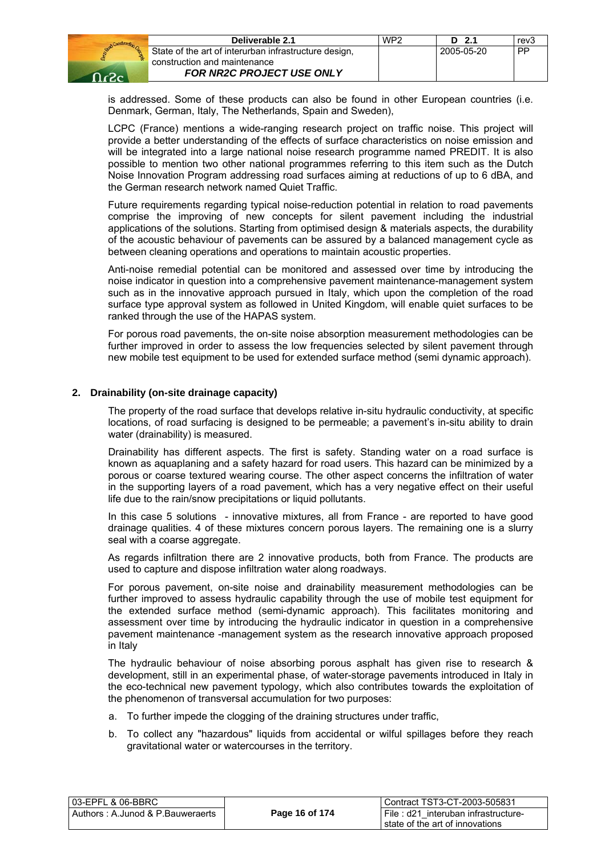

| Deliverable 2.1                                       | WP <sub>2</sub> | $D$ 2.1    | rev3 |
|-------------------------------------------------------|-----------------|------------|------|
| State of the art of interurban infrastructure design, |                 | 2005-05-20 | PP   |
| construction and maintenance                          |                 |            |      |
| <b>FOR NR2C PROJECT USE ONLY</b>                      |                 |            |      |

is addressed. Some of these products can also be found in other European countries (i.e. Denmark, German, Italy, The Netherlands, Spain and Sweden),

LCPC (France) mentions a wide-ranging research project on traffic noise. This project will provide a better understanding of the effects of surface characteristics on noise emission and will be integrated into a large national noise research programme named PREDIT. It is also possible to mention two other national programmes referring to this item such as the Dutch Noise Innovation Program addressing road surfaces aiming at reductions of up to 6 dBA, and the German research network named Quiet Traffic.

Future requirements regarding typical noise-reduction potential in relation to road pavements comprise the improving of new concepts for silent pavement including the industrial applications of the solutions. Starting from optimised design & materials aspects, the durability of the acoustic behaviour of pavements can be assured by a balanced management cycle as between cleaning operations and operations to maintain acoustic properties.

Anti-noise remedial potential can be monitored and assessed over time by introducing the noise indicator in question into a comprehensive pavement maintenance-management system such as in the innovative approach pursued in Italy, which upon the completion of the road surface type approval system as followed in United Kingdom, will enable quiet surfaces to be ranked through the use of the HAPAS system.

For porous road pavements, the on-site noise absorption measurement methodologies can be further improved in order to assess the low frequencies selected by silent pavement through new mobile test equipment to be used for extended surface method (semi dynamic approach).

#### **2. Drainability (on-site drainage capacity)**

The property of the road surface that develops relative in-situ hydraulic conductivity, at specific locations, of road surfacing is designed to be permeable; a pavement's in-situ ability to drain water (drainability) is measured.

Drainability has different aspects. The first is safety. Standing water on a road surface is known as aquaplaning and a safety hazard for road users. This hazard can be minimized by a porous or coarse textured wearing course. The other aspect concerns the infiltration of water in the supporting layers of a road pavement, which has a very negative effect on their useful life due to the rain/snow precipitations or liquid pollutants.

In this case 5 solutions - innovative mixtures, all from France - are reported to have good drainage qualities. 4 of these mixtures concern porous layers. The remaining one is a slurry seal with a coarse aggregate.

As regards infiltration there are 2 innovative products, both from France. The products are used to capture and dispose infiltration water along roadways.

For porous pavement, on-site noise and drainability measurement methodologies can be further improved to assess hydraulic capability through the use of mobile test equipment for the extended surface method (semi-dynamic approach). This facilitates monitoring and assessment over time by introducing the hydraulic indicator in question in a comprehensive pavement maintenance -management system as the research innovative approach proposed in Italy

The hydraulic behaviour of noise absorbing porous asphalt has given rise to research & development, still in an experimental phase, of water-storage pavements introduced in Italy in the eco-technical new pavement typology, which also contributes towards the exploitation of the phenomenon of transversal accumulation for two purposes:

- a. To further impede the clogging of the draining structures under traffic,
- b. To collect any "hazardous" liquids from accidental or wilful spillages before they reach gravitational water or watercourses in the territory.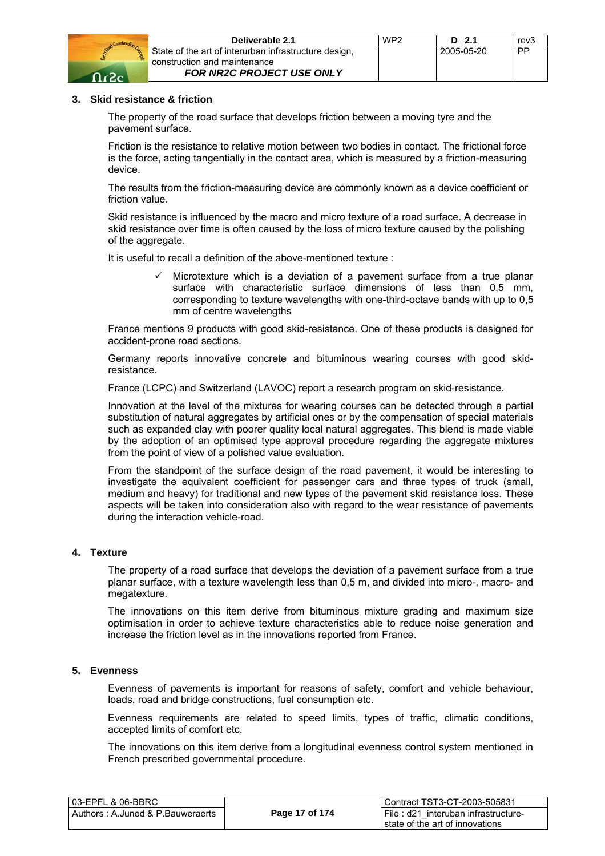

| Deliverable 2.1                                       | WP <sub>2</sub> | D 2.1      | rev3      |
|-------------------------------------------------------|-----------------|------------|-----------|
| State of the art of interurban infrastructure design, |                 | 2005-05-20 | <b>PP</b> |
| construction and maintenance                          |                 |            |           |
| <b>FOR NR2C PROJECT USE ONLY</b>                      |                 |            |           |

#### **3. Skid resistance & friction**

The property of the road surface that develops friction between a moving tyre and the pavement surface.

Friction is the resistance to relative motion between two bodies in contact. The frictional force is the force, acting tangentially in the contact area, which is measured by a friction-measuring device.

The results from the friction-measuring device are commonly known as a device coefficient or friction value.

Skid resistance is influenced by the macro and micro texture of a road surface. A decrease in skid resistance over time is often caused by the loss of micro texture caused by the polishing of the aggregate.

It is useful to recall a definition of the above-mentioned texture :

 $\checkmark$  Microtexture which is a deviation of a pavement surface from a true planar surface with characteristic surface dimensions of less than 0,5 mm, corresponding to texture wavelengths with one-third-octave bands with up to 0,5 mm of centre wavelengths

France mentions 9 products with good skid-resistance. One of these products is designed for accident-prone road sections.

Germany reports innovative concrete and bituminous wearing courses with good skidresistance.

France (LCPC) and Switzerland (LAVOC) report a research program on skid-resistance.

Innovation at the level of the mixtures for wearing courses can be detected through a partial substitution of natural aggregates by artificial ones or by the compensation of special materials such as expanded clay with poorer quality local natural aggregates. This blend is made viable by the adoption of an optimised type approval procedure regarding the aggregate mixtures from the point of view of a polished value evaluation.

From the standpoint of the surface design of the road pavement, it would be interesting to investigate the equivalent coefficient for passenger cars and three types of truck (small, medium and heavy) for traditional and new types of the pavement skid resistance loss. These aspects will be taken into consideration also with regard to the wear resistance of pavements during the interaction vehicle-road.

#### **4. Texture**

The property of a road surface that develops the deviation of a pavement surface from a true planar surface, with a texture wavelength less than 0,5 m, and divided into micro-, macro- and megatexture.

The innovations on this item derive from bituminous mixture grading and maximum size optimisation in order to achieve texture characteristics able to reduce noise generation and increase the friction level as in the innovations reported from France.

#### **5. Evenness**

Evenness of pavements is important for reasons of safety, comfort and vehicle behaviour, loads, road and bridge constructions, fuel consumption etc.

Evenness requirements are related to speed limits, types of traffic, climatic conditions, accepted limits of comfort etc.

The innovations on this item derive from a longitudinal evenness control system mentioned in French prescribed governmental procedure.

| 03-EPFL & 06-BBRC                |                | Contract TST3-CT-2003-505831        |
|----------------------------------|----------------|-------------------------------------|
| Authors: A.Junod & P.Bauweraerts | Page 17 of 174 | File: d21 interuban infrastructure- |
|                                  |                | state of the art of innovations     |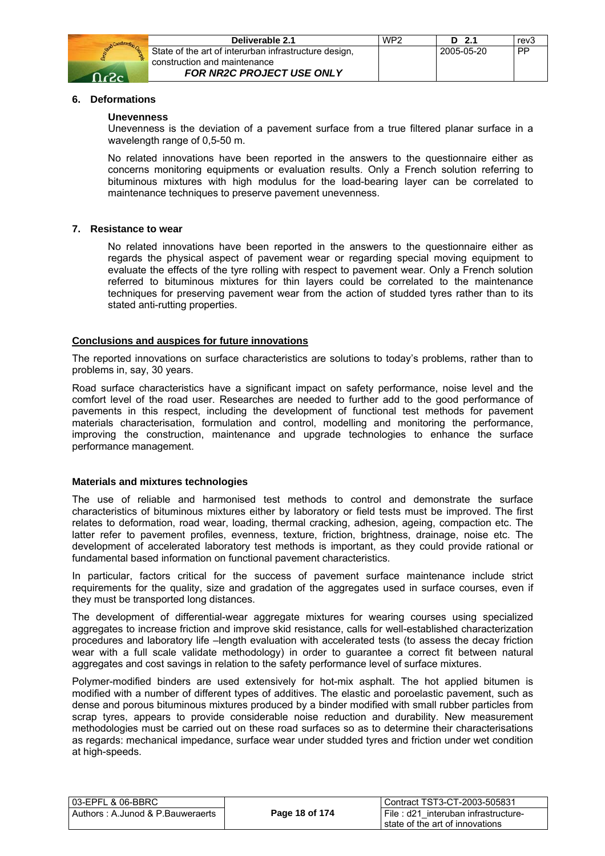

#### **6. Deformations**

#### **Unevenness**

Unevenness is the deviation of a pavement surface from a true filtered planar surface in a wavelength range of 0,5-50 m.

No related innovations have been reported in the answers to the questionnaire either as concerns monitoring equipments or evaluation results. Only a French solution referring to bituminous mixtures with high modulus for the load-bearing layer can be correlated to maintenance techniques to preserve pavement unevenness.

#### **7. Resistance to wear**

No related innovations have been reported in the answers to the questionnaire either as regards the physical aspect of pavement wear or regarding special moving equipment to evaluate the effects of the tyre rolling with respect to pavement wear. Only a French solution referred to bituminous mixtures for thin layers could be correlated to the maintenance techniques for preserving pavement wear from the action of studded tyres rather than to its stated anti-rutting properties.

#### **Conclusions and auspices for future innovations**

The reported innovations on surface characteristics are solutions to today's problems, rather than to problems in, say, 30 years.

Road surface characteristics have a significant impact on safety performance, noise level and the comfort level of the road user. Researches are needed to further add to the good performance of pavements in this respect, including the development of functional test methods for pavement materials characterisation, formulation and control, modelling and monitoring the performance, improving the construction, maintenance and upgrade technologies to enhance the surface performance management.

#### **Materials and mixtures technologies**

The use of reliable and harmonised test methods to control and demonstrate the surface characteristics of bituminous mixtures either by laboratory or field tests must be improved. The first relates to deformation, road wear, loading, thermal cracking, adhesion, ageing, compaction etc. The latter refer to pavement profiles, evenness, texture, friction, brightness, drainage, noise etc. The development of accelerated laboratory test methods is important, as they could provide rational or fundamental based information on functional pavement characteristics.

In particular, factors critical for the success of pavement surface maintenance include strict requirements for the quality, size and gradation of the aggregates used in surface courses, even if they must be transported long distances.

The development of differential-wear aggregate mixtures for wearing courses using specialized aggregates to increase friction and improve skid resistance, calls for well-established characterization procedures and laboratory life –length evaluation with accelerated tests (to assess the decay friction wear with a full scale validate methodology) in order to guarantee a correct fit between natural aggregates and cost savings in relation to the safety performance level of surface mixtures.

Polymer-modified binders are used extensively for hot-mix asphalt. The hot applied bitumen is modified with a number of different types of additives. The elastic and poroelastic pavement, such as dense and porous bituminous mixtures produced by a binder modified with small rubber particles from scrap tyres, appears to provide considerable noise reduction and durability. New measurement methodologies must be carried out on these road surfaces so as to determine their characterisations as regards: mechanical impedance, surface wear under studded tyres and friction under wet condition at high-speeds.

| l 03-EPFL & 06-BBRC                 |                | Contract TST3-CT-2003-505831        |
|-------------------------------------|----------------|-------------------------------------|
| l Authors : A.Junod & P.Bauweraerts | Page 18 of 174 | File: d21 interuban infrastructure- |
|                                     |                | l state of the art of innovations.  |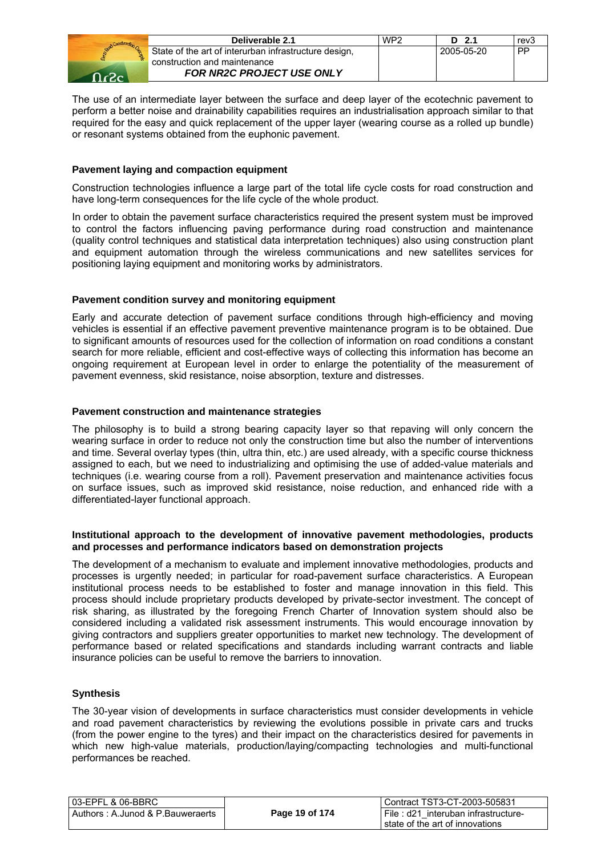|              | Deliverable 2.1                                       | WP <sub>2</sub> | D 2.1      | rev3 |
|--------------|-------------------------------------------------------|-----------------|------------|------|
|              | State of the art of interurban infrastructure design, |                 | 2005-05-20 | PP   |
|              | construction and maintenance                          |                 |            |      |
| $\Omega_{c}$ | <b>FOR NR2C PROJECT USE ONLY</b>                      |                 |            |      |

The use of an intermediate layer between the surface and deep layer of the ecotechnic pavement to perform a better noise and drainability capabilities requires an industrialisation approach similar to that required for the easy and quick replacement of the upper layer (wearing course as a rolled up bundle) or resonant systems obtained from the euphonic pavement.

#### **Pavement laying and compaction equipment**

Construction technologies influence a large part of the total life cycle costs for road construction and have long-term consequences for the life cycle of the whole product.

In order to obtain the pavement surface characteristics required the present system must be improved to control the factors influencing paving performance during road construction and maintenance (quality control techniques and statistical data interpretation techniques) also using construction plant and equipment automation through the wireless communications and new satellites services for positioning laying equipment and monitoring works by administrators.

#### **Pavement condition survey and monitoring equipment**

Early and accurate detection of pavement surface conditions through high-efficiency and moving vehicles is essential if an effective pavement preventive maintenance program is to be obtained. Due to significant amounts of resources used for the collection of information on road conditions a constant search for more reliable, efficient and cost-effective ways of collecting this information has become an ongoing requirement at European level in order to enlarge the potentiality of the measurement of pavement evenness, skid resistance, noise absorption, texture and distresses.

#### **Pavement construction and maintenance strategies**

The philosophy is to build a strong bearing capacity layer so that repaving will only concern the wearing surface in order to reduce not only the construction time but also the number of interventions and time. Several overlay types (thin, ultra thin, etc.) are used already, with a specific course thickness assigned to each, but we need to industrializing and optimising the use of added-value materials and techniques (i.e. wearing course from a roll). Pavement preservation and maintenance activities focus on surface issues, such as improved skid resistance, noise reduction, and enhanced ride with a differentiated-layer functional approach.

#### **Institutional approach to the development of innovative pavement methodologies, products and processes and performance indicators based on demonstration projects**

The development of a mechanism to evaluate and implement innovative methodologies, products and processes is urgently needed; in particular for road-pavement surface characteristics. A European institutional process needs to be established to foster and manage innovation in this field. This process should include proprietary products developed by private-sector investment. The concept of risk sharing, as illustrated by the foregoing French Charter of Innovation system should also be considered including a validated risk assessment instruments. This would encourage innovation by giving contractors and suppliers greater opportunities to market new technology. The development of performance based or related specifications and standards including warrant contracts and liable insurance policies can be useful to remove the barriers to innovation.

#### **Synthesis**

The 30-year vision of developments in surface characteristics must consider developments in vehicle and road pavement characteristics by reviewing the evolutions possible in private cars and trucks (from the power engine to the tyres) and their impact on the characteristics desired for pavements in which new high-value materials, production/laying/compacting technologies and multi-functional performances be reached.

| 03-EPFL & 06-BBRC                |                | Contract TST3-CT-2003-505831        |
|----------------------------------|----------------|-------------------------------------|
| Authors: A.Junod & P.Bauweraerts | Page 19 of 174 | File: d21 interuban infrastructure- |
|                                  |                | state of the art of innovations     |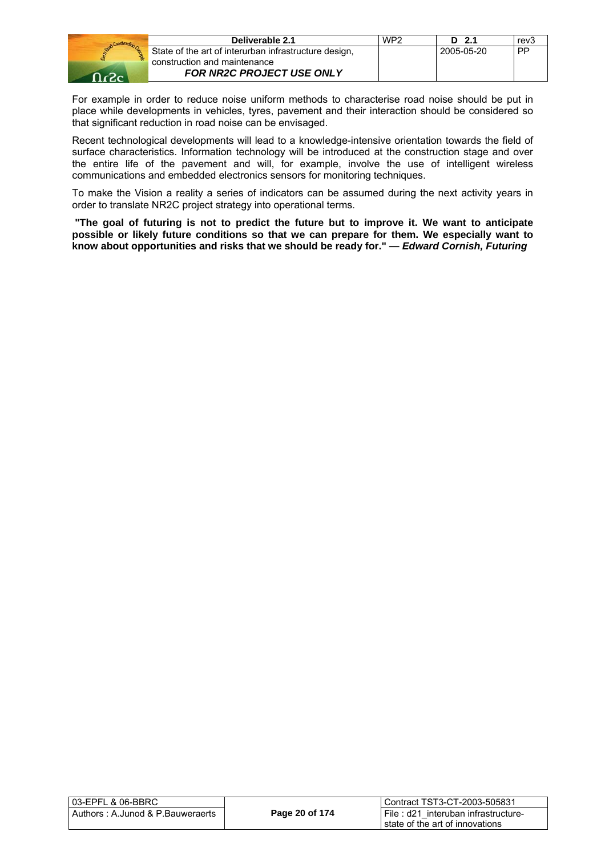

| Deliverable 2.1                                       | WP <sub>2</sub> | D <sub>2.1</sub> | rev3      |
|-------------------------------------------------------|-----------------|------------------|-----------|
| State of the art of interurban infrastructure design, |                 | 2005-05-20       | <b>PP</b> |
| construction and maintenance                          |                 |                  |           |
| <b>FOR NR2C PROJECT USE ONLY</b>                      |                 |                  |           |

For example in order to reduce noise uniform methods to characterise road noise should be put in place while developments in vehicles, tyres, pavement and their interaction should be considered so that significant reduction in road noise can be envisaged.

Recent technological developments will lead to a knowledge-intensive orientation towards the field of surface characteristics. Information technology will be introduced at the construction stage and over the entire life of the pavement and will, for example, involve the use of intelligent wireless communications and embedded electronics sensors for monitoring techniques.

To make the Vision a reality a series of indicators can be assumed during the next activity years in order to translate NR2C project strategy into operational terms.

**"The goal of futuring is not to predict the future but to improve it. We want to anticipate possible or likely future conditions so that we can prepare for them. We especially want to know about opportunities and risks that we should be ready for." —** *Edward Cornish, Futuring* 

| Page 20 of 174<br>  File: d21 interuban infrastructure-<br>l state of the art of innovations | 03-EPFL & 06-BBRC_                | i Contract TST3-CT-2003-505831 |
|----------------------------------------------------------------------------------------------|-----------------------------------|--------------------------------|
|                                                                                              | Authors : A.Junod & P.Bauweraerts |                                |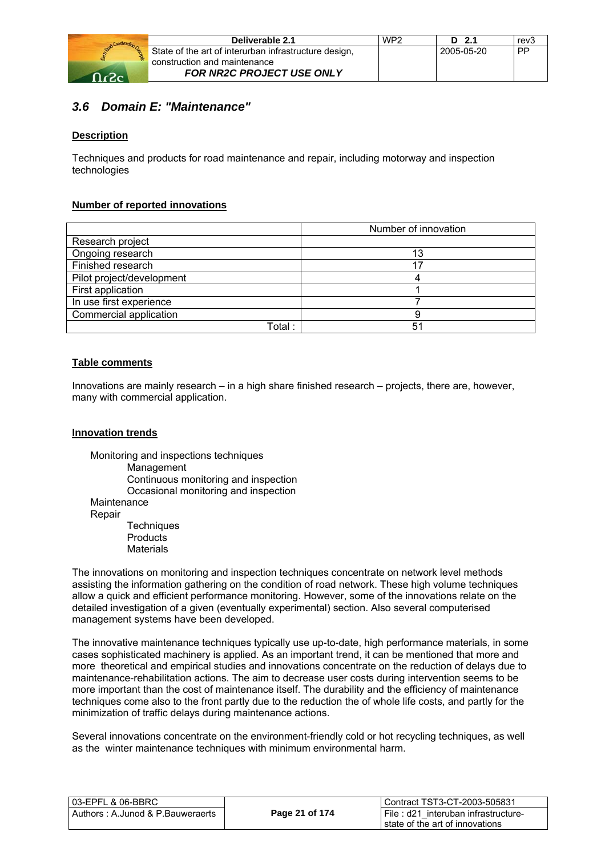

| Deliverable 2.1                                       | WP <sub>2</sub> | D 2.1      | rev3      |
|-------------------------------------------------------|-----------------|------------|-----------|
| State of the art of interurban infrastructure design, |                 | 2005-05-20 | <b>PP</b> |
| construction and maintenance                          |                 |            |           |
| <b>FOR NR2C PROJECT USE ONLY</b>                      |                 |            |           |

## *3.6 Domain E: "Maintenance"*

#### **Description**

Techniques and products for road maintenance and repair, including motorway and inspection technologies

#### **Number of reported innovations**

|                           | Number of innovation |
|---------------------------|----------------------|
| Research project          |                      |
| Ongoing research          | 13                   |
| Finished research         |                      |
| Pilot project/development |                      |
| First application         |                      |
| In use first experience   |                      |
| Commercial application    | 9                    |
| Total :                   | 51                   |

#### **Table comments**

Innovations are mainly research – in a high share finished research – projects, there are, however, many with commercial application.

#### **Innovation trends**

Monitoring and inspections techniques Management Continuous monitoring and inspection Occasional monitoring and inspection Maintenance Repair **Techniques Products** 

**Materials** 

The innovations on monitoring and inspection techniques concentrate on network level methods assisting the information gathering on the condition of road network. These high volume techniques allow a quick and efficient performance monitoring. However, some of the innovations relate on the detailed investigation of a given (eventually experimental) section. Also several computerised management systems have been developed.

The innovative maintenance techniques typically use up-to-date, high performance materials, in some cases sophisticated machinery is applied. As an important trend, it can be mentioned that more and more theoretical and empirical studies and innovations concentrate on the reduction of delays due to maintenance-rehabilitation actions. The aim to decrease user costs during intervention seems to be more important than the cost of maintenance itself. The durability and the efficiency of maintenance techniques come also to the front partly due to the reduction the of whole life costs, and partly for the minimization of traffic delays during maintenance actions.

Several innovations concentrate on the environment-friendly cold or hot recycling techniques, as well as the winter maintenance techniques with minimum environmental harm.

| l 03-EPFL & 06-BBRC_             |                | Contract TST3-CT-2003-505831        |
|----------------------------------|----------------|-------------------------------------|
| Authors: A.Junod & P.Bauweraerts | Page 21 of 174 | File: d21 interuban infrastructure- |
|                                  |                | state of the art of innovations     |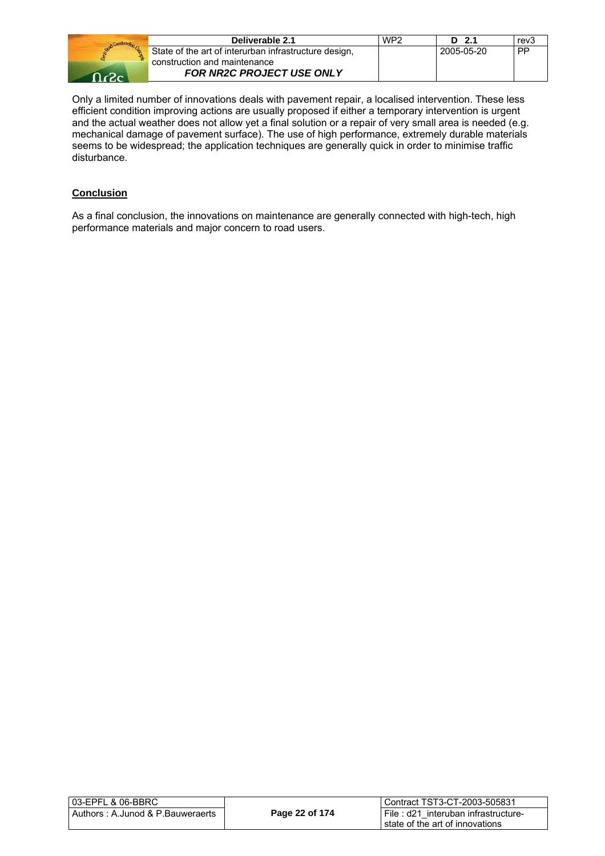| Deliverable 2.1                                       | WP <sub>2</sub> | D 2.1      | rev3 |
|-------------------------------------------------------|-----------------|------------|------|
| State of the art of interurban infrastructure design, |                 | 2005-05-20 | PP   |
| construction and maintenance                          |                 |            |      |
| <b>FOR NR2C PROJECT USE ONLY</b>                      |                 |            |      |

Only a limited number of innovations deals with pavement repair, a localised intervention. These less efficient condition improving actions are usually proposed if either a temporary intervention is urgent and the actual weather does not allow yet a final solution or a repair of very small area is needed (e.g. mechanical damage of pavement surface). The use of high performance, extremely durable materials seems to be widespread; the application techniques are generally quick in order to minimise traffic disturbance.

#### **Conclusion**

As a final conclusion, the innovations on maintenance are generally connected with high-tech, high performance materials and major concern to road users.

| 03-EPFL & 06-BBRC                |                | Contract TST3-CT-2003-505831        |
|----------------------------------|----------------|-------------------------------------|
| Authors: A.Junod & P.Bauweraerts | Page 22 of 174 | File: d21 interuban infrastructure- |
|                                  |                | state of the art of innovations     |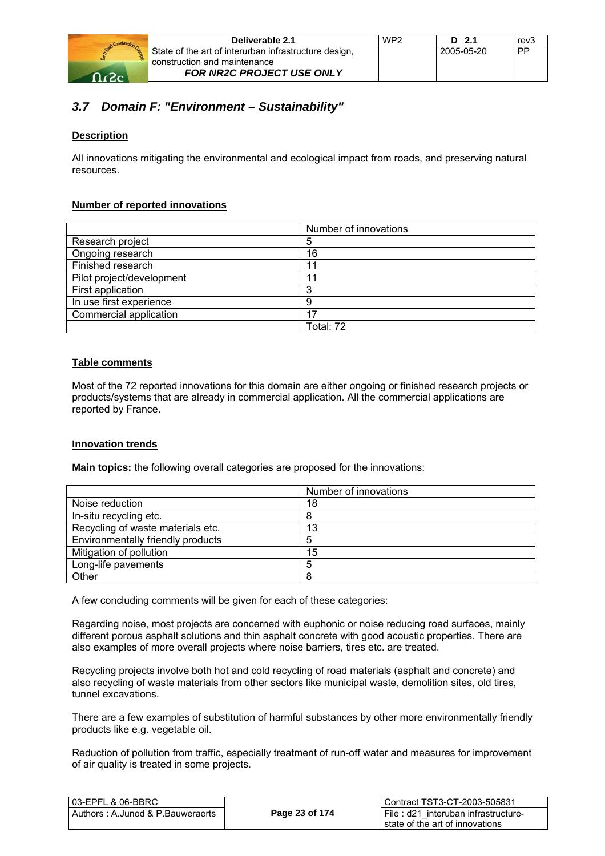

|   | Deliverable 2.1                                       | WP <sub>2</sub> | $D$ 2.1    | rev3 |
|---|-------------------------------------------------------|-----------------|------------|------|
| 웒 | State of the art of interurban infrastructure design, |                 | 2005-05-20 | PP   |
|   | Construction and maintenance                          |                 |            |      |
|   | <b>FOR NR2C PROJECT USE ONLY</b>                      |                 |            |      |

## *3.7 Domain F: "Environment – Sustainability"*

#### **Description**

All innovations mitigating the environmental and ecological impact from roads, and preserving natural resources.

#### **Number of reported innovations**

|                           | Number of innovations |  |
|---------------------------|-----------------------|--|
| Research project          | 5                     |  |
| Ongoing research          | 16                    |  |
| Finished research         | 11                    |  |
| Pilot project/development | -11                   |  |
| First application         | ີ                     |  |
| In use first experience   | 9                     |  |
| Commercial application    | 17                    |  |
|                           | Total: 72             |  |

#### **Table comments**

Most of the 72 reported innovations for this domain are either ongoing or finished research projects or products/systems that are already in commercial application. All the commercial applications are reported by France.

#### **Innovation trends**

**Main topics:** the following overall categories are proposed for the innovations:

|                                   | Number of innovations |
|-----------------------------------|-----------------------|
| Noise reduction                   | 18                    |
| In-situ recycling etc.            | 8                     |
| Recycling of waste materials etc. | 13                    |
| Environmentally friendly products | 5                     |
| Mitigation of pollution           | 15                    |
| Long-life pavements               | 5                     |
| Other                             | 8                     |

A few concluding comments will be given for each of these categories:

Regarding noise, most projects are concerned with euphonic or noise reducing road surfaces, mainly different porous asphalt solutions and thin asphalt concrete with good acoustic properties. There are also examples of more overall projects where noise barriers, tires etc. are treated.

Recycling projects involve both hot and cold recycling of road materials (asphalt and concrete) and also recycling of waste materials from other sectors like municipal waste, demolition sites, old tires, tunnel excavations.

There are a few examples of substitution of harmful substances by other more environmentally friendly products like e.g. vegetable oil.

Reduction of pollution from traffic, especially treatment of run-off water and measures for improvement of air quality is treated in some projects.

| l 03-EPFL & 06-BBRC              |                | Contract TST3-CT-2003-505831        |
|----------------------------------|----------------|-------------------------------------|
| Authors: A.Junod & P.Bauweraerts | Page 23 of 174 | File: d21 interuban infrastructure- |
|                                  |                | l state of the art of innovations.  |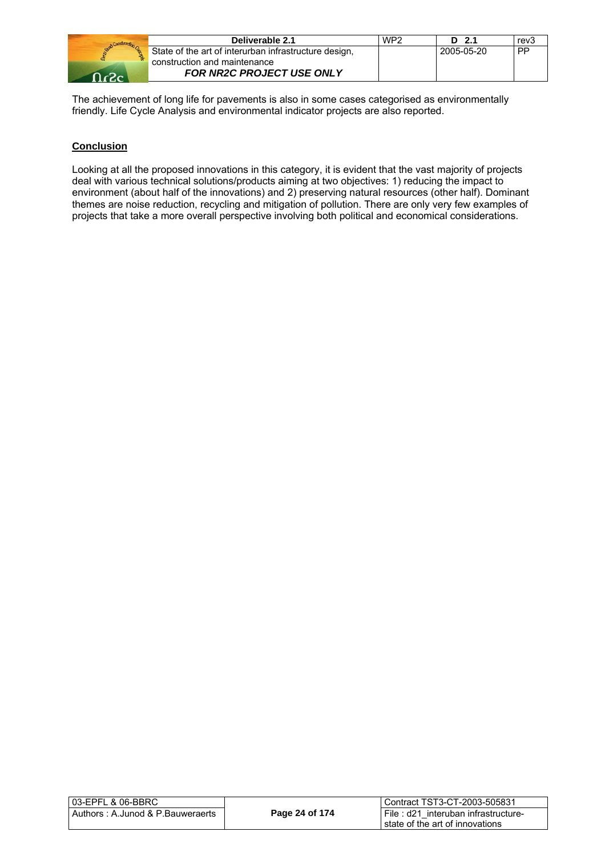|    | Deliverable 2.1                                       | WP <sub>2</sub> | D 2.1      | rev3      |
|----|-------------------------------------------------------|-----------------|------------|-----------|
|    | State of the art of interurban infrastructure design, |                 | 2005-05-20 | <b>DP</b> |
|    | construction and maintenance                          |                 |            |           |
| ഹം | FOR NR2C PROJECT USE ONLY                             |                 |            |           |

The achievement of long life for pavements is also in some cases categorised as environmentally friendly. Life Cycle Analysis and environmental indicator projects are also reported.

#### **Conclusion**

Looking at all the proposed innovations in this category, it is evident that the vast majority of projects deal with various technical solutions/products aiming at two objectives: 1) reducing the impact to environment (about half of the innovations) and 2) preserving natural resources (other half). Dominant themes are noise reduction, recycling and mitigation of pollution. There are only very few examples of projects that take a more overall perspective involving both political and economical considerations.

| 03-EPFL & 06-BBRC_                |                | Contract TST3-CT-2003-505831        |
|-----------------------------------|----------------|-------------------------------------|
| Authors : A.Junod & P.Bauweraerts | Page 24 of 174 | File: d21 interuban infrastructure- |
|                                   |                | state of the art of innovations     |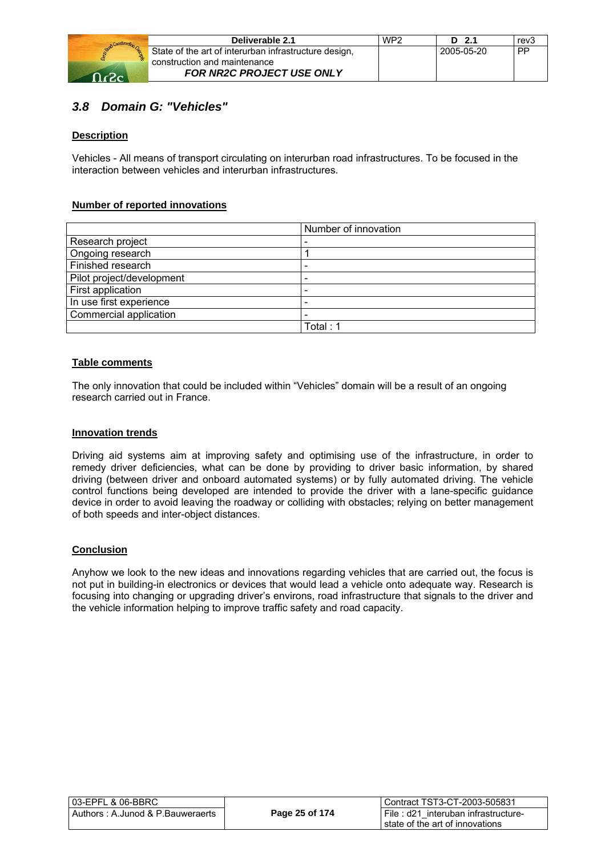

| Deliverable 2.1                                       | WP <sub>2</sub> | $D$ 2.1    | rev3 |
|-------------------------------------------------------|-----------------|------------|------|
| State of the art of interurban infrastructure design, |                 | 2005-05-20 | PP   |
| construction and maintenance                          |                 |            |      |
| <b>FOR NR2C PROJECT USE ONLY</b>                      |                 |            |      |

### *3.8 Domain G: "Vehicles"*

#### **Description**

Vehicles - All means of transport circulating on interurban road infrastructures. To be focused in the interaction between vehicles and interurban infrastructures.

#### **Number of reported innovations**

|                           | Number of innovation |
|---------------------------|----------------------|
| Research project          |                      |
| Ongoing research          |                      |
| Finished research         |                      |
| Pilot project/development |                      |
| First application         |                      |
| In use first experience   |                      |
| Commercial application    |                      |
|                           | Total : 1            |

#### **Table comments**

The only innovation that could be included within "Vehicles" domain will be a result of an ongoing research carried out in France.

#### **Innovation trends**

Driving aid systems aim at improving safety and optimising use of the infrastructure, in order to remedy driver deficiencies, what can be done by providing to driver basic information, by shared driving (between driver and onboard automated systems) or by fully automated driving. The vehicle control functions being developed are intended to provide the driver with a lane-specific guidance device in order to avoid leaving the roadway or colliding with obstacles; relying on better management of both speeds and inter-object distances.

#### **Conclusion**

Anyhow we look to the new ideas and innovations regarding vehicles that are carried out, the focus is not put in building-in electronics or devices that would lead a vehicle onto adequate way. Research is focusing into changing or upgrading driver's environs, road infrastructure that signals to the driver and the vehicle information helping to improve traffic safety and road capacity.

| 03-EPFL & 06-BBRC_                |                | LContract TST3-CT-2003-505831                                              |
|-----------------------------------|----------------|----------------------------------------------------------------------------|
| Authors : A.Junod & P.Bauweraerts | Page 25 of 174 | I File: d21 interuban infrastructure-<br>I state of the art of innovations |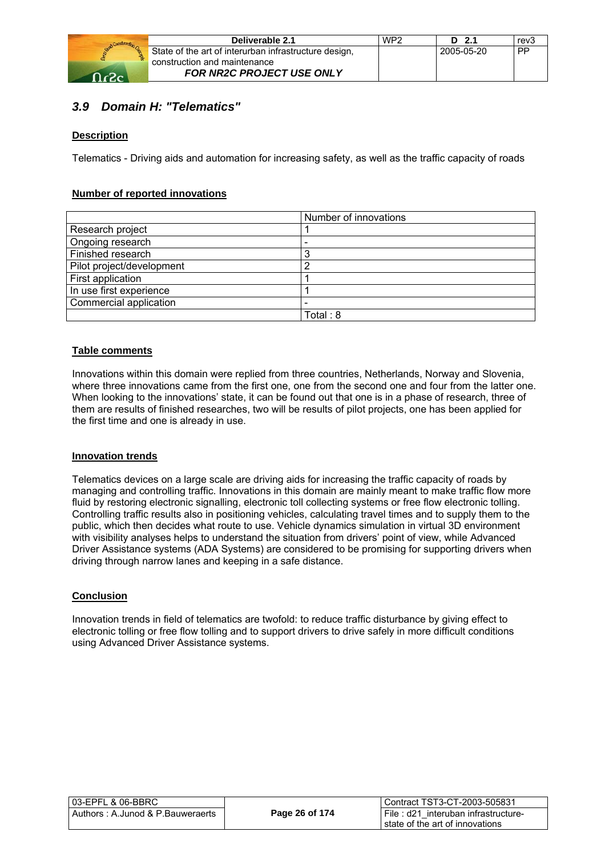

| Deliverable 2.1                                       | WP <sub>2</sub> | $D$ 2.1    | rev3      |
|-------------------------------------------------------|-----------------|------------|-----------|
| State of the art of interurban infrastructure design, |                 | 2005-05-20 | <b>PP</b> |
| construction and maintenance                          |                 |            |           |
| <b>FOR NR2C PROJECT USE ONLY</b>                      |                 |            |           |

## *3.9 Domain H: "Telematics"*

#### **Description**

Telematics - Driving aids and automation for increasing safety, as well as the traffic capacity of roads

#### **Number of reported innovations**

|                           | Number of innovations |
|---------------------------|-----------------------|
| Research project          |                       |
| Ongoing research          |                       |
| Finished research         |                       |
| Pilot project/development | ◠                     |
| First application         |                       |
| In use first experience   |                       |
| Commercial application    |                       |
|                           | Total: 8              |

#### **Table comments**

Innovations within this domain were replied from three countries, Netherlands, Norway and Slovenia, where three innovations came from the first one, one from the second one and four from the latter one. When looking to the innovations' state, it can be found out that one is in a phase of research, three of them are results of finished researches, two will be results of pilot projects, one has been applied for the first time and one is already in use.

#### **Innovation trends**

Telematics devices on a large scale are driving aids for increasing the traffic capacity of roads by managing and controlling traffic. Innovations in this domain are mainly meant to make traffic flow more fluid by restoring electronic signalling, electronic toll collecting systems or free flow electronic tolling. Controlling traffic results also in positioning vehicles, calculating travel times and to supply them to the public, which then decides what route to use. Vehicle dynamics simulation in virtual 3D environment with visibility analyses helps to understand the situation from drivers' point of view, while Advanced Driver Assistance systems (ADA Systems) are considered to be promising for supporting drivers when driving through narrow lanes and keeping in a safe distance.

#### **Conclusion**

Innovation trends in field of telematics are twofold: to reduce traffic disturbance by giving effect to electronic tolling or free flow tolling and to support drivers to drive safely in more difficult conditions using Advanced Driver Assistance systems.

| 03-EPFL & 06-BBRC_                |                | Contract TST3-CT-2003-505831        |
|-----------------------------------|----------------|-------------------------------------|
| Authors : A.Junod & P.Bauweraerts | Page 26 of 174 | Eile: d21 interuban infrastructure- |
|                                   |                | I state of the art of innovations   |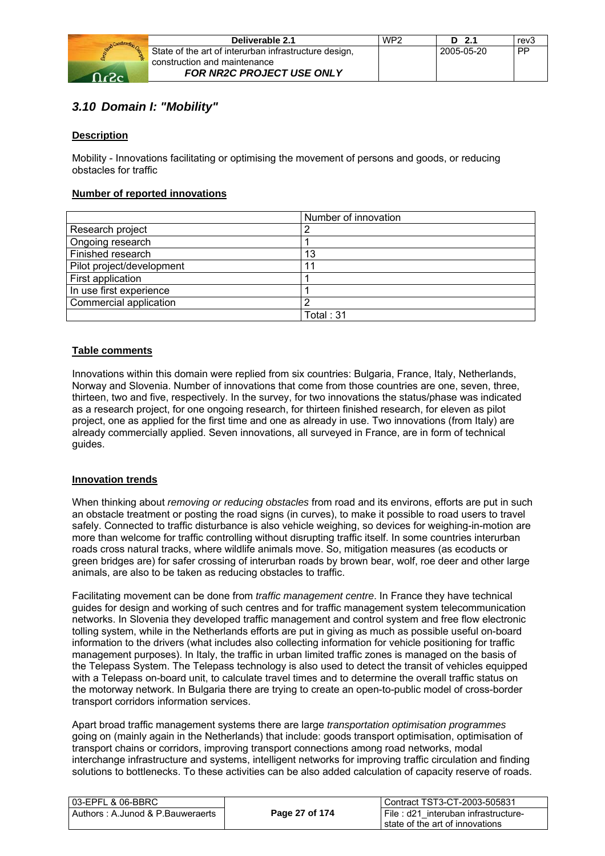

|    | Deliverable 2.1                                       | WP2 | D 2.1      | rev3      |
|----|-------------------------------------------------------|-----|------------|-----------|
|    | State of the art of interurban infrastructure design, |     | 2005-05-20 | <b>PP</b> |
| ř. | construction and maintenance                          |     |            |           |
|    | <b>FOR NR2C PROJECT USE ONLY</b>                      |     |            |           |

## *3.10 Domain I: "Mobility"*

#### **Description**

Mobility - Innovations facilitating or optimising the movement of persons and goods, or reducing obstacles for traffic

#### **Number of reported innovations**

|                           | Number of innovation |
|---------------------------|----------------------|
| Research project          |                      |
| Ongoing research          |                      |
| Finished research         | 13                   |
| Pilot project/development | 1                    |
| First application         |                      |
| In use first experience   |                      |
| Commercial application    |                      |
|                           | Total : 31           |

#### **Table comments**

Innovations within this domain were replied from six countries: Bulgaria, France, Italy, Netherlands, Norway and Slovenia. Number of innovations that come from those countries are one, seven, three, thirteen, two and five, respectively. In the survey, for two innovations the status/phase was indicated as a research project, for one ongoing research, for thirteen finished research, for eleven as pilot project, one as applied for the first time and one as already in use. Two innovations (from Italy) are already commercially applied. Seven innovations, all surveyed in France, are in form of technical guides.

#### **Innovation trends**

When thinking about *removing or reducing obstacles* from road and its environs, efforts are put in such an obstacle treatment or posting the road signs (in curves), to make it possible to road users to travel safely. Connected to traffic disturbance is also vehicle weighing, so devices for weighing-in-motion are more than welcome for traffic controlling without disrupting traffic itself. In some countries interurban roads cross natural tracks, where wildlife animals move. So, mitigation measures (as ecoducts or green bridges are) for safer crossing of interurban roads by brown bear, wolf, roe deer and other large animals, are also to be taken as reducing obstacles to traffic.

Facilitating movement can be done from *traffic management centre*. In France they have technical guides for design and working of such centres and for traffic management system telecommunication networks. In Slovenia they developed traffic management and control system and free flow electronic tolling system, while in the Netherlands efforts are put in giving as much as possible useful on-board information to the drivers (what includes also collecting information for vehicle positioning for traffic management purposes). In Italy, the traffic in urban limited traffic zones is managed on the basis of the Telepass System. The Telepass technology is also used to detect the transit of vehicles equipped with a Telepass on-board unit, to calculate travel times and to determine the overall traffic status on the motorway network. In Bulgaria there are trying to create an open-to-public model of cross-border transport corridors information services.

Apart broad traffic management systems there are large *transportation optimisation programmes* going on (mainly again in the Netherlands) that include: goods transport optimisation, optimisation of transport chains or corridors, improving transport connections among road networks, modal interchange infrastructure and systems, intelligent networks for improving traffic circulation and finding solutions to bottlenecks. To these activities can be also added calculation of capacity reserve of roads.

| 103-EPFL & 06-BBRC               |                | l Contract TST3-CT-2003-505831            |
|----------------------------------|----------------|-------------------------------------------|
| Authors: A.Junod & P.Bauweraerts | Page 27 of 174 | File : $d21$<br>interuban infrastructure- |
|                                  |                | I state of the art of innovations         |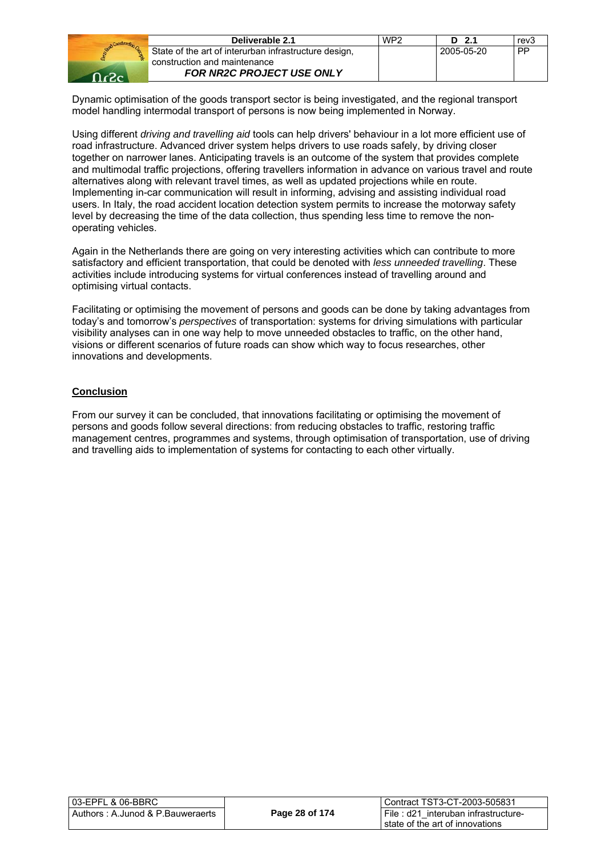

| Deliverable 2.1                                       | WP <sub>2</sub> | D 2.1      | rev <sub>3</sub> |
|-------------------------------------------------------|-----------------|------------|------------------|
| State of the art of interurban infrastructure design, |                 | 2005-05-20 | <b>PP</b>        |
| construction and maintenance                          |                 |            |                  |
| <b>FOR NR2C PROJECT USE ONLY</b>                      |                 |            |                  |

Dynamic optimisation of the goods transport sector is being investigated, and the regional transport model handling intermodal transport of persons is now being implemented in Norway.

Using different *driving and travelling aid* tools can help drivers' behaviour in a lot more efficient use of road infrastructure. Advanced driver system helps drivers to use roads safely, by driving closer together on narrower lanes. Anticipating travels is an outcome of the system that provides complete and multimodal traffic projections, offering travellers information in advance on various travel and route alternatives along with relevant travel times, as well as updated projections while en route. Implementing in-car communication will result in informing, advising and assisting individual road users. In Italy, the road accident location detection system permits to increase the motorway safety level by decreasing the time of the data collection, thus spending less time to remove the nonoperating vehicles.

Again in the Netherlands there are going on very interesting activities which can contribute to more satisfactory and efficient transportation, that could be denoted with *less unneeded travelling*. These activities include introducing systems for virtual conferences instead of travelling around and optimising virtual contacts.

Facilitating or optimising the movement of persons and goods can be done by taking advantages from today's and tomorrow's *perspectives* of transportation: systems for driving simulations with particular visibility analyses can in one way help to move unneeded obstacles to traffic, on the other hand, visions or different scenarios of future roads can show which way to focus researches, other innovations and developments.

#### **Conclusion**

From our survey it can be concluded, that innovations facilitating or optimising the movement of persons and goods follow several directions: from reducing obstacles to traffic, restoring traffic management centres, programmes and systems, through optimisation of transportation, use of driving and travelling aids to implementation of systems for contacting to each other virtually.

| 03-EPFL & 06-BBRC                 |                | Contract TST3-CT-2003-505831           |  |
|-----------------------------------|----------------|----------------------------------------|--|
| Authors : A.Junod & P.Bauweraerts | Page 28 of 174 | I File : d21 interuban infrastructure- |  |
|                                   |                | I state of the art of innovations      |  |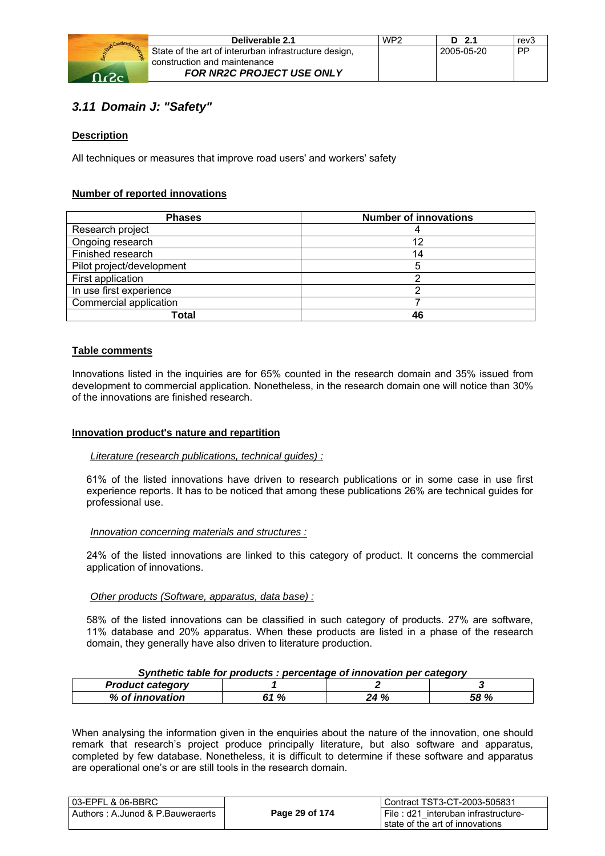

|   | Deliverable 2.1                                                                       | WP <sub>2</sub> | D <sub>2.1</sub> | rev3 |
|---|---------------------------------------------------------------------------------------|-----------------|------------------|------|
| 웒 | State of the art of interurban infrastructure design,<br>construction and maintenance |                 | 2005-05-20       | PP   |
|   | <b>FOR NR2C PROJECT USE ONLY</b>                                                      |                 |                  |      |

## *3.11 Domain J: "Safety"*

#### **Description**

All techniques or measures that improve road users' and workers' safety

#### **Number of reported innovations**

| <b>Phases</b>             | <b>Number of innovations</b> |
|---------------------------|------------------------------|
| Research project          |                              |
| Ongoing research          | 12                           |
| Finished research         | 14                           |
| Pilot project/development | 5                            |
| First application         | ◠                            |
| In use first experience   | ⌒                            |
| Commercial application    |                              |
| Total                     | 46                           |

#### **Table comments**

Innovations listed in the inquiries are for 65% counted in the research domain and 35% issued from development to commercial application. Nonetheless, in the research domain one will notice than 30% of the innovations are finished research.

#### **Innovation product's nature and repartition**

#### *Literature (research publications, technical guides) :*

61% of the listed innovations have driven to research publications or in some case in use first experience reports. It has to be noticed that among these publications 26% are technical guides for professional use.

#### *Innovation concerning materials and structures :*

24% of the listed innovations are linked to this category of product. It concerns the commercial application of innovations.

#### *Other products (Software, apparatus, data base) :*

58% of the listed innovations can be classified in such category of products. 27% are software, 11% database and 20% apparatus. When these products are listed in a phase of the research domain, they generally have also driven to literature production.

#### *Synthetic table for products : percentage of innovation per category*

| п<br>alijat aatamami |                |             | - -         |
|----------------------|----------------|-------------|-------------|
| %<br>. .             | 0,<br>. .<br>n | - 07<br>-10 | 00 ه:<br>70 |

When analysing the information given in the enquiries about the nature of the innovation, one should remark that research's project produce principally literature, but also software and apparatus, completed by few database. Nonetheless, it is difficult to determine if these software and apparatus are operational one's or are still tools in the research domain.

| 103-EPFL & 06-BBRC               |                | l Contract TST3-CT-2003-505831      |
|----------------------------------|----------------|-------------------------------------|
| Authors: A.Junod & P.Bauweraerts | Page 29 of 174 | File: d21 interuban infrastructure- |
|                                  |                | l state of the art of innovations.  |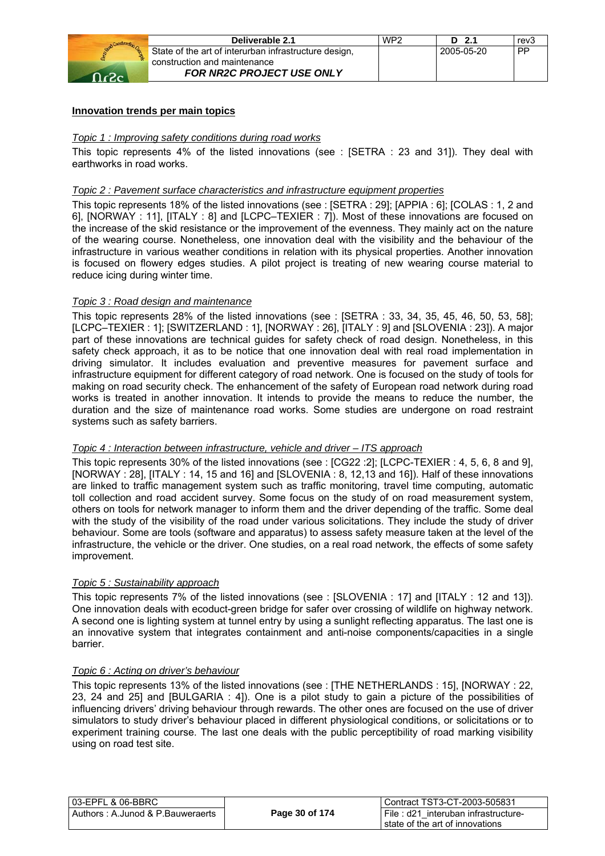

| Deliverable 2.1                                       | WP <sub>2</sub> | $D$ 2.1    | rev3      |
|-------------------------------------------------------|-----------------|------------|-----------|
| State of the art of interurban infrastructure design, |                 | 2005-05-20 | <b>PP</b> |
| construction and maintenance                          |                 |            |           |
| <b>FOR NR2C PROJECT USE ONLY</b>                      |                 |            |           |

#### **Innovation trends per main topics**

#### *Topic 1 : Improving safety conditions during road works*

This topic represents 4% of the listed innovations (see : [SETRA : 23 and 31]). They deal with earthworks in road works.

#### *Topic 2 : Pavement surface characteristics and infrastructure equipment properties*

This topic represents 18% of the listed innovations (see : [SETRA : 29]; [APPIA : 6]; [COLAS : 1, 2 and 6], [NORWAY : 11], [ITALY : 8] and [LCPC–TEXIER : 7]). Most of these innovations are focused on the increase of the skid resistance or the improvement of the evenness. They mainly act on the nature of the wearing course. Nonetheless, one innovation deal with the visibility and the behaviour of the infrastructure in various weather conditions in relation with its physical properties. Another innovation is focused on flowery edges studies. A pilot project is treating of new wearing course material to reduce icing during winter time.

#### *Topic 3 : Road design and maintenance*

This topic represents 28% of the listed innovations (see : [SETRA : 33, 34, 35, 45, 46, 50, 53, 58]; [LCPC–TEXIER : 1]; [SWITZERLAND : 1], [NORWAY : 26], [ITALY : 9] and [SLOVENIA : 23]). A major part of these innovations are technical guides for safety check of road design. Nonetheless, in this safety check approach, it as to be notice that one innovation deal with real road implementation in driving simulator. It includes evaluation and preventive measures for pavement surface and infrastructure equipment for different category of road network. One is focused on the study of tools for making on road security check. The enhancement of the safety of European road network during road works is treated in another innovation. It intends to provide the means to reduce the number, the duration and the size of maintenance road works. Some studies are undergone on road restraint systems such as safety barriers.

#### *Topic 4 : Interaction between infrastructure, vehicle and driver – ITS approach*

This topic represents 30% of the listed innovations (see : [CG22 :2]; [LCPC-TEXIER : 4, 5, 6, 8 and 9], [NORWAY : 28], [ITALY : 14, 15 and 16] and [SLOVENIA : 8, 12,13 and 16]). Half of these innovations are linked to traffic management system such as traffic monitoring, travel time computing, automatic toll collection and road accident survey. Some focus on the study of on road measurement system, others on tools for network manager to inform them and the driver depending of the traffic. Some deal with the study of the visibility of the road under various solicitations. They include the study of driver behaviour. Some are tools (software and apparatus) to assess safety measure taken at the level of the infrastructure, the vehicle or the driver. One studies, on a real road network, the effects of some safety improvement.

#### *Topic 5 : Sustainability approach*

This topic represents 7% of the listed innovations (see : [SLOVENIA : 17] and [ITALY : 12 and 13]). One innovation deals with ecoduct-green bridge for safer over crossing of wildlife on highway network. A second one is lighting system at tunnel entry by using a sunlight reflecting apparatus. The last one is an innovative system that integrates containment and anti-noise components/capacities in a single barrier.

#### *Topic 6 : Acting on driver's behaviour*

This topic represents 13% of the listed innovations (see : [THE NETHERLANDS : 15], [NORWAY : 22, 23, 24 and 25] and [BULGARIA : 4]). One is a pilot study to gain a picture of the possibilities of influencing drivers' driving behaviour through rewards. The other ones are focused on the use of driver simulators to study driver's behaviour placed in different physiological conditions, or solicitations or to experiment training course. The last one deals with the public perceptibility of road marking visibility using on road test site.

| l 03-EPFL & 06-BBRC                 |                | Contract TST3-CT-2003-505831         |
|-------------------------------------|----------------|--------------------------------------|
| l Authors : A.Junod & P.Bauweraerts | Page 30 of 174 | File : d21 interuban infrastructure- |
|                                     |                | state of the art of innovations      |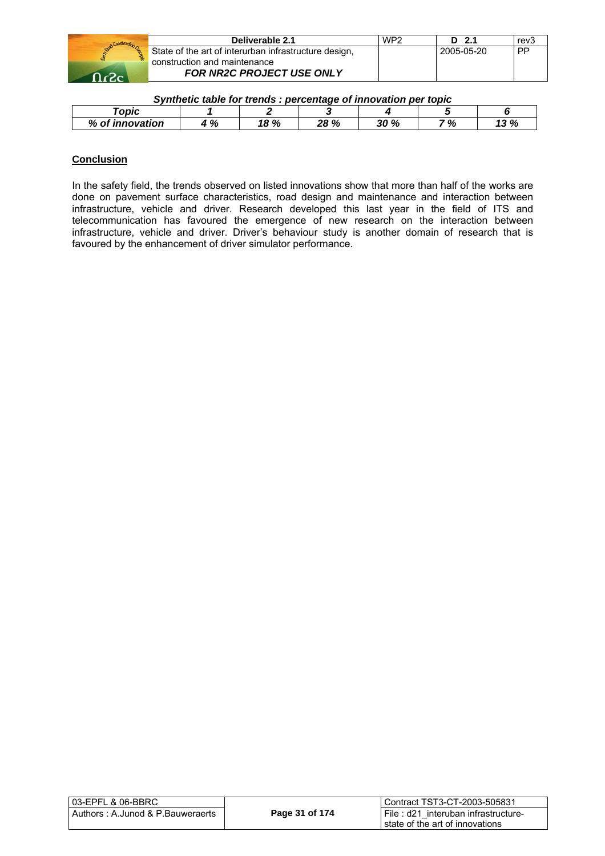|      | Deliverable 2.1                                       | WP <sub>2</sub> | D 2.1      | rev3 |
|------|-------------------------------------------------------|-----------------|------------|------|
|      | State of the art of interurban infrastructure design, |                 | 2005-05-20 | PP   |
|      | construction and maintenance                          |                 |            |      |
| റ.ാം | <b>FOR NR2C PROJECT USE ONLY</b>                      |                 |            |      |

#### *Synthetic table for trends : percentage of innovation per topic*

| opic                    |                    |              |                   |                               |           |                    |
|-------------------------|--------------------|--------------|-------------------|-------------------------------|-----------|--------------------|
| %<br>. Oʻ<br>innovation | $\mathbf{a}$<br>70 | 00. 10<br>70 | ∕י סר<br>70<br>–∪ | 200 <sup>0</sup><br>-70<br>Jυ | 701<br>70 | נם ביו<br>-10<br>w |

#### **Conclusion**

In the safety field, the trends observed on listed innovations show that more than half of the works are done on pavement surface characteristics, road design and maintenance and interaction between infrastructure, vehicle and driver. Research developed this last year in the field of ITS and telecommunication has favoured the emergence of new research on the interaction between infrastructure, vehicle and driver. Driver's behaviour study is another domain of research that is favoured by the enhancement of driver simulator performance.

| 03-EPFL & 06-BBRC_                |                | l Contract TST3-CT-2003-505831      |  |
|-----------------------------------|----------------|-------------------------------------|--|
| Authors : A.Junod & P.Bauweraerts | Page 31 of 174 | File: d21 interuban infrastructure- |  |
|                                   |                | I state of the art of innovations   |  |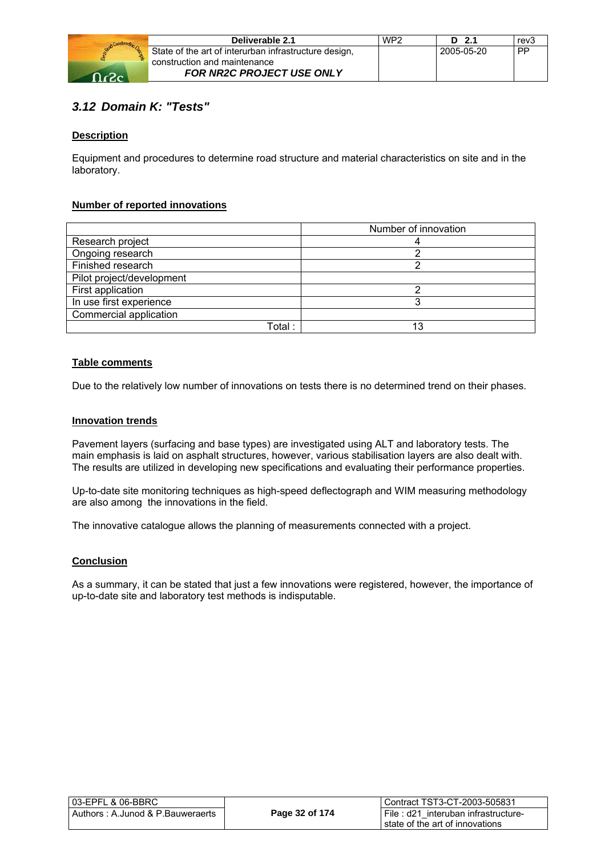

|    | Deliverable 2.1                                       | WP <sub>2</sub> | $D$ 2.1    | rev3      |
|----|-------------------------------------------------------|-----------------|------------|-----------|
|    | State of the art of interurban infrastructure design, |                 | 2005-05-20 | <b>PP</b> |
| m. | construction and maintenance                          |                 |            |           |
|    | <b>FOR NR2C PROJECT USE ONLY</b>                      |                 |            |           |

## *3.12 Domain K: "Tests"*

#### **Description**

Equipment and procedures to determine road structure and material characteristics on site and in the laboratory.

#### **Number of reported innovations**

|                           | Number of innovation |
|---------------------------|----------------------|
| Research project          |                      |
| Ongoing research          |                      |
| Finished research         |                      |
| Pilot project/development |                      |
| First application         |                      |
| In use first experience   |                      |
| Commercial application    |                      |
| Total :                   | 13                   |

#### **Table comments**

Due to the relatively low number of innovations on tests there is no determined trend on their phases.

#### **Innovation trends**

Pavement layers (surfacing and base types) are investigated using ALT and laboratory tests. The main emphasis is laid on asphalt structures, however, various stabilisation layers are also dealt with. The results are utilized in developing new specifications and evaluating their performance properties.

Up-to-date site monitoring techniques as high-speed deflectograph and WIM measuring methodology are also among the innovations in the field.

The innovative catalogue allows the planning of measurements connected with a project.

#### **Conclusion**

As a summary, it can be stated that just a few innovations were registered, however, the importance of up-to-date site and laboratory test methods is indisputable.

| 03-EPFL & 06-BBRC_                |                | l Contract TST3-CT-2003-505831      |
|-----------------------------------|----------------|-------------------------------------|
| Authors : A.Junod & P.Bauweraerts | Page 32 of 174 | File: d21 interuban infrastructure- |
|                                   |                | I state of the art of innovations   |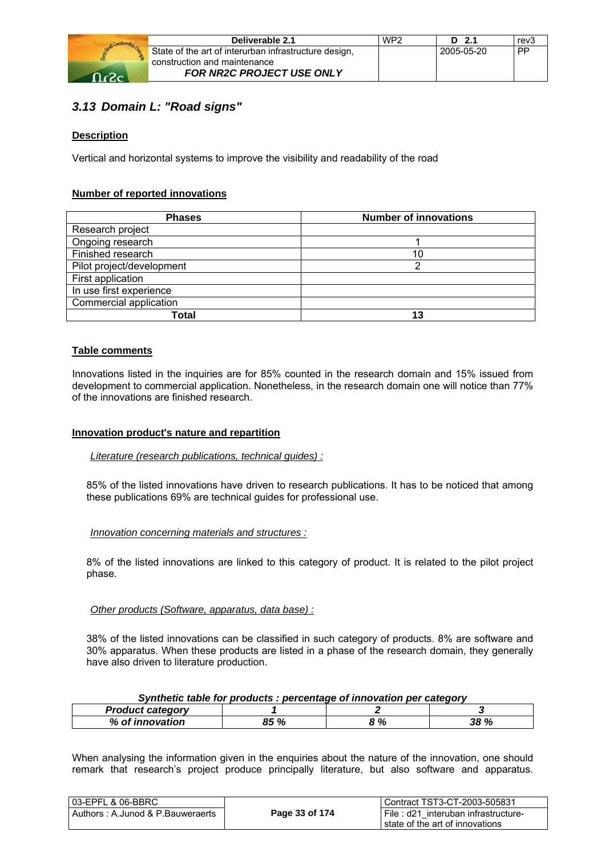

| Deliverable 2.1                                       | WP <sub>2</sub> | $D$ 2.1    | rev3      |
|-------------------------------------------------------|-----------------|------------|-----------|
| State of the art of interurban infrastructure design, |                 | 2005-05-20 | <b>PP</b> |
| construction and maintenance                          |                 |            |           |
| <b>FOR NR2C PROJECT USE ONLY</b>                      |                 |            |           |

## *3.13 Domain L: "Road signs"*

#### **Description**

Vertical and horizontal systems to improve the visibility and readability of the road

#### **Number of reported innovations**

| <b>Phases</b>             | <b>Number of innovations</b> |
|---------------------------|------------------------------|
| Research project          |                              |
| Ongoing research          |                              |
| Finished research         | 10                           |
| Pilot project/development | ◠                            |
| First application         |                              |
| In use first experience   |                              |
| Commercial application    |                              |
| Total                     | 13                           |

#### **Table comments**

Innovations listed in the inquiries are for 85% counted in the research domain and 15% issued from development to commercial application. Nonetheless, in the research domain one will notice than 77% of the innovations are finished research.

#### **Innovation product's nature and repartition**

#### *Literature (research publications, technical guides) :*

85% of the listed innovations have driven to research publications. It has to be noticed that among these publications 69% are technical guides for professional use.

#### *Innovation concerning materials and structures :*

8% of the listed innovations are linked to this category of product. It is related to the pilot project phase.

#### *Other products (Software, apparatus, data base) :*

38% of the listed innovations can be classified in such category of products. 8% are software and 30% apparatus. When these products are listed in a phase of the research domain, they generally have also driven to literature production.

| Synthetic table for products : percentage of innovation per category |  |  |
|----------------------------------------------------------------------|--|--|
|                                                                      |  |  |

| <b>Product category</b> |      |   |             |
|-------------------------|------|---|-------------|
| % of innovation         | 85 % | % | <b>38 %</b> |

When analysing the information given in the enquiries about the nature of the innovation, one should remark that research's project produce principally literature, but also software and apparatus.

| 03-EPFL & 06-BBRC                |                | Contract TST3-CT-2003-505831        |
|----------------------------------|----------------|-------------------------------------|
| Authors: A.Junod & P.Bauweraerts | Page 33 of 174 | File: d21 interuban infrastructure- |
|                                  |                | state of the art of innovations     |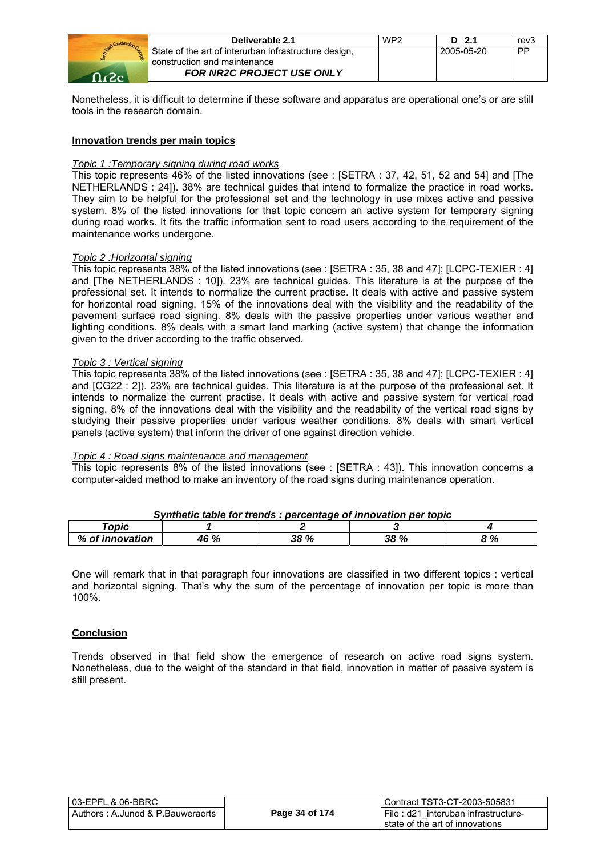

| Deliverable 2.1                                       | WP <sub>2</sub> | D <sub>2.1</sub> | rev3      |
|-------------------------------------------------------|-----------------|------------------|-----------|
| State of the art of interurban infrastructure design, |                 | 2005-05-20       | <b>PP</b> |
| construction and maintenance                          |                 |                  |           |
| <b>FOR NR2C PROJECT USE ONLY</b>                      |                 |                  |           |

Nonetheless, it is difficult to determine if these software and apparatus are operational one's or are still tools in the research domain.

#### **Innovation trends per main topics**

#### *Topic 1 :Temporary signing during road works*

This topic represents 46% of the listed innovations (see : [SETRA : 37, 42, 51, 52 and 54] and [The NETHERLANDS : 24]). 38% are technical guides that intend to formalize the practice in road works. They aim to be helpful for the professional set and the technology in use mixes active and passive system. 8% of the listed innovations for that topic concern an active system for temporary signing during road works. It fits the traffic information sent to road users according to the requirement of the maintenance works undergone.

#### *Topic 2 :Horizontal signing*

This topic represents 38% of the listed innovations (see : [SETRA : 35, 38 and 47]; [LCPC-TEXIER : 4] and [The NETHERLANDS : 10]). 23% are technical guides. This literature is at the purpose of the professional set. It intends to normalize the current practise. It deals with active and passive system for horizontal road signing. 15% of the innovations deal with the visibility and the readability of the pavement surface road signing. 8% deals with the passive properties under various weather and lighting conditions. 8% deals with a smart land marking (active system) that change the information given to the driver according to the traffic observed.

#### *Topic 3 : Vertical signing*

This topic represents 38% of the listed innovations (see : [SETRA : 35, 38 and 47]; [LCPC-TEXIER : 4] and [CG22 : 2]). 23% are technical guides. This literature is at the purpose of the professional set. It intends to normalize the current practise. It deals with active and passive system for vertical road signing. 8% of the innovations deal with the visibility and the readability of the vertical road signs by studying their passive properties under various weather conditions. 8% deals with smart vertical panels (active system) that inform the driver of one against direction vehicle.

#### *Topic 4 : Road signs maintenance and management*

This topic represents 8% of the listed innovations (see : [SETRA : 43]). This innovation concerns a computer-aided method to make an inventory of the road signs during maintenance operation.

| Synthetic table for trends : percentage of innovation per topic |      |      |             |     |
|-----------------------------------------------------------------|------|------|-------------|-----|
| Topic                                                           |      |      |             |     |
| % of innovation                                                 | 46 % | 38 % | <b>38 %</b> | 8 % |

#### *Synthetic table for trends : percentage of innovation per topic*

One will remark that in that paragraph four innovations are classified in two different topics : vertical and horizontal signing. That's why the sum of the percentage of innovation per topic is more than 100%.

#### **Conclusion**

Trends observed in that field show the emergence of research on active road signs system. Nonetheless, due to the weight of the standard in that field, innovation in matter of passive system is still present.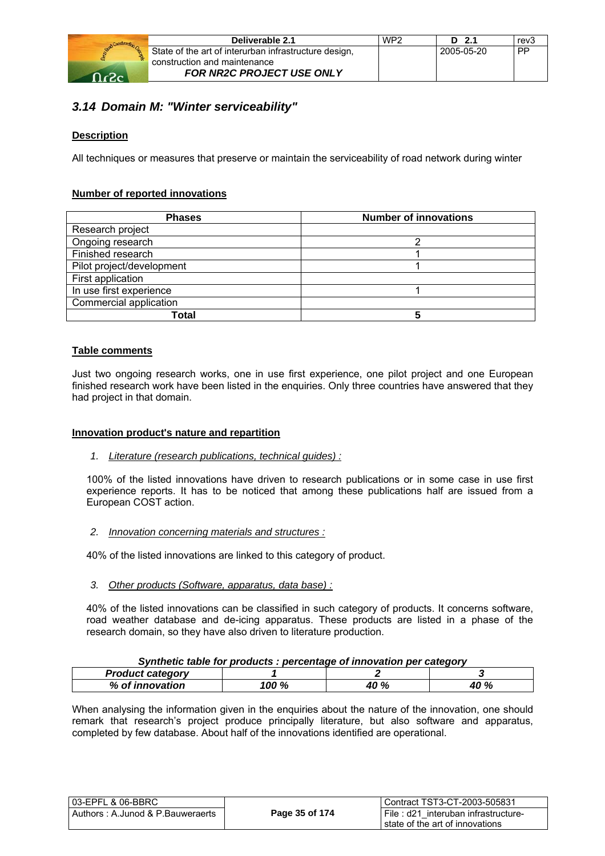

|   | Deliverable 2.1                                                  | WP <sub>2</sub> | $D$ 2.1    | rev3      |
|---|------------------------------------------------------------------|-----------------|------------|-----------|
| 웒 | State of the art of interurban infrastructure design,            |                 | 2005-05-20 | <b>PP</b> |
|   | construction and maintenance<br><b>FOR NR2C PROJECT USE ONLY</b> |                 |            |           |

## *3.14 Domain M: "Winter serviceability"*

#### **Description**

All techniques or measures that preserve or maintain the serviceability of road network during winter

#### **Number of reported innovations**

| <b>Phases</b>             | <b>Number of innovations</b> |  |
|---------------------------|------------------------------|--|
| Research project          |                              |  |
| Ongoing research          | ⌒                            |  |
| Finished research         |                              |  |
| Pilot project/development |                              |  |
| First application         |                              |  |
| In use first experience   |                              |  |
| Commercial application    |                              |  |
| Total                     |                              |  |

#### **Table comments**

Just two ongoing research works, one in use first experience, one pilot project and one European finished research work have been listed in the enquiries. Only three countries have answered that they had project in that domain.

#### **Innovation product's nature and repartition**

*1. Literature (research publications, technical guides) :*

100% of the listed innovations have driven to research publications or in some case in use first experience reports. It has to be noticed that among these publications half are issued from a European COST action.

*2. Innovation concerning materials and structures :* 

40% of the listed innovations are linked to this category of product.

*3. Other products (Software, apparatus, data base) :* 

40% of the listed innovations can be classified in such category of products. It concerns software, road weather database and de-icing apparatus. These products are listed in a phase of the research domain, so they have also driven to literature production.

#### *Synthetic table for products : percentage of innovation per category*

| <b>Product category</b>                |      |      |                 |
|----------------------------------------|------|------|-----------------|
| $\alpha$ of $\cdot$<br>%<br>innovation | 100% | 40 % | 100<br>70<br>70 |

When analysing the information given in the enquiries about the nature of the innovation, one should remark that research's project produce principally literature, but also software and apparatus, completed by few database. About half of the innovations identified are operational.

| l 03-EPFL & 06-BBRC              |                | l Contract TST3-CT-2003-505831         |
|----------------------------------|----------------|----------------------------------------|
| Authors: A.Junod & P.Bauweraerts | Page 35 of 174 | I File : d21 interuban infrastructure- |
|                                  |                | l state of the art of innovations.     |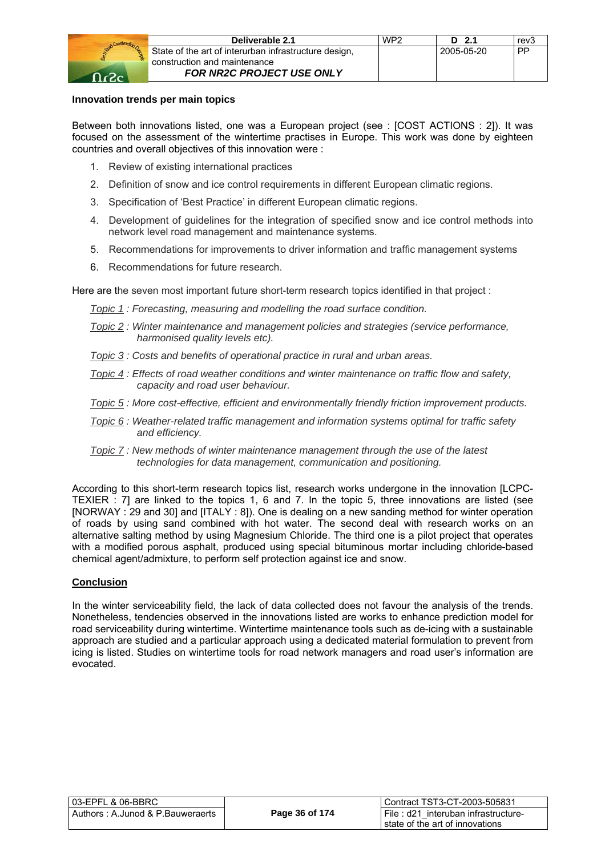

#### **Innovation trends per main topics**

Between both innovations listed, one was a European project (see : [COST ACTIONS : 2]). It was focused on the assessment of the wintertime practises in Europe. This work was done by eighteen countries and overall objectives of this innovation were :

- 1. Review of existing international practices
- 2. Definition of snow and ice control requirements in different European climatic regions.
- 3. Specification of 'Best Practice' in different European climatic regions.
- 4. Development of guidelines for the integration of specified snow and ice control methods into network level road management and maintenance systems.
- 5. Recommendations for improvements to driver information and traffic management systems
- 6. Recommendations for future research.

Here are the seven most important future short-term research topics identified in that project :

- *Topic 1 : Forecasting, measuring and modelling the road surface condition.*
- *Topic 2 : Winter maintenance and management policies and strategies (service performance, harmonised quality levels etc).*
- *Topic 3 : Costs and benefits of operational practice in rural and urban areas.*
- *Topic 4 : Effects of road weather conditions and winter maintenance on traffic flow and safety, capacity and road user behaviour.*
- *Topic 5 : More cost-effective, efficient and environmentally friendly friction improvement products.*
- *Topic 6 : Weather-related traffic management and information systems optimal for traffic safety and efficiency.*
- *Topic 7 : New methods of winter maintenance management through the use of the latest technologies for data management, communication and positioning.*

According to this short-term research topics list, research works undergone in the innovation [LCPC-TEXIER : 7] are linked to the topics 1, 6 and 7. In the topic 5, three innovations are listed (see [NORWAY : 29 and 30] and [ITALY : 8]). One is dealing on a new sanding method for winter operation of roads by using sand combined with hot water. The second deal with research works on an alternative salting method by using Magnesium Chloride. The third one is a pilot project that operates with a modified porous asphalt, produced using special bituminous mortar including chloride-based chemical agent/admixture, to perform self protection against ice and snow.

#### **Conclusion**

In the winter serviceability field, the lack of data collected does not favour the analysis of the trends. Nonetheless, tendencies observed in the innovations listed are works to enhance prediction model for road serviceability during wintertime. Wintertime maintenance tools such as de-icing with a sustainable approach are studied and a particular approach using a dedicated material formulation to prevent from icing is listed. Studies on wintertime tools for road network managers and road user's information are evocated.

| 03-EPFL & 06-BBRC_                |                | Contract TST3-CT-2003-505831           |
|-----------------------------------|----------------|----------------------------------------|
| Authors : A.Junod & P.Bauweraerts | Page 36 of 174 | l File : d21 interuban infrastructure- |
|                                   |                | state of the art of innovations        |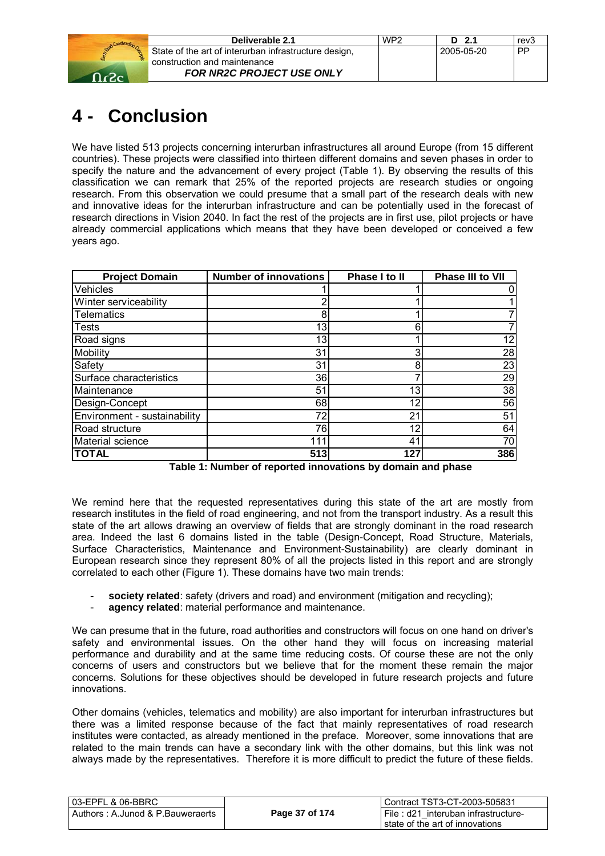

| Deliverable 2.1                                       | WP <sub>2</sub> | D 2.1      | rev3      |
|-------------------------------------------------------|-----------------|------------|-----------|
| State of the art of interurban infrastructure design, |                 | 2005-05-20 | <b>PP</b> |
| construction and maintenance                          |                 |            |           |
| <b>FOR NR2C PROJECT USE ONLY</b>                      |                 |            |           |

## **4 - Conclusion**

We have listed 513 projects concerning interurban infrastructures all around Europe (from 15 different countries). These projects were classified into thirteen different domains and seven phases in order to specify the nature and the advancement of every project (Table 1). By observing the results of this classification we can remark that 25% of the reported projects are research studies or ongoing research. From this observation we could presume that a small part of the research deals with new and innovative ideas for the interurban infrastructure and can be potentially used in the forecast of research directions in Vision 2040. In fact the rest of the projects are in first use, pilot projects or have already commercial applications which means that they have been developed or conceived a few years ago.

| <b>Project Domain</b>        | <b>Number of innovations</b> | Phase I to II  | Phase III to VII |
|------------------------------|------------------------------|----------------|------------------|
| Vehicles                     |                              |                |                  |
| Winter serviceability        | 2                            |                |                  |
| <b>Telematics</b>            | 8                            |                |                  |
| <b>Tests</b>                 | 13                           | 6              |                  |
| Road signs                   | 13                           |                | 12               |
| Mobility                     | 31                           | 3              | 28               |
| Safety                       | 31                           | 8              | 23               |
| Surface characteristics      | 36                           |                | 29               |
| Maintenance                  | 51                           | 13             | 38               |
| Design-Concept               | 68                           | 12             | 56               |
| Environment - sustainability | 72                           | 21             | 51               |
| Road structure               | 76                           | 12             | 64               |
| Material science             | 111                          | 4 <sup>1</sup> | 70               |
| <b>TOTAL</b>                 | 513                          | 127            | 386              |

**Table 1: Number of reported innovations by domain and phase** 

We remind here that the requested representatives during this state of the art are mostly from research institutes in the field of road engineering, and not from the transport industry. As a result this state of the art allows drawing an overview of fields that are strongly dominant in the road research area. Indeed the last 6 domains listed in the table (Design-Concept, Road Structure, Materials, Surface Characteristics, Maintenance and Environment-Sustainability) are clearly dominant in European research since they represent 80% of all the projects listed in this report and are strongly correlated to each other (Figure 1). These domains have two main trends:

- society related: safety (drivers and road) and environment (mitigation and recycling);
- **agency related**: material performance and maintenance.

We can presume that in the future, road authorities and constructors will focus on one hand on driver's safety and environmental issues. On the other hand they will focus on increasing material performance and durability and at the same time reducing costs. Of course these are not the only concerns of users and constructors but we believe that for the moment these remain the major concerns. Solutions for these objectives should be developed in future research projects and future innovations.

Other domains (vehicles, telematics and mobility) are also important for interurban infrastructures but there was a limited response because of the fact that mainly representatives of road research institutes were contacted, as already mentioned in the preface. Moreover, some innovations that are related to the main trends can have a secondary link with the other domains, but this link was not always made by the representatives. Therefore it is more difficult to predict the future of these fields.

| 03-EPFL & 06-BBRC                |                | Contract TST3-CT-2003-505831        |
|----------------------------------|----------------|-------------------------------------|
| Authors: A.Junod & P.Bauweraerts | Page 37 of 174 | File: d21 interuban infrastructure- |
|                                  |                | i state of the art of innovations   |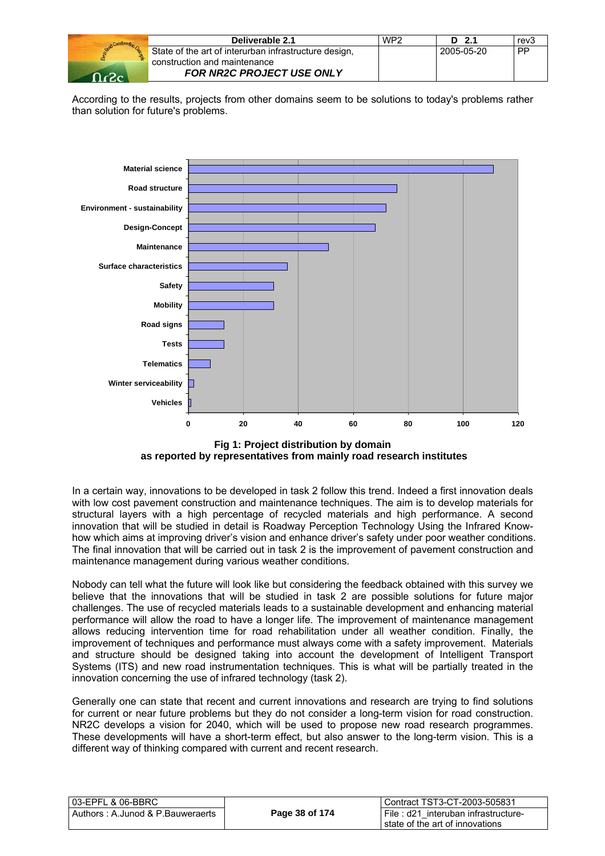

| Deliverable 2.1                                       | WP <sub>2</sub> | 2.1<br>D   | rev <sub>3</sub> |
|-------------------------------------------------------|-----------------|------------|------------------|
| State of the art of interurban infrastructure design, |                 | 2005-05-20 | <b>PP</b>        |
| construction and maintenance                          |                 |            |                  |
| <b>FOR NR2C PROJECT USE ONLY</b>                      |                 |            |                  |

According to the results, projects from other domains seem to be solutions to today's problems rather than solution for future's problems.



**Fig 1: Project distribution by domain as reported by representatives from mainly road research institutes** 

In a certain way, innovations to be developed in task 2 follow this trend. Indeed a first innovation deals with low cost pavement construction and maintenance techniques. The aim is to develop materials for structural layers with a high percentage of recycled materials and high performance. A second innovation that will be studied in detail is Roadway Perception Technology Using the Infrared Knowhow which aims at improving driver's vision and enhance driver's safety under poor weather conditions. The final innovation that will be carried out in task 2 is the improvement of pavement construction and maintenance management during various weather conditions.

Nobody can tell what the future will look like but considering the feedback obtained with this survey we believe that the innovations that will be studied in task 2 are possible solutions for future major challenges. The use of recycled materials leads to a sustainable development and enhancing material performance will allow the road to have a longer life. The improvement of maintenance management allows reducing intervention time for road rehabilitation under all weather condition. Finally, the improvement of techniques and performance must always come with a safety improvement. Materials and structure should be designed taking into account the development of Intelligent Transport Systems (ITS) and new road instrumentation techniques. This is what will be partially treated in the innovation concerning the use of infrared technology (task 2).

Generally one can state that recent and current innovations and research are trying to find solutions for current or near future problems but they do not consider a long-term vision for road construction. NR2C develops a vision for 2040, which will be used to propose new road research programmes. These developments will have a short-term effect, but also answer to the long-term vision. This is a different way of thinking compared with current and recent research.

| l 03-EPFL & 06-BBRC_             |                | Contract TST3-CT-2003-505831        |
|----------------------------------|----------------|-------------------------------------|
| Authors: A.Junod & P.Bauweraerts | Page 38 of 174 | File: d21 interuban infrastructure- |
|                                  |                | I state of the art of innovations   |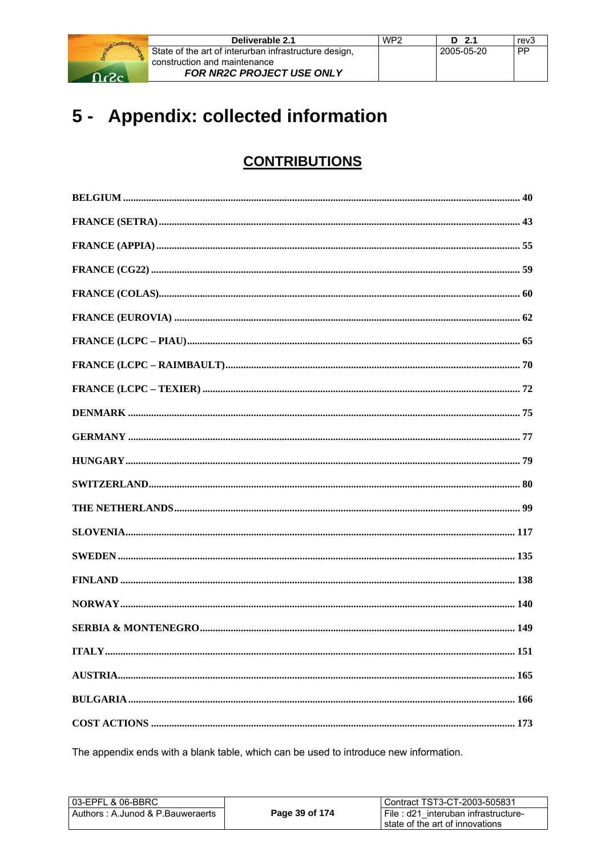

| Deliverable 2.1                                       | WP <sub>2</sub> | $D$ 2.1    | rev3      |
|-------------------------------------------------------|-----------------|------------|-----------|
| State of the art of interurban infrastructure design, |                 | 2005-05-20 | <b>PP</b> |
| construction and maintenance                          |                 |            |           |
| FOR NR2C PROJECT USE ONLY                             |                 |            |           |

## 5 - Appendix: collected information

## **CONTRIBUTIONS**

The appendix ends with a blank table, which can be used to introduce new information.

| l 03-EPFL & 06-BBRC              |                | Contract TST3-CT-2003-505831        |
|----------------------------------|----------------|-------------------------------------|
| Authors: A.Junod & P.Bauweraerts | Page 39 of 174 | File: d21 interuban infrastructure- |
|                                  |                | state of the art of innovations     |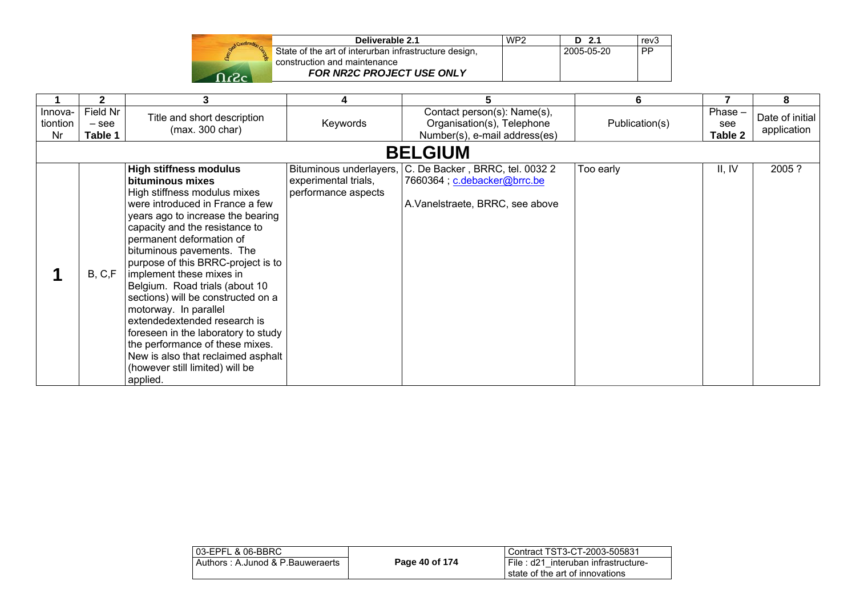| Deliverable 2.1                                                                       | WP <sub>2</sub> | D 2.1      | rev3 |
|---------------------------------------------------------------------------------------|-----------------|------------|------|
| State of the art of interurban infrastructure design,<br>construction and maintenance |                 | 2005-05-20 | PP   |
| <b>FOR NR2C PROJECT USE ONLY</b>                                                      |                 |            |      |

|                           | $\mathbf{2}$                   | 3                                                                                                                                                                                                                                                                                                                                                                                                                                                                                                                                                                                                                      |                                             |                                                                                                                            | 6              |                           | 8                              |  |
|---------------------------|--------------------------------|------------------------------------------------------------------------------------------------------------------------------------------------------------------------------------------------------------------------------------------------------------------------------------------------------------------------------------------------------------------------------------------------------------------------------------------------------------------------------------------------------------------------------------------------------------------------------------------------------------------------|---------------------------------------------|----------------------------------------------------------------------------------------------------------------------------|----------------|---------------------------|--------------------------------|--|
| Innova-<br>tiontion<br>Nr | Field Nr<br>$-$ see<br>Table 1 | Title and short description<br>(max. 300 char)                                                                                                                                                                                                                                                                                                                                                                                                                                                                                                                                                                         | Keywords                                    | Contact person(s): Name(s),<br>Organisation(s), Telephone<br>Number(s), e-mail address(es)                                 | Publication(s) | Phase -<br>see<br>Table 2 | Date of initial<br>application |  |
|                           | <b>BELGIUM</b>                 |                                                                                                                                                                                                                                                                                                                                                                                                                                                                                                                                                                                                                        |                                             |                                                                                                                            |                |                           |                                |  |
|                           | B, C, F                        | <b>High stiffness modulus</b><br>bituminous mixes<br>High stiffness modulus mixes<br>were introduced in France a few<br>years ago to increase the bearing<br>capacity and the resistance to<br>permanent deformation of<br>bituminous pavements. The<br>purpose of this BRRC-project is to<br>implement these mixes in<br>Belgium. Road trials (about 10<br>sections) will be constructed on a<br>motorway. In parallel<br>extendedextended research is<br>foreseen in the laboratory to study<br>the performance of these mixes.<br>New is also that reclaimed asphalt<br>(however still limited) will be<br>applied. | experimental trials,<br>performance aspects | Bituminous underlayers, C. De Backer, BRRC, tel. 0032 2<br>7660364; c.debacker@brrc.be<br>A. Vanelstraete, BRRC, see above | Too early      | II, IV                    | 2005 ?                         |  |

| 03-EPFL & 06-BBRC                |                | l Contract TST3-CT-2003-505831                                             |
|----------------------------------|----------------|----------------------------------------------------------------------------|
| Authors: A.Junod & P.Bauweraerts | Page 40 of 174 | I File: d21 interuban infrastructure-<br>I state of the art of innovations |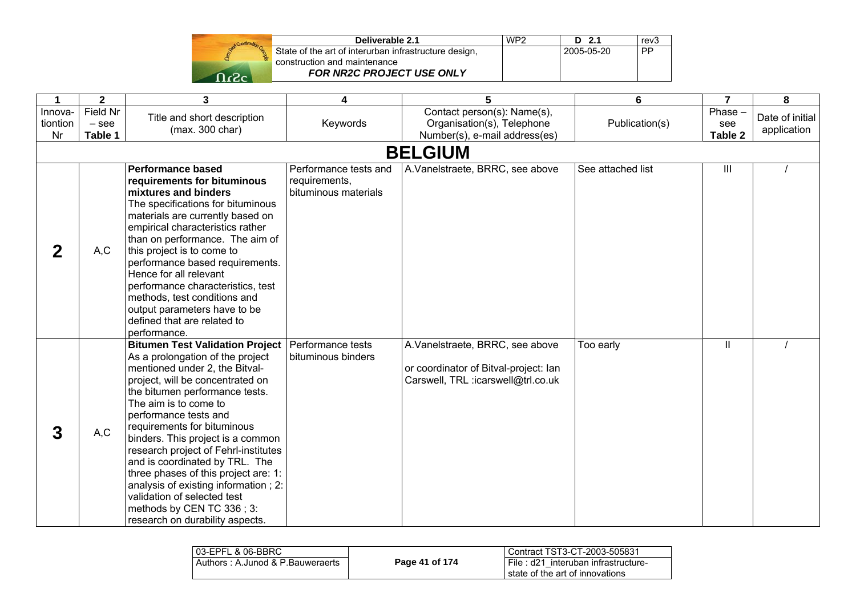| Deliverable 2.1                                       | WP <sub>2</sub> | D 2.1      | rev3 |
|-------------------------------------------------------|-----------------|------------|------|
| State of the art of interurban infrastructure design, |                 | 2005-05-20 | PP   |
| construction and maintenance                          |                 |            |      |
| <b>FOR NR2C PROJECT USE ONLY</b>                      |                 |            |      |

| 1                         | $\overline{2}$                 | $\overline{\mathbf{3}}$                                                                                                                                                                                                                                                                                                                                                                                                                                                                                                                                           | 4                                                              | 5                                                                                                              | 6                 | $\overline{7}$              | 8                              |
|---------------------------|--------------------------------|-------------------------------------------------------------------------------------------------------------------------------------------------------------------------------------------------------------------------------------------------------------------------------------------------------------------------------------------------------------------------------------------------------------------------------------------------------------------------------------------------------------------------------------------------------------------|----------------------------------------------------------------|----------------------------------------------------------------------------------------------------------------|-------------------|-----------------------------|--------------------------------|
| Innova-<br>tiontion<br>Nr | Field Nr<br>$-$ see<br>Table 1 | Title and short description<br>(max. 300 char)                                                                                                                                                                                                                                                                                                                                                                                                                                                                                                                    | Keywords                                                       | Contact person(s): Name(s),<br>Organisation(s), Telephone<br>Number(s), e-mail address(es)                     | Publication(s)    | $Phase -$<br>see<br>Table 2 | Date of initial<br>application |
|                           |                                |                                                                                                                                                                                                                                                                                                                                                                                                                                                                                                                                                                   |                                                                | <b>BELGIUM</b>                                                                                                 |                   |                             |                                |
| $\mathbf{2}$              | A, C                           | <b>Performance based</b><br>requirements for bituminous<br>mixtures and binders<br>The specifications for bituminous<br>materials are currently based on<br>empirical characteristics rather<br>than on performance. The aim of<br>this project is to come to<br>performance based requirements.<br>Hence for all relevant<br>performance characteristics, test<br>methods, test conditions and<br>output parameters have to be<br>defined that are related to<br>performance.                                                                                    | Performance tests and<br>requirements,<br>bituminous materials | A. Vanelstraete, BRRC, see above                                                                               | See attached list | Ш                           |                                |
| 3                         | A, C                           | <b>Bitumen Test Validation Project</b><br>As a prolongation of the project<br>mentioned under 2, the Bitval-<br>project, will be concentrated on<br>the bitumen performance tests.<br>The aim is to come to<br>performance tests and<br>requirements for bituminous<br>binders. This project is a common<br>research project of Fehrl-institutes<br>and is coordinated by TRL. The<br>three phases of this project are: 1:<br>analysis of existing information; 2:<br>validation of selected test<br>methods by CEN TC 336; 3:<br>research on durability aspects. | Performance tests<br>bituminous binders                        | A.Vanelstraete, BRRC, see above<br>or coordinator of Bitval-project: lan<br>Carswell, TRL :icarswell@trl.co.uk | Too early         | $\mathbf{I}$                |                                |

| 03-EPFL & 06-BBRC                |                | Contract TST3-CT-2003-505831                                              |
|----------------------------------|----------------|---------------------------------------------------------------------------|
| Authors: A.Junod & P.Bauweraerts | Page 41 of 174 | File : d21 interuban infrastructure-<br>I state of the art of innovations |
|                                  |                |                                                                           |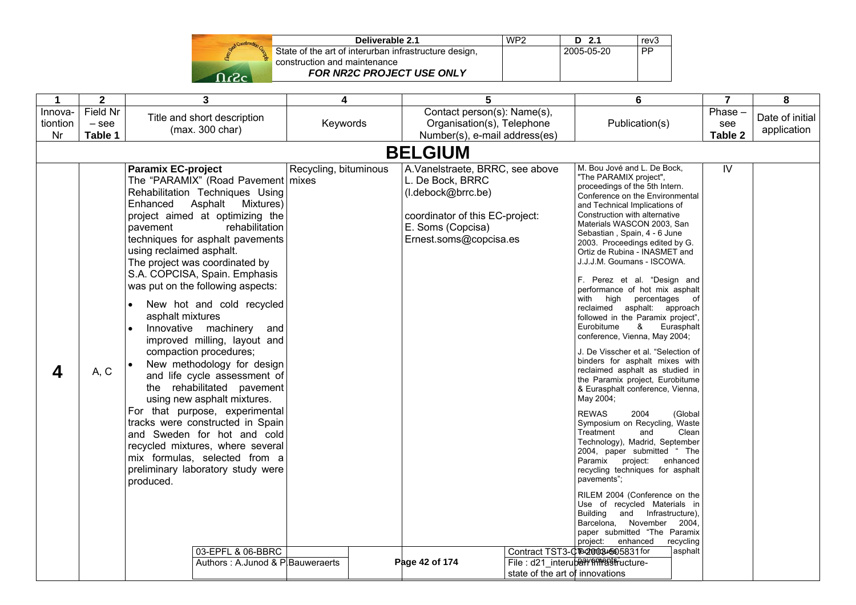| Start Construction |
|--------------------|
|                    |
|                    |
|                    |

| Deliverable 2.1                                       | WP <sub>2</sub> | $D$ 2.1    | rev3      |
|-------------------------------------------------------|-----------------|------------|-----------|
| State of the art of interurban infrastructure design, |                 | 2005-05-20 | <b>PP</b> |
| construction and maintenance                          |                 |            |           |
| <b>FOR NR2C PROJECT USE ONLY</b>                      |                 |            |           |

| $\mathbf{1}$              | $\mathbf{2}$                   | 3                                                                                                                                                                                                                                                                                                                                                                                                                                                                                                                                                                                                                                                                                                                                                                                                                                                                                                                                                   | 4                     | 5                                                                                                                                                                             |                                 | $6\phantom{1}$                                                                                                                                                                                                                                                                                                                                                                                                                                                                                                                                                                                                                                                                                                                                                                                                                                                                                                                                                                                                                                                                                                                                                                                                                                                                            |                                                        | 7                        | 8                              |
|---------------------------|--------------------------------|-----------------------------------------------------------------------------------------------------------------------------------------------------------------------------------------------------------------------------------------------------------------------------------------------------------------------------------------------------------------------------------------------------------------------------------------------------------------------------------------------------------------------------------------------------------------------------------------------------------------------------------------------------------------------------------------------------------------------------------------------------------------------------------------------------------------------------------------------------------------------------------------------------------------------------------------------------|-----------------------|-------------------------------------------------------------------------------------------------------------------------------------------------------------------------------|---------------------------------|-------------------------------------------------------------------------------------------------------------------------------------------------------------------------------------------------------------------------------------------------------------------------------------------------------------------------------------------------------------------------------------------------------------------------------------------------------------------------------------------------------------------------------------------------------------------------------------------------------------------------------------------------------------------------------------------------------------------------------------------------------------------------------------------------------------------------------------------------------------------------------------------------------------------------------------------------------------------------------------------------------------------------------------------------------------------------------------------------------------------------------------------------------------------------------------------------------------------------------------------------------------------------------------------|--------------------------------------------------------|--------------------------|--------------------------------|
| Innova-<br>tiontion<br>Nr | Field Nr<br>$-$ see<br>Table 1 | Title and short description<br>(max. 300 char)                                                                                                                                                                                                                                                                                                                                                                                                                                                                                                                                                                                                                                                                                                                                                                                                                                                                                                      | Keywords              | Contact person(s): Name(s),<br>Organisation(s), Telephone<br>Number(s), e-mail address(es)                                                                                    |                                 | Publication(s)                                                                                                                                                                                                                                                                                                                                                                                                                                                                                                                                                                                                                                                                                                                                                                                                                                                                                                                                                                                                                                                                                                                                                                                                                                                                            |                                                        | Phase-<br>see<br>Table 2 | Date of initial<br>application |
|                           |                                |                                                                                                                                                                                                                                                                                                                                                                                                                                                                                                                                                                                                                                                                                                                                                                                                                                                                                                                                                     |                       | <b>BELGIUM</b>                                                                                                                                                                |                                 |                                                                                                                                                                                                                                                                                                                                                                                                                                                                                                                                                                                                                                                                                                                                                                                                                                                                                                                                                                                                                                                                                                                                                                                                                                                                                           |                                                        |                          |                                |
| 4                         | A, C                           | <b>Paramix EC-project</b><br>The "PARAMIX" (Road Pavement   mixes<br>Rehabilitation Techniques Using<br>Enhanced<br>Asphalt Mixtures)<br>project aimed at optimizing the<br>rehabilitation<br>pavement<br>techniques for asphalt pavements<br>using reclaimed asphalt.<br>The project was coordinated by<br>S.A. COPCISA, Spain. Emphasis<br>was put on the following aspects:<br>New hot and cold recycled<br>$\bullet$<br>asphalt mixtures<br>Innovative machinery and<br>improved milling, layout and<br>compaction procedures;<br>New methodology for design<br>and life cycle assessment of<br>the rehabilitated pavement<br>using new asphalt mixtures.<br>For that purpose, experimental<br>tracks were constructed in Spain<br>and Sweden for hot and cold<br>recycled mixtures, where several<br>mix formulas, selected from a<br>preliminary laboratory study were<br>produced.<br>03-EPFL & 06-BBRC<br>Authors: A.Junod & P. Bauweraerts | Recycling, bituminous | A.Vanelstraete, BRRC, see above<br>L. De Bock, BRRC<br>(I.debock@brrc.be)<br>coordinator of this EC-project:<br>E. Soms (Copcisa)<br>Ernest.soms@copcisa.es<br>Page 42 of 174 |                                 | M. Bou Jové and L. De Bock,<br>"The PARAMIX project",<br>proceedings of the 5th Intern.<br>Conference on the Environmental<br>and Technical Implications of<br>Construction with alternative<br>Materials WASCON 2003, San<br>Sebastian, Spain, 4 - 6 June<br>2003. Proceedings edited by G.<br>Ortiz de Rubina - INASMET and<br>J.J.J.M. Goumans - ISCOWA.<br>F. Perez et al. "Design and<br>performance of hot mix asphalt<br>with high<br>percentages of<br>reclaimed asphalt: approach<br>followed in the Paramix project",<br>&<br>Eurobitume<br>conference, Vienna, May 2004;<br>J. De Visscher et al. "Selection of<br>binders for asphalt mixes with<br>reclaimed asphalt as studied in<br>the Paramix project, Eurobitume<br>& Eurasphalt conference, Vienna,<br>May 2004;<br><b>REWAS</b><br>2004<br>Symposium on Recycling, Waste<br>Treatment<br>and<br>Technology), Madrid, September<br>2004, paper submitted " The<br>Paramix project: enhanced<br>recycling techniques for asphalt<br>pavements";<br>RILEM 2004 (Conference on the<br>Use of recycled Materials in<br>Building and Infrastructure),<br>Barcelona,<br>November 2004,<br>paper submitted "The Paramix"<br>project:<br>enhanced<br>Contract TST3-CTe20034505831 for<br>File: d21 interuberl'impassion cture- | Eurasphalt<br>(Global<br>Clean<br>recycling<br>asphalt | IV                       |                                |
|                           |                                |                                                                                                                                                                                                                                                                                                                                                                                                                                                                                                                                                                                                                                                                                                                                                                                                                                                                                                                                                     |                       |                                                                                                                                                                               | state of the art of innovations |                                                                                                                                                                                                                                                                                                                                                                                                                                                                                                                                                                                                                                                                                                                                                                                                                                                                                                                                                                                                                                                                                                                                                                                                                                                                                           |                                                        |                          |                                |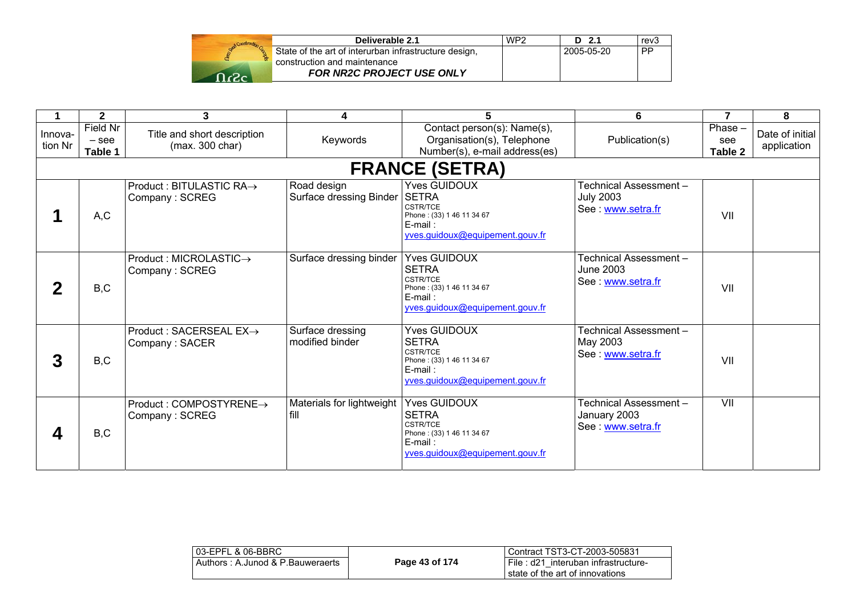| Deliverable 2.1                                                                       | WP2 | $D$ 2.1    | rev3      |
|---------------------------------------------------------------------------------------|-----|------------|-----------|
| State of the art of interurban infrastructure design,<br>construction and maintenance |     | 2005-05-20 | <b>PP</b> |
| <b>FOR NR2C PROJECT USE ONLY</b>                                                      |     |            |           |

|                    | $\mathbf{2}$                   | 3                                              | 4                                              | 5                                                                                                                                     | 6                                                              | $\overline{7}$              | 8                              |
|--------------------|--------------------------------|------------------------------------------------|------------------------------------------------|---------------------------------------------------------------------------------------------------------------------------------------|----------------------------------------------------------------|-----------------------------|--------------------------------|
| Innova-<br>tion Nr | Field Nr<br>$-$ see<br>Table 1 | Title and short description<br>(max. 300 char) | Keywords                                       | Contact person(s): Name(s),<br>Organisation(s), Telephone<br>Number(s), e-mail address(es)                                            | Publication(s)                                                 | $Phase -$<br>see<br>Table 2 | Date of initial<br>application |
|                    |                                |                                                |                                                | <b>FRANCE (SETRA)</b>                                                                                                                 |                                                                |                             |                                |
|                    | A,C                            | Product : BITULASTIC RA→<br>Company: SCREG     | Road design<br>Surface dressing Binder   SETRA | l Yves GUIDOUX<br><b>CSTR/TCE</b><br>Phone: (33) 1 46 11 34 67<br>$E$ -mail:<br>yves.guidoux@equipement.gouv.fr                       | Technical Assessment -<br><b>July 2003</b><br>See www.setra.fr | VII                         |                                |
|                    | B,C                            | Product : MICROLASTIC→<br>Company: SCREG       | Surface dressing binder                        | <b>Yves GUIDOUX</b><br><b>ISETRA</b><br><b>CSTR/TCE</b><br>Phone: (33) 1 46 11 34 67<br>$E$ -mail:<br>yves.guidoux@equipement.gouv.fr | Technical Assessment -<br>June 2003<br>See: www.setra.fr       | VII                         |                                |
| 3                  | B,C                            | Product : SACERSEAL EX→<br>Company: SACER      | Surface dressing<br>modified binder            | <b>Yves GUIDOUX</b><br><b>ISETRA</b><br><b>CSTR/TCE</b><br>Phone: (33) 1 46 11 34 67<br>$E$ -mail:<br>yves.guidoux@equipement.gouv.fr | Technical Assessment -<br>May 2003<br>See www.setra.fr         | VII                         |                                |
|                    | B,C                            | Product: COMPOSTYRENE→<br>Company: SCREG       | Materials for lightweight<br>fill              | <b>Yves GUIDOUX</b><br><b>ISETRA</b><br><b>CSTR/TCE</b><br>Phone: (33) 1 46 11 34 67<br>$E$ -mail:<br>yves.guidoux@equipement.gouv.fr | Technical Assessment-<br>January 2003<br>See www.setra.fr      | $\overline{\mathsf{v}}$     |                                |

| 03-EPFL & 06-BBRC                |                | Contract TST3-CT-2003-505831        |
|----------------------------------|----------------|-------------------------------------|
| Authors: A.Junod & P.Bauweraerts | Page 43 of 174 | File: d21 interuban infrastructure- |
|                                  |                | I state of the art of innovations   |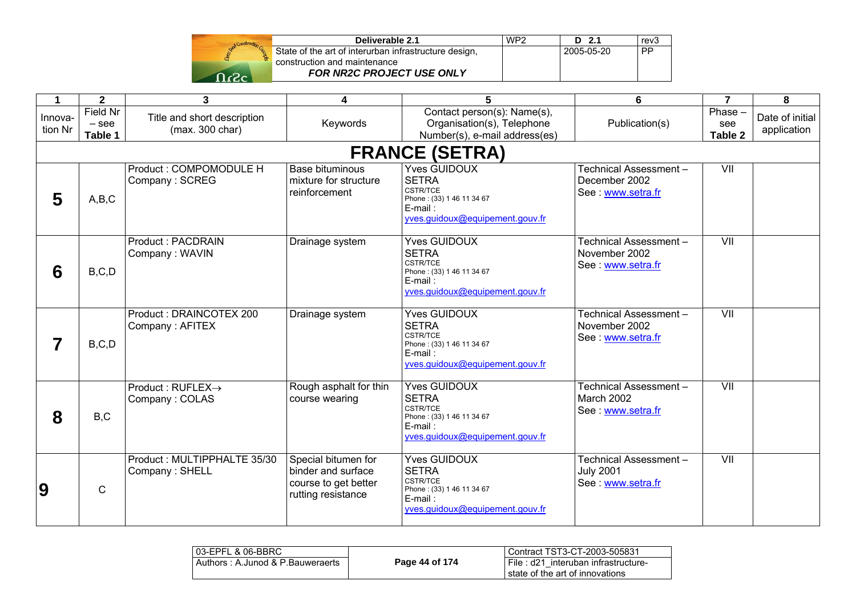| Stad Construction |  |
|-------------------|--|
|                   |  |
| ٢2.               |  |

| Deliverable 2.1                                       | WP <sub>2</sub> | $D$ 2.1    | rev <sub>3</sub> |
|-------------------------------------------------------|-----------------|------------|------------------|
| State of the art of interurban infrastructure design, |                 | 2005-05-20 | <b>PP</b>        |
| construction and maintenance                          |                 |            |                  |
| <b>FOR NR2C PROJECT USE ONLY</b>                      |                 |            |                  |

| 1                  | $\overline{2}$                        | $\mathbf{3}$                                   | 4                                                                                       | 5                                                                                                                                    | 6                                                             | $\overline{7}$              | 8                              |
|--------------------|---------------------------------------|------------------------------------------------|-----------------------------------------------------------------------------------------|--------------------------------------------------------------------------------------------------------------------------------------|---------------------------------------------------------------|-----------------------------|--------------------------------|
| Innova-<br>tion Nr | <b>Field Nr</b><br>$-$ see<br>Table 1 | Title and short description<br>(max. 300 char) | Keywords                                                                                | Contact person(s): Name(s),<br>Organisation(s), Telephone<br>Number(s), e-mail address(es)                                           | Publication(s)                                                | $Phase -$<br>see<br>Table 2 | Date of initial<br>application |
|                    |                                       |                                                |                                                                                         | <b>FRANCE (SETRA)</b>                                                                                                                |                                                               |                             |                                |
| 5                  | A,B,C                                 | Product: COMPOMODULE H<br>Company: SCREG       | <b>Base bituminous</b><br>mixture for structure<br>reinforcement                        | <b>Yves GUIDOUX</b><br><b>SETRA</b><br><b>CSTR/TCE</b><br>Phone: (33) 1 46 11 34 67<br>E-mail:<br>yves.guidoux@equipement.gouv.fr    | Technical Assessment-<br>December 2002<br>See www.setra.fr    | VII                         |                                |
| 6                  | B, C, D                               | <b>Product: PACDRAIN</b><br>Company: WAVIN     | Drainage system                                                                         | <b>Yves GUIDOUX</b><br><b>SETRA</b><br><b>CSTR/TCE</b><br>Phone: (33) 1 46 11 34 67<br>$E$ -mail:<br>yves.guidoux@equipement.gouv.fr | Technical Assessment-<br>November 2002<br>See www.setra.fr    | VII                         |                                |
|                    | B, C, D                               | Product: DRAINCOTEX 200<br>Company: AFITEX     | Drainage system                                                                         | <b>Yves GUIDOUX</b><br><b>SETRA</b><br><b>CSTR/TCE</b><br>Phone: (33) 1 46 11 34 67<br>E-mail:<br>yves.guidoux@equipement.gouv.fr    | Technical Assessment-<br>November 2002<br>See www.setra.fr    | $\overline{\mathsf{V}}$     |                                |
| 8                  | B,C                                   | Product : RUFLEX→<br>Company: COLAS            | Rough asphalt for thin<br>course wearing                                                | <b>Yves GUIDOUX</b><br><b>SETRA</b><br><b>CSTR/TCE</b><br>Phone: (33) 1 46 11 34 67<br>$E$ -mail:<br>yves.guidoux@equipement.gouv.fr | Technical Assessment-<br>March 2002<br>See www.setra.fr       | VII                         |                                |
| $\overline{9}$     | $\mathsf{C}$                          | Product: MULTIPPHALTE 35/30<br>Company: SHELL  | Special bitumen for<br>binder and surface<br>course to get better<br>rutting resistance | <b>Yves GUIDOUX</b><br><b>SETRA</b><br><b>CSTR/TCE</b><br>Phone: (33) 1 46 11 34 67<br>E-mail:<br>vves.guidoux@equipement.gouv.fr    | Technical Assessment-<br><b>July 2001</b><br>See www.setra.fr | VII                         |                                |

| l 03-EPFL & 06-BBRC              |                | Contract TST3-CT-2003-505831                                             |
|----------------------------------|----------------|--------------------------------------------------------------------------|
| Authors: A.Junod & P.Bauweraerts | Page 44 of 174 | ∟File : d21 interuban infrastructure-<br>state of the art of innovations |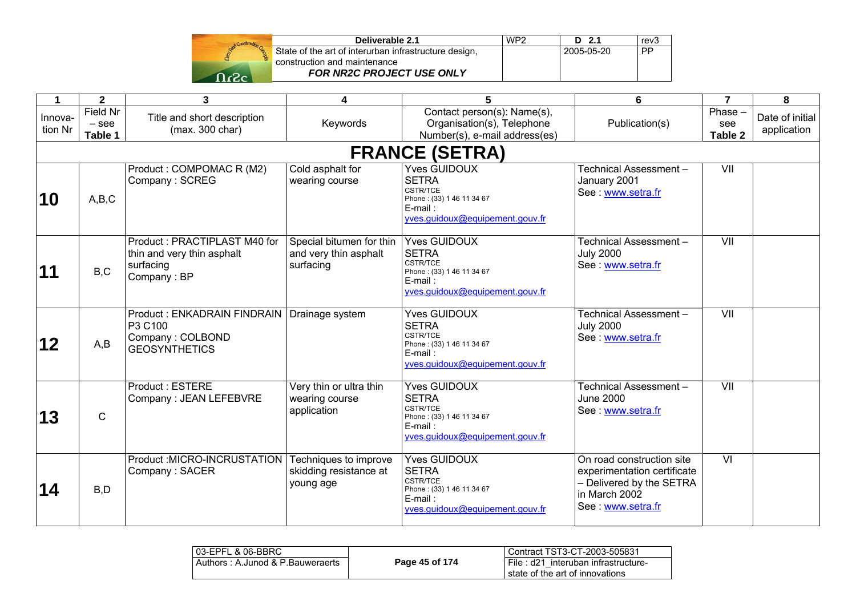| Send Construction |  |
|-------------------|--|
|                   |  |
|                   |  |

| Deliverable 2.1                                       | WP <sub>2</sub> | $D$ 2.1    | rev3      |
|-------------------------------------------------------|-----------------|------------|-----------|
| State of the art of interurban infrastructure design, |                 | 2005-05-20 | <b>PP</b> |
| construction and maintenance                          |                 |            |           |
| <b>FOR NR2C PROJECT USE ONLY</b>                      |                 |            |           |

| 1                  | $\mathbf{2}$                   | 3                                                                                      | 4                                                              | 5                                                                                                                                    | 6                                                                                                                         | $\overline{7}$           | 8                              |
|--------------------|--------------------------------|----------------------------------------------------------------------------------------|----------------------------------------------------------------|--------------------------------------------------------------------------------------------------------------------------------------|---------------------------------------------------------------------------------------------------------------------------|--------------------------|--------------------------------|
| Innova-<br>tion Nr | Field Nr<br>$-$ see<br>Table 1 | Title and short description<br>(max. 300 char)                                         | Keywords                                                       | Contact person(s): Name(s),<br>Organisation(s), Telephone<br>Number(s), e-mail address(es)                                           | Publication(s)                                                                                                            | Phase-<br>see<br>Table 2 | Date of initial<br>application |
|                    |                                |                                                                                        |                                                                | <b>FRANCE (SETRA)</b>                                                                                                                |                                                                                                                           |                          |                                |
| 10                 | A,B,C                          | Product: COMPOMAC R (M2)<br>Company: SCREG                                             | Cold asphalt for<br>wearing course                             | <b>Yves GUIDOUX</b><br><b>SETRA</b><br>CSTR/TCE<br>Phone: (33) 1 46 11 34 67<br>E-mail:<br>yves.guidoux@equipement.gouv.fr           | Technical Assessment-<br>January 2001<br>See www.setra.fr                                                                 | VII                      |                                |
| 11                 | B,C                            | Product: PRACTIPLAST M40 for<br>thin and very thin asphalt<br>surfacing<br>Company: BP | Special bitumen for thin<br>and very thin asphalt<br>surfacing | <b>Yves GUIDOUX</b><br><b>SETRA</b><br><b>CSTR/TCE</b><br>Phone: (33) 1 46 11 34 67<br>$E$ -mail:<br>yves.guidoux@equipement.gouv.fr | Technical Assessment-<br><b>July 2000</b><br>See www.setra.fr                                                             | $\overline{\mathsf{V}}$  |                                |
| 12                 | A,B                            | Product: ENKADRAIN FINDRAIN<br>P3 C100<br>Company: COLBOND<br><b>GEOSYNTHETICS</b>     | Drainage system                                                | <b>Yves GUIDOUX</b><br><b>SETRA</b><br>CSTR/TCE<br>Phone: (33) 1 46 11 34 67<br>$E$ -mail:<br>yves.guidoux@equipement.gouv.fr        | Technical Assessment-<br><b>July 2000</b><br>See: www.setra.fr                                                            | VII                      |                                |
| 13                 | $\mathsf{C}$                   | <b>Product: ESTERE</b><br>Company: JEAN LEFEBVRE                                       | Very thin or ultra thin<br>wearing course<br>application       | <b>Yves GUIDOUX</b><br><b>SETRA</b><br><b>CSTR/TCE</b><br>Phone: (33) 1 46 11 34 67<br>$E$ -mail:<br>yves.guidoux@equipement.gouv.fr | Technical Assessment-<br>June 2000<br>See www.setra.fr                                                                    | $\overline{\mathsf{V}}$  |                                |
| 14                 | B, D                           | Product: MICRO-INCRUSTATION<br>Company: SACER                                          | Techniques to improve<br>skidding resistance at<br>young age   | <b>Yves GUIDOUX</b><br><b>SETRA</b><br><b>CSTR/TCE</b><br>Phone: (33) 1 46 11 34 67<br>E-mail:<br>yves.guidoux@equipement.gouv.fr    | On road construction site<br>experimentation certificate<br>- Delivered by the SETRA<br>in March 2002<br>See www.setra.fr | $\overline{M}$           |                                |

| l 03-EPFL & 06-BBRC              |                | Contract TST3-CT-2003-505831                                             |
|----------------------------------|----------------|--------------------------------------------------------------------------|
| Authors: A.Junod & P.Bauweraerts | Page 45 of 174 | File: d21 interuban infrastructure-<br>l state of the art of innovations |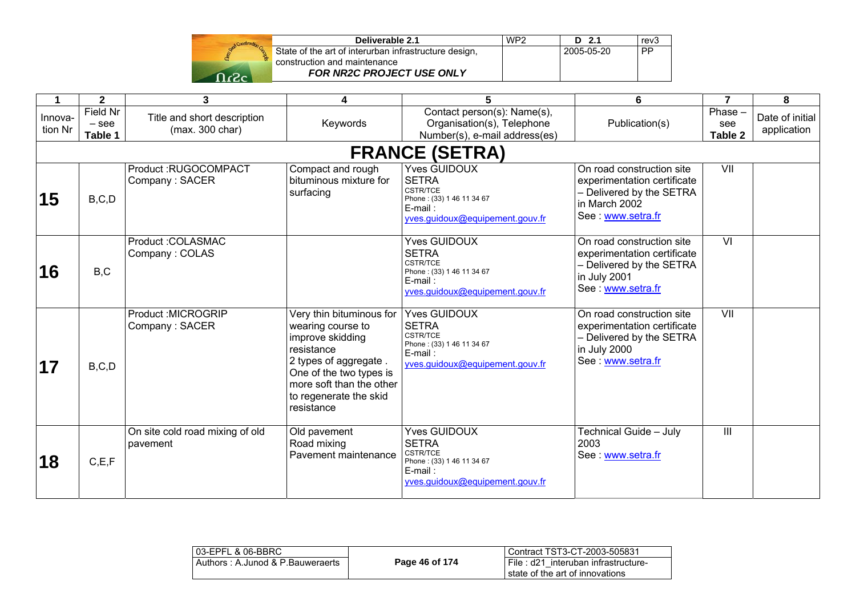| Stad Construction |  |
|-------------------|--|
|                   |  |
| ٢2.               |  |

| Deliverable 2.1                                       | WP <sub>2</sub> | $D$ 2.1    | rev <sub>3</sub> |
|-------------------------------------------------------|-----------------|------------|------------------|
| State of the art of interurban infrastructure design, |                 | 2005-05-20 | <b>PP</b>        |
| construction and maintenance                          |                 |            |                  |
| <b>FOR NR2C PROJECT USE ONLY</b>                      |                 |            |                  |

|                    | $\mathbf{2}$                          | 3                                              | 4                                                                                                                                                                                                       | 5                                                                                                                                 | 6                                                                                                                          | $\overline{7}$            | 8                              |
|--------------------|---------------------------------------|------------------------------------------------|---------------------------------------------------------------------------------------------------------------------------------------------------------------------------------------------------------|-----------------------------------------------------------------------------------------------------------------------------------|----------------------------------------------------------------------------------------------------------------------------|---------------------------|--------------------------------|
| Innova-<br>tion Nr | <b>Field Nr</b><br>$-$ see<br>Table 1 | Title and short description<br>(max. 300 char) | Keywords                                                                                                                                                                                                | Contact person(s): Name(s),<br>Organisation(s), Telephone<br>Number(s), e-mail address(es)                                        | Publication(s)                                                                                                             | Phase -<br>see<br>Table 2 | Date of initial<br>application |
|                    |                                       |                                                |                                                                                                                                                                                                         | <b>FRANCE (SETRA)</b>                                                                                                             |                                                                                                                            |                           |                                |
| 15                 | B, C, D                               | Product:RUGOCOMPACT<br>Company: SACER          | Compact and rough<br>bituminous mixture for<br>surfacing                                                                                                                                                | <b>Yves GUIDOUX</b><br><b>SETRA</b><br><b>CSTR/TCE</b><br>Phone: (33) 1 46 11 34 67<br>E-mail:<br>yves.guidoux@equipement.gouv.fr | On road construction site<br>experimentation certificate<br>- Delivered by the SETRA<br>in March 2002<br>See www.setra.fr  | VII                       |                                |
| 16                 | B, C                                  | Product: COLASMAC<br>Company: COLAS            |                                                                                                                                                                                                         | <b>Yves GUIDOUX</b><br><b>SETRA</b><br><b>CSTR/TCE</b><br>Phone: (33) 1 46 11 34 67<br>E-mail:<br>yves.guidoux@equipement.gouv.fr | On road construction site<br>experimentation certificate<br>- Delivered by the SETRA<br>in July 2001<br>See : www.setra.fr | $\overline{\mathsf{M}}$   |                                |
| 17                 | B, C, D                               | Product : MICROGRIP<br>Company: SACER          | Very thin bituminous for<br>wearing course to<br>improve skidding<br>resistance<br>2 types of aggregate.<br>One of the two types is<br>more soft than the other<br>to regenerate the skid<br>resistance | <b>Yves GUIDOUX</b><br><b>SETRA</b><br>CSTR/TCE<br>Phone: (33) 1 46 11 34 67<br>E-mail:<br>yves.quidoux@equipement.gouv.fr        | On road construction site<br>experimentation certificate<br>- Delivered by the SETRA<br>in July 2000<br>See: www.setra.fr  | $\overline{\mathsf{V}}$   |                                |
| 18                 | C, E, F                               | On site cold road mixing of old<br>pavement    | Old pavement<br>Road mixing<br>Pavement maintenance                                                                                                                                                     | <b>Yves GUIDOUX</b><br><b>SETRA</b><br><b>CSTR/TCE</b><br>Phone: (33) 1 46 11 34 67<br>E-mail:<br>yves.guidoux@equipement.gouv.fr | Technical Guide - July<br>2003<br>See : www.setra.fr                                                                       | III                       |                                |

| 103-EPFL & 06-BBRC               |                | l Contract TST3-CT-2003-505831                                           |
|----------------------------------|----------------|--------------------------------------------------------------------------|
| Authors: A.Junod & P.Bauweraerts | Page 46 of 174 | I File: d21 interuban infrastructure-<br>state of the art of innovations |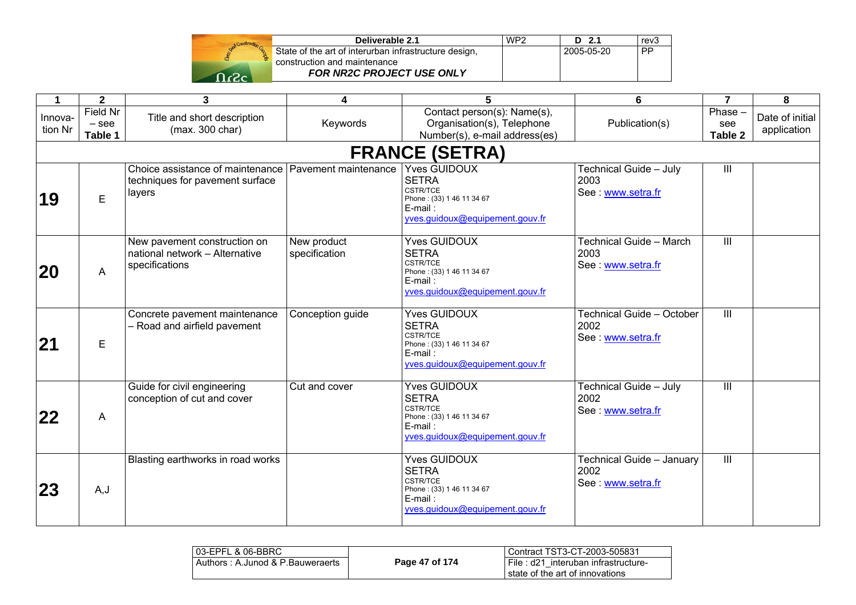| God Construction Co. |  |
|----------------------|--|
|                      |  |
|                      |  |

| Deliverable 2.1                                       | WP <sub>2</sub> | $D$ 2.1    | rev <sub>3</sub> |
|-------------------------------------------------------|-----------------|------------|------------------|
| State of the art of interurban infrastructure design, |                 | 2005-05-20 | PP               |
| construction and maintenance                          |                 |            |                  |
| <b>FOR NR2C PROJECT USE ONLY</b>                      |                 |            |                  |

| 1                  | $\mathbf{2}$                          | $\overline{\mathbf{3}}$                                                                            | 4                            | 5                                                                                                                                    | 6                                                      | $\overline{7}$            | 8                              |
|--------------------|---------------------------------------|----------------------------------------------------------------------------------------------------|------------------------------|--------------------------------------------------------------------------------------------------------------------------------------|--------------------------------------------------------|---------------------------|--------------------------------|
| Innova-<br>tion Nr | <b>Field Nr</b><br>$-$ see<br>Table 1 | Title and short description<br>(max. 300 char)                                                     | Keywords                     | Contact person(s): Name(s),<br>Organisation(s), Telephone<br>Number(s), e-mail address(es)                                           | Publication(s)                                         | Phase -<br>see<br>Table 2 | Date of initial<br>application |
|                    |                                       |                                                                                                    |                              | <b>FRANCE (SETRA)</b>                                                                                                                |                                                        |                           |                                |
| 19                 | E.                                    | Choice assistance of maintenance Pavement maintenance<br>techniques for pavement surface<br>layers |                              | <b>Yves GUIDOUX</b><br><b>SETRA</b><br>CSTR/TCE<br>Phone: (33) 1 46 11 34 67<br>E-mail:<br>yves.guidoux@equipement.gouv.fr           | Technical Guide - July<br>2003<br>See: www.setra.fr    | Ш                         |                                |
| <b>20</b>          | A                                     | New pavement construction on<br>national network - Alternative<br>specifications                   | New product<br>specification | <b>Yves GUIDOUX</b><br><b>SETRA</b><br><b>CSTR/TCE</b><br>Phone: (33) 1 46 11 34 67<br>$E$ -mail:<br>yves.guidoux@equipement.gouv.fr | Technical Guide - March<br>2003<br>See: www.setra.fr   | Ш                         |                                |
| 21                 | E                                     | Concrete pavement maintenance<br>- Road and airfield pavement                                      | Conception guide             | <b>Yves GUIDOUX</b><br><b>SETRA</b><br><b>CSTR/TCE</b><br>Phone: (33) 1 46 11 34 67<br>$E$ -mail:<br>yves.guidoux@equipement.gouv.fr | Technical Guide - October<br>2002<br>See: www.setra.fr | III                       |                                |
| 22                 | A                                     | Guide for civil engineering<br>conception of cut and cover                                         | Cut and cover                | <b>Yves GUIDOUX</b><br><b>SETRA</b><br><b>CSTR/TCE</b><br>Phone: (33) 1 46 11 34 67<br>$E$ -mail:<br>yves.guidoux@equipement.gouv.fr | Technical Guide - July<br>2002<br>See: www.setra.fr    | $\overline{\mathbb{H}}$   |                                |
| 23                 | A,J                                   | Blasting earthworks in road works                                                                  |                              | <b>Yves GUIDOUX</b><br><b>SETRA</b><br>CSTR/TCE<br>Phone: (33) 1 46 11 34 67<br>E-mail:<br>yves.guidoux@equipement.gouv.fr           | Technical Guide - January<br>2002<br>See www.setra.fr  | Ш                         |                                |

| 103-EPFL & 06-BBRC               |                | Contract TST3-CT-2003-505831                                             |
|----------------------------------|----------------|--------------------------------------------------------------------------|
| Authors: A.Junod & P.Bauweraerts | Page 47 of 174 | File: d21 interuban infrastructure-<br>i state of the art of innovations |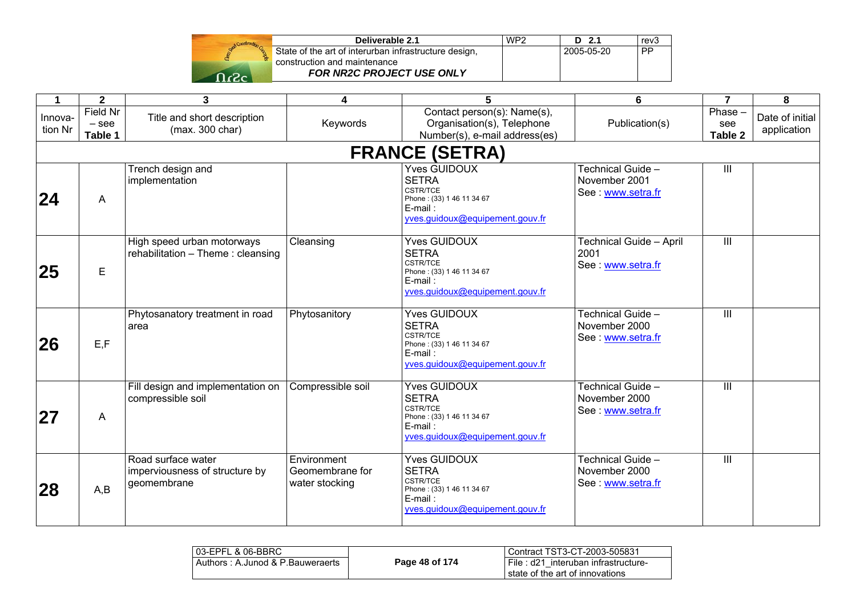| Construction Go<br><b>Ogost</b> |  |
|---------------------------------|--|
|                                 |  |
|                                 |  |

| Deliverable 2.1                                       | WP <sub>2</sub> | $D$ 2.1    | rev <sub>3</sub> |
|-------------------------------------------------------|-----------------|------------|------------------|
| State of the art of interurban infrastructure design, |                 | 2005-05-20 | <b>PP</b>        |
| construction and maintenance                          |                 |            |                  |
| <b>FOR NR2C PROJECT USE ONLY</b>                      |                 |            |                  |

| $\blacktriangleleft$ | $\mathbf{2}$                   | $\mathbf{3}$                                                        | 4                                                | $\overline{5}$                                                                                                                       | 6                                                      | $\overline{7}$           | 8                              |
|----------------------|--------------------------------|---------------------------------------------------------------------|--------------------------------------------------|--------------------------------------------------------------------------------------------------------------------------------------|--------------------------------------------------------|--------------------------|--------------------------------|
| Innova-<br>tion Nr   | Field Nr<br>$-$ see<br>Table 1 | Title and short description<br>(max. 300 char)                      | Keywords                                         | Contact person(s): Name(s),<br>Organisation(s), Telephone<br>Number(s), e-mail address(es)                                           | Publication(s)                                         | Phase-<br>see<br>Table 2 | Date of initial<br>application |
|                      |                                |                                                                     |                                                  | <b>FRANCE (SETRA)</b>                                                                                                                |                                                        |                          |                                |
| 24                   | A                              | Trench design and<br>implementation                                 |                                                  | <b>Yves GUIDOUX</b><br><b>SETRA</b><br>CSTR/TCE<br>Phone: (33) 1 46 11 34 67<br>E-mail:<br>yves.guidoux@equipement.gouv.fr           | Technical Guide -<br>November 2001<br>See www.setra.fr | $\mathop{\rm III}$       |                                |
| 25                   | E                              | High speed urban motorways<br>rehabilitation - Theme: cleansing     | Cleansing                                        | <b>Yves GUIDOUX</b><br><b>SETRA</b><br>CSTR/TCE<br>Phone: (33) 1 46 11 34 67<br>E-mail:<br>vves.quidoux@equipement.qouv.fr           | Technical Guide - April<br>2001<br>See www.setra.fr    | $\overline{\mathbb{H}}$  |                                |
| 26                   | E, F                           | Phytosanatory treatment in road<br>area                             | Phytosanitory                                    | <b>Yves GUIDOUX</b><br><b>SETRA</b><br><b>CSTR/TCE</b><br>Phone: (33) 1 46 11 34 67<br>$E$ -mail:<br>yves.guidoux@equipement.gouv.fr | Technical Guide -<br>November 2000<br>See www.setra.fr | III                      |                                |
| <b>27</b>            | A                              | Fill design and implementation on<br>compressible soil              | Compressible soil                                | <b>Yves GUIDOUX</b><br><b>SETRA</b><br><b>CSTR/TCE</b><br>Phone: (33) 1 46 11 34 67<br>E-mail:<br>yves.guidoux@equipement.gouv.fr    | Technical Guide -<br>November 2000<br>See www.setra.fr | III                      |                                |
| 28                   | A,B                            | Road surface water<br>imperviousness of structure by<br>geomembrane | Environment<br>Geomembrane for<br>water stocking | <b>Yves GUIDOUX</b><br><b>SETRA</b><br><b>CSTR/TCE</b><br>Phone: (33) 1 46 11 34 67<br>E-mail:<br>yves.guidoux@equipement.gouv.fr    | Technical Guide -<br>November 2000<br>See www.setra.fr | $\mathbf{III}$           |                                |

| 103-EPFL & 06-BBRC               |                | Contract TST3-CT-2003-505831                                           |
|----------------------------------|----------------|------------------------------------------------------------------------|
| Authors: A.Junod & P.Bauweraerts | Page 48 of 174 | File: d21 interuban infrastructure-<br>state of the art of innovations |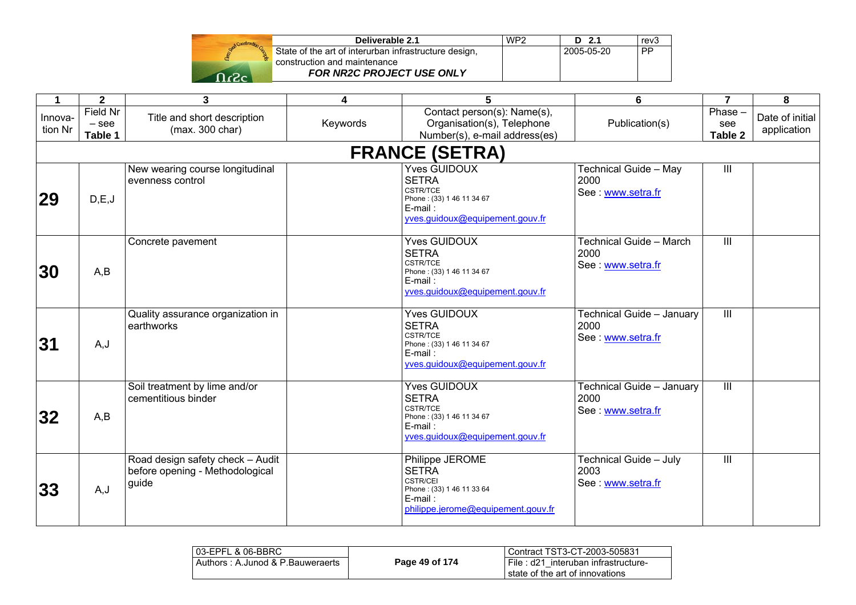| Deliverable 2.1                                       |
|-------------------------------------------------------|
| State of the art of interurban infrastructure design, |
| construction and maintenance                          |
| FOR NR2C PROJECT USE ONLY                             |

| 1                  | $\mathbf{2}$                   | 3                                                                            | 4        | 5                                                                                                                                    | 6                                                           | $\overline{7}$           | 8                              |
|--------------------|--------------------------------|------------------------------------------------------------------------------|----------|--------------------------------------------------------------------------------------------------------------------------------------|-------------------------------------------------------------|--------------------------|--------------------------------|
| Innova-<br>tion Nr | Field Nr<br>$-$ see<br>Table 1 | Title and short description<br>(max. 300 char)                               | Keywords | Contact person(s): Name(s),<br>Organisation(s), Telephone<br>Number(s), e-mail address(es)                                           | Publication(s)                                              | Phase-<br>see<br>Table 2 | Date of initial<br>application |
|                    |                                |                                                                              |          | <b>FRANCE (SETRA)</b>                                                                                                                |                                                             |                          |                                |
| 29                 | D,E,J                          | New wearing course longitudinal<br>evenness control                          |          | <b>Yves GUIDOUX</b><br><b>SETRA</b><br><b>CSTR/TCE</b><br>Phone: (33) 1 46 11 34 67<br>E-mail:<br>yves.guidoux@equipement.gouv.fr    | Technical Guide - May<br>2000<br>See: www.setra.fr          | III                      |                                |
| <b>30</b>          | A,B                            | Concrete pavement                                                            |          | <b>Yves GUIDOUX</b><br><b>SETRA</b><br>CSTR/TCE<br>Phone: (33) 1 46 11 34 67<br>$E$ -mail:<br>yves.guidoux@equipement.gouv.fr        | <b>Technical Guide - March</b><br>2000<br>See: www.setra.fr | III                      |                                |
| 31                 | A, J                           | Quality assurance organization in<br>earthworks                              |          | <b>Yves GUIDOUX</b><br><b>SETRA</b><br><b>CSTR/TCE</b><br>Phone: (33) 1 46 11 34 67<br>$E$ -mail:<br>yves.guidoux@equipement.gouv.fr | Technical Guide - January<br>2000<br>See: www.setra.fr      | $\mathop{\rm III}$       |                                |
| 32                 | A,B                            | Soil treatment by lime and/or<br>cementitious binder                         |          | <b>Yves GUIDOUX</b><br><b>SETRA</b><br><b>CSTR/TCE</b><br>Phone: (33) 1 46 11 34 67<br>$E$ -mail:<br>yves.guidoux@equipement.gouv.fr | Technical Guide - January<br>2000<br>See: www.setra.fr      | $\overline{\mathbb{H}}$  |                                |
| 33                 | A, J                           | Road design safety check - Audit<br>before opening - Methodological<br>guide |          | Philippe JEROME<br><b>SETRA</b><br><b>CSTR/CEI</b><br>Phone: (33) 1 46 11 33 64<br>E-mail:<br>philippe.jerome@equipement.gouv.fr     | Technical Guide - July<br>2003<br>See: www.setra.fr         | $\overline{\mathbb{I}}$  |                                |

**D 2.1** 

2005-05-20 PP

rev<sub>3</sub>

 $\overline{PP}$ 

| 03-EPFL & 06-BBRC                |                | Contract TST3-CT-2003-505831                                           |
|----------------------------------|----------------|------------------------------------------------------------------------|
| Authors: A.Junod & P.Bauweraerts | Page 49 of 174 | File: d21 interuban infrastructure-<br>state of the art of innovations |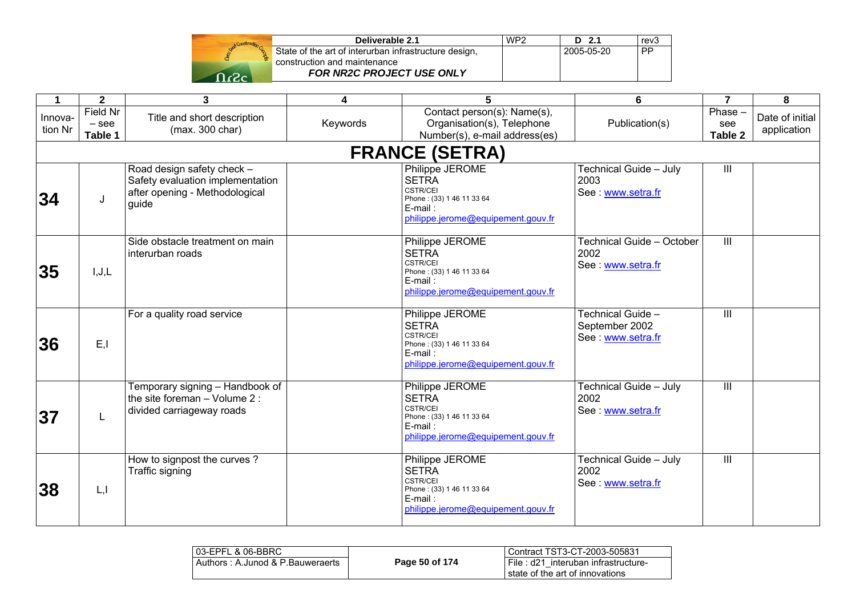|              | Deliverable 2.1                                       | WP <sub>2</sub> | D 2.1      | rev3 |
|--------------|-------------------------------------------------------|-----------------|------------|------|
|              | State of the art of interurban infrastructure design, |                 | 2005-05-20 | . PP |
|              | construction and maintenance                          |                 |            |      |
| $\mathbf{a}$ | <b>FOR NR2C PROJECT USE ONLY</b>                      |                 |            |      |

| 1                  | $\mathbf{2}$                   | $\overline{\mathbf{3}}$                                                                                   | 4        | 5                                                                                                                                   | 6                                                        | $\overline{7}$           | 8                              |
|--------------------|--------------------------------|-----------------------------------------------------------------------------------------------------------|----------|-------------------------------------------------------------------------------------------------------------------------------------|----------------------------------------------------------|--------------------------|--------------------------------|
| Innova-<br>tion Nr | Field Nr<br>$-$ see<br>Table 1 | Title and short description<br>(max. 300 char)                                                            | Keywords | Contact person(s): Name(s),<br>Organisation(s), Telephone<br>Number(s), e-mail address(es)                                          | Publication(s)                                           | Phase-<br>see<br>Table 2 | Date of initial<br>application |
|                    |                                |                                                                                                           |          | <b>FRANCE (SETRA)</b>                                                                                                               |                                                          |                          |                                |
| 34                 | J                              | Road design safety check -<br>Safety evaluation implementation<br>after opening - Methodological<br>guide |          | Philippe JEROME<br><b>SETRA</b><br>CSTR/CEI<br>Phone: (33) 1 46 11 33 64<br>E-mail:<br>philippe.jerome@equipement.gouv.fr           | Technical Guide - July<br>2003<br>See: www.setra.fr      | III                      |                                |
| 35                 | I, J, L                        | Side obstacle treatment on main<br>interurban roads                                                       |          | Philippe JEROME<br><b>SETRA</b><br><b>CSTR/CEI</b><br>Phone: (33) 1 46 11 33 64<br>E-mail:<br>philippe.jerome@equipement.gouv.fr    | Technical Guide - October<br>2002<br>See: www.setra.fr   | $\overline{III}$         |                                |
| 36                 | E, I                           | For a quality road service                                                                                |          | Philippe JEROME<br><b>SETRA</b><br><b>CSTR/CEI</b><br>Phone: (33) 1 46 11 33 64<br>$E$ -mail:<br>philippe.jerome@equipement.gouv.fr | Technical Guide -<br>September 2002<br>See: www.setra.fr | III                      |                                |
| 37                 | L                              | Temporary signing - Handbook of<br>the site foreman - Volume 2 :<br>divided carriageway roads             |          | Philippe JEROME<br><b>SETRA</b><br><b>CSTR/CEI</b><br>Phone: (33) 1 46 11 33 64<br>E-mail:<br>philippe.jerome@equipement.gouv.fr    | Technical Guide - July<br>2002<br>See: www.setra.fr      | $\overline{III}$         |                                |
| 38                 | L, I                           | How to signpost the curves?<br>Traffic signing                                                            |          | Philippe JEROME<br><b>SETRA</b><br><b>CSTR/CEI</b><br>Phone: (33) 1 46 11 33 64<br>E-mail:<br>philippe.jerome@equipement.gouv.fr    | Technical Guide - July<br>2002<br>See: www.setra.fr      | $\overline{\mathbb{H}}$  |                                |

| l 03-EPFL & 06-BBRC               |                | Contract TST3-CT-2003-505831                                           |
|-----------------------------------|----------------|------------------------------------------------------------------------|
| Authors : A.Junod & P.Bauweraerts | Page 50 of 174 | File: d21 interuban infrastructure-<br>state of the art of innovations |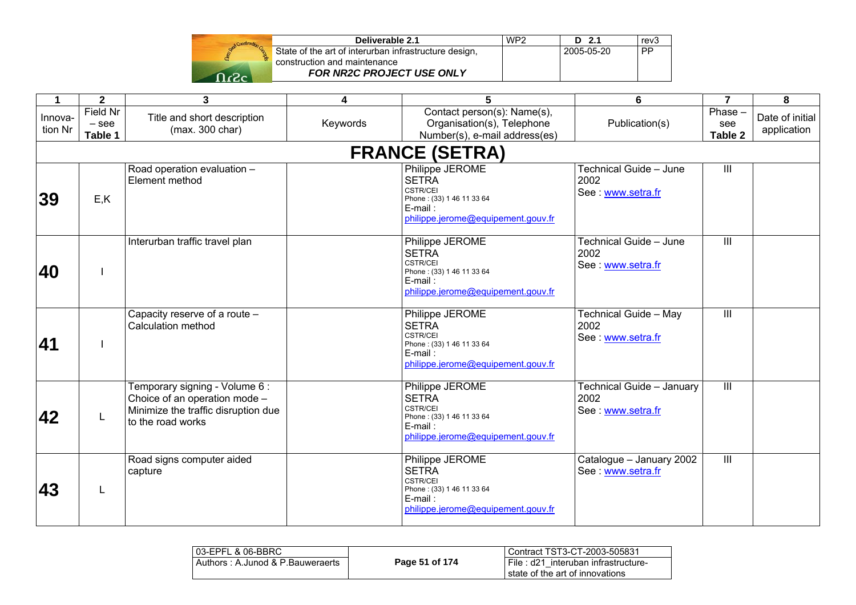| <b>Sesting</b> |               |
|----------------|---------------|
|                | State<br>cons |
|                |               |

| Deliverable 2.1                                       | WP <sub>2</sub> | $D$ 2.1    | rev3      |
|-------------------------------------------------------|-----------------|------------|-----------|
| State of the art of interurban infrastructure design, |                 | 2005-05-20 | <b>PP</b> |
| construction and maintenance                          |                 |            |           |
| <b>FOR NR2C PROJECT USE ONLY</b>                      |                 |            |           |

| $\mathbf 1$        | $\mathbf{2}$                   | 3                                                                                                                           | 4        | 5                                                                                                                                   | 6                                                     | $\overline{7}$           | 8                              |
|--------------------|--------------------------------|-----------------------------------------------------------------------------------------------------------------------------|----------|-------------------------------------------------------------------------------------------------------------------------------------|-------------------------------------------------------|--------------------------|--------------------------------|
| Innova-<br>tion Nr | Field Nr<br>$-$ see<br>Table 1 | Title and short description<br>(max. 300 char)                                                                              | Keywords | Contact person(s): Name(s),<br>Organisation(s), Telephone<br>Number(s), e-mail address(es)                                          | Publication(s)                                        | Phase-<br>see<br>Table 2 | Date of initial<br>application |
|                    |                                |                                                                                                                             |          | <b>FRANCE (SETRA)</b>                                                                                                               |                                                       |                          |                                |
| 39                 | E, K                           | Road operation evaluation -<br>Element method                                                                               |          | Philippe JEROME<br><b>SETRA</b><br><b>CSTR/CEI</b><br>Phone: (33) 1 46 11 33 64<br>E-mail:<br>philippe.jerome@equipement.gouv.fr    | Technical Guide - June<br>2002<br>See: www.setra.fr   | $\mathbf{III}$           |                                |
| 40                 |                                | Interurban traffic travel plan                                                                                              |          | Philippe JEROME<br><b>SETRA</b><br><b>CSTR/CEI</b><br>Phone: (33) 1 46 11 33 64<br>$E$ -mail:<br>philippe.jerome@equipement.gouv.fr | Technical Guide - June<br>2002<br>See www.setra.fr    | $\overline{\mathbb{H}}$  |                                |
| 41                 |                                | Capacity reserve of a route -<br>Calculation method                                                                         |          | Philippe JEROME<br><b>SETRA</b><br><b>CSTR/CEI</b><br>Phone: (33) 1 46 11 33 64<br>$E$ -mail:<br>philippe.jerome@equipement.gouv.fr | Technical Guide - May<br>2002<br>See www.setra.fr     | $\mathbf{III}$           |                                |
| 42                 |                                | Temporary signing - Volume 6 :<br>Choice of an operation mode -<br>Minimize the traffic disruption due<br>to the road works |          | Philippe JEROME<br><b>SETRA</b><br><b>CSTR/CEI</b><br>Phone: (33) 1 46 11 33 64<br>E-mail:<br>philippe.jerome@equipement.gouv.fr    | Technical Guide - January<br>2002<br>See www.setra.fr | $\overline{\mathbb{H}}$  |                                |
| 43                 | L                              | Road signs computer aided<br>capture                                                                                        |          | Philippe JEROME<br><b>SETRA</b><br><b>CSTR/CEI</b><br>Phone: (33) 1 46 11 33 64<br>E-mail:<br>philippe.jerome@equipement.gouv.fr    | Catalogue - January 2002<br>See www.setra.fr          | $\overline{1}$           |                                |

| l 03-EPFL & 06-BBRC              |                | Contract TST3-CT-2003-505831                                           |
|----------------------------------|----------------|------------------------------------------------------------------------|
| Authors: A.Junod & P.Bauweraerts | Page 51 of 174 | File: d21 interuban infrastructure-<br>state of the art of innovations |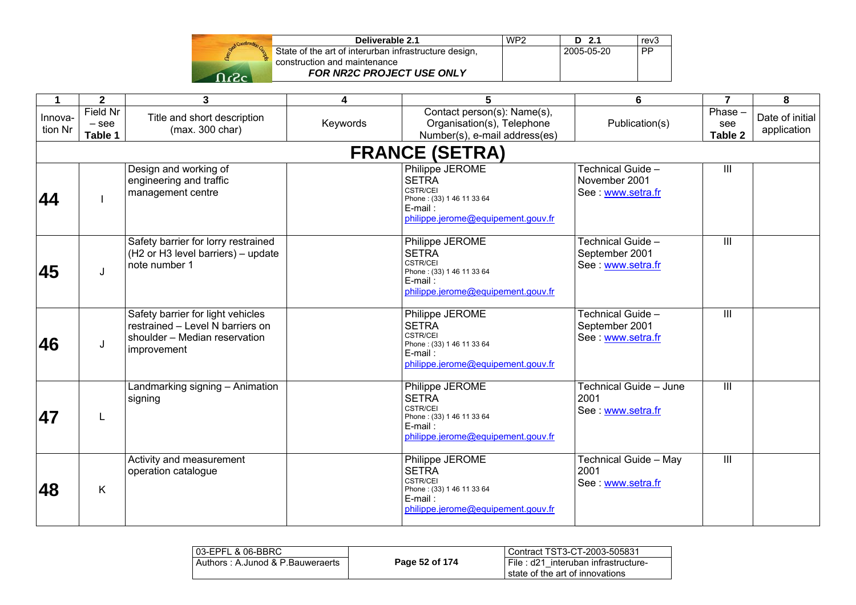| Gent | construction, |
|------|---------------|
|      | Cons          |
|      |               |

| Deliverable 2.1                                       | WP <sub>2</sub> | $D$ 2.1    | rev <sub>3</sub> |
|-------------------------------------------------------|-----------------|------------|------------------|
| State of the art of interurban infrastructure design, |                 | 2005-05-20 | PP.              |
| construction and maintenance                          |                 |            |                  |
| <b>FOR NR2C PROJECT USE ONLY</b>                      |                 |            |                  |

|                    |                                       | $\mathbf{3}$                                                                                                          |          | $\overline{5}$                                                                                                                      |                                                          |                          | 8                              |  |  |  |
|--------------------|---------------------------------------|-----------------------------------------------------------------------------------------------------------------------|----------|-------------------------------------------------------------------------------------------------------------------------------------|----------------------------------------------------------|--------------------------|--------------------------------|--|--|--|
| $\mathbf 1$        | $\mathbf{2}$                          |                                                                                                                       | 4        |                                                                                                                                     | 6                                                        | $\overline{7}$           |                                |  |  |  |
| Innova-<br>tion Nr | <b>Field Nr</b><br>$-$ see<br>Table 1 | Title and short description<br>(max. 300 char)                                                                        | Keywords | Contact person(s): Name(s),<br>Organisation(s), Telephone<br>Number(s), e-mail address(es)                                          | Publication(s)                                           | Phase-<br>see<br>Table 2 | Date of initial<br>application |  |  |  |
|                    | <b>FRANCE (SETRA)</b>                 |                                                                                                                       |          |                                                                                                                                     |                                                          |                          |                                |  |  |  |
| 44                 |                                       | Design and working of<br>engineering and traffic<br>management centre                                                 |          | Philippe JEROME<br><b>SETRA</b><br><b>CSTR/CEI</b><br>Phone: (33) 1 46 11 33 64<br>$E$ -mail:<br>philippe.jerome@equipement.gouv.fr | Technical Guide -<br>November 2001<br>See www.setra.fr   | $\mathbf{III}$           |                                |  |  |  |
| 45                 | J                                     | Safety barrier for lorry restrained<br>(H2 or H3 level barriers) - update<br>note number 1                            |          | Philippe JEROME<br><b>SETRA</b><br>CSTR/CEI<br>Phone: (33) 1 46 11 33 64<br>E-mail:<br>philippe.jerome@equipement.gouv.fr           | Technical Guide -<br>September 2001<br>See: www.setra.fr | $\overline{\mathbb{H}}$  |                                |  |  |  |
| 46                 | J                                     | Safety barrier for light vehicles<br>restrained - Level N barriers on<br>shoulder - Median reservation<br>improvement |          | Philippe JEROME<br><b>SETRA</b><br><b>CSTR/CEI</b><br>Phone: (33) 1 46 11 33 64<br>$E$ -mail:<br>philippe.jerome@equipement.gouv.fr | Technical Guide -<br>September 2001<br>See: www.setra.fr | $\mathbf{III}$           |                                |  |  |  |
| 47                 | L                                     | Landmarking signing - Animation<br>signing                                                                            |          | Philippe JEROME<br><b>SETRA</b><br><b>CSTR/CEI</b><br>Phone: (33) 1 46 11 33 64<br>$E$ -mail:<br>philippe.jerome@equipement.gouv.fr | Technical Guide - June<br>2001<br>See: www.setra.fr      | $\overline{\mathbb{H}}$  |                                |  |  |  |
| 48                 | K                                     | Activity and measurement<br>operation catalogue                                                                       |          | Philippe JEROME<br><b>SETRA</b><br><b>CSTR/CEI</b><br>Phone: (33) 1 46 11 33 64<br>E-mail:<br>philippe.jerome@equipement.gouv.fr    | Technical Guide - May<br>2001<br>See: www.setra.fr       | $\mathbf{III}$           |                                |  |  |  |

| 103-EPFL & 06-BBRC               |                | Contract TST3-CT-2003-505831                                           |
|----------------------------------|----------------|------------------------------------------------------------------------|
| Authors: A.Junod & P.Bauweraerts | Page 52 of 174 | File: d21 interuban infrastructure-<br>state of the art of innovations |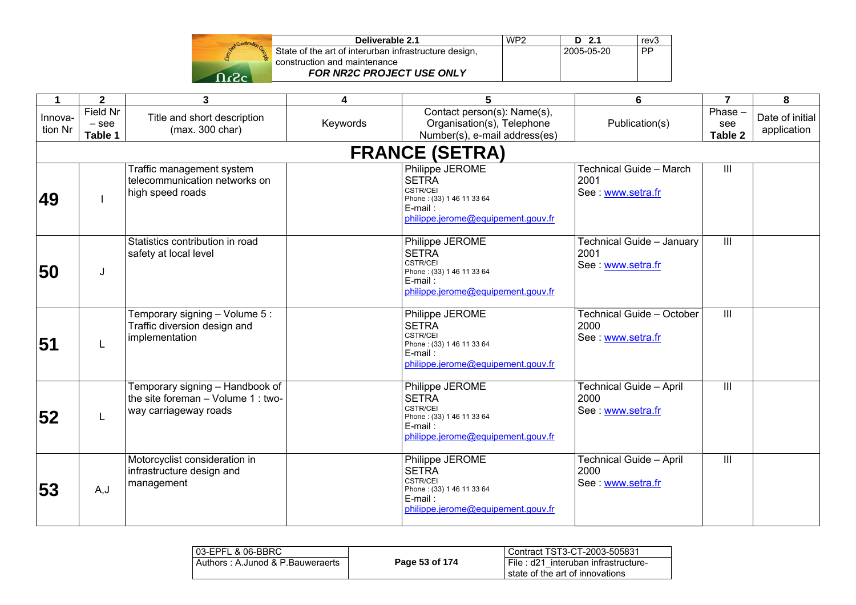| Deliverable 2.1                                       | WP <sub>2</sub> | D<br>. ን 1 | rev's |
|-------------------------------------------------------|-----------------|------------|-------|
| State of the art of interurban infrastructure design, |                 | 2005-05-20 | DD    |
| construction and maintenance                          |                 |            |       |
| <b>FOR NR2C PROJECT USE ONLY</b>                      |                 |            |       |

| $\mathbf 1$        | $\overline{2}$                 | $\overline{\mathbf{3}}$                                                                          | 4        | $\overline{5}$                                                                                                                      | 6                                                           | $\overline{7}$              | 8                              |
|--------------------|--------------------------------|--------------------------------------------------------------------------------------------------|----------|-------------------------------------------------------------------------------------------------------------------------------------|-------------------------------------------------------------|-----------------------------|--------------------------------|
| Innova-<br>tion Nr | Field Nr<br>$-$ see<br>Table 1 | Title and short description<br>(max. 300 char)                                                   | Keywords | Contact person(s): Name(s),<br>Organisation(s), Telephone<br>Number(s), e-mail address(es)                                          | Publication(s)                                              | $Phase -$<br>see<br>Table 2 | Date of initial<br>application |
|                    |                                |                                                                                                  |          | <b>FRANCE (SETRA)</b>                                                                                                               |                                                             |                             |                                |
| 49                 |                                | Traffic management system<br>telecommunication networks on<br>high speed roads                   |          | Philippe JEROME<br><b>SETRA</b><br><b>CSTR/CEI</b><br>Phone: (33) 1 46 11 33 64<br>$E$ -mail:<br>philippe.jerome@equipement.gouv.fr | Technical Guide - March<br>2001<br>See: www.setra.fr        | III                         |                                |
| 50                 | J                              | Statistics contribution in road<br>safety at local level                                         |          | Philippe JEROME<br><b>SETRA</b><br><b>CSTR/CEI</b><br>Phone: (33) 1 46 11 33 64<br>E-mail:<br>philippe.jerome@equipement.gouv.fr    | Technical Guide - January<br>2001<br>See www.setra.fr       | $\overline{III}$            |                                |
| 51                 | L                              | Femporary signing - Volume 5:<br>Traffic diversion design and<br>implementation                  |          | Philippe JEROME<br><b>SETRA</b><br><b>CSTR/CEI</b><br>Phone: (33) 1 46 11 33 64<br>$E$ -mail:<br>philippe.jerome@equipement.gouv.fr | Technical Guide - October<br>2000<br>See : www.setra.fr     | III                         |                                |
| 52                 | L                              | Femporary signing - Handbook of<br>the site foreman $-$ Volume 1 : two-<br>way carriageway roads |          | Philippe JEROME<br><b>SETRA</b><br>CSTR/CEI<br>Phone: (33) 1 46 11 33 64<br>$E$ -mail:<br>philippe.jerome@equipement.gouv.fr        | <b>Technical Guide - April</b><br>2000<br>See: www.setra.fr | III                         |                                |
| 53                 | A, J                           | Motorcyclist consideration in<br>infrastructure design and<br>management                         |          | Philippe JEROME<br><b>SETRA</b><br><b>CSTR/CEI</b><br>Phone: (33) 1 46 11 33 64<br>E-mail:<br>philippe.jerome@equipement.gouv.fr    | <b>Technical Guide - April</b><br>2000<br>See www.setra.fr  | $\mathbf{III}$              |                                |

| l 03-EPFL & 06-BBRC              |                | Contract TST3-CT-2003-505831                                           |
|----------------------------------|----------------|------------------------------------------------------------------------|
| Authors: A.Junod & P.Bauweraerts | Page 53 of 174 | File: d21 interuban infrastructure-<br>state of the art of innovations |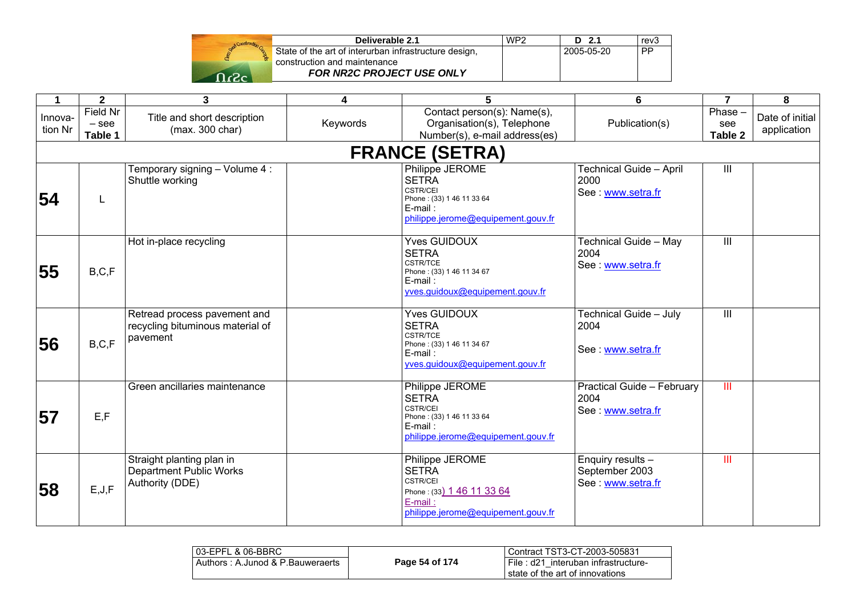| <b>Menboo</b> * |            |
|-----------------|------------|
|                 | Sta<br>col |
|                 |            |
|                 |            |

| Deliverable 2.1                                       | WP <sub>2</sub> | $D$ 2.1    | rev3      |
|-------------------------------------------------------|-----------------|------------|-----------|
| State of the art of interurban infrastructure design, |                 | 2005-05-20 | <b>PP</b> |
| construction and maintenance                          |                 |            |           |
| <b>FOR NR2C PROJECT USE ONLY</b>                      |                 |            |           |

| 1                  | $\mathbf{2}$                   | 3                                                                              | 4        | 5                                                                                                                                   | 6                                                        | $\overline{7}$                     | 8                              |
|--------------------|--------------------------------|--------------------------------------------------------------------------------|----------|-------------------------------------------------------------------------------------------------------------------------------------|----------------------------------------------------------|------------------------------------|--------------------------------|
| Innova-<br>tion Nr | Field Nr<br>$-$ see<br>Table 1 | Title and short description<br>(max. 300 char)                                 | Keywords | Contact person(s): Name(s),<br>Organisation(s), Telephone<br>Number(s), e-mail address(es)                                          | Publication(s)                                           | Phase-<br>see<br>Table 2           | Date of initial<br>application |
|                    |                                |                                                                                |          | <b>FRANCE (SETRA)</b>                                                                                                               |                                                          |                                    |                                |
| 54                 | L                              | Temporary signing - Volume 4:<br>Shuttle working                               |          | Philippe JEROME<br><b>SETRA</b><br><b>CSTR/CEI</b><br>Phone: (33) 1 46 11 33 64<br>E-mail:<br>philippe.jerome@equipement.gouv.fr    | Technical Guide - April<br>2000<br>See www.setra.fr      | $\ensuremath{\mathsf{III}}\xspace$ |                                |
| 55                 | B, C, F                        | Hot in-place recycling                                                         |          | <b>Yves GUIDOUX</b><br><b>SETRA</b><br>CSTR/TCE<br>Phone: (33) 1 46 11 34 67<br>$E$ -mail:<br>vves.guidoux@equipement.gouv.fr       | Technical Guide - May<br>2004<br>See www.setra.fr        | $\overline{\mathbb{H}}$            |                                |
| 56                 | B, C, F                        | Retread process pavement and<br>recycling bituminous material of<br>pavement   |          | <b>Yves GUIDOUX</b><br><b>SETRA</b><br><b>CSTR/TCE</b><br>Phone: (33) 1 46 11 34 67<br>E-mail:<br>yves.guidoux@equipement.gouv.fr   | Technical Guide - July<br>2004<br>See www.setra.fr       | III                                |                                |
| 57                 | E, F                           | Green ancillaries maintenance                                                  |          | Philippe JEROME<br><b>SETRA</b><br><b>CSTR/CEI</b><br>Phone: (33) 1 46 11 33 64<br>$E$ -mail:<br>philippe.jerome@equipement.gouv.fr | Practical Guide - February<br>2004<br>See www.setra.fr   | $\overline{\mathsf{III}}$          |                                |
| 58                 | E, J, F                        | Straight planting plan in<br><b>Department Public Works</b><br>Authority (DDE) |          | Philippe JEROME<br><b>SETRA</b><br><b>CSTR/CEI</b><br>Phone: (33) 1 46 11 33 64<br>E-mail:<br>philippe.jerome@equipement.gouv.fr    | Enquiry results -<br>September 2003<br>See: www.setra.fr | Ш                                  |                                |

| 103-EPFL & 06-BBRC                  |                | Contract TST3-CT-2003-505831                                           |
|-------------------------------------|----------------|------------------------------------------------------------------------|
| i Authors : A.Junod & P.Bauweraerts | Page 54 of 174 | File: d21 interuban infrastructure-<br>state of the art of innovations |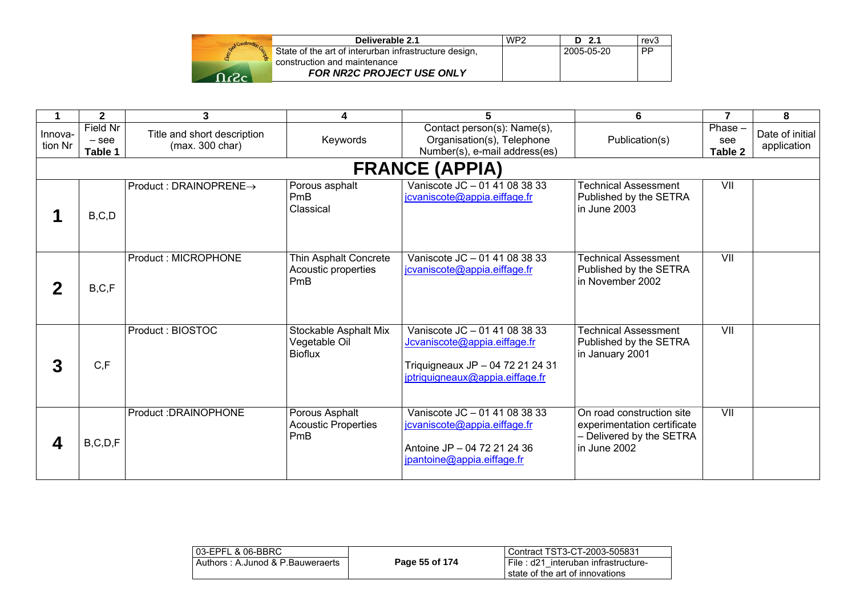| Deliverable 2.1                                                                       | WP <sub>2</sub> | D 2.1      | rev3      |
|---------------------------------------------------------------------------------------|-----------------|------------|-----------|
| State of the art of interurban infrastructure design,<br>construction and maintenance |                 | 2005-05-20 | <b>PP</b> |
| FOR NR2C PROJECT USE ONLY                                                             |                 |            |           |

|                    | $\overline{2}$                 | 3                                              | 4                                                        | 5                                                                                                                                    | 6                                                                                                    | $\overline{7}$            | 8                              |
|--------------------|--------------------------------|------------------------------------------------|----------------------------------------------------------|--------------------------------------------------------------------------------------------------------------------------------------|------------------------------------------------------------------------------------------------------|---------------------------|--------------------------------|
| Innova-<br>tion Nr | Field Nr<br>$-$ see<br>Table 1 | Title and short description<br>(max. 300 char) | Keywords                                                 | Contact person(s): Name(s),<br>Organisation(s), Telephone<br>Number(s), e-mail address(es)                                           | Publication(s)                                                                                       | Phase -<br>see<br>Table 2 | Date of initial<br>application |
|                    | <b>FRANCE (APPIA)</b>          |                                                |                                                          |                                                                                                                                      |                                                                                                      |                           |                                |
|                    | B, C, D                        | $Product: DRAINOPRENE \rightarrow$             | Porous asphalt<br>PmB<br>Classical                       | Vaniscote JC - 01 41 08 38 33<br>jcvaniscote@appia.eiffage.fr                                                                        | <b>Technical Assessment</b><br>Published by the SETRA<br>lin June 2003                               | $\overline{\mathsf{V}}$   |                                |
|                    | B, C, F                        | Product: MICROPHONE                            | Thin Asphalt Concrete<br>Acoustic properties<br>PmB      | Vaniscote JC - 01 41 08 38 33<br>icvaniscote@appia.eiffage.fr                                                                        | <b>Technical Assessment</b><br>Published by the SETRA<br>lin November 2002                           | VII                       |                                |
| 3                  | C, F                           | Product: BIOSTOC                               | Stockable Asphalt Mix<br>Vegetable Oil<br><b>Bioflux</b> | Vaniscote JC - 01 41 08 38 33<br>Jcvaniscote@appia.eiffage.fr<br>Triquigneaux JP - 04 72 21 24 31<br>jptriquigneaux@appia.eiffage.fr | <b>Technical Assessment</b><br>Published by the SETRA<br>in January 2001                             | VII                       |                                |
|                    | B, C, D, F                     | Product: DRAINOPHONE                           | Porous Asphalt<br><b>Acoustic Properties</b><br>PmB      | Vaniscote JC - 01 41 08 38 33<br>jcvaniscote@appia.eiffage.fr<br>Antoine JP - 04 72 21 24 36<br>jpantoine@appia.eiffage.fr           | On road construction site<br>experimentation certificate<br>- Delivered by the SETRA<br>in June 2002 | VII                       |                                |

| 03-EPFL & 06-BBRC                |                | Contract TST3-CT-2003-505831                                           |
|----------------------------------|----------------|------------------------------------------------------------------------|
| Authors: A.Junod & P.Bauweraerts | Page 55 of 174 | File: d21 interuban infrastructure-<br>state of the art of innovations |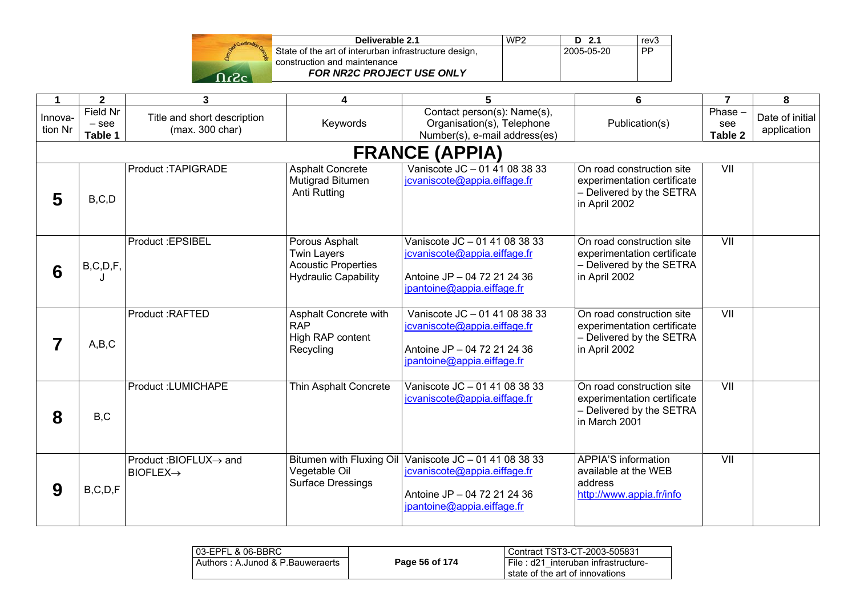|  | Stand Construction |
|--|--------------------|
|  |                    |
|  |                    |

| Deliverable 2.1                                       | WP <sub>2</sub> | $D$ 2.1    | rev <sub>3</sub> |
|-------------------------------------------------------|-----------------|------------|------------------|
| State of the art of interurban infrastructure design, |                 | 2005-05-20 | . PP             |
| construction and maintenance                          |                 |            |                  |
| <b>FOR NR2C PROJECT USE ONLY</b>                      |                 |            |                  |

| 1                  | $\mathbf{2}$                          | 3                                              | 4                                                                                                 | 5                                                                                                                                                   | 6                                                                                                     | $\overline{7}$            | 8                              |
|--------------------|---------------------------------------|------------------------------------------------|---------------------------------------------------------------------------------------------------|-----------------------------------------------------------------------------------------------------------------------------------------------------|-------------------------------------------------------------------------------------------------------|---------------------------|--------------------------------|
| Innova-<br>tion Nr | <b>Field Nr</b><br>$-$ see<br>Table 1 | Title and short description<br>(max. 300 char) | Keywords                                                                                          | Contact person(s): Name(s),<br>Organisation(s), Telephone<br>Number(s), e-mail address(es)                                                          | Publication(s)                                                                                        | Phase -<br>see<br>Table 2 | Date of initial<br>application |
|                    |                                       |                                                |                                                                                                   | <b>FRANCE (APPIA)</b>                                                                                                                               |                                                                                                       |                           |                                |
| 5                  | B, C, D                               | Product:TAPIGRADE                              | <b>Asphalt Concrete</b><br>Mutigrad Bitumen<br>Anti Rutting                                       | Vaniscote JC - 01 41 08 38 33<br>jcvaniscote@appia.eiffage.fr                                                                                       | On road construction site<br>experimentation certificate<br>- Delivered by the SETRA<br>in April 2002 | VII                       |                                |
| 6                  | B, C, D, F,                           | Product : EPSIBEL                              | Porous Asphalt<br><b>Twin Layers</b><br><b>Acoustic Properties</b><br><b>Hydraulic Capability</b> | Vaniscote JC - 01 41 08 38 33<br>jcvaniscote@appia.eiffage.fr<br>Antoine JP - 04 72 21 24 36<br>jpantoine@appia.eiffage.fr                          | On road construction site<br>experimentation certificate<br>- Delivered by the SETRA<br>in April 2002 | VII                       |                                |
|                    | A,B,C                                 | Product: RAFTED                                | Asphalt Concrete with<br><b>RAP</b><br>High RAP content<br>Recycling                              | Vaniscote JC - 01 41 08 38 33<br>jcvaniscote@appia.eiffage.fr<br>Antoine JP - 04 72 21 24 36<br>jpantoine@appia.eiffage.fr                          | On road construction site<br>experimentation certificate<br>- Delivered by the SETRA<br>in April 2002 | VII                       |                                |
| 8                  | B, C                                  | Product:LUMICHAPE                              | Thin Asphalt Concrete                                                                             | Vaniscote JC - 01 41 08 38 33<br>jcvaniscote@appia.eiffage.fr                                                                                       | On road construction site<br>experimentation certificate<br>- Delivered by the SETRA<br>in March 2001 | VII                       |                                |
| 9                  | B, C, D, F                            | Product:BIOFLUX→ and<br>$BIOFLEX \rightarrow$  | Vegetable Oil<br><b>Surface Dressings</b>                                                         | Bitumen with Fluxing Oil Vaniscote JC - 01 41 08 38 33<br>jcvaniscote@appia.eiffage.fr<br>Antoine JP - 04 72 21 24 36<br>jpantoine@appia.eiffage.fr | <b>APPIA'S information</b><br>available at the WEB<br>address<br>http://www.appia.fr/info             | VII                       |                                |

| 03-EPFL & 06-BBRC                |                | l Contract TST3-CT-2003-505831                                            |
|----------------------------------|----------------|---------------------------------------------------------------------------|
| Authors: A.Junod & P.Bauweraerts | Page 56 of 174 | l File : d21 interuban infrastructure-<br>state of the art of innovations |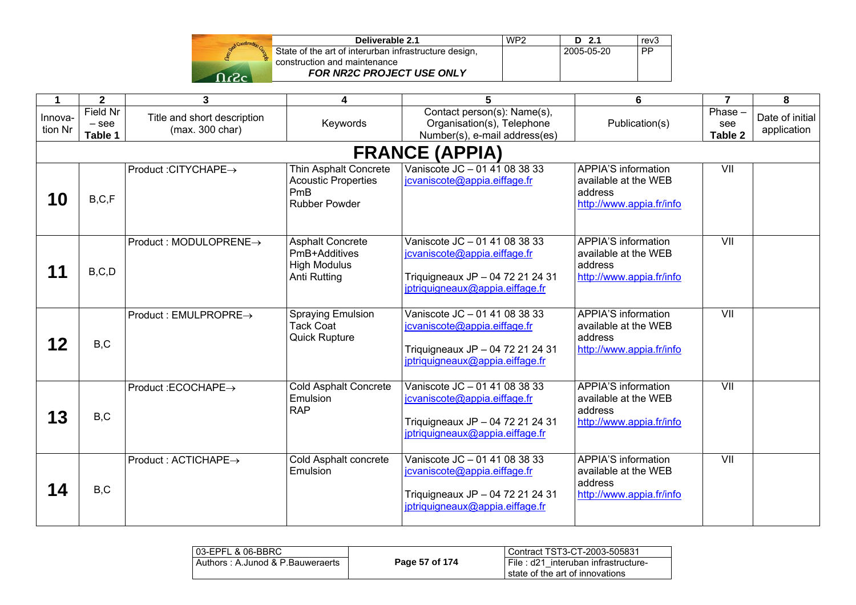

| Deliverable 2.1                                       | WP <sub>2</sub> | $D$ 2.1    | rev <sub>3</sub> |
|-------------------------------------------------------|-----------------|------------|------------------|
| State of the art of interurban infrastructure design, |                 | 2005-05-20 | <b>PP</b>        |
| construction and maintenance                          |                 |            |                  |
| <b>FOR NR2C PROJECT USE ONLY</b>                      |                 |            |                  |

| 1                  | $\overline{2}$                 | 3                                              | 4                                                                                  | 5                                                                                                                                    | 6                                                                                         | $\overline{7}$              | 8                              |
|--------------------|--------------------------------|------------------------------------------------|------------------------------------------------------------------------------------|--------------------------------------------------------------------------------------------------------------------------------------|-------------------------------------------------------------------------------------------|-----------------------------|--------------------------------|
| Innova-<br>tion Nr | Field Nr<br>$-$ see<br>Table 1 | Title and short description<br>(max. 300 char) | Keywords                                                                           | Contact person(s): Name(s),<br>Organisation(s), Telephone<br>Number(s), e-mail address(es)                                           | Publication(s)                                                                            | $Phase -$<br>see<br>Table 2 | Date of initial<br>application |
|                    |                                |                                                |                                                                                    | <b>FRANCE (APPIA)</b>                                                                                                                |                                                                                           |                             |                                |
| 10                 | B, C, F                        | Product : CITYCHAPE→                           | Thin Asphalt Concrete<br><b>Acoustic Properties</b><br>PmB<br><b>Rubber Powder</b> | Vaniscote JC - 01 41 08 38 33<br>jcvaniscote@appia.eiffage.fr                                                                        | <b>APPIA'S information</b><br>available at the WEB<br>address<br>http://www.appia.fr/info | $\overline{\mathsf{V}}$     |                                |
|                    | B, C, D                        | Product : MODULOPRENE→                         | <b>Asphalt Concrete</b><br>PmB+Additives<br><b>High Modulus</b><br>Anti Rutting    | Vaniscote JC - 01 41 08 38 33<br>jcvaniscote@appia.eiffage.fr<br>Triquigneaux JP - 04 72 21 24 31<br>jptriquigneaux@appia.eiffage.fr | <b>APPIA'S information</b><br>available at the WEB<br>address<br>http://www.appia.fr/info | VII                         |                                |
| 12                 | B, C                           | $Product: EMULPROPRE \rightarrow$              | <b>Spraying Emulsion</b><br><b>Tack Coat</b><br><b>Quick Rupture</b>               | Vaniscote JC - 01 41 08 38 33<br>jcvaniscote@appia.eiffage.fr<br>Triquigneaux JP - 04 72 21 24 31<br>jptriquigneaux@appia.eiffage.fr | <b>APPIA'S information</b><br>available at the WEB<br>address<br>http://www.appia.fr/info |                             |                                |
| 13                 | B, C                           | Product :ECOCHAPE→                             | <b>Cold Asphalt Concrete</b><br>Emulsion<br><b>RAP</b>                             | Vaniscote JC - 01 41 08 38 33<br>jcvaniscote@appia.eiffage.fr<br>Triquigneaux JP - 04 72 21 24 31<br>jptriquigneaux@appia.eiffage.fr | <b>APPIA'S information</b><br>available at the WEB<br>address<br>http://www.appia.fr/info | VII                         |                                |
| 14                 | B, C                           | Product : ACTICHAPE→                           | Cold Asphalt concrete<br>Emulsion                                                  | Vaniscote JC - 01 41 08 38 33<br>jcvaniscote@appia.eiffage.fr<br>Triquigneaux JP - 04 72 21 24 31<br>jptriquigneaux@appia.eiffage.fr | <b>APPIA'S information</b><br>available at the WEB<br>address<br>http://www.appia.fr/info | VII                         |                                |

| l 03-EPFL & 06-BBRC              |                | Contract TST3-CT-2003-505831                                           |
|----------------------------------|----------------|------------------------------------------------------------------------|
| Authors: A.Junod & P.Bauweraerts | Page 57 of 174 | File: d21 interuban infrastructure-<br>state of the art of innovations |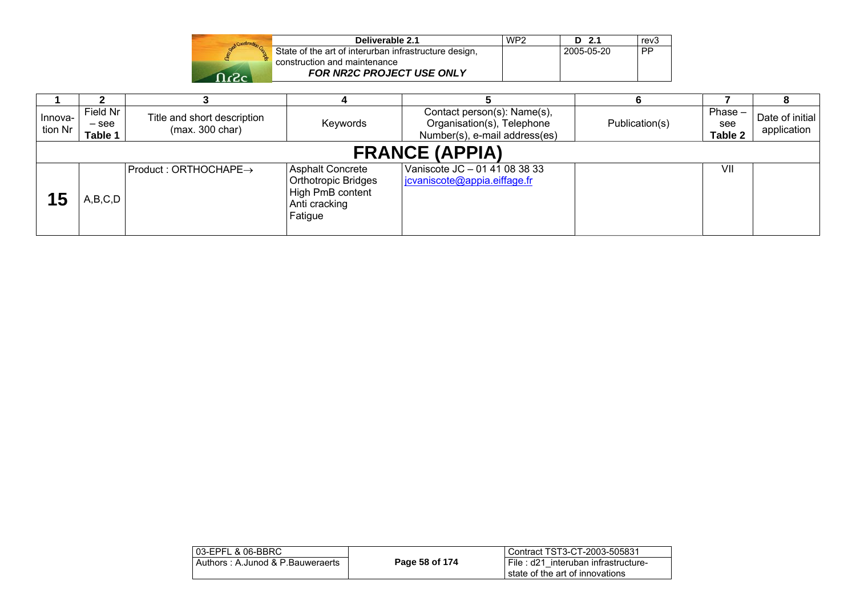|         | Deliverable 2.1                                       | WP <sub>2</sub> | D 2.1      | rev3      |
|---------|-------------------------------------------------------|-----------------|------------|-----------|
|         | State of the art of interurban infrastructure design, |                 | 2005-05-20 | <b>PP</b> |
|         | construction and maintenance                          |                 |            |           |
| - כי∠ ר | <b>FOR NR2C PROJECT USE ONLY</b>                      |                 |            |           |

| Innova-<br>tion Nr | Field Nr<br>– see<br>Table 1 | Title and short description<br>(max. 300 char) | Keywords                                                                                              | Contact person(s): Name(s),<br>Organisation(s), Telephone<br>Number(s), e-mail address(es) | Publication(s) | $Phase -$<br>see<br>Table 2 | Date of initial<br>application |
|--------------------|------------------------------|------------------------------------------------|-------------------------------------------------------------------------------------------------------|--------------------------------------------------------------------------------------------|----------------|-----------------------------|--------------------------------|
|                    |                              |                                                |                                                                                                       | <b>FRANCE (APPIA)</b>                                                                      |                |                             |                                |
|                    | A,B,C,D                      | $Product: ORTHOCHAPE \rightarrow$              | <b>Asphalt Concrete</b><br><b>Orthotropic Bridges</b><br>High PmB content<br>Anti cracking<br>Fatigue | Vaniscote JC - 01 41 08 38 33<br>jcvaniscote@appia.eiffage.fr                              |                | VII                         |                                |

| l 03-EPFL & 06-BBRC_               |                | Contract TST3-CT-2003-505831                                             |
|------------------------------------|----------------|--------------------------------------------------------------------------|
| ⊦Authors : A.Junod & P.Bauweraerts | Page 58 of 174 | File: d21 interuban infrastructure-<br>l state of the art of innovations |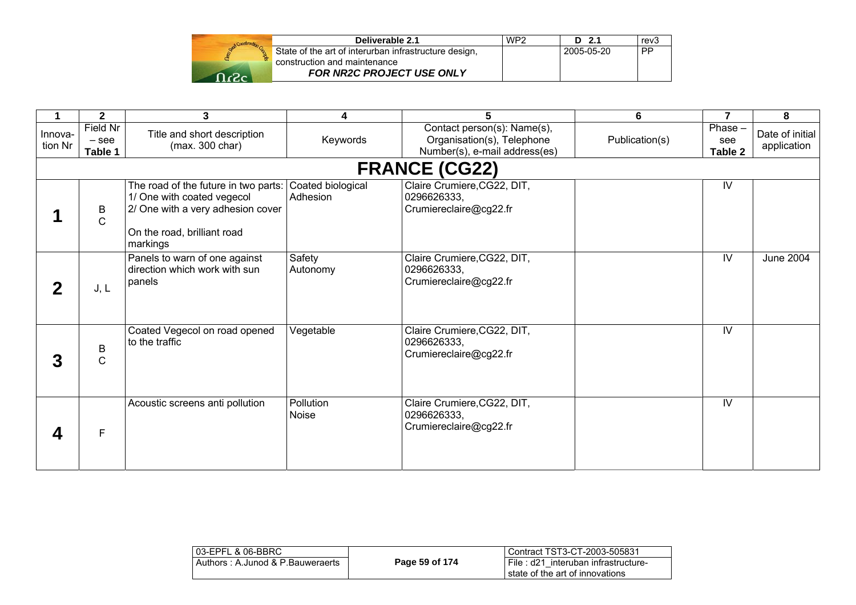| Deliverable 2.1                                                                       | WP <sub>2</sub> | $D$ 2.1    | rev3 |
|---------------------------------------------------------------------------------------|-----------------|------------|------|
| State of the art of interurban infrastructure design,<br>construction and maintenance |                 | 2005-05-20 | . PP |
| <b>FOR NR2C PROJECT USE ONLY</b>                                                      |                 |            |      |

|                    | $\mathbf{2}$                   | 3                                                                                                                                                  | 4                             | 5                                                                                          | 6              | $\overline{7}$              | 8                              |
|--------------------|--------------------------------|----------------------------------------------------------------------------------------------------------------------------------------------------|-------------------------------|--------------------------------------------------------------------------------------------|----------------|-----------------------------|--------------------------------|
| Innova-<br>tion Nr | Field Nr<br>$-$ see<br>Table 1 | Title and short description<br>(max. 300 char)                                                                                                     | Keywords                      | Contact person(s): Name(s),<br>Organisation(s), Telephone<br>Number(s), e-mail address(es) | Publication(s) | $Phase -$<br>see<br>Table 2 | Date of initial<br>application |
|                    |                                |                                                                                                                                                    |                               | <b>FRANCE (CG22)</b>                                                                       |                |                             |                                |
|                    | B<br>$\mathsf{C}$              | The road of the future in two parts:<br>1/ One with coated vegecol<br>2/ One with a very adhesion cover<br>On the road, brilliant road<br>markings | Coated biological<br>Adhesion | Claire Crumiere, CG22, DIT,<br>0296626333,<br>Crumiereclaire@cg22.fr                       |                | IV                          |                                |
|                    | J, L                           | Panels to warn of one against<br>direction which work with sun<br>panels                                                                           | Safety<br>Autonomy            | Claire Crumiere, CG22, DIT,<br>0296626333,<br>Crumiereclaire@cg22.fr                       |                | $\overline{\mathsf{N}}$     | <b>June 2004</b>               |
| 3                  | B<br>$\mathsf{C}$              | Coated Vegecol on road opened<br>to the traffic                                                                                                    | Vegetable                     | Claire Crumiere, CG22, DIT,<br>0296626333,<br>Crumiereclaire@cg22.fr                       |                | IV                          |                                |
|                    | F                              | Acoustic screens anti pollution                                                                                                                    | Pollution<br>Noise            | Claire Crumiere, CG22, DIT,<br>0296626333,<br>Crumiereclaire@cg22.fr                       |                | $\overline{N}$              |                                |

| 03-EPFL & 06-BBRC                |                | Contract TST3-CT-2003-505831                                           |
|----------------------------------|----------------|------------------------------------------------------------------------|
| Authors: A.Junod & P.Bauweraerts | Page 59 of 174 | File: d21 interuban infrastructure-<br>state of the art of innovations |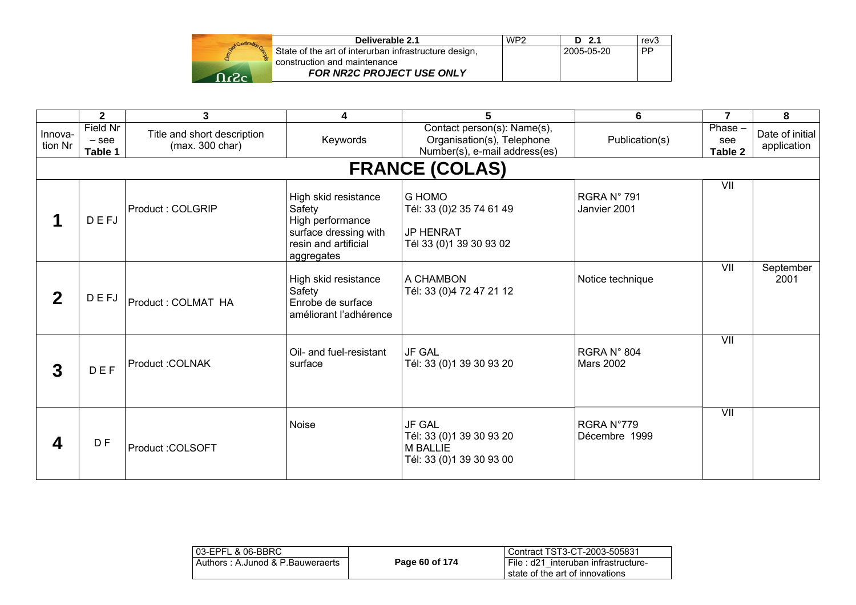|           | Deliverable 2.1                                       | WP <sub>2</sub> | D 2.1      | rev3      |
|-----------|-------------------------------------------------------|-----------------|------------|-----------|
|           | State of the art of interurban infrastructure design, |                 | 2005-05-20 | <b>PP</b> |
|           | construction and maintenance                          |                 |            |           |
| $\n  0 2$ | FOR NR2C PROJECT USE ONLY                             |                 |            |           |

|                    | $\mathbf{2}$                   | 3                                              | 4                                                                                                                 | 5                                                                                          | 6                               | $\overline{7}$            | 8                              |
|--------------------|--------------------------------|------------------------------------------------|-------------------------------------------------------------------------------------------------------------------|--------------------------------------------------------------------------------------------|---------------------------------|---------------------------|--------------------------------|
| Innova-<br>tion Nr | Field Nr<br>$-$ see<br>Table 1 | Title and short description<br>(max. 300 char) | Keywords                                                                                                          | Contact person(s): Name(s),<br>Organisation(s), Telephone<br>Number(s), e-mail address(es) | Publication(s)                  | Phase -<br>see<br>Table 2 | Date of initial<br>application |
|                    |                                |                                                |                                                                                                                   | <b>FRANCE (COLAS)</b>                                                                      |                                 |                           |                                |
|                    | DEFJ                           | Product: COLGRIP                               | High skid resistance<br>Safety<br>High performance<br>surface dressing with<br>resin and artificial<br>aggregates | <b>G HOMO</b><br>Tél: 33 (0)2 35 74 61 49<br>JP HENRAT<br>Tél 33 (0) 1 39 30 93 02         | RGRA N° 791<br>Janvier 2001     | VII                       |                                |
| $\mathbf{2}$       | <b>DEFJ</b>                    | Product: COLMAT HA                             | High skid resistance<br>Safety<br>Enrobe de surface<br>améliorant l'adhérence                                     | I A CHAMBON<br>Tél: 33 (0)4 72 47 21 12                                                    | Notice technique                | $\overline{\mathsf{V}}$   | September<br>2001              |
| 3                  | DEF                            | Product: COLNAK                                | Oil- and fuel-resistant<br>surface                                                                                | <b>JF GAL</b><br>Tél: 33 (0)1 39 30 93 20                                                  | RGRA N° 804<br><b>Mars 2002</b> | VII                       |                                |
| 4                  | D <sub>F</sub>                 | Product : COLSOFT                              | Noise                                                                                                             | <b>JF GAL</b><br>Tél: 33 (0)1 39 30 93 20<br>M BALLIE<br>Tél: 33 (0)1 39 30 93 00          | RGRA N°779<br>Décembre 1999     | VII                       |                                |

| l 03-EPFL & 06-BBRC              |                | l Contract TST3-CT-2003-505831                                            |
|----------------------------------|----------------|---------------------------------------------------------------------------|
| Authors: A.Junod & P.Bauweraerts | Page 60 of 174 | l File : d21 interuban infrastructure-<br>state of the art of innovations |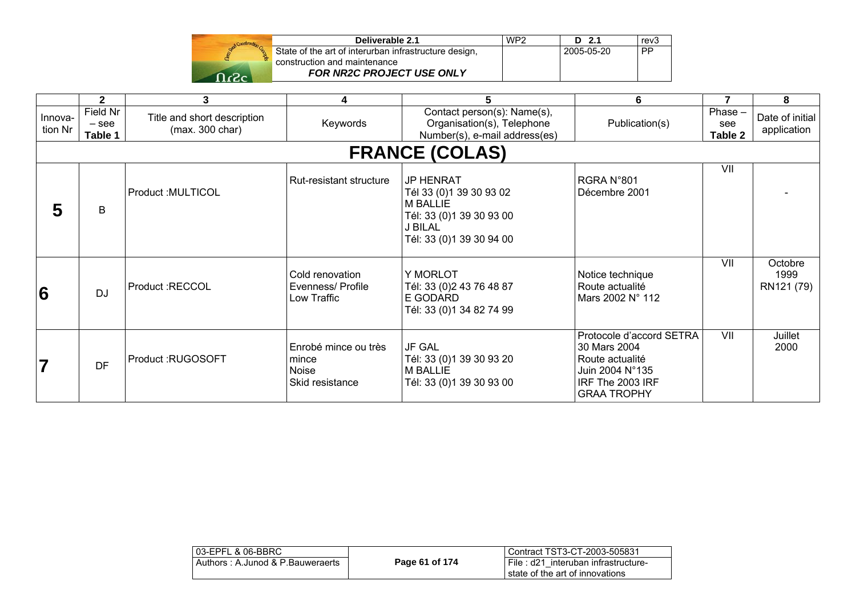|       | Deliverable 2.1                                       | WP <sub>2</sub> | D 2.1      | rev3      |
|-------|-------------------------------------------------------|-----------------|------------|-----------|
|       | State of the art of interurban infrastructure design, |                 | 2005-05-20 | <b>PP</b> |
|       | construction and maintenance                          |                 |            |           |
| ⊸כי ∩ | <b>FOR NR2C PROJECT USE ONLY</b>                      |                 |            |           |

|                    | $\mathbf{2}$                   | 3                                              | 4                                                         |                                                                                                                                   | 6                                                                                                                        | $\overline{7}$              | 8                              |
|--------------------|--------------------------------|------------------------------------------------|-----------------------------------------------------------|-----------------------------------------------------------------------------------------------------------------------------------|--------------------------------------------------------------------------------------------------------------------------|-----------------------------|--------------------------------|
| Innova-<br>tion Nr | Field Nr<br>$-$ see<br>Table 1 | Title and short description<br>(max. 300 char) | Keywords                                                  | Contact person(s): Name(s),<br>Organisation(s), Telephone<br>Number(s), e-mail address(es)                                        | Publication(s)                                                                                                           | $Phase -$<br>see<br>Table 2 | Date of initial<br>application |
|                    |                                |                                                |                                                           | <b>FRANCE (COLAS)</b>                                                                                                             |                                                                                                                          |                             |                                |
| 5                  | B                              | Product : MULTICOL                             | Rut-resistant structure                                   | <b>JP HENRAT</b><br>Tél 33 (0)1 39 30 93 02<br><b>M BALLIE</b><br>Tél: 33 (0)1 39 30 93 00<br>J BILAL<br>Tél: 33 (0)1 39 30 94 00 | RGRA N°801<br>Décembre 2001                                                                                              | VII                         |                                |
| 6                  | <b>DJ</b>                      | Product :RECCOL                                | Cold renovation<br>Evenness/ Profile<br>Low Traffic       | Y MORLOT<br>Tél: 33 (0) 2 43 76 48 87<br>E GODARD<br>Tél: 33 (0)1 34 82 74 99                                                     | Notice technique<br>Route actualité<br>Mars 2002 N° 112                                                                  | VII                         | Octobre<br>1999<br>RN121 (79)  |
| $\overline{7}$     | <b>DF</b>                      | Product:RUGOSOFT                               | Enrobé mince ou très<br>mince<br>Noise<br>Skid resistance | <b>JF GAL</b><br>Tél: 33 (0)1 39 30 93 20<br><b>M BALLIE</b><br>Tél: 33 (0)1 39 30 93 00                                          | Protocole d'accord SETRA<br>30 Mars 2004<br>Route actualité<br>Juin 2004 N°135<br>IRF The 2003 IRF<br><b>GRAA TROPHY</b> | VII                         | Juillet<br>2000                |

| 03-EPFL & 06-BBRC                |                | Contract TST3-CT-2003-505831                                                |
|----------------------------------|----------------|-----------------------------------------------------------------------------|
| Authors: A.Junod & P.Bauweraerts | Page 61 of 174 | i File : d21 interuban infrastructure-<br>I state of the art of innovations |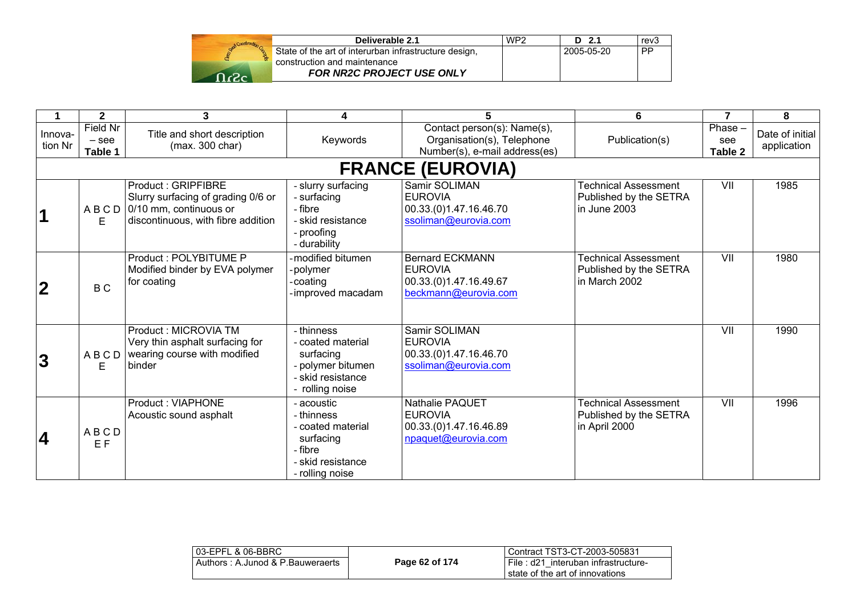| Deliverable 2.1                                                                       | WP <sub>2</sub> | D 2.1      | rev3      |
|---------------------------------------------------------------------------------------|-----------------|------------|-----------|
| State of the art of interurban infrastructure design,<br>construction and maintenance |                 | 2005-05-20 | <b>PP</b> |
| FOR NR2C PROJECT USE ONLY                                                             |                 |            |           |

|                    | $\mathbf{2}$                   | 3                                                                                                                               | 4                                                                                                             | 5                                                                                          | 6                                                                      | $\overline{7}$            | 8                              |
|--------------------|--------------------------------|---------------------------------------------------------------------------------------------------------------------------------|---------------------------------------------------------------------------------------------------------------|--------------------------------------------------------------------------------------------|------------------------------------------------------------------------|---------------------------|--------------------------------|
| Innova-<br>tion Nr | Field Nr<br>$-$ see<br>Table 1 | Title and short description<br>(max. 300 char)                                                                                  | Keywords                                                                                                      | Contact person(s): Name(s),<br>Organisation(s), Telephone<br>Number(s), e-mail address(es) | Publication(s)                                                         | Phase -<br>see<br>Table 2 | Date of initial<br>application |
|                    | <b>FRANCE (EUROVIA)</b>        |                                                                                                                                 |                                                                                                               |                                                                                            |                                                                        |                           |                                |
|                    | ABCD<br>E                      | <b>Product: GRIPFIBRE</b><br>Slurry surfacing of grading 0/6 or<br>0/10 mm, continuous or<br>discontinuous, with fibre addition | - slurry surfacing<br>- surfacing<br>- fibre<br>- skid resistance<br>- proofing<br>- durability               | Samir SOLIMAN<br><b>EUROVIA</b><br>00.33.(0)1.47.16.46.70<br>ssoliman@eurovia.com          | <b>Technical Assessment</b><br>Published by the SETRA<br>lin June 2003 | VII                       | 1985                           |
| $\mathbf 2$        | B C                            | Product: POLYBITUME P<br>Modified binder by EVA polymer<br>for coating                                                          | modified bitumen<br>polymer<br>coating<br>improved macadam                                                    | <b>Bernard ECKMANN</b><br><b>EUROVIA</b><br>00.33.(0)1.47.16.49.67<br>beckmann@eurovia.com | <b>Technical Assessment</b><br>Published by the SETRA<br>in March 2002 | $\overline{\mathsf{V}}$   | 1980                           |
| 3                  | <b>ABCD</b><br>E               | Product: MICROVIA TM<br>Very thin asphalt surfacing for<br>wearing course with modified<br>binder                               | - thinness<br>- coated material<br>surfacing<br>- polymer bitumen<br>- skid resistance<br>rolling noise       | Samir SOLIMAN<br><b>EUROVIA</b><br>00.33.(0)1.47.16.46.70<br>ssoliman@eurovia.com          |                                                                        | VII                       | 1990                           |
| 4                  | ABCD<br>EF                     | <b>Product: VIAPHONE</b><br>Acoustic sound asphalt                                                                              | - acoustic<br>- thinness<br>- coated material<br>surfacing<br>- fibre<br>- skid resistance<br>- rolling noise | Nathalie PAQUET<br><b>EUROVIA</b><br>00.33.(0)1.47.16.46.89<br>npaquet@eurovia.com         | <b>Technical Assessment</b><br>Published by the SETRA<br>in April 2000 | $\overline{\mathsf{V}}$   | 1996                           |

| l 03-EPFL & 06-BBRC_             |                | Contract TST3-CT-2003-505831                                           |
|----------------------------------|----------------|------------------------------------------------------------------------|
| Authors: A.Junod & P.Bauweraerts | Page 62 of 174 | File: d21 interuban infrastructure-<br>state of the art of innovations |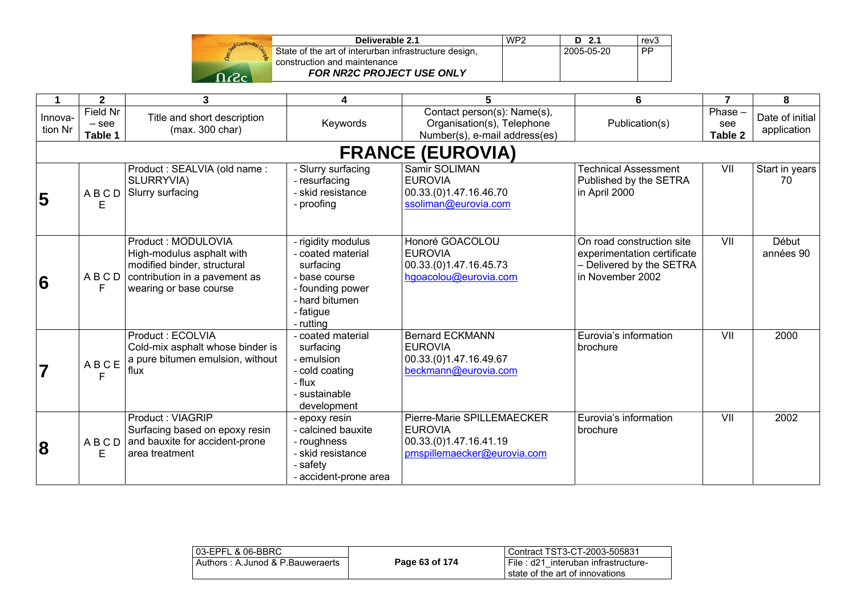

| Deliverable 2.1                                       | WP <sub>2</sub> | $D$ 2.1    | rev <sub>3</sub> |
|-------------------------------------------------------|-----------------|------------|------------------|
| State of the art of interurban infrastructure design, |                 | 2005-05-20 | <b>PP</b>        |
| construction and maintenance                          |                 |            |                  |
| <b>FOR NR2C PROJECT USE ONLY</b>                      |                 |            |                  |

|                         | $\mathbf{2}$                                                    | 3                                                                                                                                         | 4                                                                                                                                     | 5                                                                                                     | 6                                                                                                        | $\overline{7}$            | 8                              |
|-------------------------|-----------------------------------------------------------------|-------------------------------------------------------------------------------------------------------------------------------------------|---------------------------------------------------------------------------------------------------------------------------------------|-------------------------------------------------------------------------------------------------------|----------------------------------------------------------------------------------------------------------|---------------------------|--------------------------------|
| Innova-<br>tion Nr      | <b>Field Nr</b><br>$-$ see<br>Table 1                           | Title and short description<br>(max. 300 char)                                                                                            | Keywords                                                                                                                              | Contact person(s): Name(s),<br>Organisation(s), Telephone<br>Number(s), e-mail address(es)            | Publication(s)                                                                                           | Phase -<br>see<br>Table 2 | Date of initial<br>application |
|                         |                                                                 |                                                                                                                                           |                                                                                                                                       | <b>FRANCE (EUROVIA)</b>                                                                               |                                                                                                          |                           |                                |
| 5                       | ABCD<br>Е                                                       | Product: SEALVIA (old name:<br>SLURRYVIA)<br>Slurry surfacing                                                                             | - Slurry surfacing<br>- resurfacing<br>- skid resistance<br>- proofing                                                                | Samir SOLIMAN<br><b>EUROVIA</b><br>00.33.(0)1.47.16.46.70<br>ssoliman@eurovia.com                     | <b>Technical Assessment</b><br>Published by the SETRA<br>in April 2000                                   | VII                       | Start in years<br>70           |
| 6                       | ABCD<br>F                                                       | Product: MODULOVIA<br>High-modulus asphalt with<br>modified binder, structural<br>contribution in a pavement as<br>wearing or base course | - rigidity modulus<br>- coated material<br>surfacing<br>- base course<br>- founding power<br>- hard bitumen<br>- fatigue<br>- rutting | Honoré GOACOLOU<br><b>EUROVIA</b><br>00.33.(0)1.47.16.45.73<br>hgoacolou@eurovia.com                  | On road construction site<br>experimentation certificate<br>- Delivered by the SETRA<br>in November 2002 | VII                       | Début<br>années 90             |
| $\overline{\mathbf{7}}$ | $\mathsf A\mathbin{\mathsf B}\mathbin{\mathsf C}\mathsf E$<br>F | Product: ECOLVIA<br>Cold-mix asphalt whose binder is<br>a pure bitumen emulsion, without<br>flux                                          | - coated material<br>surfacing<br>- emulsion<br>- cold coating<br>- flux<br>- sustainable<br>development                              | <b>Bernard ECKMANN</b><br><b>EUROVIA</b><br>00.33.(0)1.47.16.49.67<br>beckmann@eurovia.com            | Eurovia's information<br>brochure                                                                        | VII                       | 2000                           |
| $\bf{8}$                | <b>ABCD</b><br>E                                                | <b>Product: VIAGRIP</b><br>Surfacing based on epoxy resin<br>and bauxite for accident-prone<br>area treatment                             | - epoxy resin<br>- calcined bauxite<br>- roughness<br>- skid resistance<br>- safety<br>- accident-prone area                          | Pierre-Marie SPILLEMAECKER<br><b>EUROVIA</b><br>00.33.(0)1.47.16.41.19<br>pmspillemaecker@eurovia.com | Eurovia's information<br>brochure                                                                        | $\overline{\mathsf{V}}$   | 2002                           |

| 03-EPFL & 06-BBRC                |                | Contract TST3-CT-2003-505831                                              |
|----------------------------------|----------------|---------------------------------------------------------------------------|
| Authors: A.Junod & P.Bauweraerts | Page 63 of 174 | File: d21 interuban infrastructure-<br>l state of the art of innovations. |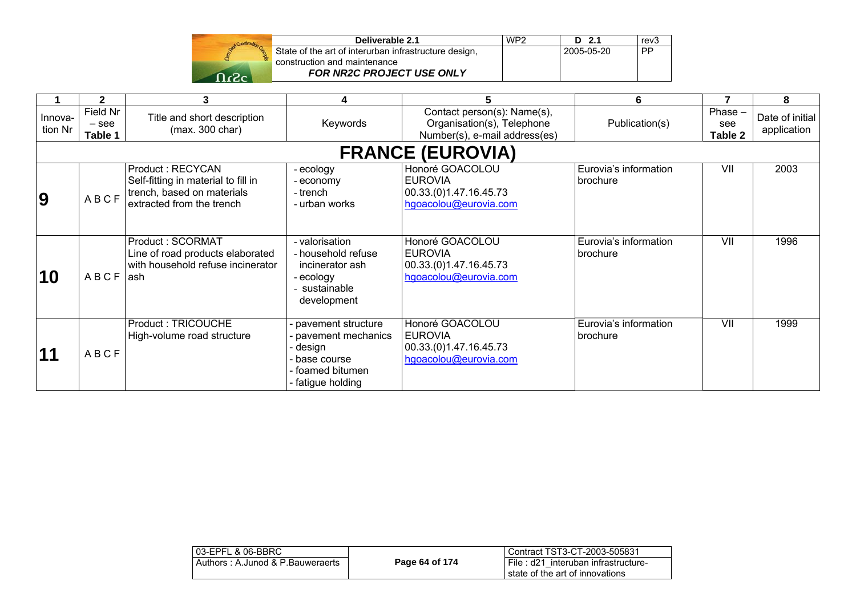

| Deliverable 2.1                                     | WP <sub>2</sub> | D 2.1      | rev <sub>3</sub> |
|-----------------------------------------------------|-----------------|------------|------------------|
| ate of the art of interurban infrastructure design, |                 | 2005-05-20 | <b>PP</b>        |
| nstruction and maintenance                          |                 |            |                  |
| <b>FOR NR2C PROJECT USE ONLY</b>                    |                 |            |                  |

|                    |                                | 3                                                                                                                  | 4                                                                                                        | 5                                                                                          | 6                                 |                             | 8                              |
|--------------------|--------------------------------|--------------------------------------------------------------------------------------------------------------------|----------------------------------------------------------------------------------------------------------|--------------------------------------------------------------------------------------------|-----------------------------------|-----------------------------|--------------------------------|
| Innova-<br>tion Nr | Field Nr<br>$-$ see<br>Table 1 | Title and short description<br>(max. 300 char)                                                                     | Keywords                                                                                                 | Contact person(s): Name(s),<br>Organisation(s), Telephone<br>Number(s), e-mail address(es) | Publication(s)                    | $Phase -$<br>see<br>Table 2 | Date of initial<br>application |
|                    |                                |                                                                                                                    |                                                                                                          | <b>FRANCE (EUROVIA)</b>                                                                    |                                   |                             |                                |
| <b>9</b>           | ABCF                           | Product: RECYCAN<br>Self-fitting in material to fill in<br>trench, based on materials<br>extracted from the trench | ecology<br>economy<br>- trench<br>- urban works                                                          | Honoré GOACOLOU<br><b>EUROVIA</b><br>00.33.(0)1.47.16.45.73<br>hgoacolou@eurovia.com       | Eurovia's information<br>brochure | VII                         | 2003                           |
| 10                 | ABCF                           | Product: SCORMAT<br>Line of road products elaborated<br>with household refuse incinerator<br>l ash                 | - valorisation<br>- household refuse<br>incinerator ash<br>ecology<br>sustainable<br>development         | Honoré GOACOLOU<br><b>EUROVIA</b><br>00.33.(0)1.47.16.45.73<br>hgoacolou@eurovia.com       | Eurovia's information<br>brochure | $\overline{\mathsf{V}}$     | 1996                           |
| 11                 | ABCF                           | Product: TRICOUCHE<br>High-volume road structure                                                                   | pavement structure<br>pavement mechanics<br>design<br>base course<br>foamed bitumen<br>- fatigue holding | Honoré GOACOLOU<br><b>EUROVIA</b><br>00.33.(0)1.47.16.45.73<br>hgoacolou@eurovia.com       | Eurovia's information<br>brochure | VII                         | 1999                           |

| l 03-EPFL & 06-BBRC_              |                | l Contract TST3-CT-2003-505831         |
|-----------------------------------|----------------|----------------------------------------|
| Authors : A.Junod & P.Bauweraerts | Page 64 of 174 | I File : d21 interuban infrastructure- |
|                                   |                | l state of the art of innovations      |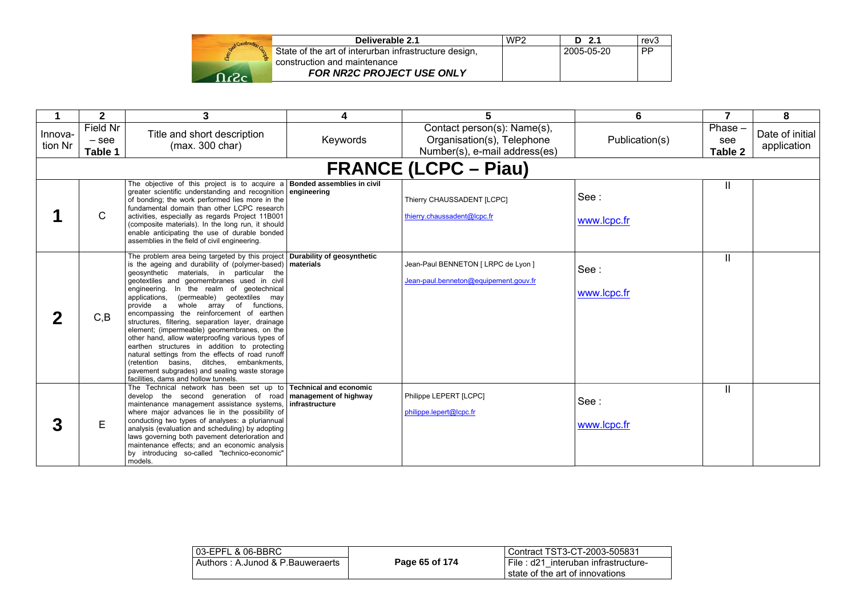|         | Deliverable 2.1                                       | WP <sub>2</sub> | D 2.1      | rev3      |
|---------|-------------------------------------------------------|-----------------|------------|-----------|
|         | State of the art of interurban infrastructure design, |                 | 2005-05-20 | <b>PP</b> |
|         | construction and maintenance                          |                 |            |           |
| - כז- ר | FOR NR2C PROJECT USE ONLY                             |                 |            |           |

|                    | $\mathbf{2}$                   | 3                                                                                                                                                                                                                                                                                                                                                                                                                                                                                                                                                                                                                                                                                                                                                                                                                       | 4              |                                                                                            | 6                   | $\overline{7}$              | 8                              |
|--------------------|--------------------------------|-------------------------------------------------------------------------------------------------------------------------------------------------------------------------------------------------------------------------------------------------------------------------------------------------------------------------------------------------------------------------------------------------------------------------------------------------------------------------------------------------------------------------------------------------------------------------------------------------------------------------------------------------------------------------------------------------------------------------------------------------------------------------------------------------------------------------|----------------|--------------------------------------------------------------------------------------------|---------------------|-----------------------------|--------------------------------|
| Innova-<br>tion Nr | Field Nr<br>$-$ see<br>Table 1 | Title and short description<br>(max. 300 char)                                                                                                                                                                                                                                                                                                                                                                                                                                                                                                                                                                                                                                                                                                                                                                          | Keywords       | Contact person(s): Name(s),<br>Organisation(s), Telephone<br>Number(s), e-mail address(es) | Publication(s)      | Phase $-$<br>see<br>Table 2 | Date of initial<br>application |
|                    |                                |                                                                                                                                                                                                                                                                                                                                                                                                                                                                                                                                                                                                                                                                                                                                                                                                                         |                | <b>FRANCE (LCPC – Piau)</b>                                                                |                     |                             |                                |
|                    | C                              | The objective of this project is to acquire a <b>Bonded assemblies in civil</b><br>greater scientific understanding and recognition engineering<br>of bonding; the work performed lies more in the<br>fundamental domain than other LCPC research<br>activities, especially as regards Project 11B001<br>(composite materials). In the long run, it should<br>enable anticipating the use of durable bonded<br>assemblies in the field of civil engineering.                                                                                                                                                                                                                                                                                                                                                            |                | Thierry CHAUSSADENT [LCPC]<br>thierry.chaussadent@lcpc.fr                                  | See:<br>www.lcpc.fr | Ш                           |                                |
| 2                  | C, B                           | The problem area being targeted by this project Durability of geosynthetic<br>is the ageing and durability of (polymer-based) materials<br>geosynthetic materials, in particular the<br>geotextiles and geomembranes used in civil<br>engineering. In the realm of geotechnical<br>(permeable) geotextiles may<br>applications,<br>provide a<br>whole array of functions,<br>encompassing the reinforcement of earthen<br>structures, filtering, separation layer, drainage<br>element; (impermeable) geomembranes, on the<br>other hand, allow waterproofing various types of<br>earthen structures in addition to protecting<br>natural settings from the effects of road runoff<br>(retention basins, ditches, embankments,<br>pavement subgrades) and sealing waste storage<br>facilities, dams and hollow tunnels. |                | Jean-Paul BENNETON [ LRPC de Lyon ]<br>Jean-paul.benneton@equipement.gouv.fr               | See:<br>www.lcpc.fr | Ш                           |                                |
| 3                  | E                              | The Technical network has been set up to Technical and economic<br>develop the second generation of road management of highway<br>maintenance management assistance systems.<br>where major advances lie in the possibility of<br>conducting two types of analyses: a pluriannual<br>analysis (evaluation and scheduling) by adopting<br>laws governing both pavement deterioration and<br>maintenance effects; and an economic analysis<br>by introducing so-called "technico-economic"<br>models.                                                                                                                                                                                                                                                                                                                     | infrastructure | Philippe LEPERT [LCPC]<br>philippe.lepert@lcpc.fr                                          | See:<br>www.lcpc.fr | Ш                           |                                |

| 03-EPFL & 06-BBRC                |                | l Contract TST3-CT-2003-505831      |
|----------------------------------|----------------|-------------------------------------|
| Authors: A.Junod & P.Bauweraerts | Page 65 of 174 | File: d21 interuban infrastructure- |
|                                  |                | I state of the art of innovations   |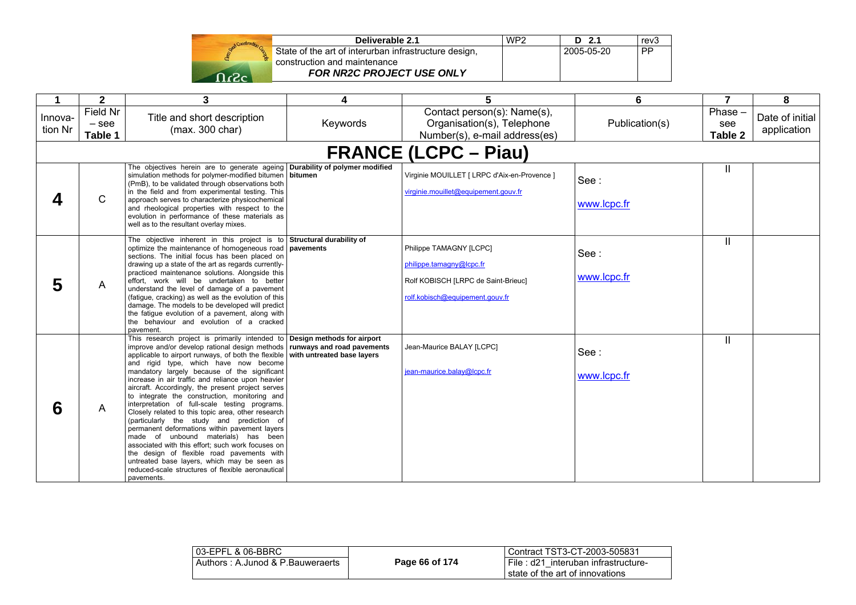

| Deliverable 2.1                                       | WP <sub>2</sub> | $D$ 2.1    | rev <sub>3</sub> |
|-------------------------------------------------------|-----------------|------------|------------------|
| State of the art of interurban infrastructure design, |                 | 2005-05-20 | . PP             |
| construction and maintenance                          |                 |            |                  |
| <b>FOR NR2C PROJECT USE ONLY</b>                      |                 |            |                  |

| 1                  | $\mathbf{2}$                   | 3                                                                                                                                                                                                                                                                                                                                                                                                                                                                                                                                                                                                                                                                                                                                                                                                                                                                                                                                                                       | 4        | 5                                                                                                                             | 6                   | 7                           | 8                              |
|--------------------|--------------------------------|-------------------------------------------------------------------------------------------------------------------------------------------------------------------------------------------------------------------------------------------------------------------------------------------------------------------------------------------------------------------------------------------------------------------------------------------------------------------------------------------------------------------------------------------------------------------------------------------------------------------------------------------------------------------------------------------------------------------------------------------------------------------------------------------------------------------------------------------------------------------------------------------------------------------------------------------------------------------------|----------|-------------------------------------------------------------------------------------------------------------------------------|---------------------|-----------------------------|--------------------------------|
| Innova-<br>tion Nr | Field Nr<br>$-$ see<br>Table 1 | Title and short description<br>(max. 300 char)                                                                                                                                                                                                                                                                                                                                                                                                                                                                                                                                                                                                                                                                                                                                                                                                                                                                                                                          | Keywords | Contact person(s): Name(s),<br>Organisation(s), Telephone<br>Number(s), e-mail address(es)                                    | Publication(s)      | $Phase -$<br>see<br>Table 2 | Date of initial<br>application |
|                    |                                |                                                                                                                                                                                                                                                                                                                                                                                                                                                                                                                                                                                                                                                                                                                                                                                                                                                                                                                                                                         |          | <b>FRANCE (LCPC – Piau)</b>                                                                                                   |                     |                             |                                |
|                    | $\mathsf{C}$                   | The objectives herein are to generate ageing Durability of polymer modified<br>simulation methods for polymer-modified bitumen   bitumen<br>(PmB), to be validated through observations both<br>in the field and from experimental testing. This<br>approach serves to characterize physicochemical<br>and rheological properties with respect to the<br>evolution in performance of these materials as<br>well as to the resultant overlay mixes.                                                                                                                                                                                                                                                                                                                                                                                                                                                                                                                      |          | Virginie MOUILLET [ LRPC d'Aix-en-Provence ]<br>virginie.mouillet@equipement.gouv.fr                                          | See:<br>www.lcpc.fr | Ш                           |                                |
| 5                  | A                              | The objective inherent in this project is to Structural durability of<br>optimize the maintenance of homogeneous road   pavements<br>sections. The initial focus has been placed on<br>drawing up a state of the art as regards currently-<br>practiced maintenance solutions. Alongside this<br>effort, work will be undertaken to better<br>understand the level of damage of a pavement<br>(fatique, cracking) as well as the evolution of this<br>damage. The models to be developed will predict<br>the fatigue evolution of a pavement, along with<br>the behaviour and evolution of a cracked<br>pavement.                                                                                                                                                                                                                                                                                                                                                       |          | Philippe TAMAGNY [LCPC]<br>philippe.tamagny@lcpc.fr<br>Rolf KOBISCH [LRPC de Saint-Brieuc]<br>rolf.kobisch@equipement.gouv.fr | See:<br>www.lcpc.fr | IL                          |                                |
| 6                  | A                              | This research project is primarily intended to <b>Design methods for airport</b><br>improve and/or develop rational design methods   runways and road pavements<br>applicable to airport runways, of both the flexible with untreated base layers<br>and rigid type, which have now become<br>mandatory largely because of the significant<br>increase in air traffic and reliance upon heavier<br>aircraft. Accordingly, the present project serves<br>to integrate the construction, monitoring and<br>interpretation of full-scale testing programs.<br>Closely related to this topic area, other research<br>(particularly the study and prediction of<br>permanent deformations within pavement layers<br>made of unbound materials) has been<br>associated with this effort; such work focuses on<br>the design of flexible road pavements with<br>untreated base layers, which may be seen as<br>reduced-scale structures of flexible aeronautical<br>pavements. |          | Jean-Maurice BALAY [LCPC]<br>iean-maurice.balay@lcpc.fr                                                                       | See:<br>www.lcpc.fr | Ш.                          |                                |

| 03-EPFL & 06-BBRC                |                | Contract TST3-CT-2003-505831                                              |
|----------------------------------|----------------|---------------------------------------------------------------------------|
| Authors: A.Junod & P.Bauweraerts | Page 66 of 174 | File: d21 interuban infrastructure-<br>l state of the art of innovations. |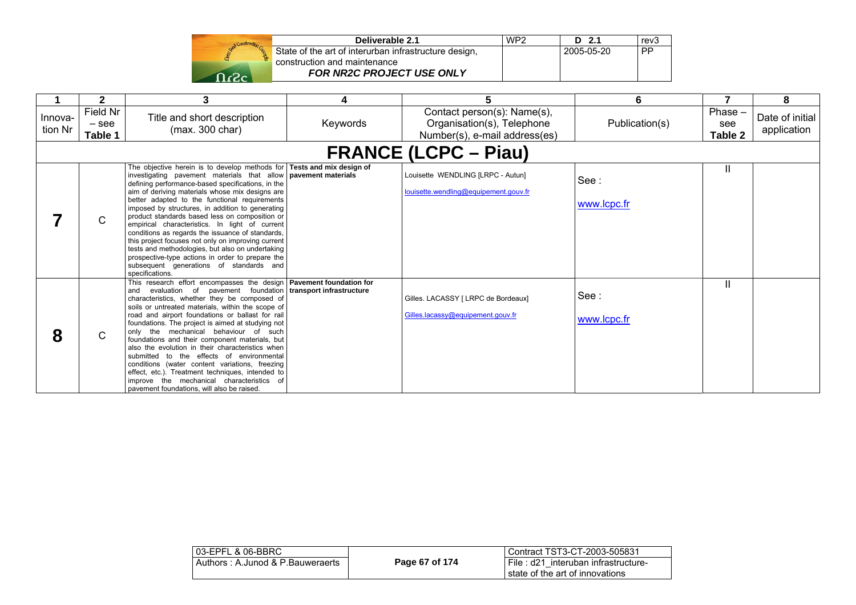| Stand Construction Co |  |
|-----------------------|--|
|                       |  |
|                       |  |

| Deliverable 2.1                                       | WP <sub>2</sub> | $D$ 2.1      | rev3      |
|-------------------------------------------------------|-----------------|--------------|-----------|
| State of the art of interurban infrastructure design, |                 | l 2005-05-20 | <b>PP</b> |
| construction and maintenance                          |                 |              |           |
| <b>FOR NR2C PROJECT USE ONLY</b>                      |                 |              |           |

|                    | $\mathbf{2}$                   | 3                                                                                                                                                                                                                                                                                                                                                                                                                                                                                                                                                                                                                                                                                                                                                     | 4        | 5                                                                                          | 6                   | 7                           | 8                              |
|--------------------|--------------------------------|-------------------------------------------------------------------------------------------------------------------------------------------------------------------------------------------------------------------------------------------------------------------------------------------------------------------------------------------------------------------------------------------------------------------------------------------------------------------------------------------------------------------------------------------------------------------------------------------------------------------------------------------------------------------------------------------------------------------------------------------------------|----------|--------------------------------------------------------------------------------------------|---------------------|-----------------------------|--------------------------------|
| Innova-<br>tion Nr | Field Nr<br>$-$ see<br>Table 1 | Title and short description<br>(max. 300 char)                                                                                                                                                                                                                                                                                                                                                                                                                                                                                                                                                                                                                                                                                                        | Keywords | Contact person(s): Name(s),<br>Organisation(s), Telephone<br>Number(s), e-mail address(es) | Publication(s)      | $Phase -$<br>see<br>Table 2 | Date of initial<br>application |
|                    |                                |                                                                                                                                                                                                                                                                                                                                                                                                                                                                                                                                                                                                                                                                                                                                                       |          | <b>FRANCE (LCPC – Piau)</b>                                                                |                     |                             |                                |
|                    | C.                             | The objective herein is to develop methods for Tests and mix design of<br>investigating pavement materials that allow <b>pavement materials</b><br>defining performance-based specifications, in the<br>aim of deriving materials whose mix designs are<br>better adapted to the functional requirements<br>imposed by structures, in addition to generating<br>product standards based less on composition or<br>empirical characteristics. In light of current<br>conditions as regards the issuance of standards,<br>this project focuses not only on improving current<br>tests and methodologies, but also on undertaking<br>prospective-type actions in order to prepare the<br>subsequent generations of standards and<br>specifications.      |          | Louisette WENDLING [LRPC - Autun]<br>louisette.wendling@equipement.gouv.fr                 | See:<br>www.lcpc.fr | Ш                           |                                |
| 8                  | C.                             | This research effort encompasses the design   Pavement foundation for<br>evaluation of pavement foundation transport infrastructure<br>and<br>characteristics, whether they be composed of<br>soils or untreated materials, within the scope of<br>road and airport foundations or ballast for rail<br>foundations. The project is aimed at studying not<br>only the mechanical behaviour of such<br>foundations and their component materials, but<br>also the evolution in their characteristics when<br>submitted to the effects of environmental<br>conditions (water content variations, freezing<br>effect, etc.). Treatment techniques, intended to<br>improve the mechanical characteristics of<br>pavement foundations, will also be raised. |          | Gilles. LACASSY [ LRPC de Bordeaux]<br>Gilles.lacassv@equipement.gouv.fr                   | See:<br>www.lcpc.fr | Ш                           |                                |

| 03-EPFL & 06-BBRC                |                | l Contract TST3-CT-2003-505831                                          |
|----------------------------------|----------------|-------------------------------------------------------------------------|
| Authors: A.Junod & P.Bauweraerts | Page 67 of 174 | File : d21 interuban infrastructure-<br>state of the art of innovations |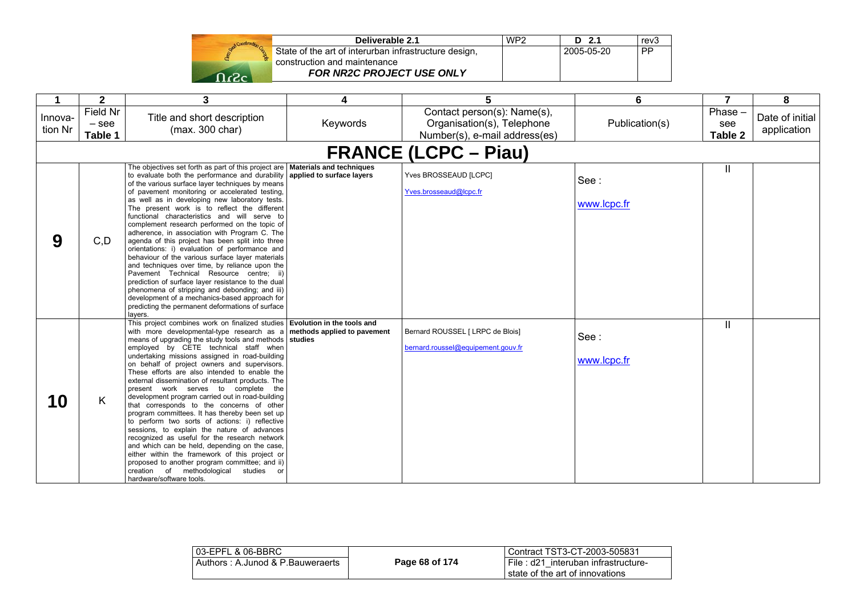| Send Construction Ga |  |
|----------------------|--|
|                      |  |
|                      |  |

| Deliverable 2.1                                       | WP <sub>2</sub> | $D$ 2.1    | rev <sub>3</sub> |
|-------------------------------------------------------|-----------------|------------|------------------|
| State of the art of interurban infrastructure design, |                 | 2005-05-20 | PP               |
| construction and maintenance                          |                 |            |                  |
| <b>FOR NR2C PROJECT USE ONLY</b>                      |                 |            |                  |

| 1                  | $\mathbf{2}$                   | 3                                                                                                                                                                                                                                                                                                                                                                                                                                                                                                                                                                                                                                                                                                                                                                                                                                                                                                                                                                                                                                                         | 4        | 5                                                                                          | 6                   | $\overline{7}$            | 8                              |
|--------------------|--------------------------------|-----------------------------------------------------------------------------------------------------------------------------------------------------------------------------------------------------------------------------------------------------------------------------------------------------------------------------------------------------------------------------------------------------------------------------------------------------------------------------------------------------------------------------------------------------------------------------------------------------------------------------------------------------------------------------------------------------------------------------------------------------------------------------------------------------------------------------------------------------------------------------------------------------------------------------------------------------------------------------------------------------------------------------------------------------------|----------|--------------------------------------------------------------------------------------------|---------------------|---------------------------|--------------------------------|
| Innova-<br>tion Nr | Field Nr<br>$-$ see<br>Table 1 | Title and short description<br>(max. 300 char)                                                                                                                                                                                                                                                                                                                                                                                                                                                                                                                                                                                                                                                                                                                                                                                                                                                                                                                                                                                                            | Keywords | Contact person(s): Name(s),<br>Organisation(s), Telephone<br>Number(s), e-mail address(es) | Publication(s)      | Phase -<br>see<br>Table 2 | Date of initial<br>application |
|                    | <b>FRANCE (LCPC – Piau)</b>    |                                                                                                                                                                                                                                                                                                                                                                                                                                                                                                                                                                                                                                                                                                                                                                                                                                                                                                                                                                                                                                                           |          |                                                                                            |                     |                           |                                |
| 9                  | C, D                           | The objectives set forth as part of this project are   Materials and techniques<br>to evaluate both the performance and durability applied to surface layers<br>of the various surface layer techniques by means<br>of pavement monitoring or accelerated testing,<br>as well as in developing new laboratory tests.<br>The present work is to reflect the different<br>functional characteristics and will serve to<br>complement research performed on the topic of<br>adherence, in association with Program C. The<br>agenda of this project has been split into three<br>orientations: i) evaluation of performance and<br>behaviour of the various surface layer materials<br>and techniques over time, by reliance upon the<br>Pavement Technical Resource centre; ii)<br>prediction of surface layer resistance to the dual<br>phenomena of stripping and debonding; and iii)<br>development of a mechanics-based approach for<br>predicting the permanent deformations of surface<br>lavers.                                                     |          | Yves BROSSEAUD [LCPC]<br>Yves.brosseaud@lcpc.fr                                            | See:<br>www.lcpc.fr | $\mathsf{II}$             |                                |
| 10                 | K                              | This project combines work on finalized studies Evolution in the tools and<br>with more developmental-type research as $a \mid$ methods applied to pavement<br>means of upgrading the study tools and methods studies<br>employed by CETE technical staff when<br>undertaking missions assigned in road-building<br>on behalf of project owners and supervisors.<br>These efforts are also intended to enable the<br>external dissemination of resultant products. The<br>present work serves to complete the<br>development program carried out in road-building<br>that corresponds to the concerns of other<br>program committees. It has thereby been set up<br>to perform two sorts of actions: i) reflective<br>sessions, to explain the nature of advances<br>recognized as useful for the research network<br>and which can be held, depending on the case,<br>either within the framework of this project or<br>proposed to another program committee; and ii)<br>creation of methodological<br>studies<br><b>or</b><br>hardware/software tools. |          | Bernard ROUSSEL [ LRPC de Blois]<br>bernard.roussel@equipement.gouv.fr                     | See:<br>www.lcpc.fr | Ш                         |                                |

| l 03-EPFL & 06-BBRC_             |                | Contract TST3-CT-2003-505831                                           |
|----------------------------------|----------------|------------------------------------------------------------------------|
| Authors: A.Junod & P.Bauweraerts | Page 68 of 174 | File: d21 interuban infrastructure-<br>state of the art of innovations |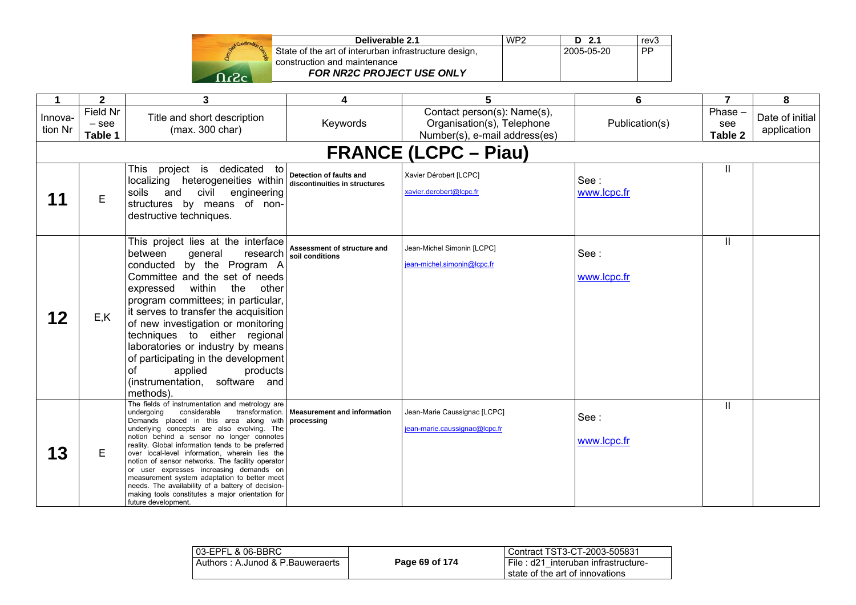| Stand Construction Co. |  |
|------------------------|--|
|                        |  |
| -2                     |  |

| Deliverable 2.1                                       | WP <sub>2</sub> | $D$ 2.1    | rev <sub>3</sub> |
|-------------------------------------------------------|-----------------|------------|------------------|
| State of the art of interurban infrastructure design, |                 | 2005-05-20 | <b>PP</b>        |
| construction and maintenance                          |                 |            |                  |
| <b>FOR NR2C PROJECT USE ONLY</b>                      |                 |            |                  |

| 1                  | $\mathbf{2}$                          | 3                                                                                                                                                                                                                                                                                                                                                                                                                                                                                                                                                                                                                   | 4                                              | 5                                                                                          | 6                   | $\overline{7}$            | 8                              |
|--------------------|---------------------------------------|---------------------------------------------------------------------------------------------------------------------------------------------------------------------------------------------------------------------------------------------------------------------------------------------------------------------------------------------------------------------------------------------------------------------------------------------------------------------------------------------------------------------------------------------------------------------------------------------------------------------|------------------------------------------------|--------------------------------------------------------------------------------------------|---------------------|---------------------------|--------------------------------|
| Innova-<br>tion Nr | <b>Field Nr</b><br>$-$ see<br>Table 1 | Title and short description<br>(max. 300 char)                                                                                                                                                                                                                                                                                                                                                                                                                                                                                                                                                                      | Keywords                                       | Contact person(s): Name(s),<br>Organisation(s), Telephone<br>Number(s), e-mail address(es) | Publication(s)      | Phase -<br>see<br>Table 2 | Date of initial<br>application |
|                    |                                       |                                                                                                                                                                                                                                                                                                                                                                                                                                                                                                                                                                                                                     |                                                | <b>FRANCE (LCPC – Piau)</b>                                                                |                     |                           |                                |
|                    | E                                     | project is dedicated to<br>This<br>localizing heterogeneities within discontinuities in structures<br>soils and<br>civil<br>engineering<br>structures by means of non-<br>destructive techniques.                                                                                                                                                                                                                                                                                                                                                                                                                   | Detection of faults and                        | Xavier Dérobert [LCPC]<br>xavier.derobert@lcpc.fr                                          | See:<br>www.lcpc.fr | Ш.                        |                                |
| 12                 | E, K                                  | This project lies at the interface<br>between<br>general<br>research<br>conducted by the Program A<br>Committee and the set of needs<br>within the<br>expressed<br>other<br>program committees; in particular,<br>it serves to transfer the acquisition<br>of new investigation or monitoring<br>techniques to either regional<br>laboratories or industry by means<br>of participating in the development<br>applied<br>products<br>οf<br>(instrumentation, software and<br>methods).                                                                                                                              | Assessment of structure and<br>soil conditions | Jean-Michel Simonin [LCPC]<br>iean-michel.simonin@lcpc.fr                                  | See:<br>www.lcpc.fr | Ш                         |                                |
| 13                 | Е                                     | The fields of instrumentation and metrology are<br>considerable<br>undergoing<br>Demands placed in this area along with processing<br>underlying concepts are also evolving. The<br>notion behind a sensor no longer connotes<br>reality. Global information tends to be preferred<br>over local-level information, wherein lies the<br>notion of sensor networks. The facility operator<br>or user expresses increasing demands on<br>measurement system adaptation to better meet<br>needs. The availability of a battery of decision-<br>making tools constitutes a major orientation for<br>future development. | transformation.   Measurement and information  | Jean-Marie Caussignac [LCPC]<br>iean-marie.caussignac@lcpc.fr                              | See:<br>www.lcpc.fr | Ш                         |                                |

| l 03-EPFL & 06-BBRC              |                | Contract TST3-CT-2003-505831                                           |
|----------------------------------|----------------|------------------------------------------------------------------------|
| Authors: A.Junod & P.Bauweraerts | Page 69 of 174 | File: d21 interuban infrastructure-<br>state of the art of innovations |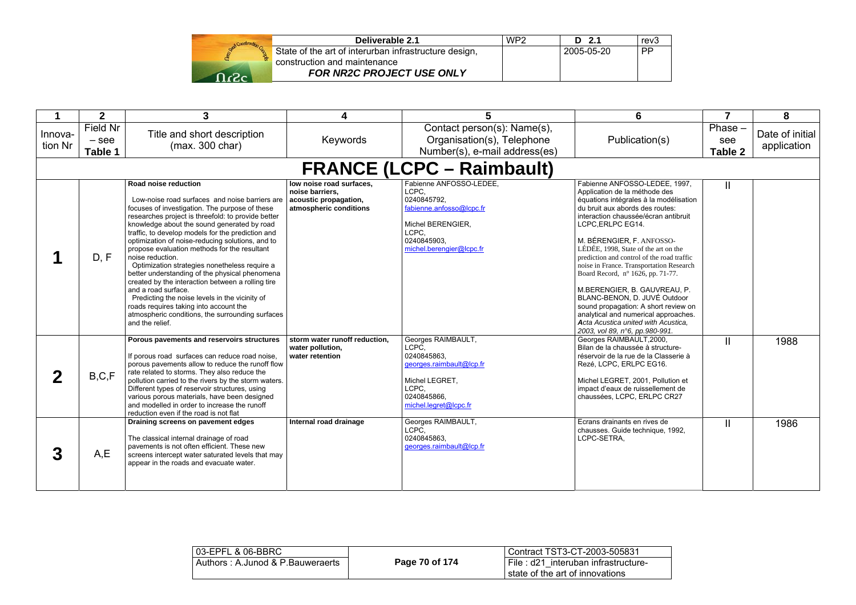|      | Deliverable 2.1                                       | WP2 | $D$ 2.1    | rev <sub>3</sub> |
|------|-------------------------------------------------------|-----|------------|------------------|
|      | State of the art of interurban infrastructure design, |     | 2005-05-20 | <b>PP</b>        |
|      | construction and maintenance                          |     |            |                  |
| ന ഹം | <b>FOR NR2C PROJECT USE ONLY</b>                      |     |            |                  |

|                    | $\mathbf{2}$                     | 3                                                                                                                                                                                                                                                                                                                                                                                                                                                                                                                                                                                                                                                                                                                                                            | 4                                                                                              | 5                                                                                                                                                    | 6                                                                                                                                                                                                                                                                                                                                                                                                                                                                                                                                                                                                                                    | $\overline{7}$            | 8                              |
|--------------------|----------------------------------|--------------------------------------------------------------------------------------------------------------------------------------------------------------------------------------------------------------------------------------------------------------------------------------------------------------------------------------------------------------------------------------------------------------------------------------------------------------------------------------------------------------------------------------------------------------------------------------------------------------------------------------------------------------------------------------------------------------------------------------------------------------|------------------------------------------------------------------------------------------------|------------------------------------------------------------------------------------------------------------------------------------------------------|--------------------------------------------------------------------------------------------------------------------------------------------------------------------------------------------------------------------------------------------------------------------------------------------------------------------------------------------------------------------------------------------------------------------------------------------------------------------------------------------------------------------------------------------------------------------------------------------------------------------------------------|---------------------------|--------------------------------|
| Innova-<br>tion Nr | Field Nr<br>$-$ see<br>Table 1   | Title and short description<br>(max. 300 char)                                                                                                                                                                                                                                                                                                                                                                                                                                                                                                                                                                                                                                                                                                               | Keywords                                                                                       | Contact person(s): Name(s),<br>Organisation(s), Telephone<br>Number(s), e-mail address(es)                                                           | Publication(s)                                                                                                                                                                                                                                                                                                                                                                                                                                                                                                                                                                                                                       | Phase -<br>see<br>Table 2 | Date of initial<br>application |
|                    | <b>FRANCE (LCPC – Raimbault)</b> |                                                                                                                                                                                                                                                                                                                                                                                                                                                                                                                                                                                                                                                                                                                                                              |                                                                                                |                                                                                                                                                      |                                                                                                                                                                                                                                                                                                                                                                                                                                                                                                                                                                                                                                      |                           |                                |
|                    | D, F                             | Road noise reduction<br>Low-noise road surfaces and noise barriers are<br>focuses of investigation. The purpose of these<br>researches project is threefold: to provide better<br>knowledge about the sound generated by road<br>traffic, to develop models for the prediction and<br>optimization of noise-reducing solutions, and to<br>propose evaluation methods for the resultant<br>noise reduction.<br>Optimization strategies nonetheless require a<br>better understanding of the physical phenomena<br>created by the interaction between a rolling tire<br>and a road surface.<br>Predicting the noise levels in the vicinity of<br>roads requires taking into account the<br>atmospheric conditions, the surrounding surfaces<br>and the relief. | low noise road surfaces,<br>noise barriers.<br>acoustic propagation,<br>atmospheric conditions | Fabienne ANFOSSO-LEDEE.<br>LCPC.<br>0240845792.<br>fabienne.anfosso@lcpc.fr<br>Michel BERENGIER.<br>LCPC.<br>0240845903.<br>michel.berengier@lcpc.fr | Fabienne ANFOSSO-LEDEE, 1997,<br>Application de la méthode des<br>équations intégrales à la modélisation<br>du bruit aux abords des routes:<br>interaction chaussée/écran antibruit<br>LCPC.ERLPC EG14.<br>M. BÉRENGIER, F. ANFOSSO-<br>LÉDÉE, 1998. State of the art on the<br>prediction and control of the road traffic<br>noise in France. Transportation Research<br>Board Record, nº 1626, pp. 71-77.<br>M.BERENGIER, B. GAUVREAU, P.<br>BLANC-BENON, D. JUVÉ Outdoor<br>sound propagation: A short review on<br>analytical and numerical approaches.<br>Acta Acustica united with Acustica.<br>2003, vol 89, n°6, pp.980-991. | Ш                         |                                |
| $\mathbf 2$        | B, C, F                          | Porous pavements and reservoirs structures<br>If porous road surfaces can reduce road noise.<br>porous pavements allow to reduce the runoff flow<br>rate related to storms. They also reduce the<br>pollution carried to the rivers by the storm waters.<br>Different types of reservoir structures, using<br>various porous materials, have been designed<br>and modelled in order to increase the runoff<br>reduction even if the road is not flat                                                                                                                                                                                                                                                                                                         | storm water runoff reduction.<br>water pollution,<br>water retention                           | Georges RAIMBAULT,<br>LCPC.<br>0240845863.<br>georges.raimbault@lcp.fr<br>Michel LEGRET,<br>LCPC,<br>0240845866.<br>michel.legret@lcpc.fr            | Georges RAIMBAULT, 2000,<br>Bilan de la chaussée à structure-<br>réservoir de la rue de la Classerie à<br>Rezé, LCPC, ERLPC EG16.<br>Michel LEGRET, 2001, Pollution et<br>impact d'eaux de ruissellement de<br>chaussées, LCPC, ERLPC CR27                                                                                                                                                                                                                                                                                                                                                                                           | Ш                         | 1988                           |
| 3                  | A,E                              | Draining screens on pavement edges<br>The classical internal drainage of road<br>payements is not often efficient. These new<br>screens intercept water saturated levels that may<br>appear in the roads and evacuate water.                                                                                                                                                                                                                                                                                                                                                                                                                                                                                                                                 | Internal road drainage                                                                         | Georges RAIMBAULT,<br>LCPC.<br>0240845863.<br>georges.raimbault@lcp.fr                                                                               | Ecrans drainants en rives de<br>chausses. Guide technique, 1992,<br>LCPC-SETRA.                                                                                                                                                                                                                                                                                                                                                                                                                                                                                                                                                      | Ш                         | 1986                           |

| 03-EPFL & 06-BBRC                |                | Contract TST3-CT-2003-505831                                           |
|----------------------------------|----------------|------------------------------------------------------------------------|
| Authors: A.Junod & P.Bauweraerts | Page 70 of 174 | File: d21 interuban infrastructure-<br>state of the art of innovations |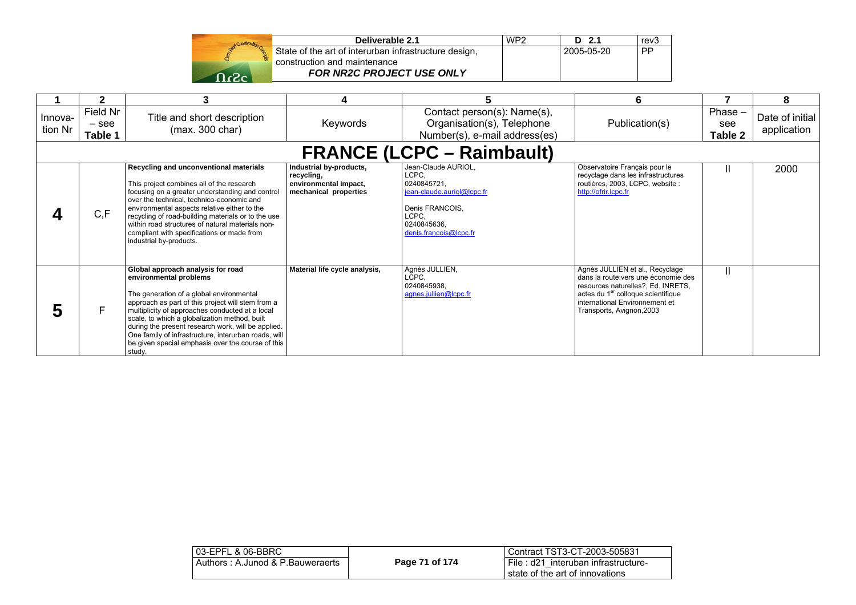| Start Construction |  |
|--------------------|--|
|                    |  |
| فلو                |  |

| Deliverable 2.1                                       | WP <sub>2</sub> | D 2.1      | rev <sub>3</sub> |
|-------------------------------------------------------|-----------------|------------|------------------|
| State of the art of interurban infrastructure design, |                 | 2005-05-20 | <b>PP</b>        |
| construction and maintenance                          |                 |            |                  |
| <b>FOR NR2C PROJECT USE ONLY</b>                      |                 |            |                  |

|                    |                                | 3                                                                                                                                                                                                                                                                                                                                                                                                                                             | 4                                                                                       |                                                                                                                                                | 6                                                                                                                                                                                                                              |                             | 8                              |
|--------------------|--------------------------------|-----------------------------------------------------------------------------------------------------------------------------------------------------------------------------------------------------------------------------------------------------------------------------------------------------------------------------------------------------------------------------------------------------------------------------------------------|-----------------------------------------------------------------------------------------|------------------------------------------------------------------------------------------------------------------------------------------------|--------------------------------------------------------------------------------------------------------------------------------------------------------------------------------------------------------------------------------|-----------------------------|--------------------------------|
| Innova-<br>tion Nr | Field Nr<br>$-$ see<br>Table 1 | Title and short description<br>(max. 300 char)                                                                                                                                                                                                                                                                                                                                                                                                | Keywords                                                                                | Contact person(s): Name(s),<br>Organisation(s), Telephone<br>Number(s), e-mail address(es)                                                     | Publication(s)                                                                                                                                                                                                                 | $Phase -$<br>see<br>Table 2 | Date of initial<br>application |
|                    |                                |                                                                                                                                                                                                                                                                                                                                                                                                                                               |                                                                                         | <b>FRANCE (LCPC – Raimbault)</b>                                                                                                               |                                                                                                                                                                                                                                |                             |                                |
|                    | C, F                           | Recycling and unconventional materials<br>This project combines all of the research<br>focusing on a greater understanding and control<br>over the technical, technico-economic and<br>environmental aspects relative either to the<br>recycling of road-building materials or to the use<br>within road structures of natural materials non-<br>compliant with specifications or made from<br>industrial by-products.                        | Industrial by-products,<br>recycling,<br>environmental impact,<br>mechanical properties | Jean-Claude AURIOL,<br>LCPC.<br>0240845721.<br>jean-claude.auriol@lcpc.fr<br>Denis FRANCOIS.<br>LCPC.<br>0240845636.<br>denis.francois@lcpc.fr | Observatoire Français pour le<br>recyclage dans les infrastructures<br>routières, 2003, LCPC, website :<br>http://ofrir.lcpc.fr                                                                                                |                             | 2000                           |
| 5                  | F                              | Global approach analysis for road<br>environmental problems<br>The generation of a global environmental<br>approach as part of this project will stem from a<br>multiplicity of approaches conducted at a local<br>scale, to which a globalization method, built<br>during the present research work, will be applied.<br>One family of infrastructure, interurban roads, will<br>be given special emphasis over the course of this<br>study. | Material life cycle analysis,                                                           | Agnès JULLIEN,<br>LCPC.<br>0240845938.<br>agnes.jullien@lcpc.fr                                                                                | Agnès JULLIEN et al., Recyclage<br>dans la route: vers une économie des<br>resources naturelles?, Ed. INRETS,<br>actes du 1 <sup>er</sup> colloque scientifique<br>international Environnement et<br>Transports, Avignon, 2003 | Ш                           |                                |

| 03-EPFL & 06-BBRC                |                | l Contract TST3-CT-2003-505831                                           |
|----------------------------------|----------------|--------------------------------------------------------------------------|
| Authors: A.Junod & P.Bauweraerts | Page 71 of 174 | I File: d21 interuban infrastructure-<br>state of the art of innovations |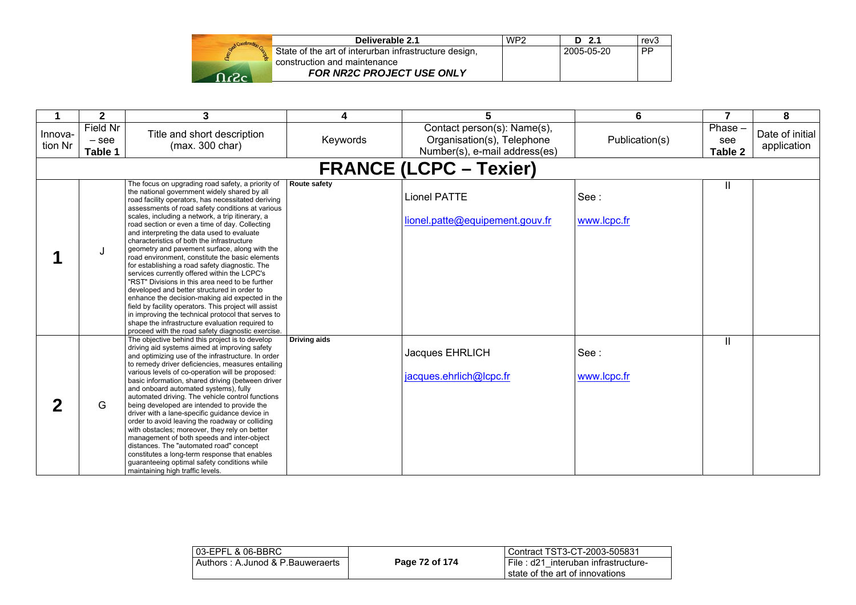|     | Deliverable 2.1                                       | WP <sub>2</sub> | -2.1<br>D  | rev <sub>3</sub> |
|-----|-------------------------------------------------------|-----------------|------------|------------------|
|     | State of the art of interurban infrastructure design, |                 | 2005-05-20 | <b>PP</b>        |
|     | construction and maintenance                          |                 |            |                  |
| റ.പ | <b>FOR NR2C PROJECT USE ONLY</b>                      |                 |            |                  |

|                    | $\mathbf{2}$                   | 3                                                                                                                                                                                                                                                                                                                                                                                                                                                                                                                                                                                                                                                                                                                                                                                                                                                                                                                                                                                               | 4                   | 5                                                                                          | 6                   | 7                        | 8                              |
|--------------------|--------------------------------|-------------------------------------------------------------------------------------------------------------------------------------------------------------------------------------------------------------------------------------------------------------------------------------------------------------------------------------------------------------------------------------------------------------------------------------------------------------------------------------------------------------------------------------------------------------------------------------------------------------------------------------------------------------------------------------------------------------------------------------------------------------------------------------------------------------------------------------------------------------------------------------------------------------------------------------------------------------------------------------------------|---------------------|--------------------------------------------------------------------------------------------|---------------------|--------------------------|--------------------------------|
| Innova-<br>tion Nr | Field Nr<br>$-$ see<br>Table 1 | Title and short description<br>(max. 300 char)                                                                                                                                                                                                                                                                                                                                                                                                                                                                                                                                                                                                                                                                                                                                                                                                                                                                                                                                                  | Keywords            | Contact person(s): Name(s),<br>Organisation(s), Telephone<br>Number(s), e-mail address(es) | Publication(s)      | Phase-<br>see<br>Table 2 | Date of initial<br>application |
|                    |                                |                                                                                                                                                                                                                                                                                                                                                                                                                                                                                                                                                                                                                                                                                                                                                                                                                                                                                                                                                                                                 |                     | <b>FRANCE (LCPC - Texier)</b>                                                              |                     |                          |                                |
|                    | J                              | The focus on upgrading road safety, a priority of<br>the national government widely shared by all<br>road facility operators, has necessitated deriving<br>assessments of road safety conditions at various<br>scales, including a network, a trip itinerary, a<br>road section or even a time of day. Collecting<br>and interpreting the data used to evaluate<br>characteristics of both the infrastructure<br>geometry and pavement surface, along with the<br>road environment, constitute the basic elements<br>for establishing a road safety diagnostic. The<br>services currently offered within the LCPC's<br>"RST" Divisions in this area need to be further<br>developed and better structured in order to<br>enhance the decision-making aid expected in the<br>field by facility operators. This project will assist<br>in improving the technical protocol that serves to<br>shape the infrastructure evaluation required to<br>proceed with the road safety diagnostic exercise. | Route safety        | <b>Lionel PATTE</b><br>lionel.patte@equipement.gouv.fr                                     | See:<br>www.lcpc.fr | Ш                        |                                |
|                    | G                              | The objective behind this project is to develop<br>driving aid systems aimed at improving safety<br>and optimizing use of the infrastructure. In order<br>to remedy driver deficiencies, measures entailing<br>various levels of co-operation will be proposed:<br>basic information, shared driving (between driver<br>and onboard automated systems), fully<br>automated driving. The vehicle control functions<br>being developed are intended to provide the<br>driver with a lane-specific guidance device in<br>order to avoid leaving the roadway or colliding<br>with obstacles; moreover, they rely on better<br>management of both speeds and inter-object<br>distances. The "automated road" concept<br>constitutes a long-term response that enables<br>guaranteeing optimal safety conditions while<br>maintaining high traffic levels.                                                                                                                                            | <b>Driving aids</b> | Jacques EHRLICH<br>jacques.ehrlich@lcpc.fr                                                 | See:<br>www.lcpc.fr | $\mathbf{H}$             |                                |

| 03-EPFL & 06-BBRC                |                | Contract TST3-CT-2003-505831                                           |
|----------------------------------|----------------|------------------------------------------------------------------------|
| Authors: A.Junod & P.Bauweraerts | Page 72 of 174 | File: d21 interuban infrastructure-<br>state of the art of innovations |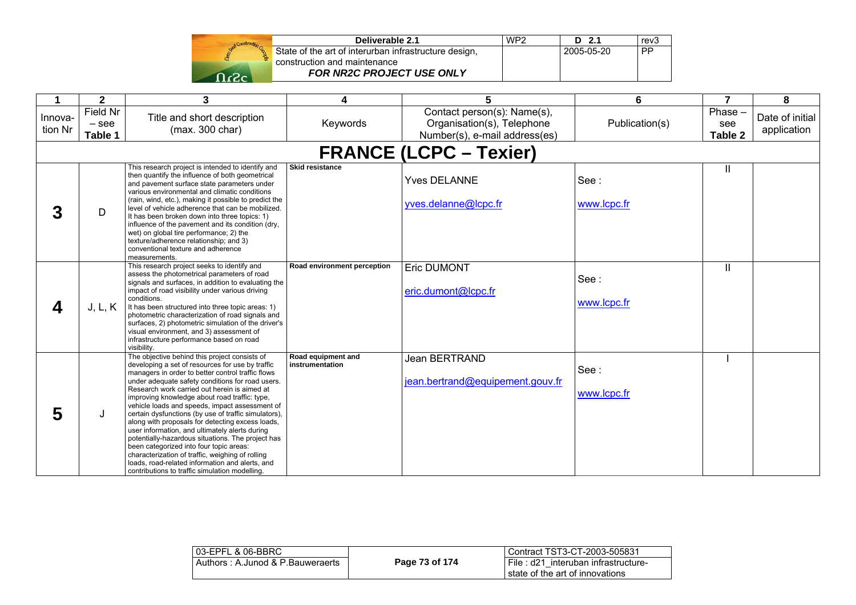|              | Construction Co. |
|--------------|------------------|
| <b>David</b> | ľ                |
|              |                  |

| Deliverable 2.1                                       | WP <sub>2</sub> | $D$ 2.1    | rev <sub>3</sub> |
|-------------------------------------------------------|-----------------|------------|------------------|
| State of the art of interurban infrastructure design, |                 | 2005-05-20 | <b>PP</b>        |
| construction and maintenance                          |                 |            |                  |
| <b>FOR NR2C PROJECT USE ONLY</b>                      |                 |            |                  |

| 1                  | $\mathbf{2}$                   | 3                                                                                                                                                                                                                                                                                                                                                                                                                                                                                                                                                                                                                                                                                                                                                                                    | 4                                     | 5                                                                                          | 6                   | $\overline{7}$           | 8                              |
|--------------------|--------------------------------|--------------------------------------------------------------------------------------------------------------------------------------------------------------------------------------------------------------------------------------------------------------------------------------------------------------------------------------------------------------------------------------------------------------------------------------------------------------------------------------------------------------------------------------------------------------------------------------------------------------------------------------------------------------------------------------------------------------------------------------------------------------------------------------|---------------------------------------|--------------------------------------------------------------------------------------------|---------------------|--------------------------|--------------------------------|
| Innova-<br>tion Nr | Field Nr<br>$-$ see<br>Table 1 | Title and short description<br>(max. 300 char)                                                                                                                                                                                                                                                                                                                                                                                                                                                                                                                                                                                                                                                                                                                                       | Keywords                              | Contact person(s): Name(s),<br>Organisation(s), Telephone<br>Number(s), e-mail address(es) | Publication(s)      | Phase-<br>see<br>Table 2 | Date of initial<br>application |
|                    |                                |                                                                                                                                                                                                                                                                                                                                                                                                                                                                                                                                                                                                                                                                                                                                                                                      |                                       | <b>FRANCE (LCPC – Texier)</b>                                                              |                     |                          |                                |
| 3                  | D                              | This research project is intended to identify and<br>then quantify the influence of both geometrical<br>and pavement surface state parameters under<br>various environmental and climatic conditions<br>(rain, wind, etc.), making it possible to predict the<br>level of vehicle adherence that can be mobilized.<br>It has been broken down into three topics: 1)<br>influence of the pavement and its condition (dry,<br>wet) on global tire performance; 2) the<br>texture/adherence relationship; and 3)<br>conventional texture and adherence<br>measurements.                                                                                                                                                                                                                 | <b>Skid resistance</b>                | <b>Yves DELANNE</b><br>yves.delanne@lcpc.fr                                                | See:<br>www.lcpc.fr | Ш                        |                                |
| 4                  | J, L, K                        | This research project seeks to identify and<br>assess the photometrical parameters of road<br>signals and surfaces, in addition to evaluating the<br>impact of road visibility under various driving<br>conditions.<br>It has been structured into three topic areas: 1)<br>photometric characterization of road signals and<br>surfaces, 2) photometric simulation of the driver's<br>visual environment, and 3) assessment of<br>infrastructure performance based on road<br>visibility.                                                                                                                                                                                                                                                                                           | Road environment perception           | <b>Eric DUMONT</b><br>eric.dumont@lcpc.fr                                                  | See:<br>www.lcpc.fr | Ш                        |                                |
| 5                  | J                              | The objective behind this project consists of<br>developing a set of resources for use by traffic<br>managers in order to better control traffic flows<br>under adequate safety conditions for road users.<br>Research work carried out herein is aimed at<br>improving knowledge about road traffic: type,<br>vehicle loads and speeds, impact assessment of<br>certain dysfunctions (by use of traffic simulators).<br>along with proposals for detecting excess loads,<br>user information, and ultimately alerts during<br>potentially-hazardous situations. The project has<br>been categorized into four topic areas:<br>characterization of traffic, weighing of rolling<br>loads, road-related information and alerts, and<br>contributions to traffic simulation modelling. | Road equipment and<br>instrumentation | Jean BERTRAND<br>jean.bertrand@equipement.gouv.fr                                          | See:<br>www.lcpc.fr |                          |                                |

| 03-EPFL & 06-BBRC                |                | l Contract TST3-CT-2003-505831                                           |
|----------------------------------|----------------|--------------------------------------------------------------------------|
| Authors: A.Junod & P.Bauweraerts | Page 73 of 174 | File: d21 interuban infrastructure-<br>I state of the art of innovations |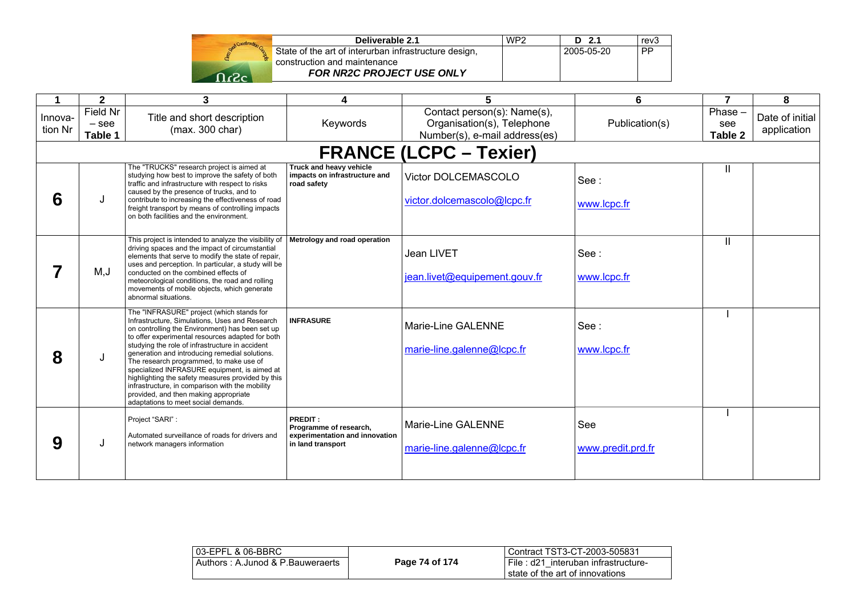

| Deliverable 2.1                                       | WP <sub>2</sub> | $D$ 2.1    | rev <sub>3</sub> |
|-------------------------------------------------------|-----------------|------------|------------------|
| State of the art of interurban infrastructure design, |                 | 2005-05-20 | PP               |
| construction and maintenance                          |                 |            |                  |
| <b>FOR NR2C PROJECT USE ONLY</b>                      |                 |            |                  |

| 1                  | $\mathbf{2}$                   | 3                                                                                                                                                                                                                                                                                                                                                                                                                                                                                                                                                                                          | 4                                                                                        | 5                                                                                          | 6                        | $\overline{7}$            | 8                              |
|--------------------|--------------------------------|--------------------------------------------------------------------------------------------------------------------------------------------------------------------------------------------------------------------------------------------------------------------------------------------------------------------------------------------------------------------------------------------------------------------------------------------------------------------------------------------------------------------------------------------------------------------------------------------|------------------------------------------------------------------------------------------|--------------------------------------------------------------------------------------------|--------------------------|---------------------------|--------------------------------|
| Innova-<br>tion Nr | Field Nr<br>$-$ see<br>Table 1 | Title and short description<br>(max. 300 char)                                                                                                                                                                                                                                                                                                                                                                                                                                                                                                                                             | Keywords                                                                                 | Contact person(s): Name(s),<br>Organisation(s), Telephone<br>Number(s), e-mail address(es) | Publication(s)           | Phase -<br>see<br>Table 2 | Date of initial<br>application |
|                    |                                |                                                                                                                                                                                                                                                                                                                                                                                                                                                                                                                                                                                            |                                                                                          | <b>FRANCE (LCPC - Texier)</b>                                                              |                          |                           |                                |
| 6                  | J                              | The "TRUCKS" research project is aimed at<br>studying how best to improve the safety of both<br>traffic and infrastructure with respect to risks<br>caused by the presence of trucks, and to<br>contribute to increasing the effectiveness of road<br>freight transport by means of controlling impacts<br>on both facilities and the environment.                                                                                                                                                                                                                                         | Truck and heavy vehicle<br>impacts on infrastructure and<br>road safety                  | Victor DOLCEMASCOLO<br>victor.dolcemascolo@lcpc.fr                                         | See:<br>www.lcpc.fr      | II                        |                                |
|                    | M, J                           | This project is intended to analyze the visibility of   Metrology and road operation<br>driving spaces and the impact of circumstantial<br>elements that serve to modify the state of repair,<br>uses and perception. In particular, a study will be<br>conducted on the combined effects of<br>meteorological conditions, the road and rolling<br>movements of mobile objects, which generate<br>abnormal situations.                                                                                                                                                                     |                                                                                          | Jean LIVET<br>jean.livet@equipement.gouv.fr                                                | See:<br>www.lcpc.fr      | н                         |                                |
| 8                  | J                              | The "INFRASURE" project (which stands for<br>Infrastructure, Simulations, Uses and Research<br>on controlling the Environment) has been set up<br>to offer experimental resources adapted for both<br>studying the role of infrastructure in accident<br>generation and introducing remedial solutions.<br>The research programmed, to make use of<br>specialized INFRASURE equipment, is aimed at<br>highlighting the safety measures provided by this<br>infrastructure, in comparison with the mobility<br>provided, and then making appropriate<br>adaptations to meet social demands. | <b>INFRASURE</b>                                                                         | Marie-Line GALENNE<br>marie-line.galenne@lcpc.fr                                           | See:<br>www.lcpc.fr      |                           |                                |
| 9                  | J                              | Project "SARI":<br>Automated surveillance of roads for drivers and<br>network managers information                                                                                                                                                                                                                                                                                                                                                                                                                                                                                         | PREDIT:<br>Programme of research,<br>experimentation and innovation<br>in land transport | Marie-Line GALENNE<br>marie-line.galenne@lcpc.fr                                           | See<br>www.predit.prd.fr |                           |                                |

| 03-EPFL & 06-BBRC                |                | Contract TST3-CT-2003-505831                                              |
|----------------------------------|----------------|---------------------------------------------------------------------------|
| Authors: A.Junod & P.Bauweraerts | Page 74 of 174 | I File : d21 interuban infrastructure-<br>state of the art of innovations |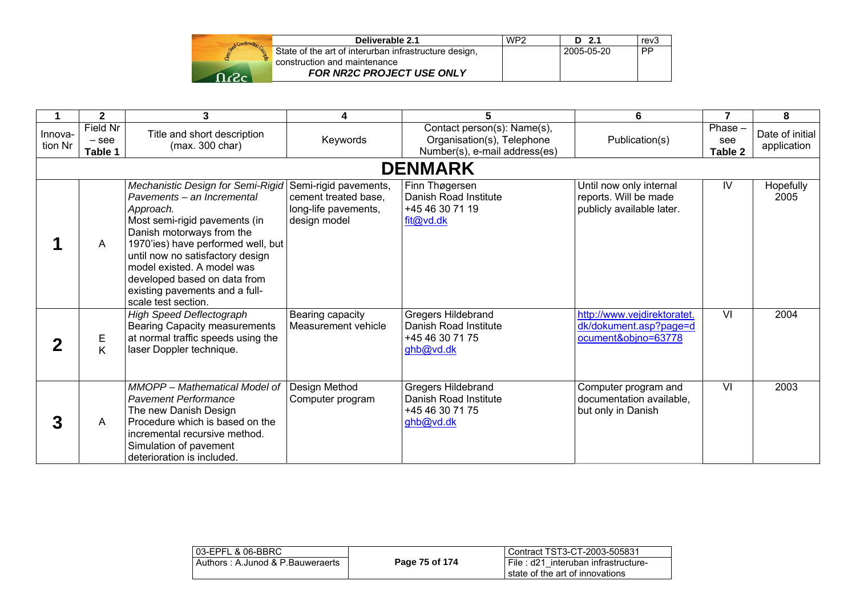| Deliverable 2.1                                                                       | WP2 | D 2.1      | rev3      |
|---------------------------------------------------------------------------------------|-----|------------|-----------|
| State of the art of interurban infrastructure design,<br>construction and maintenance |     | 2005-05-20 | <b>PP</b> |
| FOR NR2C PROJECT USE ONLY                                                             |     |            |           |

|                    | $\mathbf 2$                    | 3                                                                                                                                                                                                                                                                                                                                           | 4                                                                                     | 5                                                                                          | 6                                                                             | 7                        | 8                              |
|--------------------|--------------------------------|---------------------------------------------------------------------------------------------------------------------------------------------------------------------------------------------------------------------------------------------------------------------------------------------------------------------------------------------|---------------------------------------------------------------------------------------|--------------------------------------------------------------------------------------------|-------------------------------------------------------------------------------|--------------------------|--------------------------------|
| Innova-<br>tion Nr | Field Nr<br>$-$ see<br>Table 1 | Title and short description<br>(max. 300 char)                                                                                                                                                                                                                                                                                              | Keywords                                                                              | Contact person(s): Name(s),<br>Organisation(s), Telephone<br>Number(s), e-mail address(es) | Publication(s)                                                                | Phase-<br>see<br>Table 2 | Date of initial<br>application |
|                    |                                |                                                                                                                                                                                                                                                                                                                                             |                                                                                       | <b>DENMARK</b>                                                                             |                                                                               |                          |                                |
|                    | A                              | Mechanistic Design for Semi-Rigid<br>Pavements - an Incremental<br>Approach.<br>Most semi-rigid pavements (in<br>Danish motorways from the<br>1970'ies) have performed well, but<br>until now no satisfactory design<br>model existed. A model was<br>developed based on data from<br>existing pavements and a full-<br>scale test section. | Semi-rigid pavements,<br>cement treated base,<br>long-life pavements,<br>design model | Finn Thøgersen<br>Danish Road Institute<br>+45 46 30 71 19<br>fit@vd.dk                    | Until now only internal<br>reports. Will be made<br>publicly available later. | IV                       | Hopefully<br>2005              |
|                    | Е<br>K                         | <b>High Speed Deflectograph</b><br><b>Bearing Capacity measurements</b><br>at normal traffic speeds using the<br>laser Doppler technique.                                                                                                                                                                                                   | Bearing capacity<br>Measurement vehicle                                               | Gregers Hildebrand<br>Danish Road Institute<br>+45 46 30 71 75<br>ghb@vd.dk                | http://www.vejdirektoratet.<br>dk/dokument.asp?page=d<br>ocument&objno=63778  | $\overline{\mathsf{M}}$  | 2004                           |
| 3                  | A                              | MMOPP - Mathematical Model of<br><b>Pavement Performance</b><br>The new Danish Design<br>Procedure which is based on the<br>incremental recursive method.<br>Simulation of pavement<br>deterioration is included.                                                                                                                           | Design Method<br>Computer program                                                     | Gregers Hildebrand<br>Danish Road Institute<br>+45 46 30 71 75<br>ghb@vd.dk                | Computer program and<br>documentation available,<br>but only in Danish        | $\overline{\mathsf{v}}$  | 2003                           |

| 03-EPFL & 06-BBRC                |                | i Contract TST3-CT-2003-505831                                            |
|----------------------------------|----------------|---------------------------------------------------------------------------|
| Authors: A.Junod & P.Bauweraerts | Page 75 of 174 | I File : d21 interuban infrastructure-<br>state of the art of innovations |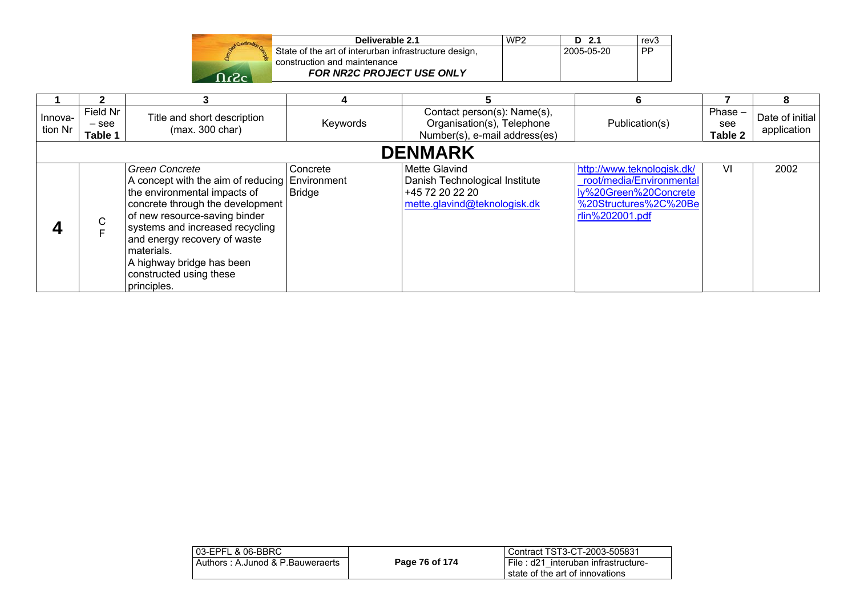| Deliverable 2.1                                                                       | WP <sub>2</sub> | $D$ 2.1    | rev3 |
|---------------------------------------------------------------------------------------|-----------------|------------|------|
| State of the art of interurban infrastructure design,<br>construction and maintenance |                 | 2005-05-20 | PP   |
| <b>FOR NR2C PROJECT USE ONLY</b>                                                      |                 |            |      |

|                    |                                |                                                                                                                                                                                                                                                                                                                                      | 4                         |                                                                                                           | 6                                                                                                                           |                           | 8                              |  |
|--------------------|--------------------------------|--------------------------------------------------------------------------------------------------------------------------------------------------------------------------------------------------------------------------------------------------------------------------------------------------------------------------------------|---------------------------|-----------------------------------------------------------------------------------------------------------|-----------------------------------------------------------------------------------------------------------------------------|---------------------------|--------------------------------|--|
| Innova-<br>tion Nr | Field Nr<br>$-$ see<br>Table 1 | Title and short description<br>(max. 300 char)                                                                                                                                                                                                                                                                                       | Keywords                  | Contact person(s): Name(s),<br>Organisation(s), Telephone<br>Number(s), e-mail address(es)                | Publication(s)                                                                                                              | Phase -<br>see<br>Table 2 | Date of initial<br>application |  |
|                    | <b>DENMARK</b>                 |                                                                                                                                                                                                                                                                                                                                      |                           |                                                                                                           |                                                                                                                             |                           |                                |  |
|                    | C                              | <b>Green Concrete</b><br>A concept with the aim of reducing Environment<br>the environmental impacts of<br>concrete through the development<br>of new resource-saving binder<br>systems and increased recycling<br>and energy recovery of waste<br>materials.<br>A highway bridge has been<br>constructed using these<br>principles. | Concrete<br><b>Bridge</b> | <b>Mette Glavind</b><br>Danish Technological Institute<br>+45 72 20 22 20<br>mette.glavind@teknologisk.dk | http://www.teknologisk.dk/<br>root/media/Environmental<br>ly%20Green%20Concrete<br>%20Structures%2C%20Be<br>rlin%202001.pdf | VI                        | 2002                           |  |

| 03-EPFL & 06-BBRC                |                | Contract TST3-CT-2003-505831                                           |
|----------------------------------|----------------|------------------------------------------------------------------------|
| Authors: A.Junod & P.Bauweraerts | Page 76 of 174 | File: d21 interuban infrastructure-<br>state of the art of innovations |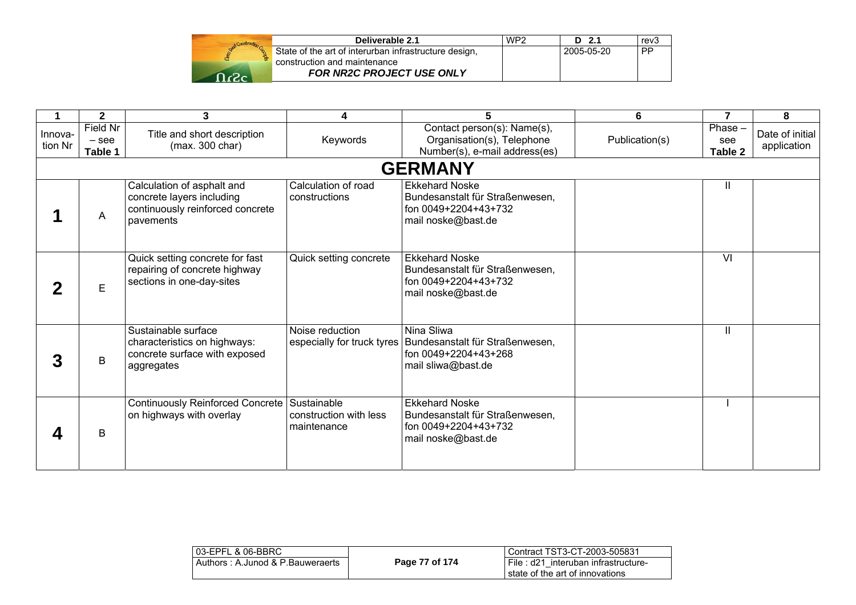| Deliverable 2.1                                                                       | WP <sub>2</sub> | D 2.1      | rev3 |
|---------------------------------------------------------------------------------------|-----------------|------------|------|
| State of the art of interurban infrastructure design,<br>construction and maintenance |                 | 2005-05-20 | . PP |
| <b>FOR NR2C PROJECT USE ONLY</b>                                                      |                 |            |      |

|                    | $\mathbf{2}$                   | 3                                                                                                        | 4                                                    |                                                                                                                          | 6              |                             | 8                              |
|--------------------|--------------------------------|----------------------------------------------------------------------------------------------------------|------------------------------------------------------|--------------------------------------------------------------------------------------------------------------------------|----------------|-----------------------------|--------------------------------|
| Innova-<br>tion Nr | Field Nr<br>$-$ see<br>Table 1 | Title and short description<br>(max. 300 char)                                                           | Keywords                                             | Contact person(s): Name(s),<br>Organisation(s), Telephone<br>Number(s), e-mail address(es)                               | Publication(s) | $Phase -$<br>see<br>Table 2 | Date of initial<br>application |
|                    |                                |                                                                                                          |                                                      | <b>GERMANY</b>                                                                                                           |                |                             |                                |
|                    | A                              | Calculation of asphalt and<br>concrete layers including<br>continuously reinforced concrete<br>pavements | Calculation of road<br>constructions                 | <b>Ekkehard Noske</b><br>Bundesanstalt für Straßenwesen,<br>fon 0049+2204+43+732<br>mail noske@bast.de                   |                | Ш                           |                                |
|                    | E.                             | Quick setting concrete for fast<br>repairing of concrete highway<br>sections in one-day-sites            | Quick setting concrete                               | <b>Ekkehard Noske</b><br>Bundesanstalt für Straßenwesen,<br>fon 0049+2204+43+732<br>mail noske@bast.de                   |                | $\overline{\mathsf{M}}$     |                                |
| 3                  | B                              | Sustainable surface<br>characteristics on highways:<br>concrete surface with exposed<br>aggregates       | Noise reduction                                      | Nina Sliwa<br>especially for truck tyres   Bundesanstalt für Straßenwesen,<br>fon 0049+2204+43+268<br>mail sliwa@bast.de |                | Ш                           |                                |
|                    | B                              | Continuously Reinforced Concrete<br>on highways with overlay                                             | Sustainable<br>construction with less<br>maintenance | <b>Ekkehard Noske</b><br>Bundesanstalt für Straßenwesen,<br>fon 0049+2204+43+732<br>mail noske@bast.de                   |                |                             |                                |

| 03-EPFL & 06-BBRC                |                | Contract TST3-CT-2003-505831        |
|----------------------------------|----------------|-------------------------------------|
| Authors: A.Junod & P.Bauweraerts | Page 77 of 174 | File: d21 interuban infrastructure- |
|                                  |                | state of the art of innovations     |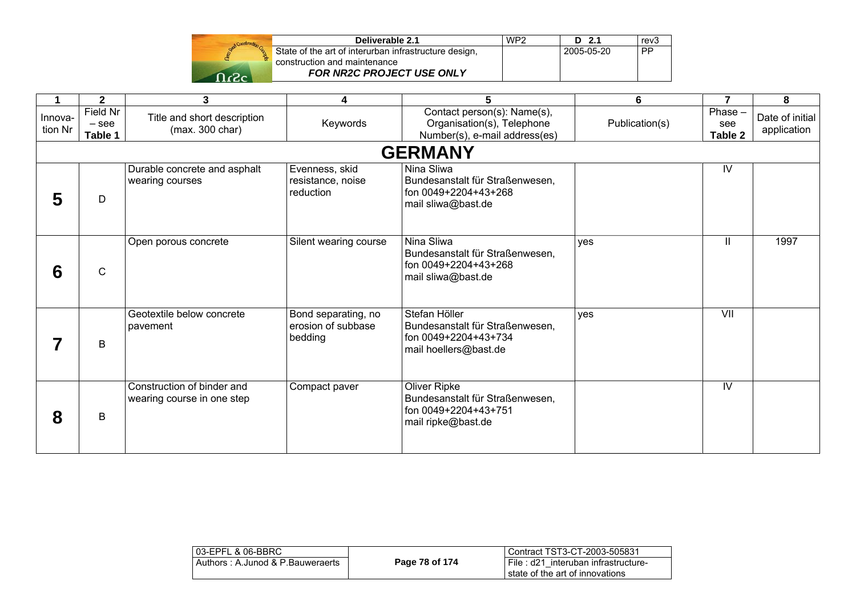

| WP <sub>2</sub> | $D$ 2.1 | rev <sub>3</sub> |
|-----------------|---------|------------------|
|                 |         | <b>PP</b>        |
|                 |         |                  |
|                 |         |                  |
|                 |         | 2005-05-20       |

|                    | $\mathbf{2}$                   | 3                                                        | 4                                                    | 5                                                                                                 | 6              | $\overline{7}$              | 8                              |
|--------------------|--------------------------------|----------------------------------------------------------|------------------------------------------------------|---------------------------------------------------------------------------------------------------|----------------|-----------------------------|--------------------------------|
| Innova-<br>tion Nr | Field Nr<br>$-$ see<br>Table 1 | Title and short description<br>(max. 300 char)           | Keywords                                             | Contact person(s): Name(s),<br>Organisation(s), Telephone<br>Number(s), e-mail address(es)        | Publication(s) | $Phase -$<br>see<br>Table 2 | Date of initial<br>application |
|                    |                                |                                                          |                                                      | <b>GERMANY</b>                                                                                    |                |                             |                                |
| 5                  | D                              | Durable concrete and asphalt<br>wearing courses          | Evenness, skid<br>resistance, noise<br>reduction     | Nina Sliwa<br>Bundesanstalt für Straßenwesen,<br>fon 0049+2204+43+268<br>mail sliwa@bast.de       |                | IV                          |                                |
| 6                  | $\mathsf{C}$                   | Open porous concrete                                     | Silent wearing course                                | Nina Sliwa<br>Bundesanstalt für Straßenwesen,<br>fon 0049+2204+43+268<br>mail sliwa@bast.de       | yes            | Ш                           | 1997                           |
|                    | B                              | Geotextile below concrete<br>pavement                    | Bond separating, no<br>erosion of subbase<br>bedding | Stefan Höller<br>Bundesanstalt für Straßenwesen,<br>fon 0049+2204+43+734<br>mail hoellers@bast.de | yes            | VII                         |                                |
| 8                  | B                              | Construction of binder and<br>wearing course in one step | Compact paver                                        | Oliver Ripke<br>Bundesanstalt für Straßenwesen,<br>fon 0049+2204+43+751<br>mail ripke@bast.de     |                | IV                          |                                |

| l 03-EPFL & 06-BBRC              |                | Contract TST3-CT-2003-505831                                            |
|----------------------------------|----------------|-------------------------------------------------------------------------|
| Authors: A.Junod & P.Bauweraerts | Page 78 of 174 | File : d21 interuban infrastructure-<br>state of the art of innovations |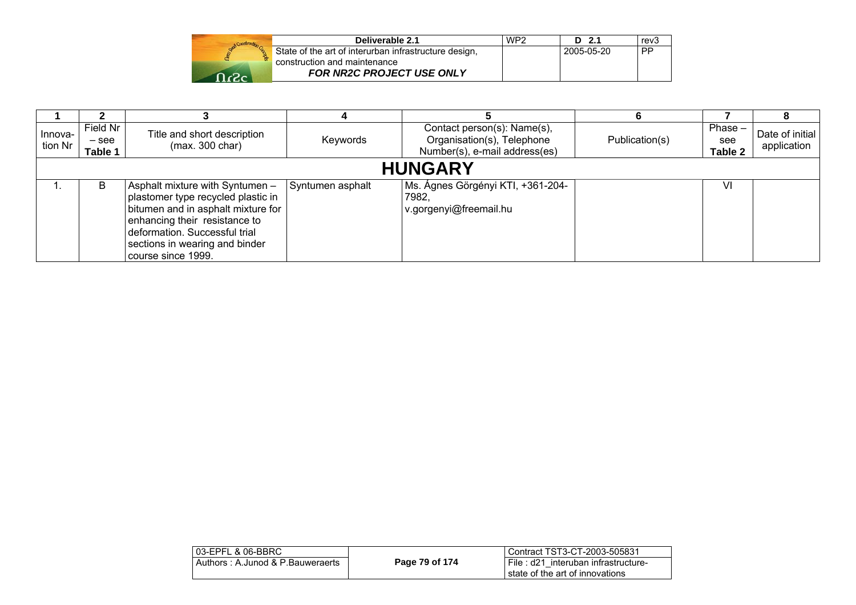|                   | Deliverable 2.1                                       | WP <sub>2</sub> | D 2.1      | rev3      |
|-------------------|-------------------------------------------------------|-----------------|------------|-----------|
|                   | State of the art of interurban infrastructure design, |                 | 2005-05-20 | <b>PP</b> |
|                   | construction and maintenance                          |                 |            |           |
| $\Omega_{\alpha}$ | <b>FOR NR2C PROJECT USE ONLY</b>                      |                 |            |           |

| -Innova<br>tion Nr | Field Nr<br>$-$ see<br>Table 1 | Title and short description<br>(max. 300 char)                                                                                                                                                                                        | Keywords         | Contact person(s): Name(s),<br>Organisation(s), Telephone<br>Number(s), e-mail address(es) | Publication(s) | Phase $-$<br>see<br>Table 2 | Date of initial<br>application |  |
|--------------------|--------------------------------|---------------------------------------------------------------------------------------------------------------------------------------------------------------------------------------------------------------------------------------|------------------|--------------------------------------------------------------------------------------------|----------------|-----------------------------|--------------------------------|--|
| <b>HUNGARY</b>     |                                |                                                                                                                                                                                                                                       |                  |                                                                                            |                |                             |                                |  |
|                    | B                              | Asphalt mixture with Syntumen -<br>plastomer type recycled plastic in<br>bitumen and in asphalt mixture for<br>enhancing their resistance to<br>deformation. Successful trial<br>sections in wearing and binder<br>course since 1999. | Syntumen asphalt | Ms. Ágnes Görgényi KTI, +361-204-<br>7982,<br>v.gorgenyi@freemail.hu                       |                | VI                          |                                |  |

| l 03-EPFL & 06-BBRC_             |                | Contract TST3-CT-2003-505831        |
|----------------------------------|----------------|-------------------------------------|
| Authors: A.Junod & P.Bauweraerts | Page 79 of 174 | File: d21 interuban infrastructure- |
|                                  |                | l state of the art of innovations   |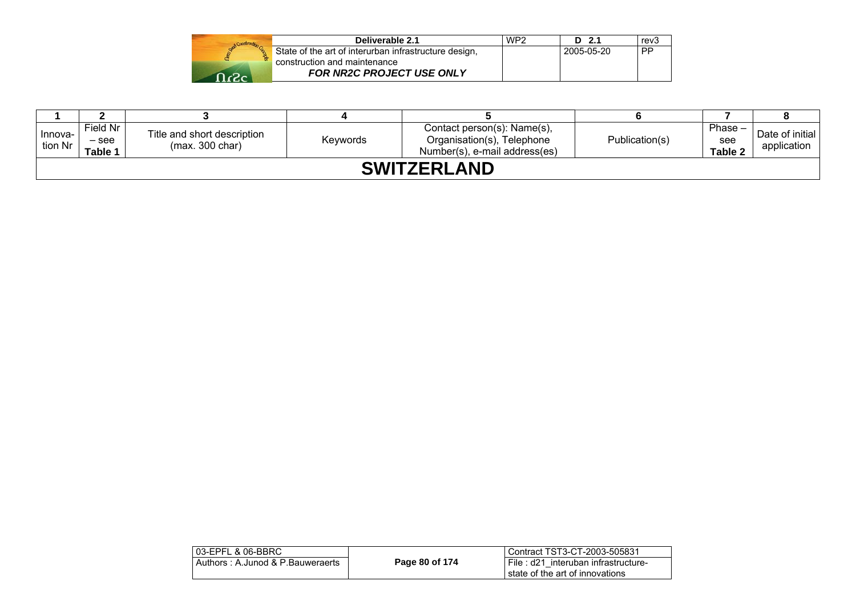|                                                   | Deliverable 2.1                                       | WP <sub>2</sub> | D <sub>2.1</sub>  | rev3 |
|---------------------------------------------------|-------------------------------------------------------|-----------------|-------------------|------|
|                                                   | State of the art of interurban infrastructure design, |                 | $12005 - 05 - 20$ | ⊪PP  |
| construction and maintenance<br>$\Omega_{\alpha}$ | <b>FOR NR2C PROJECT USE ONLY</b>                      |                 |                   |      |

| Innova-<br>tion Nr | Field Nr<br>– see<br>Table 1 | Title and short description<br>(max. 300 char) | Keywords | Contact person(s): Name(s),<br>Organisation(s), Telephone<br>Number(s), e-mail address(es) | Publication(s) | Phase $-$<br>see<br>Table 2 | Date of initial<br>application |  |
|--------------------|------------------------------|------------------------------------------------|----------|--------------------------------------------------------------------------------------------|----------------|-----------------------------|--------------------------------|--|
| <b>SWITZERLAND</b> |                              |                                                |          |                                                                                            |                |                             |                                |  |

| 03-EPFL & 06-BBRC                |                | Contract TST3-CT-2003-505831                                           |
|----------------------------------|----------------|------------------------------------------------------------------------|
| Authors: A.Junod & P.Bauweraerts | Page 80 of 174 | File: d21 interuban infrastructure-<br>state of the art of innovations |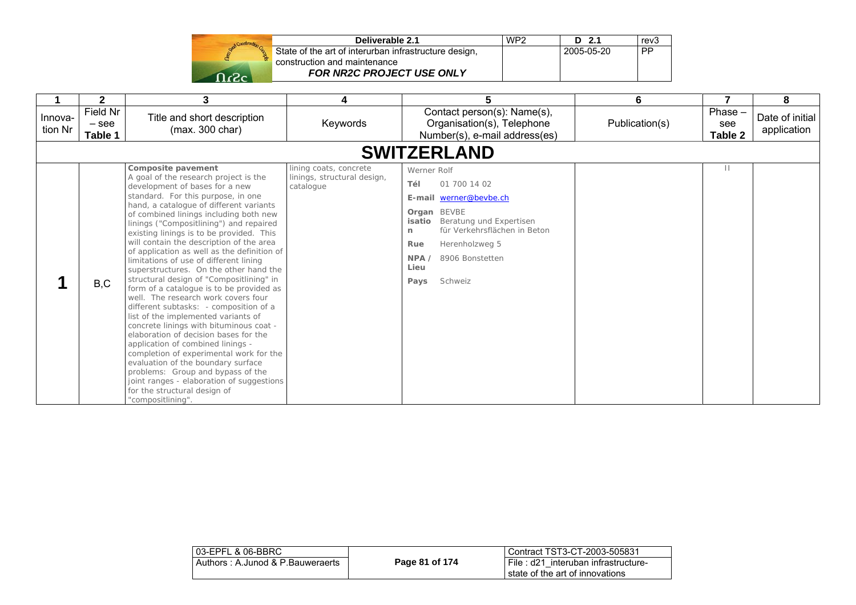| Deliverable 2.1                                                                       | WP <sub>2</sub> | $-2.1$<br>D | rev3 |
|---------------------------------------------------------------------------------------|-----------------|-------------|------|
| State of the art of interurban infrastructure design,<br>construction and maintenance |                 | 2005-05-20  | PP   |
| FOR NR2C PROJECT USE ONLY                                                             |                 |             |      |

|                    | $\mathbf{2}$                   | 3                                                                                                                                                                                                                                                                                                                                                                                                                                                                                                                                                                                                                                                                                                                                                                                                                                                                                                                                                                                                                                                               | 4                                                                  | 5                                                                                                                                                                                                                                      | 6              | 7                        | 8                              |
|--------------------|--------------------------------|-----------------------------------------------------------------------------------------------------------------------------------------------------------------------------------------------------------------------------------------------------------------------------------------------------------------------------------------------------------------------------------------------------------------------------------------------------------------------------------------------------------------------------------------------------------------------------------------------------------------------------------------------------------------------------------------------------------------------------------------------------------------------------------------------------------------------------------------------------------------------------------------------------------------------------------------------------------------------------------------------------------------------------------------------------------------|--------------------------------------------------------------------|----------------------------------------------------------------------------------------------------------------------------------------------------------------------------------------------------------------------------------------|----------------|--------------------------|--------------------------------|
| Innova-<br>tion Nr | Field Nr<br>$-$ see<br>Table 1 | Title and short description<br>(max. 300 char)                                                                                                                                                                                                                                                                                                                                                                                                                                                                                                                                                                                                                                                                                                                                                                                                                                                                                                                                                                                                                  | Keywords                                                           | Contact person(s): Name(s),<br>Organisation(s), Telephone<br>Number(s), e-mail address(es)                                                                                                                                             | Publication(s) | Phase-<br>see<br>Table 2 | Date of initial<br>application |
|                    |                                |                                                                                                                                                                                                                                                                                                                                                                                                                                                                                                                                                                                                                                                                                                                                                                                                                                                                                                                                                                                                                                                                 |                                                                    | <b>SWITZERLAND</b>                                                                                                                                                                                                                     |                |                          |                                |
|                    | B,C                            | Composite pavement<br>A goal of the research project is the<br>development of bases for a new<br>standard. For this purpose, in one<br>hand, a catalogue of different variants<br>of combined linings including both new<br>linings ("Compositlining") and repaired<br>existing linings is to be provided. This<br>will contain the description of the area<br>of application as well as the definition of<br>limitations of use of different lining<br>superstructures. On the other hand the<br>structural design of "Compositlining" in<br>form of a catalogue is to be provided as<br>well. The research work covers four<br>different subtasks: - composition of a<br>list of the implemented variants of<br>concrete linings with bituminous coat -<br>elaboration of decision bases for the<br>application of combined linings -<br>completion of experimental work for the<br>evaluation of the boundary surface<br>problems: Group and bypass of the<br>joint ranges - elaboration of suggestions<br>for the structural design of<br>"compositlining". | lining coats, concrete<br>linings, structural design,<br>catalogue | Werner Rolf<br>Tél<br>01 700 14 02<br>werner@bevbe.ch<br>E-mail<br>Organ BEVBE<br>Beratung und Expertisen<br>isatio<br>für Verkehrsflächen in Beton<br>n<br>Rue<br>Herenholzweg 5<br>NPA<br>8906 Bonstetten<br>Lieu<br>Schweiz<br>Pays |                | Ш                        |                                |

| 03-EPFL & 06-BBRC                |                | Contract TST3-CT-2003-505831          |
|----------------------------------|----------------|---------------------------------------|
| Authors: A.Junod & P.Bauweraerts | Page 81 of 174 | I File: d21 interuban infrastructure- |
|                                  |                | l state of the art of innovations.    |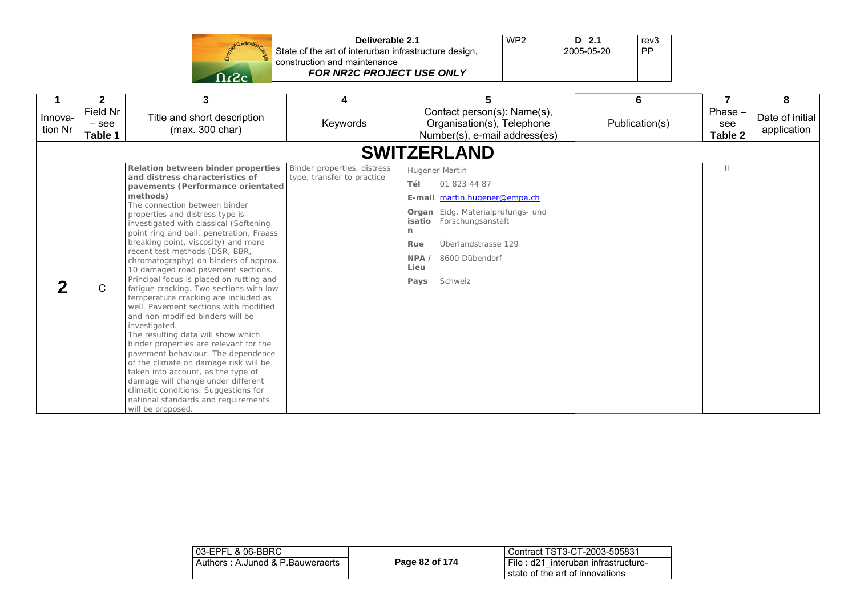| State<br>constr |
|-----------------|
|                 |
|                 |

| Deliverable 2.1                                       | WP <sub>2</sub> | $D$ 2.1    | rev <sub>3</sub> |
|-------------------------------------------------------|-----------------|------------|------------------|
| State of the art of interurban infrastructure design, |                 | 2005-05-20 | <b>PP</b>        |
| construction and maintenance                          |                 |            |                  |
| <b>FOR NR2C PROJECT USE ONLY</b>                      |                 |            |                  |

|                    | $\mathbf{2}$                   | 3                                                                                                                                                                                                                                                                                                                                                                                                                                                                                                                                                                                                                                                                                                                                                                                                                                                                                                                                                                                                                    | 4                                                         | 5                                                                                                                                                                                                                                     | 6              | 7                        | 8                              |
|--------------------|--------------------------------|----------------------------------------------------------------------------------------------------------------------------------------------------------------------------------------------------------------------------------------------------------------------------------------------------------------------------------------------------------------------------------------------------------------------------------------------------------------------------------------------------------------------------------------------------------------------------------------------------------------------------------------------------------------------------------------------------------------------------------------------------------------------------------------------------------------------------------------------------------------------------------------------------------------------------------------------------------------------------------------------------------------------|-----------------------------------------------------------|---------------------------------------------------------------------------------------------------------------------------------------------------------------------------------------------------------------------------------------|----------------|--------------------------|--------------------------------|
| Innova-<br>tion Nr | Field Nr<br>$-$ see<br>Table 1 | Title and short description<br>(max. 300 char)                                                                                                                                                                                                                                                                                                                                                                                                                                                                                                                                                                                                                                                                                                                                                                                                                                                                                                                                                                       | Keywords                                                  | Contact person(s): Name(s),<br>Organisation(s), Telephone<br>Number(s), e-mail address(es)                                                                                                                                            | Publication(s) | Phase-<br>see<br>Table 2 | Date of initial<br>application |
|                    |                                |                                                                                                                                                                                                                                                                                                                                                                                                                                                                                                                                                                                                                                                                                                                                                                                                                                                                                                                                                                                                                      |                                                           | <b>SWITZERLAND</b>                                                                                                                                                                                                                    |                |                          |                                |
|                    | C                              | Relation between binder properties<br>and distress characteristics of<br>pavements (Performance orientated<br>methods)<br>The connection between binder<br>properties and distress type is<br>investigated with classical (Softening<br>point ring and ball, penetration, Fraass<br>breaking point, viscosity) and more<br>recent test methods (DSR, BBR,<br>chromatography) on binders of approx.<br>10 damaged road pavement sections.<br>Principal focus is placed on rutting and<br>fatigue cracking. Two sections with low<br>temperature cracking are included as<br>well. Pavement sections with modified<br>and non-modified binders will be<br>investigated.<br>The resulting data will show which<br>binder properties are relevant for the<br>pavement behaviour. The dependence<br>of the climate on damage risk will be<br>taken into account, as the type of<br>damage will change under different<br>climatic conditions. Suggestions for<br>national standards and requirements<br>will be proposed. | Binder properties, distress<br>type, transfer to practice | Hugener Martin<br>01 823 44 87<br>Tél<br>martin.hugener@empa.ch<br>E-mail<br>Organ Eidg. Materialprüfungs- und<br>Forschungsanstalt<br>isatio<br>n.<br>Überlandstrasse 129<br>Rue<br>NPA<br>8600 Dübendorf<br>Lieu<br>Schweiz<br>Pays |                | $\mathbf{H}$             |                                |

| l 03-EPFL & 06-BBRC_             |                | Contract TST3-CT-2003-505831        |
|----------------------------------|----------------|-------------------------------------|
| Authors: A.Junod & P.Bauweraerts | Page 82 of 174 | File: d21 interuban infrastructure- |
|                                  |                | I state of the art of innovations   |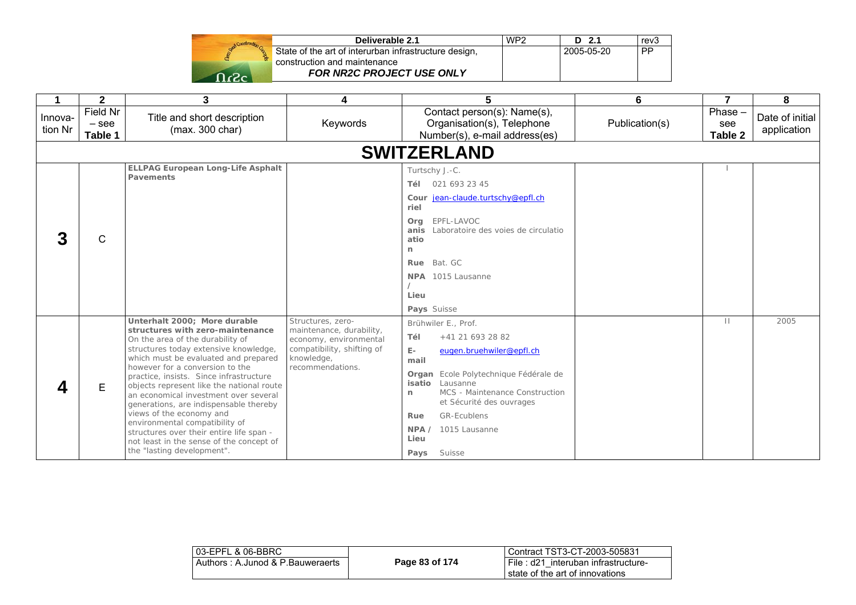|        | Deliverable 2.1                                       | WP <sub>2</sub> | 2.1        | rev3      |
|--------|-------------------------------------------------------|-----------------|------------|-----------|
|        | State of the art of interurban infrastructure design, |                 | 2005-05-20 | <b>PP</b> |
|        | construction and maintenance                          |                 |            |           |
| - כ- ר | <b>FOR NR2C PROJECT USE ONLY</b>                      |                 |            |           |

| 1                  | $\overline{2}$                 | 3                                                                                                                                                                                                          | 4                                                                  | 5                                                                                                                              | 6              | $\overline{7}$                   | 8                              |
|--------------------|--------------------------------|------------------------------------------------------------------------------------------------------------------------------------------------------------------------------------------------------------|--------------------------------------------------------------------|--------------------------------------------------------------------------------------------------------------------------------|----------------|----------------------------------|--------------------------------|
| Innova-<br>tion Nr | Field Nr<br>$-$ see<br>Table 1 | Title and short description<br>(max. 300 char)                                                                                                                                                             | Keywords                                                           | Contact person(s): Name(s),<br>Organisation(s), Telephone<br>Number(s), e-mail address(es)                                     | Publication(s) | Phase -<br>see<br><b>Table 2</b> | Date of initial<br>application |
|                    |                                |                                                                                                                                                                                                            |                                                                    | <b>SWITZERLAND</b>                                                                                                             |                |                                  |                                |
|                    |                                | <b>ELLPAG European Long-Life Asphalt</b><br>Pavements                                                                                                                                                      |                                                                    | Turtschy J.-C.                                                                                                                 |                |                                  |                                |
|                    |                                |                                                                                                                                                                                                            |                                                                    | 021 693 23 45<br>Tél<br>Cour jean-claude.turtschy@epfl.ch<br>riel                                                              |                |                                  |                                |
| 3                  | $\mathsf{C}$                   |                                                                                                                                                                                                            |                                                                    | EPFL-LAVOC<br>Org<br>Laboratoire des voies de circulatio<br>anis<br>atio<br>n                                                  |                |                                  |                                |
|                    |                                |                                                                                                                                                                                                            |                                                                    | Bat. GC<br>Rue<br>NPA 1015 Lausanne<br>Lieu                                                                                    |                |                                  |                                |
|                    |                                | Unterhalt 2000: More durable                                                                                                                                                                               | Structures, zero-                                                  | Pays Suisse<br>Brühwiler E., Prof.                                                                                             |                | $\mathbf{H}$                     | 2005                           |
|                    |                                | structures with zero-maintenance                                                                                                                                                                           | maintenance, durability,                                           | +41 21 693 28 82<br>Tél                                                                                                        |                |                                  |                                |
|                    |                                | On the area of the durability of<br>structures today extensive knowledge,<br>which must be evaluated and prepared                                                                                          | economy, environmental<br>compatibility, shifting of<br>knowledge, | $E-$<br>eugen.bruehwiler@epfl.ch<br>mail                                                                                       |                |                                  |                                |
| Δ                  | E                              | however for a conversion to the<br>practice, insists. Since infrastructure<br>objects represent like the national route<br>an economical investment over several<br>generations, are indispensable thereby | recommendations.                                                   | Organ Ecole Polytechnique Fédérale de<br>Lausanne<br>isatio<br>MCS - Maintenance Construction<br>n<br>et Sécurité des ouvrages |                |                                  |                                |
|                    |                                | views of the economy and<br>environmental compatibility of                                                                                                                                                 |                                                                    | <b>GR-Ecublens</b><br>Rue                                                                                                      |                |                                  |                                |
|                    |                                | structures over their entire life span -<br>not least in the sense of the concept of                                                                                                                       |                                                                    | 1015 Lausanne<br>NPA /<br>Lieu                                                                                                 |                |                                  |                                |
|                    |                                | the "lasting development".                                                                                                                                                                                 |                                                                    | Suisse<br>Pays                                                                                                                 |                |                                  |                                |

| 03-EPFL & 06-BBRC                |                | Contract TST3-CT-2003-505831          |
|----------------------------------|----------------|---------------------------------------|
| Authors: A.Junod & P.Bauweraerts | Page 83 of 174 | I File: d21 interuban infrastructure- |
|                                  |                | I state of the art of innovations     |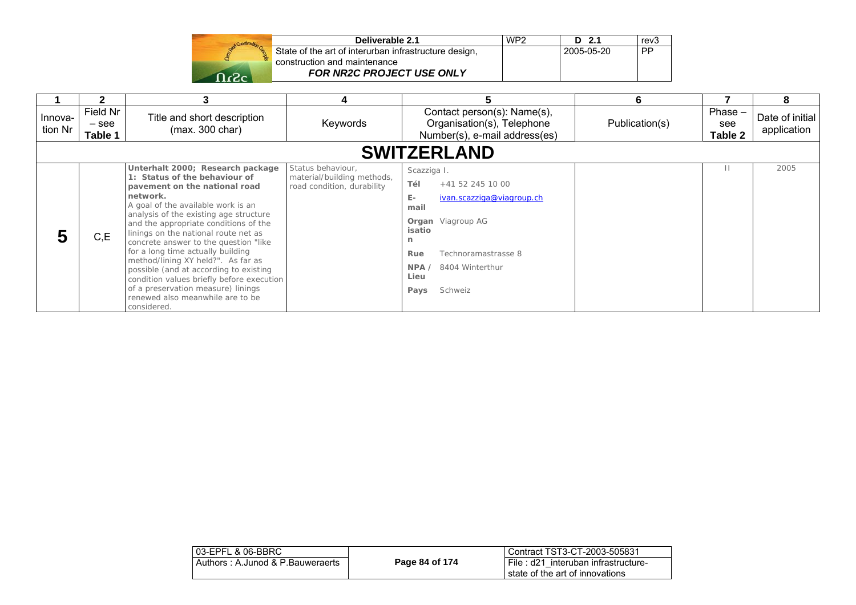| Deliverable 2.1                                       | WP <sub>2</sub> | $D$ 2.1    | rev3 |
|-------------------------------------------------------|-----------------|------------|------|
| State of the art of interurban infrastructure design, |                 | 2005-05-20 | PP   |
| construction and maintenance                          |                 |            |      |
| <b>FOR NR2C PROJECT USE ONLY</b>                      |                 |            |      |

|                    |                                |                                                                                                                                                                                                                                                                                                                                                                                                                                                                                                                                                                                     | 4                                                                             |                                                                                                                                                                                                                      | 6              |                             | 8                              |  |
|--------------------|--------------------------------|-------------------------------------------------------------------------------------------------------------------------------------------------------------------------------------------------------------------------------------------------------------------------------------------------------------------------------------------------------------------------------------------------------------------------------------------------------------------------------------------------------------------------------------------------------------------------------------|-------------------------------------------------------------------------------|----------------------------------------------------------------------------------------------------------------------------------------------------------------------------------------------------------------------|----------------|-----------------------------|--------------------------------|--|
| Innova-<br>tion Nr | Field Nr<br>$-$ see<br>Table 1 | Title and short description<br>(max. 300 char)                                                                                                                                                                                                                                                                                                                                                                                                                                                                                                                                      | Keywords                                                                      | Contact person(s): Name(s),<br>Organisation(s), Telephone<br>Number(s), e-mail address(es)                                                                                                                           | Publication(s) | $Phase -$<br>see<br>Table 2 | Date of initial<br>application |  |
|                    | <b>SWITZERLAND</b>             |                                                                                                                                                                                                                                                                                                                                                                                                                                                                                                                                                                                     |                                                                               |                                                                                                                                                                                                                      |                |                             |                                |  |
|                    | C, E                           | Unterhalt 2000; Research package<br>1: Status of the behaviour of<br>pavement on the national road<br>network.<br>A goal of the available work is an<br>analysis of the existing age structure<br>and the appropriate conditions of the<br>linings on the national route net as<br>concrete answer to the question "like<br>for a long time actually building<br>method/lining XY held?". As far as<br>possible (and at according to existing<br>condition values briefly before execution<br>of a preservation measure) linings<br>renewed also meanwhile are to be<br>considered. | Status behaviour,<br>material/building methods,<br>road condition, durability | Scazziga I.<br>Tél<br>+41 52 245 10 00<br>$E -$<br>ivan.scazziga@viagroup.ch<br>mail<br><b>Organ</b> Viagroup AG<br>isatio<br>n<br>Technoramastrasse 8<br>Rue<br>8404 Winterthur<br>NPA /<br>Lieu<br>Schweiz<br>Pays |                |                             | 2005                           |  |

| 03-EPFL & 06-BBRC                |                | l Contract TST3-CT-2003-505831                                            |
|----------------------------------|----------------|---------------------------------------------------------------------------|
| Authors: A.Junod & P.Bauweraerts | Page 84 of 174 | i File : d21 interuban infrastructure-<br>state of the art of innovations |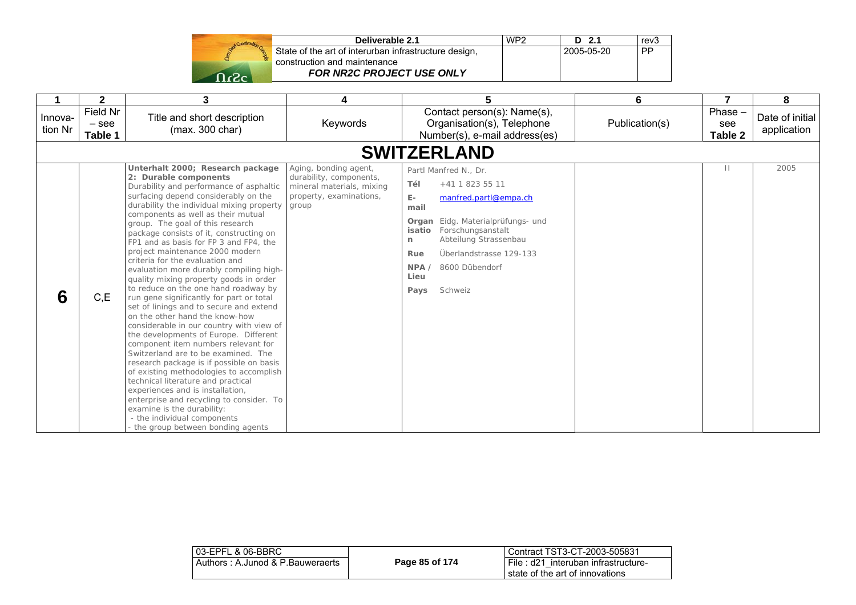| Stand Construction |
|--------------------|
|                    |
|                    |
| -2                 |

| Deliverable 2.1                                       | WP <sub>2</sub> | D 2.1      | rev <sub>3</sub> |
|-------------------------------------------------------|-----------------|------------|------------------|
| State of the art of interurban infrastructure design, |                 | 2005-05-20 | PP               |
| construction and maintenance                          |                 |            |                  |
| <b>FOR NR2C PROJECT USE ONLY</b>                      |                 |            |                  |

|                    | $\mathbf{2}$                   | 3                                                                                                                                                                                                                                                                                                                                                                                                                                                                                                                                                                                                                                                                                                                                                                                                                                                                                                                                                                                                                                                                                                                                                                     | 4                                                                                                                 | 5                                                                                                                                                                                                                                                                                     | 6              | 7                        | 8                              |
|--------------------|--------------------------------|-----------------------------------------------------------------------------------------------------------------------------------------------------------------------------------------------------------------------------------------------------------------------------------------------------------------------------------------------------------------------------------------------------------------------------------------------------------------------------------------------------------------------------------------------------------------------------------------------------------------------------------------------------------------------------------------------------------------------------------------------------------------------------------------------------------------------------------------------------------------------------------------------------------------------------------------------------------------------------------------------------------------------------------------------------------------------------------------------------------------------------------------------------------------------|-------------------------------------------------------------------------------------------------------------------|---------------------------------------------------------------------------------------------------------------------------------------------------------------------------------------------------------------------------------------------------------------------------------------|----------------|--------------------------|--------------------------------|
| Innova-<br>tion Nr | Field Nr<br>$-$ see<br>Table 1 | Title and short description<br>(max. 300 char)                                                                                                                                                                                                                                                                                                                                                                                                                                                                                                                                                                                                                                                                                                                                                                                                                                                                                                                                                                                                                                                                                                                        | Keywords                                                                                                          | Contact person(s): Name(s),<br>Organisation(s), Telephone<br>Number(s), e-mail address(es)                                                                                                                                                                                            | Publication(s) | Phase-<br>see<br>Table 2 | Date of initial<br>application |
|                    |                                |                                                                                                                                                                                                                                                                                                                                                                                                                                                                                                                                                                                                                                                                                                                                                                                                                                                                                                                                                                                                                                                                                                                                                                       |                                                                                                                   | <b>SWITZERLAND</b>                                                                                                                                                                                                                                                                    |                |                          |                                |
| 6                  | C, E                           | Unterhalt 2000; Research package<br>2: Durable components<br>Durability and performance of asphaltic<br>surfacing depend considerably on the<br>durability the individual mixing property<br>components as well as their mutual<br>group. The goal of this research<br>package consists of it, constructing on<br>FP1 and as basis for FP 3 and FP4, the<br>project maintenance 2000 modern<br>criteria for the evaluation and<br>evaluation more durably compiling high-<br>quality mixing property goods in order<br>to reduce on the one hand roadway by<br>run gene significantly for part or total<br>set of linings and to secure and extend<br>on the other hand the know-how<br>considerable in our country with view of<br>the developments of Europe. Different<br>component item numbers relevant for<br>Switzerland are to be examined. The<br>research package is if possible on basis<br>of existing methodologies to accomplish<br>technical literature and practical<br>experiences and is installation,<br>enterprise and recycling to consider. To<br>examine is the durability:<br>- the individual components<br>the group between bonding agents | Aging, bonding agent,<br>durability, components,<br>mineral materials, mixing<br>property, examinations,<br>group | Partl Manfred N., Dr.<br>Tél<br>+41 1 823 55 11<br>$E -$<br>manfred.partl@empa.ch<br>mail<br>Eidg. Materialprüfungs- und<br>Organ<br>Forschungsanstalt<br>isatio<br>Abteilung Strassenbau<br>n<br>Überlandstrasse 129-133<br>Rue<br>8600 Dübendorf<br>NPA/<br>Lieu<br>Schweiz<br>Pays |                | Ш                        | 2005                           |

| 03-EPFL & 06-BBRC                |                | Contract TST3-CT-2003-505831                                              |
|----------------------------------|----------------|---------------------------------------------------------------------------|
| Authors: A.Junod & P.Bauweraerts | Page 85 of 174 | i File : d21 interuban infrastructure-<br>state of the art of innovations |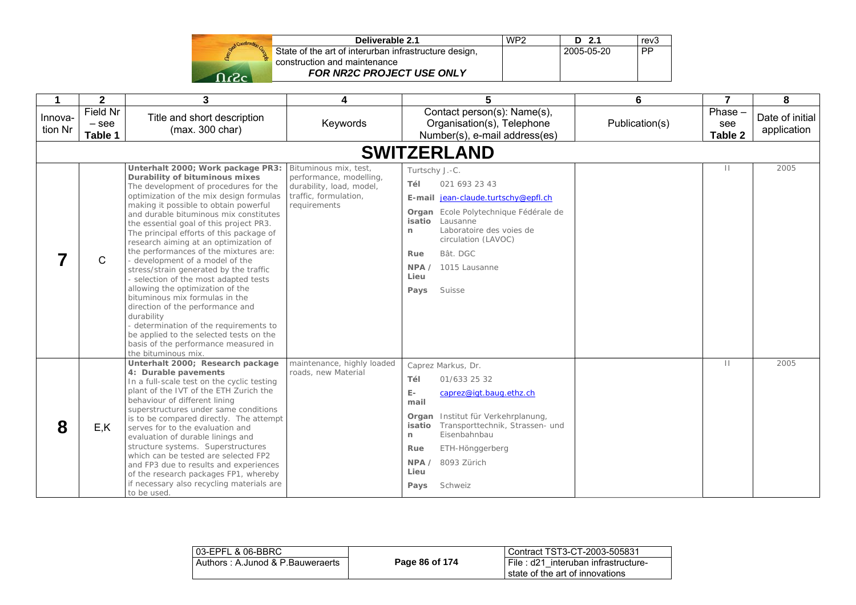| Send Construction C |  |
|---------------------|--|
|                     |  |
| -2                  |  |

| Deliverable 2.1                                       | WP <sub>2</sub> | D 2.1      | rev <sub>3</sub> |
|-------------------------------------------------------|-----------------|------------|------------------|
| State of the art of interurban infrastructure design, |                 | 2005-05-20 | <b>PP</b>        |
| construction and maintenance                          |                 |            |                  |
| <b>FOR NR2C PROJECT USE ONLY</b>                      |                 |            |                  |

| $\mathbf 1$        | $\mathbf{2}$                   | 3                                                                                                                                                                                                                                                                                                                                                                                                                                                                                                                                                                                                                                                                                                                                                                                                                     | 4                                                                                                                     | 5                                                                                                                                                                                                                                                                                            | 6              | $\overline{7}$           | 8                              |
|--------------------|--------------------------------|-----------------------------------------------------------------------------------------------------------------------------------------------------------------------------------------------------------------------------------------------------------------------------------------------------------------------------------------------------------------------------------------------------------------------------------------------------------------------------------------------------------------------------------------------------------------------------------------------------------------------------------------------------------------------------------------------------------------------------------------------------------------------------------------------------------------------|-----------------------------------------------------------------------------------------------------------------------|----------------------------------------------------------------------------------------------------------------------------------------------------------------------------------------------------------------------------------------------------------------------------------------------|----------------|--------------------------|--------------------------------|
| Innova-<br>tion Nr | Field Nr<br>$-$ see<br>Table 1 | Title and short description<br>(max. 300 char)                                                                                                                                                                                                                                                                                                                                                                                                                                                                                                                                                                                                                                                                                                                                                                        | Keywords                                                                                                              | Contact person(s): Name(s),<br>Organisation(s), Telephone<br>Number(s), e-mail address(es)                                                                                                                                                                                                   | Publication(s) | Phase-<br>see<br>Table 2 | Date of initial<br>application |
|                    |                                |                                                                                                                                                                                                                                                                                                                                                                                                                                                                                                                                                                                                                                                                                                                                                                                                                       |                                                                                                                       | <b>SWITZERLAND</b>                                                                                                                                                                                                                                                                           |                |                          |                                |
|                    | C                              | Unterhalt 2000; Work package PR3:<br>Durability of bituminous mixes<br>The development of procedures for the<br>optimization of the mix design formulas<br>making it possible to obtain powerful<br>and durable bituminous mix constitutes<br>the essential goal of this project PR3.<br>The principal efforts of this package of<br>research aiming at an optimization of<br>the performances of the mixtures are:<br>- development of a model of the<br>stress/strain generated by the traffic<br>- selection of the most adapted tests<br>allowing the optimization of the<br>bituminous mix formulas in the<br>direction of the performance and<br>durability<br>- determination of the requirements to<br>be applied to the selected tests on the<br>basis of the performance measured in<br>the bituminous mix. | Bituminous mix, test,<br>performance, modelling,<br>durability, load, model,<br>traffic, formulation,<br>requirements | Turtschy J.-C.<br>021 693 23 43<br>Tél<br>E-mail jean-claude.turtschy@epfl.ch<br>Organ Ecole Polytechnique Fédérale de<br>isatio<br>Lausanne<br>Laboratoire des voies de<br>n<br>circulation (LAVOC)<br>Bât. DGC<br>Rue<br>1015 Lausanne<br>NPA /<br>Lieu<br>Suisse<br>Pays                  |                | $\mathbf{H}$             | 2005                           |
| 8                  | E, K                           | Unterhalt 2000; Research package<br>4: Durable pavements<br>In a full-scale test on the cyclic testing<br>plant of the IVT of the ETH Zurich the<br>behaviour of different lining<br>superstructures under same conditions<br>is to be compared directly. The attempt<br>serves for to the evaluation and<br>evaluation of durable linings and<br>structure systems. Superstructures<br>which can be tested are selected FP2<br>and FP3 due to results and experiences<br>of the research packages FP1, whereby<br>if necessary also recycling materials are<br>to be used.                                                                                                                                                                                                                                           | maintenance, highly loaded<br>roads, new Material                                                                     | Caprez Markus, Dr.<br>Tél<br>01/633 25 32<br>$\mathsf{E}\text{-}$<br>caprez@igt.baug.ethz.ch<br>mail<br>Institut für Verkehrplanung,<br>Organ<br>Transporttechnik, Strassen- und<br>isatio<br>Eisenbahnbau<br>n<br>Rue<br>ETH-Hönggerberg<br>NPA /<br>8093 Zürich<br>Lieu<br>Schweiz<br>Pays |                | $\mathbf{H}$             | 2005                           |

| 03-EPFL & 06-BBRC                |                | Contract TST3-CT-2003-505831          |
|----------------------------------|----------------|---------------------------------------|
| Authors: A.Junod & P.Bauweraerts | Page 86 of 174 | I File: d21 interuban infrastructure- |
|                                  |                | l state of the art of innovations.    |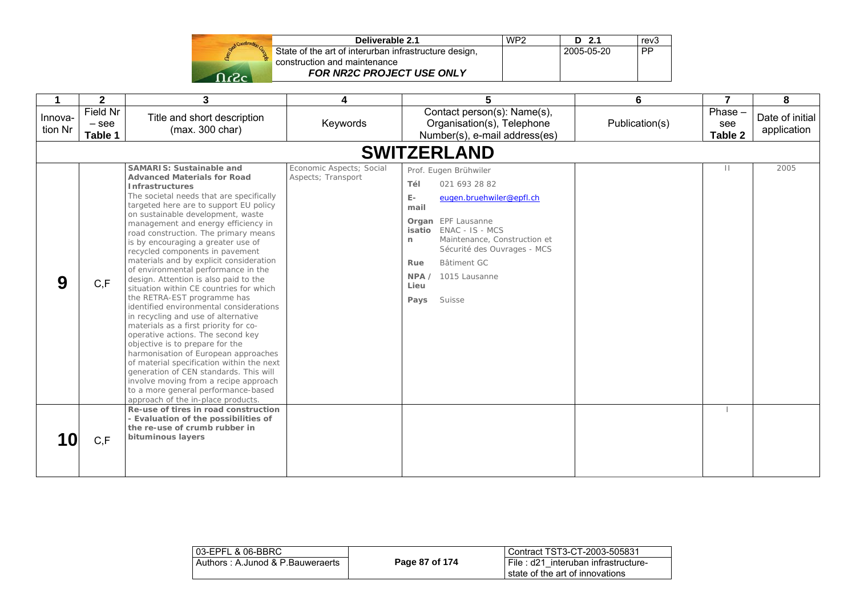|       | Deliverable 2.1                                       | WP <sub>2</sub> | D 2.1      | rev3      |
|-------|-------------------------------------------------------|-----------------|------------|-----------|
|       | State of the art of interurban infrastructure design, |                 | 2005-05-20 | <b>PP</b> |
|       | construction and maintenance                          |                 |            |           |
| ∼ים ∩ | <b>FOR NR2C PROJECT USE ONLY</b>                      |                 |            |           |

|                    | $\mathbf{2}$                   | 3                                                                                                                                                                                                                                                                                                                                                                                                                                                                                                                                                                                                                                                                                                                                                                                                                                                                                                                                                                                                                                               | 4                                              | 5                                                                                                                                                                                                                                                                                               | 6              | $\overline{7}$            | 8                              |
|--------------------|--------------------------------|-------------------------------------------------------------------------------------------------------------------------------------------------------------------------------------------------------------------------------------------------------------------------------------------------------------------------------------------------------------------------------------------------------------------------------------------------------------------------------------------------------------------------------------------------------------------------------------------------------------------------------------------------------------------------------------------------------------------------------------------------------------------------------------------------------------------------------------------------------------------------------------------------------------------------------------------------------------------------------------------------------------------------------------------------|------------------------------------------------|-------------------------------------------------------------------------------------------------------------------------------------------------------------------------------------------------------------------------------------------------------------------------------------------------|----------------|---------------------------|--------------------------------|
| Innova-<br>tion Nr | Field Nr<br>$-$ see<br>Table 1 | Title and short description<br>(max. 300 char)                                                                                                                                                                                                                                                                                                                                                                                                                                                                                                                                                                                                                                                                                                                                                                                                                                                                                                                                                                                                  | Keywords                                       | Contact person(s): Name(s),<br>Organisation(s), Telephone<br>Number(s), e-mail address(es)                                                                                                                                                                                                      | Publication(s) | Phase -<br>see<br>Table 2 | Date of initial<br>application |
|                    |                                |                                                                                                                                                                                                                                                                                                                                                                                                                                                                                                                                                                                                                                                                                                                                                                                                                                                                                                                                                                                                                                                 |                                                | <b>SWITZERLAND</b>                                                                                                                                                                                                                                                                              |                |                           |                                |
| 9                  | C, F                           | <b>SAMARIS: Sustainable and</b><br><b>Advanced Materials for Road</b><br><b>Infrastructures</b><br>The societal needs that are specifically<br>targeted here are to support EU policy<br>on sustainable development, waste<br>management and energy efficiency in<br>road construction. The primary means<br>is by encouraging a greater use of<br>recycled components in pavement<br>materials and by explicit consideration<br>of environmental performance in the<br>design. Attention is also paid to the<br>situation within CE countries for which<br>the RETRA-EST programme has<br>identified environmental considerations<br>in recycling and use of alternative<br>materials as a first priority for co-<br>operative actions. The second key<br>objective is to prepare for the<br>harmonisation of European approaches<br>of material specification within the next<br>generation of CEN standards. This will<br>involve moving from a recipe approach<br>to a more general performance-based<br>approach of the in-place products. | Economic Aspects; Social<br>Aspects; Transport | Prof. Eugen Brühwiler<br>Tél<br>021 693 28 82<br>$E -$<br>eugen.bruehwiler@epfl.ch<br>mail<br><b>Organ</b> EPF Lausanne<br>isatio ENAC - IS - MCS<br>Maintenance, Construction et<br>n<br>Sécurité des Ouvrages - MCS<br>Bâtiment GC<br>Rue<br>1015 Lausanne<br>NPA /<br>Lieu<br>Suisse<br>Pays |                | $\mathbf{H}$              | 2005                           |
|                    | C, F                           | Re-use of tires in road construction<br>- Evaluation of the possibilities of<br>the re-use of crumb rubber in<br>bituminous layers                                                                                                                                                                                                                                                                                                                                                                                                                                                                                                                                                                                                                                                                                                                                                                                                                                                                                                              |                                                |                                                                                                                                                                                                                                                                                                 |                |                           |                                |

| l 03-EPFL & 06-BBRC_             |                | Contract TST3-CT-2003-505831                                              |
|----------------------------------|----------------|---------------------------------------------------------------------------|
| Authors: A.Junod & P.Bauweraerts | Page 87 of 174 | File: d21 interuban infrastructure-<br>l state of the art of innovations. |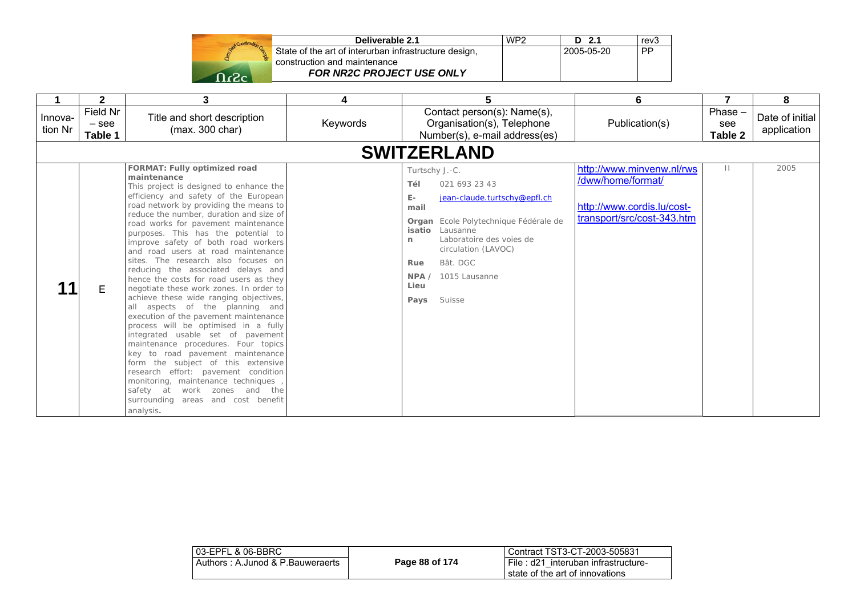|         | Deliverable 2.1                                       | WP <sub>2</sub> | D 2.1      | rev <sub>3</sub> |
|---------|-------------------------------------------------------|-----------------|------------|------------------|
|         | State of the art of interurban infrastructure design, |                 | 2005-05-20 | PP               |
|         | construction and maintenance                          |                 |            |                  |
| - כי- ו | FOR NR2C PROJECT USE ONLY                             |                 |            |                  |

|                    | $\mathbf{2}$                   | 3                                                                                                                                                                                                                                                                                                                                                                                                                                                                                                                                                                                                                                                                                                                                                                                                                                                                                                                                                                                                                                     | 4        | 5                                                                                                                                                                                                                                                                                             | 6                                                                                                          | 7                           | 8                              |
|--------------------|--------------------------------|---------------------------------------------------------------------------------------------------------------------------------------------------------------------------------------------------------------------------------------------------------------------------------------------------------------------------------------------------------------------------------------------------------------------------------------------------------------------------------------------------------------------------------------------------------------------------------------------------------------------------------------------------------------------------------------------------------------------------------------------------------------------------------------------------------------------------------------------------------------------------------------------------------------------------------------------------------------------------------------------------------------------------------------|----------|-----------------------------------------------------------------------------------------------------------------------------------------------------------------------------------------------------------------------------------------------------------------------------------------------|------------------------------------------------------------------------------------------------------------|-----------------------------|--------------------------------|
| Innova-<br>tion Nr | Field Nr<br>$-$ see<br>Table 1 | Title and short description<br>(max. 300 char)                                                                                                                                                                                                                                                                                                                                                                                                                                                                                                                                                                                                                                                                                                                                                                                                                                                                                                                                                                                        | Keywords | Contact person(s): Name(s),<br>Organisation(s), Telephone<br>Number(s), e-mail address(es)                                                                                                                                                                                                    | Publication(s)                                                                                             | $Phase -$<br>see<br>Table 2 | Date of initial<br>application |
|                    |                                |                                                                                                                                                                                                                                                                                                                                                                                                                                                                                                                                                                                                                                                                                                                                                                                                                                                                                                                                                                                                                                       |          | <b>SWITZERLAND</b>                                                                                                                                                                                                                                                                            |                                                                                                            |                             |                                |
|                    | Е                              | FORMAT: Fully optimized road<br>maintenance<br>This project is designed to enhance the<br>efficiency and safety of the European<br>road network by providing the means to<br>reduce the number, duration and size of<br>road works for pavement maintenance<br>purposes. This has the potential to<br>improve safety of both road workers<br>and road users at road maintenance<br>sites. The research also focuses on<br>reducing the associated delays and<br>hence the costs for road users as they<br>negotiate these work zones. In order to<br>achieve these wide ranging objectives,<br>all aspects of the planning and<br>execution of the pavement maintenance<br>process will be optimised in a fully<br>integrated usable set of pavement<br>maintenance procedures. Four topics<br>key to road pavement maintenance<br>form the subject of this extensive<br>research effort: pavement condition<br>monitoring, maintenance techniques<br>safety at work zones and the<br>surrounding areas and cost benefit<br>analysis. |          | Turtschy J.-C.<br>021 693 23 43<br>Tél<br>E-<br>jean-claude.turtschy@epfl.ch<br>mail<br>Organ Ecole Polytechnique Fédérale de<br>isatio<br>Lausanne<br>Laboratoire des voies de<br>$\mathsf{r}$<br>circulation (LAVOC)<br>Bât. DGC<br>Rue<br>1015 Lausanne<br>NPA /<br>Lieu<br>Suisse<br>Pays | http://www.minvenw.nl/rws<br>/dww/home/format/<br>http://www.cordis.lu/cost-<br>transport/src/cost-343.htm | $\mathbf{H}$                | 2005                           |

| 03-EPFL & 06-BBRC                |                | Contract TST3-CT-2003-505831        |
|----------------------------------|----------------|-------------------------------------|
| Authors: A.Junod & P.Bauweraerts | Page 88 of 174 | File: d21 interuban infrastructure- |
|                                  |                | state of the art of innovations     |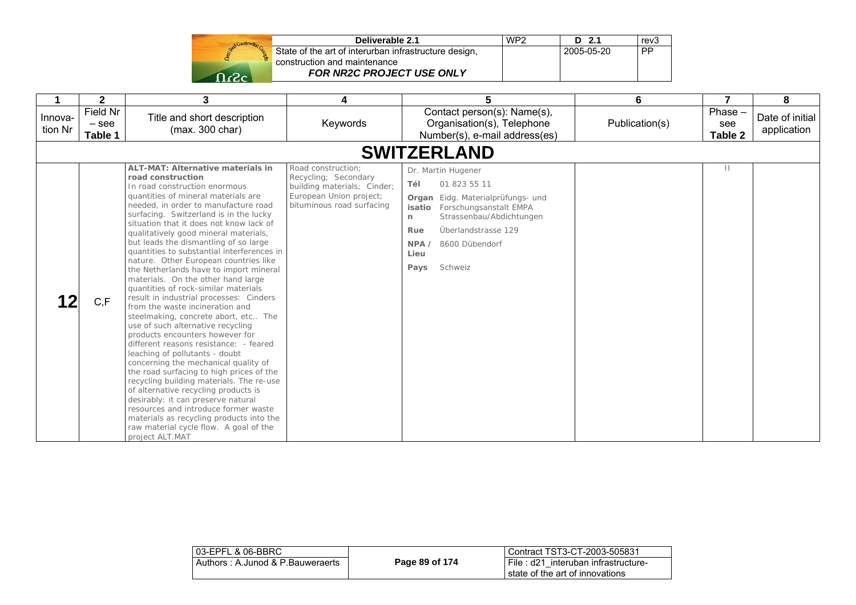|               | Construction Co. |
|---------------|------------------|
| <b>Donald</b> |                  |
|               |                  |

| Deliverable 2.1                                       | WP <sub>2</sub> | D 2.1      | rev <sub>3</sub> |
|-------------------------------------------------------|-----------------|------------|------------------|
| State of the art of interurban infrastructure design, |                 | 2005-05-20 | <b>PP</b>        |
| construction and maintenance                          |                 |            |                  |
| <b>FOR NR2C PROJECT USE ONLY</b>                      |                 |            |                  |

|                    | $\mathbf{2}$                   | 3                                                                                                                                                                                                                                                                                                                                                                                                                                                                                                                                                                                                                                                                                                                                                                                                                                                                                                                                                                                                                                                                                                                                                                                                            | 4                                                                                                                                 | 5                                                                                                                                                                                                                                          | 6              |                           | 8                              |
|--------------------|--------------------------------|--------------------------------------------------------------------------------------------------------------------------------------------------------------------------------------------------------------------------------------------------------------------------------------------------------------------------------------------------------------------------------------------------------------------------------------------------------------------------------------------------------------------------------------------------------------------------------------------------------------------------------------------------------------------------------------------------------------------------------------------------------------------------------------------------------------------------------------------------------------------------------------------------------------------------------------------------------------------------------------------------------------------------------------------------------------------------------------------------------------------------------------------------------------------------------------------------------------|-----------------------------------------------------------------------------------------------------------------------------------|--------------------------------------------------------------------------------------------------------------------------------------------------------------------------------------------------------------------------------------------|----------------|---------------------------|--------------------------------|
| Innova-<br>tion Nr | Field Nr<br>$-$ see<br>Table 1 | Title and short description<br>(max. 300 char)                                                                                                                                                                                                                                                                                                                                                                                                                                                                                                                                                                                                                                                                                                                                                                                                                                                                                                                                                                                                                                                                                                                                                               | Keywords                                                                                                                          | Contact person(s): Name(s),<br>Organisation(s), Telephone<br>Number(s), e-mail address(es)                                                                                                                                                 | Publication(s) | Phase -<br>see<br>Table 2 | Date of initial<br>application |
|                    |                                |                                                                                                                                                                                                                                                                                                                                                                                                                                                                                                                                                                                                                                                                                                                                                                                                                                                                                                                                                                                                                                                                                                                                                                                                              |                                                                                                                                   | <b>SWITZERLAND</b>                                                                                                                                                                                                                         |                |                           |                                |
|                    | C, F                           | <b>ALT-MAT: Alternative materials in</b><br>road construction<br>In road construction enormous<br>quantities of mineral materials are<br>needed, in order to manufacture road<br>surfacing. Switzerland is in the lucky<br>situation that it does not know lack of<br>qualitatively good mineral materials,<br>but leads the dismantling of so large<br>quantities to substantial interferences in<br>nature. Other European countries like<br>the Netherlands have to import mineral<br>materials. On the other hand large<br>quantities of rock-similar materials<br>result in industrial processes: Cinders<br>from the waste incineration and<br>steelmaking, concrete abort, etc The<br>use of such alternative recycling<br>products encounters however for<br>different reasons resistance: - feared<br>leaching of pollutants - doubt<br>concerning the mechanical quality of<br>the road surfacing to high prices of the<br>recycling building materials. The re-use<br>of alternative recycling products is<br>desirably: it can preserve natural<br>resources and introduce former waste<br>materials as recycling products into the<br>raw material cycle flow. A goal of the<br>project ALT.MAT | Road construction:<br>Recycling; Secondary<br>building materials; Cinder;<br>European Union project;<br>bituminous road surfacing | Dr. Martin Hugener<br>Tél<br>01 823 55 11<br>Eidg. Materialprüfungs- und<br>Organ<br>Forschungsanstalt EMPA<br>isatio<br>Strassenbau/Abdichtungen<br>n<br>Rue<br>Überlandstrasse 129<br>8600 Dübendorf<br>NPA /<br>Lieu<br>Pays<br>Schweiz |                | Ш                         |                                |

| 03-EPFL & 06-BBRC                |                | l Contract TST3-CT-2003-505831                                             |
|----------------------------------|----------------|----------------------------------------------------------------------------|
| Authors: A.Junod & P.Bauweraerts | Page 89 of 174 | I File: d21 interuban infrastructure-<br>I state of the art of innovations |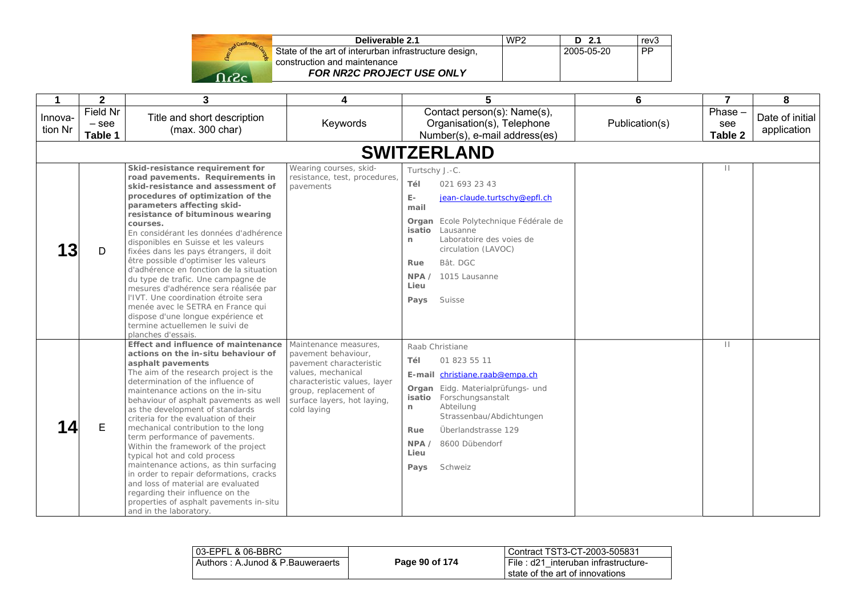| State |
|-------|
|       |
|       |

| Deliverable 2.1                                 | WP <sub>2</sub> | $D$ 2.1    | rev <sub>3</sub> |
|-------------------------------------------------|-----------------|------------|------------------|
| of the art of interurban infrastructure design, |                 | 2005-05-20 | <b>PP</b>        |
| ruction and maintenance                         |                 |            |                  |
| FOR NR2C PROJECT USE ONLY                       |                 |            |                  |

|                    | $\mathbf{2}$                   | 3                                                                                                                                                                                                                                                                                                                                                                                                                                                                                                                                                                                                                                                                                                                             | 4                                                                                                                                                                                                    | 5                                                                                                                                                                                                                                                                                     | 6              | $\overline{7}$           | 8                              |
|--------------------|--------------------------------|-------------------------------------------------------------------------------------------------------------------------------------------------------------------------------------------------------------------------------------------------------------------------------------------------------------------------------------------------------------------------------------------------------------------------------------------------------------------------------------------------------------------------------------------------------------------------------------------------------------------------------------------------------------------------------------------------------------------------------|------------------------------------------------------------------------------------------------------------------------------------------------------------------------------------------------------|---------------------------------------------------------------------------------------------------------------------------------------------------------------------------------------------------------------------------------------------------------------------------------------|----------------|--------------------------|--------------------------------|
| Innova-<br>tion Nr | Field Nr<br>$-$ see<br>Table 1 | Title and short description<br>(max. 300 char)                                                                                                                                                                                                                                                                                                                                                                                                                                                                                                                                                                                                                                                                                | Keywords                                                                                                                                                                                             | Contact person(s): Name(s),<br>Organisation(s), Telephone<br>Number(s), e-mail address(es)                                                                                                                                                                                            | Publication(s) | Phase-<br>see<br>Table 2 | Date of initial<br>application |
|                    |                                |                                                                                                                                                                                                                                                                                                                                                                                                                                                                                                                                                                                                                                                                                                                               |                                                                                                                                                                                                      | <b>SWITZERLAND</b>                                                                                                                                                                                                                                                                    |                |                          |                                |
| 13                 | D                              | Skid-resistance requirement for<br>road pavements. Requirements in<br>skid-resistance and assessment of<br>procedures of optimization of the<br>parameters affecting skid-<br>resistance of bituminous wearing<br>courses.<br>En considérant les données d'adhérence<br>disponibles en Suisse et les valeurs<br>fixées dans les pays étrangers, il doit<br>être possible d'optimiser les valeurs<br>d'adhérence en fonction de la situation<br>du type de trafic. Une campagne de<br>mesures d'adhérence sera réalisée par<br>l'IVT. Une coordination étroite sera<br>menée avec le SETRA en France qui<br>dispose d'une longue expérience et<br>termine actuellemen le suivi de<br>planches d'essais.                        | Wearing courses, skid-<br>resistance, test, procedures,<br>pavements                                                                                                                                 | Turtschy J.-C.<br>021 693 23 43<br>Tél<br>E-<br>jean-claude.turtschy@epfl.ch<br>mail<br>Organ Ecole Polytechnique Fédérale de<br><b>isatio</b> Lausanne<br>Laboratoire des voies de<br>n.<br>circulation (LAVOC)<br>Bât. DGC<br>Rue<br>NPA<br>1015 Lausanne<br>Lieu<br>Suisse<br>Pays |                | $\mathbf{H}$             |                                |
|                    | E                              | Effect and influence of maintenance<br>actions on the in-situ behaviour of<br>asphalt pavements<br>The aim of the research project is the<br>determination of the influence of<br>maintenance actions on the in-situ<br>behaviour of asphalt pavements as well<br>as the development of standards<br>criteria for the evaluation of their<br>mechanical contribution to the long<br>term performance of pavements.<br>Within the framework of the project<br>typical hot and cold process<br>maintenance actions, as thin surfacing<br>in order to repair deformations, cracks<br>and loss of material are evaluated<br>regarding their influence on the<br>properties of asphalt pavements in-situ<br>and in the laboratory. | Maintenance measures.<br>pavement behaviour,<br>pavement characteristic<br>values, mechanical<br>characteristic values, layer<br>group, replacement of<br>surface layers, hot laying,<br>cold laying | Raab Christiane<br>Tél<br>01 823 55 11<br>E-mail christiane.raab@empa.ch<br>Organ Eidg. Materialprüfungs- und<br>Forschungsanstalt<br>isatio<br>Abteilung<br>n.<br>Strassenbau/Abdichtungen<br>Überlandstrasse 129<br>Rue<br>8600 Dübendorf<br>NPA<br>Lieu<br>Schweiz<br>Pays         |                | $\mathbf{H}$             |                                |

| l 03-EPFL & 06-BBRC_                |                | l Contract TST3-CT-2003-505831                                         |
|-------------------------------------|----------------|------------------------------------------------------------------------|
| l Authors : A.Junod & P.Bauweraerts | Page 90 of 174 | File: d21 interuban infrastructure-<br>state of the art of innovations |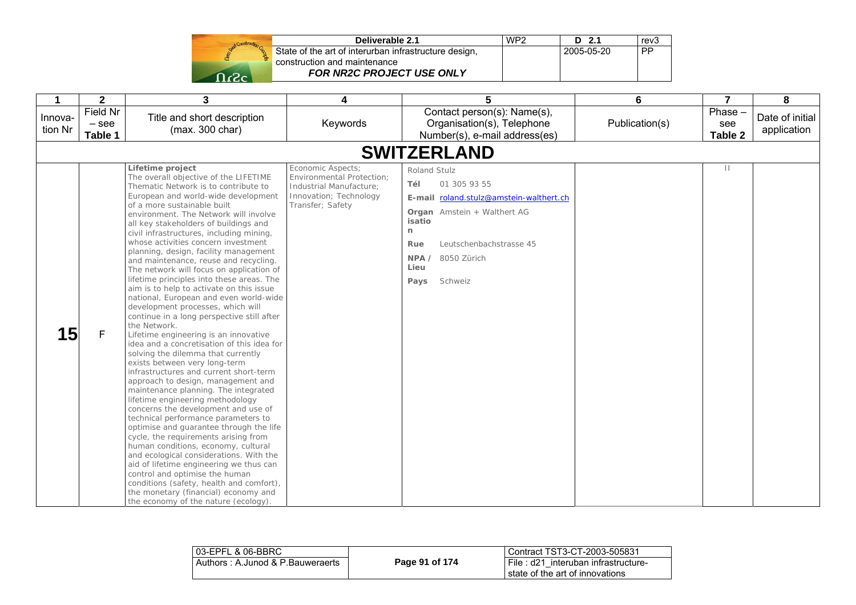|       | State of th<br>construction |
|-------|-----------------------------|
|       |                             |
| TIG20 |                             |

| Deliverable 2.1                                       | WP <sub>2</sub> | D 2.1      | rev <sub>3</sub> |
|-------------------------------------------------------|-----------------|------------|------------------|
| State of the art of interurban infrastructure design, |                 | 2005-05-20 | <b>PP</b>        |
| construction and maintenance                          |                 |            |                  |
| <b>FOR NR2C PROJECT USE ONLY</b>                      |                 |            |                  |

| 1                  | $\overline{2}$                 | 3                                                                                                                                                                                                                                                                                                                                                                                                                                                                                                                                                                                                                                                                                                                                                                                                                                                                                                                                                                                                                                                                                                                                                                                                                                                                                                                                                                                                                                                                                                      | 4                                                                                                                              | 5                                                                                                                                                                                                                        | 6              | $\overline{7}$            | 8                              |
|--------------------|--------------------------------|--------------------------------------------------------------------------------------------------------------------------------------------------------------------------------------------------------------------------------------------------------------------------------------------------------------------------------------------------------------------------------------------------------------------------------------------------------------------------------------------------------------------------------------------------------------------------------------------------------------------------------------------------------------------------------------------------------------------------------------------------------------------------------------------------------------------------------------------------------------------------------------------------------------------------------------------------------------------------------------------------------------------------------------------------------------------------------------------------------------------------------------------------------------------------------------------------------------------------------------------------------------------------------------------------------------------------------------------------------------------------------------------------------------------------------------------------------------------------------------------------------|--------------------------------------------------------------------------------------------------------------------------------|--------------------------------------------------------------------------------------------------------------------------------------------------------------------------------------------------------------------------|----------------|---------------------------|--------------------------------|
| Innova-<br>tion Nr | Field Nr<br>$-$ see<br>Table 1 | Title and short description<br>(max. 300 char)                                                                                                                                                                                                                                                                                                                                                                                                                                                                                                                                                                                                                                                                                                                                                                                                                                                                                                                                                                                                                                                                                                                                                                                                                                                                                                                                                                                                                                                         | Keywords                                                                                                                       | Contact person(s): Name(s),<br>Organisation(s), Telephone<br>Number(s), e-mail address(es)                                                                                                                               | Publication(s) | Phase -<br>see<br>Table 2 | Date of initial<br>application |
|                    |                                |                                                                                                                                                                                                                                                                                                                                                                                                                                                                                                                                                                                                                                                                                                                                                                                                                                                                                                                                                                                                                                                                                                                                                                                                                                                                                                                                                                                                                                                                                                        |                                                                                                                                | <b>SWITZERLAND</b>                                                                                                                                                                                                       |                |                           |                                |
| 15                 | F                              | Lifetime project<br>The overall objective of the LIFETIME<br>Thematic Network is to contribute to<br>European and world-wide development<br>of a more sustainable built<br>environment. The Network will involve<br>all key stakeholders of buildings and<br>civil infrastructures, including mining,<br>whose activities concern investment<br>planning, design, facility management<br>and maintenance, reuse and recycling.<br>The network will focus on application of<br>lifetime principles into these areas. The<br>aim is to help to activate on this issue<br>national, European and even world-wide<br>development processes, which will<br>continue in a long perspective still after<br>the Network.<br>Lifetime engineering is an innovative<br>idea and a concretisation of this idea for<br>solving the dilemma that currently<br>exists between very long-term<br>infrastructures and current short-term<br>approach to design, management and<br>maintenance planning. The integrated<br>lifetime engineering methodology<br>concerns the development and use of<br>technical performance parameters to<br>optimise and guarantee through the life<br>cycle, the requirements arising from<br>human conditions, economy, cultural<br>and ecological considerations. With the<br>aid of lifetime engineering we thus can<br>control and optimise the human<br>conditions (safety, health and comfort),<br>the monetary (financial) economy and<br>the economy of the nature (ecology). | Economic Aspects:<br><b>Environmental Protection:</b><br>Industrial Manufacture:<br>Innovation; Technology<br>Transfer; Safety | Roland Stulz<br>01 305 93 55<br>Tél<br>E-mail roland.stulz@amstein-walthert.ch<br><b>Organ</b> Amstein + Walthert AG<br>isatio<br>n<br>Leutschenbachstrasse 45<br>Rue<br>NPA /<br>8050 Zürich<br>Lieu<br>Pays<br>Schweiz |                | $\mathbf{H}$              |                                |

| l 03-EPFL & 06-BBRC              |                | Contract TST3-CT-2003-505831                                           |
|----------------------------------|----------------|------------------------------------------------------------------------|
| Authors: A.Junod & P.Bauweraerts | Page 91 of 174 | File: d21 interuban infrastructure-<br>state of the art of innovations |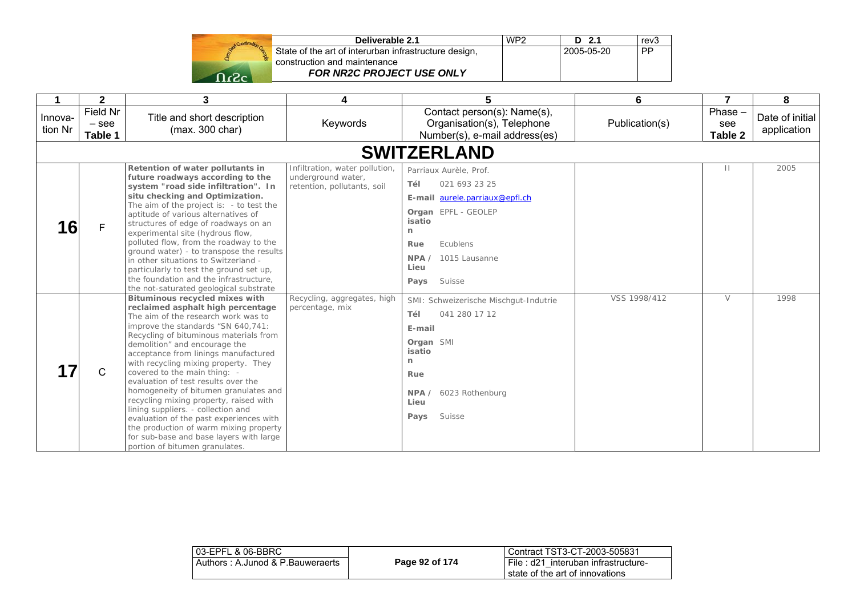| Start Construction |
|--------------------|
|                    |
| -.                 |

| Deliverable 2.1                                       | WP <sub>2</sub> | $D$ 2.1    | rev <sub>3</sub> |
|-------------------------------------------------------|-----------------|------------|------------------|
| State of the art of interurban infrastructure design, |                 | 2005-05-20 | <b>PP</b>        |
| construction and maintenance                          |                 |            |                  |
| FOR NR2C PROJECT USE ONLY                             |                 |            |                  |

|                    | $\mathbf{2}$                   | 3                                                                                                                                                                                                                                                                                                                                                                                                                                                                                                                                                                                                                                                                             | 4                                                                                   | 5                                                                                                                                                                                           | 6              | $\overline{7}$              | 8                              |
|--------------------|--------------------------------|-------------------------------------------------------------------------------------------------------------------------------------------------------------------------------------------------------------------------------------------------------------------------------------------------------------------------------------------------------------------------------------------------------------------------------------------------------------------------------------------------------------------------------------------------------------------------------------------------------------------------------------------------------------------------------|-------------------------------------------------------------------------------------|---------------------------------------------------------------------------------------------------------------------------------------------------------------------------------------------|----------------|-----------------------------|--------------------------------|
| Innova-<br>tion Nr | Field Nr<br>$-$ see<br>Table 1 | Title and short description<br>(max. 300 char)                                                                                                                                                                                                                                                                                                                                                                                                                                                                                                                                                                                                                                | Keywords                                                                            | Contact person(s): Name(s),<br>Organisation(s), Telephone<br>Number(s), e-mail address(es)                                                                                                  | Publication(s) | $Phase -$<br>see<br>Table 2 | Date of initial<br>application |
|                    |                                |                                                                                                                                                                                                                                                                                                                                                                                                                                                                                                                                                                                                                                                                               |                                                                                     | <b>SWITZERLAND</b>                                                                                                                                                                          |                |                             |                                |
| 16                 | F                              | Retention of water pollutants in<br>future roadways according to the<br>system "road side infiltration". In<br>situ checking and Optimization.<br>The aim of the project is: - to test the<br>aptitude of various alternatives of<br>structures of edge of roadways on an<br>experimental site (hydrous flow,<br>polluted flow, from the roadway to the<br>ground water) - to transpose the results<br>in other situations to Switzerland -<br>particularly to test the ground set up,<br>the foundation and the infrastructure,<br>the not-saturated geological substrate                                                                                                    | Infiltration, water pollution,<br>underground water,<br>retention, pollutants, soil | Parriaux Aurèle, Prof.<br>Tél<br>021 693 23 25<br>E-mail aurele.parriaux@epfl.ch<br>Organ EPFL - GEOLEP<br>isatio<br>n<br>Ecublens<br>Rue<br>1015 Lausanne<br>NPA<br>Lieu<br>Suisse<br>Pays |                | $\mathbf{H}$                | 2005                           |
|                    | C                              | Bituminous recycled mixes with<br>reclaimed asphalt high percentage<br>The aim of the research work was to<br>improve the standards "SN 640,741:<br>Recycling of bituminous materials from<br>demolition" and encourage the<br>acceptance from linings manufactured<br>with recycling mixing property. They<br>covered to the main thing: -<br>evaluation of test results over the<br>homogeneity of bitumen granulates and<br>recycling mixing property, raised with<br>lining suppliers. - collection and<br>evaluation of the past experiences with<br>the production of warm mixing property<br>for sub-base and base layers with large<br>portion of bitumen granulates. | Recycling, aggregates, high<br>percentage, mix                                      | SMI: Schweizerische Mischgut-Indutrie<br>Tél<br>041 280 17 12<br>E-mail<br>Organ SMI<br>isatio<br>$\mathsf{n}$<br>Rue<br>6023 Rothenburg<br>NPA<br>Lieu<br>Pays<br>Suisse                   | VSS 1998/412   | $\vee$                      | 1998                           |

| l 03-EPFL & 06-BBRC_             |                | Contract TST3-CT-2003-505831                                           |
|----------------------------------|----------------|------------------------------------------------------------------------|
| Authors: A.Junod & P.Bauweraerts | Page 92 of 174 | File: d21 interuban infrastructure-<br>state of the art of innovations |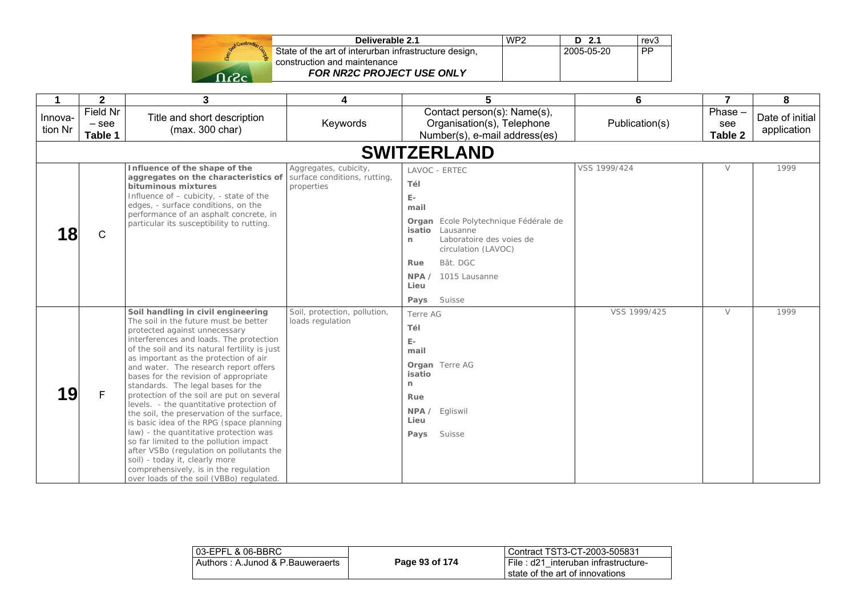| Deliverable 2.1                                       | WP <sub>2</sub> | D 2.1             | rev3 |
|-------------------------------------------------------|-----------------|-------------------|------|
| State of the art of interurban infrastructure design, |                 | $12005 - 05 - 20$ | PP   |
| construction and maintenance                          |                 |                   |      |
| <b>FOR NR2C PROJECT USE ONLY</b>                      |                 |                   |      |

| $\mathbf 1$        | $\mathbf{2}$                   | 3                                                                                                                                                                                                                                                                                                                                                                                                                                                                                                                                                                                                                                                                                                                                                                                                                   | 4                                                                   | 5                                                                                                                                                                                                                                                       | 6              | $\overline{7}$            | 8                              |
|--------------------|--------------------------------|---------------------------------------------------------------------------------------------------------------------------------------------------------------------------------------------------------------------------------------------------------------------------------------------------------------------------------------------------------------------------------------------------------------------------------------------------------------------------------------------------------------------------------------------------------------------------------------------------------------------------------------------------------------------------------------------------------------------------------------------------------------------------------------------------------------------|---------------------------------------------------------------------|---------------------------------------------------------------------------------------------------------------------------------------------------------------------------------------------------------------------------------------------------------|----------------|---------------------------|--------------------------------|
| Innova-<br>tion Nr | Field Nr<br>$-$ see<br>Table 1 | Title and short description<br>(max. 300 char)                                                                                                                                                                                                                                                                                                                                                                                                                                                                                                                                                                                                                                                                                                                                                                      | Keywords                                                            | Contact person(s): Name(s),<br>Organisation(s), Telephone<br>Number(s), e-mail address(es)                                                                                                                                                              | Publication(s) | Phase -<br>see<br>Table 2 | Date of initial<br>application |
|                    |                                |                                                                                                                                                                                                                                                                                                                                                                                                                                                                                                                                                                                                                                                                                                                                                                                                                     |                                                                     | <b>SWITZERLAND</b>                                                                                                                                                                                                                                      |                |                           |                                |
| 8                  | $\mathsf C$                    | Influence of the shape of the<br>aggregates on the characteristics of<br>bituminous mixtures<br>Influence of - cubicity, - state of the<br>edges, - surface conditions, on the<br>performance of an asphalt concrete, in<br>particular its susceptibility to rutting.                                                                                                                                                                                                                                                                                                                                                                                                                                                                                                                                               | Aggregates, cubicity,<br>surface conditions, rutting,<br>properties | LAVOC - ERTEC<br>Tél<br>$\mathsf{E}\text{-}$<br>mail<br>Organ Ecole Polytechnique Fédérale de<br>isatio Lausanne<br>Laboratoire des voies de<br>$\mathsf{n}$<br>circulation (LAVOC)<br>Bât. DGC<br>Rue<br>NPA / 1015 Lausanne<br>Lieu<br>Suisse<br>Pays | VSS 1999/424   | $\vee$                    | 1999                           |
| 19                 | F                              | Soil handling in civil engineering<br>The soil in the future must be better<br>protected against unnecessary<br>interferences and loads. The protection<br>of the soil and its natural fertility is just<br>as important as the protection of air<br>and water. The research report offers<br>bases for the revision of appropriate<br>standards. The legal bases for the<br>protection of the soil are put on several<br>levels. - the quantitative protection of<br>the soil, the preservation of the surface,<br>is basic idea of the RPG (space planning<br>law) - the quantitative protection was<br>so far limited to the pollution impact<br>after VSBo (regulation on pollutants the<br>soil) - today it, clearly more<br>comprehensively, is in the regulation<br>over loads of the soil (VBBo) regulated. | Soil, protection, pollution,<br>loads regulation                    | Terre AG<br>Tél<br>$E-$<br>mail<br><b>Organ</b> Terre AG<br>isatio<br>$\mathsf{r}$<br>Rue<br>NPA / Egliswil<br>Lieu<br>Suisse<br>Pays                                                                                                                   | VSS 1999/425   | $\vee$                    | 1999                           |

| l 03-EPFL & 06-BBRC_             |                | Contract TST3-CT-2003-505831                                           |
|----------------------------------|----------------|------------------------------------------------------------------------|
| Authors: A.Junod & P.Bauweraerts | Page 93 of 174 | File: d21 interuban infrastructure-<br>state of the art of innovations |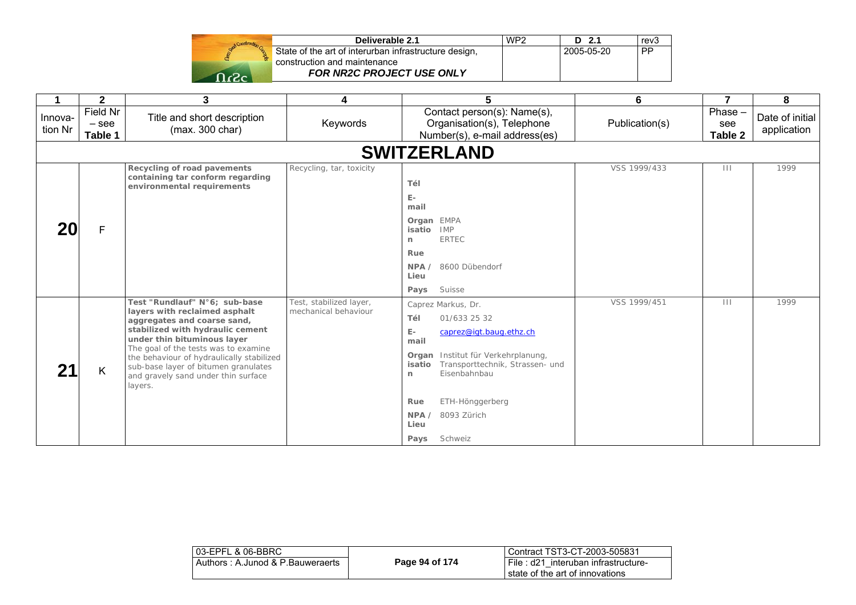| Deliverable 2.1                                       | WP <sub>2</sub> | $D$ 2.1    | rev3      |
|-------------------------------------------------------|-----------------|------------|-----------|
| State of the art of interurban infrastructure design, |                 | 2005-05-20 | <b>PP</b> |
| construction and maintenance                          |                 |            |           |
| <b>FOR NR2C PROJECT USE ONLY</b>                      |                 |            |           |

|                    | $\mathbf{2}$                   | 3                                                                                                                                                                                                                                                                                                                                               | 4                                               | 5                                                                                                                                                                                                                                                                                       | 6              | $\overline{7}$              | 8                              |
|--------------------|--------------------------------|-------------------------------------------------------------------------------------------------------------------------------------------------------------------------------------------------------------------------------------------------------------------------------------------------------------------------------------------------|-------------------------------------------------|-----------------------------------------------------------------------------------------------------------------------------------------------------------------------------------------------------------------------------------------------------------------------------------------|----------------|-----------------------------|--------------------------------|
| Innova-<br>tion Nr | Field Nr<br>$-$ see<br>Table 1 | Title and short description<br>(max. 300 char)                                                                                                                                                                                                                                                                                                  | Keywords                                        | Contact person(s): Name(s),<br>Organisation(s), Telephone<br>Number(s), e-mail address(es)                                                                                                                                                                                              | Publication(s) | $Phase -$<br>see<br>Table 2 | Date of initial<br>application |
|                    |                                |                                                                                                                                                                                                                                                                                                                                                 |                                                 | <b>SWITZERLAND</b>                                                                                                                                                                                                                                                                      |                |                             |                                |
|                    | F                              | Recycling of road pavements<br>containing tar conform regarding<br>environmental requirements                                                                                                                                                                                                                                                   | Recycling, tar, toxicity                        | Tél<br>E-<br>mail<br>Organ EMPA<br><b>IMP</b><br>isatio<br><b>ERTEC</b><br>n                                                                                                                                                                                                            | VSS 1999/433   | $\mathbf{H}$                | 1999                           |
|                    |                                |                                                                                                                                                                                                                                                                                                                                                 |                                                 | Rue<br>NPA/<br>8600 Dübendorf<br>Lieu<br>Suisse<br>Pays                                                                                                                                                                                                                                 |                |                             |                                |
|                    | K                              | Test "Rundlauf" N°6; sub-base<br>layers with reclaimed asphalt<br>aggregates and coarse sand,<br>stabilized with hydraulic cement<br>under thin bituminous layer<br>The goal of the tests was to examine<br>the behaviour of hydraulically stabilized<br>sub-base layer of bitumen granulates<br>and gravely sand under thin surface<br>layers. | Test, stabilized layer,<br>mechanical behaviour | Caprez Markus, Dr.<br>Tél<br>01/633 25 32<br>$\mathbb{E}\text{-}$<br>caprez@igt.baug.ethz.ch<br>mail<br>Organ Institut für Verkehrplanung,<br>Transporttechnik, Strassen- und<br>isatio<br>Eisenbahnbau<br>n<br>ETH-Hönggerberg<br>Rue<br>NPA<br>8093 Zürich<br>Lieu<br>Schweiz<br>Pays | VSS 1999/451   | $\Box$                      | 1999                           |

| 03-EPFL & 06-BBRC                |                | Contract TST3-CT-2003-505831                                           |
|----------------------------------|----------------|------------------------------------------------------------------------|
| Authors: A.Junod & P.Bauweraerts | Page 94 of 174 | File: d21 interuban infrastructure-<br>state of the art of innovations |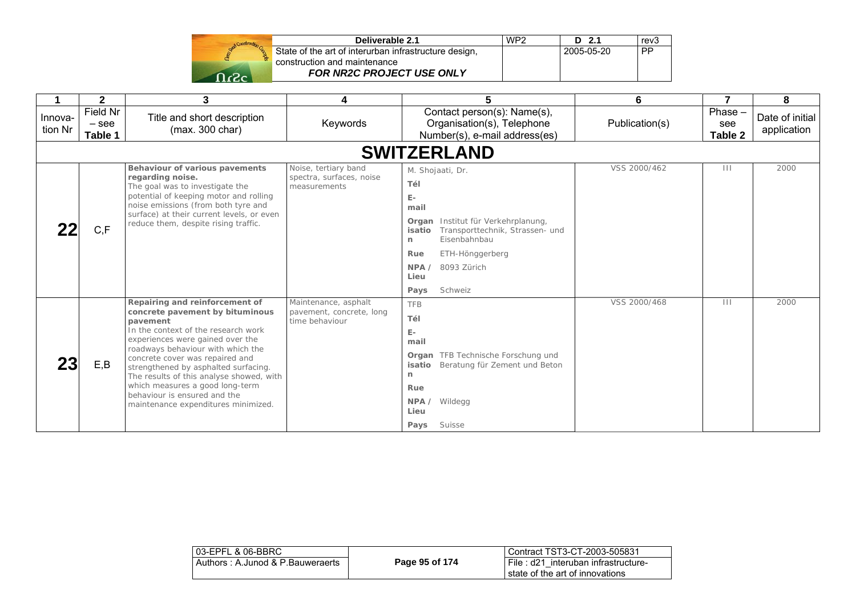|      | Deliverable 2.1                                       | WP2 | D <sub>2.1</sub> | rev <sub>3</sub> |
|------|-------------------------------------------------------|-----|------------------|------------------|
|      | State of the art of interurban infrastructure design, |     | 2005-05-20       | <b>PP</b>        |
|      | construction and maintenance                          |     |                  |                  |
| ി.ാ. | <b>FOR NR2C PROJECT USE ONLY</b>                      |     |                  |                  |

|                    | $\mathbf 2$                    | 3                                                                                                                                                                                                                                                                                                                                                                                                                              | 4                                                                  | 5                                                                                                                                                                                                                              | 6              | $\overline{7}$              | 8                              |
|--------------------|--------------------------------|--------------------------------------------------------------------------------------------------------------------------------------------------------------------------------------------------------------------------------------------------------------------------------------------------------------------------------------------------------------------------------------------------------------------------------|--------------------------------------------------------------------|--------------------------------------------------------------------------------------------------------------------------------------------------------------------------------------------------------------------------------|----------------|-----------------------------|--------------------------------|
| Innova-<br>tion Nr | Field Nr<br>$-$ see<br>Table 1 | Title and short description<br>(max. 300 char)                                                                                                                                                                                                                                                                                                                                                                                 | Keywords                                                           | Contact person(s): Name(s),<br>Organisation(s), Telephone<br>Number(s), e-mail address(es)                                                                                                                                     | Publication(s) | $Phase -$<br>see<br>Table 2 | Date of initial<br>application |
|                    |                                |                                                                                                                                                                                                                                                                                                                                                                                                                                |                                                                    | <b>SWITZERLAND</b>                                                                                                                                                                                                             |                |                             |                                |
|                    | C, F                           | Behaviour of various pavements<br>regarding noise.<br>The goal was to investigate the<br>potential of keeping motor and rolling<br>noise emissions (from both tyre and<br>surface) at their current levels, or even<br>reduce them, despite rising traffic.                                                                                                                                                                    | Noise, tertiary band<br>spectra, surfaces, noise<br>measurements   | M. Shojaati, Dr.<br>Tél<br>$E-$<br>mail<br>Institut für Verkehrplanung,<br>Organ<br>Transporttechnik, Strassen- und<br>isatio<br>Eisenbahnbau<br>n<br>Rue<br>ETH-Hönggerberg<br>8093 Zürich<br>NPA/<br>Lieu<br>Schweiz<br>Pays | VSS 2000/462   | $\mathbf{H}$                | 2000                           |
|                    | E,B                            | Repairing and reinforcement of<br>concrete pavement by bituminous<br>pavement<br>In the context of the research work<br>experiences were gained over the<br>roadways behaviour with which the<br>concrete cover was repaired and<br>strengthened by asphalted surfacing.<br>The results of this analyse showed, with<br>which measures a good long-term<br>behaviour is ensured and the<br>maintenance expenditures minimized. | Maintenance, asphalt<br>pavement, concrete, long<br>time behaviour | <b>TFB</b><br>Tél<br>$E -$<br>mail<br><b>Organ</b> TFB Technische Forschung und<br>Beratung für Zement und Beton<br>isatio<br>n<br>Rue<br>NPA<br>Wildegg<br>Lieu<br>Suisse<br>Pays                                             | VSS 2000/468   | $\mathbf{H}$                | 2000                           |

| 03-EPFL & 06-BBRC                |                | l Contract TST3-CT-2003-505831                                              |
|----------------------------------|----------------|-----------------------------------------------------------------------------|
| Authors: A.Junod & P.Bauweraerts | Page 95 of 174 | I File : d21 interuban infrastructure-<br>I state of the art of innovations |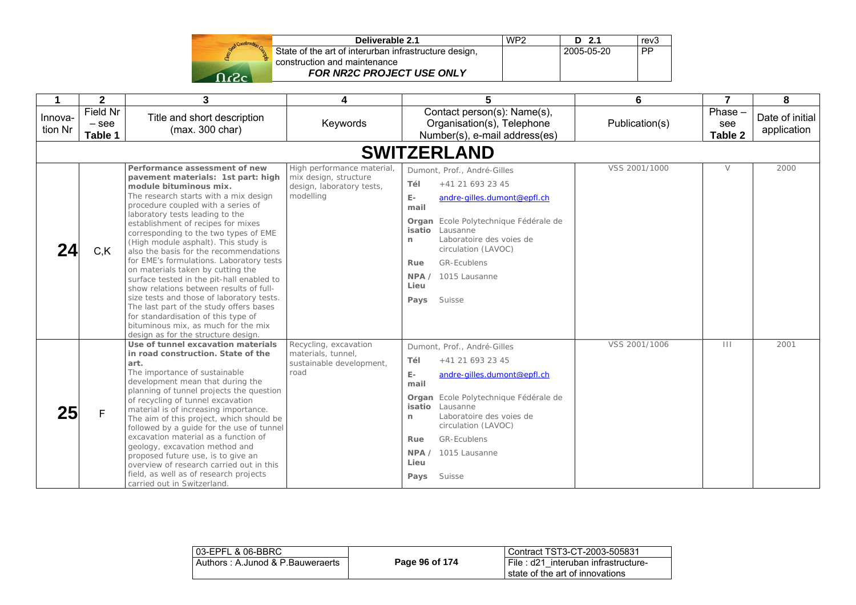|            | State of the |
|------------|--------------|
|            |              |
| $\epsilon$ |              |

| Deliverable 2.1                              | WP <sub>2</sub> | $D$ 2.1    | rev <sub>3</sub> |
|----------------------------------------------|-----------------|------------|------------------|
| the art of interurban infrastructure design, |                 | 2005-05-20 | <b>PP</b>        |
| tion and maintenance.                        |                 |            |                  |
| FOR NR2C PROJECT USE ONLY                    |                 |            |                  |

| 1                  | $\overline{\mathbf{2}}$        | 3                                                                                                                                                                                                                                                                                                                                                                                                                                                                                                                                                                                                                                                                                                                                                                      | 4                                                                                            | 5                                                                                                                                                                                                                                                                                                                                     | 6              | $\overline{7}$           | 8                              |
|--------------------|--------------------------------|------------------------------------------------------------------------------------------------------------------------------------------------------------------------------------------------------------------------------------------------------------------------------------------------------------------------------------------------------------------------------------------------------------------------------------------------------------------------------------------------------------------------------------------------------------------------------------------------------------------------------------------------------------------------------------------------------------------------------------------------------------------------|----------------------------------------------------------------------------------------------|---------------------------------------------------------------------------------------------------------------------------------------------------------------------------------------------------------------------------------------------------------------------------------------------------------------------------------------|----------------|--------------------------|--------------------------------|
| Innova-<br>tion Nr | Field Nr<br>$-$ see<br>Table 1 | Title and short description<br>(max. 300 char)                                                                                                                                                                                                                                                                                                                                                                                                                                                                                                                                                                                                                                                                                                                         | Keywords                                                                                     | Contact person(s): Name(s),<br>Organisation(s), Telephone<br>Number(s), e-mail address(es)                                                                                                                                                                                                                                            | Publication(s) | Phase-<br>see<br>Table 2 | Date of initial<br>application |
|                    |                                |                                                                                                                                                                                                                                                                                                                                                                                                                                                                                                                                                                                                                                                                                                                                                                        |                                                                                              | <b>SWITZERLAND</b>                                                                                                                                                                                                                                                                                                                    |                |                          |                                |
| 24                 | C, K                           | Performance assessment of new<br>pavement materials: 1st part: high<br>module bituminous mix.<br>The research starts with a mix design<br>procedure coupled with a series of<br>laboratory tests leading to the<br>establishment of recipes for mixes<br>corresponding to the two types of EME<br>(High module asphalt). This study is<br>also the basis for the recommendations<br>for EME's formulations. Laboratory tests<br>on materials taken by cutting the<br>surface tested in the pit-hall enabled to<br>show relations between results of full-<br>size tests and those of laboratory tests.<br>The last part of the study offers bases<br>for standardisation of this type of<br>bituminous mix, as much for the mix<br>design as for the structure design. | High performance material<br>mix design, structure<br>design, laboratory tests,<br>modelling | Dumont, Prof., André-Gilles<br>Tél<br>+41 21 693 23 45<br>E-<br>andre-gilles.dumont@epfl.ch<br>mail<br>Organ Ecole Polytechnique Fédérale de<br>isatio Lausanne<br>Laboratoire des voies de<br>n<br>circulation (LAVOC)<br><b>GR-Ecublens</b><br>Rue<br>NPA / 1015 Lausanne<br>Lieu<br>Suisse<br>Pays                                 | VSS 2001/1000  | $\vee$                   | 2000                           |
| 25                 | F                              | Use of tunnel excavation materials<br>in road construction. State of the<br>art.<br>The importance of sustainable<br>development mean that during the<br>planning of tunnel projects the question<br>of recycling of tunnel excavation<br>material is of increasing importance.<br>The aim of this project, which should be<br>followed by a guide for the use of tunnel<br>excavation material as a function of<br>geology, excavation method and<br>proposed future use, is to give an<br>overview of research carried out in this<br>field, as well as of research projects<br>carried out in Switzerland.                                                                                                                                                          | Recycling, excavation<br>materials, tunnel.<br>sustainable development,<br>road              | Dumont, Prof., André-Gilles<br>Tél<br>+41 21 693 23 45<br>$\mathsf{E}\text{-}$<br>andre-gilles.dumont@epfl.ch<br>mail<br>Organ Ecole Polytechnique Fédérale de<br>isatio<br>Lausanne<br>Laboratoire des voies de<br>$\mathsf{n}$<br>circulation (LAVOC)<br><b>GR-Ecublens</b><br>Rue<br>NPA / 1015 Lausanne<br>Lieu<br>Suisse<br>Pays | VSS 2001/1006  | $\Box$                   | 2001                           |

| 03-EPFL & 06-BBRC                |                | Contract TST3-CT-2003-505831           |
|----------------------------------|----------------|----------------------------------------|
| Authors: A.Junod & P.Bauweraerts | Page 96 of 174 | i File : d21 interuban infrastructure- |
|                                  |                | l state of the art of innovations      |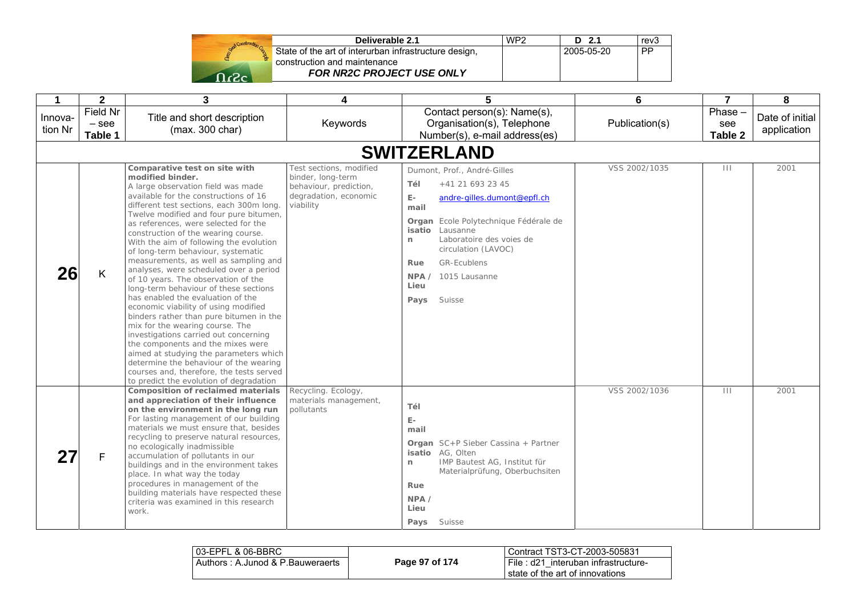| State<br>cons |
|---------------|
|               |
|               |

| Deliverable 2.1                                       | WP <sub>2</sub> | D 2.1      | rev3      |
|-------------------------------------------------------|-----------------|------------|-----------|
| State of the art of interurban infrastructure design, |                 | 2005-05-20 | <b>PP</b> |
| construction and maintenance                          |                 |            |           |
| <b>FOR NR2C PROJECT USE ONLY</b>                      |                 |            |           |

| 1                  | $\mathbf{2}$                   | 3                                                                                                                                                                                                                                                                                                                                                                                                                                                                                                                                                                                                                                                                                                                                                                                                                                                                                                                                                                             | 4                                                                                                            | 5                                                                                                                                                                                                                                                                                                               | 6              | $\overline{7}$           | 8                              |
|--------------------|--------------------------------|-------------------------------------------------------------------------------------------------------------------------------------------------------------------------------------------------------------------------------------------------------------------------------------------------------------------------------------------------------------------------------------------------------------------------------------------------------------------------------------------------------------------------------------------------------------------------------------------------------------------------------------------------------------------------------------------------------------------------------------------------------------------------------------------------------------------------------------------------------------------------------------------------------------------------------------------------------------------------------|--------------------------------------------------------------------------------------------------------------|-----------------------------------------------------------------------------------------------------------------------------------------------------------------------------------------------------------------------------------------------------------------------------------------------------------------|----------------|--------------------------|--------------------------------|
| Innova-<br>tion Nr | Field Nr<br>$-$ see<br>Table 1 | Title and short description<br>(max. 300 char)                                                                                                                                                                                                                                                                                                                                                                                                                                                                                                                                                                                                                                                                                                                                                                                                                                                                                                                                | Keywords                                                                                                     | Contact person(s): Name(s),<br>Organisation(s), Telephone<br>Number(s), e-mail address(es)                                                                                                                                                                                                                      | Publication(s) | Phase-<br>see<br>Table 2 | Date of initial<br>application |
|                    |                                |                                                                                                                                                                                                                                                                                                                                                                                                                                                                                                                                                                                                                                                                                                                                                                                                                                                                                                                                                                               | <b>SWITZERLAND</b>                                                                                           |                                                                                                                                                                                                                                                                                                                 |                |                          |                                |
| 26                 | Κ                              | Comparative test on site with<br>modified binder.<br>A large observation field was made<br>available for the constructions of 16<br>different test sections, each 300m long.<br>Twelve modified and four pure bitumen,<br>as references, were selected for the<br>construction of the wearing course.<br>With the aim of following the evolution<br>of long-term behaviour, systematic<br>measurements, as well as sampling and<br>analyses, were scheduled over a period<br>of 10 years. The observation of the<br>long-term behaviour of these sections<br>has enabled the evaluation of the<br>economic viability of using modified<br>binders rather than pure bitumen in the<br>mix for the wearing course. The<br>investigations carried out concerning<br>the components and the mixes were<br>aimed at studying the parameters which<br>determine the behaviour of the wearing<br>courses and, therefore, the tests served<br>to predict the evolution of degradation | Test sections, modified<br>binder, long-term<br>behaviour, prediction,<br>degradation, economic<br>viability | Dumont, Prof., André-Gilles<br>+41 21 693 23 45<br>Tél<br>E-<br>andre-gilles.dumont@epfl.ch<br>mail<br>Organ Ecole Polytechnique Fédérale de<br>Lausanne<br>isatio<br>Laboratoire des voies de<br>$\mathsf{r}$<br>circulation (LAVOC)<br>GR-Ecublens<br>Rue<br>1015 Lausanne<br>NPA /<br>Lieu<br>Suisse<br>Pays | VSS 2002/1035  | $\vert\,\vert\,\vert$    | 2001                           |
|                    | F                              | <b>Composition of reclaimed materials</b><br>and appreciation of their influence<br>on the environment in the long run<br>For lasting management of our building<br>materials we must ensure that, besides<br>recycling to preserve natural resources,<br>no ecologically inadmissible<br>accumulation of pollutants in our<br>buildings and in the environment takes<br>place. In what way the today<br>procedures in management of the<br>building materials have respected these<br>criteria was examined in this research<br>work.                                                                                                                                                                                                                                                                                                                                                                                                                                        | Recycling. Ecology,<br>materials management,<br>pollutants                                                   | Tél<br>$\mathsf{E}\text{-}$<br>mail<br>Organ SC+P Sieber Cassina + Partner<br>isatio AG, Olten<br>IMP Bautest AG, Institut für<br>n<br>Materialprüfung, Oberbuchsiten<br>Rue<br>NPA<br>Lieu<br>Suisse<br>Pays                                                                                                   | VSS 2002/1036  | $\mathbf{III}$           | 2001                           |

| 03-EPFL & 06-BBRC                 |                | Contract TST3-CT-2003-505831                                                 |
|-----------------------------------|----------------|------------------------------------------------------------------------------|
| Authors : A.Junod & P.Bauweraerts | Page 97 of 174 | File : $d21$<br>interuban infrastructure-<br>state of the art of innovations |
|                                   |                |                                                                              |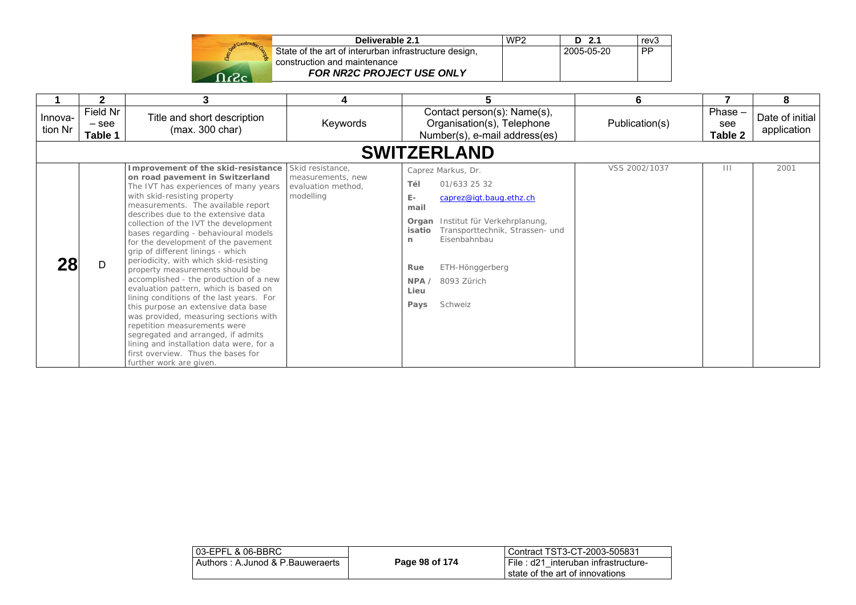| Deliverable 2.1                                       | WP <sub>2</sub> | $D$ 2.1    | rev3 |
|-------------------------------------------------------|-----------------|------------|------|
| State of the art of interurban infrastructure design, |                 | 2005-05-20 | PP   |
| construction and maintenance                          |                 |            |      |
| <b>FOR NR2C PROJECT USE ONLY</b>                      |                 |            |      |

|                    | $\mathbf{2}$                   | 3                                                                                                                                                                                                                                                                                                                                                                                                                                                                                                                                                                                                                                                                                                                                                                                                                                                                       | 4                                                                        | 5                                                                                                                                                                                                                                                                          | 6              | 7                           | 8                              |
|--------------------|--------------------------------|-------------------------------------------------------------------------------------------------------------------------------------------------------------------------------------------------------------------------------------------------------------------------------------------------------------------------------------------------------------------------------------------------------------------------------------------------------------------------------------------------------------------------------------------------------------------------------------------------------------------------------------------------------------------------------------------------------------------------------------------------------------------------------------------------------------------------------------------------------------------------|--------------------------------------------------------------------------|----------------------------------------------------------------------------------------------------------------------------------------------------------------------------------------------------------------------------------------------------------------------------|----------------|-----------------------------|--------------------------------|
| Innova-<br>tion Nr | Field Nr<br>$-$ see<br>Table 1 | Title and short description<br>(max. 300 char)                                                                                                                                                                                                                                                                                                                                                                                                                                                                                                                                                                                                                                                                                                                                                                                                                          | Keywords                                                                 | Contact person(s): Name(s),<br>Organisation(s), Telephone<br>Number(s), e-mail address(es)                                                                                                                                                                                 | Publication(s) | $Phase -$<br>see<br>Table 2 | Date of initial<br>application |
|                    |                                |                                                                                                                                                                                                                                                                                                                                                                                                                                                                                                                                                                                                                                                                                                                                                                                                                                                                         |                                                                          | <b>SWITZERLAND</b>                                                                                                                                                                                                                                                         |                |                             |                                |
| 28                 | D                              | Improvement of the skid-resistance<br>on road pavement in Switzerland<br>The IVT has experiences of many years<br>with skid-resisting property<br>measurements. The available report<br>describes due to the extensive data<br>collection of the IVT the development<br>bases regarding - behavioural models<br>for the development of the pavement<br>grip of different linings - which<br>periodicity, with which skid-resisting<br>property measurements should be<br>accomplished - the production of a new<br>evaluation pattern, which is based on<br>lining conditions of the last years. For<br>this purpose an extensive data base<br>was provided, measuring sections with<br>repetition measurements were<br>segregated and arranged, if admits<br>lining and installation data were, for a<br>first overview. Thus the bases for<br>further work are given. | Skid resistance,<br>measurements, new<br>evaluation method,<br>modelling | Caprez Markus, Dr.<br>Tél<br>01/633 25 32<br>E-<br>caprez@igt.baug.ethz.ch<br>mail<br>Institut für Verkehrplanung,<br>Organ<br>Transporttechnik, Strassen- und<br>isatio<br>Eisenbahnbau<br>n<br>ETH-Hönggerberg<br>Rue<br>8093 Zürich<br>NPA /<br>Lieu<br>Schweiz<br>Pays | VSS 2002/1037  | $\mathbf{H}$                | 2001                           |

| 03-EPFL & 06-BBRC                |                | Contract TST3-CT-2003-505831        |
|----------------------------------|----------------|-------------------------------------|
| Authors: A.Junod & P.Bauweraerts | Page 98 of 174 | File: d21 interuban infrastructure- |
|                                  |                | state of the art of innovations     |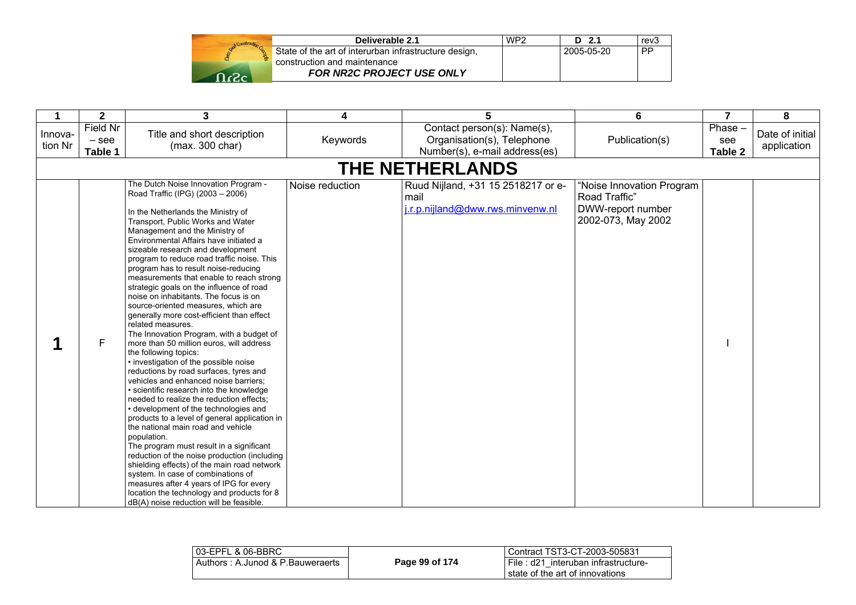|         | Deliverable 2.1                                       | WP <sub>2</sub> | D 2.1      | rev3      |
|---------|-------------------------------------------------------|-----------------|------------|-----------|
|         | State of the art of interurban infrastructure design, |                 | 2005-05-20 | <b>PP</b> |
|         | construction and maintenance                          |                 |            |           |
| ה כי∼ ה | <b>FOR NR2C PROJECT USE ONLY</b>                      |                 |            |           |

| 1                  | $\mathbf{2}$                   | 3                                                                                                                                                                                                                                                                                                                                                                                                                                                                                                                                                                                                                                                                                                                                                                                                                                                                                                                                                                                                                                                                                                                                                                                                                                                                                                                                                                                                             | 4               | 5                                                                                          | 6                                                                                     | $\overline{7}$            | 8                              |
|--------------------|--------------------------------|---------------------------------------------------------------------------------------------------------------------------------------------------------------------------------------------------------------------------------------------------------------------------------------------------------------------------------------------------------------------------------------------------------------------------------------------------------------------------------------------------------------------------------------------------------------------------------------------------------------------------------------------------------------------------------------------------------------------------------------------------------------------------------------------------------------------------------------------------------------------------------------------------------------------------------------------------------------------------------------------------------------------------------------------------------------------------------------------------------------------------------------------------------------------------------------------------------------------------------------------------------------------------------------------------------------------------------------------------------------------------------------------------------------|-----------------|--------------------------------------------------------------------------------------------|---------------------------------------------------------------------------------------|---------------------------|--------------------------------|
| Innova-<br>tion Nr | Field Nr<br>$-$ see<br>Table 1 | Title and short description<br>(max. 300 char)                                                                                                                                                                                                                                                                                                                                                                                                                                                                                                                                                                                                                                                                                                                                                                                                                                                                                                                                                                                                                                                                                                                                                                                                                                                                                                                                                                | Keywords        | Contact person(s): Name(s),<br>Organisation(s), Telephone<br>Number(s), e-mail address(es) | Publication(s)                                                                        | Phase -<br>see<br>Table 2 | Date of initial<br>application |
|                    |                                |                                                                                                                                                                                                                                                                                                                                                                                                                                                                                                                                                                                                                                                                                                                                                                                                                                                                                                                                                                                                                                                                                                                                                                                                                                                                                                                                                                                                               |                 | <b>THE NETHERLANDS</b>                                                                     |                                                                                       |                           |                                |
|                    | F                              | The Dutch Noise Innovation Program -<br>Road Traffic (IPG) (2003 - 2006)<br>In the Netherlands the Ministry of<br>Transport, Public Works and Water<br>Management and the Ministry of<br>Environmental Affairs have initiated a<br>sizeable research and development<br>program to reduce road traffic noise. This<br>program has to result noise-reducing<br>measurements that enable to reach strong<br>strategic goals on the influence of road<br>noise on inhabitants. The focus is on<br>source-oriented measures, which are<br>generally more cost-efficient than effect<br>related measures.<br>The Innovation Program, with a budget of<br>more than 50 million euros, will address<br>the following topics:<br>• investigation of the possible noise<br>reductions by road surfaces, tyres and<br>vehicles and enhanced noise barriers;<br>· scientific research into the knowledge<br>needed to realize the reduction effects;<br>· development of the technologies and<br>products to a level of general application in<br>the national main road and vehicle<br>population.<br>The program must result in a significant<br>reduction of the noise production (including<br>shielding effects) of the main road network<br>system. In case of combinations of<br>measures after 4 years of IPG for every<br>location the technology and products for 8<br>dB(A) noise reduction will be feasible. | Noise reduction | Ruud Nijland, +31 15 2518217 or e-<br>mail<br>j.r.p.nijland@dww.rws.minvenw.nl             | "Noise Innovation Program<br>Road Traffic"<br>DWW-report number<br>2002-073, May 2002 |                           |                                |

| l 03-EPFL & 06-BBRC_             |                | Contract TST3-CT-2003-505831                                           |
|----------------------------------|----------------|------------------------------------------------------------------------|
| Authors: A.Junod & P.Bauweraerts | Page 99 of 174 | File: d21 interuban infrastructure-<br>state of the art of innovations |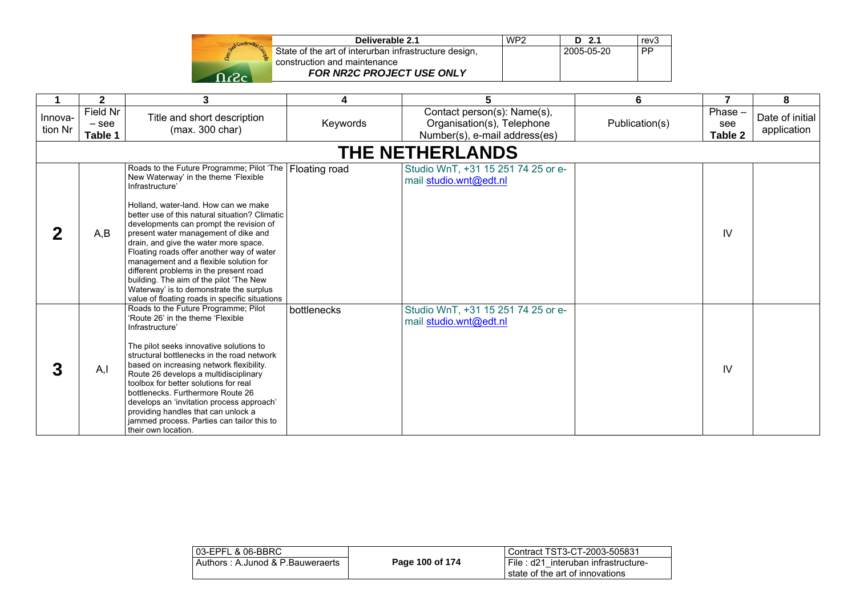| Construction |               |
|--------------|---------------|
|              | State<br>cons |
|              |               |
|              |               |

| Deliverable 2.1                                       | WP <sub>2</sub> | $D$ 2.1    | rev <sub>3</sub> |
|-------------------------------------------------------|-----------------|------------|------------------|
| State of the art of interurban infrastructure design, |                 | 2005-05-20 | i PP             |
| construction and maintenance                          |                 |            |                  |
| <b>FOR NR2C PROJECT USE ONLY</b>                      |                 |            |                  |

|                    | $\overline{\mathbf{2}}$        | 3                                                                                                                                                                                                                                                                                                                                                                                                                                                                                                                                                                                                   | 4             | 5                                                                                          | 6              | 7                           | 8                              |
|--------------------|--------------------------------|-----------------------------------------------------------------------------------------------------------------------------------------------------------------------------------------------------------------------------------------------------------------------------------------------------------------------------------------------------------------------------------------------------------------------------------------------------------------------------------------------------------------------------------------------------------------------------------------------------|---------------|--------------------------------------------------------------------------------------------|----------------|-----------------------------|--------------------------------|
| Innova-<br>tion Nr | Field Nr<br>$-$ see<br>Table 1 | Title and short description<br>(max. 300 char)                                                                                                                                                                                                                                                                                                                                                                                                                                                                                                                                                      | Keywords      | Contact person(s): Name(s),<br>Organisation(s), Telephone<br>Number(s), e-mail address(es) | Publication(s) | Phase $-$<br>see<br>Table 2 | Date of initial<br>application |
|                    |                                |                                                                                                                                                                                                                                                                                                                                                                                                                                                                                                                                                                                                     |               | <b>THE NETHERLANDS</b>                                                                     |                |                             |                                |
| 2                  | A,B                            | Roads to the Future Programme; Pilot 'The<br>New Waterway' in the theme 'Flexible<br>Infrastructure'<br>Holland, water-land. How can we make<br>better use of this natural situation? Climatic<br>developments can prompt the revision of<br>present water management of dike and<br>drain, and give the water more space.<br>Floating roads offer another way of water<br>management and a flexible solution for<br>different problems in the present road<br>building. The aim of the pilot 'The New<br>Waterway' is to demonstrate the surplus<br>value of floating roads in specific situations | Floating road | Studio WnT, +31 15 251 74 25 or e-<br>mail studio.wnt@edt.nl                               |                | IV                          |                                |
| 3                  | A, I                           | Roads to the Future Programme; Pilot<br>'Route 26' in the theme 'Flexible<br>Infrastructure'<br>The pilot seeks innovative solutions to<br>structural bottlenecks in the road network<br>based on increasing network flexibility.<br>Route 26 develops a multidisciplinary<br>toolbox for better solutions for real<br>bottlenecks. Furthermore Route 26<br>develops an 'invitation process approach'<br>providing handles that can unlock a<br>jammed process. Parties can tailor this to<br>their own location.                                                                                   | bottlenecks   | Studio WnT, +31 15 251 74 25 or e-<br>mail studio.wnt@edt.nl                               |                | IV                          |                                |

| 03-EPFL & 06-BBRC                |                 | l Contract TST3-CT-2003-505831                                             |
|----------------------------------|-----------------|----------------------------------------------------------------------------|
| Authors: A.Junod & P.Bauweraerts | Page 100 of 174 | I File: d21 interuban infrastructure-<br>I state of the art of innovations |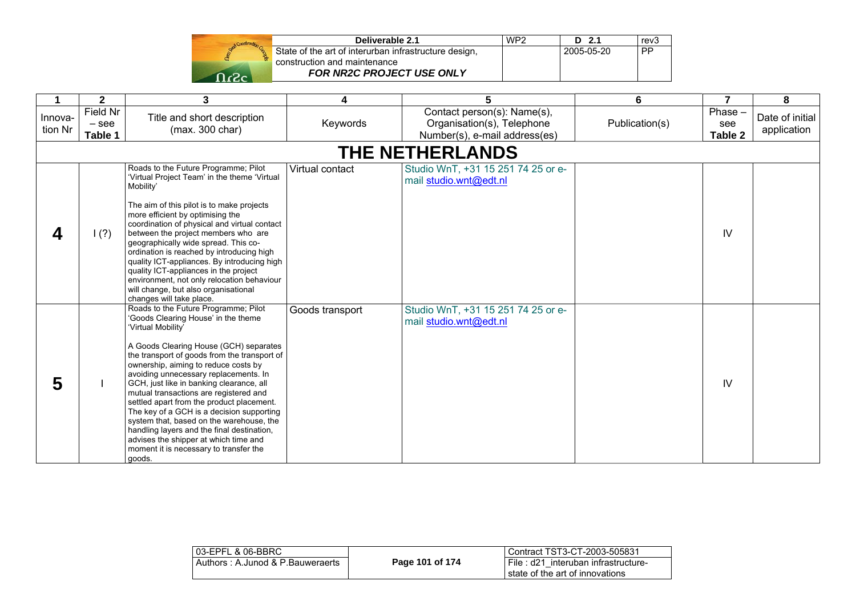|      | State |
|------|-------|
| c2.c |       |

| Deliverable 2.1                                       | WP <sub>2</sub> | D 2.1      | rev3      |
|-------------------------------------------------------|-----------------|------------|-----------|
| State of the art of interurban infrastructure design, |                 | 2005-05-20 | <b>PP</b> |
| construction and maintenance                          |                 |            |           |
| <b>FOR NR2C PROJECT USE ONLY</b>                      |                 |            |           |

|                    | $\mathbf{2}$                   | 3                                                                                                                                                                                                                                                                                                                                                                                                                                                                                                                                                                                                                                                   | 4               | 5                                                                                          | 6              | $\overline{7}$                   | 8                              |  |
|--------------------|--------------------------------|-----------------------------------------------------------------------------------------------------------------------------------------------------------------------------------------------------------------------------------------------------------------------------------------------------------------------------------------------------------------------------------------------------------------------------------------------------------------------------------------------------------------------------------------------------------------------------------------------------------------------------------------------------|-----------------|--------------------------------------------------------------------------------------------|----------------|----------------------------------|--------------------------------|--|
| Innova-<br>tion Nr | Field Nr<br>$-$ see<br>Table 1 | Title and short description<br>(max. 300 char)                                                                                                                                                                                                                                                                                                                                                                                                                                                                                                                                                                                                      | Keywords        | Contact person(s): Name(s),<br>Organisation(s), Telephone<br>Number(s), e-mail address(es) | Publication(s) | Phase -<br>see<br><b>Table 2</b> | Date of initial<br>application |  |
|                    | <b>THE NETHERLANDS</b>         |                                                                                                                                                                                                                                                                                                                                                                                                                                                                                                                                                                                                                                                     |                 |                                                                                            |                |                                  |                                |  |
|                    | (?)                            | Roads to the Future Programme; Pilot<br>'Virtual Project Team' in the theme 'Virtual<br>Mobility'<br>The aim of this pilot is to make projects<br>more efficient by optimising the<br>coordination of physical and virtual contact<br>between the project members who are<br>geographically wide spread. This co-<br>ordination is reached by introducing high<br>quality ICT-appliances. By introducing high<br>quality ICT-appliances in the project<br>environment, not only relocation behaviour<br>will change, but also organisational<br>changes will take place.                                                                            | Virtual contact | Studio WnT, +31 15 251 74 25 or e-<br>mail studio.wnt@edt.nl                               |                | IV                               |                                |  |
| 5                  |                                | Roads to the Future Programme; Pilot<br>'Goods Clearing House' in the theme<br>'Virtual Mobility'<br>A Goods Clearing House (GCH) separates<br>the transport of goods from the transport of<br>ownership, aiming to reduce costs by<br>avoiding unnecessary replacements. In<br>GCH, just like in banking clearance, all<br>mutual transactions are registered and<br>settled apart from the product placement.<br>The key of a GCH is a decision supporting<br>system that, based on the warehouse, the<br>handling layers and the final destination,<br>advises the shipper at which time and<br>moment it is necessary to transfer the<br>goods. | Goods transport | Studio WnT, +31 15 251 74 25 or e-<br>mail studio.wnt@edt.nl                               |                | IV                               |                                |  |

| 03-EPFL & 06-BBRC                |                 | Contract TST3-CT-2003-505831                                              |
|----------------------------------|-----------------|---------------------------------------------------------------------------|
| Authors: A.Junod & P.Bauweraerts | Page 101 of 174 | File: d21 interuban infrastructure-<br>l state of the art of innovations. |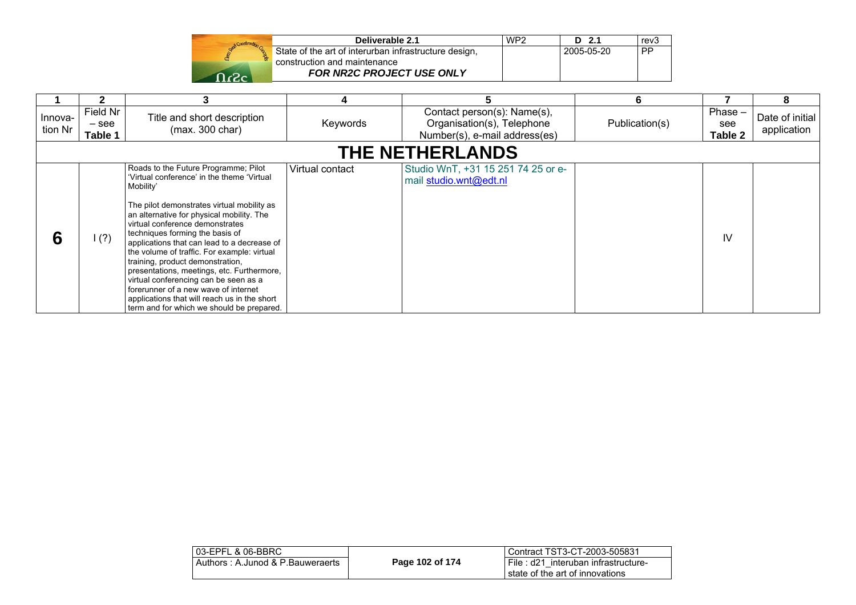| Deliverable 2.1                                       | WP <sub>2</sub> | D<br>-2.1  | rev3      |
|-------------------------------------------------------|-----------------|------------|-----------|
| State of the art of interurban infrastructure design, |                 | 2005-05-20 | <b>PP</b> |
| construction and maintenance                          |                 |            |           |
| <b>FOR NR2C PROJECT USE ONLY</b>                      |                 |            |           |

|                    |                                |                                                                                                                                                                                                                                                                                                                                                                                                                                                                                                                                                                                                                                |                 |                                                                                            | 6              |                          |                                |
|--------------------|--------------------------------|--------------------------------------------------------------------------------------------------------------------------------------------------------------------------------------------------------------------------------------------------------------------------------------------------------------------------------------------------------------------------------------------------------------------------------------------------------------------------------------------------------------------------------------------------------------------------------------------------------------------------------|-----------------|--------------------------------------------------------------------------------------------|----------------|--------------------------|--------------------------------|
| Innova-<br>tion Nr | Field Nr<br>$-$ see<br>Table 1 | Title and short description<br>(max. 300 char)                                                                                                                                                                                                                                                                                                                                                                                                                                                                                                                                                                                 | Keywords        | Contact person(s): Name(s),<br>Organisation(s), Telephone<br>Number(s), e-mail address(es) | Publication(s) | Phase-<br>see<br>Table 2 | Date of initial<br>application |
|                    |                                |                                                                                                                                                                                                                                                                                                                                                                                                                                                                                                                                                                                                                                |                 | <b>THE NETHERLANDS</b>                                                                     |                |                          |                                |
| 6                  | (?)                            | Roads to the Future Programme; Pilot<br>'Virtual conference' in the theme 'Virtual<br>Mobility'<br>The pilot demonstrates virtual mobility as<br>an alternative for physical mobility. The<br>virtual conference demonstrates<br>techniques forming the basis of<br>applications that can lead to a decrease of<br>the volume of traffic. For example: virtual<br>training, product demonstration,<br>presentations, meetings, etc. Furthermore,<br>virtual conferencing can be seen as a<br>forerunner of a new wave of internet<br>applications that will reach us in the short<br>term and for which we should be prepared. | Virtual contact | Studio WnT, +31 15 251 74 25 or e-<br>mail studio.wnt@edt.nl                               |                | IV                       |                                |

| 03-EPFL & 06-BBRC                |                 | Contract TST3-CT-2003-505831                                           |
|----------------------------------|-----------------|------------------------------------------------------------------------|
| Authors: A.Junod & P.Bauweraerts | Page 102 of 174 | File: d21 interuban infrastructure-<br>state of the art of innovations |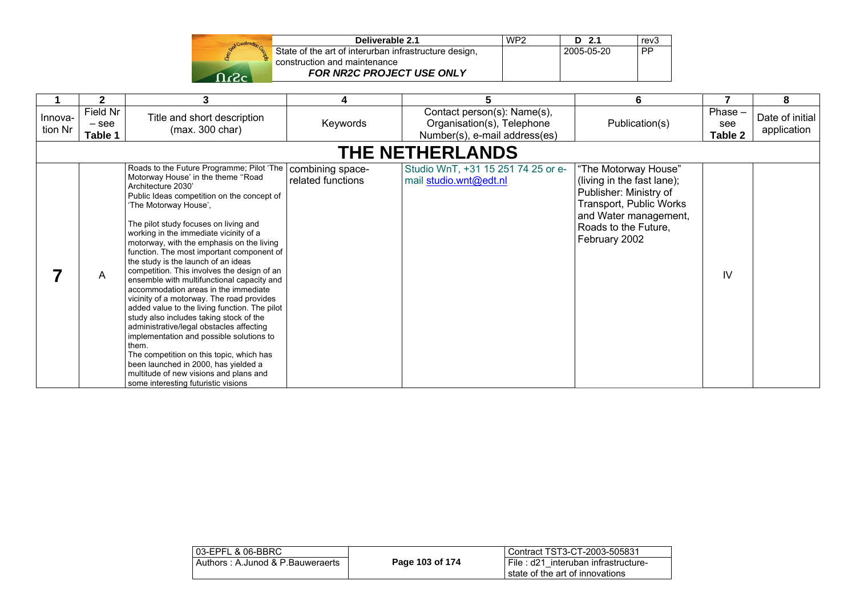| Send Construction Co |  |
|----------------------|--|
|                      |  |
|                      |  |

| Deliverable 2.1                                       | WP <sub>2</sub> | $D$ 2.1    | rev <sub>3</sub> |
|-------------------------------------------------------|-----------------|------------|------------------|
| State of the art of interurban infrastructure design, |                 | 2005-05-20 | <b>PP</b>        |
| construction and maintenance                          |                 |            |                  |
| <b>FOR NR2C PROJECT USE ONLY</b>                      |                 |            |                  |

|                    | $\mathbf{2}$                   | 3                                                                                                                                                                                                                                                                                                                                                                                                                                                                                                                                                                                                                                                                                                                                                                                                                                                                                                                                                    | 4                                     | 5                                                                                          | 6                                                                                                                                                                         | 7                         | 8                              |
|--------------------|--------------------------------|------------------------------------------------------------------------------------------------------------------------------------------------------------------------------------------------------------------------------------------------------------------------------------------------------------------------------------------------------------------------------------------------------------------------------------------------------------------------------------------------------------------------------------------------------------------------------------------------------------------------------------------------------------------------------------------------------------------------------------------------------------------------------------------------------------------------------------------------------------------------------------------------------------------------------------------------------|---------------------------------------|--------------------------------------------------------------------------------------------|---------------------------------------------------------------------------------------------------------------------------------------------------------------------------|---------------------------|--------------------------------|
| Innova-<br>tion Nr | Field Nr<br>$-$ see<br>Table 1 | Title and short description<br>(max. 300 char)                                                                                                                                                                                                                                                                                                                                                                                                                                                                                                                                                                                                                                                                                                                                                                                                                                                                                                       | Keywords                              | Contact person(s): Name(s),<br>Organisation(s), Telephone<br>Number(s), e-mail address(es) | Publication(s)                                                                                                                                                            | Phase -<br>see<br>Table 2 | Date of initial<br>application |
|                    |                                |                                                                                                                                                                                                                                                                                                                                                                                                                                                                                                                                                                                                                                                                                                                                                                                                                                                                                                                                                      |                                       | <b>THE NETHERLANDS</b>                                                                     |                                                                                                                                                                           |                           |                                |
|                    | Α                              | Roads to the Future Programme; Pilot 'The<br>Motorway House' in the theme "Road<br>Architecture 2030'<br>Public Ideas competition on the concept of<br>'The Motorway House',<br>The pilot study focuses on living and<br>working in the immediate vicinity of a<br>motorway, with the emphasis on the living<br>function. The most important component of<br>the study is the launch of an ideas<br>competition. This involves the design of an<br>ensemble with multifunctional capacity and<br>accommodation areas in the immediate<br>vicinity of a motorway. The road provides<br>added value to the living function. The pilot<br>study also includes taking stock of the<br>administrative/legal obstacles affecting<br>implementation and possible solutions to<br>them.<br>The competition on this topic, which has<br>been launched in 2000, has yielded a<br>multitude of new visions and plans and<br>some interesting futuristic visions | combining space-<br>related functions | Studio WnT, +31 15 251 74 25 or e-<br>mail studio.wnt@edt.nl                               | "The Motorway House"<br>(living in the fast lane);<br>Publisher: Ministry of<br>Transport, Public Works<br>and Water management,<br>Roads to the Future,<br>February 2002 | IV                        |                                |

| 03-EPFL & 06-BBRC                |                 | Contract TST3-CT-2003-505831                                           |
|----------------------------------|-----------------|------------------------------------------------------------------------|
| Authors: A.Junod & P.Bauweraerts | Page 103 of 174 | File: d21 interuban infrastructure-<br>state of the art of innovations |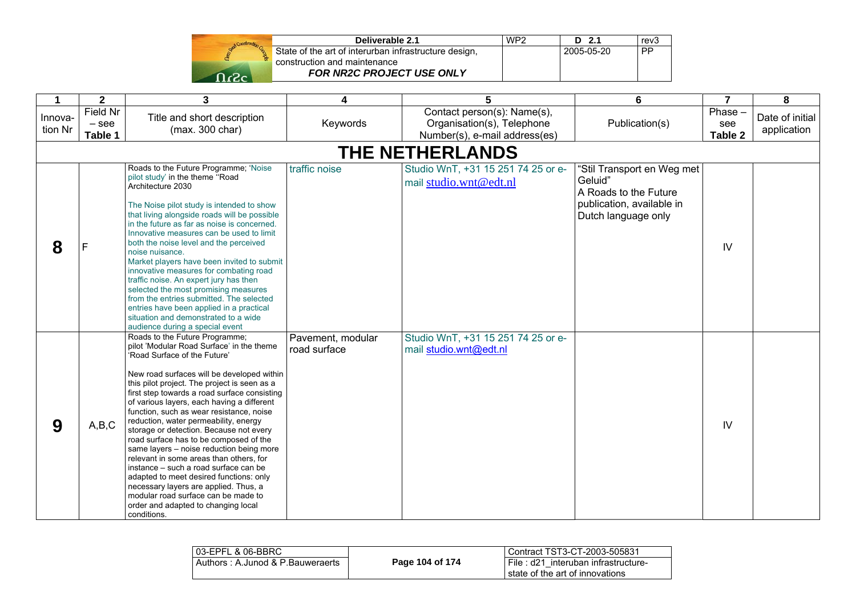| Send Construction G |  |
|---------------------|--|
|                     |  |
| 49                  |  |

| Deliverable 2.1                                       | WP <sub>2</sub> | $D$ 2.1    | rev <sub>3</sub> |
|-------------------------------------------------------|-----------------|------------|------------------|
| State of the art of interurban infrastructure design, |                 | 2005-05-20 | . PP             |
| construction and maintenance                          |                 |            |                  |
| <b>FOR NR2C PROJECT USE ONLY</b>                      |                 |            |                  |

| 1                  | $\mathbf{2}$                   | 3                                                                                                                                                                                                                                                                                                                                                                                                                                                                                                                                                                                                                                                                                                                                                                                                  | 4                                 | 5                                                                                          | 6                                                                                                                  | $\overline{7}$              | 8                              |
|--------------------|--------------------------------|----------------------------------------------------------------------------------------------------------------------------------------------------------------------------------------------------------------------------------------------------------------------------------------------------------------------------------------------------------------------------------------------------------------------------------------------------------------------------------------------------------------------------------------------------------------------------------------------------------------------------------------------------------------------------------------------------------------------------------------------------------------------------------------------------|-----------------------------------|--------------------------------------------------------------------------------------------|--------------------------------------------------------------------------------------------------------------------|-----------------------------|--------------------------------|
| Innova-<br>tion Nr | Field Nr<br>$-$ see<br>Table 1 | Title and short description<br>(max. 300 char)                                                                                                                                                                                                                                                                                                                                                                                                                                                                                                                                                                                                                                                                                                                                                     | Keywords                          | Contact person(s): Name(s),<br>Organisation(s), Telephone<br>Number(s), e-mail address(es) | Publication(s)                                                                                                     | $Phase -$<br>see<br>Table 2 | Date of initial<br>application |
|                    |                                |                                                                                                                                                                                                                                                                                                                                                                                                                                                                                                                                                                                                                                                                                                                                                                                                    |                                   | <b>THE NETHERLANDS</b>                                                                     |                                                                                                                    |                             |                                |
| 8                  |                                | Roads to the Future Programme; 'Noise<br>pilot study' in the theme "Road<br>Architecture 2030<br>The Noise pilot study is intended to show<br>that living alongside roads will be possible<br>in the future as far as noise is concerned.<br>Innovative measures can be used to limit<br>both the noise level and the perceived<br>noise nuisance.<br>Market players have been invited to submit<br>innovative measures for combating road<br>traffic noise. An expert jury has then<br>selected the most promising measures<br>from the entries submitted. The selected<br>entries have been applied in a practical<br>situation and demonstrated to a wide<br>audience during a special event                                                                                                    | traffic noise                     | Studio WnT, +31 15 251 74 25 or e-<br>mail studio.wnt@edt.nl                               | "Stil Transport en Weg met<br>Geluid"<br>A Roads to the Future<br>publication, available in<br>Dutch language only | IV                          |                                |
| 9                  | A,B,C                          | Roads to the Future Programme;<br>pilot 'Modular Road Surface' in the theme<br>'Road Surface of the Future'<br>New road surfaces will be developed within<br>this pilot project. The project is seen as a<br>first step towards a road surface consisting<br>of various layers, each having a different<br>function, such as wear resistance, noise<br>reduction, water permeability, energy<br>storage or detection. Because not every<br>road surface has to be composed of the<br>same layers - noise reduction being more<br>relevant in some areas than others, for<br>instance – such a road surface can be<br>adapted to meet desired functions: only<br>necessary layers are applied. Thus, a<br>modular road surface can be made to<br>order and adapted to changing local<br>conditions. | Pavement, modular<br>road surface | Studio WnT, +31 15 251 74 25 or e-<br>mail studio.wnt@edt.nl                               |                                                                                                                    | IV                          |                                |

| 103-EPFL & 06-BBRC               |                 | l Contract TST3-CT-2003-505831                                           |
|----------------------------------|-----------------|--------------------------------------------------------------------------|
| Authors: A.Junod & P.Bauweraerts | Page 104 of 174 | I File: d21 interuban infrastructure-<br>state of the art of innovations |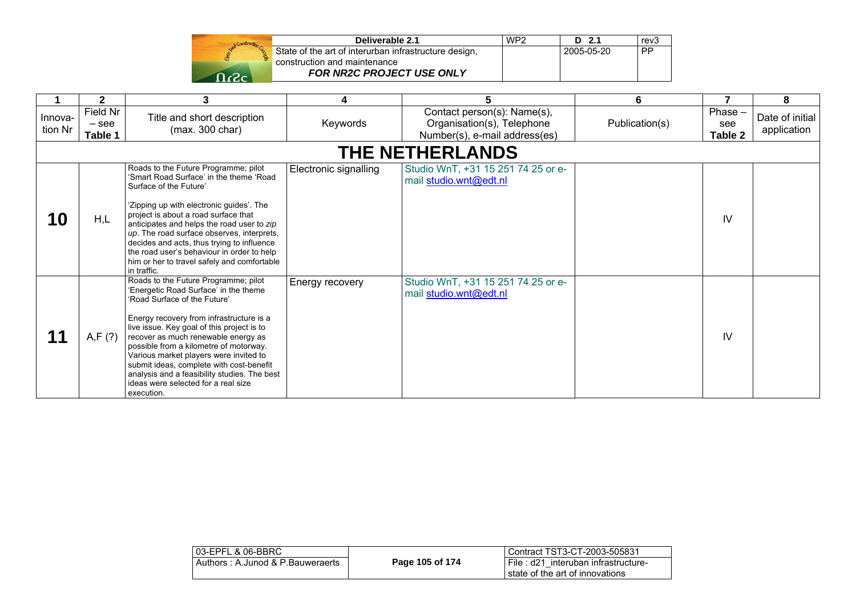| Deliverable 2.1                                       |
|-------------------------------------------------------|
| State of the art of interurban infrastructure design, |
| construction and maintenance                          |
| FOR NR2C PROJECT USE ONLY                             |

|                    | $\mathbf{2}$                   | 3                                                                                                                                                                                                                                                                                                                                                                                                                                                                                   |                       | 5                                                                                          | 6              |                             | 8                              |
|--------------------|--------------------------------|-------------------------------------------------------------------------------------------------------------------------------------------------------------------------------------------------------------------------------------------------------------------------------------------------------------------------------------------------------------------------------------------------------------------------------------------------------------------------------------|-----------------------|--------------------------------------------------------------------------------------------|----------------|-----------------------------|--------------------------------|
| Innova-<br>tion Nr | Field Nr<br>$-$ see<br>Table 1 | Title and short description<br>(max. 300 char)                                                                                                                                                                                                                                                                                                                                                                                                                                      | Keywords              | Contact person(s): Name(s),<br>Organisation(s), Telephone<br>Number(s), e-mail address(es) | Publication(s) | Phase $-$<br>see<br>Table 2 | Date of initial<br>application |
|                    |                                |                                                                                                                                                                                                                                                                                                                                                                                                                                                                                     |                       | <b>THE NETHERLANDS</b>                                                                     |                |                             |                                |
| 10                 | H,L                            | Roads to the Future Programme; pilot<br>'Smart Road Surface' in the theme 'Road<br>Surface of the Future'<br>'Zipping up with electronic guides'. The<br>project is about a road surface that<br>anticipates and helps the road user to zip<br>up. The road surface observes, interprets,<br>decides and acts, thus trying to influence<br>the road user's behaviour in order to help<br>him or her to travel safely and comfortable<br>in traffic.                                 | Electronic signalling | Studio WnT, +31 15 251 74 25 or e-<br>mail studio.wnt@edt.nl                               |                | $\mathsf{IV}$               |                                |
|                    | A, F (?)                       | Roads to the Future Programme; pilot<br>'Energetic Road Surface' in the theme<br>'Road Surface of the Future'<br>Energy recovery from infrastructure is a<br>live issue. Key goal of this project is to<br>recover as much renewable energy as<br>possible from a kilometre of motorway.<br>Various market players were invited to<br>submit ideas, complete with cost-benefit<br>analysis and a feasibility studies. The best<br>ideas were selected for a real size<br>execution. | Energy recovery       | Studio WnT, +31 15 251 74 25 or e-<br>mail studio.wnt@edt.nl                               |                | IV                          |                                |

**d WP2 D 2.1** 

 $2005-05-20$ 

 $rev3$ 

 $\overline{PP}$ 

| 03-EPFL & 06-BBRC                |                 | l Contract TST3-CT-2003-505831                                           |
|----------------------------------|-----------------|--------------------------------------------------------------------------|
| Authors: A.Junod & P.Bauweraerts | Page 105 of 174 | File: d21 interuban infrastructure-<br>I state of the art of innovations |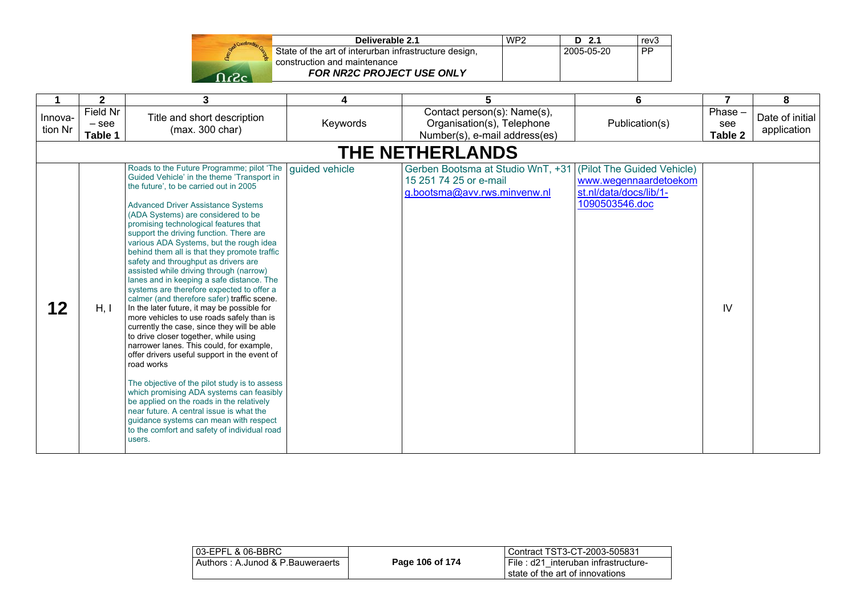| ound Construction |  |
|-------------------|--|
|                   |  |
|                   |  |

| Deliverable 2.1                                       | WP <sub>2</sub> | $D$ 2.1      | rev <sub>3</sub> |
|-------------------------------------------------------|-----------------|--------------|------------------|
| State of the art of interurban infrastructure design, |                 | l 2005-05-20 | <b>PP</b>        |
| construction and maintenance                          |                 |              |                  |
| <b>FOR NR2C PROJECT USE ONLY</b>                      |                 |              |                  |

|                    | $\mathbf 2$                    | 3                                                                                                                                                                                                                                                                                                                                                                                                                                                                                                                                                                                                                                                                                                                                                                                                                                                                                                                                                                                                                                                                                                                                                                                                                       | 4              | 5                                                                                           | 6                                                                                               | 7                           | 8                              |
|--------------------|--------------------------------|-------------------------------------------------------------------------------------------------------------------------------------------------------------------------------------------------------------------------------------------------------------------------------------------------------------------------------------------------------------------------------------------------------------------------------------------------------------------------------------------------------------------------------------------------------------------------------------------------------------------------------------------------------------------------------------------------------------------------------------------------------------------------------------------------------------------------------------------------------------------------------------------------------------------------------------------------------------------------------------------------------------------------------------------------------------------------------------------------------------------------------------------------------------------------------------------------------------------------|----------------|---------------------------------------------------------------------------------------------|-------------------------------------------------------------------------------------------------|-----------------------------|--------------------------------|
| Innova-<br>tion Nr | Field Nr<br>$-$ see<br>Table 1 | Title and short description<br>(max. 300 char)                                                                                                                                                                                                                                                                                                                                                                                                                                                                                                                                                                                                                                                                                                                                                                                                                                                                                                                                                                                                                                                                                                                                                                          | Keywords       | Contact person(s): Name(s),<br>Organisation(s), Telephone<br>Number(s), e-mail address(es)  | Publication(s)                                                                                  | Phase $-$<br>see<br>Table 2 | Date of initial<br>application |
|                    |                                |                                                                                                                                                                                                                                                                                                                                                                                                                                                                                                                                                                                                                                                                                                                                                                                                                                                                                                                                                                                                                                                                                                                                                                                                                         |                | <b>THE NETHERLANDS</b>                                                                      |                                                                                                 |                             |                                |
| 12                 | H, I                           | Roads to the Future Programme; pilot 'The<br>Guided Vehicle' in the theme 'Transport in<br>the future', to be carried out in 2005<br><b>Advanced Driver Assistance Systems</b><br>(ADA Systems) are considered to be<br>promising technological features that<br>support the driving function. There are<br>various ADA Systems, but the rough idea<br>behind them all is that they promote traffic<br>safety and throughput as drivers are<br>assisted while driving through (narrow)<br>lanes and in keeping a safe distance. The<br>systems are therefore expected to offer a<br>calmer (and therefore safer) traffic scene.<br>In the later future, it may be possible for<br>more vehicles to use roads safely than is<br>currently the case, since they will be able<br>to drive closer together, while using<br>narrower lanes. This could, for example,<br>offer drivers useful support in the event of<br>road works<br>The objective of the pilot study is to assess<br>which promising ADA systems can feasibly<br>be applied on the roads in the relatively<br>near future. A central issue is what the<br>guidance systems can mean with respect<br>to the comfort and safety of individual road<br>users. | guided vehicle | Gerben Bootsma at Studio WnT, +31<br>15 251 74 25 or e-mail<br>g.bootsma@avv.rws.minvenw.nl | (Pilot The Guided Vehicle)<br>www.wegennaardetoekom<br>st.nl/data/docs/lib/1-<br>1090503546.doc | IV                          |                                |

| 03-EPFL & 06-BBRC                |                 | Contract TST3-CT-2003-505831                                           |
|----------------------------------|-----------------|------------------------------------------------------------------------|
| Authors: A.Junod & P.Bauweraerts | Page 106 of 174 | File: d21 interuban infrastructure-<br>state of the art of innovations |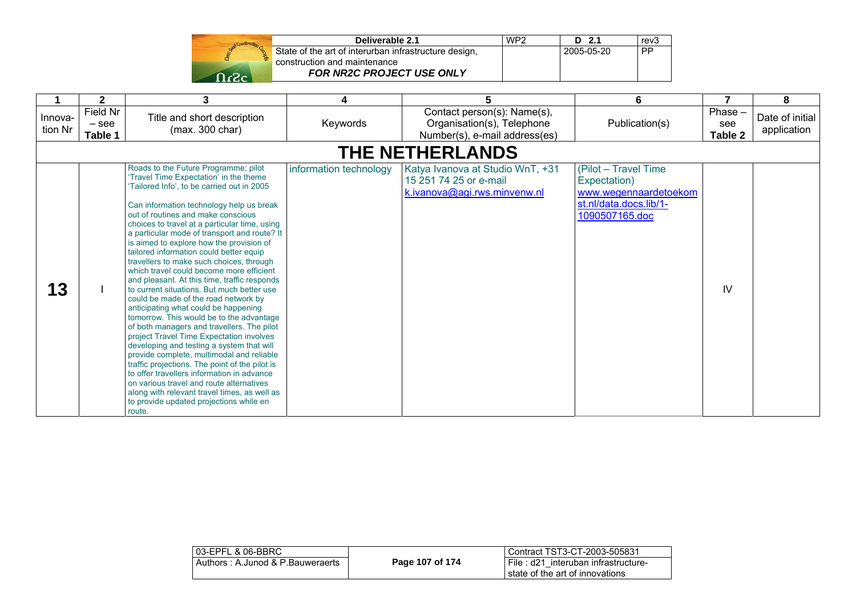| Stand Construction |  |
|--------------------|--|
|                    |  |
|                    |  |

| Deliverable 2.1                                       | WP <sub>2</sub> | $D$ 2.1    | rev3      |
|-------------------------------------------------------|-----------------|------------|-----------|
| State of the art of interurban infrastructure design, |                 | 2005-05-20 | <b>PP</b> |
| construction and maintenance                          |                 |            |           |
| FOR NR2C PROJECT USE ONLY                             |                 |            |           |

|                    | 2                              | 3                                                                                                                                                                                                                                                                                                                                                                                                                                                                                                                                                                                                                                                                                                                                                                                                                                                                                                                                                                                                                                                                                                                                                            | 4                      | 5                                                                                          | 6                                                                                                         |                           | 8                              |
|--------------------|--------------------------------|--------------------------------------------------------------------------------------------------------------------------------------------------------------------------------------------------------------------------------------------------------------------------------------------------------------------------------------------------------------------------------------------------------------------------------------------------------------------------------------------------------------------------------------------------------------------------------------------------------------------------------------------------------------------------------------------------------------------------------------------------------------------------------------------------------------------------------------------------------------------------------------------------------------------------------------------------------------------------------------------------------------------------------------------------------------------------------------------------------------------------------------------------------------|------------------------|--------------------------------------------------------------------------------------------|-----------------------------------------------------------------------------------------------------------|---------------------------|--------------------------------|
| Innova-<br>tion Nr | Field Nr<br>$-$ see<br>Table 1 | Title and short description<br>(max. 300 char)                                                                                                                                                                                                                                                                                                                                                                                                                                                                                                                                                                                                                                                                                                                                                                                                                                                                                                                                                                                                                                                                                                               | Keywords               | Contact person(s): Name(s),<br>Organisation(s), Telephone<br>Number(s), e-mail address(es) | Publication(s)                                                                                            | Phase -<br>see<br>Table 2 | Date of initial<br>application |
|                    |                                |                                                                                                                                                                                                                                                                                                                                                                                                                                                                                                                                                                                                                                                                                                                                                                                                                                                                                                                                                                                                                                                                                                                                                              |                        | THE NETHERLANDS                                                                            |                                                                                                           |                           |                                |
| 13                 |                                | Roads to the Future Programme; pilot<br>'Travel Time Expectation' in the theme<br>Tailored Info', to be carried out in 2005<br>Can information technology help us break<br>out of routines and make conscious<br>choices to travel at a particular time, using<br>a particular mode of transport and route? It<br>is aimed to explore how the provision of<br>tailored information could better equip<br>travellers to make such choices, through<br>which travel could become more efficient<br>and pleasant. At this time, traffic responds<br>to current situations. But much better use<br>could be made of the road network by<br>anticipating what could be happening<br>tomorrow. This would be to the advantage<br>of both managers and travellers. The pilot<br>project Travel Time Expectation involves<br>developing and testing a system that will<br>provide complete, multimodal and reliable<br>traffic projections. The point of the pilot is<br>to offer travellers information in advance<br>on various travel and route alternatives<br>along with relevant travel times, as well as<br>to provide updated projections while en<br>route. | information technology | Katya Ivanova at Studio WnT, +31<br>15 251 74 25 or e-mail<br>k.ivanova@agi.rws.minvenw.nl | (Pilot - Travel Time<br>Expectation)<br>www.wegennaardetoekom<br>st.nl/data.docs.lib/1-<br>1090507165.doc | IV                        |                                |

| Page 107 of 174 | l Contract TST3-CT-2003-505831                                           |
|-----------------|--------------------------------------------------------------------------|
|                 | File: d21 interuban infrastructure-<br>I state of the art of innovations |
|                 |                                                                          |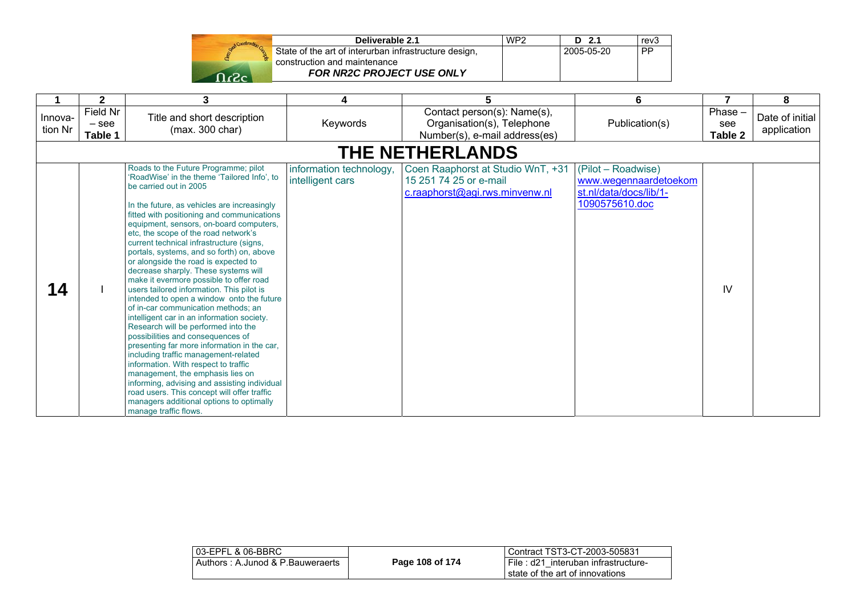

| Deliverable 2.1                                       | WP <sub>2</sub> | D 2.1      | rev <sub>3</sub> |
|-------------------------------------------------------|-----------------|------------|------------------|
| State of the art of interurban infrastructure design, |                 | 2005-05-20 | <b>PP</b>        |
| construction and maintenance                          |                 |            |                  |
| <b>FOR NR2C PROJECT USE ONLY</b>                      |                 |            |                  |

|                    | $\mathbf{2}$                   | 3                                                                                                                                                                                                                                                                                                                                                                                                                                                                                                                                                                                                                                                                                                                                                                                                                                                                                                                                                                                                                                                                                                                   | 4                                           | 5                                                                                             | 6                                                                                       |                           | 8                              |
|--------------------|--------------------------------|---------------------------------------------------------------------------------------------------------------------------------------------------------------------------------------------------------------------------------------------------------------------------------------------------------------------------------------------------------------------------------------------------------------------------------------------------------------------------------------------------------------------------------------------------------------------------------------------------------------------------------------------------------------------------------------------------------------------------------------------------------------------------------------------------------------------------------------------------------------------------------------------------------------------------------------------------------------------------------------------------------------------------------------------------------------------------------------------------------------------|---------------------------------------------|-----------------------------------------------------------------------------------------------|-----------------------------------------------------------------------------------------|---------------------------|--------------------------------|
| Innova-<br>tion Nr | Field Nr<br>$-$ see<br>Table 1 | Title and short description<br>(max. 300 char)                                                                                                                                                                                                                                                                                                                                                                                                                                                                                                                                                                                                                                                                                                                                                                                                                                                                                                                                                                                                                                                                      | Keywords                                    | Contact person(s): Name(s),<br>Organisation(s), Telephone<br>Number(s), e-mail address(es)    | Publication(s)                                                                          | Phase -<br>see<br>Table 2 | Date of initial<br>application |
|                    | <b>THE NETHERLANDS</b>         |                                                                                                                                                                                                                                                                                                                                                                                                                                                                                                                                                                                                                                                                                                                                                                                                                                                                                                                                                                                                                                                                                                                     |                                             |                                                                                               |                                                                                         |                           |                                |
| 14                 |                                | Roads to the Future Programme; pilot<br>'RoadWise' in the theme 'Tailored Info', to<br>be carried out in 2005<br>In the future, as vehicles are increasingly<br>fitted with positioning and communications<br>equipment, sensors, on-board computers,<br>etc, the scope of the road network's<br>current technical infrastructure (signs,<br>portals, systems, and so forth) on, above<br>or alongside the road is expected to<br>decrease sharply. These systems will<br>make it evermore possible to offer road<br>users tailored information. This pilot is<br>intended to open a window onto the future<br>of in-car communication methods: an<br>intelligent car in an information society.<br>Research will be performed into the<br>possibilities and consequences of<br>presenting far more information in the car,<br>including traffic management-related<br>information. With respect to traffic<br>management, the emphasis lies on<br>informing, advising and assisting individual<br>road users. This concept will offer traffic<br>managers additional options to optimally<br>manage traffic flows. | information technology,<br>intelligent cars | Coen Raaphorst at Studio WnT, +31<br>15 251 74 25 or e-mail<br>c.raaphorst@agi.rws.minvenw.nl | (Pilot – Roadwise)<br>www.wegennaardetoekom<br>st.nl/data/docs/lib/1-<br>1090575610.doc | IV                        |                                |

| 03-EPFL & 06-BBRC                | Page 108 of 174 | l Contract TST3-CT-2003-505831        |
|----------------------------------|-----------------|---------------------------------------|
| Authors: A.Junod & P.Bauweraerts |                 | I File: d21 interuban infrastructure- |
|                                  |                 | I state of the art of innovations     |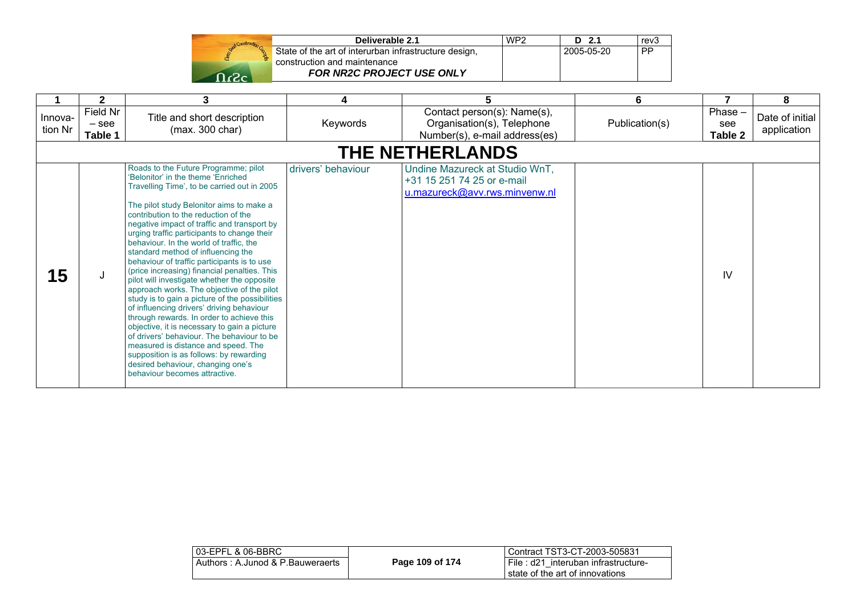|              | Construction Co. |
|--------------|------------------|
| <b>Dogod</b> |                  |
|              |                  |

| Deliverable 2.1                                       | WP <sub>2</sub> | $D$ 2.1    | rev <sub>3</sub> |
|-------------------------------------------------------|-----------------|------------|------------------|
| State of the art of interurban infrastructure design, |                 | 2005-05-20 | . PP             |
| construction and maintenance                          |                 |            |                  |
| <b>FOR NR2C PROJECT USE ONLY</b>                      |                 |            |                  |

|                    | $\mathbf{2}$                   | 3                                                                                                                                                                                                                                                                                                                                                                                                                                                                                                                                                                                                                                                                                                                                                                                                                                                                                                                                                                                           | 4                  | 5                                                                                             | 6              |                             | 8                              |
|--------------------|--------------------------------|---------------------------------------------------------------------------------------------------------------------------------------------------------------------------------------------------------------------------------------------------------------------------------------------------------------------------------------------------------------------------------------------------------------------------------------------------------------------------------------------------------------------------------------------------------------------------------------------------------------------------------------------------------------------------------------------------------------------------------------------------------------------------------------------------------------------------------------------------------------------------------------------------------------------------------------------------------------------------------------------|--------------------|-----------------------------------------------------------------------------------------------|----------------|-----------------------------|--------------------------------|
| Innova-<br>tion Nr | Field Nr<br>$-$ see<br>Table 1 | Title and short description<br>(max. 300 char)                                                                                                                                                                                                                                                                                                                                                                                                                                                                                                                                                                                                                                                                                                                                                                                                                                                                                                                                              | Keywords           | Contact person(s): Name(s),<br>Organisation(s), Telephone<br>Number(s), e-mail address(es)    | Publication(s) | $Phase -$<br>see<br>Table 2 | Date of initial<br>application |
|                    |                                |                                                                                                                                                                                                                                                                                                                                                                                                                                                                                                                                                                                                                                                                                                                                                                                                                                                                                                                                                                                             |                    | <b>THE NETHERLANDS</b>                                                                        |                |                             |                                |
| 15                 | J                              | Roads to the Future Programme; pilot<br>'Belonitor' in the theme 'Enriched<br>Travelling Time', to be carried out in 2005<br>The pilot study Belonitor aims to make a<br>contribution to the reduction of the<br>negative impact of traffic and transport by<br>urging traffic participants to change their<br>behaviour. In the world of traffic, the<br>standard method of influencing the<br>behaviour of traffic participants is to use<br>(price increasing) financial penalties. This<br>pilot will investigate whether the opposite<br>approach works. The objective of the pilot<br>study is to gain a picture of the possibilities<br>of influencing drivers' driving behaviour<br>through rewards. In order to achieve this<br>objective, it is necessary to gain a picture<br>of drivers' behaviour. The behaviour to be<br>measured is distance and speed. The<br>supposition is as follows: by rewarding<br>desired behaviour, changing one's<br>behaviour becomes attractive. | drivers' behaviour | Undine Mazureck at Studio WnT,<br>+31 15 251 74 25 or e-mail<br>u.mazureck@avv.rws.minvenw.nl |                | IV                          |                                |

| 03-EPFL & 06-BBRC                |                 | LContract TST3-CT-2003-505831                                          |
|----------------------------------|-----------------|------------------------------------------------------------------------|
| Authors: A.Junod & P.Bauweraerts | Page 109 of 174 | File: d21 interuban infrastructure-<br>state of the art of innovations |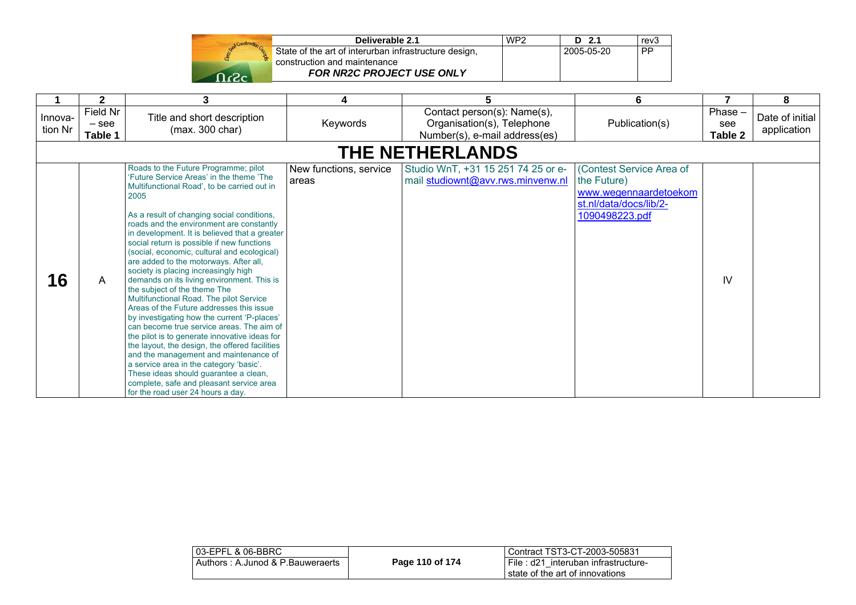| Start Construction |  |
|--------------------|--|
|                    |  |
|                    |  |

| Deliverable 2.1                                       | WP <sub>2</sub> | $D$ 2.1    | rev <sub>3</sub> |
|-------------------------------------------------------|-----------------|------------|------------------|
| State of the art of interurban infrastructure design, |                 | 2005-05-20 | ∟PP              |
| construction and maintenance                          |                 |            |                  |
| <b>FOR NR2C PROJECT USE ONLY</b>                      |                 |            |                  |

|                    | $\mathbf{2}$                   | 3                                                                                                                                                                                                                                                                                                                                                                                                                                                                                                                                                                                                                                                                                                                                                                                                                                                                                                                                                                                                                                                   | 4                               | 5.                                                                                         | 6                                                                                                            |                           | 8                              |  |
|--------------------|--------------------------------|-----------------------------------------------------------------------------------------------------------------------------------------------------------------------------------------------------------------------------------------------------------------------------------------------------------------------------------------------------------------------------------------------------------------------------------------------------------------------------------------------------------------------------------------------------------------------------------------------------------------------------------------------------------------------------------------------------------------------------------------------------------------------------------------------------------------------------------------------------------------------------------------------------------------------------------------------------------------------------------------------------------------------------------------------------|---------------------------------|--------------------------------------------------------------------------------------------|--------------------------------------------------------------------------------------------------------------|---------------------------|--------------------------------|--|
| Innova-<br>tion Nr | Field Nr<br>$-$ see<br>Table 1 | Title and short description<br>(max. 300 char)                                                                                                                                                                                                                                                                                                                                                                                                                                                                                                                                                                                                                                                                                                                                                                                                                                                                                                                                                                                                      | Keywords                        | Contact person(s): Name(s),<br>Organisation(s), Telephone<br>Number(s), e-mail address(es) | Publication(s)                                                                                               | Phase -<br>see<br>Table 2 | Date of initial<br>application |  |
|                    | <b>THE NETHERLANDS</b>         |                                                                                                                                                                                                                                                                                                                                                                                                                                                                                                                                                                                                                                                                                                                                                                                                                                                                                                                                                                                                                                                     |                                 |                                                                                            |                                                                                                              |                           |                                |  |
| 16                 | A                              | Roads to the Future Programme; pilot<br>'Future Service Areas' in the theme 'The<br>Multifunctional Road', to be carried out in<br>2005<br>As a result of changing social conditions,<br>roads and the environment are constantly<br>in development. It is believed that a greater<br>social return is possible if new functions<br>(social, economic, cultural and ecological)<br>are added to the motorways. After all,<br>society is placing increasingly high<br>demands on its living environment. This is<br>the subject of the theme The<br>Multifunctional Road. The pilot Service<br>Areas of the Future addresses this issue<br>by investigating how the current 'P-places'<br>can become true service areas. The aim of<br>the pilot is to generate innovative ideas for<br>the layout, the design, the offered facilities<br>and the management and maintenance of<br>a service area in the category 'basic'.<br>These ideas should quarantee a clean,<br>complete, safe and pleasant service area<br>for the road user 24 hours a day. | New functions, service<br>areas | Studio WnT, +31 15 251 74 25 or e-<br>mail studiownt@avv.rws.minvenw.nl                    | (Contest Service Area of<br>the Future)<br>www.wegennaardetoekom<br>st.nl/data/docs/lib/2-<br>1090498223.pdf | IV                        |                                |  |

| l 03-EPFL & 06-BBRC_             |                 | Contract TST3-CT-2003-505831                                             |
|----------------------------------|-----------------|--------------------------------------------------------------------------|
| Authors: A.Junod & P.Bauweraerts | Page 110 of 174 | I File: d21 interuban infrastructure-<br>state of the art of innovations |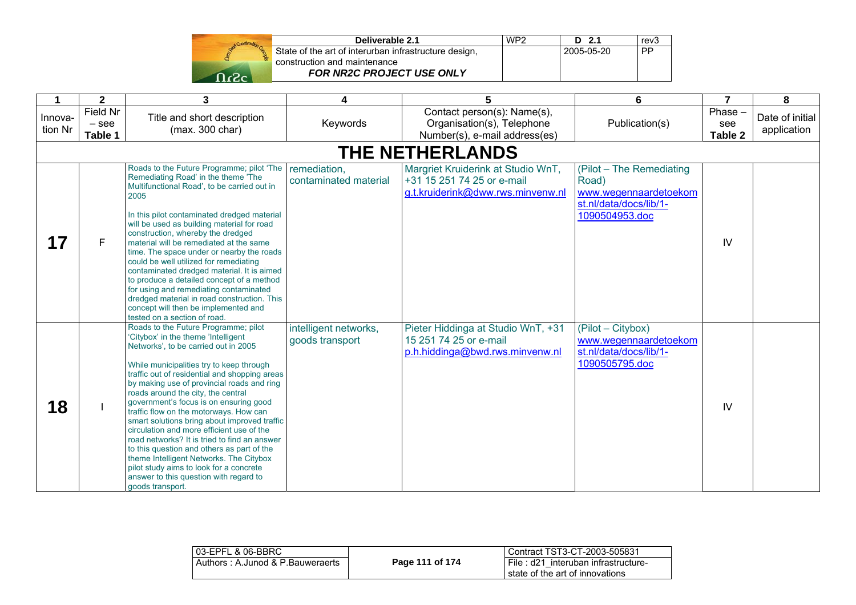

| Deliverable 2.1                                       | WP <sub>2</sub> | $D$ 2.1    | rev <sub>3</sub> |
|-------------------------------------------------------|-----------------|------------|------------------|
| State of the art of interurban infrastructure design, |                 | 2005-05-20 | <b>PP</b>        |
| construction and maintenance                          |                 |            |                  |
| FOR NR2C PROJECT USE ONLY                             |                 |            |                  |

| 1                  | $\mathbf{2}$                   | 3                                                                                                                                                                                                                                                                                                                                                                                                                                                                                                                                                                                                                                                                                                                                        | 4                                        | 5                                                                                                     | 6                                                                                                      | $\overline{7}$            | 8                              |
|--------------------|--------------------------------|------------------------------------------------------------------------------------------------------------------------------------------------------------------------------------------------------------------------------------------------------------------------------------------------------------------------------------------------------------------------------------------------------------------------------------------------------------------------------------------------------------------------------------------------------------------------------------------------------------------------------------------------------------------------------------------------------------------------------------------|------------------------------------------|-------------------------------------------------------------------------------------------------------|--------------------------------------------------------------------------------------------------------|---------------------------|--------------------------------|
| Innova-<br>tion Nr | Field Nr<br>$-$ see<br>Table 1 | Title and short description<br>(max. 300 char)                                                                                                                                                                                                                                                                                                                                                                                                                                                                                                                                                                                                                                                                                           | Keywords                                 | Contact person(s): Name(s),<br>Organisation(s), Telephone<br>Number(s), e-mail address(es)            | Publication(s)                                                                                         | Phase -<br>see<br>Table 2 | Date of initial<br>application |
|                    |                                |                                                                                                                                                                                                                                                                                                                                                                                                                                                                                                                                                                                                                                                                                                                                          |                                          | <b>THE NETHERLANDS</b>                                                                                |                                                                                                        |                           |                                |
| 17                 | F                              | Roads to the Future Programme; pilot 'The<br>Remediating Road' in the theme 'The<br>Multifunctional Road', to be carried out in<br>2005<br>In this pilot contaminated dredged material<br>will be used as building material for road<br>construction, whereby the dredged<br>material will be remediated at the same<br>time. The space under or nearby the roads<br>could be well utilized for remediating<br>contaminated dredged material. It is aimed<br>to produce a detailed concept of a method<br>for using and remediating contaminated<br>dredged material in road construction. This<br>concept will then be implemented and<br>tested on a section of road.                                                                  | remediation,<br>contaminated material    | Margriet Kruiderink at Studio WnT,<br>+31 15 251 74 25 or e-mail<br>g.t.kruiderink@dww.rws.minvenw.nl | (Pilot - The Remediating<br>Road)<br>www.wegennaardetoekom<br>st.nl/data/docs/lib/1-<br>1090504953.doc | IV                        |                                |
| 18                 |                                | Roads to the Future Programme; pilot<br>'Citybox' in the theme 'Intelligent'<br>Networks', to be carried out in 2005<br>While municipalities try to keep through<br>traffic out of residential and shopping areas<br>by making use of provincial roads and ring<br>roads around the city, the central<br>government's focus is on ensuring good<br>traffic flow on the motorways. How can<br>smart solutions bring about improved traffic<br>circulation and more efficient use of the<br>road networks? It is tried to find an answer<br>to this question and others as part of the<br>theme Intelligent Networks. The Citybox<br>pilot study aims to look for a concrete<br>answer to this question with regard to<br>goods transport. | intelligent networks,<br>goods transport | Pieter Hiddinga at Studio WnT, +31<br>15 251 74 25 or e-mail<br>p.h.hiddinga@bwd.rws.minvenw.nl       | (Pilot - Citybox)<br>www.wegennaardetoekom<br>st.nl/data/docs/lib/1-<br>1090505795.doc                 | IV                        |                                |

| 03-EPFL & 06-BBRC                |                 | Contract TST3-CT-2003-505831          |
|----------------------------------|-----------------|---------------------------------------|
| Authors: A.Junod & P.Bauweraerts | Page 111 of 174 | I File: d21 interuban infrastructure- |
|                                  |                 | state of the art of innovations       |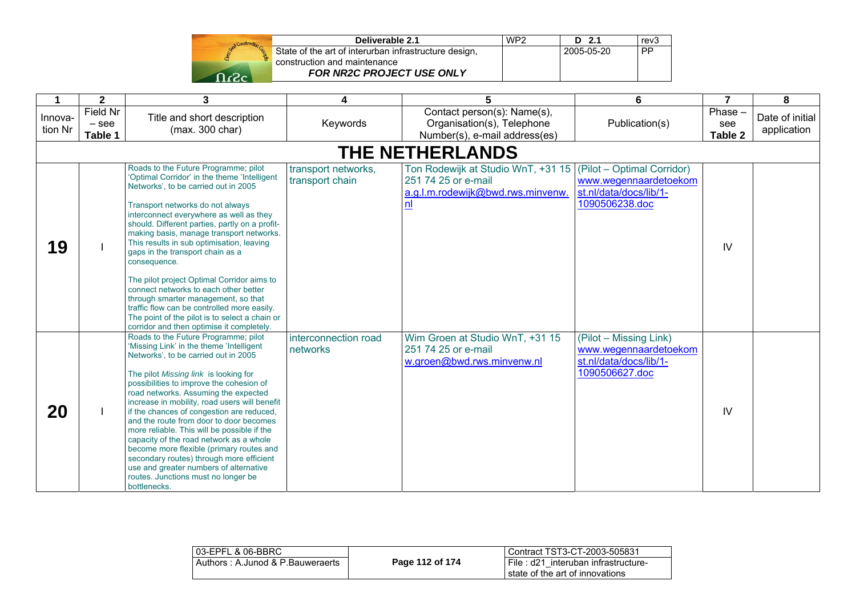| Send Construction G |  |
|---------------------|--|
|                     |  |
| ♦                   |  |

| Deliverable 2.1                                       | WP <sub>2</sub> | $D$ 2.1    | rev <sub>3</sub> |
|-------------------------------------------------------|-----------------|------------|------------------|
| State of the art of interurban infrastructure design, |                 | 2005-05-20 | <b>PP</b>        |
| construction and maintenance                          |                 |            |                  |
| FOR NR2C PROJECT USE ONLY                             |                 |            |                  |

| 1                  | $\mathbf{2}$                   | 3                                                                                                                                                                                                                                                                                                                                                                                                                                                                                                                                                                                                                                                                                                                                                                                 | 4                                      | 5                                                                                                    | 6                                                                                               | $\overline{7}$            | 8                              |
|--------------------|--------------------------------|-----------------------------------------------------------------------------------------------------------------------------------------------------------------------------------------------------------------------------------------------------------------------------------------------------------------------------------------------------------------------------------------------------------------------------------------------------------------------------------------------------------------------------------------------------------------------------------------------------------------------------------------------------------------------------------------------------------------------------------------------------------------------------------|----------------------------------------|------------------------------------------------------------------------------------------------------|-------------------------------------------------------------------------------------------------|---------------------------|--------------------------------|
| Innova-<br>tion Nr | Field Nr<br>$-$ see<br>Table 1 | Title and short description<br>(max. 300 char)                                                                                                                                                                                                                                                                                                                                                                                                                                                                                                                                                                                                                                                                                                                                    | Keywords                               | Contact person(s): Name(s),<br>Organisation(s), Telephone<br>Number(s), e-mail address(es)           | Publication(s)                                                                                  | Phase -<br>see<br>Table 2 | Date of initial<br>application |
|                    |                                |                                                                                                                                                                                                                                                                                                                                                                                                                                                                                                                                                                                                                                                                                                                                                                                   |                                        | <b>THE NETHERLANDS</b>                                                                               |                                                                                                 |                           |                                |
| 19                 |                                | Roads to the Future Programme; pilot<br>'Optimal Corridor' in the theme 'Intelligent<br>Networks', to be carried out in 2005<br>Transport networks do not always<br>interconnect everywhere as well as they<br>should. Different parties, partly on a profit-<br>making basis, manage transport networks.<br>This results in sub optimisation, leaving<br>gaps in the transport chain as a<br>consequence.<br>The pilot project Optimal Corridor aims to<br>connect networks to each other better<br>through smarter management, so that<br>traffic flow can be controlled more easily.                                                                                                                                                                                           | transport networks,<br>transport chain | Ton Rodewijk at Studio WnT, +31 15<br>251 74 25 or e-mail<br>a.g.l.m.rodewijk@bwd.rws.minvenw.<br>n! | (Pilot – Optimal Corridor)<br>www.wegennaardetoekom<br>st.nl/data/docs/lib/1-<br>1090506238.doc | IV                        |                                |
| 20                 |                                | The point of the pilot is to select a chain or<br>corridor and then optimise it completely.<br>Roads to the Future Programme; pilot<br>'Missing Link' in the theme 'Intelligent'<br>Networks', to be carried out in 2005<br>The pilot Missing link is looking for<br>possibilities to improve the cohesion of<br>road networks. Assuming the expected<br>increase in mobility, road users will benefit<br>if the chances of congestion are reduced,<br>and the route from door to door becomes<br>more reliable. This will be possible if the<br>capacity of the road network as a whole<br>become more flexible (primary routes and<br>secondary routes) through more efficient<br>use and greater numbers of alternative<br>routes. Junctions must no longer be<br>bottlenecks. | interconnection road<br>networks       | Wim Groen at Studio WnT, +31 15<br>251 74 25 or e-mail<br>w.groen@bwd.rws.minvenw.nl                 | (Pilot – Missing Link)<br>www.wegennaardetoekom<br>st.nl/data/docs/lib/1-<br>1090506627.doc     | IV                        |                                |

| l 03-EPFL & 06-BBRC_             |                 | Contract TST3-CT-2003-505831                                           |
|----------------------------------|-----------------|------------------------------------------------------------------------|
| Authors: A.Junod & P.Bauweraerts | Page 112 of 174 | File: d21 interuban infrastructure-<br>state of the art of innovations |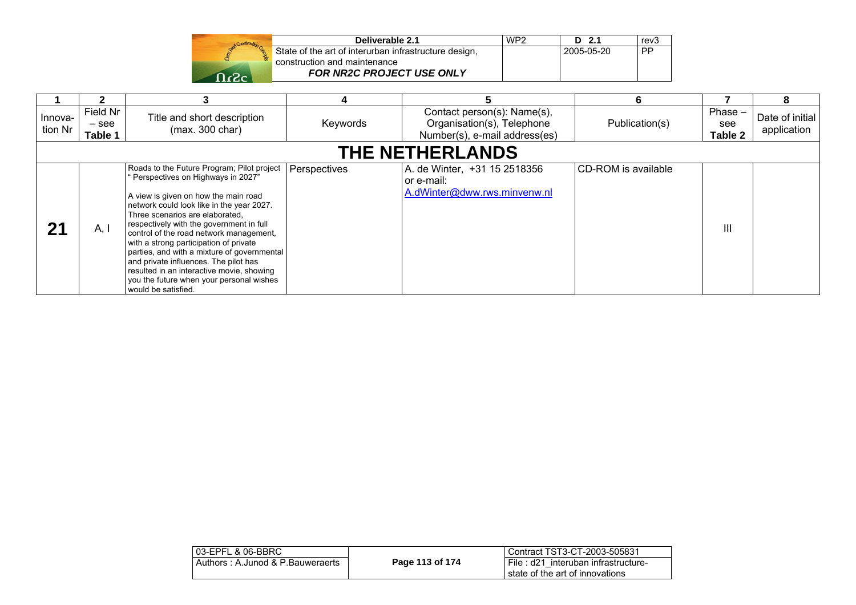| Start Construction G |  |
|----------------------|--|
|                      |  |
|                      |  |

| Deliverable 2.1                                       | WP <sub>2</sub> | $D$ 2.1    | rev <sub>3</sub> |
|-------------------------------------------------------|-----------------|------------|------------------|
| State of the art of interurban infrastructure design, |                 | 2005-05-20 | <b>PP</b>        |
| construction and maintenance                          |                 |            |                  |
| <b>FOR NR2C PROJECT USE ONLY</b>                      |                 |            |                  |

|                    |                              |                                                                                                                                                                                                                                                                                                                                                                                                                                                                                                                                                   |              |                                                                                            | 6                   |                             |                                |
|--------------------|------------------------------|---------------------------------------------------------------------------------------------------------------------------------------------------------------------------------------------------------------------------------------------------------------------------------------------------------------------------------------------------------------------------------------------------------------------------------------------------------------------------------------------------------------------------------------------------|--------------|--------------------------------------------------------------------------------------------|---------------------|-----------------------------|--------------------------------|
| Innova-<br>tion Nr | Field Nr<br>– see<br>Table 1 | Title and short description<br>(max. 300 char)                                                                                                                                                                                                                                                                                                                                                                                                                                                                                                    | Keywords     | Contact person(s): Name(s),<br>Organisation(s), Telephone<br>Number(s), e-mail address(es) | Publication(s)      | $Phase -$<br>see<br>Table 2 | Date of initial<br>application |
|                    |                              |                                                                                                                                                                                                                                                                                                                                                                                                                                                                                                                                                   |              | <b>THE NETHERLANDS</b>                                                                     |                     |                             |                                |
| 21                 | A, I                         | Roads to the Future Program; Pilot project<br>"Perspectives on Highways in 2027"<br>A view is given on how the main road<br>network could look like in the year 2027.<br>Three scenarios are elaborated.<br>respectively with the government in full<br>control of the road network management,<br>with a strong participation of private<br>parties, and with a mixture of governmental<br>and private influences. The pilot has<br>resulted in an interactive movie, showing<br>you the future when your personal wishes<br>would be satisfied. | Perspectives | A. de Winter, +31 15 2518356<br>or e-mail:<br>A.dWinter@dww.rws.minvenw.nl                 | CD-ROM is available | Ш                           |                                |

| 03-EPFL & 06-BBRC                |                 | Contract TST3-CT-2003-505831                                           |
|----------------------------------|-----------------|------------------------------------------------------------------------|
| Authors: A.Junod & P.Bauweraerts | Page 113 of 174 | File: d21 interuban infrastructure-<br>state of the art of innovations |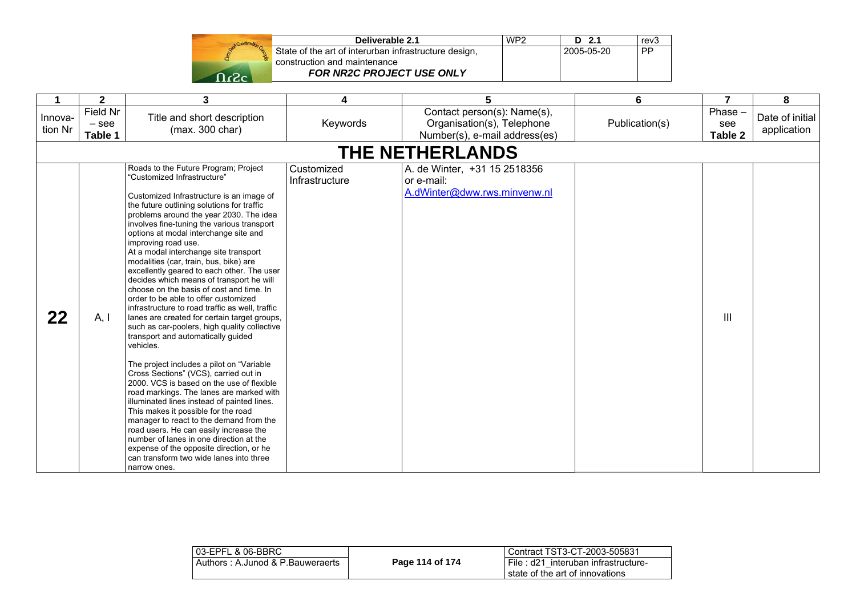|  | Stand Construction |  |
|--|--------------------|--|
|  |                    |  |
|  |                    |  |

| Deliverable 2.1                                       | WP <sub>2</sub> | $D$ 2.1    | rev3      |
|-------------------------------------------------------|-----------------|------------|-----------|
| State of the art of interurban infrastructure design, |                 | 2005-05-20 | <b>PP</b> |
| construction and maintenance                          |                 |            |           |
| <b>FOR NR2C PROJECT USE ONLY</b>                      |                 |            |           |

|                    | $\mathbf{2}$                   | 3                                                                                                                                                                                                                                                                                                                                                                                                                                                                                                                                                                                                                                                                                                                                                                                                                                                                                                                                                                                                                                                                                                                                                                                                                                                                                                         | 4                            | 5                                                                                          | 6              | 7                        | 8                              |
|--------------------|--------------------------------|-----------------------------------------------------------------------------------------------------------------------------------------------------------------------------------------------------------------------------------------------------------------------------------------------------------------------------------------------------------------------------------------------------------------------------------------------------------------------------------------------------------------------------------------------------------------------------------------------------------------------------------------------------------------------------------------------------------------------------------------------------------------------------------------------------------------------------------------------------------------------------------------------------------------------------------------------------------------------------------------------------------------------------------------------------------------------------------------------------------------------------------------------------------------------------------------------------------------------------------------------------------------------------------------------------------|------------------------------|--------------------------------------------------------------------------------------------|----------------|--------------------------|--------------------------------|
| Innova-<br>tion Nr | Field Nr<br>$-$ see<br>Table 1 | Title and short description<br>(max. 300 char)                                                                                                                                                                                                                                                                                                                                                                                                                                                                                                                                                                                                                                                                                                                                                                                                                                                                                                                                                                                                                                                                                                                                                                                                                                                            | Keywords                     | Contact person(s): Name(s),<br>Organisation(s), Telephone<br>Number(s), e-mail address(es) | Publication(s) | Phase-<br>see<br>Table 2 | Date of initial<br>application |
|                    |                                |                                                                                                                                                                                                                                                                                                                                                                                                                                                                                                                                                                                                                                                                                                                                                                                                                                                                                                                                                                                                                                                                                                                                                                                                                                                                                                           |                              | THE NETHERLANDS                                                                            |                |                          |                                |
| 22                 | A, I                           | Roads to the Future Program; Project<br>"Customized Infrastructure"<br>Customized Infrastructure is an image of<br>the future outlining solutions for traffic<br>problems around the year 2030. The idea<br>involves fine-tuning the various transport<br>options at modal interchange site and<br>improving road use.<br>At a modal interchange site transport<br>modalities (car, train, bus, bike) are<br>excellently geared to each other. The user<br>decides which means of transport he will<br>choose on the basis of cost and time. In<br>order to be able to offer customized<br>infrastructure to road traffic as well, traffic<br>lanes are created for certain target groups,<br>such as car-poolers, high quality collective<br>transport and automatically guided<br>vehicles.<br>The project includes a pilot on "Variable<br>Cross Sections" (VCS), carried out in<br>2000. VCS is based on the use of flexible<br>road markings. The lanes are marked with<br>illuminated lines instead of painted lines.<br>This makes it possible for the road<br>manager to react to the demand from the<br>road users. He can easily increase the<br>number of lanes in one direction at the<br>expense of the opposite direction, or he<br>can transform two wide lanes into three<br>narrow ones. | Customized<br>Infrastructure | A. de Winter, +31 15 2518356<br>or e-mail:<br>A.dWinter@dww.rws.minvenw.nl                 |                | Ш                        |                                |

| 03-EPFL & 06-BBRC                |                 | l Contract TST3-CT-2003-505831                                             |
|----------------------------------|-----------------|----------------------------------------------------------------------------|
| Authors: A.Junod & P.Bauweraerts | Page 114 of 174 | I File: d21 interuban infrastructure-<br>I state of the art of innovations |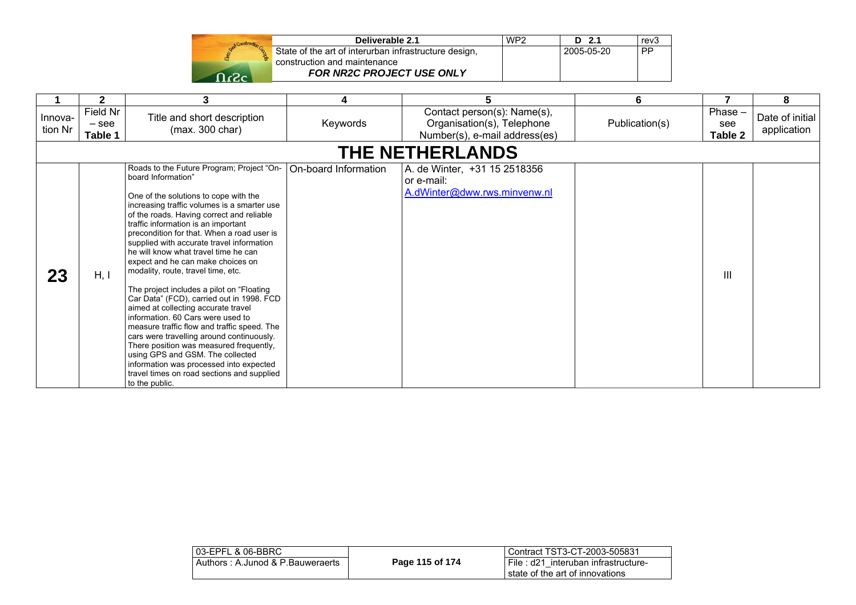|              | Construction Co |
|--------------|-----------------|
| <b>Don't</b> |                 |
|              |                 |

| Deliverable 2.1                                       | WP <sub>2</sub> | $D$ 2.1    | rev <sub>3</sub> |
|-------------------------------------------------------|-----------------|------------|------------------|
| State of the art of interurban infrastructure design, |                 | 2005-05-20 | <b>PP</b>        |
| construction and maintenance                          |                 |            |                  |
| <b>FOR NR2C PROJECT USE ONLY</b>                      |                 |            |                  |

|                        | $\mathbf{2}$                   | 3                                                                                                                                                                                                                                                                                                                                                                                                                                                                                                                                                                                                                                                                                                                                                                                                                                                                                                                     | 4                    | 5                                                                                          | 6              | 7                           | 8                              |  |  |
|------------------------|--------------------------------|-----------------------------------------------------------------------------------------------------------------------------------------------------------------------------------------------------------------------------------------------------------------------------------------------------------------------------------------------------------------------------------------------------------------------------------------------------------------------------------------------------------------------------------------------------------------------------------------------------------------------------------------------------------------------------------------------------------------------------------------------------------------------------------------------------------------------------------------------------------------------------------------------------------------------|----------------------|--------------------------------------------------------------------------------------------|----------------|-----------------------------|--------------------------------|--|--|
| Innova-<br>tion Nr     | Field Nr<br>$-$ see<br>Table 1 | Title and short description<br>(max. 300 char)                                                                                                                                                                                                                                                                                                                                                                                                                                                                                                                                                                                                                                                                                                                                                                                                                                                                        | Keywords             | Contact person(s): Name(s),<br>Organisation(s), Telephone<br>Number(s), e-mail address(es) | Publication(s) | $Phase -$<br>see<br>Table 2 | Date of initial<br>application |  |  |
| <b>THE NETHERLANDS</b> |                                |                                                                                                                                                                                                                                                                                                                                                                                                                                                                                                                                                                                                                                                                                                                                                                                                                                                                                                                       |                      |                                                                                            |                |                             |                                |  |  |
| 23                     | H, I                           | Roads to the Future Program; Project "On-<br>board Information"<br>One of the solutions to cope with the<br>increasing traffic volumes is a smarter use<br>of the roads. Having correct and reliable<br>traffic information is an important<br>precondition for that. When a road user is<br>supplied with accurate travel information<br>he will know what travel time he can<br>expect and he can make choices on<br>modality, route, travel time, etc.<br>The project includes a pilot on "Floating<br>Car Data" (FCD), carried out in 1998. FCD<br>aimed at collecting accurate travel<br>information, 60 Cars were used to<br>measure traffic flow and traffic speed. The<br>cars were travelling around continuously.<br>There position was measured frequently,<br>using GPS and GSM. The collected<br>information was processed into expected<br>travel times on road sections and supplied<br>to the public. | On-board Information | A. de Winter, +31 15 2518356<br>or e-mail:<br>A.dWinter@dww.rws.minvenw.nl                 |                | Ш                           |                                |  |  |

| l 03-EPFL & 06-BBRC_             |                 | l Contract TST3-CT-2003-505831      |
|----------------------------------|-----------------|-------------------------------------|
| Authors: A.Junod & P.Bauweraerts | Page 115 of 174 | File: d21 interuban infrastructure- |
|                                  |                 | state of the art of innovations     |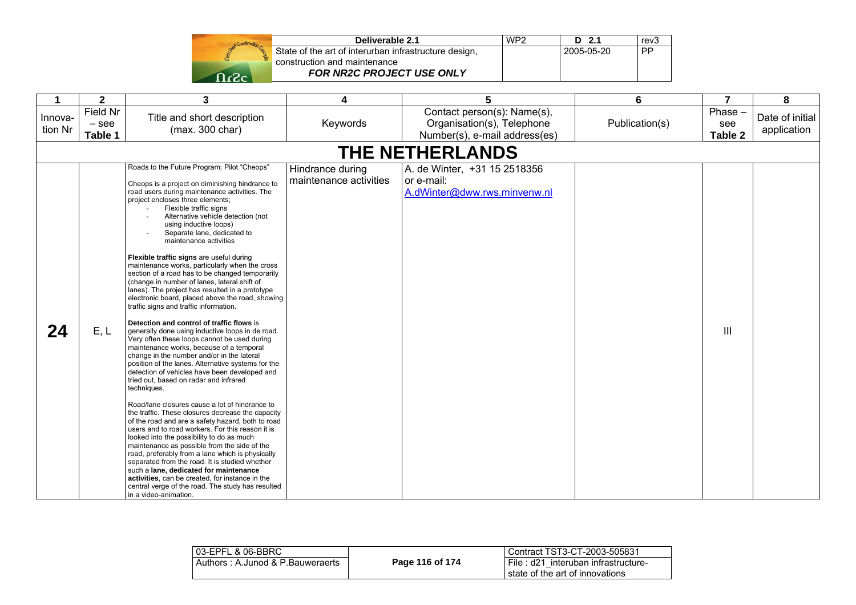

| Deliverable 2.1                                       | WP <sub>2</sub> | $D$ 2.1    | rev <sub>3</sub> |
|-------------------------------------------------------|-----------------|------------|------------------|
| State of the art of interurban infrastructure design, |                 | 2005-05-20 | <b>PP</b>        |
| construction and maintenance                          |                 |            |                  |
| <b>FOR NR2C PROJECT USE ONLY</b>                      |                 |            |                  |

| 1                  | $\mathbf{2}$                   | 3                                                                                                                                                                                                                                                                                                                                                                                                                                                                                                                                                                                                                                                                                                                                                                                                                                                                                                                                                                                                                                                                                                                                                                                                                                                                                                                                                                                                                                                                                                                                                                                                                                                                        | 4                                          | 5                                                                                          | 6              | $\overline{7}$           | 8                              |  |  |  |
|--------------------|--------------------------------|--------------------------------------------------------------------------------------------------------------------------------------------------------------------------------------------------------------------------------------------------------------------------------------------------------------------------------------------------------------------------------------------------------------------------------------------------------------------------------------------------------------------------------------------------------------------------------------------------------------------------------------------------------------------------------------------------------------------------------------------------------------------------------------------------------------------------------------------------------------------------------------------------------------------------------------------------------------------------------------------------------------------------------------------------------------------------------------------------------------------------------------------------------------------------------------------------------------------------------------------------------------------------------------------------------------------------------------------------------------------------------------------------------------------------------------------------------------------------------------------------------------------------------------------------------------------------------------------------------------------------------------------------------------------------|--------------------------------------------|--------------------------------------------------------------------------------------------|----------------|--------------------------|--------------------------------|--|--|--|
| Innova-<br>tion Nr | Field Nr<br>$-$ see<br>Table 1 | Title and short description<br>(max. 300 char)                                                                                                                                                                                                                                                                                                                                                                                                                                                                                                                                                                                                                                                                                                                                                                                                                                                                                                                                                                                                                                                                                                                                                                                                                                                                                                                                                                                                                                                                                                                                                                                                                           | Keywords                                   | Contact person(s): Name(s),<br>Organisation(s), Telephone<br>Number(s), e-mail address(es) | Publication(s) | Phase-<br>see<br>Table 2 | Date of initial<br>application |  |  |  |
|                    | <b>THE NETHERLANDS</b>         |                                                                                                                                                                                                                                                                                                                                                                                                                                                                                                                                                                                                                                                                                                                                                                                                                                                                                                                                                                                                                                                                                                                                                                                                                                                                                                                                                                                                                                                                                                                                                                                                                                                                          |                                            |                                                                                            |                |                          |                                |  |  |  |
| 24                 | E, L                           | Roads to the Future Program; Pilot "Cheops"<br>Cheops is a project on diminishing hindrance to<br>road users during maintenance activities. The<br>project encloses three elements;<br>Flexible traffic signs<br>Alternative vehicle detection (not<br>using inductive loops)<br>Separate lane, dedicated to<br>maintenance activities<br>Flexible traffic signs are useful during<br>maintenance works, particularly when the cross<br>section of a road has to be changed temporarily<br>(change in number of lanes, lateral shift of<br>lanes). The project has resulted in a prototype<br>electronic board, placed above the road, showing<br>traffic signs and traffic information.<br>Detection and control of traffic flows is<br>generally done using inductive loops in de road.<br>Very often these loops cannot be used during<br>maintenance works, because of a temporal<br>change in the number and/or in the lateral<br>position of the lanes. Alternative systems for the<br>detection of vehicles have been developed and<br>tried out, based on radar and infrared<br>techniques.<br>Road/lane closures cause a lot of hindrance to<br>the traffic. These closures decrease the capacity<br>of the road and are a safety hazard, both to road<br>users and to road workers. For this reason it is<br>looked into the possibility to do as much<br>maintenance as possible from the side of the<br>road, preferably from a lane which is physically<br>separated from the road. It is studied whether<br>such a lane, dedicated for maintenance<br>activities, can be created, for instance in the<br>central verge of the road. The study has resulted | Hindrance during<br>maintenance activities | A. de Winter, +31 15 2518356<br>or e-mail:<br>A.dWinter@dww.rws.minvenw.nl                 |                | Ш                        |                                |  |  |  |

| 03-EPFL & 06-BBRC                |                 | Contract TST3-CT-2003-505831                                              |
|----------------------------------|-----------------|---------------------------------------------------------------------------|
| Authors: A.Junod & P.Bauweraerts | Page 116 of 174 | I File : d21 interuban infrastructure-<br>state of the art of innovations |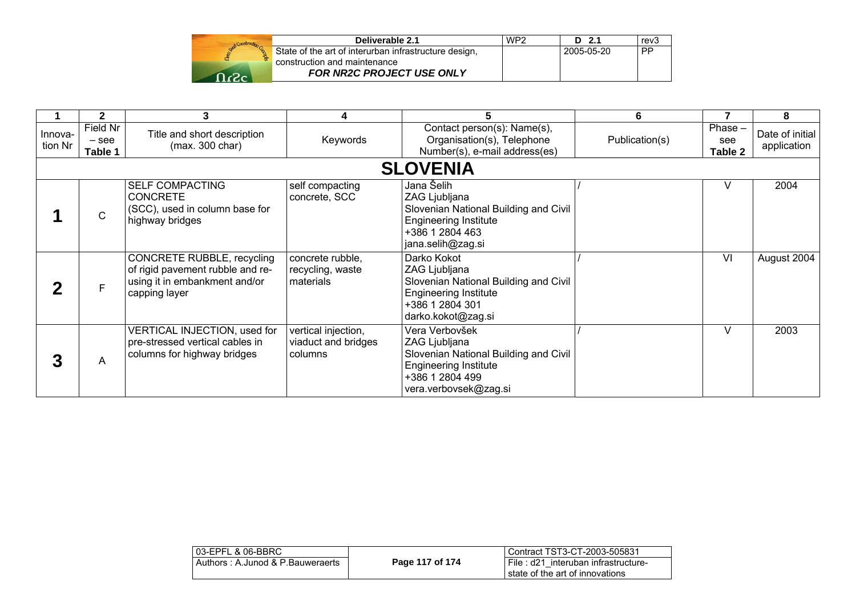| Deliverable 2.1                                                                       | WP <sub>2</sub> | D 2.1      | rev3      |
|---------------------------------------------------------------------------------------|-----------------|------------|-----------|
| State of the art of interurban infrastructure design,<br>construction and maintenance |                 | 2005-05-20 | <b>PP</b> |
| FOR NR2C PROJECT USE ONLY                                                             |                 |            |           |

|                    | 2                              | 3                                                                                                                | 4                                                     |                                                                                                                                                      | 6              |                           | 8                              |
|--------------------|--------------------------------|------------------------------------------------------------------------------------------------------------------|-------------------------------------------------------|------------------------------------------------------------------------------------------------------------------------------------------------------|----------------|---------------------------|--------------------------------|
| Innova-<br>tion Nr | Field Nr<br>$-$ see<br>Table 1 | Title and short description<br>(max. 300 char)                                                                   | Keywords                                              | Contact person(s): Name(s),<br>Organisation(s), Telephone<br>Number(s), e-mail address(es)                                                           | Publication(s) | Phase -<br>see<br>Table 2 | Date of initial<br>application |
|                    |                                |                                                                                                                  |                                                       | <b>SLOVENIA</b>                                                                                                                                      |                |                           |                                |
|                    | $\mathsf{C}$                   | <b>SELF COMPACTING</b><br><b>CONCRETE</b><br>(SCC), used in column base for<br>highway bridges                   | self compacting<br>concrete, SCC                      | Jana Šelih<br>ZAG Ljubljana<br>Slovenian National Building and Civil<br><b>Engineering Institute</b><br>+386 1 2804 463<br>jana.selih@zag.si         |                |                           | 2004                           |
| כי                 | F                              | CONCRETE RUBBLE, recycling<br>of rigid pavement rubble and re-<br>using it in embankment and/or<br>capping layer | concrete rubble,<br>recycling, waste<br>materials     | Darko Kokot<br>ZAG Ljubljana<br>Slovenian National Building and Civil<br><b>Engineering Institute</b><br>+386 1 2804 301<br>darko.kokot@zag.si       |                | VI                        | August 2004                    |
| 3                  | A                              | <b>VERTICAL INJECTION, used for</b><br>pre-stressed vertical cables in<br>columns for highway bridges            | vertical injection,<br>viaduct and bridges<br>columns | Vera Verbovšek<br>ZAG Ljubljana<br>Slovenian National Building and Civil<br><b>Engineering Institute</b><br>+386 1 2804 499<br>vera.verbovsek@zag.si |                | V                         | 2003                           |

| 03-EPFL & 06-BBRC                |                 | Contract TST3-CT-2003-505831                                                |
|----------------------------------|-----------------|-----------------------------------------------------------------------------|
| Authors: A.Junod & P.Bauweraerts | Page 117 of 174 | I File: d21 interuban infrastructure-<br>l state of the art of innovations. |
|                                  |                 |                                                                             |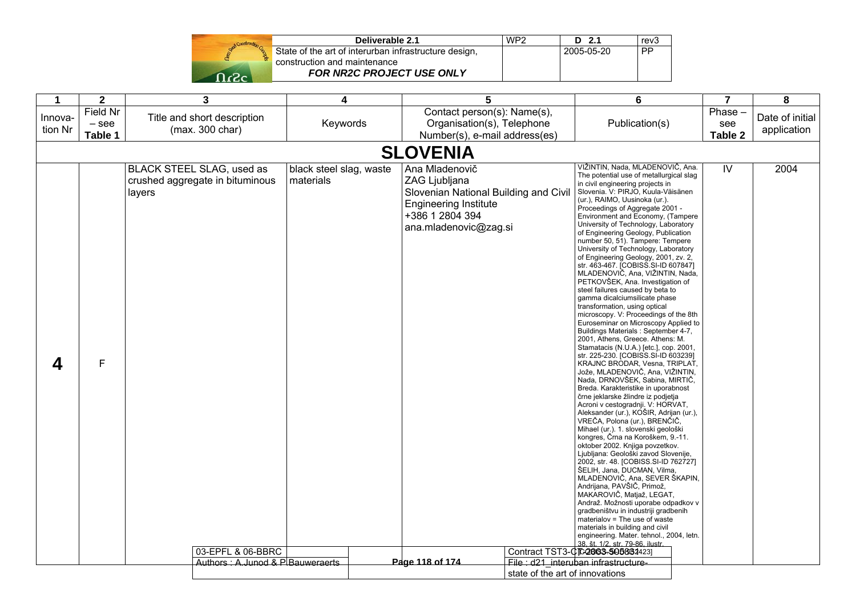|       | Deliverable 2.1                                       | WP <sub>2</sub> | 2.1<br>D.  | rev <sub>3</sub> |
|-------|-------------------------------------------------------|-----------------|------------|------------------|
|       | State of the art of interurban infrastructure design, |                 | 2005-05-20 | PP               |
|       | construction and maintenance                          |                 |            |                  |
| במגרי | FOR NR2C PROJECT USE ONLY                             |                 |            |                  |

| Contact person(s): Name(s),<br>Field Nr<br>Phase -<br>Title and short description<br>Date of initial<br>Innova-<br>Keywords<br>Organisation(s), Telephone<br>Publication(s)<br>$-$ see<br>see<br>tion Nr<br>(max. 300 char)<br>application<br>Table 1<br>Number(s), e-mail address(es)<br>Table 2<br><b>SLOVENIA</b><br>VIŽINTIN, Nada, MLADENOVIČ, Ana.<br>BLACK STEEL SLAG, used as<br>black steel slag, waste<br>Ana Mladenovič<br>IV<br>2004<br>The potential use of metallurgical slag<br>ZAG Ljubljana<br>crushed aggregate in bituminous<br>materials<br>in civil engineering projects in<br>Slovenian National Building and Civil<br>Slovenia. V: PIRJO, Kuula-Väisänen<br>layers<br>(ur.), RAIMO, Uusinoka (ur.).<br><b>Engineering Institute</b><br>Proceedings of Aggregate 2001 -<br>+386 1 2804 394<br>Environment and Economy, (Tampere<br>University of Technology, Laboratory<br>ana.mladenovic@zag.si<br>of Engineering Geology, Publication<br>number 50, 51). Tampere: Tempere<br>University of Technology, Laboratory<br>of Engineering Geology, 2001, zv. 2,<br>str. 463-467. [COBISS.SI-ID 607847]<br>MLADENOVIČ, Ana, VIŽINTIN, Nada,<br>PETKOVŠEK, Ana. Investigation of<br>steel failures caused by beta to<br>gamma dicalciumsilicate phase<br>transformation, using optical<br>microscopy. V: Proceedings of the 8th<br>Euroseminar on Microscopy Applied to<br>Buildings Materials: September 4-7,<br>2001, Athens, Greece. Athens: M.<br>Stamatacis (N.U.A.) [etc.], cop. 2001,<br>str. 225-230. [COBISS.SI-ID 603239]<br>$\mathsf F$<br>4<br>KRAJNC BRODAR, Vesna, TRIPLAT,<br>Jože, MLADENOVIČ, Ana, VIŽINTIN,<br>Nada, DRNOVŠEK, Sabina, MIRTIČ,<br>Breda. Karakteristike in uporabnost<br>črne jeklarske žlindre iz podjetja<br>Acroni v cestogradnji. V: HORVAT,<br>Aleksander (ur.), KOŠIR, Adrijan (ur.),<br>VREČA, Polona (ur.), BRENČIČ,<br>Mihael (ur.). 1. slovenski geološki<br>kongres, Črna na Koroškem, 9.-11.<br>oktober 2002. Knjiga povzetkov.<br>Ljubljana: Geološki zavod Slovenije,<br>2002, str. 48. [COBISS.SI-ID 762727]<br>ŠELIH, Jana, DUCMAN, Vilma,<br>MLADENOVIČ, Ana, SEVER ŠKAPIN,<br>Andrijana, PAVŠIČ, Primož,<br>MAKAROVIČ, Matjaž, LEGAT,<br>Andraž. Možnosti uporabe odpadkov v<br>gradbeništvu in industriji gradbenih<br>materialov = The use of waste<br>materials in building and civil<br>engineering. Mater. tehnol., 2004, letn.<br>38. št. 1/2. str. 79-86. ilustr.<br>03-EPFL & 06-BBRC<br>Contract TST3-CTC2003-5058344231<br>Authors: A.Junod & P.Bauweraerts<br>Page 118 of 174<br>File: d21 interuban infrastructure-<br>state of the art of innovations | $\mathbf 1$ | $\overline{2}$ |  | $\overline{\mathbf{3}}$ | 4 |  | 5 |  | 6 |  | $\overline{7}$ | 8 |  |
|----------------------------------------------------------------------------------------------------------------------------------------------------------------------------------------------------------------------------------------------------------------------------------------------------------------------------------------------------------------------------------------------------------------------------------------------------------------------------------------------------------------------------------------------------------------------------------------------------------------------------------------------------------------------------------------------------------------------------------------------------------------------------------------------------------------------------------------------------------------------------------------------------------------------------------------------------------------------------------------------------------------------------------------------------------------------------------------------------------------------------------------------------------------------------------------------------------------------------------------------------------------------------------------------------------------------------------------------------------------------------------------------------------------------------------------------------------------------------------------------------------------------------------------------------------------------------------------------------------------------------------------------------------------------------------------------------------------------------------------------------------------------------------------------------------------------------------------------------------------------------------------------------------------------------------------------------------------------------------------------------------------------------------------------------------------------------------------------------------------------------------------------------------------------------------------------------------------------------------------------------------------------------------------------------------------------------------------------------------------------------------------------------------------------------------------------------------------------------------------------------------------------------------------------------------------------------------------------------------------------------------------|-------------|----------------|--|-------------------------|---|--|---|--|---|--|----------------|---|--|
|                                                                                                                                                                                                                                                                                                                                                                                                                                                                                                                                                                                                                                                                                                                                                                                                                                                                                                                                                                                                                                                                                                                                                                                                                                                                                                                                                                                                                                                                                                                                                                                                                                                                                                                                                                                                                                                                                                                                                                                                                                                                                                                                                                                                                                                                                                                                                                                                                                                                                                                                                                                                                                        |             |                |  |                         |   |  |   |  |   |  |                |   |  |
|                                                                                                                                                                                                                                                                                                                                                                                                                                                                                                                                                                                                                                                                                                                                                                                                                                                                                                                                                                                                                                                                                                                                                                                                                                                                                                                                                                                                                                                                                                                                                                                                                                                                                                                                                                                                                                                                                                                                                                                                                                                                                                                                                                                                                                                                                                                                                                                                                                                                                                                                                                                                                                        |             |                |  |                         |   |  |   |  |   |  |                |   |  |
|                                                                                                                                                                                                                                                                                                                                                                                                                                                                                                                                                                                                                                                                                                                                                                                                                                                                                                                                                                                                                                                                                                                                                                                                                                                                                                                                                                                                                                                                                                                                                                                                                                                                                                                                                                                                                                                                                                                                                                                                                                                                                                                                                                                                                                                                                                                                                                                                                                                                                                                                                                                                                                        |             |                |  |                         |   |  |   |  |   |  |                |   |  |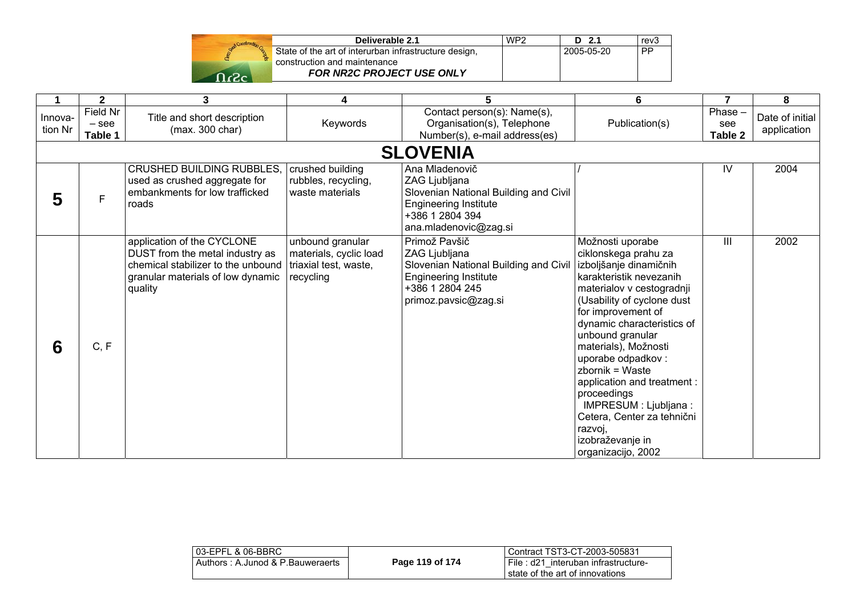

| Deliverable 2.1                                       | WP <sub>2</sub> | $D$ 2.1    | rev3      |
|-------------------------------------------------------|-----------------|------------|-----------|
| State of the art of interurban infrastructure design, |                 | 2005-05-20 | <b>PP</b> |
| construction and maintenance                          |                 |            |           |
| <b>FOR NR2C PROJECT USE ONLY</b>                      |                 |            |           |

|                    | $\mathbf{2}$                   | 3                                                                                                                                                   | 4                                                                                | 5                                                                                                                                                    | 6                                                                                                                                                                                                                                                                                                                                                                                                                                                           | $\overline{7}$           | 8                              |
|--------------------|--------------------------------|-----------------------------------------------------------------------------------------------------------------------------------------------------|----------------------------------------------------------------------------------|------------------------------------------------------------------------------------------------------------------------------------------------------|-------------------------------------------------------------------------------------------------------------------------------------------------------------------------------------------------------------------------------------------------------------------------------------------------------------------------------------------------------------------------------------------------------------------------------------------------------------|--------------------------|--------------------------------|
| Innova-<br>tion Nr | Field Nr<br>$-$ see<br>Table 1 | Title and short description<br>(max. 300 char)                                                                                                      | Keywords                                                                         | Contact person(s): Name(s),<br>Organisation(s), Telephone<br>Number(s), e-mail address(es)                                                           | Publication(s)                                                                                                                                                                                                                                                                                                                                                                                                                                              | Phase-<br>see<br>Table 2 | Date of initial<br>application |
|                    |                                |                                                                                                                                                     |                                                                                  | <b>SLOVENIA</b>                                                                                                                                      |                                                                                                                                                                                                                                                                                                                                                                                                                                                             |                          |                                |
| 5                  | F                              | <b>CRUSHED BUILDING RUBBLES.</b><br>used as crushed aggregate for<br>embankments for low trafficked<br>roads                                        | crushed building<br>rubbles, recycling,<br>waste materials                       | Ana Mladenovič<br>ZAG Ljubljana<br>Slovenian National Building and Civil<br><b>Engineering Institute</b><br>+386 1 2804 394<br>ana.mladenovic@zag.si |                                                                                                                                                                                                                                                                                                                                                                                                                                                             | IV                       | 2004                           |
| 6                  | C, F                           | application of the CYCLONE<br>DUST from the metal industry as<br>chemical stabilizer to the unbound<br>granular materials of low dynamic<br>quality | unbound granular<br>materials, cyclic load<br>triaxial test, waste,<br>recycling | Primož Pavšič<br>ZAG Ljubljana<br>Slovenian National Building and Civil<br><b>Engineering Institute</b><br>+386 1 2804 245<br>primoz.pavsic@zag.si   | Možnosti uporabe<br>ciklonskega prahu za<br>izboljšanje dinamičnih<br>karakteristik nevezanih<br>materialov v cestogradnji<br>(Usability of cyclone dust<br>for improvement of<br>dynamic characteristics of<br>unbound granular<br>materials), Možnosti<br>uporabe odpadkov:<br>zbornik = Waste<br>application and treatment :<br>proceedings<br>IMPRESUM : Ljubljana :<br>Cetera, Center za tehnični<br>razvoj,<br>izobraževanje in<br>organizacijo, 2002 | III                      | 2002                           |

| 03-EPFL & 06-BBRC                |                 | l Contract TST3-CT-2003-505831                                              |
|----------------------------------|-----------------|-----------------------------------------------------------------------------|
| Authors: A.Junod & P.Bauweraerts | Page 119 of 174 | I File: d21 interuban infrastructure-<br>l state of the art of innovations. |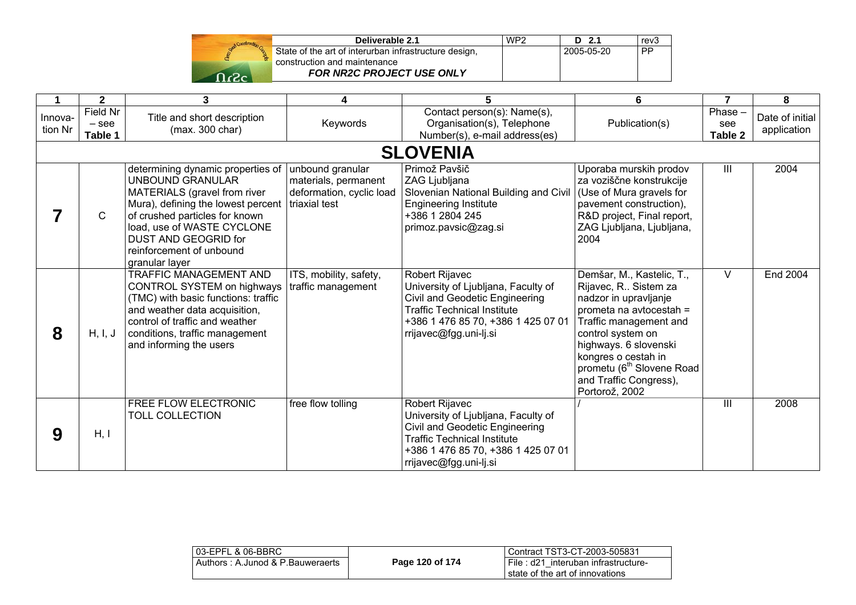

| Deliverable 2.1                                       | WP <sub>2</sub> | $D$ 2.1    | rev3      |
|-------------------------------------------------------|-----------------|------------|-----------|
| State of the art of interurban infrastructure design, |                 | 2005-05-20 | <b>PP</b> |
| construction and maintenance                          |                 |            |           |
| <b>FOR NR2C PROJECT USE ONLY</b>                      |                 |            |           |

|                    | $\overline{2}$                 | 3                                                                                                                                                                                                                                                                        | 4                                                                                     | 5                                                                                                                                                                                             | 6                                                                                                                                                                                                                                                                                           | 7                         | 8                              |
|--------------------|--------------------------------|--------------------------------------------------------------------------------------------------------------------------------------------------------------------------------------------------------------------------------------------------------------------------|---------------------------------------------------------------------------------------|-----------------------------------------------------------------------------------------------------------------------------------------------------------------------------------------------|---------------------------------------------------------------------------------------------------------------------------------------------------------------------------------------------------------------------------------------------------------------------------------------------|---------------------------|--------------------------------|
| Innova-<br>tion Nr | Field Nr<br>$-$ see<br>Table 1 | Title and short description<br>(max. 300 char)                                                                                                                                                                                                                           | Keywords                                                                              | Contact person(s): Name(s),<br>Organisation(s), Telephone<br>Number(s), e-mail address(es)                                                                                                    | Publication(s)                                                                                                                                                                                                                                                                              | Phase -<br>see<br>Table 2 | Date of initial<br>application |
|                    |                                |                                                                                                                                                                                                                                                                          |                                                                                       | <b>SLOVENIA</b>                                                                                                                                                                               |                                                                                                                                                                                                                                                                                             |                           |                                |
|                    | C                              | determining dynamic properties of<br>UNBOUND GRANULAR<br>MATERIALS (gravel from river<br>Mura), defining the lowest percent<br>of crushed particles for known<br>load, use of WASTE CYCLONE<br><b>DUST AND GEOGRID for</b><br>reinforcement of unbound<br>granular layer | unbound granular<br>materials, permanent<br>deformation, cyclic load<br>triaxial test | Primož Pavšič<br>ZAG Ljubljana<br>Slovenian National Building and Civil<br><b>Engineering Institute</b><br>+386 1 2804 245<br>primoz.pavsic@zag.si                                            | Uporaba murskih prodov<br>za voziščne konstrukcije<br>(Use of Mura gravels for<br>pavement construction),<br>R&D project, Final report,<br>ZAG Ljubljana, Ljubljana,<br>2004                                                                                                                | III                       | 2004                           |
| 8                  | H, I, J                        | TRAFFIC MANAGEMENT AND<br>CONTROL SYSTEM on highways<br>(TMC) with basic functions: traffic<br>and weather data acquisition,<br>control of traffic and weather<br>conditions, traffic management<br>and informing the users                                              | ITS, mobility, safety,<br>traffic management                                          | Robert Rijavec<br>University of Ljubljana, Faculty of<br>Civil and Geodetic Engineering<br><b>Traffic Technical Institute</b><br>+386 1 476 85 70, +386 1 425 07 01<br>rrijavec@fgg.uni-lj.si | Demšar, M., Kastelic, T.,<br>Rijavec, R., Sistem za<br>nadzor in upravljanje<br>prometa na avtocestah =<br>Traffic management and<br>control system on<br>highways. 6 slovenski<br>kongres o cestah in<br>prometu (6 <sup>th</sup> Slovene Road<br>and Traffic Congress),<br>Portorož, 2002 | $\vee$                    | End 2004                       |
| 9                  | H, I                           | <b>FREE FLOW ELECTRONIC</b><br><b>TOLL COLLECTION</b>                                                                                                                                                                                                                    | free flow tolling                                                                     | Robert Rijavec<br>University of Ljubljana, Faculty of<br>Civil and Geodetic Engineering<br><b>Traffic Technical Institute</b><br>+386 1 476 85 70, +386 1 425 07 01<br>rrijavec@fgg.uni-lj.si |                                                                                                                                                                                                                                                                                             | $\mathbf{III}$            | 2008                           |

| l 03-EPFL & 06-BBRC_             |                 | Contract TST3-CT-2003-505831                                             |
|----------------------------------|-----------------|--------------------------------------------------------------------------|
| Authors: A.Junod & P.Bauweraerts | Page 120 of 174 | File: d21 interuban infrastructure-<br>I state of the art of innovations |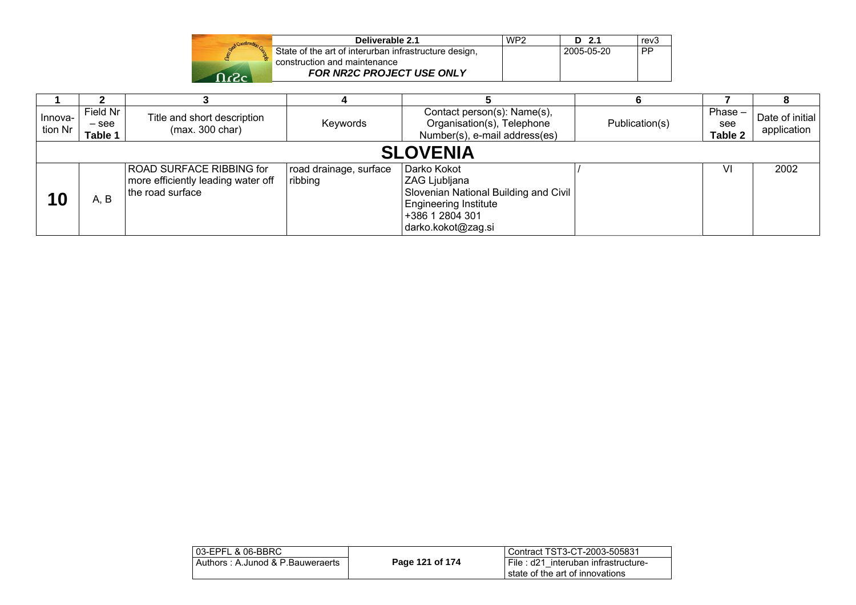|             | Deliverable 2.1                                       | WP <sub>2</sub> | $D$ 2.1    | rev3      |
|-------------|-------------------------------------------------------|-----------------|------------|-----------|
|             | State of the art of interurban infrastructure design, |                 | 2005-05-20 | <b>PP</b> |
|             | construction and maintenance                          |                 |            |           |
| $n_{\rm e}$ | <b>FOR NR2C PROJECT USE ONLY</b>                      |                 |            |           |

| Innova-<br>tion Nr | Field Nr<br>$-$ see<br>Table 1 | Title and short description<br>(max. 300 char)                                     | Keywords                          | Contact person(s): Name(s),<br>Organisation(s), Telephone<br>Number(s), e-mail address(es)                                                      | Publication(s) | $Phase -$<br>see<br>Table 2 | Date of initial<br>application |
|--------------------|--------------------------------|------------------------------------------------------------------------------------|-----------------------------------|-------------------------------------------------------------------------------------------------------------------------------------------------|----------------|-----------------------------|--------------------------------|
|                    |                                |                                                                                    |                                   | <b>SLOVENIA</b>                                                                                                                                 |                |                             |                                |
| 10                 | A, B                           | ROAD SURFACE RIBBING for<br>more efficiently leading water off<br>the road surface | road drainage, surface<br>ribbing | Darko Kokot<br>ZAG Ljubljana<br>Slovenian National Building and Civil<br><b>Engineering Institute</b><br> +386 1 2804 301<br>darko.kokot@zag.si |                | VI                          | 2002                           |

| l 03-EPFL & 06-BBRC              |                 | Contract TST3-CT-2003-505831                                           |
|----------------------------------|-----------------|------------------------------------------------------------------------|
| Authors: A.Junod & P.Bauweraerts | Page 121 of 174 | File: d21 interuban infrastructure-<br>state of the art of innovations |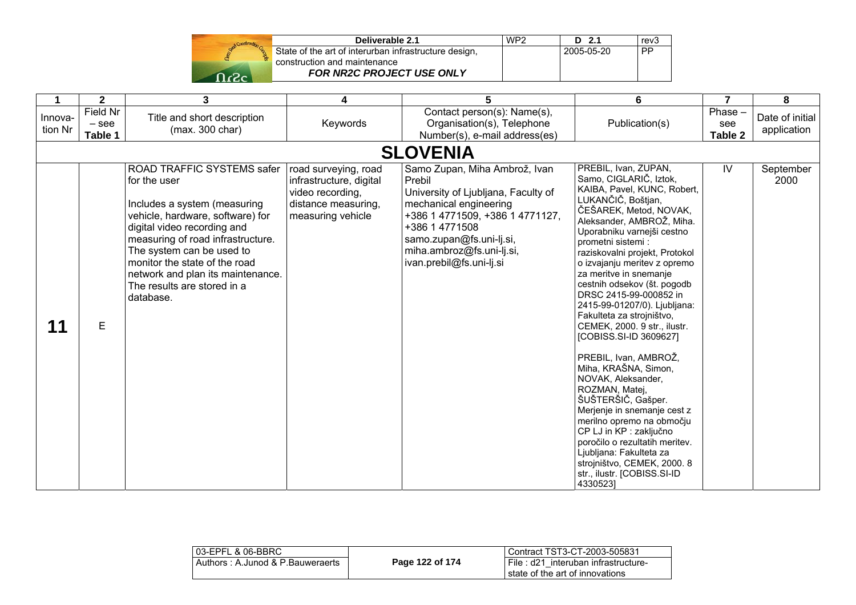

| Deliverable 2.1                                       | WP <sub>2</sub> | D 2.1      | rev3      |
|-------------------------------------------------------|-----------------|------------|-----------|
| State of the art of interurban infrastructure design, |                 | 2005-05-20 | <b>PP</b> |
| construction and maintenance                          |                 |            |           |
| <b>FOR NR2C PROJECT USE ONLY</b>                      |                 |            |           |

| 1                  | $\overline{2}$                 | 3                                                                                                                                                                                                                                                                                                                                 | 4                                                                                                               | 5                                                                                                                                                                                                                                                  | 6                                                                                                                                                                                                                                                                                                                                                                                                                                                                                                                                                                                                                                                                                                                                                                                                                                      | $\overline{7}$              | 8                              |
|--------------------|--------------------------------|-----------------------------------------------------------------------------------------------------------------------------------------------------------------------------------------------------------------------------------------------------------------------------------------------------------------------------------|-----------------------------------------------------------------------------------------------------------------|----------------------------------------------------------------------------------------------------------------------------------------------------------------------------------------------------------------------------------------------------|----------------------------------------------------------------------------------------------------------------------------------------------------------------------------------------------------------------------------------------------------------------------------------------------------------------------------------------------------------------------------------------------------------------------------------------------------------------------------------------------------------------------------------------------------------------------------------------------------------------------------------------------------------------------------------------------------------------------------------------------------------------------------------------------------------------------------------------|-----------------------------|--------------------------------|
| Innova-<br>tion Nr | Field Nr<br>$-$ see<br>Table 1 | Title and short description<br>(max. 300 char)                                                                                                                                                                                                                                                                                    | Keywords                                                                                                        | Contact person(s): Name(s),<br>Organisation(s), Telephone<br>Number(s), e-mail address(es)                                                                                                                                                         | Publication(s)                                                                                                                                                                                                                                                                                                                                                                                                                                                                                                                                                                                                                                                                                                                                                                                                                         | Phase $-$<br>see<br>Table 2 | Date of initial<br>application |
|                    |                                |                                                                                                                                                                                                                                                                                                                                   |                                                                                                                 | <b>SLOVENIA</b>                                                                                                                                                                                                                                    |                                                                                                                                                                                                                                                                                                                                                                                                                                                                                                                                                                                                                                                                                                                                                                                                                                        |                             |                                |
| 11                 | E                              | ROAD TRAFFIC SYSTEMS safer<br>for the user<br>Includes a system (measuring<br>vehicle, hardware, software) for<br>digital video recording and<br>measuring of road infrastructure.<br>The system can be used to<br>monitor the state of the road<br>network and plan its maintenance.<br>The results are stored in a<br>database. | road surveying, road<br>infrastructure, digital<br>video recording,<br>distance measuring,<br>measuring vehicle | Samo Zupan, Miha Ambrož, Ivan<br>Prebil<br>University of Ljubljana, Faculty of<br>mechanical engineering<br>+386 1 4771509, +386 1 4771127,<br>+386 1 4771508<br>samo.zupan@fs.uni-lj.si,<br>miha.ambroz@fs.uni-lj.si,<br>ivan.prebil@fs.uni-lj.si | PREBIL, Ivan, ZUPAN,<br>Samo, CIGLARIČ, Iztok,<br>KAIBA, Pavel, KUNC, Robert,<br>LUKANČIČ, Boštjan,<br>ČEŠAREK, Metod, NOVAK,<br>Aleksander, AMBROŽ, Miha.<br>Uporabniku varnejši cestno<br>prometni sistemi:<br>raziskovalni projekt, Protokol<br>o izvajanju meritev z opremo<br>za meritve in snemanje<br>cestnih odsekov (št. pogodb<br>DRSC 2415-99-000852 in<br>2415-99-01207/0). Ljubljana:<br>Fakulteta za strojništvo,<br>CEMEK, 2000. 9 str., ilustr.<br>[COBISS.SI-ID 3609627]<br>PREBIL, Ivan, AMBROŽ,<br>Miha, KRAŠNA, Simon,<br>NOVAK, Aleksander,<br>ROZMAN, Matej,<br>ŠUŠTERŠIČ, Gašper.<br>Merjenje in snemanje cest z<br>merilno opremo na območju<br>CP LJ in KP : zaključno<br>poročilo o rezultatih meritev.<br>Ljubljana: Fakulteta za<br>strojništvo, CEMEK, 2000. 8<br>str., ilustr. [COBISS.SI-ID<br>43305231 | IV.                         | September<br>2000              |

| l 03-EPFL & 06-BBRC_             |                 | l Contract TST3-CT-2003-505831                                             |
|----------------------------------|-----------------|----------------------------------------------------------------------------|
| Authors: A.Junod & P.Bauweraerts | Page 122 of 174 | I File: d21 interuban infrastructure-<br>I state of the art of innovations |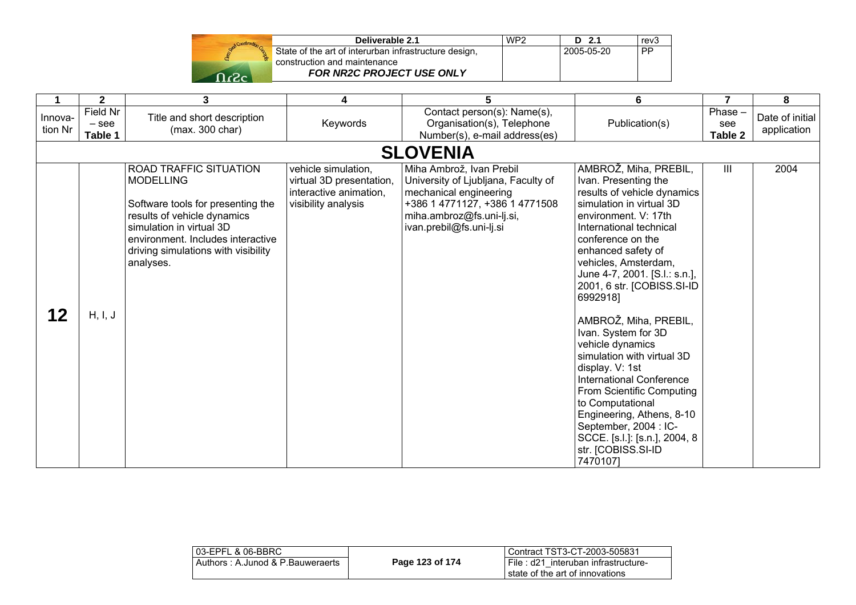| Send Construction Co |  |
|----------------------|--|
|                      |  |
|                      |  |
| حن<br>י              |  |

| Deliverable 2.1                                       | WP <sub>2</sub> | $D$ 2.1    | rev <sub>3</sub> |
|-------------------------------------------------------|-----------------|------------|------------------|
| State of the art of interurban infrastructure design, |                 | 2005-05-20 | i PP.            |
| construction and maintenance                          |                 |            |                  |
| FOR NR2C PROJECT USE ONLY                             |                 |            |                  |

|                    | $\mathbf{2}$                   | 3                                                                                                                                                                                                                                   | 4                                                                                                | 5                                                                                                                                                                                    | 6                                                                                                                                                                                                                                                                                                                                                                                                                                                                                                                                                                                                                                    | $\overline{7}$           | 8                              |
|--------------------|--------------------------------|-------------------------------------------------------------------------------------------------------------------------------------------------------------------------------------------------------------------------------------|--------------------------------------------------------------------------------------------------|--------------------------------------------------------------------------------------------------------------------------------------------------------------------------------------|--------------------------------------------------------------------------------------------------------------------------------------------------------------------------------------------------------------------------------------------------------------------------------------------------------------------------------------------------------------------------------------------------------------------------------------------------------------------------------------------------------------------------------------------------------------------------------------------------------------------------------------|--------------------------|--------------------------------|
| Innova-<br>tion Nr | Field Nr<br>$-$ see<br>Table 1 | Title and short description<br>(max. 300 char)                                                                                                                                                                                      | Keywords                                                                                         | Contact person(s): Name(s),<br>Organisation(s), Telephone<br>Number(s), e-mail address(es)                                                                                           | Publication(s)                                                                                                                                                                                                                                                                                                                                                                                                                                                                                                                                                                                                                       | Phase-<br>see<br>Table 2 | Date of initial<br>application |
|                    |                                |                                                                                                                                                                                                                                     |                                                                                                  | <b>SLOVENIA</b>                                                                                                                                                                      |                                                                                                                                                                                                                                                                                                                                                                                                                                                                                                                                                                                                                                      |                          |                                |
| 12                 | H, I, J                        | ROAD TRAFFIC SITUATION<br><b>MODELLING</b><br>Software tools for presenting the<br>results of vehicle dynamics<br>simulation in virtual 3D<br>environment. Includes interactive<br>driving simulations with visibility<br>analyses. | vehicle simulation,<br>virtual 3D presentation,<br>interactive animation,<br>visibility analysis | Miha Ambrož, Ivan Prebil<br>University of Ljubljana, Faculty of<br>mechanical engineering<br>+386 1 4771127, +386 1 4771508<br>miha.ambroz@fs.uni-lj.si,<br>ivan.prebil@fs.uni-lj.si | AMBROŽ, Miha, PREBIL,<br>Ivan. Presenting the<br>results of vehicle dynamics<br>simulation in virtual 3D<br>environment. V: 17th<br>International technical<br>conference on the<br>enhanced safety of<br>vehicles, Amsterdam,<br>June 4-7, 2001. [S.l.: s.n.],<br>2001, 6 str. [COBISS.SI-ID<br>6992918]<br>AMBROŽ, Miha, PREBIL,<br>Ivan. System for 3D<br>vehicle dynamics<br>simulation with virtual 3D<br>display. V: 1st<br>International Conference<br>From Scientific Computing<br>to Computational<br>Engineering, Athens, 8-10<br>September, 2004 : IC-<br>SCCE. [s.l.]: [s.n.], 2004, 8<br>str. [COBISS.SI-ID<br>7470107] | III                      | 2004                           |

| 03-EPFL & 06-BBRC                |                 | Contract TST3-CT-2003-505831                                           |
|----------------------------------|-----------------|------------------------------------------------------------------------|
| Authors: A.Junod & P.Bauweraerts | Page 123 of 174 | File: d21 interuban infrastructure-<br>state of the art of innovations |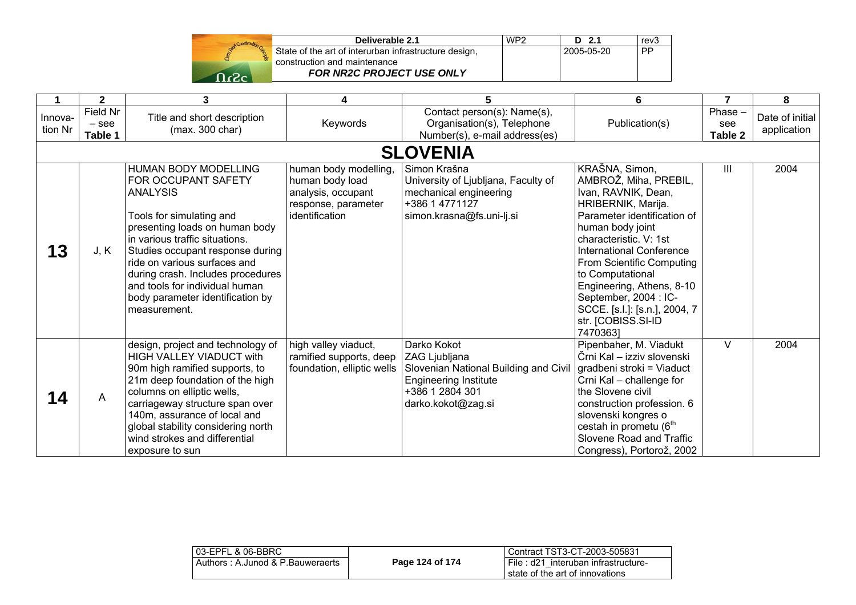| Deliverable 2.1                                       | WP <sub>2</sub> | D <sub>2.1</sub> |
|-------------------------------------------------------|-----------------|------------------|
| State of the art of interurban infrastructure design, |                 | 2005-05-2        |
| construction and maintenance                          |                 |                  |
| FOR NR2C PROJECT USE ONLY                             |                 |                  |

|                    | $\overline{\mathbf{2}}$        | 3                                                                                                                                                                                                                                                                                                                                                                    | 4                                                                                                       | 5                                                                                                                                              | 6                                                                                                                                                                                                                                                                                                                                                                              | $\overline{7}$              | 8                              |
|--------------------|--------------------------------|----------------------------------------------------------------------------------------------------------------------------------------------------------------------------------------------------------------------------------------------------------------------------------------------------------------------------------------------------------------------|---------------------------------------------------------------------------------------------------------|------------------------------------------------------------------------------------------------------------------------------------------------|--------------------------------------------------------------------------------------------------------------------------------------------------------------------------------------------------------------------------------------------------------------------------------------------------------------------------------------------------------------------------------|-----------------------------|--------------------------------|
| Innova-<br>tion Nr | Field Nr<br>$-$ see<br>Table 1 | Title and short description<br>(max. 300 char)                                                                                                                                                                                                                                                                                                                       | Keywords                                                                                                | Contact person(s): Name(s),<br>Organisation(s), Telephone<br>Number(s), e-mail address(es)                                                     | Publication(s)                                                                                                                                                                                                                                                                                                                                                                 | $Phase -$<br>see<br>Table 2 | Date of initial<br>application |
|                    |                                |                                                                                                                                                                                                                                                                                                                                                                      |                                                                                                         | <b>SLOVENIA</b>                                                                                                                                |                                                                                                                                                                                                                                                                                                                                                                                |                             |                                |
| 13                 | J, K                           | <b>HUMAN BODY MODELLING</b><br>FOR OCCUPANT SAFETY<br><b>ANALYSIS</b><br>Tools for simulating and<br>presenting loads on human body<br>in various traffic situations.<br>Studies occupant response during<br>ride on various surfaces and<br>during crash. Includes procedures<br>and tools for individual human<br>body parameter identification by<br>measurement. | human body modelling,<br>human body load<br>analysis, occupant<br>response, parameter<br>identification | Simon Krašna<br>University of Ljubljana, Faculty of<br>mechanical engineering<br>+386 1 4771127<br>simon.krasna@fs.uni-lj.si                   | KRAŠNA, Simon,<br>AMBROŽ, Miha, PREBIL,<br>Ivan, RAVNIK, Dean,<br>HRIBERNIK, Marija.<br>Parameter identification of<br>human body joint<br>characteristic. V: 1st<br><b>International Conference</b><br>From Scientific Computing<br>to Computational<br>Engineering, Athens, 8-10<br>September, 2004 : IC-<br>SCCE. [s.l.]: [s.n.], 2004, 7<br>str. [COBISS.SI-ID<br>74703631 | Ш                           | 2004                           |
| 14                 | A                              | design, project and technology of<br><b>HIGH VALLEY VIADUCT with</b><br>90m high ramified supports, to<br>21m deep foundation of the high<br>columns on elliptic wells,<br>carriageway structure span over<br>140m, assurance of local and<br>global stability considering north<br>wind strokes and differential<br>exposure to sun                                 | high valley viaduct,<br>ramified supports, deep<br>foundation, elliptic wells                           | Darko Kokot<br>ZAG Ljubljana<br>Slovenian National Building and Civil<br><b>Engineering Institute</b><br>+386 1 2804 301<br>darko.kokot@zag.si | Pipenbaher, M. Viadukt<br>Črni Kal – izziv slovenski<br>gradbeni stroki = Viaduct<br>Crni Kal - challenge for<br>the Slovene civil<br>construction profession. 6<br>slovenski kongres o<br>cestah in prometu (6 <sup>th</sup><br>Slovene Road and Traffic<br>Congress), Portorož, 2002                                                                                         | V                           | 2004                           |

rev<sub>3</sub>

 $\overline{PP}$ 

2005-05-20 PP

| l 03-EPFL & 06-BBRC_             |                 | Contract TST3-CT-2003-505831                                                |
|----------------------------------|-----------------|-----------------------------------------------------------------------------|
| Authors: A.Junod & P.Bauweraerts | Page 124 of 174 | I File : d21 interuban infrastructure-<br>I state of the art of innovations |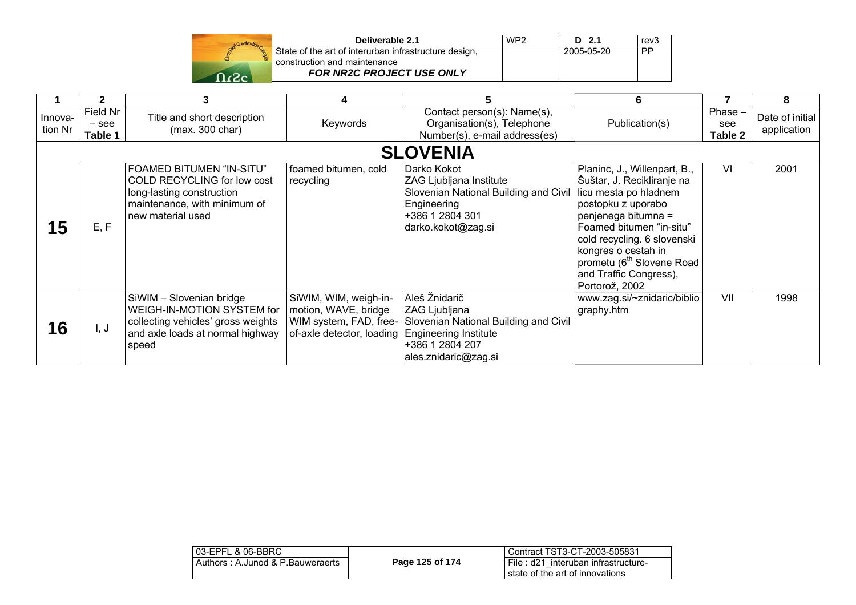| Construction |              |
|--------------|--------------|
|              | Stat<br>cons |
|              |              |

| Deliverable 2.1                                       | WP <sub>2</sub> | D 2.1      | rev3      |
|-------------------------------------------------------|-----------------|------------|-----------|
| State of the art of interurban infrastructure design, |                 | 2005-05-20 | <b>PP</b> |
| construction and maintenance                          |                 |            |           |
| <b>FOR NR2C PROJECT USE ONLY</b>                      |                 |            |           |

|                    | $\mathbf{2}$                   | 3                                                                                                                                                | 4                                                                                                | 5                                                                                                                                         | 6                                                                                                                                                                                                                                                                                                       |                             | 8                              |
|--------------------|--------------------------------|--------------------------------------------------------------------------------------------------------------------------------------------------|--------------------------------------------------------------------------------------------------|-------------------------------------------------------------------------------------------------------------------------------------------|---------------------------------------------------------------------------------------------------------------------------------------------------------------------------------------------------------------------------------------------------------------------------------------------------------|-----------------------------|--------------------------------|
| Innova-<br>tion Nr | Field Nr<br>$-$ see<br>Table 1 | Title and short description<br>(max. 300 char)                                                                                                   | Keywords                                                                                         | Contact person(s): Name(s),<br>Organisation(s), Telephone<br>Number(s), e-mail address(es)                                                | Publication(s)                                                                                                                                                                                                                                                                                          | $Phase -$<br>see<br>Table 2 | Date of initial<br>application |
|                    |                                |                                                                                                                                                  |                                                                                                  | <b>SLOVENIA</b>                                                                                                                           |                                                                                                                                                                                                                                                                                                         |                             |                                |
| 15                 | E, F                           | <b>FOAMED BITUMEN "IN-SITU"</b><br>COLD RECYCLING for low cost<br>long-lasting construction<br>maintenance, with minimum of<br>new material used | foamed bitumen, cold<br>recycling                                                                | Darko Kokot<br>ZAG Ljubljana Institute<br>Slovenian National Building and Civil<br>Engineering<br>+386 1 2804 301<br>darko.kokot@zag.si   | Planinc, J., Willenpart, B.,<br>Šuštar, J. Recikliranje na<br>licu mesta po hladnem<br>postopku z uporabo<br>penjenega bitumna =<br>Foamed bitumen "in-situ"<br>cold recycling. 6 slovenski<br>kongres o cestah in<br>prometu (6 <sup>th</sup> Slovene Road<br>and Traffic Congress),<br>Portorož, 2002 | VI                          | 2001                           |
| 16                 | I, J                           | SiWIM - Slovenian bridge<br>WEIGH-IN-MOTION SYSTEM for<br>collecting vehicles' gross weights<br>and axle loads at normal highway<br>speed        | SiWIM, WIM, weigh-in-<br>motion, WAVE, bridge<br>of-axle detector, loading Engineering Institute | Aleš Žnidarič<br>ZAG Ljubljana<br>WIM system, FAD, free- Slovenian National Building and Civil<br>+386 1 2804 207<br>ales.znidaric@zag.si | www.zag.si/~znidaric/biblio<br>graphy.htm                                                                                                                                                                                                                                                               | VII                         | 1998                           |

| l 03-EPFL & 06-BBRC_             |                 | l Contract TST3-CT-2003-505831                                          |
|----------------------------------|-----------------|-------------------------------------------------------------------------|
| Authors: A.Junod & P.Bauweraerts | Page 125 of 174 | File : d21 interuban infrastructure-<br>state of the art of innovations |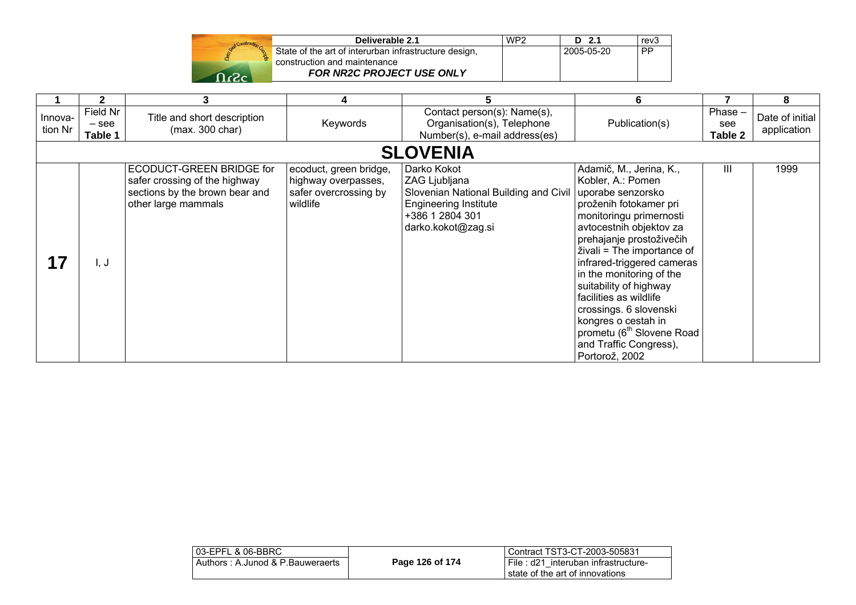|  | Grad Construction Cap |
|--|-----------------------|
|  |                       |
|  |                       |

| Deliverable 2.1                                       | WP <sub>2</sub> | $D$ 2.1      | rev <sub>3</sub> |
|-------------------------------------------------------|-----------------|--------------|------------------|
| State of the art of interurban infrastructure design, |                 | l 2005-05-20 | PP               |
| construction and maintenance                          |                 |              |                  |
| <b>FOR NR2C PROJECT USE ONLY</b>                      |                 |              |                  |

|                    | $\mathbf{2}$                   | 3                                                                                                                  | 4                                                                                  | 5                                                                                                                                              | 6                                                                                                                                                                                                                                                                                                                                                                                                                                                               |                             | 8                              |
|--------------------|--------------------------------|--------------------------------------------------------------------------------------------------------------------|------------------------------------------------------------------------------------|------------------------------------------------------------------------------------------------------------------------------------------------|-----------------------------------------------------------------------------------------------------------------------------------------------------------------------------------------------------------------------------------------------------------------------------------------------------------------------------------------------------------------------------------------------------------------------------------------------------------------|-----------------------------|--------------------------------|
| Innova-<br>tion Nr | Field Nr<br>$-$ see<br>Table 1 | Title and short description<br>(max. 300 char)                                                                     | Keywords                                                                           | Contact person(s): Name(s),<br>Organisation(s), Telephone<br>Number(s), e-mail address(es)                                                     | Publication(s)                                                                                                                                                                                                                                                                                                                                                                                                                                                  | Phase $-$<br>see<br>Table 2 | Date of initial<br>application |
|                    |                                |                                                                                                                    |                                                                                    | <b>SLOVENIA</b>                                                                                                                                |                                                                                                                                                                                                                                                                                                                                                                                                                                                                 |                             |                                |
|                    | I, J                           | ECODUCT-GREEN BRIDGE for<br>safer crossing of the highway<br>sections by the brown bear and<br>other large mammals | ecoduct, green bridge,<br>highway overpasses,<br>safer overcrossing by<br>wildlife | Darko Kokot<br>ZAG Ljubljana<br>Slovenian National Building and Civil<br><b>Engineering Institute</b><br>+386 1 2804 301<br>darko.kokot@zag.si | Adamič, M., Jerina, K.,<br>Kobler, A.: Pomen<br>uporabe senzorsko<br>proženih fotokamer pri<br>monitoringu primernosti<br>avtocestnih objektov za<br>prehajanje prostoživečih<br>živali = The importance of<br>infrared-triggered cameras<br>in the monitoring of the<br>suitability of highway<br>facilities as wildlife<br>crossings. 6 slovenski<br>kongres o cestah in<br>prometu (6 <sup>th</sup> Slovene Road<br>and Traffic Congress),<br>Portorož, 2002 | Ш                           | 1999                           |

| l Contract TST3-CT-2003-505831                                           |
|--------------------------------------------------------------------------|
| I File: d21 interuban infrastructure-<br>state of the art of innovations |
|                                                                          |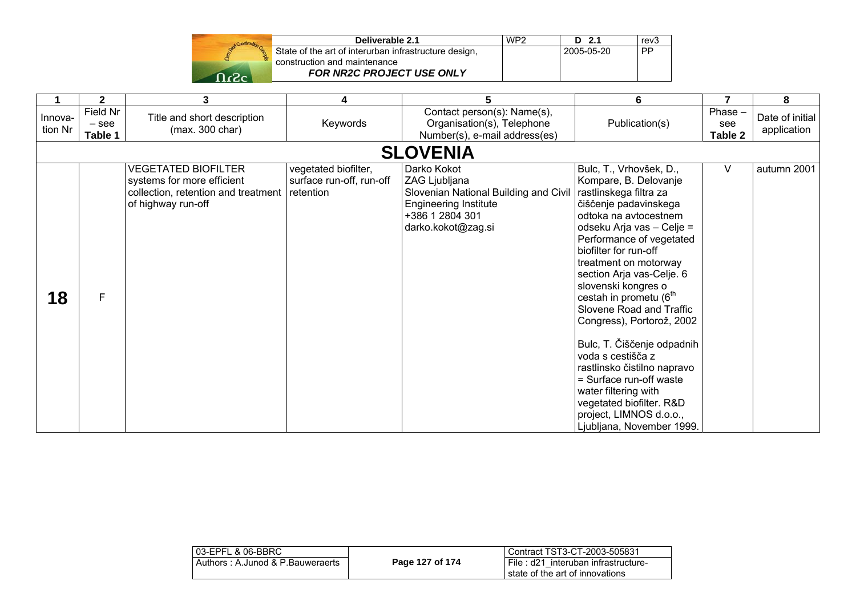| Deliverable 2.1                                                                       | WP <sub>2</sub> | D 2.1      | rev3      |
|---------------------------------------------------------------------------------------|-----------------|------------|-----------|
| State of the art of interurban infrastructure design,<br>construction and maintenance |                 | 2005-05-20 | <b>PP</b> |
| <b>FOR NR2C PROJECT USE ONLY</b>                                                      |                 |            |           |

|                    | $\mathbf{2}$                   | 3                                                                                                                     | 4                                                             | 5                                                                                                                                              | 6                                                                                                                                                                                                                                                                                                                                                                                                                                                                                                                                                                                                                   | $\overline{7}$              | 8                              |  |
|--------------------|--------------------------------|-----------------------------------------------------------------------------------------------------------------------|---------------------------------------------------------------|------------------------------------------------------------------------------------------------------------------------------------------------|---------------------------------------------------------------------------------------------------------------------------------------------------------------------------------------------------------------------------------------------------------------------------------------------------------------------------------------------------------------------------------------------------------------------------------------------------------------------------------------------------------------------------------------------------------------------------------------------------------------------|-----------------------------|--------------------------------|--|
| Innova-<br>tion Nr | Field Nr<br>$-$ see<br>Table 1 | Title and short description<br>(max. 300 char)                                                                        | Keywords                                                      | Contact person(s): Name(s),<br>Organisation(s), Telephone<br>Number(s), e-mail address(es)                                                     | Publication(s)                                                                                                                                                                                                                                                                                                                                                                                                                                                                                                                                                                                                      | Phase $-$<br>see<br>Table 2 | Date of initial<br>application |  |
|                    | <b>SLOVENIA</b>                |                                                                                                                       |                                                               |                                                                                                                                                |                                                                                                                                                                                                                                                                                                                                                                                                                                                                                                                                                                                                                     |                             |                                |  |
| 18                 | F                              | <b>VEGETATED BIOFILTER</b><br>systems for more efficient<br>collection, retention and treatment<br>of highway run-off | vegetated biofilter,<br>surface run-off, run-off<br>retention | Darko Kokot<br>ZAG Ljubljana<br>Slovenian National Building and Civil<br><b>Engineering Institute</b><br>+386 1 2804 301<br>darko.kokot@zag.si | Bulc, T., Vrhovšek, D.,<br>Kompare, B. Delovanje<br>rastlinskega filtra za<br>čiščenje padavinskega<br>odtoka na avtocestnem<br>odseku Arja vas - Celje =<br>Performance of vegetated<br>biofilter for run-off<br>treatment on motorway<br>section Arja vas-Celje. 6<br>slovenski kongres o<br>cestah in prometu (6 <sup>th</sup><br>Slovene Road and Traffic<br>Congress), Portorož, 2002<br>Bulc, T. Čiščenje odpadnih<br>voda s cestišča z<br>rastlinsko čistilno napravo<br>= Surface run-off waste<br>water filtering with<br>vegetated biofilter. R&D<br>project, LIMNOS d.o.o.,<br>Ljubljana, November 1999. | V                           | autumn 2001                    |  |

| 03-EPFL & 06-BBRC                |                 | Contract TST3-CT-2003-505831          |
|----------------------------------|-----------------|---------------------------------------|
| Authors: A.Junod & P.Bauweraerts | Page 127 of 174 | I File: d21 interuban infrastructure- |
|                                  |                 | I state of the art of innovations     |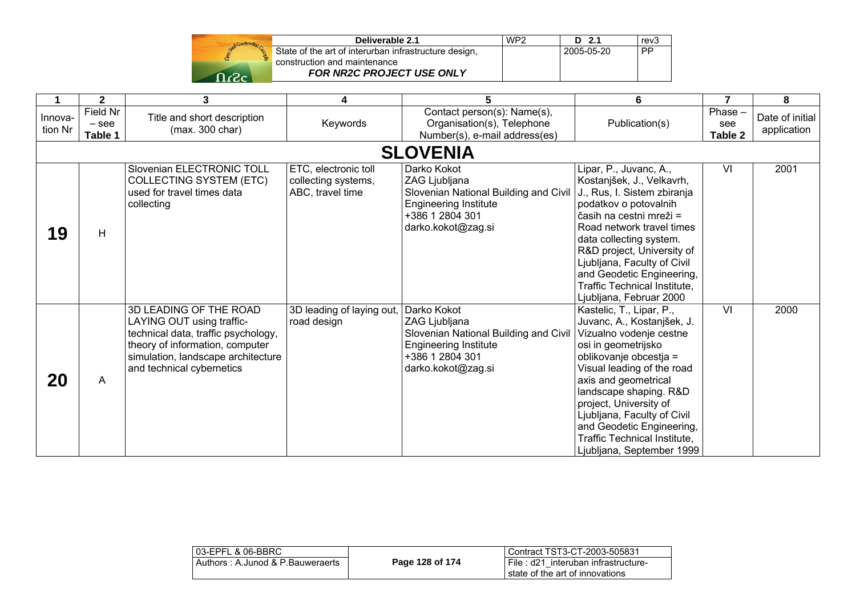| Stand Construction |
|--------------------|
|                    |
| -2                 |

| Deliverable 2.1                                       | WP <sub>2</sub> | $D$ 2.1    | rev <sub>3</sub> |
|-------------------------------------------------------|-----------------|------------|------------------|
| State of the art of interurban infrastructure design. |                 | 2005-05-20 | . PP             |
| construction and maintenance                          |                 |            |                  |
| <b>FOR NR2C PROJECT USE ONLY</b>                      |                 |            |                  |

|                    | $\mathbf{2}$                   | 3                                                                                                                                                                                                | 4                                                               | 5                                                                                                                                              | 6                                                                                                                                                                                                                                                                                                                                                                     | 7                        | 8                              |
|--------------------|--------------------------------|--------------------------------------------------------------------------------------------------------------------------------------------------------------------------------------------------|-----------------------------------------------------------------|------------------------------------------------------------------------------------------------------------------------------------------------|-----------------------------------------------------------------------------------------------------------------------------------------------------------------------------------------------------------------------------------------------------------------------------------------------------------------------------------------------------------------------|--------------------------|--------------------------------|
| Innova-<br>tion Nr | Field Nr<br>$-$ see<br>Table 1 | Title and short description<br>(max. 300 char)                                                                                                                                                   | Keywords                                                        | Contact person(s): Name(s),<br>Organisation(s), Telephone<br>Number(s), e-mail address(es)                                                     | Publication(s)                                                                                                                                                                                                                                                                                                                                                        | Phase-<br>see<br>Table 2 | Date of initial<br>application |
|                    |                                |                                                                                                                                                                                                  |                                                                 | <b>SLOVENIA</b>                                                                                                                                |                                                                                                                                                                                                                                                                                                                                                                       |                          |                                |
| 19                 | H                              | Slovenian ELECTRONIC TOLL<br><b>COLLECTING SYSTEM (ETC)</b><br>used for travel times data<br>collecting                                                                                          | ETC, electronic toll<br>collecting systems,<br>ABC, travel time | Darko Kokot<br>ZAG Ljubljana<br>Slovenian National Building and Civil<br><b>Engineering Institute</b><br>+386 1 2804 301<br>darko.kokot@zag.si | Lipar, P., Juvanc, A.,<br>Kostanjšek, J., Velkavrh,<br>J., Rus, I. Sistem zbiranja<br>podatkov o potovalnih<br>časih na cestni mreži =<br>Road network travel times<br>data collecting system.<br>R&D project, University of<br>Ljubljana, Faculty of Civil<br>and Geodetic Engineering,<br>Traffic Technical Institute,<br>Ljubljana, Februar 2000                   | VI                       | 2001                           |
| 20                 | A                              | 3D LEADING OF THE ROAD<br>LAYING OUT using traffic-<br>technical data, traffic psychology,<br>theory of information, computer<br>simulation, landscape architecture<br>and technical cybernetics | 3D leading of laying out,  <br>road design                      | Darko Kokot<br>ZAG Ljubljana<br>Slovenian National Building and Civil<br><b>Engineering Institute</b><br>+386 1 2804 301<br>darko.kokot@zag.si | Kastelic, T., Lipar, P.,<br>Juvanc, A., Kostanjšek, J.<br>Vizualno vodenje cestne<br>osi in geometrijsko<br>oblikovanje obcestja =<br>Visual leading of the road<br>axis and geometrical<br>landscape shaping. R&D<br>project, University of<br>Ljubljana, Faculty of Civil<br>and Geodetic Engineering,<br>Traffic Technical Institute,<br>Ljubljana, September 1999 | $\overline{\mathsf{v}}$  | 2000                           |

| l 03-EPFL & 06-BBRC_             |                 | Contract TST3-CT-2003-505831                                           |
|----------------------------------|-----------------|------------------------------------------------------------------------|
| Authors: A.Junod & P.Bauweraerts | Page 128 of 174 | File: d21 interuban infrastructure-<br>state of the art of innovations |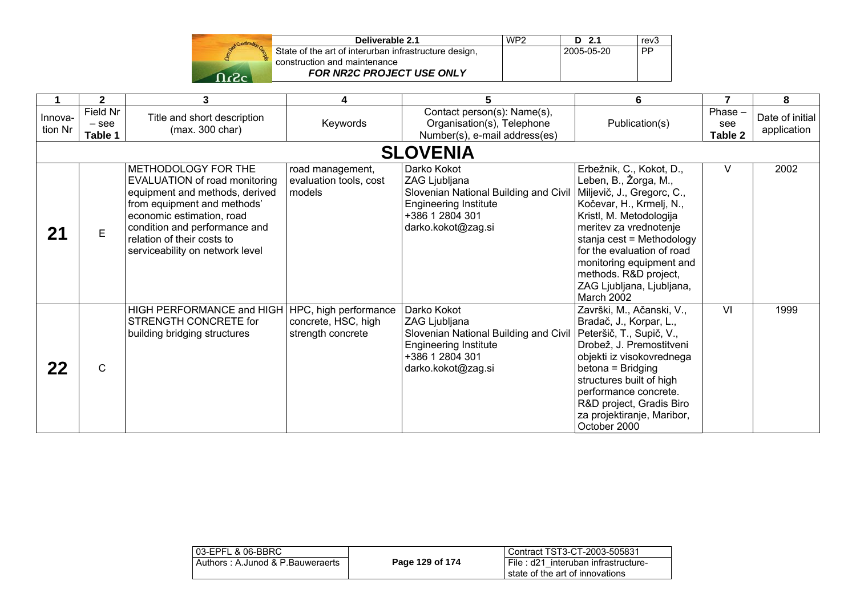| Start Construction |  |
|--------------------|--|
|                    |  |
| ÷                  |  |

| Deliverable 2.1                                       | WP <sub>2</sub> | $D$ 2.1    | rev <sub>3</sub> |
|-------------------------------------------------------|-----------------|------------|------------------|
| State of the art of interurban infrastructure design, |                 | 2005-05-20 | <b>PP</b>        |
| construction and maintenance                          |                 |            |                  |
| <b>FOR NR2C PROJECT USE ONLY</b>                      |                 |            |                  |

|                    | $\mathbf{2}$                   | 3                                                                                                                                                                                                                                                    | 4                                                                 | 5                                                                                                                                              | 6                                                                                                                                                                                                                                                                                                                           | 7                         | 8                              |
|--------------------|--------------------------------|------------------------------------------------------------------------------------------------------------------------------------------------------------------------------------------------------------------------------------------------------|-------------------------------------------------------------------|------------------------------------------------------------------------------------------------------------------------------------------------|-----------------------------------------------------------------------------------------------------------------------------------------------------------------------------------------------------------------------------------------------------------------------------------------------------------------------------|---------------------------|--------------------------------|
| Innova-<br>tion Nr | Field Nr<br>$-$ see<br>Table 1 | Title and short description<br>(max. 300 char)                                                                                                                                                                                                       | Keywords                                                          | Contact person(s): Name(s),<br>Organisation(s), Telephone<br>Number(s), e-mail address(es)                                                     | Publication(s)                                                                                                                                                                                                                                                                                                              | Phase -<br>see<br>Table 2 | Date of initial<br>application |
|                    |                                |                                                                                                                                                                                                                                                      |                                                                   | <b>SLOVENIA</b>                                                                                                                                |                                                                                                                                                                                                                                                                                                                             |                           |                                |
| 21                 | E                              | METHODOLOGY FOR THE<br>EVALUATION of road monitoring<br>equipment and methods, derived<br>from equipment and methods'<br>economic estimation, road<br>condition and performance and<br>relation of their costs to<br>serviceability on network level | road management,<br>evaluation tools, cost<br>models              | Darko Kokot<br>ZAG Ljubljana<br>Slovenian National Building and Civil<br><b>Engineering Institute</b><br>+386 1 2804 301<br>darko.kokot@zag.si | Erbežnik, C., Kokot, D.,<br>Leben, B., Žorga, M.,<br>Miljevič, J., Gregorc, C.,<br>Kočevar, H., Krmelj, N.,<br>Kristl, M. Metodologija<br>meritev za vrednotenje<br>stanja cest = Methodology<br>for the evaluation of road<br>monitoring equipment and<br>methods. R&D project,<br>ZAG Ljubljana, Ljubljana,<br>March 2002 | V                         | 2002                           |
| 22                 | $\mathsf{C}$                   | HIGH PERFORMANCE and HIGH<br>STRENGTH CONCRETE for<br>building bridging structures                                                                                                                                                                   | HPC, high performance<br>concrete, HSC, high<br>strength concrete | Darko Kokot<br>ZAG Ljubljana<br>Slovenian National Building and Civil<br><b>Engineering Institute</b><br>+386 1 2804 301<br>darko.kokot@zag.si | Završki, M., Ačanski, V.,<br>Bradač, J., Korpar, L.,<br>Peteršič, T., Supič, V.,<br>Drobež, J. Premostitveni<br>objekti iz visokovrednega<br>betona = Bridging<br>structures built of high<br>performance concrete.<br>R&D project, Gradis Biro<br>za projektiranje, Maribor,<br>October 2000                               | VI                        | 1999                           |

| l 03-EPFL & 06-BBRC_             |                 | Contract TST3-CT-2003-505831                                           |
|----------------------------------|-----------------|------------------------------------------------------------------------|
| Authors: A.Junod & P.Bauweraerts | Page 129 of 174 | File: d21 interuban infrastructure-<br>state of the art of innovations |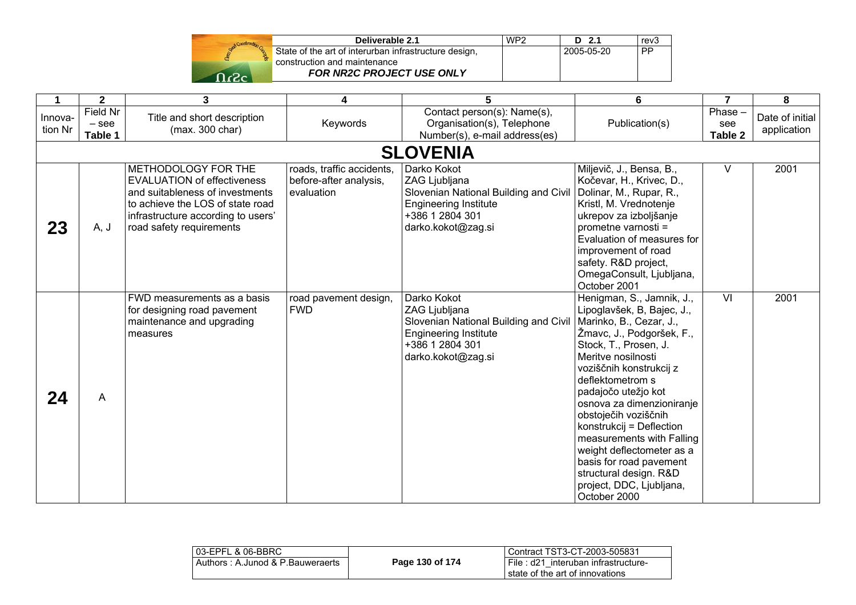| Start Construction |  |
|--------------------|--|
|                    |  |
|                    |  |

| Deliverable 2.1                                       | WP <sub>2</sub> | $D$ 2.1    | rev <sub>3</sub> |
|-------------------------------------------------------|-----------------|------------|------------------|
| State of the art of interurban infrastructure design, |                 | 2005-05-20 | <b>PP</b>        |
| construction and maintenance                          |                 |            |                  |
| <b>FOR NR2C PROJECT USE ONLY</b>                      |                 |            |                  |

|                    | $\mathbf{2}$                   | $\overline{3}$                                                                                                                                                                                     | 4                                                                 | 5                                                                                                                                              | 6                                                                                                                                                                                                                                                                                                                                                                                                                                                                                | $\overline{7}$            | 8                              |
|--------------------|--------------------------------|----------------------------------------------------------------------------------------------------------------------------------------------------------------------------------------------------|-------------------------------------------------------------------|------------------------------------------------------------------------------------------------------------------------------------------------|----------------------------------------------------------------------------------------------------------------------------------------------------------------------------------------------------------------------------------------------------------------------------------------------------------------------------------------------------------------------------------------------------------------------------------------------------------------------------------|---------------------------|--------------------------------|
| Innova-<br>tion Nr | Field Nr<br>$-$ see<br>Table 1 | Title and short description<br>(max. 300 char)                                                                                                                                                     | Keywords                                                          | Contact person(s): Name(s),<br>Organisation(s), Telephone<br>Number(s), e-mail address(es)                                                     | Publication(s)                                                                                                                                                                                                                                                                                                                                                                                                                                                                   | Phase -<br>see<br>Table 2 | Date of initial<br>application |
|                    |                                |                                                                                                                                                                                                    |                                                                   | <b>SLOVENIA</b>                                                                                                                                |                                                                                                                                                                                                                                                                                                                                                                                                                                                                                  |                           |                                |
| 23                 | A, J                           | METHODOLOGY FOR THE<br><b>EVALUATION of effectiveness</b><br>and suitableness of investments<br>to achieve the LOS of state road<br>infrastructure according to users'<br>road safety requirements | roads, traffic accidents,<br>before-after analysis,<br>evaluation | Darko Kokot<br>ZAG Ljubljana<br>Slovenian National Building and Civil<br><b>Engineering Institute</b><br>+386 1 2804 301<br>darko.kokot@zag.si | Miljevič, J., Bensa, B.,<br>Kočevar, H., Krivec, D.,<br>Dolinar, M., Rupar, R.,<br>Kristl, M. Vrednotenje<br>ukrepov za izboljšanje<br>prometne varnosti =<br>Evaluation of measures for<br>improvement of road<br>safety. R&D project,<br>OmegaConsult, Ljubljana,<br>October 2001                                                                                                                                                                                              | V                         | 2001                           |
| 24                 | A                              | FWD measurements as a basis<br>for designing road pavement<br>maintenance and upgrading<br>measures                                                                                                | road pavement design,<br><b>FWD</b>                               | Darko Kokot<br>ZAG Ljubljana<br>Slovenian National Building and Civil<br><b>Engineering Institute</b><br>+386 1 2804 301<br>darko.kokot@zag.si | Henigman, S., Jamnik, J.,<br>Lipoglavšek, B, Bajec, J.,<br>Marinko, B., Cezar, J.,<br>Žmavc, J., Podgoršek, F.,<br>Stock, T., Prosen, J.<br>Meritve nosilnosti<br>voziščnih konstrukcij z<br>deflektometrom s<br>padajočo utežjo kot<br>osnova za dimenzioniranje<br>obstoječih voziščnih<br>konstrukcij = Deflection<br>measurements with Falling<br>weight deflectometer as a<br>basis for road pavement<br>structural design. R&D<br>project, DDC, Ljubljana,<br>October 2000 | $\overline{\mathsf{M}}$   | 2001                           |

| l 03-EPFL & 06-BBRC              |                 | l Contract TST3-CT-2003-505831                                            |
|----------------------------------|-----------------|---------------------------------------------------------------------------|
| Authors: A.Junod & P.Bauweraerts | Page 130 of 174 | I File : d21 interuban infrastructure-<br>state of the art of innovations |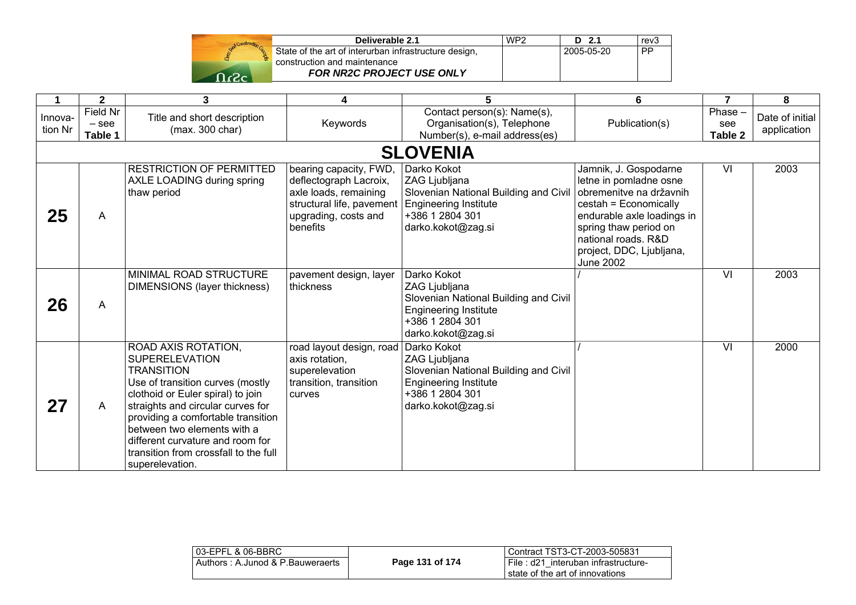| Stand Construction |  |
|--------------------|--|
|                    |  |
| arac               |  |

| Deliverable 2.1                                       | WP <sub>2</sub> | D 2.1      | rev <sub>3</sub> |
|-------------------------------------------------------|-----------------|------------|------------------|
| State of the art of interurban infrastructure design, |                 | 2005-05-20 | <b>PP</b>        |
| construction and maintenance                          |                 |            |                  |
| <b>FOR NR2C PROJECT USE ONLY</b>                      |                 |            |                  |

|                    | $\mathbf{2}$                   | 3                                                                                                                                                                                                                                                                                                                                                    | 4                                                                                                                                          | 5                                                                                                                                              | 6                                                                                                                                                                                                                                 | 7                         | 8                              |
|--------------------|--------------------------------|------------------------------------------------------------------------------------------------------------------------------------------------------------------------------------------------------------------------------------------------------------------------------------------------------------------------------------------------------|--------------------------------------------------------------------------------------------------------------------------------------------|------------------------------------------------------------------------------------------------------------------------------------------------|-----------------------------------------------------------------------------------------------------------------------------------------------------------------------------------------------------------------------------------|---------------------------|--------------------------------|
| Innova-<br>tion Nr | Field Nr<br>$-$ see<br>Table 1 | Title and short description<br>(max. 300 char)                                                                                                                                                                                                                                                                                                       | Keywords                                                                                                                                   | Contact person(s): Name(s),<br>Organisation(s), Telephone<br>Number(s), e-mail address(es)                                                     | Publication(s)                                                                                                                                                                                                                    | Phase -<br>see<br>Table 2 | Date of initial<br>application |
|                    |                                |                                                                                                                                                                                                                                                                                                                                                      |                                                                                                                                            | <b>SLOVENIA</b>                                                                                                                                |                                                                                                                                                                                                                                   |                           |                                |
| 25                 | A                              | <b>RESTRICTION OF PERMITTED</b><br>AXLE LOADING during spring<br>thaw period                                                                                                                                                                                                                                                                         | bearing capacity, FWD,<br>deflectograph Lacroix,<br>axle loads, remaining<br>structural life, pavement<br>upgrading, costs and<br>benefits | Darko Kokot<br>ZAG Ljubljana<br>Slovenian National Building and Civil<br><b>Engineering Institute</b><br>+386 1 2804 301<br>darko.kokot@zag.si | Jamnik, J. Gospodarne<br>letne in pomladne osne<br>obremenitve na državnih<br>cestah = Economically<br>endurable axle loadings in<br>spring thaw period on<br>national roads. R&D<br>project, DDC, Ljubljana,<br><b>June 2002</b> | VI                        | 2003                           |
| 26                 | A                              | MINIMAL ROAD STRUCTURE<br>DIMENSIONS (layer thickness)                                                                                                                                                                                                                                                                                               | pavement design, layer<br>thickness                                                                                                        | Darko Kokot<br>ZAG Ljubljana<br>Slovenian National Building and Civil<br><b>Engineering Institute</b><br>+386 1 2804 301<br>darko.kokot@zag.si |                                                                                                                                                                                                                                   | $\overline{\mathsf{v}}$   | 2003                           |
| 27                 | A                              | ROAD AXIS ROTATION,<br><b>SUPERELEVATION</b><br><b>TRANSITION</b><br>Use of transition curves (mostly<br>clothoid or Euler spiral) to join<br>straights and circular curves for<br>providing a comfortable transition<br>between two elements with a<br>different curvature and room for<br>transition from crossfall to the full<br>superelevation. | road layout design, road<br>axis rotation,<br>superelevation<br>transition, transition<br>curves                                           | Darko Kokot<br>ZAG Ljubljana<br>Slovenian National Building and Civil<br><b>Engineering Institute</b><br>+386 1 2804 301<br>darko.kokot@zag.si |                                                                                                                                                                                                                                   | VI                        | 2000                           |

| 03-EPFL & 06-BBRC                |                 | Contract TST3-CT-2003-505831        |
|----------------------------------|-----------------|-------------------------------------|
| Authors: A.Junod & P.Bauweraerts | Page 131 of 174 | File: d21 interuban infrastructure- |
|                                  |                 | state of the art of innovations     |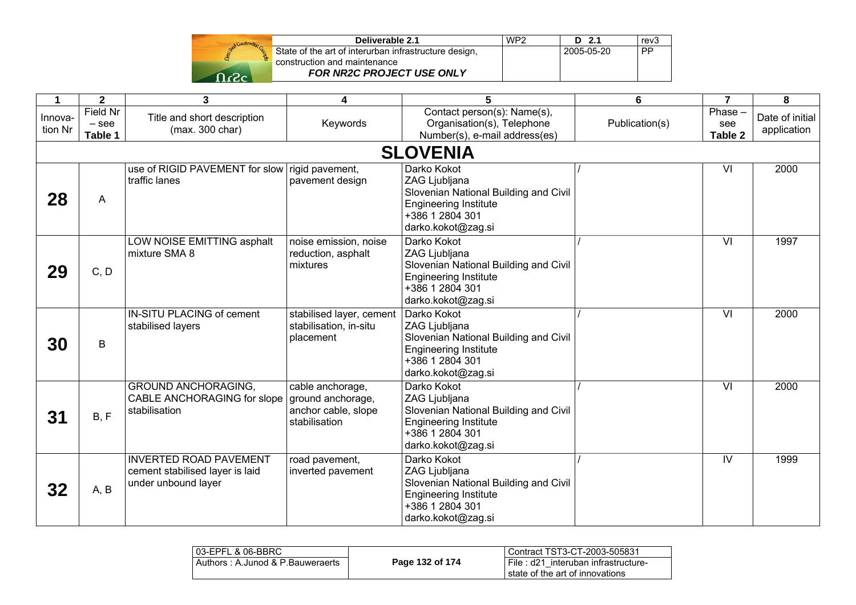

| Deliverable 2.1                                       | WP <sub>2</sub> | $D$ 2.1    | rev <sub>3</sub> |
|-------------------------------------------------------|-----------------|------------|------------------|
| State of the art of interurban infrastructure design, |                 | 2005-05-20 | <b>PP</b>        |
| construction and maintenance                          |                 |            |                  |
| <b>FOR NR2C PROJECT USE ONLY</b>                      |                 |            |                  |

| 1                  | $\mathbf{2}$                          | 3                                                                                       | 4                                                                             | 5                                                                                                                                              | 6              | $\overline{7}$              | 8                              |
|--------------------|---------------------------------------|-----------------------------------------------------------------------------------------|-------------------------------------------------------------------------------|------------------------------------------------------------------------------------------------------------------------------------------------|----------------|-----------------------------|--------------------------------|
| Innova-<br>tion Nr | <b>Field Nr</b><br>$-$ see<br>Table 1 | Title and short description<br>(max. 300 char)                                          | Keywords                                                                      | Contact person(s): Name(s),<br>Organisation(s), Telephone<br>Number(s), e-mail address(es)                                                     | Publication(s) | $Phase -$<br>see<br>Table 2 | Date of initial<br>application |
|                    |                                       |                                                                                         |                                                                               | <b>SLOVENIA</b>                                                                                                                                |                |                             |                                |
| 28                 | A                                     | use of RIGID PAVEMENT for slow rigid pavement,<br>traffic lanes                         | pavement design                                                               | Darko Kokot<br>ZAG Ljubljana<br>Slovenian National Building and Civil<br><b>Engineering Institute</b><br>+386 1 2804 301<br>darko.kokot@zag.si |                | VI                          | 2000                           |
| 29                 | C, D                                  | LOW NOISE EMITTING asphalt<br>mixture SMA 8                                             | noise emission, noise<br>reduction, asphalt<br>mixtures                       | Darko Kokot<br>ZAG Ljubljana<br>Slovenian National Building and Civil<br><b>Engineering Institute</b><br>+386 1 2804 301<br>darko.kokot@zag.si |                | $\overline{\mathsf{M}}$     | 1997                           |
| 30                 | $\sf B$                               | IN-SITU PLACING of cement<br>stabilised layers                                          | stabilised layer, cement<br>stabilisation, in-situ<br>placement               | Darko Kokot<br>ZAG Ljubljana<br>Slovenian National Building and Civil<br><b>Engineering Institute</b><br>+386 1 2804 301<br>darko.kokot@zag.si |                | VI                          | 2000                           |
| 31                 | B, F                                  | <b>GROUND ANCHORAGING,</b><br>CABLE ANCHORAGING for slope<br>stabilisation              | cable anchorage,<br>ground anchorage,<br>anchor cable, slope<br>stabilisation | Darko Kokot<br>ZAG Ljubljana<br>Slovenian National Building and Civil<br><b>Engineering Institute</b><br>+386 1 2804 301<br>darko.kokot@zag.si |                | $\overline{\mathsf{v}}$     | 2000                           |
| 32                 | A, B                                  | <b>INVERTED ROAD PAVEMENT</b><br>cement stabilised layer is laid<br>under unbound layer | road pavement,<br>inverted pavement                                           | Darko Kokot<br>ZAG Ljubljana<br>Slovenian National Building and Civil<br><b>Engineering Institute</b><br>+386 1 2804 301<br>darko.kokot@zag.si |                | $\overline{\mathsf{N}}$     | 1999                           |

| 103-EPFL & 06-BBRC               |                 | Contract TST3-CT-2003-505831           |
|----------------------------------|-----------------|----------------------------------------|
| Authors: A.Junod & P.Bauweraerts | Page 132 of 174 | i File : d21 interuban infrastructure- |
|                                  |                 | state of the art of innovations        |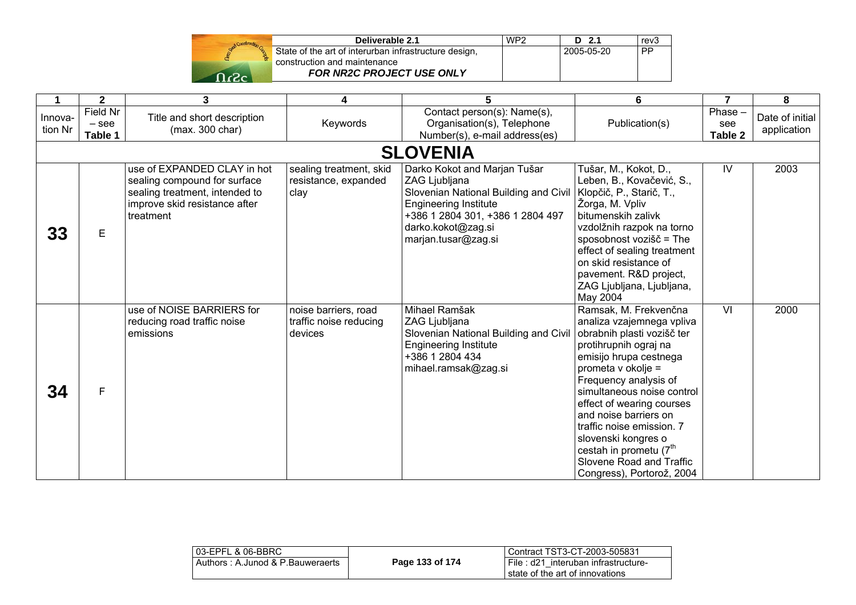| Rend Construction |  |
|-------------------|--|
|                   |  |
| -2                |  |

| Deliverable 2.1                                       | WP <sub>2</sub> | $D$ 2.1    | rev <sub>3</sub> |
|-------------------------------------------------------|-----------------|------------|------------------|
| State of the art of interurban infrastructure design, |                 | 2005-05-20 | <b>PP</b>        |
| construction and maintenance                          |                 |            |                  |
| <b>FOR NR2C PROJECT USE ONLY</b>                      |                 |            |                  |

|                    | $\mathbf{2}$                   | 3                                                                                                                                           | 4                                                         | 5                                                                                                                                                                                                       | $6\phantom{1}6$                                                                                                                                                                                                                                                                                                                                                                                                           | $\overline{7}$           | 8                              |
|--------------------|--------------------------------|---------------------------------------------------------------------------------------------------------------------------------------------|-----------------------------------------------------------|---------------------------------------------------------------------------------------------------------------------------------------------------------------------------------------------------------|---------------------------------------------------------------------------------------------------------------------------------------------------------------------------------------------------------------------------------------------------------------------------------------------------------------------------------------------------------------------------------------------------------------------------|--------------------------|--------------------------------|
| Innova-<br>tion Nr | Field Nr<br>$-$ see<br>Table 1 | Title and short description<br>(max. 300 char)                                                                                              | Keywords                                                  | Contact person(s): Name(s),<br>Organisation(s), Telephone<br>Number(s), e-mail address(es)                                                                                                              | Publication(s)                                                                                                                                                                                                                                                                                                                                                                                                            | Phase-<br>see<br>Table 2 | Date of initial<br>application |
|                    |                                |                                                                                                                                             |                                                           | <b>SLOVENIA</b>                                                                                                                                                                                         |                                                                                                                                                                                                                                                                                                                                                                                                                           |                          |                                |
| 33                 | E                              | use of EXPANDED CLAY in hot<br>sealing compound for surface<br>sealing treatment, intended to<br>improve skid resistance after<br>treatment | sealing treatment, skid<br>resistance, expanded<br>clay   | Darko Kokot and Marjan Tušar<br>ZAG Ljubljana<br>Slovenian National Building and Civil<br><b>Engineering Institute</b><br>+386 1 2804 301, +386 1 2804 497<br>darko.kokot@zag.si<br>marjan.tusar@zag.si | Tušar, M., Kokot, D.,<br>Leben, B., Kovačević, S.,<br>Klopčič, P., Starič, T.,<br>Žorga, M. Vpliv<br>bitumenskih zalivk<br>vzdolžnih razpok na torno<br>sposobnost vozišč = The<br>effect of sealing treatment<br>on skid resistance of<br>pavement. R&D project,<br>ZAG Ljubljana, Ljubljana,<br>May 2004                                                                                                                | IV                       | 2003                           |
| 34                 | F                              | use of NOISE BARRIERS for<br>reducing road traffic noise<br>emissions                                                                       | noise barriers, road<br>traffic noise reducing<br>devices | Mihael Ramšak<br>ZAG Ljubljana<br>Slovenian National Building and Civil<br><b>Engineering Institute</b><br>+386 1 2804 434<br>mihael.ramsak@zag.si                                                      | Ramsak, M. Frekvenčna<br>analiza vzajemnega vpliva<br>obrabnih plasti vozišč ter<br>protihrupnih ograj na<br>emisijo hrupa cestnega<br>prometa v okolje =<br>Frequency analysis of<br>simultaneous noise control<br>effect of wearing courses<br>and noise barriers on<br>traffic noise emission. 7<br>slovenski kongres o<br>cestah in prometu (7 <sup>th</sup><br>Slovene Road and Traffic<br>Congress), Portorož, 2004 | VI                       | 2000                           |

| 03-EPFL & 06-BBRC                |                 | Contract TST3-CT-2003-505831                                              |
|----------------------------------|-----------------|---------------------------------------------------------------------------|
| Authors: A.Junod & P.Bauweraerts | Page 133 of 174 | i File : d21 interuban infrastructure-<br>state of the art of innovations |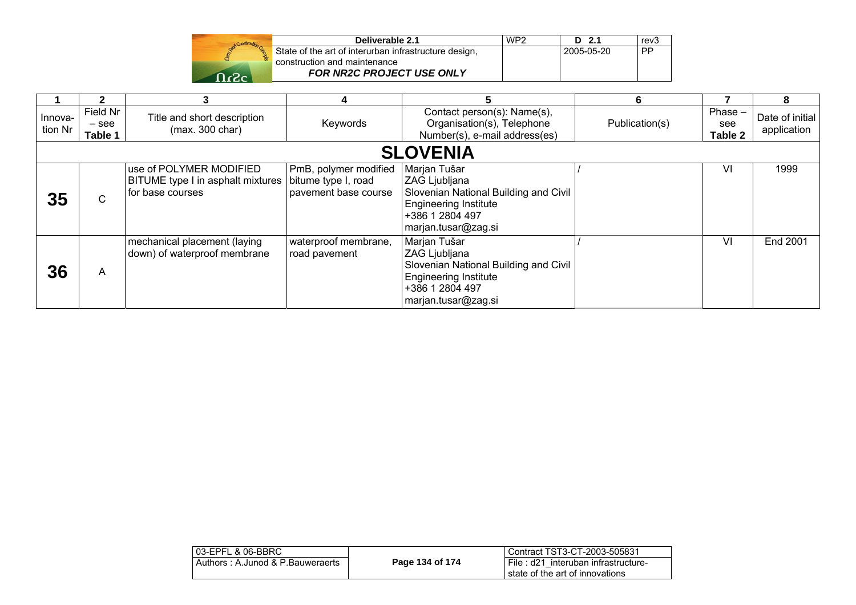| Stand Construction |  |
|--------------------|--|
|                    |  |
| 63.                |  |

| WP <sub>2</sub> | $D$ 2.1 | rev <sub>3</sub> |
|-----------------|---------|------------------|
|                 |         | <b>PP</b>        |
|                 |         |                  |
|                 |         |                  |
|                 |         | 2005-05-20       |

|                    |                                |                                                                                  |                                                                      |                                                                                                                                                   | 6              |                             | 8                              |
|--------------------|--------------------------------|----------------------------------------------------------------------------------|----------------------------------------------------------------------|---------------------------------------------------------------------------------------------------------------------------------------------------|----------------|-----------------------------|--------------------------------|
| Innova-<br>tion Nr | Field Nr<br>$-$ see<br>Table 1 | Title and short description<br>(max. 300 char)                                   | Keywords                                                             | Contact person(s): Name(s),<br>Organisation(s), Telephone<br>Number(s), e-mail address(es)                                                        | Publication(s) | $Phase -$<br>see<br>Table 2 | Date of initial<br>application |
|                    |                                |                                                                                  |                                                                      | <b>SLOVENIA</b>                                                                                                                                   |                |                             |                                |
| 35                 | $\mathsf C$                    | use of POLYMER MODIFIED<br>BITUME type I in asphalt mixtures<br>for base courses | PmB, polymer modified<br>bitume type I, road<br>pavement base course | Marjan Tušar<br>ZAG Ljubljana<br>Slovenian National Building and Civil<br><b>Engineering Institute</b><br> +386 1 2804 497<br>marjan.tusar@zag.si |                | VI                          | 1999                           |
| 36                 | A                              | mechanical placement (laying<br>down) of waterproof membrane                     | waterproof membrane,<br>road pavement                                | Marjan Tušar<br>ZAG Ljubljana<br>Slovenian National Building and Civil<br><b>Engineering Institute</b><br>+386 1 2804 497<br>marjan.tusar@zag.si  |                | VI                          | End 2001                       |

|                 | l Contract TST3-CT-2003-505831                                           |
|-----------------|--------------------------------------------------------------------------|
| Page 134 of 174 | I File: d21 interuban infrastructure-<br>state of the art of innovations |
|                 |                                                                          |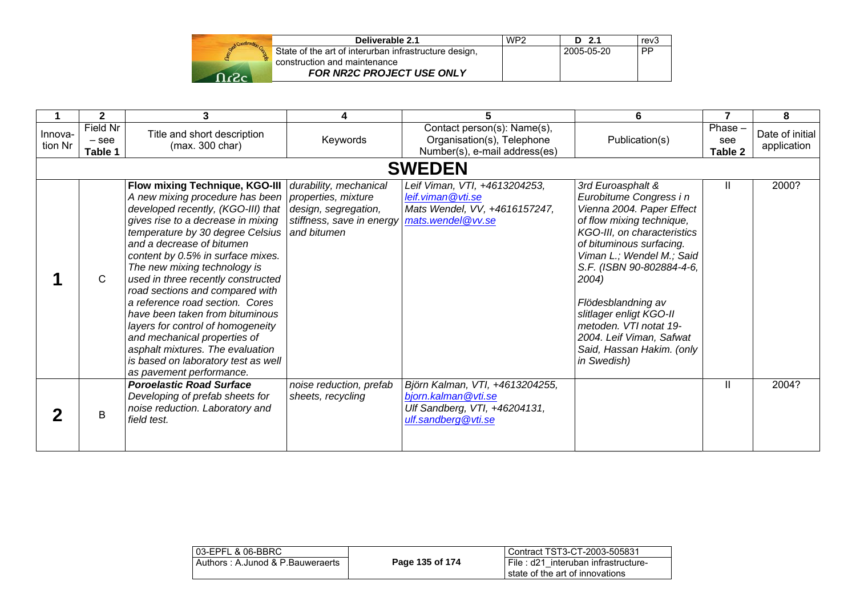|                   | Deliverable 2.1                                       | WP <sub>2</sub> | D 2.1      | rev3      |
|-------------------|-------------------------------------------------------|-----------------|------------|-----------|
|                   | State of the art of interurban infrastructure design, |                 | 2005-05-20 | <b>PP</b> |
|                   | construction and maintenance                          |                 |            |           |
| $\Omega_{\alpha}$ | <b>FOR NR2C PROJECT USE ONLY</b>                      |                 |            |           |

|                    | 2                              | 3                                                                                                                                                                                                                                                                                                                                                                                                                                                                                                                                                                                                                                                                                                |                                              |                                                                                                                | 6                                                                                                                                                                                                                                                                                                                                                                                       |                             | 8                              |
|--------------------|--------------------------------|--------------------------------------------------------------------------------------------------------------------------------------------------------------------------------------------------------------------------------------------------------------------------------------------------------------------------------------------------------------------------------------------------------------------------------------------------------------------------------------------------------------------------------------------------------------------------------------------------------------------------------------------------------------------------------------------------|----------------------------------------------|----------------------------------------------------------------------------------------------------------------|-----------------------------------------------------------------------------------------------------------------------------------------------------------------------------------------------------------------------------------------------------------------------------------------------------------------------------------------------------------------------------------------|-----------------------------|--------------------------------|
| Innova-<br>tion Nr | Field Nr<br>$-$ see<br>Table 1 | Title and short description<br>(max. 300 char)                                                                                                                                                                                                                                                                                                                                                                                                                                                                                                                                                                                                                                                   | Keywords                                     | Contact person(s): Name(s),<br>Organisation(s), Telephone<br>Number(s), e-mail address(es)                     | Publication(s)                                                                                                                                                                                                                                                                                                                                                                          | $Phase -$<br>see<br>Table 2 | Date of initial<br>application |
|                    |                                |                                                                                                                                                                                                                                                                                                                                                                                                                                                                                                                                                                                                                                                                                                  |                                              | <b>SWEDEN</b>                                                                                                  |                                                                                                                                                                                                                                                                                                                                                                                         |                             |                                |
|                    | C                              | Flow mixing Technique, KGO-III   durability, mechanical<br>A new mixing procedure has been   properties, mixture<br>developed recently, (KGO-III) that   design, segregation,<br>gives rise to a decrease in mixing<br>temperature by 30 degree Celsius and bitumen<br>and a decrease of bitumen<br>content by 0.5% in surface mixes.<br>The new mixing technology is<br>used in three recently constructed<br>road sections and compared with<br>a reference road section. Cores<br>have been taken from bituminous<br>layers for control of homogeneity<br>and mechanical properties of<br>asphalt mixtures. The evaluation<br>is based on laboratory test as well<br>as pavement performance. | stiffness, save in energy mats.wendel@vv.se  | Leif Viman, VTI, +4613204253,<br>leif.viman@vti.se<br>Mats Wendel, VV, +4616157247,                            | 3rd Euroasphalt &<br>Eurobitume Congress i n<br>Vienna 2004. Paper Effect<br>of flow mixing technique,<br>KGO-III, on characteristics<br>of bituminous surfacing.<br>Viman L.; Wendel M.; Said<br>S.F. (ISBN 90-802884-4-6,<br>2004)<br>Flödesblandning av<br>slitlager enligt KGO-II<br>metoden. VTI notat 19-<br>2004. Leif Viman, Safwat<br>Said, Hassan Hakim. (only<br>in Swedish) | Ш                           | 2000?                          |
|                    | B                              | <b>Poroelastic Road Surface</b><br>Developing of prefab sheets for<br>noise reduction. Laboratory and<br>field test.                                                                                                                                                                                                                                                                                                                                                                                                                                                                                                                                                                             | noise reduction, prefab<br>sheets, recycling | Björn Kalman, VTI, +4613204255,<br>bjorn.kalman@vti.se<br>Ulf Sandberg, VTI, +46204131,<br>ulf.sandberg@vti.se |                                                                                                                                                                                                                                                                                                                                                                                         | Ш                           | 2004?                          |

| l 03-EPFL & 06-BBRC              |                 | l Contract TST3-CT-2003-505831                                           |
|----------------------------------|-----------------|--------------------------------------------------------------------------|
| Authors: A.Junod & P.Bauweraerts | Page 135 of 174 | I File: d21 interuban infrastructure-<br>state of the art of innovations |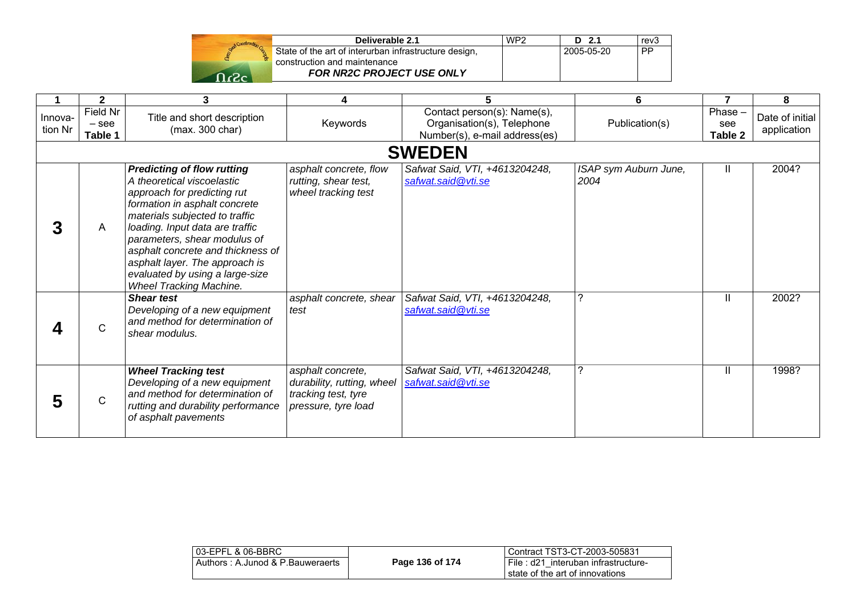| Deliverable 2.1                                       | WP <sub>2</sub> | D 2.1      | rev3 |
|-------------------------------------------------------|-----------------|------------|------|
| State of the art of interurban infrastructure design, |                 | 2005-05-20 | PP   |
| construction and maintenance                          |                 |            |      |
| <b>FOR NR2C PROJECT USE ONLY</b>                      |                 |            |      |

|                    | $\mathbf{2}$                   | 3                                                                                                                                                                                                                                                                                                                                                                                | 4                                                                                             | 5                                                                                          | 6                             | $\overline{7}$            | 8                              |
|--------------------|--------------------------------|----------------------------------------------------------------------------------------------------------------------------------------------------------------------------------------------------------------------------------------------------------------------------------------------------------------------------------------------------------------------------------|-----------------------------------------------------------------------------------------------|--------------------------------------------------------------------------------------------|-------------------------------|---------------------------|--------------------------------|
| Innova-<br>tion Nr | Field Nr<br>$-$ see<br>Table 1 | Title and short description<br>(max. 300 char)                                                                                                                                                                                                                                                                                                                                   | Keywords                                                                                      | Contact person(s): Name(s),<br>Organisation(s), Telephone<br>Number(s), e-mail address(es) | Publication(s)                | Phase -<br>see<br>Table 2 | Date of initial<br>application |
|                    |                                |                                                                                                                                                                                                                                                                                                                                                                                  |                                                                                               | <b>SWEDEN</b>                                                                              |                               |                           |                                |
|                    | A                              | <b>Predicting of flow rutting</b><br>A theoretical viscoelastic<br>approach for predicting rut<br>formation in asphalt concrete<br>materials subjected to traffic<br>loading. Input data are traffic<br>parameters, shear modulus of<br>asphalt concrete and thickness of<br>asphalt layer. The approach is<br>evaluated by using a large-size<br><b>Wheel Tracking Machine.</b> | asphalt concrete, flow<br>rutting, shear test,<br>wheel tracking test                         | Safwat Said, VTI, +4613204248,<br>safwat.said@vti.se                                       | ISAP sym Auburn June,<br>2004 | Ш                         | 2004?                          |
|                    | $\mathsf{C}$                   | <b>Shear test</b><br>Developing of a new equipment<br>and method for determination of<br>shear modulus.                                                                                                                                                                                                                                                                          | asphalt concrete, shear<br>test                                                               | Safwat Said, VTI, +4613204248,<br>safwat.said@vti.se                                       | ?                             | $\mathbf{H}$              | 2002?                          |
|                    | $\mathsf{C}$                   | <b>Wheel Tracking test</b><br>Developing of a new equipment<br>and method for determination of<br>rutting and durability performance<br>of asphalt pavements                                                                                                                                                                                                                     | asphalt concrete,<br>durability, rutting, wheel<br>tracking test, tyre<br>pressure, tyre load | Safwat Said, VTI, +4613204248,<br>safwat.said@vti.se                                       | 7                             | $\mathbf{H}$              | 1998?                          |

| 03-EPFL & 06-BBRC                |                 | l Contract TST3-CT-2003-505831                                             |
|----------------------------------|-----------------|----------------------------------------------------------------------------|
| Authors: A.Junod & P.Bauweraerts | Page 136 of 174 | I File: d21 interuban infrastructure-<br>I state of the art of innovations |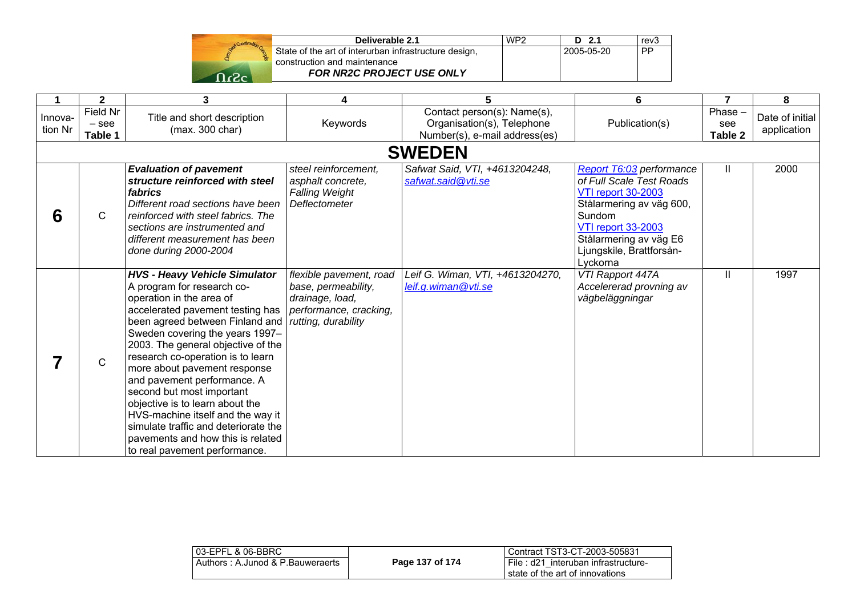|     | State of<br>construc |
|-----|----------------------|
|     |                      |
| r2c |                      |

| Deliverable 2.1                                       | WP <sub>2</sub> | $D$ 2.1    | rev3 |
|-------------------------------------------------------|-----------------|------------|------|
| State of the art of interurban infrastructure design, |                 | 2005-05-20 | I PP |
| construction and maintenance                          |                 |            |      |
| <b>FOR NR2C PROJECT USE ONLY</b>                      |                 |            |      |

|                    | 2                              | 3                                                                                                                                                                                                                                                                                                                                                                                                                                                                                                                                                                     | 4                                                                                                                  | 5                                                                                          | 6                                                                                                                                                                                                                      | 7                           | 8                              |  |
|--------------------|--------------------------------|-----------------------------------------------------------------------------------------------------------------------------------------------------------------------------------------------------------------------------------------------------------------------------------------------------------------------------------------------------------------------------------------------------------------------------------------------------------------------------------------------------------------------------------------------------------------------|--------------------------------------------------------------------------------------------------------------------|--------------------------------------------------------------------------------------------|------------------------------------------------------------------------------------------------------------------------------------------------------------------------------------------------------------------------|-----------------------------|--------------------------------|--|
| Innova-<br>tion Nr | Field Nr<br>$-$ see<br>Table 1 | Title and short description<br>(max. 300 char)                                                                                                                                                                                                                                                                                                                                                                                                                                                                                                                        | Keywords                                                                                                           | Contact person(s): Name(s),<br>Organisation(s), Telephone<br>Number(s), e-mail address(es) | Publication(s)                                                                                                                                                                                                         | $Phase -$<br>see<br>Table 2 | Date of initial<br>application |  |
|                    | <b>SWEDEN</b>                  |                                                                                                                                                                                                                                                                                                                                                                                                                                                                                                                                                                       |                                                                                                                    |                                                                                            |                                                                                                                                                                                                                        |                             |                                |  |
| 6                  | C                              | <b>Evaluation of pavement</b><br>structure reinforced with steel<br>fabrics<br>Different road sections have been<br>reinforced with steel fabrics. The<br>sections are instrumented and<br>different measurement has been<br>done during 2000-2004                                                                                                                                                                                                                                                                                                                    | steel reinforcement,<br>asphalt concrete,<br><b>Falling Weight</b><br><b>Deflectometer</b>                         | Safwat Said, VTI, +4613204248,<br>safwat.said@vti.se                                       | Report T6:03 performance<br>of Full Scale Test Roads<br><b>VTI report 30-2003</b><br>Stålarmering av väg 600,<br>Sundom<br><b>VTI report 33-2003</b><br>Stålarmering av väg E6<br>Ljungskile, Brattforsån-<br>Lyckorna | Ш                           | 2000                           |  |
|                    | $\mathsf{C}$                   | <b>HVS - Heavy Vehicle Simulator</b><br>A program for research co-<br>operation in the area of<br>accelerated pavement testing has<br>been agreed between Finland and<br>Sweden covering the years 1997-<br>2003. The general objective of the<br>research co-operation is to learn<br>more about pavement response<br>and pavement performance. A<br>second but most important<br>objective is to learn about the<br>HVS-machine itself and the way it<br>simulate traffic and deteriorate the<br>pavements and how this is related<br>to real pavement performance. | flexible pavement, road<br>base, permeability,<br>drainage, load,<br>performance, cracking,<br>rutting, durability | Leif G. Wiman, VTI, +4613204270,<br>leif.g.wiman@vti.se                                    | VTI Rapport 447A<br>Accelererad provning av<br>vägbeläggningar                                                                                                                                                         | Ш                           | 1997                           |  |

| 03-EPFL & 06-BBRC                |                 | l Contract TST3-CT-2003-505831                                           |
|----------------------------------|-----------------|--------------------------------------------------------------------------|
| Authors: A.Junod & P.Bauweraerts | Page 137 of 174 | I File: d21 interuban infrastructure-<br>state of the art of innovations |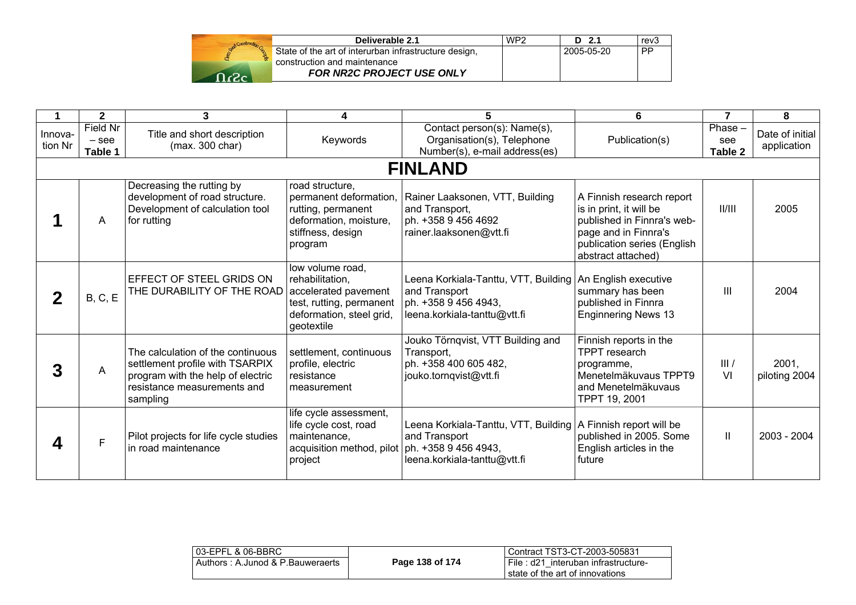| Deliverable 2.1                                                                       | WP <sub>2</sub> | D 2.1      | rev3 |
|---------------------------------------------------------------------------------------|-----------------|------------|------|
| State of the art of interurban infrastructure design,<br>construction and maintenance |                 | 2005-05-20 | . PP |
| <b>FOR NR2C PROJECT USE ONLY</b>                                                      |                 |            |      |

|                    | $\mathbf{2}$                 | 3                                                                                                                                                    | 4                                                                                                                                 | 5                                                                                                                                    | 6                                                                                                                                                               | $\overline{7}$           | 8                              |
|--------------------|------------------------------|------------------------------------------------------------------------------------------------------------------------------------------------------|-----------------------------------------------------------------------------------------------------------------------------------|--------------------------------------------------------------------------------------------------------------------------------------|-----------------------------------------------------------------------------------------------------------------------------------------------------------------|--------------------------|--------------------------------|
| Innova-<br>tion Nr | Field Nr<br>- see<br>Table 1 | Title and short description<br>(max. 300 char)                                                                                                       | Keywords                                                                                                                          | Contact person(s): Name(s),<br>Organisation(s), Telephone<br>Number(s), e-mail address(es)                                           | Publication(s)                                                                                                                                                  | Phase-<br>see<br>Table 2 | Date of initial<br>application |
|                    |                              |                                                                                                                                                      |                                                                                                                                   | <b>FINLAND</b>                                                                                                                       |                                                                                                                                                                 |                          |                                |
|                    | A                            | Decreasing the rutting by<br>development of road structure.<br>Development of calculation tool<br>for rutting                                        | road structure,<br>permanent deformation,<br>rutting, permanent<br>deformation, moisture,<br>stiffness, design<br>program         | Rainer Laaksonen, VTT, Building<br>and Transport,<br>ph. +358 9 456 4692<br>rainer.laaksonen@vtt.fi                                  | A Finnish research report<br>is in print, it will be<br>published in Finnra's web-<br>page and in Finnra's<br>publication series (English<br>abstract attached) | II/III                   | 2005                           |
|                    | B, C, E                      | EFFECT OF STEEL GRIDS ON<br>THE DURABILITY OF THE ROAD                                                                                               | low volume road,<br>rehabilitation.<br>accelerated pavement<br>test, rutting, permanent<br>deformation, steel grid,<br>geotextile | Leena Korkiala-Tanttu, VTT, Building   An English executive<br>and Transport<br>ph. +358 9 456 4943.<br>leena.korkiala-tanttu@vtt.fi | summary has been<br>published in Finnra<br><b>Enginnering News 13</b>                                                                                           | $\mathbf{III}$           | 2004                           |
|                    | A                            | The calculation of the continuous<br>settlement profile with TSARPIX<br>program with the help of electric<br>resistance measurements and<br>sampling | settlement, continuous<br>profile, electric<br>resistance<br>measurement                                                          | Jouko Törnqvist, VTT Building and<br>Transport,<br>ph. +358 400 605 482,<br>jouko.tornqvist@vtt.fi                                   | Finnish reports in the<br><b>TPPT</b> research<br>programme,<br>Menetelmäkuvaus TPPT9<br>and Menetelmäkuvaus<br>TPPT 19, 2001                                   | III/<br>VI               | 2001,<br>piloting 2004         |
|                    | F                            | Pilot projects for life cycle studies<br>in road maintenance                                                                                         | life cycle assessment,<br>life cycle cost, road<br>maintenance,<br>acquisition method, pilot   ph. +358 9 456 4943,<br>project    | Leena Korkiala-Tanttu, VTT, Building   A Finnish report will be<br>and Transport<br>leena.korkiala-tanttu@vtt.fi                     | published in 2005. Some<br>English articles in the<br>future                                                                                                    | Ш                        | 2003 - 2004                    |

| l 03-EPFL & 06-BBRC               |                 | Contract TST3-CT-2003-505831        |
|-----------------------------------|-----------------|-------------------------------------|
| Authors : A.Junod & P.Bauweraerts | Page 138 of 174 | File: d21 interuban infrastructure- |
|                                   |                 | state of the art of innovations     |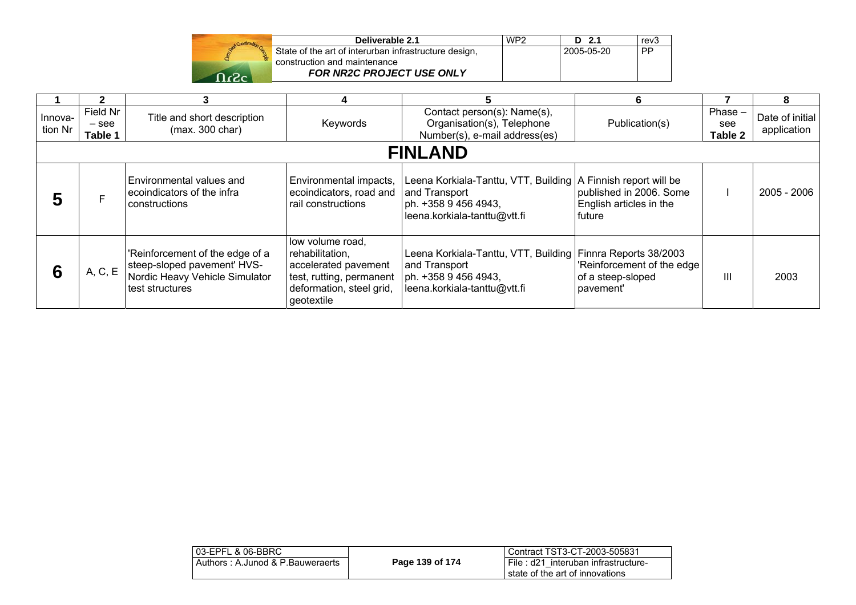| Construction |               |
|--------------|---------------|
|              | State<br>cons |
|              |               |
|              |               |

| Deliverable 2.1                                       | WP <sub>2</sub> | $D$ 2.1    | rev <sub>3</sub> |
|-------------------------------------------------------|-----------------|------------|------------------|
| State of the art of interurban infrastructure design, |                 | 2005-05-20 | PP               |
| construction and maintenance                          |                 |            |                  |
| <b>FOR NR2C PROJECT USE ONLY</b>                      |                 |            |                  |

|                    |                                |                                                                                                                     |                                                                                                                                   |                                                                                                                                          | 6                                                            |                             | 8                              |
|--------------------|--------------------------------|---------------------------------------------------------------------------------------------------------------------|-----------------------------------------------------------------------------------------------------------------------------------|------------------------------------------------------------------------------------------------------------------------------------------|--------------------------------------------------------------|-----------------------------|--------------------------------|
| Innova-<br>tion Nr | Field Nr<br>$-$ see<br>Table 1 | Title and short description<br>(max. 300 char)                                                                      | Keywords                                                                                                                          | Contact person(s): Name(s),<br>Organisation(s), Telephone<br>Number(s), e-mail address(es)                                               | Publication(s)                                               | $Phase -$<br>see<br>Table 2 | Date of initial<br>application |
|                    | <b>FINLAND</b>                 |                                                                                                                     |                                                                                                                                   |                                                                                                                                          |                                                              |                             |                                |
| 5                  |                                | Environmental values and<br>ecoindicators of the infra<br>constructions                                             | Environmental impacts,<br>ecoindicators, road and<br>rail constructions                                                           | Leena Korkiala-Tanttu, VTT, Building   A Finnish report will be<br>and Transport<br>ph. +358 9 456 4943,<br>leena.korkiala-tanttu@vtt.fi | published in 2006. Some<br>English articles in the<br>future |                             | 2005 - 2006                    |
| 6                  | A, C, E                        | 'Reinforcement of the edge of a<br>steep-sloped pavement' HVS-<br>Nordic Heavy Vehicle Simulator<br>test structures | low volume road,<br>rehabilitation,<br>accelerated pavement<br>test, rutting, permanent<br>deformation, steel grid,<br>geotextile | Leena Korkiala-Tanttu, VTT, Building Finnra Reports 38/2003<br>and Transport<br>ph. +358 9 456 4943,<br>leena.korkiala-tanttu@vtt.fi     | 'Reinforcement of the edge<br>of a steep-sloped<br>pavement' | Ш                           | 2003                           |

| 03-EPFL & 06-BBRC                |                 | Contract TST3-CT-2003-505831                                           |
|----------------------------------|-----------------|------------------------------------------------------------------------|
| Authors: A.Junod & P.Bauweraerts | Page 139 of 174 | File: d21 interuban infrastructure-<br>state of the art of innovations |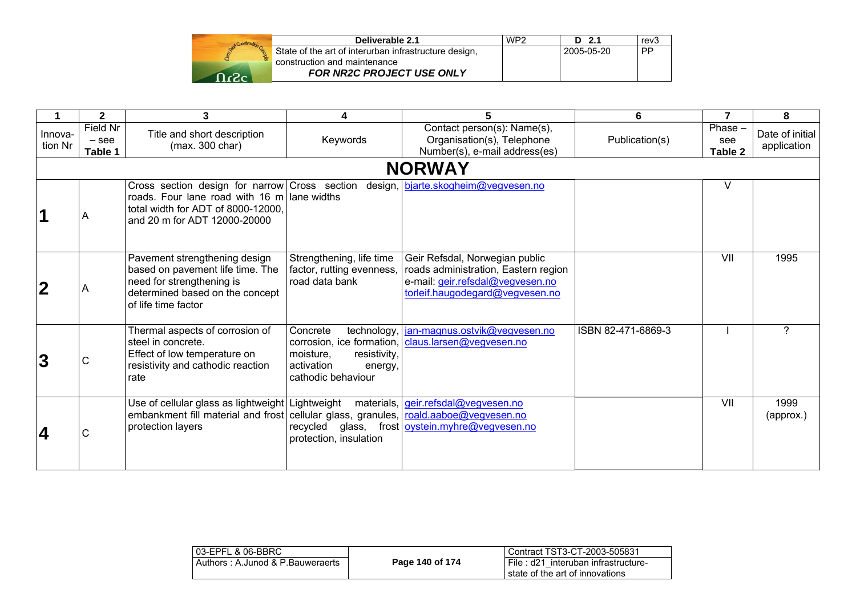| Deliverable 2.1                                       | WP <sub>2</sub> | D 2.1      | rev3      |
|-------------------------------------------------------|-----------------|------------|-----------|
| State of the art of interurban infrastructure design, |                 | 2005-05-20 | <b>PP</b> |
| construction and maintenance                          |                 |            |           |
| <b>FOR NR2C PROJECT USE ONLY</b>                      |                 |            |           |

|                    | $\overline{2}$                 | 3                                                                                                                                                                  |                                                                                                     | 5                                                                                                                                             | 6                  | $\overline{7}$           | 8                              |
|--------------------|--------------------------------|--------------------------------------------------------------------------------------------------------------------------------------------------------------------|-----------------------------------------------------------------------------------------------------|-----------------------------------------------------------------------------------------------------------------------------------------------|--------------------|--------------------------|--------------------------------|
| Innova-<br>tion Nr | Field Nr<br>$-$ see<br>Table 1 | Title and short description<br>(max. 300 char)                                                                                                                     | Keywords                                                                                            | Contact person(s): Name(s),<br>Organisation(s), Telephone<br>Number(s), e-mail address(es)                                                    | Publication(s)     | Phase-<br>see<br>Table 2 | Date of initial<br>application |
|                    |                                |                                                                                                                                                                    |                                                                                                     | <b>NORWAY</b>                                                                                                                                 |                    |                          |                                |
|                    | A                              | Cross section design for narrow Cross section<br>roads. Four lane road with 16 m lane widths<br>total width for ADT of 8000-12000.<br>and 20 m for ADT 12000-20000 |                                                                                                     | design, bjarte.skogheim@vegvesen.no                                                                                                           |                    | v                        |                                |
|                    | Α                              | Pavement strengthening design<br>based on pavement life time. The<br>need for strengthening is<br>determined based on the concept<br>of life time factor           | Strengthening, life time<br>factor, rutting evenness,<br>road data bank                             | Geir Refsdal, Norwegian public<br>roads administration, Eastern region<br>e-mail: geir.refsdal@vegvesen.no<br>torleif.haugodegard@vegvesen.no |                    | VII                      | 1995                           |
| 3                  | С                              | Thermal aspects of corrosion of<br>steel in concrete.<br>Effect of low temperature on<br>resistivity and cathodic reaction<br>rate                                 | Concrete<br>technology,<br>moisture,<br>resistivity,<br>activation<br>energy,<br>cathodic behaviour | jan-magnus.ostvik@vegvesen.no<br>corrosion, ice formation, claus.larsen@vegvesen.no                                                           | ISBN 82-471-6869-3 |                          | ?                              |
| 4                  | С                              | Use of cellular glass as lightweight Lightweight<br>embankment fill material and frost cellular glass, granules, roald.aaboe@vegvesen.no<br>protection layers      | recycled glass,<br>protection, insulation                                                           | materials, geir.refsdal@vegvesen.no<br>frost oystein.myhre@vegvesen.no                                                                        |                    | VII                      | 1999<br>(approx.)              |

| l 03-EPFL & 06-BBRC_             |                 | Contract TST3-CT-2003-505831          |
|----------------------------------|-----------------|---------------------------------------|
| Authors: A.Junod & P.Bauweraerts | Page 140 of 174 | ∟File : d21 interuban infrastructure- |
|                                  |                 | state of the art of innovations       |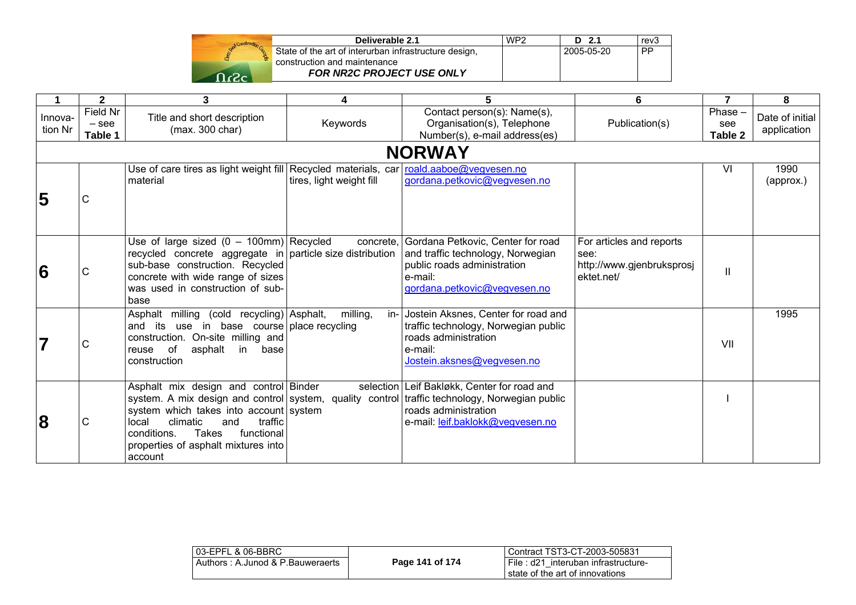| Deliverable 2.1                                                                       | WP2 | - 21       | rev3      |
|---------------------------------------------------------------------------------------|-----|------------|-----------|
| State of the art of interurban infrastructure design,<br>construction and maintenance |     | 2005-05-20 | <b>PP</b> |
| FOR NR2C PROJECT USE ONLY                                                             |     |            |           |

| 1                       | $\mathbf{2}$                   | 3                                                                                                                                                                                                                               | 4                        | 5                                                                                                                                                                                                          | 6                                                                           | $\overline{7}$            | 8                              |
|-------------------------|--------------------------------|---------------------------------------------------------------------------------------------------------------------------------------------------------------------------------------------------------------------------------|--------------------------|------------------------------------------------------------------------------------------------------------------------------------------------------------------------------------------------------------|-----------------------------------------------------------------------------|---------------------------|--------------------------------|
| Innova-<br>tion Nr      | Field Nr<br>$-$ see<br>Table 1 | Title and short description<br>(max. 300 char)                                                                                                                                                                                  | Keywords                 | Contact person(s): Name(s),<br>Organisation(s), Telephone<br>Number(s), e-mail address(es)                                                                                                                 | Publication(s)                                                              | Phase -<br>see<br>Table 2 | Date of initial<br>application |
|                         |                                |                                                                                                                                                                                                                                 |                          | <b>NORWAY</b>                                                                                                                                                                                              |                                                                             |                           |                                |
| 5                       | $\mathsf C$                    | Use of care tires as light weight fill Recycled materials, car roald.aaboe@vegvesen.no<br>material                                                                                                                              | tires, light weight fill | gordana.petkovic@vegvesen.no                                                                                                                                                                               |                                                                             | VI                        | 1990<br>(approx.)              |
| 6                       | $\mathsf C$                    | Use of large sized $(0 - 100$ mm) Recycled<br>recycled concrete aggregate in $ $ particle size distribution<br>sub-base construction. Recycled<br>concrete with wide range of sizes<br>was used in construction of sub-<br>base |                          | concrete, Gordana Petkovic, Center for road<br>and traffic technology, Norwegian<br>public roads administration<br>e-mail:<br>gordana.petkovic@vegvesen.no                                                 | For articles and reports<br>see:<br>http://www.gjenbruksprosj<br>ektet.net/ | $\mathsf{II}$             |                                |
| $\overline{\mathbf{7}}$ | C                              | Asphalt milling (cold recycling) Asphalt,<br>and its use in base course place recycling<br>construction. On-site milling and<br>reuse of<br>asphalt<br>in<br>base<br>construction                                               | milling,                 | in- Jostein Aksnes, Center for road and<br>traffic technology, Norwegian public<br>roads administration<br>e-mail:<br>Jostein.aksnes@vegvesen.no                                                           |                                                                             | VII                       | 1995                           |
| 8                       | C                              | Asphalt mix design and control Binder<br>system which takes into account system<br>climatic<br>traffic<br>local<br>and<br>conditions.<br>Takes<br>functional<br>properties of asphalt mixtures into<br>account                  |                          | selection   Leif Bakløkk, Center for road and<br>system. A mix design and control system, quality control traffic technology, Norwegian public<br>roads administration<br>e-mail: leif.baklokk@vegvesen.no |                                                                             |                           |                                |

| 03-EPFL & 06-BBRC                |                 | Contract TST3-CT-2003-505831        |
|----------------------------------|-----------------|-------------------------------------|
| Authors: A.Junod & P.Bauweraerts | Page 141 of 174 | File: d21 interuban infrastructure- |
|                                  |                 | I state of the art of innovations   |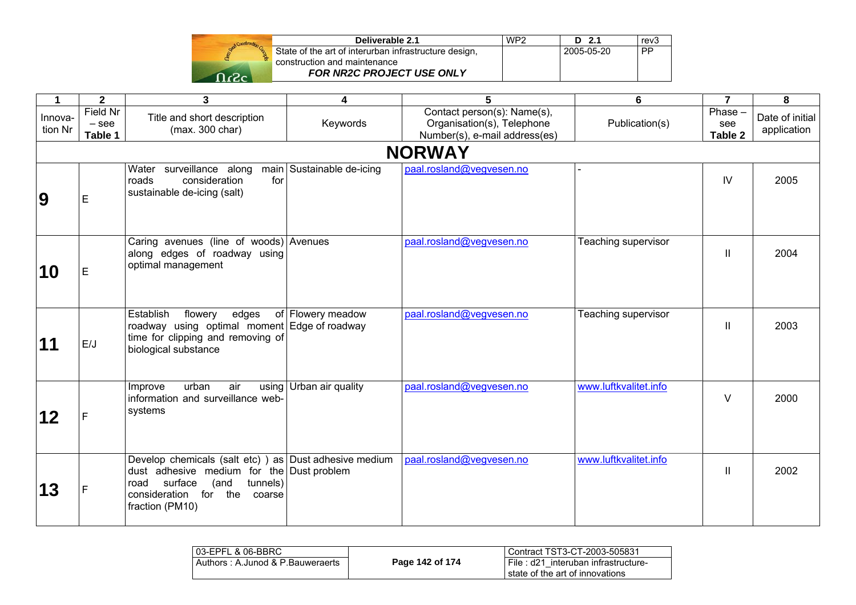| Deliverable 2.1                                       | WP <sub>2</sub> | 1 2 1      | rev3 '    |
|-------------------------------------------------------|-----------------|------------|-----------|
| State of the art of interurban infrastructure design, |                 | 2005-05-20 | <b>PP</b> |
| construction and maintenance                          |                 |            |           |
| <b>FOR NR2C PROJECT USE ONLY</b>                      |                 |            |           |

| 1                  | $\overline{\mathbf{2}}$               | $\mathbf{3}$                                                                                                                                                                                       | 4                         | 5                                                                                          | 6                     | $\overline{\mathbf{z}}$   | 8                              |
|--------------------|---------------------------------------|----------------------------------------------------------------------------------------------------------------------------------------------------------------------------------------------------|---------------------------|--------------------------------------------------------------------------------------------|-----------------------|---------------------------|--------------------------------|
| Innova-<br>tion Nr | <b>Field Nr</b><br>$-$ see<br>Table 1 | Title and short description<br>(max. 300 char)                                                                                                                                                     | Keywords                  | Contact person(s): Name(s),<br>Organisation(s), Telephone<br>Number(s), e-mail address(es) | Publication(s)        | Phase -<br>see<br>Table 2 | Date of initial<br>application |
|                    |                                       |                                                                                                                                                                                                    |                           | <b>NORWAY</b>                                                                              |                       |                           |                                |
| $\boldsymbol{9}$   | E                                     | Water surveillance along<br>for<br>consideration<br>roads<br>sustainable de-icing (salt)                                                                                                           | main Sustainable de-icing | paal.rosland@vegvesen.no                                                                   |                       | IV                        | 2005                           |
| 10                 | E                                     | Caring avenues (line of woods) Avenues<br>along edges of roadway using<br>optimal management                                                                                                       |                           | paal.rosland@vegvesen.no                                                                   | Teaching supervisor   | $\mathbf{H}$              | 2004                           |
| 11                 | E/J                                   | Establish<br>edges<br>flowery<br>roadway using optimal moment Edge of roadway<br>time for clipping and removing of<br>biological substance                                                         | of Flowery meadow         | paal.rosland@vegvesen.no                                                                   | Teaching supervisor   | $\mathbf{H}$              | 2003                           |
| 12                 | F.                                    | urban<br>air<br>Improve<br>information and surveillance web-<br>systems                                                                                                                            | using Urban air quality   | paal.rosland@vegvesen.no                                                                   | www.luftkvalitet.info | V                         | 2000                           |
| 13                 | F                                     | Develop chemicals (salt etc)) as Dust adhesive medium<br>dust adhesive medium for the Dust problem<br>surface<br>(and<br>tunnels)<br>road<br>consideration<br>for the<br>coarse<br>fraction (PM10) |                           | paal.rosland@vegvesen.no                                                                   | www.luftkvalitet.info | Ш                         | 2002                           |

| l 03-EPFL & 06-BBRC              |                 | Contract TST3-CT-2003-505831                                                |
|----------------------------------|-----------------|-----------------------------------------------------------------------------|
| Authors: A.Junod & P.Bauweraerts | Page 142 of 174 | i File : d21 interuban infrastructure-<br>l state of the art of innovations |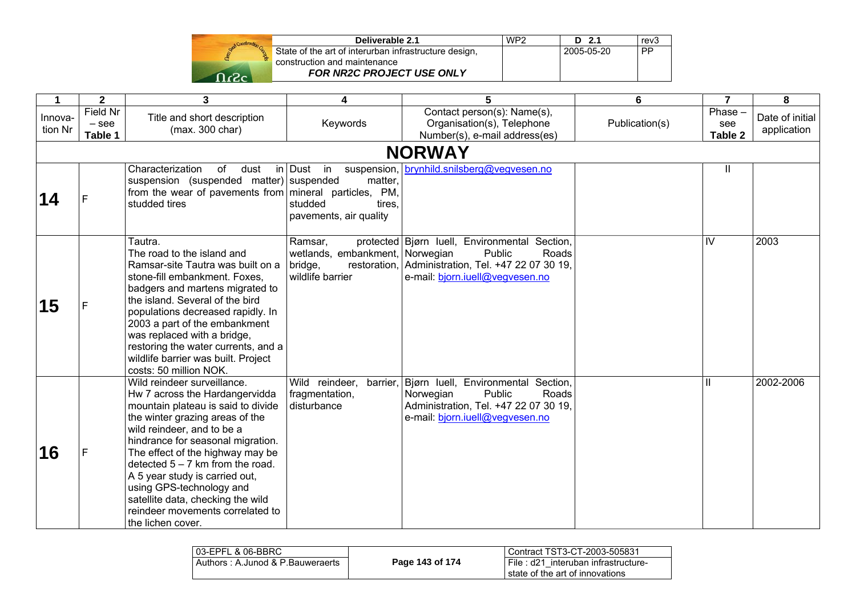| Deliverable 2.1                                       | WP <sub>2</sub> | D 2.1      | rev3      |
|-------------------------------------------------------|-----------------|------------|-----------|
| State of the art of interurban infrastructure design, |                 | 2005-05-20 | <b>PP</b> |
| construction and maintenance                          |                 |            |           |
| <b>FOR NR2C PROJECT USE ONLY</b>                      |                 |            |           |

| 1                  | $\mathbf{2}$                   | 3                                                                                                                                                                                                                                                                                                                                                                                                                                               | 4                                                                         | 5                                                                                                                                                                       | 6              | $\overline{7}$              | 8                              |  |  |  |
|--------------------|--------------------------------|-------------------------------------------------------------------------------------------------------------------------------------------------------------------------------------------------------------------------------------------------------------------------------------------------------------------------------------------------------------------------------------------------------------------------------------------------|---------------------------------------------------------------------------|-------------------------------------------------------------------------------------------------------------------------------------------------------------------------|----------------|-----------------------------|--------------------------------|--|--|--|
| Innova-<br>tion Nr | Field Nr<br>$-$ see<br>Table 1 | Title and short description<br>(max. 300 char)                                                                                                                                                                                                                                                                                                                                                                                                  | Keywords                                                                  | Contact person(s): Name(s),<br>Organisation(s), Telephone<br>Number(s), e-mail address(es)                                                                              | Publication(s) | $Phase -$<br>see<br>Table 2 | Date of initial<br>application |  |  |  |
|                    | <b>NORWAY</b>                  |                                                                                                                                                                                                                                                                                                                                                                                                                                                 |                                                                           |                                                                                                                                                                         |                |                             |                                |  |  |  |
| 14                 |                                | Characterization<br>of<br>dust<br>suspension (suspended matter) suspended<br>from the wear of pavements from   mineral particles, PM,<br>studded tires                                                                                                                                                                                                                                                                                          | in Dust<br>in<br>matter,<br>studded<br>tires.<br>pavements, air quality   | suspension, brynhild.snilsberg@vegvesen.no                                                                                                                              |                | Ш                           |                                |  |  |  |
| 15                 |                                | Tautra.<br>The road to the island and<br>Ramsar-site Tautra was built on a<br>stone-fill embankment. Foxes,<br>badgers and martens migrated to<br>the island. Several of the bird<br>populations decreased rapidly. In<br>2003 a part of the embankment<br>was replaced with a bridge,<br>restoring the water currents, and a<br>wildlife barrier was built. Project<br>costs: 50 million NOK.                                                  | Ramsar,<br>wetlands, embankment, Norwegian<br>bridge,<br>wildlife barrier | protected Bjørn Iuell, Environmental Section,<br>Public<br>Roads<br>restoration, Administration, Tel. +47 22 07 30 19,<br>e-mail: bjorn.iuell@vegvesen.no               |                | IV                          | 2003                           |  |  |  |
| 16                 |                                | Wild reindeer surveillance.<br>Hw 7 across the Hardangervidda<br>mountain plateau is said to divide<br>the winter grazing areas of the<br>wild reindeer, and to be a<br>hindrance for seasonal migration.<br>The effect of the highway may be<br>detected $5 - 7$ km from the road.<br>A 5 year study is carried out,<br>using GPS-technology and<br>satellite data, checking the wild<br>reindeer movements correlated to<br>the lichen cover. | fragmentation,<br>disturbance                                             | Wild reindeer, barrier, Bjørn Iuell, Environmental Section,<br>Public<br>Norwegian<br>Roads<br>Administration, Tel. +47 22 07 30 19,<br>e-mail: bjorn.juell@vegvesen.no |                | Ш                           | 2002-2006                      |  |  |  |

| 03-EPFL & 06-BBRC                |                 | Contract TST3-CT-2003-505831                                           |  |  |
|----------------------------------|-----------------|------------------------------------------------------------------------|--|--|
| Authors: A.Junod & P.Bauweraerts | Page 143 of 174 | File: d21 interuban infrastructure-<br>state of the art of innovations |  |  |
|                                  |                 |                                                                        |  |  |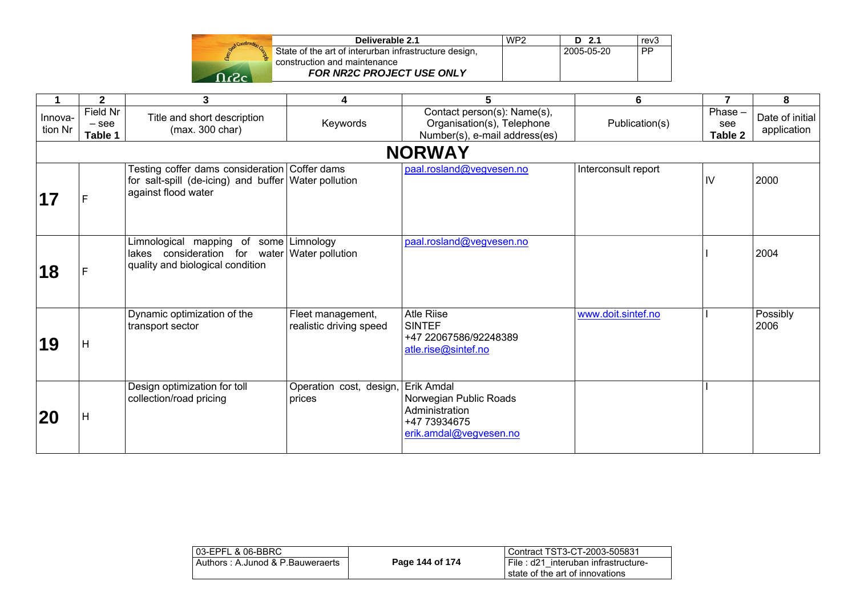| Deliverable 2.1                                       | WP <sub>2</sub> | D 2.1      | rev3      |
|-------------------------------------------------------|-----------------|------------|-----------|
| State of the art of interurban infrastructure design, |                 | 2005-05-20 | <b>PP</b> |
| construction and maintenance                          |                 |            |           |
| <b>FOR NR2C PROJECT USE ONLY</b>                      |                 |            |           |

| 1                  | $\mathbf{2}$                   | 3                                                                                                                            | 4                                            | 5                                                                                          | 6                   | $\overline{7}$            | 8                              |
|--------------------|--------------------------------|------------------------------------------------------------------------------------------------------------------------------|----------------------------------------------|--------------------------------------------------------------------------------------------|---------------------|---------------------------|--------------------------------|
| Innova-<br>tion Nr | Field Nr<br>$-$ see<br>Table 1 | Title and short description<br>(max. 300 char)                                                                               | Keywords                                     | Contact person(s): Name(s),<br>Organisation(s), Telephone<br>Number(s), e-mail address(es) | Publication(s)      | Phase -<br>see<br>Table 2 | Date of initial<br>application |
|                    |                                |                                                                                                                              |                                              | <b>NORWAY</b>                                                                              |                     |                           |                                |
| 17                 | F                              | Festing coffer dams consideration Coffer dams<br>for salt-spill (de-icing) and buffer Water pollution<br>against flood water |                                              | paal.rosland@vegvesen.no                                                                   | Interconsult report | IV                        | 2000                           |
| 18                 | F                              | Limnological mapping<br>lakes consideration for water Water pollution<br>quality and biological condition                    | of some Limnology                            | paal.rosland@vegvesen.no                                                                   |                     |                           | 2004                           |
| 19                 | Н                              | Dynamic optimization of the<br>transport sector                                                                              | Fleet management,<br>realistic driving speed | <b>Atle Riise</b><br><b>SINTEF</b><br>+47 22067586/92248389<br>atle.rise@sintef.no         | www.doit.sintef.no  |                           | Possibly<br>2006               |
| 20                 | Н                              | Design optimization for toll<br>collection/road pricing                                                                      | Operation cost, design, Erik Amdal<br>prices | Norwegian Public Roads<br>Administration<br>+47 73934675<br>erik.amdal@vegvesen.no         |                     |                           |                                |

| 03-EPFL & 06-BBRC                |                 | Contract TST3-CT-2003-505831                                           |
|----------------------------------|-----------------|------------------------------------------------------------------------|
| Authors: A.Junod & P.Bauweraerts | Page 144 of 174 | File: d21 interuban infrastructure-<br>state of the art of innovations |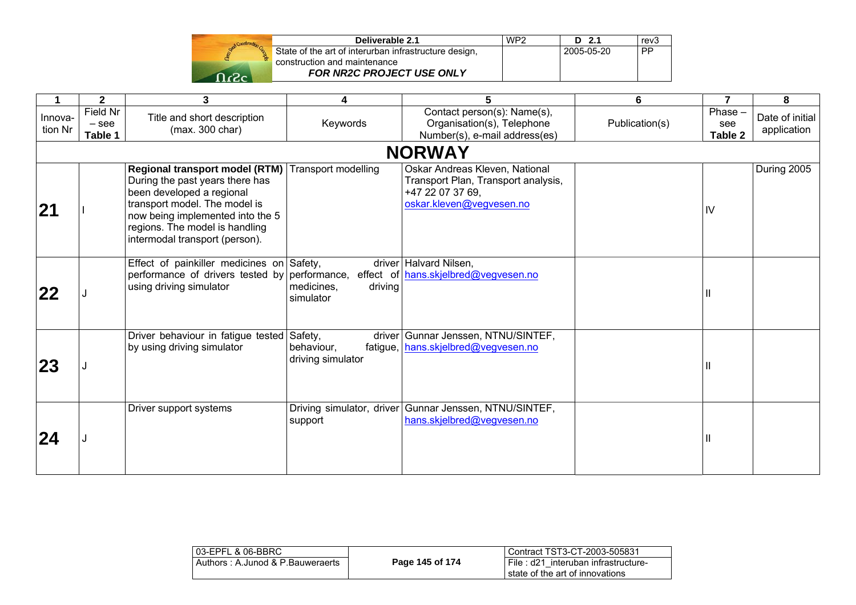| Deliverable 2.1                                                                       | WP <sub>2</sub> | D 2.1      | rev3      |
|---------------------------------------------------------------------------------------|-----------------|------------|-----------|
| State of the art of interurban infrastructure design,<br>construction and maintenance |                 | 2005-05-20 | <b>PP</b> |
| <b>FOR NR2C PROJECT USE ONLY</b>                                                      |                 |            |           |

|                    | $\mathbf{2}$                   | 3                                                                                                                                                                                                                                                             | 4                                  | 5                                                                                                                     | 6              | 7                        | 8                              |
|--------------------|--------------------------------|---------------------------------------------------------------------------------------------------------------------------------------------------------------------------------------------------------------------------------------------------------------|------------------------------------|-----------------------------------------------------------------------------------------------------------------------|----------------|--------------------------|--------------------------------|
| Innova-<br>tion Nr | Field Nr<br>$-$ see<br>Table 1 | Title and short description<br>(max. 300 char)                                                                                                                                                                                                                | Keywords                           | Contact person(s): Name(s),<br>Organisation(s), Telephone<br>Number(s), e-mail address(es)                            | Publication(s) | Phase-<br>see<br>Table 2 | Date of initial<br>application |
|                    |                                |                                                                                                                                                                                                                                                               |                                    | <b>NORWAY</b>                                                                                                         |                |                          |                                |
| 21                 |                                | Regional transport model (RTM)   Transport modelling<br>During the past years there has<br>been developed a regional<br>transport model. The model is<br>now being implemented into the 5<br>regions. The model is handling<br>intermodal transport (person). |                                    | Oskar Andreas Kleven, National<br>Transport Plan, Transport analysis,<br>+47 22 07 37 69.<br>oskar.kleven@vegvesen.no |                | IV                       | During 2005                    |
| 122                |                                | Effect of painkiller medicines on Safety,<br>performance of drivers tested by performance,<br>using driving simulator                                                                                                                                         | medicines,<br>driving<br>simulator | driver Halvard Nilsen,<br>effect of hans.skjelbred@vegvesen.no                                                        |                |                          |                                |
| <b>23</b>          |                                | Driver behaviour in fatigue tested Safety,<br>by using driving simulator                                                                                                                                                                                      | behaviour,<br>driving simulator    | driver Gunnar Jenssen, NTNU/SINTEF,<br>fatigue, hans.skjelbred@vegvesen.no                                            |                |                          |                                |
| 24                 |                                | Driver support systems                                                                                                                                                                                                                                        | support                            | Driving simulator, driver   Gunnar Jenssen, NTNU/SINTEF,<br>hans.skjelbred@vegvesen.no                                |                |                          |                                |

| l 03-EPFL & 06-BBRC              |                 | Contract TST3-CT-2003-505831          |
|----------------------------------|-----------------|---------------------------------------|
| Authors: A.Junod & P.Bauweraerts | Page 145 of 174 | I File: d21 interuban infrastructure- |
|                                  |                 | state of the art of innovations       |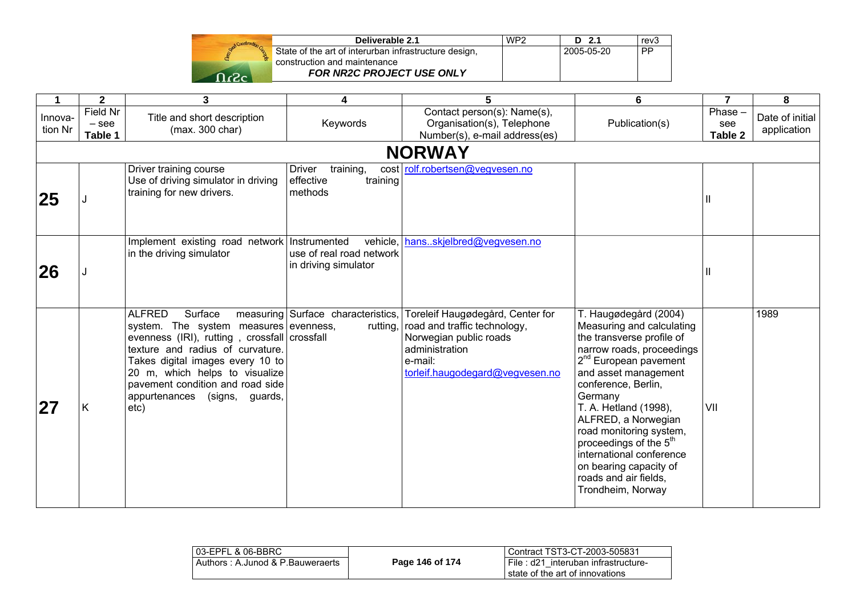|       | Del                        |
|-------|----------------------------|
|       | State of the art of interu |
|       | construction and mainte    |
| $T_c$ | <b>FOR NR2C F</b>          |

| Deliverable 2.1                                       | WP <sub>2</sub> | D 2.1      | rev3 |  |
|-------------------------------------------------------|-----------------|------------|------|--|
| State of the art of interurban infrastructure design, |                 | 2005-05-20 | PP   |  |
| construction and maintenance                          |                 |            |      |  |
| <b>FOR NR2C PROJECT USE ONLY</b>                      |                 |            |      |  |

| 1                  | $\mathbf{2}$                   | 3                                                                                                                                                                                                                                                                                                        | 4                                                            | 5                                                                                                                                                          | 6                                                                                                                                                                                                                                                                                                                                                                                                                                | $\overline{7}$           | 8                              |
|--------------------|--------------------------------|----------------------------------------------------------------------------------------------------------------------------------------------------------------------------------------------------------------------------------------------------------------------------------------------------------|--------------------------------------------------------------|------------------------------------------------------------------------------------------------------------------------------------------------------------|----------------------------------------------------------------------------------------------------------------------------------------------------------------------------------------------------------------------------------------------------------------------------------------------------------------------------------------------------------------------------------------------------------------------------------|--------------------------|--------------------------------|
| Innova-<br>tion Nr | Field Nr<br>$-$ see<br>Table 1 | Title and short description<br>(max. 300 char)                                                                                                                                                                                                                                                           | Keywords                                                     | Contact person(s): Name(s),<br>Organisation(s), Telephone<br>Number(s), e-mail address(es)                                                                 | Publication(s)                                                                                                                                                                                                                                                                                                                                                                                                                   | Phase-<br>see<br>Table 2 | Date of initial<br>application |
|                    |                                |                                                                                                                                                                                                                                                                                                          |                                                              | <b>NORWAY</b>                                                                                                                                              |                                                                                                                                                                                                                                                                                                                                                                                                                                  |                          |                                |
| 25                 |                                | Driver training course<br>Use of driving simulator in driving<br>training for new drivers.                                                                                                                                                                                                               | training,<br>Driver<br>effective<br>training<br>methods      | cost rolf.robertsen@vegvesen.no                                                                                                                            |                                                                                                                                                                                                                                                                                                                                                                                                                                  |                          |                                |
| 26                 |                                | Implement existing road network   Instrumented<br>in the driving simulator                                                                                                                                                                                                                               | vehicle,<br>use of real road network<br>in driving simulator | hansskjelbred@vegvesen.no                                                                                                                                  |                                                                                                                                                                                                                                                                                                                                                                                                                                  | Ш                        |                                |
| 27                 | Κ                              | <b>ALFRED</b><br>Surface<br>system. The system measures evenness,<br>evenness (IRI), rutting, crossfall crossfall<br>texture and radius of curvature.<br>Takes digital images every 10 to<br>20 m, which helps to visualize<br>pavement condition and road side<br>appurtenances (signs, guards,<br>etc) | measuring Surface characteristics.<br>rutting, I             | Toreleif Haugødegård, Center for<br>road and traffic technology,<br>Norwegian public roads<br>administration<br>e-mail:<br>torleif.haugodegard@vegvesen.no | T. Haugødegård (2004)<br>Measuring and calculating<br>the transverse profile of<br>narrow roads, proceedings<br>2 <sup>nd</sup> European pavement<br>and asset management<br>conference, Berlin,<br>Germany<br>T. A. Hetland (1998),<br>ALFRED, a Norwegian<br>road monitoring system,<br>proceedings of the 5 <sup>th</sup><br>international conference<br>on bearing capacity of<br>roads and air fields,<br>Trondheim, Norway | VII                      | 1989                           |

| l 03-EPFL & 06-BBRC_             |                 | l Contract TST3-CT-2003-505831                                            |
|----------------------------------|-----------------|---------------------------------------------------------------------------|
| Authors: A.Junod & P.Bauweraerts | Page 146 of 174 | i File : d21 interuban infrastructure-<br>state of the art of innovations |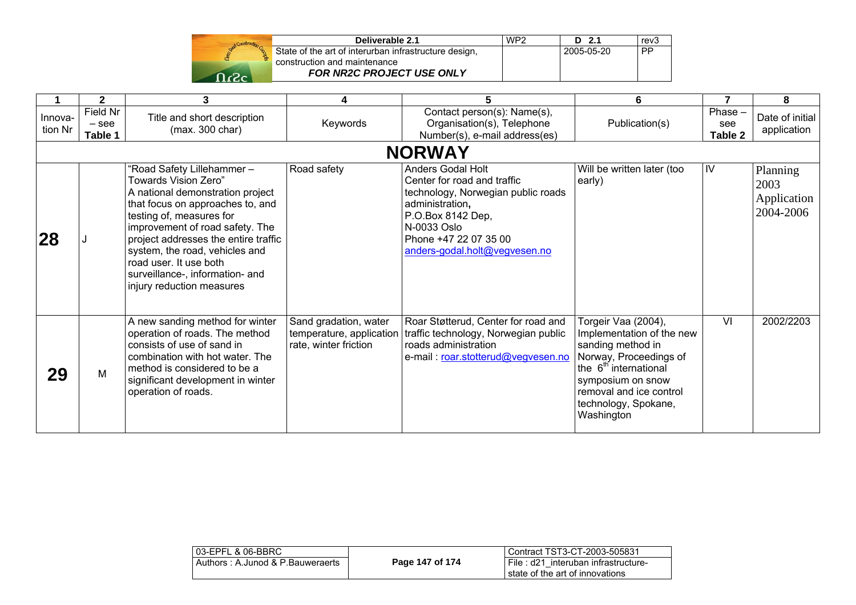|                     | <b>Deliy</b>                |
|---------------------|-----------------------------|
|                     | State of the art of interur |
|                     | construction and mainter    |
| $\Omega$ c $\Omega$ | <b>FOR NR2C PF</b>          |
|                     |                             |

| Deliverable 2.1                                       | WP <sub>2</sub> | D 2.1      | rev3      |  |
|-------------------------------------------------------|-----------------|------------|-----------|--|
| State of the art of interurban infrastructure design, |                 | 2005-05-20 | <b>PP</b> |  |
| construction and maintenance                          |                 |            |           |  |
| <b>FOR NR2C PROJECT USE ONLY</b>                      |                 |            |           |  |

|                    | $\mathbf{2}$                   | 3                                                                                                                                                                                                                                                                                                                                                            | 4                                                                          | 5.                                                                                                                                                                                                      | 6                                                                                                                                                                                                                          |                          | 8                                            |
|--------------------|--------------------------------|--------------------------------------------------------------------------------------------------------------------------------------------------------------------------------------------------------------------------------------------------------------------------------------------------------------------------------------------------------------|----------------------------------------------------------------------------|---------------------------------------------------------------------------------------------------------------------------------------------------------------------------------------------------------|----------------------------------------------------------------------------------------------------------------------------------------------------------------------------------------------------------------------------|--------------------------|----------------------------------------------|
| Innova-<br>tion Nr | Field Nr<br>$-$ see<br>Table 1 | Title and short description<br>(max. 300 char)                                                                                                                                                                                                                                                                                                               | Keywords                                                                   | Contact person(s): Name(s),<br>Organisation(s), Telephone<br>Number(s), e-mail address(es)                                                                                                              | Publication(s)                                                                                                                                                                                                             | Phase-<br>see<br>Table 2 | Date of initial<br>application               |
|                    |                                |                                                                                                                                                                                                                                                                                                                                                              |                                                                            | <b>NORWAY</b>                                                                                                                                                                                           |                                                                                                                                                                                                                            |                          |                                              |
| 28                 |                                | "Road Safety Lillehammer-<br>Towards Vision Zero"<br>A national demonstration project<br>that focus on approaches to, and<br>testing of, measures for<br>improvement of road safety. The<br>project addresses the entire traffic<br>system, the road, vehicles and<br>road user. It use both<br>surveillance-, information- and<br>injury reduction measures | Road safety                                                                | Anders Godal Holt<br>Center for road and traffic<br>technology, Norwegian public roads<br>administration,<br>P.O.Box 8142 Dep,<br>N-0033 Oslo<br>Phone +47 22 07 35 00<br>anders-godal.holt@vegvesen.no | Will be written later (too<br>early)                                                                                                                                                                                       | IV                       | Planning<br>2003<br>Application<br>2004-2006 |
| 29                 | M                              | A new sanding method for winter<br>operation of roads. The method<br>consists of use of sand in<br>combination with hot water. The<br>method is considered to be a<br>significant development in winter<br>operation of roads.                                                                                                                               | Sand gradation, water<br>temperature, application<br>rate, winter friction | Roar Støtterud, Center for road and<br>traffic technology, Norwegian public<br>roads administration<br>e-mail: roar.stotterud@vegvesen.no                                                               | Torgeir Vaa (2004),<br>Implementation of the new<br>sanding method in<br>Norway, Proceedings of<br>the 6 <sup>th</sup> international<br>symposium on snow<br>removal and ice control<br>technology, Spokane,<br>Washington | VI                       | 2002/2203                                    |

| l 03-EPFL & 06-BBRC_             |                 | Contract TST3-CT-2003-505831                                                  |
|----------------------------------|-----------------|-------------------------------------------------------------------------------|
| Authors: A.Junod & P.Bauweraerts | Page 147 of 174 | <b>File: d21 interuban infrastructure-</b><br>state of the art of innovations |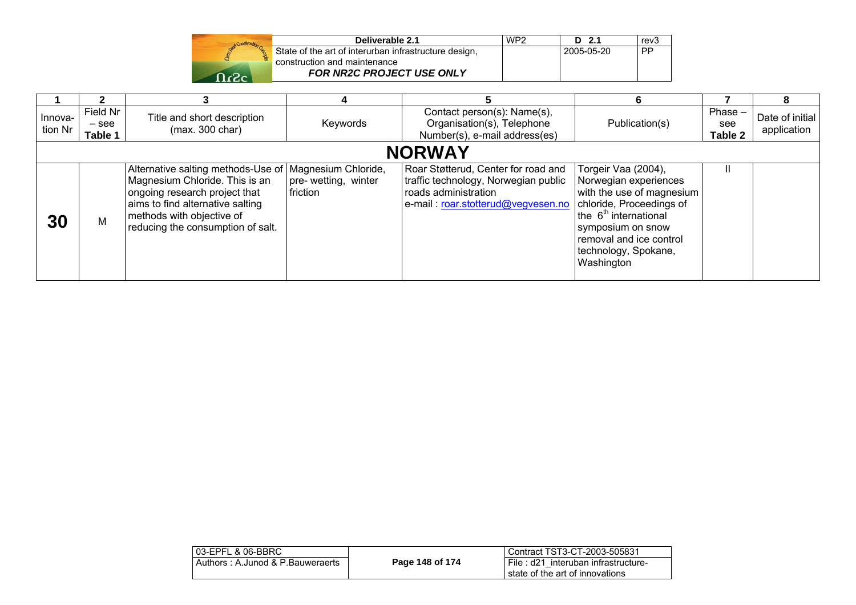| Send Construction Co. |  |
|-----------------------|--|
|                       |  |
| r2.                   |  |

| Deliverable 2.1                                       | WP <sub>2</sub> | D 2.1      | rev3      |
|-------------------------------------------------------|-----------------|------------|-----------|
| State of the art of interurban infrastructure design, |                 | 2005-05-20 | <b>PP</b> |
| construction and maintenance                          |                 |            |           |
| <b>FOR NR2C PROJECT USE ONLY</b>                      |                 |            |           |

|                    |                                |                                                                                                                                                                                                                                   |                                 |                                                                                                                                           | 6                                                                                                                                                                                                                                |                             | 8                              |
|--------------------|--------------------------------|-----------------------------------------------------------------------------------------------------------------------------------------------------------------------------------------------------------------------------------|---------------------------------|-------------------------------------------------------------------------------------------------------------------------------------------|----------------------------------------------------------------------------------------------------------------------------------------------------------------------------------------------------------------------------------|-----------------------------|--------------------------------|
| Innova-<br>tion Nr | Field Nr<br>$-$ see<br>Table 1 | Title and short description<br>(max. 300 char)                                                                                                                                                                                    | Keywords                        | Contact person(s): Name(s),<br>Organisation(s), Telephone<br>Number(s), e-mail address(es)                                                | Publication(s)                                                                                                                                                                                                                   | Phase $-$<br>see<br>Table 2 | Date of initial<br>application |
| <b>NORWAY</b>      |                                |                                                                                                                                                                                                                                   |                                 |                                                                                                                                           |                                                                                                                                                                                                                                  |                             |                                |
| <b>30</b>          | M                              | Alternative salting methods-Use of   Magnesium Chloride,<br>Magnesium Chloride. This is an<br>ongoing research project that<br>aims to find alternative salting<br>methods with objective of<br>reducing the consumption of salt. | pre-wetting, winter<br>friction | Roar Støtterud, Center for road and<br>traffic technology, Norwegian public<br>roads administration<br>e-mail: roar.stotterud@vegvesen.no | Torgeir Vaa (2004),<br>Norwegian experiences<br>with the use of magnesium<br>chloride, Proceedings of<br>the 6 <sup>th</sup> international<br>symposium on snow<br>removal and ice control<br>technology, Spokane,<br>Washington |                             |                                |

| 03-EPFL & 06-BBRC                |                 | l Contract TST3-CT-2003-505831                                           |
|----------------------------------|-----------------|--------------------------------------------------------------------------|
| Authors: A.Junod & P.Bauweraerts | Page 148 of 174 | File: d21 interuban infrastructure-<br>I state of the art of innovations |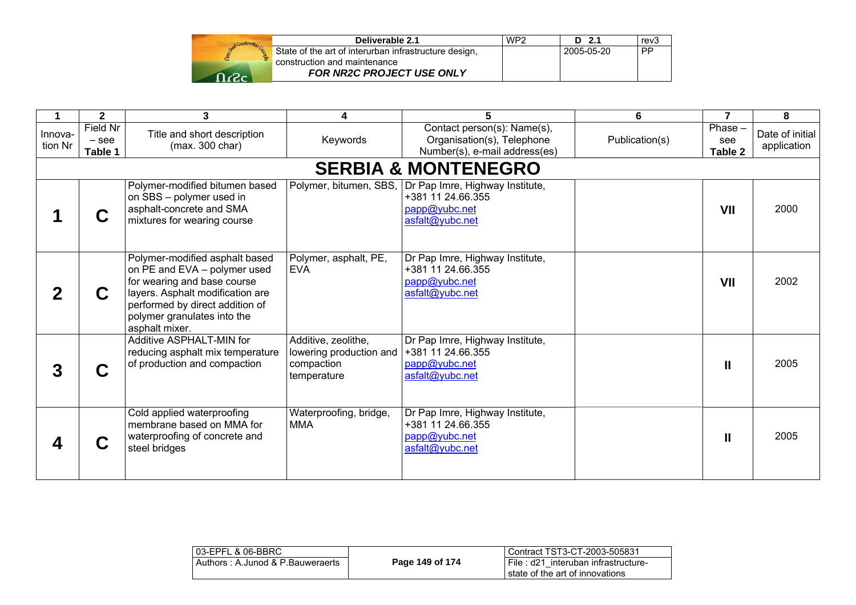|      | Deliverable 2.1                                       | WP <sub>2</sub> | D 2.1      | rev3      |
|------|-------------------------------------------------------|-----------------|------------|-----------|
|      | State of the art of interurban infrastructure design, |                 | 2005-05-20 | <b>PP</b> |
|      | construction and maintenance                          |                 |            |           |
| 0.2c | FOR NR2C PROJECT USE ONLY                             |                 |            |           |

|                    | $\mathbf{2}$                   | 3                                                                                                                                                                                                                     | 4                                                                           | 5                                                                                                               | 6              | $\overline{7}$            | 8                              |
|--------------------|--------------------------------|-----------------------------------------------------------------------------------------------------------------------------------------------------------------------------------------------------------------------|-----------------------------------------------------------------------------|-----------------------------------------------------------------------------------------------------------------|----------------|---------------------------|--------------------------------|
| Innova-<br>tion Nr | Field Nr<br>$-$ see<br>Table 1 | Title and short description<br>(max. 300 char)                                                                                                                                                                        | Keywords                                                                    | Contact person(s): Name(s),<br>Organisation(s), Telephone<br>Number(s), e-mail address(es)                      | Publication(s) | Phase -<br>see<br>Table 2 | Date of initial<br>application |
|                    |                                |                                                                                                                                                                                                                       |                                                                             | <b>SERBIA &amp; MONTENEGRO</b>                                                                                  |                |                           |                                |
|                    |                                | Polymer-modified bitumen based<br>on SBS - polymer used in<br>asphalt-concrete and SMA<br>mixtures for wearing course                                                                                                 |                                                                             | Polymer, bitumen, SBS, Dr Pap Imre, Highway Institute,<br>+381 11 24.66.355<br>papp@yubc.net<br>asfalt@yubc.net |                | VII                       | 2000                           |
|                    | C                              | Polymer-modified asphalt based<br>on PE and EVA - polymer used<br>for wearing and base course<br>layers. Asphalt modification are<br>performed by direct addition of<br>polymer granulates into the<br>asphalt mixer. | Polymer, asphalt, PE,<br><b>EVA</b>                                         | Dr Pap Imre, Highway Institute,<br>+381 11 24.66.355<br>papp@yubc.net<br>asfalt@yubc.net                        |                | VII                       | 2002                           |
|                    | C                              | <b>Additive ASPHALT-MIN for</b><br>reducing asphalt mix temperature<br>of production and compaction                                                                                                                   | Additive, zeolithe,<br>lowering production and<br>compaction<br>temperature | Dr Pap Imre, Highway Institute,<br>+381 11 24.66.355<br>papp@yubc.net<br>asfalt@yubc.net                        |                | $\mathbf{I}$              | 2005                           |
|                    | C                              | Cold applied waterproofing<br>membrane based on MMA for<br>waterproofing of concrete and<br>steel bridges                                                                                                             | Waterproofing, bridge,<br><b>MMA</b>                                        | Dr Pap Imre, Highway Institute,<br>+381 11 24.66.355<br>papp@yubc.net<br>asfalt@yubc.net                        |                | $\mathbf{I}$              | 2005                           |

| 03-EPFL & 06-BBRC                |                 | Contract TST3-CT-2003-505831                                              |
|----------------------------------|-----------------|---------------------------------------------------------------------------|
| Authors: A.Junod & P.Bauweraerts | Page 149 of 174 | I File : d21 interuban infrastructure-<br>state of the art of innovations |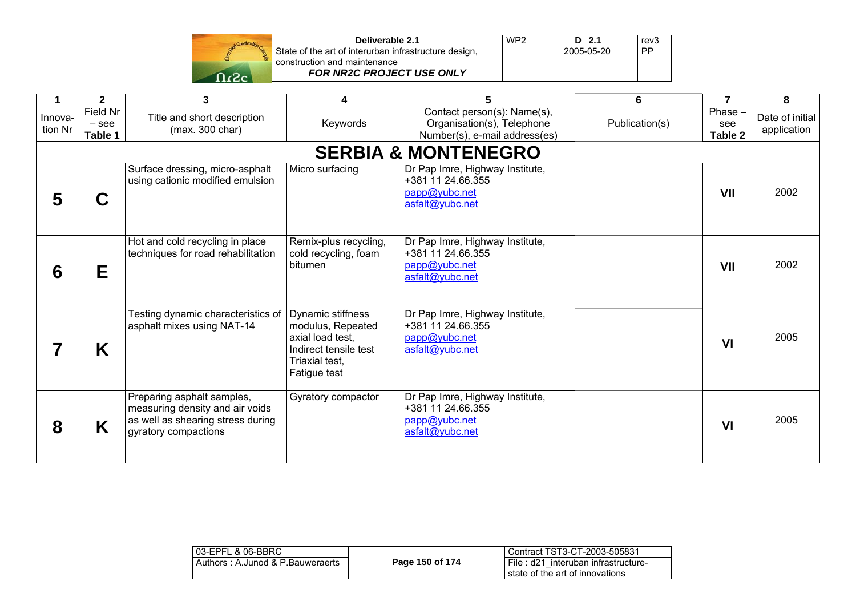

| Deliverable 2.1                                       | WP <sub>2</sub> | $D$ 2.1      | rev <sub>3</sub> |
|-------------------------------------------------------|-----------------|--------------|------------------|
| State of the art of interurban infrastructure design, |                 | l 2005-05-20 | <b>PP</b>        |
| construction and maintenance                          |                 |              |                  |
| <b>FOR NR2C PROJECT USE ONLY</b>                      |                 |              |                  |
|                                                       |                 |              |                  |

| 1                  | $\mathbf{2}$                   | 3                                                                                                                          | 4                                                                                                                            | 5                                                                                          | 6              | $\overline{7}$            | 8                              |
|--------------------|--------------------------------|----------------------------------------------------------------------------------------------------------------------------|------------------------------------------------------------------------------------------------------------------------------|--------------------------------------------------------------------------------------------|----------------|---------------------------|--------------------------------|
| Innova-<br>tion Nr | Field Nr<br>$-$ see<br>Table 1 | Title and short description<br>(max. 300 char)                                                                             | Keywords                                                                                                                     | Contact person(s): Name(s),<br>Organisation(s), Telephone<br>Number(s), e-mail address(es) | Publication(s) | Phase -<br>see<br>Table 2 | Date of initial<br>application |
|                    |                                |                                                                                                                            |                                                                                                                              | <b>SERBIA &amp; MONTENEGRO</b>                                                             |                |                           |                                |
| 5                  | C                              | Surface dressing, micro-asphalt<br>using cationic modified emulsion                                                        | Micro surfacing                                                                                                              | Dr Pap Imre, Highway Institute,<br>+381 11 24.66.355<br>papp@yubc.net<br>asfalt@yubc.net   |                | VII                       | 2002                           |
| 6                  | Е                              | Hot and cold recycling in place<br>techniques for road rehabilitation                                                      | Remix-plus recycling,<br>cold recycling, foam<br>bitumen                                                                     | Dr Pap Imre, Highway Institute,<br>+381 11 24.66.355<br>papp@yubc.net<br>asfalt@yubc.net   |                | VII                       | 2002                           |
|                    | K                              | Festing dynamic characteristics of<br>asphalt mixes using NAT-14                                                           | <b>Dynamic stiffness</b><br>modulus, Repeated<br>axial load test,<br>Indirect tensile test<br>Triaxial test,<br>Fatigue test | Dr Pap Imre, Highway Institute,<br>+381 11 24.66.355<br>papp@yubc.net<br>asfalt@yubc.net   |                | VI                        | 2005                           |
| 8                  | K                              | Preparing asphalt samples,<br>measuring density and air voids<br>as well as shearing stress during<br>gyratory compactions | Gyratory compactor                                                                                                           | Dr Pap Imre, Highway Institute,<br>+381 11 24.66.355<br>papp@yubc.net<br>asfalt@yubc.net   |                | VI                        | 2005                           |

| 103-EPFL & 06-BBRC               |                 | Contract TST3-CT-2003-505831        |
|----------------------------------|-----------------|-------------------------------------|
| Authors: A.Junod & P.Bauweraerts | Page 150 of 174 | File: d21 interuban infrastructure- |
|                                  |                 | state of the art of innovations     |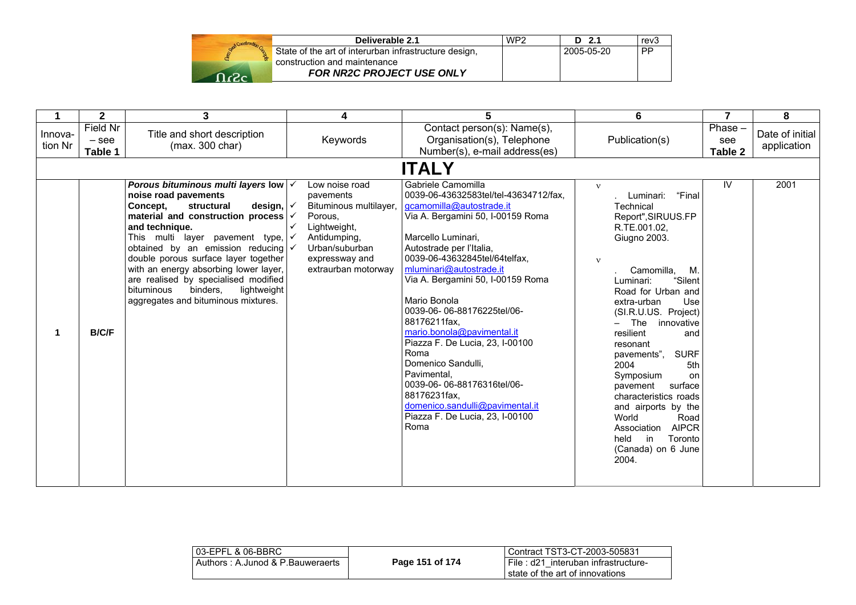|        | Deliverable 2.1                                       | WP2 | - 2.1<br>n. | rev3      |
|--------|-------------------------------------------------------|-----|-------------|-----------|
|        | State of the art of interurban infrastructure design, |     | 2005-05-20  | <b>PP</b> |
|        | construction and maintenance                          |     |             |           |
| - ר- ר | <b>FOR NR2C PROJECT USE ONLY</b>                      |     |             |           |

|                    | $\mathbf{2}$                   | 3                                                                                                                                                                                                                                                                                                                                                                                                                                                                                   | 4                                                                                                                                                                           | 5                                                                                                                                                                                                                                                                                                                                                                                                                                                                                                                                                                                       | 6                                                                                                                                                                                                                                                                                                                                                                                                                                                                                                                                                 | $\overline{7}$            | 8                              |
|--------------------|--------------------------------|-------------------------------------------------------------------------------------------------------------------------------------------------------------------------------------------------------------------------------------------------------------------------------------------------------------------------------------------------------------------------------------------------------------------------------------------------------------------------------------|-----------------------------------------------------------------------------------------------------------------------------------------------------------------------------|-----------------------------------------------------------------------------------------------------------------------------------------------------------------------------------------------------------------------------------------------------------------------------------------------------------------------------------------------------------------------------------------------------------------------------------------------------------------------------------------------------------------------------------------------------------------------------------------|---------------------------------------------------------------------------------------------------------------------------------------------------------------------------------------------------------------------------------------------------------------------------------------------------------------------------------------------------------------------------------------------------------------------------------------------------------------------------------------------------------------------------------------------------|---------------------------|--------------------------------|
| Innova-<br>tion Nr | Field Nr<br>$-$ see<br>Table 1 | Title and short description<br>(max. 300 char)                                                                                                                                                                                                                                                                                                                                                                                                                                      | Keywords                                                                                                                                                                    | Contact person(s): Name(s),<br>Organisation(s), Telephone<br>Number(s), e-mail address(es)                                                                                                                                                                                                                                                                                                                                                                                                                                                                                              | Publication(s)                                                                                                                                                                                                                                                                                                                                                                                                                                                                                                                                    | Phase -<br>see<br>Table 2 | Date of initial<br>application |
|                    |                                |                                                                                                                                                                                                                                                                                                                                                                                                                                                                                     |                                                                                                                                                                             | <b>ITALY</b>                                                                                                                                                                                                                                                                                                                                                                                                                                                                                                                                                                            |                                                                                                                                                                                                                                                                                                                                                                                                                                                                                                                                                   |                           |                                |
|                    | <b>B/C/F</b>                   | Porous bituminous multi layers low $\sqrt{}$<br>noise road pavements<br>Concept,<br>structural<br>design, $\sqrt{}$<br>material and construction process $\sqrt{\ }$<br>and technique.<br>This multi layer pavement type,<br>obtained by an emission reducing $\checkmark$<br>double porous surface layer together<br>with an energy absorbing lower layer,<br>are realised by specialised modified<br>bituminous<br>binders,<br>lightweight<br>aggregates and bituminous mixtures. | Low noise road<br>pavements<br>Bituminous multilayer,<br>Porous.<br>Lightweight,<br>Antidumping,<br>$\checkmark$<br>Urban/suburban<br>expressway and<br>extraurban motorway | Gabriele Camomilla<br>0039-06-43632583tel/tel-43634712/fax,<br>gcamomilla@autostrade.it<br>Via A. Bergamini 50, I-00159 Roma<br>Marcello Luminari,<br>Autostrade per l'Italia,<br>0039-06-43632845tel/64telfax,<br>mluminari@autostrade.it<br>Via A. Bergamini 50, I-00159 Roma<br>Mario Bonola<br>0039-06-06-88176225tel/06-<br>88176211fax.<br>mario.bonola@pavimental.it<br>Piazza F. De Lucia, 23, I-00100<br>Roma<br>Domenico Sandulli,<br>Pavimental,<br>0039-06-06-88176316tel/06-<br>88176231fax,<br>domenico.sandulli@pavimental.it<br>Piazza F. De Lucia, 23, I-00100<br>Roma | $\mathbf{v}$<br>"Final<br>Luminari:<br>Technical<br>Report", SIRUUS.FP<br>R.TE.001.02,<br>Giugno 2003.<br>$\mathbf{v}$<br>Camomilla,<br>М.<br>"Silent<br>Luminari:<br>Road for Urban and<br>extra-urban<br>Use<br>(SI.R.U.US. Project)<br>The<br>innovative<br>$-$<br>resilient<br>and<br>resonant<br><b>SURF</b><br>pavements".<br>2004<br>5th<br>Symposium<br>on<br>surface<br>pavement<br>characteristics roads<br>and airports by the<br>World<br>Road<br><b>AIPCR</b><br>Association<br>held<br>Toronto<br>in<br>(Canada) on 6 June<br>2004. | IV                        | 2001                           |

| 03-EPFL & 06-BBRC                |                 | Contract TST3-CT-2003-505831                                           |
|----------------------------------|-----------------|------------------------------------------------------------------------|
| Authors: A.Junod & P.Bauweraerts | Page 151 of 174 | File: d21 interuban infrastructure-<br>state of the art of innovations |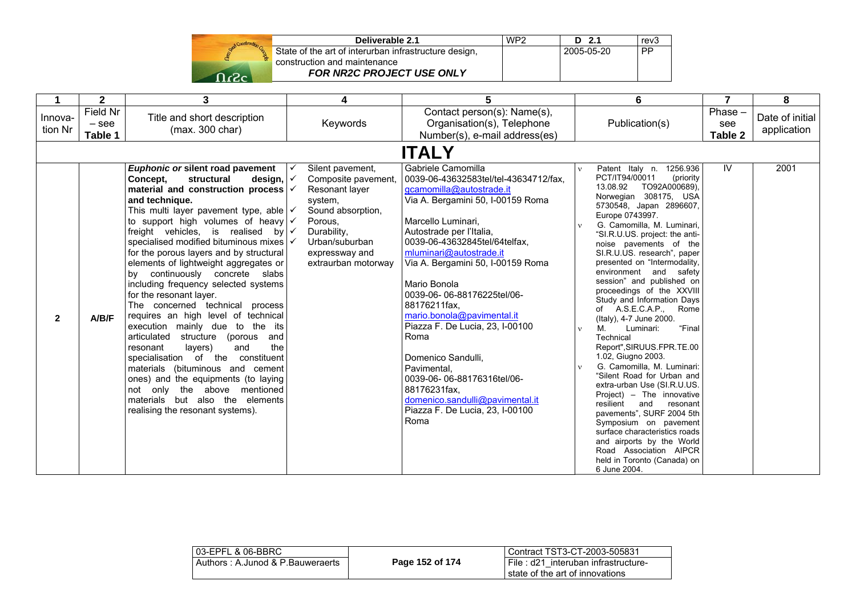

| Deliverable 2.1                                       | WP <sub>2</sub> | $D$ 2.1    | rev3 |
|-------------------------------------------------------|-----------------|------------|------|
| State of the art of interurban infrastructure design, |                 | 2005-05-20 | PP   |
| construction and maintenance                          |                 |            |      |
| <b>FOR NR2C PROJECT USE ONLY</b>                      |                 |            |      |

|                    | $\mathbf{2}$                   | 3                                                                                                                                                                                                                                                                                                                                                                                                                                                                                                                                                                                                                                                                                                                                                                                                                                                                                                                                                                  | 4                                                                                                                                                                              | 5                                                                                                                                                                                                                                                                                                                                                                                                                                                                                                                                                                                       | 6                                                                                                                                                                                                                                                                                                                                                                                                                                                                                                                                                                                                                                                                                                                                                                                                                                                                                                                                                  | 7                           | 8                              |  |
|--------------------|--------------------------------|--------------------------------------------------------------------------------------------------------------------------------------------------------------------------------------------------------------------------------------------------------------------------------------------------------------------------------------------------------------------------------------------------------------------------------------------------------------------------------------------------------------------------------------------------------------------------------------------------------------------------------------------------------------------------------------------------------------------------------------------------------------------------------------------------------------------------------------------------------------------------------------------------------------------------------------------------------------------|--------------------------------------------------------------------------------------------------------------------------------------------------------------------------------|-----------------------------------------------------------------------------------------------------------------------------------------------------------------------------------------------------------------------------------------------------------------------------------------------------------------------------------------------------------------------------------------------------------------------------------------------------------------------------------------------------------------------------------------------------------------------------------------|----------------------------------------------------------------------------------------------------------------------------------------------------------------------------------------------------------------------------------------------------------------------------------------------------------------------------------------------------------------------------------------------------------------------------------------------------------------------------------------------------------------------------------------------------------------------------------------------------------------------------------------------------------------------------------------------------------------------------------------------------------------------------------------------------------------------------------------------------------------------------------------------------------------------------------------------------|-----------------------------|--------------------------------|--|
| Innova-<br>tion Nr | Field Nr<br>$-$ see<br>Table 1 | Title and short description<br>(max. 300 char)                                                                                                                                                                                                                                                                                                                                                                                                                                                                                                                                                                                                                                                                                                                                                                                                                                                                                                                     | Keywords                                                                                                                                                                       | Contact person(s): Name(s),<br>Organisation(s), Telephone<br>Number(s), e-mail address(es)                                                                                                                                                                                                                                                                                                                                                                                                                                                                                              | Publication(s)                                                                                                                                                                                                                                                                                                                                                                                                                                                                                                                                                                                                                                                                                                                                                                                                                                                                                                                                     | Phase $-$<br>see<br>Table 2 | Date of initial<br>application |  |
|                    | <b>ITALY</b>                   |                                                                                                                                                                                                                                                                                                                                                                                                                                                                                                                                                                                                                                                                                                                                                                                                                                                                                                                                                                    |                                                                                                                                                                                |                                                                                                                                                                                                                                                                                                                                                                                                                                                                                                                                                                                         |                                                                                                                                                                                                                                                                                                                                                                                                                                                                                                                                                                                                                                                                                                                                                                                                                                                                                                                                                    |                             |                                |  |
| $\mathbf{2}$       | A/B/F                          | Euphonic or silent road pavement<br>Concept.<br>structural<br>design,<br>material and construction process $\sqrt{ }$<br>and technique.<br>This multi layer pavement type, able $\sqrt{}$<br>to support high volumes of heavy $\sqrt{\cdot}$<br>freight vehicles, is realised by $\sqrt{\sqrt{ }}$<br>specialised modified bituminous mixes   ✓<br>for the porous layers and by structural<br>elements of lightweight aggregates or<br>by continuously concrete slabs<br>including frequency selected systems<br>for the resonant layer.<br>The concerned technical process<br>requires an high level of technical<br>execution mainly due to the its<br>articulated<br>(porous<br>and<br>structure<br>the<br>and<br>layers)<br>resonant<br>specialisation of the<br>constituent<br>materials (bituminous and cement<br>ones) and the equipments (to laying<br>not only the above mentioned<br>materials but also the elements<br>realising the resonant systems). | Silent pavement,<br>Composite pavement,<br>Resonant layer<br>system,<br>Sound absorption,<br>Porous,<br>Durability,<br>Urban/suburban<br>expressway and<br>extraurban motorway | Gabriele Camomilla<br>0039-06-43632583tel/tel-43634712/fax,<br>gcamomilla@autostrade.it<br>Via A. Bergamini 50, I-00159 Roma<br>Marcello Luminari,<br>Autostrade per l'Italia,<br>0039-06-43632845tel/64telfax,<br>mluminari@autostrade.it<br>Via A. Bergamini 50, I-00159 Roma<br>Mario Bonola<br>0039-06-06-88176225tel/06-<br>88176211fax,<br>mario.bonola@pavimental.it<br>Piazza F. De Lucia, 23, I-00100<br>Roma<br>Domenico Sandulli,<br>Pavimental.<br>0039-06-06-88176316tel/06-<br>88176231fax.<br>domenico.sandulli@pavimental.it<br>Piazza F. De Lucia, 23, I-00100<br>Roma | Patent Italy n. 1256.936<br>PCT/IT94/00011<br>(priority)<br>TO92A000689),<br>13.08.92<br>Norwegian 308175, USA<br>5730548, Japan 2896607,<br>Europe 0743997.<br>G. Camomilla, M. Luminari,<br>"SI.R.U.US. project: the anti-<br>noise pavements of the<br>SI R U US. research", paper<br>presented on "Intermodality,<br>environment and safety<br>session" and published on<br>proceedings of the XXVIII<br>Study and Information Days<br>of A.S.E.C.A.P., Rome<br>(Italy), 4-7 June 2000.<br>"Final<br>M.<br>Luminari:<br>v<br>Technical<br>Report", SIRUUS.FPR.TE.00<br>1.02, Giugno 2003.<br>G. Camomilla, M. Luminari:<br>"Silent Road for Urban and<br>extra-urban Use (SI.R.U.US.<br>Project) - The innovative<br>resilient<br>and<br>resonant<br>pavements", SURF 2004 5th<br>Symposium on pavement<br>surface characteristics roads<br>and airports by the World<br>Road Association AIPCR<br>held in Toronto (Canada) on<br>6 June 2004. | IV                          | 2001                           |  |

| 03-EPFL & 06-BBRC                |                 | l Contract TST3-CT-2003-505831      |
|----------------------------------|-----------------|-------------------------------------|
| Authors: A.Junod & P.Bauweraerts | Page 152 of 174 | File: d21 interuban infrastructure- |
|                                  |                 | I state of the art of innovations   |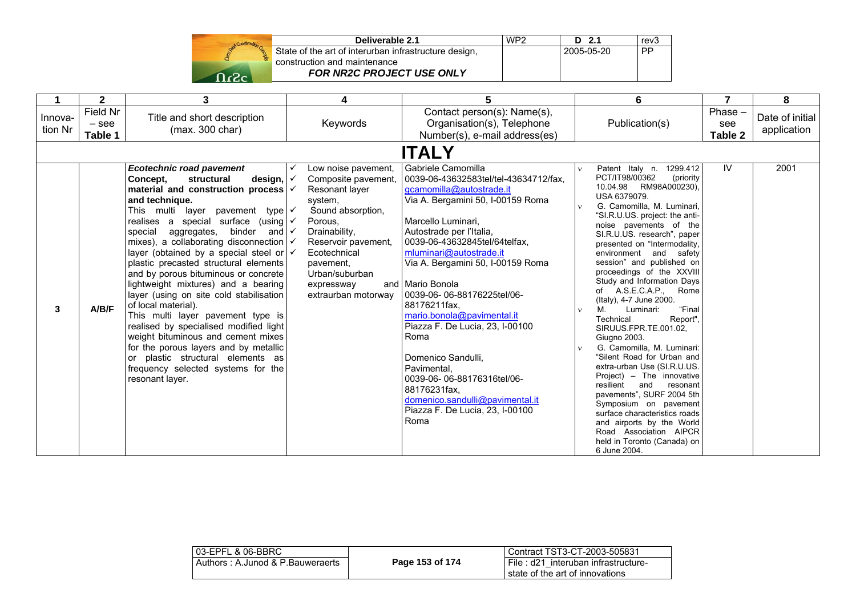

| Deliverable 2.1                                       | WP <sub>2</sub> | $D$ 2.1    | rev <sub>3</sub> |
|-------------------------------------------------------|-----------------|------------|------------------|
| State of the art of interurban infrastructure design, |                 | 2005-05-20 | PP               |
| construction and maintenance                          |                 |            |                  |
| <b>FOR NR2C PROJECT USE ONLY</b>                      |                 |            |                  |

|                    | $\mathbf{2}$                   | 3                                                                                                                                                                                                                                                                                                                                                                                                                                                                                                                                                                                                                                                                                                                                                                                                                                                             | 4                                                                                                                                                                                                                                   | 5                                                                                                                                                                                                                                                                                                                                                                                                                                                                                                                                                                                             | 6                                                                                                                                                                                                                                                                                                                                                                                                                                                                                                                                                                                                                                                                                                                                                                                                                                                                                              |                             | 8                              |
|--------------------|--------------------------------|---------------------------------------------------------------------------------------------------------------------------------------------------------------------------------------------------------------------------------------------------------------------------------------------------------------------------------------------------------------------------------------------------------------------------------------------------------------------------------------------------------------------------------------------------------------------------------------------------------------------------------------------------------------------------------------------------------------------------------------------------------------------------------------------------------------------------------------------------------------|-------------------------------------------------------------------------------------------------------------------------------------------------------------------------------------------------------------------------------------|-----------------------------------------------------------------------------------------------------------------------------------------------------------------------------------------------------------------------------------------------------------------------------------------------------------------------------------------------------------------------------------------------------------------------------------------------------------------------------------------------------------------------------------------------------------------------------------------------|------------------------------------------------------------------------------------------------------------------------------------------------------------------------------------------------------------------------------------------------------------------------------------------------------------------------------------------------------------------------------------------------------------------------------------------------------------------------------------------------------------------------------------------------------------------------------------------------------------------------------------------------------------------------------------------------------------------------------------------------------------------------------------------------------------------------------------------------------------------------------------------------|-----------------------------|--------------------------------|
| Innova-<br>tion Nr | Field Nr<br>$-$ see<br>Table 1 | Title and short description<br>(max. 300 char)                                                                                                                                                                                                                                                                                                                                                                                                                                                                                                                                                                                                                                                                                                                                                                                                                | Keywords                                                                                                                                                                                                                            | Contact person(s): Name(s),<br>Organisation(s), Telephone<br>Number(s), e-mail address(es)                                                                                                                                                                                                                                                                                                                                                                                                                                                                                                    | Publication(s)                                                                                                                                                                                                                                                                                                                                                                                                                                                                                                                                                                                                                                                                                                                                                                                                                                                                                 | $Phase -$<br>see<br>Table 2 | Date of initial<br>application |
|                    |                                |                                                                                                                                                                                                                                                                                                                                                                                                                                                                                                                                                                                                                                                                                                                                                                                                                                                               |                                                                                                                                                                                                                                     | <b>ITALY</b>                                                                                                                                                                                                                                                                                                                                                                                                                                                                                                                                                                                  |                                                                                                                                                                                                                                                                                                                                                                                                                                                                                                                                                                                                                                                                                                                                                                                                                                                                                                |                             |                                |
| 3                  | A/B/F                          | <b>Ecotechnic road pavement</b><br>design,<br>Concept.<br>structural<br>material and construction process $\sqrt{ }$<br>and technique.<br>This multi layer pavement type $\checkmark$<br>realises a special surface (using $\checkmark$<br>aggregates, binder and $\checkmark$<br>special<br>mixes), a collaborating disconnection $\sqrt{}$<br>layer (obtained by a special steel or $\sqrt{\sqrt{ }}$<br>plastic precasted structural elements<br>and by porous bituminous or concrete<br>lightweight mixtures) and a bearing<br>layer (using on site cold stabilisation<br>of local material).<br>This multi layer pavement type is<br>realised by specialised modified light<br>weight bituminous and cement mixes<br>for the porous layers and by metallic<br>or plastic structural elements as<br>frequency selected systems for the<br>resonant layer. | Low noise pavement,<br>Composite pavement,<br>Resonant layer<br>system,<br>Sound absorption,<br>Porous,<br>Drainability,<br>Reservoir pavement,<br>Ecotechnical<br>pavement.<br>Urban/suburban<br>expressway<br>extraurban motorway | l Gabriele Camomilla<br>0039-06-43632583tel/tel-43634712/fax.<br>gcamomilla@autostrade.it<br>Via A. Bergamini 50, I-00159 Roma<br>Marcello Luminari.<br>Autostrade per l'Italia,<br>0039-06-43632845tel/64telfax,<br>mluminari@autostrade.it<br>Via A. Bergamini 50, I-00159 Roma<br>and Mario Bonola<br>0039-06-06-88176225tel/06-<br>88176211fax,<br>mario.bonola@pavimental.it<br>Piazza F. De Lucia, 23, I-00100<br>Roma<br>Domenico Sandulli,<br>Pavimental.<br>0039-06-06-88176316tel/06-<br>88176231fax,<br>domenico.sandulli@pavimental.it<br>Piazza F. De Lucia, 23, I-00100<br>Roma | Patent Italy n. 1299.412<br>v.<br>PCT/IT98/00362<br>(priority)<br>10.04.98 RM98A000230),<br>USA 6379079.<br>G. Camomilla, M. Luminari,<br>"SI.R.U.US. project: the anti-<br>noise pavements of the<br>SI.R.U.US. research", paper<br>presented on "Intermodality,<br>environment and safety<br>session" and published on<br>proceedings of the XXVIII<br>Study and Information Days<br>of A.S.E.C.A.P.,<br>Rome<br>(Italy), 4-7 June 2000.<br>M.<br>"Final<br>Luminari:<br>Technical<br>Report",<br>SIRUUS.FPR.TE.001.02,<br>Giugno 2003.<br>G. Camomilla, M. Luminari:<br>"Silent Road for Urban and<br>extra-urban Use (SI.R.U.US.<br>Project) - The innovative<br>resilient<br>and<br>resonant<br>pavements", SURF 2004 5th<br>Symposium on pavement<br>surface characteristics roads<br>and airports by the World<br>Road Association AIPCR<br>held in Toronto (Canada) on<br>6 June 2004. | IV                          | 2001                           |

| l 03-EPFL & 06-BBRC_             |                 | Contract TST3-CT-2003-505831                                           |
|----------------------------------|-----------------|------------------------------------------------------------------------|
| Authors: A.Junod & P.Bauweraerts | Page 153 of 174 | File: d21 interuban infrastructure-<br>state of the art of innovations |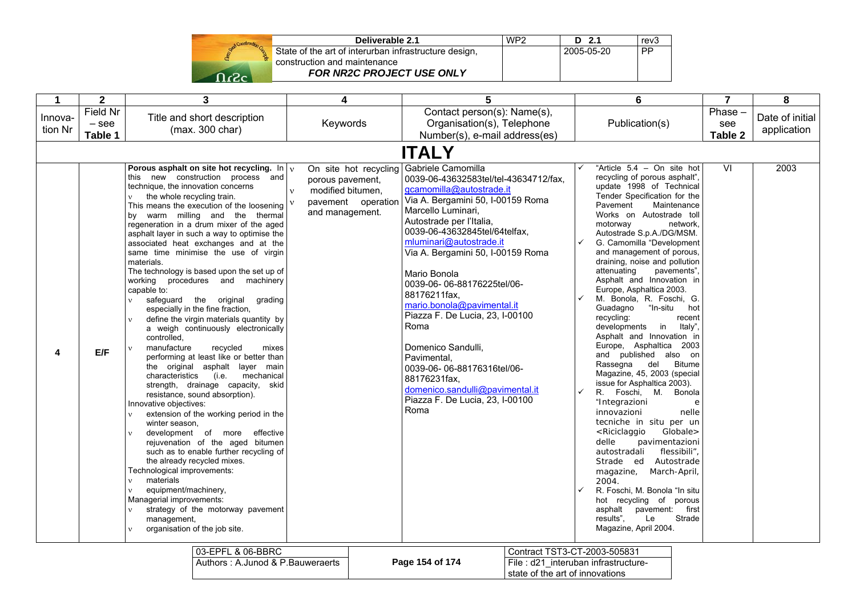| Stad Construction |
|-------------------|
|                   |
|                   |

| Deliverable 2.1                                       | WP <sub>2</sub> | D <sub>2.1</sub> | rev3      |
|-------------------------------------------------------|-----------------|------------------|-----------|
| State of the art of interurban infrastructure design, |                 | 2005-05-20       | <b>PP</b> |
| construction and maintenance                          |                 |                  |           |
| <b>FOR NR2C PROJECT USE ONLY</b>                      |                 |                  |           |

state of the art of innovations

| $\mathbf{1}$       | $\mathbf{2}$                   | 3                                                                                                                                                                                                                                                                                                                                                                                                                                                                                                                                                                                                                                                                                                                                                                                                                                                                                                                                                                                                                                                                                                                                                                                                                                                                                                                                                                                                                                                                                                     | 4                                                                                                 | 5                                                                                                                                                                                                                                                                                                                                                                                                                                                                                                                                                                                                            | 6                                                                                                                                                                                                                                                                                                                                                                                                                                                                                                                                                                                                                                                                                                                                                                                                                                                                                                                                                                                                                                                                                                                                                                     | $\overline{7}$              | 8                              |  |  |
|--------------------|--------------------------------|-------------------------------------------------------------------------------------------------------------------------------------------------------------------------------------------------------------------------------------------------------------------------------------------------------------------------------------------------------------------------------------------------------------------------------------------------------------------------------------------------------------------------------------------------------------------------------------------------------------------------------------------------------------------------------------------------------------------------------------------------------------------------------------------------------------------------------------------------------------------------------------------------------------------------------------------------------------------------------------------------------------------------------------------------------------------------------------------------------------------------------------------------------------------------------------------------------------------------------------------------------------------------------------------------------------------------------------------------------------------------------------------------------------------------------------------------------------------------------------------------------|---------------------------------------------------------------------------------------------------|--------------------------------------------------------------------------------------------------------------------------------------------------------------------------------------------------------------------------------------------------------------------------------------------------------------------------------------------------------------------------------------------------------------------------------------------------------------------------------------------------------------------------------------------------------------------------------------------------------------|-----------------------------------------------------------------------------------------------------------------------------------------------------------------------------------------------------------------------------------------------------------------------------------------------------------------------------------------------------------------------------------------------------------------------------------------------------------------------------------------------------------------------------------------------------------------------------------------------------------------------------------------------------------------------------------------------------------------------------------------------------------------------------------------------------------------------------------------------------------------------------------------------------------------------------------------------------------------------------------------------------------------------------------------------------------------------------------------------------------------------------------------------------------------------|-----------------------------|--------------------------------|--|--|
| Innova-<br>tion Nr | Field Nr<br>$-$ see<br>Table 1 | Title and short description<br>(max. 300 char)                                                                                                                                                                                                                                                                                                                                                                                                                                                                                                                                                                                                                                                                                                                                                                                                                                                                                                                                                                                                                                                                                                                                                                                                                                                                                                                                                                                                                                                        | Keywords                                                                                          | Contact person(s): Name(s),<br>Organisation(s), Telephone<br>Number(s), e-mail address(es)                                                                                                                                                                                                                                                                                                                                                                                                                                                                                                                   | Publication(s)                                                                                                                                                                                                                                                                                                                                                                                                                                                                                                                                                                                                                                                                                                                                                                                                                                                                                                                                                                                                                                                                                                                                                        | $Phase -$<br>see<br>Table 2 | Date of initial<br>application |  |  |
|                    | <b>ITALY</b>                   |                                                                                                                                                                                                                                                                                                                                                                                                                                                                                                                                                                                                                                                                                                                                                                                                                                                                                                                                                                                                                                                                                                                                                                                                                                                                                                                                                                                                                                                                                                       |                                                                                                   |                                                                                                                                                                                                                                                                                                                                                                                                                                                                                                                                                                                                              |                                                                                                                                                                                                                                                                                                                                                                                                                                                                                                                                                                                                                                                                                                                                                                                                                                                                                                                                                                                                                                                                                                                                                                       |                             |                                |  |  |
| 4                  | E/F                            | Porous asphalt on site hot recycling. $\ln  v $<br>this new construction process and<br>technique, the innovation concerns<br>the whole recycling train.<br>This means the execution of the loosening<br>by warm milling and the thermal<br>regeneration in a drum mixer of the aged<br>asphalt layer in such a way to optimise the<br>associated heat exchanges and at the<br>same time minimise the use of virgin<br>materials.<br>The technology is based upon the set up of<br>working procedures and machinery<br>capable to:<br>safeguard the original grading<br>$\mathbf{v}$<br>especially in the fine fraction,<br>define the virgin materials quantity by<br>$\mathbf{v}$<br>a weigh continuously electronically<br>controlled.<br>manufacture<br>recycled<br>mixes<br>$\mathbf{v}$<br>performing at least like or better than<br>the original asphalt layer main<br>characteristics<br>(i.e.<br>mechanical<br>strength, drainage capacity, skid<br>resistance, sound absorption).<br>Innovative objectives:<br>extension of the working period in the<br>winter season,<br>development of more effective<br>$\mathbf{v}$<br>rejuvenation of the aged bitumen<br>such as to enable further recycling of<br>the already recycled mixes.<br>Technological improvements:<br>materials<br>$\mathbf{v}$<br>equipment/machinery,<br>$\mathbf{v}$<br>Managerial improvements:<br>strategy of the motorway pavement<br>$\mathbf{v}$<br>management,<br>organisation of the job site.<br>$\mathbf{v}$ | On site hot recycling<br>porous pavement,<br>modified bitumen,<br>$\mathbf{v}$<br>and management. | Gabriele Camomilla<br>0039-06-43632583tel/tel-43634712/fax.<br>gcamomilla@autostrade.it<br>pavement operation   Via A. Bergamini 50, I-00159 Roma<br>Marcello Luminari,<br>Autostrade per l'Italia,<br>0039-06-43632845tel/64telfax,<br>mluminari@autostrade.it<br>Via A. Bergamini 50, I-00159 Roma<br>Mario Bonola<br>0039-06-06-88176225tel/06-<br>88176211fax,<br>mario.bonola@pavimental.it<br>Piazza F. De Lucia, 23, I-00100<br>Roma<br>Domenico Sandulli,<br>Pavimental.<br>0039-06-06-88176316tel/06-<br>88176231fax,<br>domenico.sandulli@pavimental.it<br>Piazza F. De Lucia, 23, I-00100<br>Roma | "Article 5.4 - On site hot<br>recycling of porous asphalt",<br>update 1998 of Technical<br>Tender Specification for the<br>Pavement<br>Maintenance<br>Works on Autostrade toll<br>motorway<br>network,<br>Autostrade S.p.A./DG/MSM.<br>G. Camomilla "Development<br>and management of porous,<br>draining, noise and pollution<br>attenuating<br>pavements",<br>Asphalt and Innovation in<br>Europe, Asphaltica 2003.<br>M. Bonola, R. Foschi, G.<br>"In-situ hot<br>Guadagno<br>recycling:<br>recent<br>developments in<br>Italy",<br>Asphalt and Innovation in<br>Europe, Asphaltica 2003<br>and published also on<br>Rassegna<br>del<br><b>Bitume</b><br>Magazine, 45, 2003 (special<br>issue for Asphaltica 2003).<br>R. Foschi, M. Bonola<br>"Integrazioni<br>$\mathbf e$<br>innovazioni<br>nelle<br>tecniche in situ per un<br>Globale><br><riciclaggio<br>delle<br/>pavimentazioni<br/>flessibili"<br/>autostradali<br/>Strade ed Autostrade<br/>March-April,<br/>magazine,<br/>2004.<br/>R. Foschi, M. Bonola "In situ<br/>hot recycling of porous<br/>asphalt<br/>pavement: first<br/>Strade<br/>results".<br/>Le<br/>Magazine, April 2004.</riciclaggio<br> | $\overline{\mathsf{M}}$     | 2003                           |  |  |
|                    |                                | 03-EPFL & 06-BBRC                                                                                                                                                                                                                                                                                                                                                                                                                                                                                                                                                                                                                                                                                                                                                                                                                                                                                                                                                                                                                                                                                                                                                                                                                                                                                                                                                                                                                                                                                     |                                                                                                   | Contract TST3-CT-2003-505831                                                                                                                                                                                                                                                                                                                                                                                                                                                                                                                                                                                 |                                                                                                                                                                                                                                                                                                                                                                                                                                                                                                                                                                                                                                                                                                                                                                                                                                                                                                                                                                                                                                                                                                                                                                       |                             |                                |  |  |

Authors : A.Junod & P.Bauweraerts **Page 154 of 174**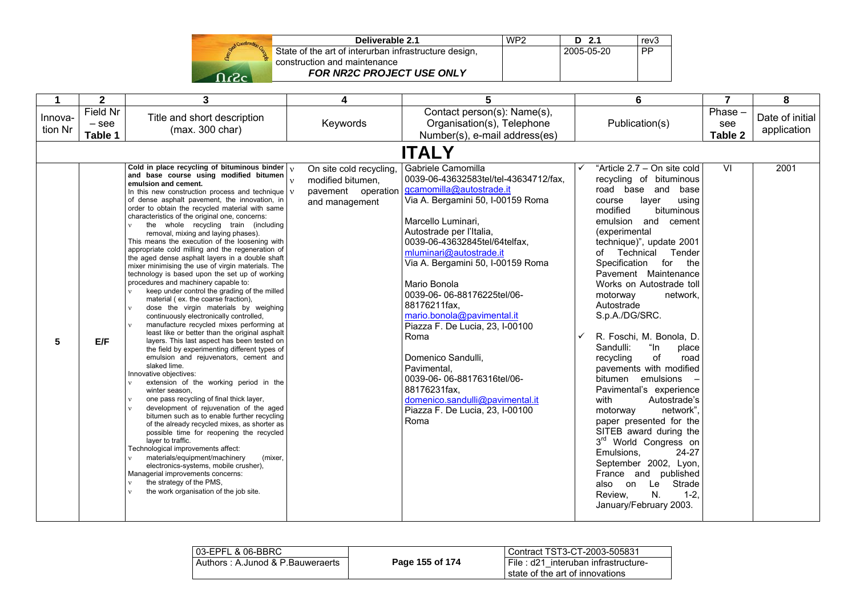

| Deliverable 2.1                                       | WP <sub>2</sub> | $D$ 2.1    | rev <sub>3</sub> |
|-------------------------------------------------------|-----------------|------------|------------------|
| State of the art of interurban infrastructure design, |                 | 2005-05-20 | <b>PP</b>        |
| construction and maintenance                          |                 |            |                  |
| <b>FOR NR2C PROJECT USE ONLY</b>                      |                 |            |                  |

|                    | $\mathbf{2}$                   | 3                                                                                                                                                                                                                                                                                                                                                                                                                                                                                                                                                                                                                                                                                                                                                                                                                                                                                                                                                                                                                                                                                                                                                                                                                                                                                                                                                                                                                                                                                                                                                                                                                                                                                                                                                                                                                             | 4                                                                                                    | 5                                                                                                                                                                                                                                                                                                                                                                                                                                                                                                                                                                                       |   | 6                                                                                                                                                                                                                                                                                                                                                                                                                                                                                                                                                                                                                                                                                                                                                                                                                                       | 7                        | 8                              |
|--------------------|--------------------------------|-------------------------------------------------------------------------------------------------------------------------------------------------------------------------------------------------------------------------------------------------------------------------------------------------------------------------------------------------------------------------------------------------------------------------------------------------------------------------------------------------------------------------------------------------------------------------------------------------------------------------------------------------------------------------------------------------------------------------------------------------------------------------------------------------------------------------------------------------------------------------------------------------------------------------------------------------------------------------------------------------------------------------------------------------------------------------------------------------------------------------------------------------------------------------------------------------------------------------------------------------------------------------------------------------------------------------------------------------------------------------------------------------------------------------------------------------------------------------------------------------------------------------------------------------------------------------------------------------------------------------------------------------------------------------------------------------------------------------------------------------------------------------------------------------------------------------------|------------------------------------------------------------------------------------------------------|-----------------------------------------------------------------------------------------------------------------------------------------------------------------------------------------------------------------------------------------------------------------------------------------------------------------------------------------------------------------------------------------------------------------------------------------------------------------------------------------------------------------------------------------------------------------------------------------|---|-----------------------------------------------------------------------------------------------------------------------------------------------------------------------------------------------------------------------------------------------------------------------------------------------------------------------------------------------------------------------------------------------------------------------------------------------------------------------------------------------------------------------------------------------------------------------------------------------------------------------------------------------------------------------------------------------------------------------------------------------------------------------------------------------------------------------------------------|--------------------------|--------------------------------|
| Innova-<br>tion Nr | Field Nr<br>$-$ see<br>Table 1 | Title and short description<br>(max. 300 char)                                                                                                                                                                                                                                                                                                                                                                                                                                                                                                                                                                                                                                                                                                                                                                                                                                                                                                                                                                                                                                                                                                                                                                                                                                                                                                                                                                                                                                                                                                                                                                                                                                                                                                                                                                                | Keywords                                                                                             | Contact person(s): Name(s),<br>Organisation(s), Telephone<br>Number(s), e-mail address(es)                                                                                                                                                                                                                                                                                                                                                                                                                                                                                              |   | Publication(s)                                                                                                                                                                                                                                                                                                                                                                                                                                                                                                                                                                                                                                                                                                                                                                                                                          | Phase-<br>see<br>Table 2 | Date of initial<br>application |
|                    |                                |                                                                                                                                                                                                                                                                                                                                                                                                                                                                                                                                                                                                                                                                                                                                                                                                                                                                                                                                                                                                                                                                                                                                                                                                                                                                                                                                                                                                                                                                                                                                                                                                                                                                                                                                                                                                                               |                                                                                                      | <b>ITALY</b>                                                                                                                                                                                                                                                                                                                                                                                                                                                                                                                                                                            |   |                                                                                                                                                                                                                                                                                                                                                                                                                                                                                                                                                                                                                                                                                                                                                                                                                                         |                          |                                |
| 5                  | E/F                            | Cold in place recycling of bituminous binder<br>and base course using modified bitumen<br>emulsion and cement.<br>In this new construction process and technique $\sqrt{v}$<br>of dense asphalt pavement, the innovation, in<br>order to obtain the recycled material with same<br>characteristics of the original one, concerns:<br>the whole recycling train (including<br>$\mathbf{v}$<br>removal, mixing and laying phases).<br>This means the execution of the loosening with<br>appropriate cold milling and the regeneration of<br>the aged dense asphalt layers in a double shaft<br>mixer minimising the use of virgin materials. The<br>technology is based upon the set up of working<br>procedures and machinery capable to:<br>keep under control the grading of the milled<br>material (ex. the coarse fraction),<br>dose the virgin materials by weighing<br>$\mathbf{v}$<br>continuously electronically controlled,<br>manufacture recycled mixes performing at<br>$\mathbf{v}$<br>least like or better than the original asphalt<br>layers. This last aspect has been tested on<br>the field by experimenting different types of<br>emulsion and rejuvenators, cement and<br>slaked lime.<br>Innovative objectives:<br>extension of the working period in the<br>winter season,<br>one pass recycling of final thick layer,<br>$\mathbf{v}$<br>development of rejuvenation of the aged<br>$\mathbf{v}$<br>bitumen such as to enable further recycling<br>of the already recycled mixes, as shorter as<br>possible time for reopening the recycled<br>layer to traffic.<br>Technological improvements affect:<br>materials/equipment/machinery<br>(mixer,<br>electronics-systems, mobile crusher),<br>Managerial improvements concerns:<br>the strategy of the PMS,<br>the work organisation of the job site. | On site cold recycling,<br>$\mathbf{v}$<br>modified bitumen,<br>pavement operation<br>and management | Gabriele Camomilla<br>0039-06-43632583tel/tel-43634712/fax,<br>gcamomilla@autostrade.it<br>Via A. Bergamini 50, I-00159 Roma<br>Marcello Luminari.<br>Autostrade per l'Italia,<br>0039-06-43632845tel/64telfax.<br>mluminari@autostrade.it<br>Via A. Bergamini 50, I-00159 Roma<br>Mario Bonola<br>0039-06-06-88176225tel/06-<br>88176211fax,<br>mario.bonola@pavimental.it<br>Piazza F. De Lucia, 23, I-00100<br>Roma<br>Domenico Sandulli,<br>Pavimental,<br>0039-06-06-88176316tel/06-<br>88176231fax,<br>domenico.sandulli@pavimental.it<br>Piazza F. De Lucia, 23, I-00100<br>Roma | ✓ | "Article 2.7 - On site cold<br>recycling of bituminous<br>road base and<br>base<br>layer<br>using<br>course<br>modified<br>bituminous<br>emulsion and cement<br>(experimental<br>technique)", update 2001<br>Technical<br>Tender<br>of<br>for the<br>Specification<br>Pavement Maintenance<br>Works on Autostrade toll<br>motorway<br>network,<br>Autostrade<br>S.p.A./DG/SRC.<br>R. Foschi, M. Bonola, D.<br>Sandulli:<br>"In<br>place<br>of<br>recycling<br>road<br>pavements with modified<br>bitumen emulsions<br>Pavimental's experience<br>with<br>Autostrade's<br>network".<br>motorway<br>paper presented for the<br>SITEB award during the<br>3rd World Congress on<br>24-27<br>Emulsions.<br>September 2002, Lyon,<br>France and published<br>Strade<br>also on<br>Le<br>N.<br>Review,<br>$1 - 2$ .<br>January/February 2003. | $\overline{\mathsf{V}}$  | 2001                           |

| l 03-EPFL & 06-BBRC.             |                 | Contract TST3-CT-2003-505831        |
|----------------------------------|-----------------|-------------------------------------|
| Authors: A.Junod & P.Bauweraerts | Page 155 of 174 | File: d21 interuban infrastructure- |
|                                  |                 | state of the art of innovations     |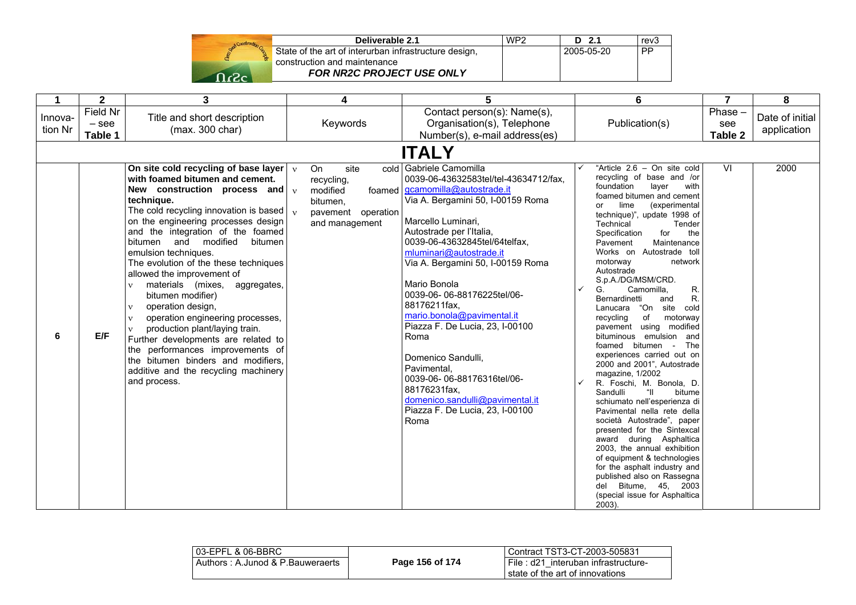

| Deliverable 2.1                                       | WP <sub>2</sub> | $D$ 2.1    | rev3 |
|-------------------------------------------------------|-----------------|------------|------|
| State of the art of interurban infrastructure design, |                 | 2005-05-20 | PP   |
| construction and maintenance                          |                 |            |      |
| <b>FOR NR2C PROJECT USE ONLY</b>                      |                 |            |      |

|                    | $\overline{2}$                 | 3                                                                                                                                                                                                                                                                                                                                                                                                                                                                                                                                                                                                                                                                                                                                                                                                                       | 4                                                                                               | 5                                                                                                                                                                                                                                                                                                                                                                                                                                                                                                                                                                                                     | 6                                                                                                                                                                                                                                                                                                                                                                                                                                                                                                                                                                                                                                                                                                                                                                                                                                                                                                                                                                                                                                                                            | $\overline{7}$            | 8                              |
|--------------------|--------------------------------|-------------------------------------------------------------------------------------------------------------------------------------------------------------------------------------------------------------------------------------------------------------------------------------------------------------------------------------------------------------------------------------------------------------------------------------------------------------------------------------------------------------------------------------------------------------------------------------------------------------------------------------------------------------------------------------------------------------------------------------------------------------------------------------------------------------------------|-------------------------------------------------------------------------------------------------|-------------------------------------------------------------------------------------------------------------------------------------------------------------------------------------------------------------------------------------------------------------------------------------------------------------------------------------------------------------------------------------------------------------------------------------------------------------------------------------------------------------------------------------------------------------------------------------------------------|------------------------------------------------------------------------------------------------------------------------------------------------------------------------------------------------------------------------------------------------------------------------------------------------------------------------------------------------------------------------------------------------------------------------------------------------------------------------------------------------------------------------------------------------------------------------------------------------------------------------------------------------------------------------------------------------------------------------------------------------------------------------------------------------------------------------------------------------------------------------------------------------------------------------------------------------------------------------------------------------------------------------------------------------------------------------------|---------------------------|--------------------------------|
| Innova-<br>tion Nr | Field Nr<br>$-$ see<br>Table 1 | Title and short description<br>(max. 300 char)                                                                                                                                                                                                                                                                                                                                                                                                                                                                                                                                                                                                                                                                                                                                                                          | Keywords                                                                                        | Contact person(s): Name(s),<br>Organisation(s), Telephone<br>Number(s), e-mail address(es)                                                                                                                                                                                                                                                                                                                                                                                                                                                                                                            | Publication(s)                                                                                                                                                                                                                                                                                                                                                                                                                                                                                                                                                                                                                                                                                                                                                                                                                                                                                                                                                                                                                                                               | Phase -<br>see<br>Table 2 | Date of initial<br>application |
|                    |                                |                                                                                                                                                                                                                                                                                                                                                                                                                                                                                                                                                                                                                                                                                                                                                                                                                         |                                                                                                 | <b>ITALY</b>                                                                                                                                                                                                                                                                                                                                                                                                                                                                                                                                                                                          |                                                                                                                                                                                                                                                                                                                                                                                                                                                                                                                                                                                                                                                                                                                                                                                                                                                                                                                                                                                                                                                                              |                           |                                |
| 6                  | E/F                            | On site cold recycling of base layer $\vert \vee \vert$<br>with foamed bitumen and cement.<br>New construction process and $\sqrt{v}$<br>technique.<br>The cold recycling innovation is based $\vert v \rangle$<br>on the engineering processes design<br>and the integration of the foamed<br>bitumen and modified<br>bitumen<br>emulsion techniques.<br>The evolution of the these techniques<br>allowed the improvement of<br>materials (mixes, aggregates,<br>$\mathbf{v}$<br>bitumen modifier)<br>operation design,<br>$\mathbf{v}$<br>operation engineering processes,<br>$\mathbf{v}$<br>production plant/laying train.<br>$\mathbf{v}$<br>Further developments are related to<br>the performances improvements of<br>the bitumen binders and modifiers,<br>additive and the recycling machinery<br>and process. | <b>On</b><br>site<br>recycling,<br>modified<br>bitumen,<br>pavement operation<br>and management | cold Gabriele Camomilla<br>0039-06-43632583tel/tel-43634712/fax.<br>foamed   gcamomilla@autostrade.it<br>Via A. Bergamini 50, I-00159 Roma<br>Marcello Luminari,<br>Autostrade per l'Italia,<br>0039-06-43632845tel/64telfax,<br>mluminari@autostrade.it<br>Via A. Bergamini 50, I-00159 Roma<br>Mario Bonola<br>0039-06-06-88176225tel/06-<br>88176211fax,<br>mario.bonola@pavimental.it<br>Piazza F. De Lucia, 23, I-00100<br>Roma<br>Domenico Sandulli,<br>Pavimental,<br>0039-06-06-88176316tel/06-<br>88176231fax,<br>domenico.sandulli@pavimental.it<br>Piazza F. De Lucia, 23, I-00100<br>Roma | "Article 2.6 - On site cold<br>recycling of base and /or<br>foundation<br>layer<br>with<br>foamed bitumen and cement<br>lime<br>(experimental<br>or<br>technique)", update 1998 of<br>Technical<br>Tender<br>Specification<br>for<br>the<br>Maintenance<br>Pavement<br>Works on Autostrade toll<br>motorway<br>network<br>Autostrade<br>S.p.A./DG/MSM/CRD.<br>R.<br>G.<br>Camomilla.<br>R.<br>Bernardinetti<br>and<br>"On<br>site cold<br>Lanucara<br>of<br>recycling<br>motorway<br>pavement using modified<br>bituminous emulsion and<br>foamed bitumen -<br>The<br>experiences carried out on<br>2000 and 2001", Autostrade<br>magazine, 1/2002<br>R. Foschi, M. Bonola, D.<br>Sandulli<br>$\mathfrak{m}$<br>bitume<br>schiumato nell'esperienza di<br>Pavimental nella rete della<br>società Autostrade", paper<br>presented for the Sintexcal<br>award during Asphaltica<br>2003. the annual exhibition<br>of equipment & technologies<br>for the asphalt industry and<br>published also on Rassegna<br>del Bitume, 45, 2003<br>(special issue for Asphaltica<br>2003). | VI                        | 2000                           |

| 03-EPFL & 06-BBRC                |                 | Contract TST3-CT-2003-505831          |
|----------------------------------|-----------------|---------------------------------------|
| Authors: A.Junod & P.Bauweraerts | Page 156 of 174 | I File: d21 interuban infrastructure- |
|                                  |                 | state of the art of innovations       |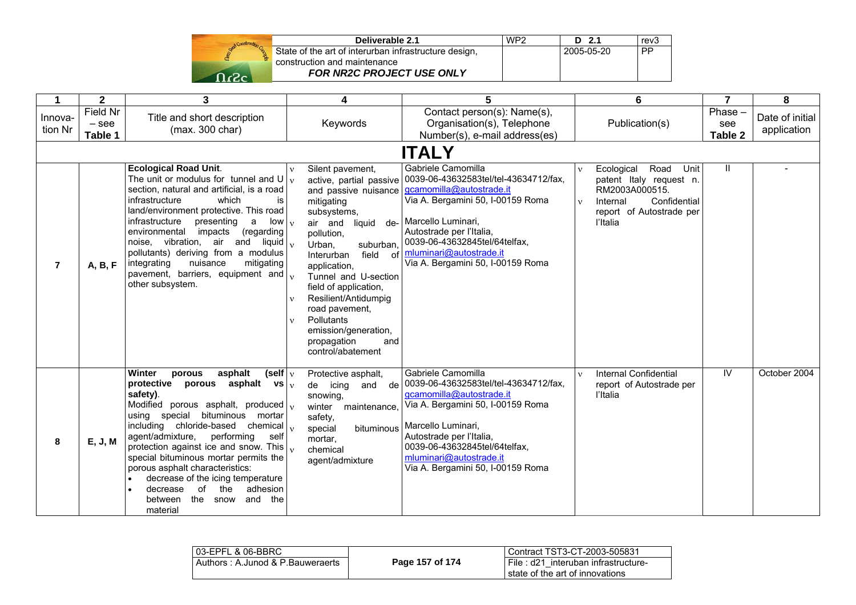

| Deliverable 2.1                                       | WP <sub>2</sub> | $D$ 2.1      | rev3      |
|-------------------------------------------------------|-----------------|--------------|-----------|
| State of the art of interurban infrastructure design, |                 | l 2005-05-20 | <b>PP</b> |
| construction and maintenance                          |                 |              |           |
| <b>FOR NR2C PROJECT USE ONLY</b>                      |                 |              |           |
|                                                       |                 |              |           |

|                    | $\mathbf{2}$                   | 3                                                                                                                                                                                                                                                                                                                                                                                                                                                                                                                                | 4                                                                                                                                                                                                                                                                                                                                                                                                                                                            | 5                                                                                                                                                                                                                                                                                                       | 6                                                                                                                                                                           | $\overline{7}$            | 8                              |
|--------------------|--------------------------------|----------------------------------------------------------------------------------------------------------------------------------------------------------------------------------------------------------------------------------------------------------------------------------------------------------------------------------------------------------------------------------------------------------------------------------------------------------------------------------------------------------------------------------|--------------------------------------------------------------------------------------------------------------------------------------------------------------------------------------------------------------------------------------------------------------------------------------------------------------------------------------------------------------------------------------------------------------------------------------------------------------|---------------------------------------------------------------------------------------------------------------------------------------------------------------------------------------------------------------------------------------------------------------------------------------------------------|-----------------------------------------------------------------------------------------------------------------------------------------------------------------------------|---------------------------|--------------------------------|
| Innova-<br>tion Nr | Field Nr<br>$-$ see<br>Table 1 | Title and short description<br>(max. 300 char)                                                                                                                                                                                                                                                                                                                                                                                                                                                                                   | Keywords                                                                                                                                                                                                                                                                                                                                                                                                                                                     | Contact person(s): Name(s),<br>Organisation(s), Telephone<br>Number(s), e-mail address(es)                                                                                                                                                                                                              | Publication(s)                                                                                                                                                              | Phase -<br>see<br>Table 2 | Date of initial<br>application |
|                    |                                |                                                                                                                                                                                                                                                                                                                                                                                                                                                                                                                                  |                                                                                                                                                                                                                                                                                                                                                                                                                                                              | <b>ITALY</b>                                                                                                                                                                                                                                                                                            |                                                                                                                                                                             |                           |                                |
| $\overline{7}$     | A, B, F                        | <b>Ecological Road Unit.</b><br>The unit or modulus for tunnel and U<br>section, natural and artificial, is a road<br>infrastructure<br>which<br>is<br>land/environment protective. This road<br>infrastructure<br>presenting<br>$low_v$<br>a<br>environmental<br>impacts<br>(regarding<br>noise, vibration, air and liquid<br>pollutants) deriving from a modulus<br>integrating<br>nuisance<br>mitigating<br>pavement, barriers, equipment and<br>other subsystem.                                                             | Silent pavement,<br>$\mathbf{v}$<br>$\mathbf{v}$<br>and passive nuisance<br>mitigating<br>subsystems,<br>air and<br>liquid<br>de-<br>pollution,<br>$\mathbf{v}$<br>Urban,<br>suburban,<br>field of<br>Interurban<br>application,<br>$\mathbf{v}$<br>Tunnel and U-section<br>field of application,<br>Resilient/Antidumpig<br>$\mathbf{v}$<br>road pavement,<br>Pollutants<br>$\mathbf{v}$<br>emission/generation,<br>propagation<br>and<br>control/abatement | Gabriele Camomilla<br>active, partial passive 0039-06-43632583tel/tel-43634712/fax,<br>gcamomilla@autostrade.it<br>Via A. Bergamini 50, I-00159 Roma<br>Marcello Luminari,<br>Autostrade per l'Italia,<br>0039-06-43632845tel/64telfax,<br>mluminari@autostrade.it<br>Via A. Bergamini 50, I-00159 Roma | Road<br>Ecological<br>Unit<br>$\mathbf{V}$<br>patent Italy request n.<br>RM2003A000515.<br>Confidential<br>Internal<br>$\mathbf{v}$<br>report of Autostrade per<br>l'Italia | $\mathbf{I}$              |                                |
| 8                  | E, J, M                        | Winter<br>asphalt<br>(self $ v $<br>porous<br>asphalt vs $\sqrt{v}$<br>protective<br>porous<br>safety).<br>Modified porous asphalt, produced $\vert_{v}$<br>using special<br>bituminous mortar<br>including chloride-based chemical<br>agent/admixture,<br>performing<br>self<br>protection against ice and snow. This<br>special bituminous mortar permits the<br>porous asphalt characteristics:<br>decrease of the icing temperature<br>adhesion<br>decrease<br>of<br>the<br>and<br>the<br>between<br>the<br>snow<br>material | Protective asphalt,<br>de icing<br>and<br>snowing,<br>winter<br>maintenance,<br>safety,<br>special<br>bituminous<br>mortar,<br>$\mathbf{v}$<br>chemical<br>agent/admixture                                                                                                                                                                                                                                                                                   | Gabriele Camomilla<br>de 0039-06-43632583tel/tel-43634712/fax,<br>gcamomilla@autostrade.it<br>Via A. Bergamini 50, I-00159 Roma<br>Marcello Luminari,<br>Autostrade per l'Italia,<br>0039-06-43632845tel/64telfax,<br>mluminari@autostrade.it<br>Via A. Bergamini 50, I-00159 Roma                      | <b>Internal Confidential</b><br>$\mathbf{v}$<br>report of Autostrade per<br>l'Italia                                                                                        | IV.                       | October 2004                   |

| l 03-EPFL & 06-BBRC              |                 | Contract TST3-CT-2003-505831                                              |
|----------------------------------|-----------------|---------------------------------------------------------------------------|
| Authors: A.Junod & P.Bauweraerts | Page 157 of 174 | I File : d21 interuban infrastructure-<br>state of the art of innovations |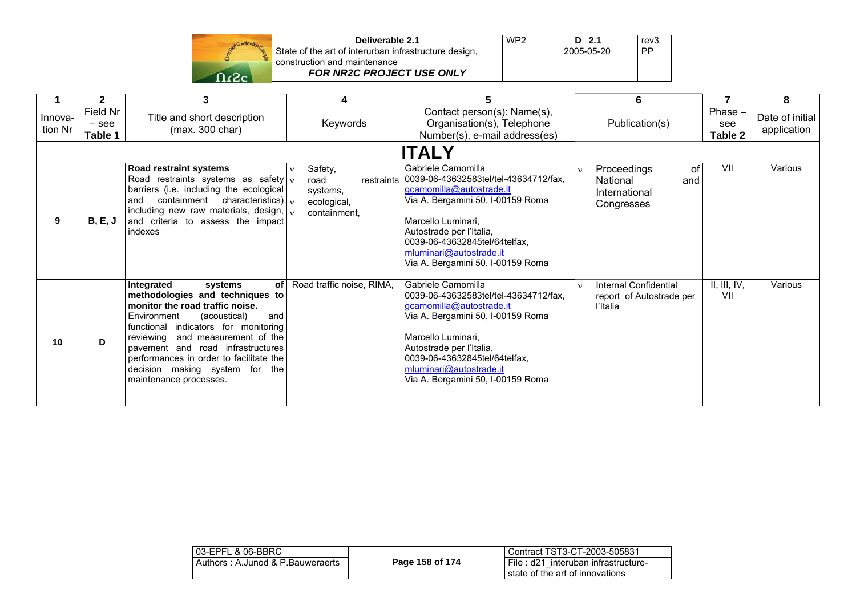

| Deliverable 2.1                                       | WP <sub>2</sub> | $D$ 2.1    | rev <sub>3</sub> |
|-------------------------------------------------------|-----------------|------------|------------------|
| State of the art of interurban infrastructure design, |                 | 2005-05-20 | <b>PP</b>        |
| construction and maintenance                          |                 |            |                  |
| <b>FOR NR2C PROJECT USE ONLY</b>                      |                 |            |                  |

|                    | $\mathbf{2}$                   | 3                                                                                                                                                                                                                                                                                                                                                                    | 4                                                               | 5.                                                                                                                                                                                                                                                                                           | 6                                                                                   |                           | 8                              |
|--------------------|--------------------------------|----------------------------------------------------------------------------------------------------------------------------------------------------------------------------------------------------------------------------------------------------------------------------------------------------------------------------------------------------------------------|-----------------------------------------------------------------|----------------------------------------------------------------------------------------------------------------------------------------------------------------------------------------------------------------------------------------------------------------------------------------------|-------------------------------------------------------------------------------------|---------------------------|--------------------------------|
| Innova-<br>tion Nr | Field Nr<br>$-$ see<br>Table 1 | Title and short description<br>(max. 300 char)                                                                                                                                                                                                                                                                                                                       | Keywords                                                        | Contact person(s): Name(s),<br>Organisation(s), Telephone<br>Number(s), e-mail address(es)                                                                                                                                                                                                   | Publication(s)                                                                      | Phase -<br>see<br>Table 2 | Date of initial<br>application |
|                    |                                |                                                                                                                                                                                                                                                                                                                                                                      |                                                                 | <b>ITALY</b>                                                                                                                                                                                                                                                                                 |                                                                                     |                           |                                |
| 9                  | B, E, J                        | Road restraint systems<br>Road restraints systems as safety $ v $<br>barriers (i.e. including the ecological<br>and containment characteristics) $\vert v \vert$<br>including new raw materials, design, $\vert v \rangle$<br>and criteria to assess the impact<br>indexes                                                                                           | Safety,<br>v<br>road<br>systems,<br>ecological,<br>containment. | Gabriele Camomilla<br>restraints   0039-06-43632583tel/tel-43634712/fax,<br>gcamomilla@autostrade.it<br>Via A. Bergamini 50, I-00159 Roma<br>Marcello Luminari,<br>Autostrade per l'Italia,<br>0039-06-43632845tel/64telfax,<br>mluminari@autostrade.it<br>Via A. Bergamini 50, I-00159 Roma | Proceedings<br>οf<br>$\mathbf{V}$<br>National<br>and<br>International<br>Congresses | VII                       | Various                        |
| 10                 | D.                             | Integrated<br>of l<br>systems<br>methodologies and techniques to<br>monitor the road traffic noise.<br>Environment<br>(acoustical)<br>and<br>functional indicators for monitoring<br>and measurement of the<br>reviewing<br>payement and road infrastructures<br>performances in order to facilitate the<br>decision making system for the<br>maintenance processes. | Road traffic noise, RIMA,                                       | Gabriele Camomilla<br>0039-06-43632583tel/tel-43634712/fax.<br>gcamomilla@autostrade.it<br>Via A. Bergamini 50, I-00159 Roma<br>Marcello Luminari.<br>Autostrade per l'Italia,<br>0039-06-43632845tel/64telfax,<br>mluminari@autostrade.it<br>Via A. Bergamini 50, I-00159 Roma              | Internal Confidential<br>$\mathbf{v}$<br>report of Autostrade per<br>l'Italia       | II, III, IV,<br>VII       | Various                        |

| l 03-EPFL & 06-BBRC              |                 | Contract TST3-CT-2003-505831                                              |
|----------------------------------|-----------------|---------------------------------------------------------------------------|
| Authors: A.Junod & P.Bauweraerts | Page 158 of 174 | i File : d21 interuban infrastructure-<br>state of the art of innovations |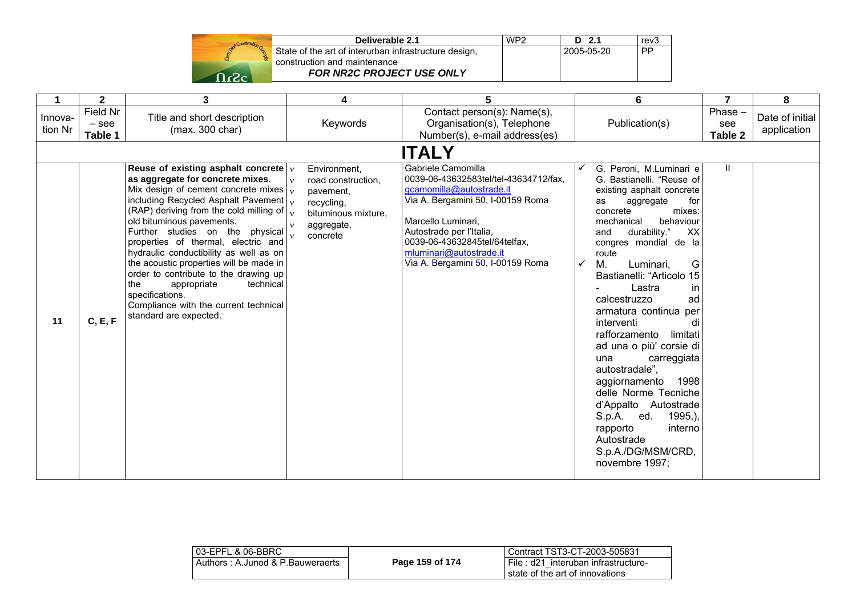| Stand Construction |
|--------------------|
|                    |
| -2                 |

| Deliverable 2.1                                       | WP <sub>2</sub> | $D$ 2.1    | rev3      |
|-------------------------------------------------------|-----------------|------------|-----------|
| State of the art of interurban infrastructure design, |                 | 2005-05-20 | <b>PP</b> |
| construction and maintenance                          |                 |            |           |
| <b>FOR NR2C PROJECT USE ONLY</b>                      |                 |            |           |

|                    | $\mathbf{2}$                   | 3                                                                                                                                                                                                                                                                                                                                                                                                                                                                                                                                                                                                       | 4                                                                                                                                   | 5                                                                                                                                                                                                                                                                               | 6                                                                                                                                                                                                                                                                                                                                                                                                                                                                                                                                                                                                                                                                     | 7                           | 8                              |
|--------------------|--------------------------------|---------------------------------------------------------------------------------------------------------------------------------------------------------------------------------------------------------------------------------------------------------------------------------------------------------------------------------------------------------------------------------------------------------------------------------------------------------------------------------------------------------------------------------------------------------------------------------------------------------|-------------------------------------------------------------------------------------------------------------------------------------|---------------------------------------------------------------------------------------------------------------------------------------------------------------------------------------------------------------------------------------------------------------------------------|-----------------------------------------------------------------------------------------------------------------------------------------------------------------------------------------------------------------------------------------------------------------------------------------------------------------------------------------------------------------------------------------------------------------------------------------------------------------------------------------------------------------------------------------------------------------------------------------------------------------------------------------------------------------------|-----------------------------|--------------------------------|
| Innova-<br>tion Nr | Field Nr<br>$-$ see<br>Table 1 | Title and short description<br>(max. 300 char)                                                                                                                                                                                                                                                                                                                                                                                                                                                                                                                                                          | Keywords                                                                                                                            | Contact person(s): Name(s),<br>Organisation(s), Telephone<br>Number(s), e-mail address(es)                                                                                                                                                                                      | Publication(s)                                                                                                                                                                                                                                                                                                                                                                                                                                                                                                                                                                                                                                                        | $Phase -$<br>see<br>Table 2 | Date of initial<br>application |
|                    |                                |                                                                                                                                                                                                                                                                                                                                                                                                                                                                                                                                                                                                         |                                                                                                                                     | <b>ITALY</b>                                                                                                                                                                                                                                                                    |                                                                                                                                                                                                                                                                                                                                                                                                                                                                                                                                                                                                                                                                       |                             |                                |
| 11                 | C, E, F                        | Reuse of existing asphalt concrete $ v $<br>as aggregate for concrete mixes.<br>Mix design of cement concrete mixes $\vert_{v}$<br>including Recycled Asphalt Pavement $\vert_{v}$<br>(RAP) deriving from the cold milling of $\vert_{v}$<br>old bituminous pavements.<br>Further studies on the physical<br>properties of thermal, electric and<br>hydraulic conductibility as well as on<br>the acoustic properties will be made in<br>order to contribute to the drawing up<br>the<br>appropriate<br>technical<br>specifications.<br>Compliance with the current technical<br>standard are expected. | Environment,<br>road construction,<br>$\mathbf{v}$<br>pavement,<br>recycling,<br>bituminous mixture,<br>aggregate,<br>v<br>concrete | Gabriele Camomilla<br>0039-06-43632583tel/tel-43634712/fax.<br>gcamomilla@autostrade.it<br>Via A. Bergamini 50, I-00159 Roma<br>Marcello Luminari,<br>Autostrade per l'Italia,<br>0039-06-43632845tel/64telfax.<br>mluminari@autostrade.it<br>Via A. Bergamini 50, I-00159 Roma | G. Peroni, M.Luminari e<br>G. Bastianelli. "Reuse of<br>existing asphalt concrete<br>aggregate<br>as<br>for<br>concrete<br>mixes:<br>behaviour<br>mechanical<br>durability."<br>XX<br>and<br>congres mondial de la<br>route<br>$\checkmark$<br>М.<br>Luminari,<br>G<br>Bastianelli: "Articolo 15<br>in<br>Lastra<br>calcestruzzo<br>ad<br>armatura continua per<br>interventi<br>di<br>limitati<br>rafforzamento<br>ad una o più' corsie di<br>una<br>carreggiata<br>autostradale".<br>1998<br>aggiornamento<br>delle Norme Tecniche<br>d'Appalto Autostrade<br>S.p.A. ed.<br>$1995,$ ),<br>interno<br>rapporto<br>Autostrade<br>S.p.A./DG/MSM/CRD,<br>novembre 1997; | $\mathbf{H}$                |                                |

| 03-EPFL & 06-BBRC                |                 | Contract TST3-CT-2003-505831                                              |
|----------------------------------|-----------------|---------------------------------------------------------------------------|
| Authors: A.Junod & P.Bauweraerts | Page 159 of 174 | File: d21 interuban infrastructure-<br>l state of the art of innovations. |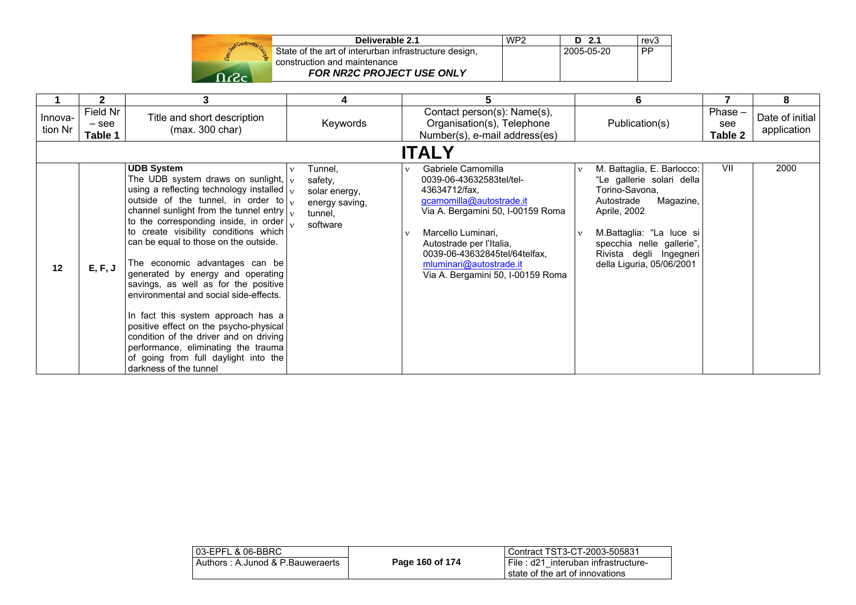|      | Deliverable 2.1                                       | WP <sub>2</sub> | D 2.1      | rev3      |
|------|-------------------------------------------------------|-----------------|------------|-----------|
|      | State of the art of interurban infrastructure design. |                 | 2005-05-20 | <b>PP</b> |
|      | construction and maintenance                          |                 |            |           |
| റ.ാ. | <b>FOR NR2C PROJECT USE ONLY</b>                      |                 |            |           |

|                    | 2                              | 3                                                                                                                                                                                                                                                                                                                                                                                                                                                                                                                                                                                                                                                                                                                                                                 | 4                                                                                 |                                                                                                                                                                                                                                                                                     | 6                                                                                                                                                                                                                                     |                           | 8                              |
|--------------------|--------------------------------|-------------------------------------------------------------------------------------------------------------------------------------------------------------------------------------------------------------------------------------------------------------------------------------------------------------------------------------------------------------------------------------------------------------------------------------------------------------------------------------------------------------------------------------------------------------------------------------------------------------------------------------------------------------------------------------------------------------------------------------------------------------------|-----------------------------------------------------------------------------------|-------------------------------------------------------------------------------------------------------------------------------------------------------------------------------------------------------------------------------------------------------------------------------------|---------------------------------------------------------------------------------------------------------------------------------------------------------------------------------------------------------------------------------------|---------------------------|--------------------------------|
| Innova-<br>tion Nr | Field Nr<br>$-$ see<br>Table 1 | Title and short description<br>(max. 300 char)                                                                                                                                                                                                                                                                                                                                                                                                                                                                                                                                                                                                                                                                                                                    | Keywords                                                                          | Contact person(s): Name(s),<br>Organisation(s), Telephone<br>Number(s), e-mail address(es)                                                                                                                                                                                          | Publication(s)                                                                                                                                                                                                                        | Phase -<br>see<br>Table 2 | Date of initial<br>application |
|                    | <b>ITALY</b>                   |                                                                                                                                                                                                                                                                                                                                                                                                                                                                                                                                                                                                                                                                                                                                                                   |                                                                                   |                                                                                                                                                                                                                                                                                     |                                                                                                                                                                                                                                       |                           |                                |
| 12                 | E, F, J                        | <b>UDB System</b><br>The UDB system draws on sunlight, $\sqrt{v}$<br>using a reflecting technology installed $\vert_{v}$<br>outside of the tunnel, in order to $\vert v \vert$<br>channel sunlight from the tunnel entry $\vert v \rangle$<br>to the corresponding inside, in order<br>to create visibility conditions which<br>can be equal to those on the outside.<br>The economic advantages can be<br>generated by energy and operating<br>savings, as well as for the positive<br>environmental and social side-effects.<br>In fact this system approach has a<br>positive effect on the psycho-physical<br>condition of the driver and on driving<br>performance, eliminating the trauma<br>of going from full daylight into the<br>darkness of the tunnel | Tunnel,<br>v<br>safety,<br>solar energy,<br>energy saving,<br>tunnel.<br>software | Gabriele Camomilla<br>0039-06-43632583tel/tel-<br>43634712/fax,<br>gcamomilla@autostrade.it<br>Via A. Bergamini 50, I-00159 Roma<br>Marcello Luminari,<br>Autostrade per l'Italia,<br>0039-06-43632845tel/64telfax,<br>mluminari@autostrade.it<br>Via A. Bergamini 50, I-00159 Roma | M. Battaglia, E. Barlocco:<br>"Le gallerie solari della<br>Torino-Savona,<br>Magazine,<br>Autostrade<br>Aprile, 2002<br>M.Battaglia: "La luce si<br>specchia nelle gallerie",<br>Rivista degli Ingegneri<br>della Liguria, 05/06/2001 | VII                       | 2000                           |

| 03-EPFL & 06-BBRC                |                 | Contract TST3-CT-2003-505831           |
|----------------------------------|-----------------|----------------------------------------|
| Authors: A.Junod & P.Bauweraerts | Page 160 of 174 | I File : d21 interuban infrastructure- |
|                                  |                 | state of the art of innovations        |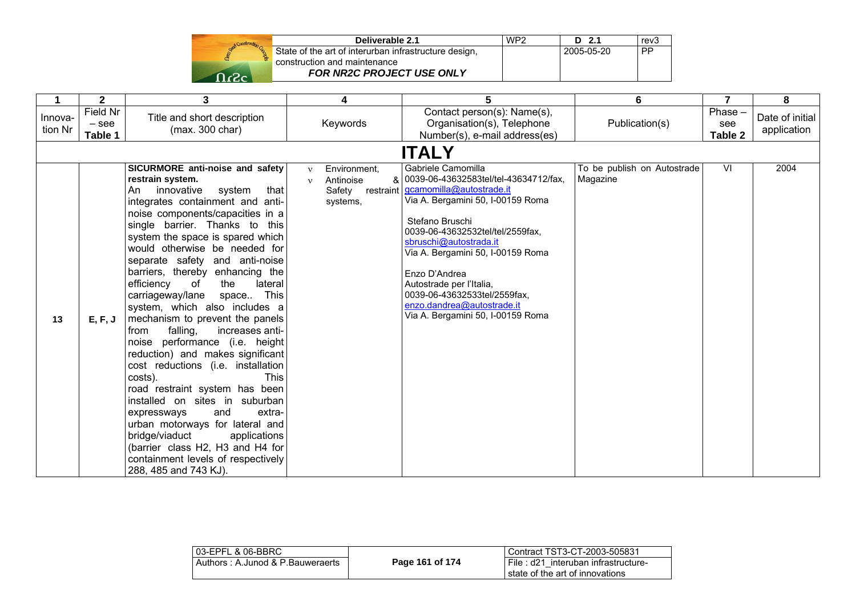

| Deliverable 2.1                                       | WP <sub>2</sub> | $D$ 2.1    | rev <sub>3</sub> |
|-------------------------------------------------------|-----------------|------------|------------------|
| State of the art of interurban infrastructure design, |                 | 2005-05-20 | i PP.            |
| construction and maintenance                          |                 |            |                  |
| <b>FOR NR2C PROJECT USE ONLY</b>                      |                 |            |                  |

|                    | $\mathbf{2}$                   | 3                                                                                                                                                                                                                                                                                                                                                                                                                                                                                                                                                                                                                                                                                                                                                                                                                                                                                                                                               | 4                                                                                         | 5                                                                                                                                                                                                                                                                                                                                                                                                    | 6                                       | $\overline{7}$              | 8                              |  |
|--------------------|--------------------------------|-------------------------------------------------------------------------------------------------------------------------------------------------------------------------------------------------------------------------------------------------------------------------------------------------------------------------------------------------------------------------------------------------------------------------------------------------------------------------------------------------------------------------------------------------------------------------------------------------------------------------------------------------------------------------------------------------------------------------------------------------------------------------------------------------------------------------------------------------------------------------------------------------------------------------------------------------|-------------------------------------------------------------------------------------------|------------------------------------------------------------------------------------------------------------------------------------------------------------------------------------------------------------------------------------------------------------------------------------------------------------------------------------------------------------------------------------------------------|-----------------------------------------|-----------------------------|--------------------------------|--|
| Innova-<br>tion Nr | Field Nr<br>$-$ see<br>Table 1 | Title and short description<br>(max. 300 char)                                                                                                                                                                                                                                                                                                                                                                                                                                                                                                                                                                                                                                                                                                                                                                                                                                                                                                  | Keywords                                                                                  | Contact person(s): Name(s),<br>Organisation(s), Telephone<br>Number(s), e-mail address(es)                                                                                                                                                                                                                                                                                                           | Publication(s)                          | $Phase -$<br>see<br>Table 2 | Date of initial<br>application |  |
|                    | <b>ITALY</b>                   |                                                                                                                                                                                                                                                                                                                                                                                                                                                                                                                                                                                                                                                                                                                                                                                                                                                                                                                                                 |                                                                                           |                                                                                                                                                                                                                                                                                                                                                                                                      |                                         |                             |                                |  |
| 13                 | E, F, J                        | SICURMORE anti-noise and safety<br>restrain system.<br>innovative<br>system<br>that<br>An<br>integrates containment and anti-<br>noise components/capacities in a<br>single barrier. Thanks to this<br>system the space is spared which<br>would otherwise be needed for<br>separate safety and anti-noise<br>barriers, thereby enhancing the<br>efficiency<br>the<br>lateral<br>of<br>carriageway/lane space This<br>system, which also includes a<br>mechanism to prevent the panels<br>falling,<br>increases anti-<br>from<br>noise performance (i.e. height<br>reduction) and makes significant<br>cost reductions (i.e. installation<br>costs).<br><b>This</b><br>road restraint system has been<br>installed on sites in suburban<br>extra-<br>and<br>expressways<br>urban motorways for lateral and<br>bridge/viaduct<br>applications<br>(barrier class H2, H3 and H4 for<br>containment levels of respectively<br>288, 485 and 743 KJ). | Environment.<br>$\mathbf{v}$<br>Antinoise<br>$\mathbf{v}$<br>Safety restraint<br>systems, | Gabriele Camomilla<br>& 0039-06-43632583tel/tel-43634712/fax,<br>gcamomilla@autostrade.it<br>Via A. Bergamini 50, I-00159 Roma<br>Stefano Bruschi<br>0039-06-43632532tel/tel/2559fax,<br>sbruschi@autostrada.it<br>Via A. Bergamini 50, I-00159 Roma<br>Enzo D'Andrea<br>Autostrade per l'Italia,<br>0039-06-43632533tel/2559fax,<br>enzo.dandrea@autostrade.it<br>Via A. Bergamini 50, I-00159 Roma | To be publish on Autostrade<br>Magazine | $\overline{\mathsf{M}}$     | 2004                           |  |

| 03-EPFL & 06-BBRC                |                 | l Contract TST3-CT-2003-505831                                             |
|----------------------------------|-----------------|----------------------------------------------------------------------------|
| Authors: A.Junod & P.Bauweraerts | Page 161 of 174 | I File: d21 interuban infrastructure-<br>I state of the art of innovations |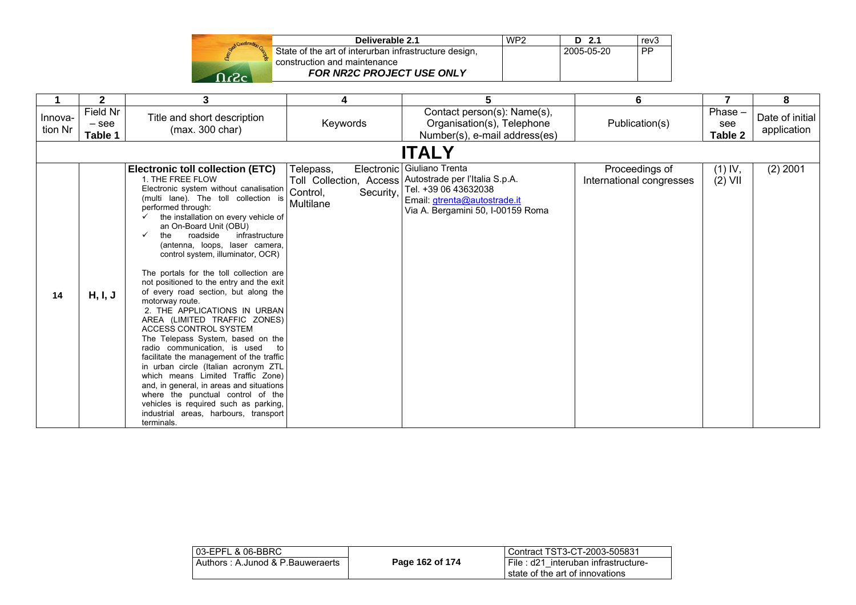| Deliverable 2.1                                                                       | WP <sub>2</sub> | $D$ 2.1    | rev <sub>3</sub> |
|---------------------------------------------------------------------------------------|-----------------|------------|------------------|
| State of the art of interurban infrastructure design,<br>construction and maintenance |                 | 2005-05-20 | -PP              |
| <b>FOR NR2C PROJECT USE ONLY</b>                                                      |                 |            |                  |

|                    | $\mathbf{2}$                   | 3                                                                                                                                                                                                                                                                                                                                                                                                                                                                                                                                                                                                                                                                                                                                                                                                                                                                                                                                                                                           | 4                                               | 5                                                                                                                                                                                   | 6                                          | 7                           | 8                              |
|--------------------|--------------------------------|---------------------------------------------------------------------------------------------------------------------------------------------------------------------------------------------------------------------------------------------------------------------------------------------------------------------------------------------------------------------------------------------------------------------------------------------------------------------------------------------------------------------------------------------------------------------------------------------------------------------------------------------------------------------------------------------------------------------------------------------------------------------------------------------------------------------------------------------------------------------------------------------------------------------------------------------------------------------------------------------|-------------------------------------------------|-------------------------------------------------------------------------------------------------------------------------------------------------------------------------------------|--------------------------------------------|-----------------------------|--------------------------------|
| Innova-<br>tion Nr | Field Nr<br>$-$ see<br>Table 1 | Title and short description<br>(max. 300 char)                                                                                                                                                                                                                                                                                                                                                                                                                                                                                                                                                                                                                                                                                                                                                                                                                                                                                                                                              | Keywords                                        | Contact person(s): Name(s),<br>Organisation(s), Telephone<br>Number(s), e-mail address(es)                                                                                          | Publication(s)                             | $Phase -$<br>see<br>Table 2 | Date of initial<br>application |
|                    |                                |                                                                                                                                                                                                                                                                                                                                                                                                                                                                                                                                                                                                                                                                                                                                                                                                                                                                                                                                                                                             |                                                 | <b>ITALY</b>                                                                                                                                                                        |                                            |                             |                                |
| 14                 | H, I, J                        | <b>Electronic toll collection (ETC)</b><br>1. THE FREE FLOW<br>Electronic system without canalisation<br>(multi lane). The toll collection is<br>performed through:<br>the installation on every vehicle of<br>✓<br>an On-Board Unit (OBU)<br>roadside<br>infrastructure<br>the<br>✓<br>(antenna, loops, laser camera,<br>control system, illuminator, OCR)<br>The portals for the toll collection are<br>not positioned to the entry and the exit<br>of every road section, but along the<br>motorway route.<br>2. THE APPLICATIONS IN URBAN<br>AREA (LIMITED TRAFFIC ZONES)<br>ACCESS CONTROL SYSTEM<br>The Telepass System, based on the<br>radio communication, is used<br>to<br>facilitate the management of the traffic<br>in urban circle (Italian acronym ZTL<br>which means Limited Traffic Zone)<br>and, in general, in areas and situations<br>where the punctual control of the<br>vehicles is required such as parking,<br>industrial areas, harbours, transport<br>terminals. | Telepass,<br>Security,<br>Control,<br>Multilane | Electronic Giuliano Trenta<br>Toll Collection, Access   Autostrade per l'Italia S.p.A.<br>Tel. +39 06 43632038<br>Email: gtrenta@autostrade.it<br>Via A. Bergamini 50, I-00159 Roma | Proceedings of<br>International congresses | $(1)$ IV,<br>$(2)$ VII      | $(2)$ 2001                     |

| File: d21 interuban infrastructure-<br>I state of the art of innovations |
|--------------------------------------------------------------------------|
|                                                                          |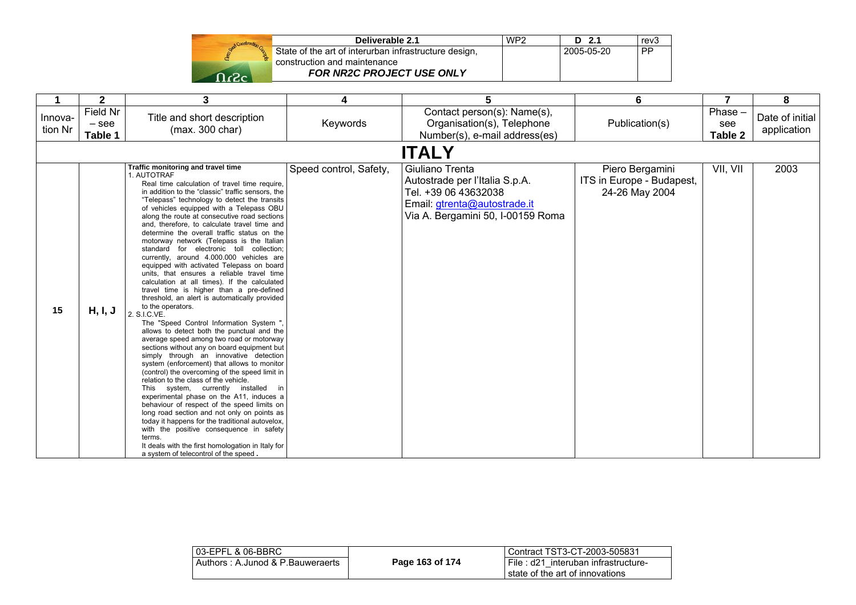| Start Construction |  |
|--------------------|--|
|                    |  |
|                    |  |

| Deliverable 2.1                                       | WP <sub>2</sub> | $D$ 2.1    | rev <sub>3</sub> |
|-------------------------------------------------------|-----------------|------------|------------------|
| State of the art of interurban infrastructure design, |                 | 2005-05-20 | . PP             |
| construction and maintenance                          |                 |            |                  |
| <b>FOR NR2C PROJECT USE ONLY</b>                      |                 |            |                  |

|                    | $\mathbf 2$                    | 3                                                                                                                                                                                                                                                                                                                                                                                                                                                                                                                                                                                                                                                                                                                                                                                                                                                                                                                                                                                                                                                                                                                                                                                                                                                                                                                                                                                                                                                                                                                                                                                       | 4                      | 5                                                                                                                                              | 6                                                              | 7                         | 8                              |
|--------------------|--------------------------------|-----------------------------------------------------------------------------------------------------------------------------------------------------------------------------------------------------------------------------------------------------------------------------------------------------------------------------------------------------------------------------------------------------------------------------------------------------------------------------------------------------------------------------------------------------------------------------------------------------------------------------------------------------------------------------------------------------------------------------------------------------------------------------------------------------------------------------------------------------------------------------------------------------------------------------------------------------------------------------------------------------------------------------------------------------------------------------------------------------------------------------------------------------------------------------------------------------------------------------------------------------------------------------------------------------------------------------------------------------------------------------------------------------------------------------------------------------------------------------------------------------------------------------------------------------------------------------------------|------------------------|------------------------------------------------------------------------------------------------------------------------------------------------|----------------------------------------------------------------|---------------------------|--------------------------------|
| Innova-<br>tion Nr | Field Nr<br>$-$ see<br>Table 1 | Title and short description<br>(max. 300 char)                                                                                                                                                                                                                                                                                                                                                                                                                                                                                                                                                                                                                                                                                                                                                                                                                                                                                                                                                                                                                                                                                                                                                                                                                                                                                                                                                                                                                                                                                                                                          | Keywords               | Contact person(s): Name(s),<br>Organisation(s), Telephone<br>Number(s), e-mail address(es)                                                     | Publication(s)                                                 | Phase -<br>see<br>Table 2 | Date of initial<br>application |
|                    |                                |                                                                                                                                                                                                                                                                                                                                                                                                                                                                                                                                                                                                                                                                                                                                                                                                                                                                                                                                                                                                                                                                                                                                                                                                                                                                                                                                                                                                                                                                                                                                                                                         |                        | <b>ITALY</b>                                                                                                                                   |                                                                |                           |                                |
| 15                 | H, I, J                        | Traffic monitoring and travel time<br>1. AUTOTRAF<br>Real time calculation of travel time require,<br>in addition to the "classic" traffic sensors, the<br>"Telepass" technology to detect the transits<br>of vehicles equipped with a Telepass OBU<br>along the route at consecutive road sections<br>and, therefore, to calculate travel time and<br>determine the overall traffic status on the<br>motorway network (Telepass is the Italian<br>standard for electronic toll collection;<br>currently, around 4.000.000 vehicles are<br>equipped with activated Telepass on board<br>units, that ensures a reliable travel time<br>calculation at all times). If the calculated<br>travel time is higher than a pre-defined<br>threshold, an alert is automatically provided<br>to the operators.<br>2. S.I.C.VE.<br>The "Speed Control Information System ",<br>allows to detect both the punctual and the<br>average speed among two road or motorway<br>sections without any on board equipment but<br>simply through an innovative detection<br>system (enforcement) that allows to monitor<br>(control) the overcoming of the speed limit in<br>relation to the class of the vehicle.<br>This system, currently installed<br>in<br>experimental phase on the A11, induces a<br>behaviour of respect of the speed limits on<br>long road section and not only on points as<br>today it happens for the traditional autovelox,<br>with the positive consequence in safety<br>terms.<br>It deals with the first homologation in Italy for<br>a system of telecontrol of the speed. | Speed control, Safety, | Giuliano Trenta<br>Autostrade per l'Italia S.p.A.<br>Tel. +39 06 43632038<br>Email: gtrenta@autostrade.it<br>Via A. Bergamini 50, I-00159 Roma | Piero Bergamini<br>ITS in Europe - Budapest,<br>24-26 May 2004 | VII, VII                  | 2003                           |

| 03-EPFL & 06-BBRC                |                 | Contract TST3-CT-2003-505831                                             |
|----------------------------------|-----------------|--------------------------------------------------------------------------|
| Authors: A.Junod & P.Bauweraerts | Page 163 of 174 | I File: d21 interuban infrastructure-<br>state of the art of innovations |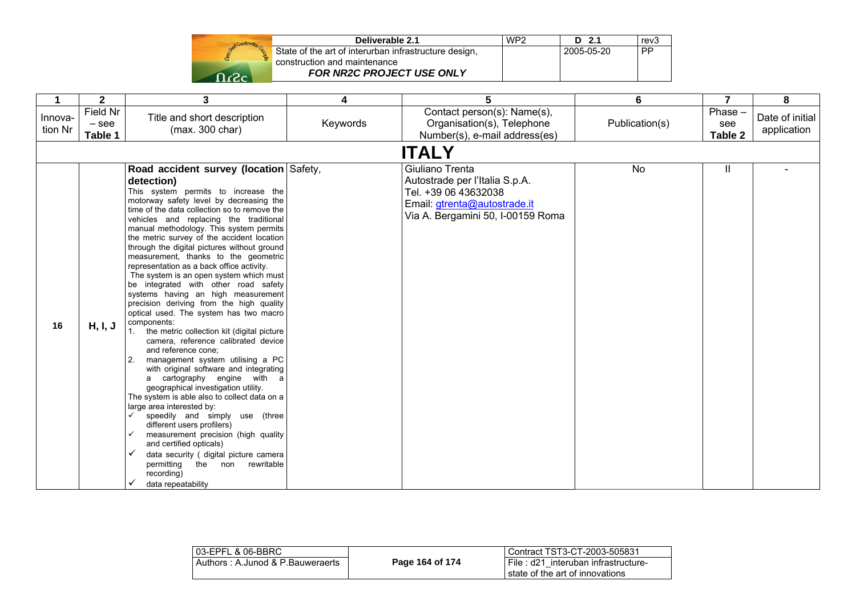|      | Deliverable 2.1                                                  | WP <sub>2</sub> | - 21       | rev3      |
|------|------------------------------------------------------------------|-----------------|------------|-----------|
|      | State of the art of interurban infrastructure design,            |                 | 2005-05-20 | <b>PP</b> |
| -כ-ר | construction and maintenance<br><b>FOR NR2C PROJECT USE ONLY</b> |                 |            |           |

|                    | $\mathbf{2}$                   | 3                                                                                                                                                                                                                                                                                                                                                                                                                                                                                                                                                                                                                                                                                                                                                                                                                                                                                                                                                                                                                                                                                                                                                                                                                                                                                                                  | 4        | 5                                                                                                                                              | 6              | 7                         | 8                              |
|--------------------|--------------------------------|--------------------------------------------------------------------------------------------------------------------------------------------------------------------------------------------------------------------------------------------------------------------------------------------------------------------------------------------------------------------------------------------------------------------------------------------------------------------------------------------------------------------------------------------------------------------------------------------------------------------------------------------------------------------------------------------------------------------------------------------------------------------------------------------------------------------------------------------------------------------------------------------------------------------------------------------------------------------------------------------------------------------------------------------------------------------------------------------------------------------------------------------------------------------------------------------------------------------------------------------------------------------------------------------------------------------|----------|------------------------------------------------------------------------------------------------------------------------------------------------|----------------|---------------------------|--------------------------------|
| Innova-<br>tion Nr | Field Nr<br>$-$ see<br>Table 1 | Title and short description<br>(max. 300 char)                                                                                                                                                                                                                                                                                                                                                                                                                                                                                                                                                                                                                                                                                                                                                                                                                                                                                                                                                                                                                                                                                                                                                                                                                                                                     | Keywords | Contact person(s): Name(s),<br>Organisation(s), Telephone<br>Number(s), e-mail address(es)                                                     | Publication(s) | Phase -<br>see<br>Table 2 | Date of initial<br>application |
|                    |                                |                                                                                                                                                                                                                                                                                                                                                                                                                                                                                                                                                                                                                                                                                                                                                                                                                                                                                                                                                                                                                                                                                                                                                                                                                                                                                                                    |          | <b>ITALY</b>                                                                                                                                   |                |                           |                                |
| 16                 | H, I, J                        | Road accident survey (location Safety,<br>detection)<br>This system permits to increase the<br>motorway safety level by decreasing the<br>time of the data collection so to remove the<br>vehicles and replacing the traditional<br>manual methodology. This system permits<br>the metric survey of the accident location<br>through the digital pictures without ground<br>measurement, thanks to the geometric<br>representation as a back office activity.<br>The system is an open system which must<br>be integrated with other road safety<br>systems having an high measurement<br>precision deriving from the high quality<br>optical used. The system has two macro<br>components:<br>the metric collection kit (digital picture<br>1.<br>camera, reference calibrated device<br>and reference cone;<br>management system utilising a PC<br>2.<br>with original software and integrating<br>a cartography engine with a<br>geographical investigation utility.<br>The system is able also to collect data on a<br>large area interested by:<br>speedily and simply use (three<br>different users profilers)<br>measurement precision (high quality<br>✓<br>and certified opticals)<br>✓<br>data security ( digital picture camera<br>permitting the non<br>rewritable<br>recording)<br>data repeatability |          | Giuliano Trenta<br>Autostrade per l'Italia S.p.A.<br>Tel. +39 06 43632038<br>Email: gtrenta@autostrade.it<br>Via A. Bergamini 50, I-00159 Roma | No             | Ш                         |                                |

| l 03-EPFL & 06-BBRC_              |                 | l Contract TST3-CT-2003-505831      |
|-----------------------------------|-----------------|-------------------------------------|
| Authors : A.Junod & P.Bauweraerts | Page 164 of 174 | File: d21 interuban infrastructure- |
|                                   |                 | state of the art of innovations     |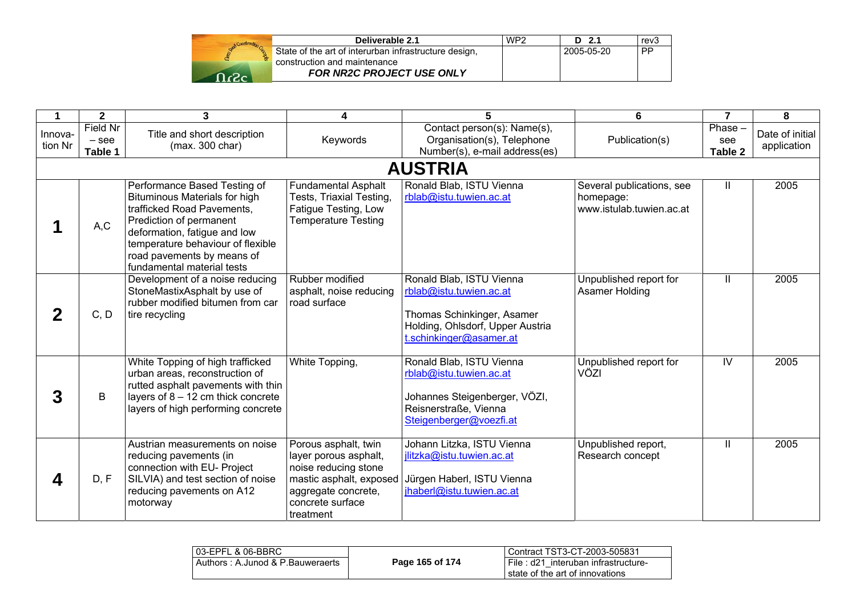| Deliverable 2.1                                                                       | WP <sub>2</sub> | D <sub>2.1</sub> | rev3      |
|---------------------------------------------------------------------------------------|-----------------|------------------|-----------|
| State of the art of interurban infrastructure design,<br>construction and maintenance |                 | 2005-05-20       | <b>PP</b> |
| <b>FOR NR2C PROJECT USE ONLY</b>                                                      |                 |                  |           |

|                    | $\mathbf{2}$                          | 3                                                                                                                                                                                                                                                              | 4                                                                                                                                                        | 5                                                                                                                                                | 6                                                                  | $\overline{7}$            | 8                              |
|--------------------|---------------------------------------|----------------------------------------------------------------------------------------------------------------------------------------------------------------------------------------------------------------------------------------------------------------|----------------------------------------------------------------------------------------------------------------------------------------------------------|--------------------------------------------------------------------------------------------------------------------------------------------------|--------------------------------------------------------------------|---------------------------|--------------------------------|
| Innova-<br>tion Nr | <b>Field Nr</b><br>$-$ see<br>Table 1 | Title and short description<br>(max. 300 char)                                                                                                                                                                                                                 | Keywords                                                                                                                                                 | Contact person(s): Name(s),<br>Organisation(s), Telephone<br>Number(s), e-mail address(es)                                                       | Publication(s)                                                     | Phase -<br>see<br>Table 2 | Date of initial<br>application |
|                    |                                       |                                                                                                                                                                                                                                                                |                                                                                                                                                          | <b>AUSTRIA</b>                                                                                                                                   |                                                                    |                           |                                |
|                    | A, C                                  | Performance Based Testing of<br><b>Bituminous Materials for high</b><br>trafficked Road Pavements,<br>Prediction of permanent<br>deformation, fatigue and low<br>temperature behaviour of flexible<br>road pavements by means of<br>fundamental material tests | <b>Fundamental Asphalt</b><br>Tests, Triaxial Testing,<br>Fatigue Testing, Low<br><b>Temperature Testing</b>                                             | Ronald Blab, ISTU Vienna<br>rblab@istu.tuwien.ac.at                                                                                              | Several publications, see<br>homepage:<br>www.istulab.tuwien.ac.at | Ш                         | 2005                           |
|                    | C, D                                  | Development of a noise reducing<br>StoneMastixAsphalt by use of<br>rubber modified bitumen from car<br>tire recycling                                                                                                                                          | Rubber modified<br>asphalt, noise reducing<br>road surface                                                                                               | Ronald Blab, ISTU Vienna<br>rblab@istu.tuwien.ac.at<br>Thomas Schinkinger, Asamer<br>Holding, Ohlsdorf, Upper Austria<br>t.schinkinger@asamer.at | Unpublished report for<br>Asamer Holding                           | $\mathbf{H}$              | 2005                           |
|                    | B                                     | White Topping of high trafficked<br>urban areas, reconstruction of<br>rutted asphalt pavements with thin<br>layers of $8 - 12$ cm thick concrete<br>layers of high performing concrete                                                                         | White Topping,                                                                                                                                           | Ronald Blab, ISTU Vienna<br>rblab@istu.tuwien.ac.at<br>Johannes Steigenberger, VÖZI,<br>Reisnerstraße, Vienna<br>Steigenberger@voezfi.at         | Unpublished report for<br>VÖZI                                     | $\overline{\mathsf{N}}$   | 2005                           |
|                    | D, F                                  | Austrian measurements on noise<br>reducing pavements (in<br>connection with EU- Project<br>SILVIA) and test section of noise<br>reducing pavements on A12<br>motorway                                                                                          | Porous asphalt, twin<br>layer porous asphalt,<br>noise reducing stone<br>mastic asphalt, exposed<br>aggregate concrete,<br>concrete surface<br>treatment | Johann Litzka, ISTU Vienna<br>jlitzka@istu.tuwien.ac.at<br>Jürgen Haberl, ISTU Vienna<br>jhaberl@istu.tuwien.ac.at                               | Unpublished report,<br>Research concept                            | $\mathbf{H}$              | 2005                           |

| l 03-EPFL & 06-BBRC_             |                 | Contract TST3-CT-2003-505831          |
|----------------------------------|-----------------|---------------------------------------|
| Authors: A.Junod & P.Bauweraerts | Page 165 of 174 | I File: d21 interuban infrastructure- |
|                                  |                 | state of the art of innovations       |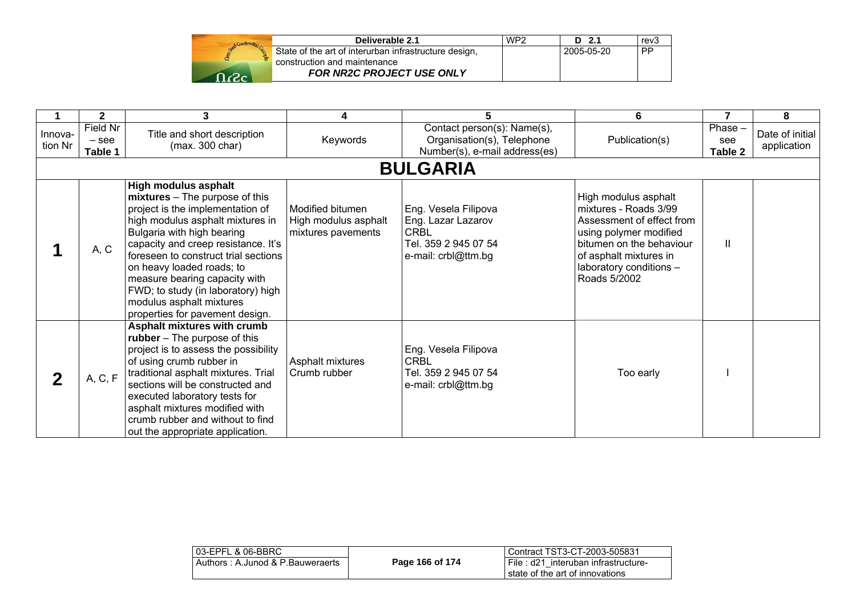| Deliverable 2.1                                       | WP2 | D 2.1      | rev3      |
|-------------------------------------------------------|-----|------------|-----------|
| State of the art of interurban infrastructure design, |     | 2005-05-20 | <b>PP</b> |
| construction and maintenance                          |     |            |           |
| <b>FOR NR2C PROJECT USE ONLY</b>                      |     |            |           |

|                    | $\mathbf{2}$                   | 3                                                                                                                                                                                                                                                                                                                                                                                                              |                                                                | 5                                                                                                        | 6                                                                                                                                                                                                     |                           | 8                              |
|--------------------|--------------------------------|----------------------------------------------------------------------------------------------------------------------------------------------------------------------------------------------------------------------------------------------------------------------------------------------------------------------------------------------------------------------------------------------------------------|----------------------------------------------------------------|----------------------------------------------------------------------------------------------------------|-------------------------------------------------------------------------------------------------------------------------------------------------------------------------------------------------------|---------------------------|--------------------------------|
| Innova-<br>tion Nr | Field Nr<br>$-$ see<br>Table 1 | Title and short description<br>(max. 300 char)                                                                                                                                                                                                                                                                                                                                                                 | Keywords                                                       | Contact person(s): Name(s),<br>Organisation(s), Telephone<br>Number(s), e-mail address(es)               | Publication(s)                                                                                                                                                                                        | Phase -<br>see<br>Table 2 | Date of initial<br>application |
|                    |                                |                                                                                                                                                                                                                                                                                                                                                                                                                |                                                                | <b>BULGARIA</b>                                                                                          |                                                                                                                                                                                                       |                           |                                |
|                    | A, C                           | High modulus asphalt<br>mixtures – The purpose of this<br>project is the implementation of<br>high modulus asphalt mixtures in<br>Bulgaria with high bearing<br>capacity and creep resistance. It's<br>foreseen to construct trial sections<br>on heavy loaded roads; to<br>measure bearing capacity with<br>FWD; to study (in laboratory) high<br>modulus asphalt mixtures<br>properties for pavement design. | Modified bitumen<br>High modulus asphalt<br>mixtures pavements | Eng. Vesela Filipova<br>Eng. Lazar Lazarov<br><b>CRBL</b><br>Tel. 359 2 945 07 54<br>e-mail: crbl@ttm.bg | High modulus asphalt<br>mixtures - Roads 3/99<br>Assessment of effect from<br>using polymer modified<br>bitumen on the behaviour<br>of asphalt mixtures in<br>laboratory conditions -<br>Roads 5/2002 | $\mathbf{II}$             |                                |
| $\bf{2}$           | A, C, F                        | Asphalt mixtures with crumb<br>rubber - The purpose of this<br>project is to assess the possibility<br>of using crumb rubber in<br>traditional asphalt mixtures. Trial<br>sections will be constructed and<br>executed laboratory tests for<br>asphalt mixtures modified with<br>crumb rubber and without to find<br>out the appropriate application.                                                          | Asphalt mixtures<br>Crumb rubber                               | Eng. Vesela Filipova<br><b>CRBL</b><br>Tel. 359 2 945 07 54<br>e-mail: crbl@ttm.bg                       | Too early                                                                                                                                                                                             |                           |                                |

| 03-EPFL & 06-BBRC                |                 | l Contract TST3-CT-2003-505831                                         |
|----------------------------------|-----------------|------------------------------------------------------------------------|
| Authors: A.Junod & P.Bauweraerts | Page 166 of 174 | File: d21 interuban infrastructure-<br>state of the art of innovations |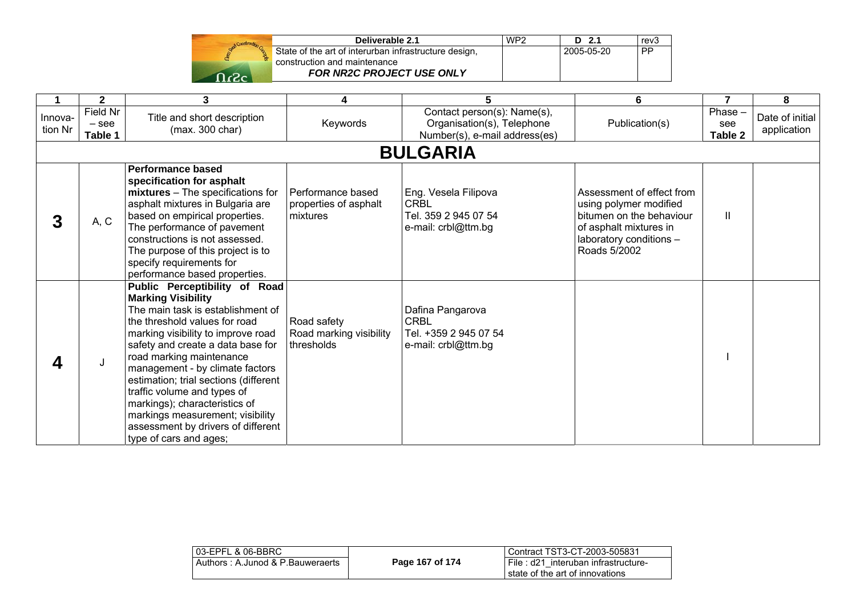|     | Deliverable 2.1                                       | WP <sub>2</sub> | $D$ 2.1    | rev3      |
|-----|-------------------------------------------------------|-----------------|------------|-----------|
|     | State of the art of interurban infrastructure design, |                 | 2005-05-20 | <b>PP</b> |
|     | construction and maintenance                          |                 |            |           |
| റ.പ | <b>FOR NR2C PROJECT USE ONLY</b>                      |                 |            |           |

|                    | $\mathbf{2}$                   | 3                                                                                                                                                                                                                                                                                                                                                                                                                                                                                       | 4                                                      | 5                                                                                          | 6                                                                                                                                                    | $\overline{7}$            | 8                              |
|--------------------|--------------------------------|-----------------------------------------------------------------------------------------------------------------------------------------------------------------------------------------------------------------------------------------------------------------------------------------------------------------------------------------------------------------------------------------------------------------------------------------------------------------------------------------|--------------------------------------------------------|--------------------------------------------------------------------------------------------|------------------------------------------------------------------------------------------------------------------------------------------------------|---------------------------|--------------------------------|
| Innova-<br>tion Nr | Field Nr<br>$-$ see<br>Table 1 | Title and short description<br>(max. 300 char)                                                                                                                                                                                                                                                                                                                                                                                                                                          | Keywords                                               | Contact person(s): Name(s),<br>Organisation(s), Telephone<br>Number(s), e-mail address(es) | Publication(s)                                                                                                                                       | Phase -<br>see<br>Table 2 | Date of initial<br>application |
|                    |                                |                                                                                                                                                                                                                                                                                                                                                                                                                                                                                         |                                                        | <b>BULGARIA</b>                                                                            |                                                                                                                                                      |                           |                                |
| 3                  | A, C                           | <b>Performance based</b><br>specification for asphalt<br>mixtures - The specifications for<br>asphalt mixtures in Bulgaria are<br>based on empirical properties.<br>The performance of pavement<br>constructions is not assessed.<br>The purpose of this project is to<br>specify requirements for<br>performance based properties.                                                                                                                                                     | Performance based<br>properties of asphalt<br>mixtures | Eng. Vesela Filipova<br><b>CRBL</b><br>Tel. 359 2 945 07 54<br>e-mail: crbl@ttm.bg         | Assessment of effect from<br>using polymer modified<br>bitumen on the behaviour<br>of asphalt mixtures in<br>laboratory conditions -<br>Roads 5/2002 | Ш                         |                                |
|                    | J                              | Public Perceptibility of Road<br><b>Marking Visibility</b><br>The main task is establishment of<br>the threshold values for road<br>marking visibility to improve road<br>safety and create a data base for<br>road marking maintenance<br>management - by climate factors<br>estimation; trial sections (different<br>traffic volume and types of<br>markings); characteristics of<br>markings measurement; visibility<br>assessment by drivers of different<br>type of cars and ages; | Road safety<br>Road marking visibility<br>thresholds   | Dafina Pangarova<br><b>CRBL</b><br>Tel. +359 2 945 07 54<br>e-mail: crbl@ttm.bg            |                                                                                                                                                      |                           |                                |

| l 03-EPFL & 06-BBRC_             |                 | Contract TST3-CT-2003-505831                                           |
|----------------------------------|-----------------|------------------------------------------------------------------------|
| Authors: A.Junod & P.Bauweraerts | Page 167 of 174 | File: d21 interuban infrastructure-<br>state of the art of innovations |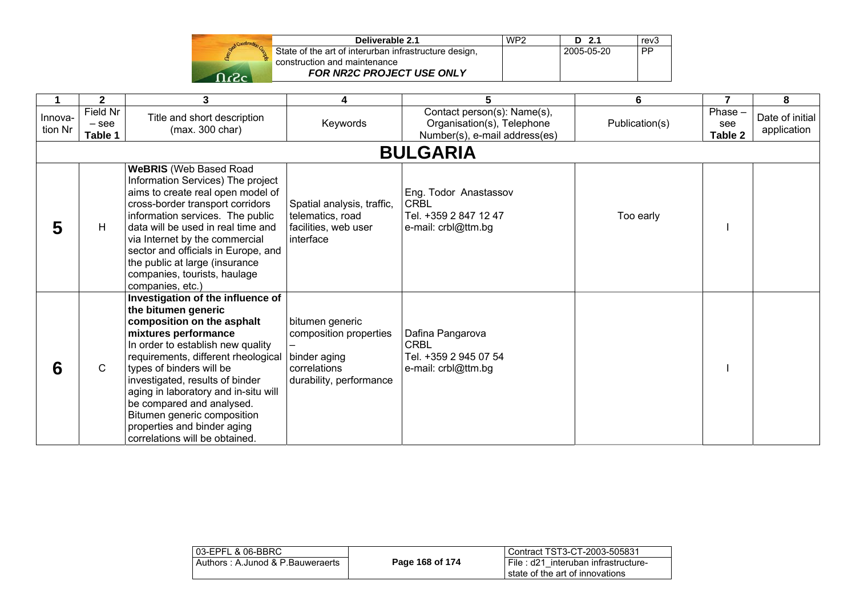| Deliverable 2.1                                                  | WP <sub>2</sub> | -2.1       | rev3 |
|------------------------------------------------------------------|-----------------|------------|------|
| State of the art of interurban infrastructure design,            |                 | 2005-05-20 | PP   |
| construction and maintenance<br><b>FOR NR2C PROJECT USE ONLY</b> |                 |            |      |
|                                                                  |                 |            |      |

|                    | $\mathbf{2}$                   | 3                                                                                                                                                                                                                                                                                                                                                                                                                              | 4                                                                                                    | 5                                                                                          | 6              | $\overline{7}$           | 8                              |
|--------------------|--------------------------------|--------------------------------------------------------------------------------------------------------------------------------------------------------------------------------------------------------------------------------------------------------------------------------------------------------------------------------------------------------------------------------------------------------------------------------|------------------------------------------------------------------------------------------------------|--------------------------------------------------------------------------------------------|----------------|--------------------------|--------------------------------|
| Innova-<br>tion Nr | Field Nr<br>$-$ see<br>Table 1 | Title and short description<br>(max. 300 char)                                                                                                                                                                                                                                                                                                                                                                                 | Keywords                                                                                             | Contact person(s): Name(s),<br>Organisation(s), Telephone<br>Number(s), e-mail address(es) | Publication(s) | Phase-<br>see<br>Table 2 | Date of initial<br>application |
|                    |                                |                                                                                                                                                                                                                                                                                                                                                                                                                                |                                                                                                      | <b>BULGARIA</b>                                                                            |                |                          |                                |
| 5                  | H                              | <b>WeBRIS</b> (Web Based Road<br>Information Services) The project<br>aims to create real open model of<br>cross-border transport corridors<br>information services. The public<br>data will be used in real time and<br>via Internet by the commercial<br>sector and officials in Europe, and<br>the public at large (insurance<br>companies, tourists, haulage<br>companies, etc.)                                           | Spatial analysis, traffic,<br>telematics, road<br>facilities, web user<br>interface                  | Eng. Todor Anastassov<br><b>CRBL</b><br>Tel. +359 2 847 12 47<br>e-mail: crbl@ttm.bg       | Too early      |                          |                                |
| 6                  | $\mathsf{C}$                   | Investigation of the influence of<br>the bitumen generic<br>composition on the asphalt<br>mixtures performance<br>In order to establish new quality<br>requirements, different rheological<br>types of binders will be<br>investigated, results of binder<br>aging in laboratory and in-situ will<br>be compared and analysed.<br>Bitumen generic composition<br>properties and binder aging<br>correlations will be obtained. | bitumen generic<br>composition properties<br>binder aging<br>correlations<br>durability, performance | Dafina Pangarova<br><b>CRBL</b><br>Tel. +359 2 945 07 54<br>e-mail: crbl@ttm.bg            |                |                          |                                |

| 03-EPFL & 06-BBRC                |                 | l Contract TST3-CT-2003-505831        |
|----------------------------------|-----------------|---------------------------------------|
| Authors: A.Junod & P.Bauweraerts | Page 168 of 174 | I File: d21 interuban infrastructure- |
|                                  |                 | l state of the art of innovations.    |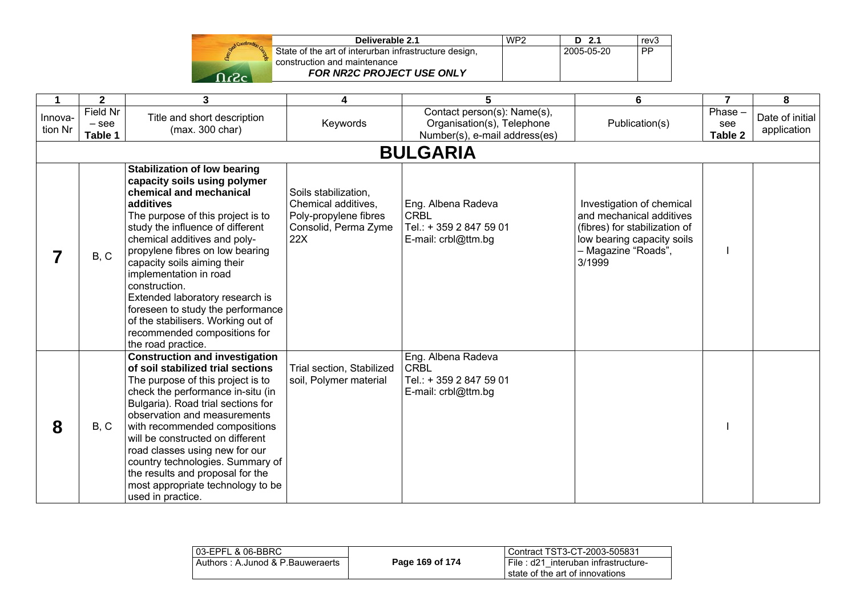|              | Deliverable 2.1                                                                       | WP <sub>2</sub> | - 21       | rev3 |
|--------------|---------------------------------------------------------------------------------------|-----------------|------------|------|
|              | State of the art of interurban infrastructure design,<br>construction and maintenance |                 | 2005-05-20 | PP   |
| <b>_ר</b> _ר | <b>FOR NR2C PROJECT USE ONLY</b>                                                      |                 |            |      |

| $\mathbf 1$        | $\mathbf{2}$                   | $\mathbf{3}$                                                                                                                                                                                                                                                                                                                                                                                                                                                                                          | 4                                                                                                   | 5                                                                                          | 6                                                                                                                                                     | $\overline{7}$            | 8                              |
|--------------------|--------------------------------|-------------------------------------------------------------------------------------------------------------------------------------------------------------------------------------------------------------------------------------------------------------------------------------------------------------------------------------------------------------------------------------------------------------------------------------------------------------------------------------------------------|-----------------------------------------------------------------------------------------------------|--------------------------------------------------------------------------------------------|-------------------------------------------------------------------------------------------------------------------------------------------------------|---------------------------|--------------------------------|
| Innova-<br>tion Nr | Field Nr<br>$-$ see<br>Table 1 | Title and short description<br>(max. 300 char)                                                                                                                                                                                                                                                                                                                                                                                                                                                        | Keywords                                                                                            | Contact person(s): Name(s),<br>Organisation(s), Telephone<br>Number(s), e-mail address(es) | Publication(s)                                                                                                                                        | Phase -<br>see<br>Table 2 | Date of initial<br>application |
|                    |                                |                                                                                                                                                                                                                                                                                                                                                                                                                                                                                                       |                                                                                                     | <b>BULGARIA</b>                                                                            |                                                                                                                                                       |                           |                                |
|                    | B, C                           | <b>Stabilization of low bearing</b><br>capacity soils using polymer<br>chemical and mechanical<br>additives<br>The purpose of this project is to<br>study the influence of different<br>chemical additives and poly-<br>propylene fibres on low bearing<br>capacity soils aiming their<br>implementation in road<br>construction.<br>Extended laboratory research is<br>foreseen to study the performance<br>of the stabilisers. Working out of<br>recommended compositions for<br>the road practice. | Soils stabilization,<br>Chemical additives,<br>Poly-propylene fibres<br>Consolid, Perma Zyme<br>22X | Eng. Albena Radeva<br><b>CRBL</b><br>Tel.: + 359 2 847 59 01<br>E-mail: crbl@ttm.bg        | Investigation of chemical<br>and mechanical additives<br>(fibres) for stabilization of<br>low bearing capacity soils<br>- Magazine "Roads",<br>3/1999 |                           |                                |
| 8                  | B, C                           | <b>Construction and investigation</b><br>of soil stabilized trial sections<br>The purpose of this project is to<br>check the performance in-situ (in<br>Bulgaria). Road trial sections for<br>observation and measurements<br>with recommended compositions<br>will be constructed on different<br>road classes using new for our<br>country technologies. Summary of<br>the results and proposal for the<br>most appropriate technology to be<br>used in practice.                                   | Trial section, Stabilized<br>soil, Polymer material                                                 | Eng. Albena Radeva<br><b>CRBL</b><br>Tel.: + 359 2 847 59 01<br>E-mail: crbl@ttm.bg        |                                                                                                                                                       |                           |                                |

| 03-EPFL & 06-BBRC                |                 | l Contract TST3-CT-2003-505831                                              |
|----------------------------------|-----------------|-----------------------------------------------------------------------------|
| Authors: A.Junod & P.Bauweraerts | Page 169 of 174 | I File : d21 interuban infrastructure-<br>I state of the art of innovations |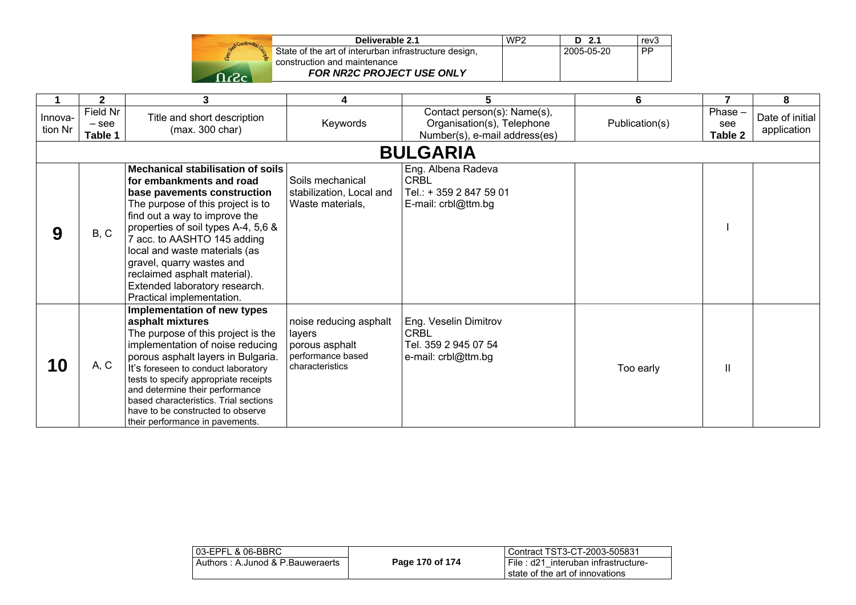| Send Construction |  |
|-------------------|--|
|                   |  |
| -2                |  |

| Deliverable 2.1                                       | WP <sub>2</sub> | $D$ 2.1    | rev <sub>3</sub> |
|-------------------------------------------------------|-----------------|------------|------------------|
| State of the art of interurban infrastructure design, |                 | 2005-05-20 | <b>PP</b>        |
| construction and maintenance                          |                 |            |                  |
| <b>FOR NR2C PROJECT USE ONLY</b>                      |                 |            |                  |

|                    | 2                              | 3                                                                                                                                                                                                                                                                                                                                                                                                           | 4                                                                                          | 5                                                                                          | 6              |                           | 8                              |
|--------------------|--------------------------------|-------------------------------------------------------------------------------------------------------------------------------------------------------------------------------------------------------------------------------------------------------------------------------------------------------------------------------------------------------------------------------------------------------------|--------------------------------------------------------------------------------------------|--------------------------------------------------------------------------------------------|----------------|---------------------------|--------------------------------|
| Innova-<br>tion Nr | Field Nr<br>$-$ see<br>Table 1 | Title and short description<br>(max. 300 char)                                                                                                                                                                                                                                                                                                                                                              | Keywords                                                                                   | Contact person(s): Name(s),<br>Organisation(s), Telephone<br>Number(s), e-mail address(es) | Publication(s) | Phase -<br>see<br>Table 2 | Date of initial<br>application |
|                    |                                |                                                                                                                                                                                                                                                                                                                                                                                                             |                                                                                            | <b>BULGARIA</b>                                                                            |                |                           |                                |
| 9                  | B, C                           | <b>Mechanical stabilisation of soils</b><br>for embankments and road<br>base pavements construction<br>The purpose of this project is to<br>find out a way to improve the<br>properties of soil types A-4, 5,6 &<br>7 acc. to AASHTO 145 adding<br>local and waste materials (as<br>gravel, quarry wastes and<br>reclaimed asphalt material).<br>Extended laboratory research.<br>Practical implementation. | Soils mechanical<br>stabilization, Local and<br>Waste materials,                           | Eng. Albena Radeva<br><b>CRBL</b><br>Tel.: + 359 2 847 59 01<br>E-mail: crbl@ttm.bg        |                |                           |                                |
| 10                 | A, C                           | Implementation of new types<br>asphalt mixtures<br>The purpose of this project is the<br>implementation of noise reducing<br>porous asphalt layers in Bulgaria.<br>It's foreseen to conduct laboratory<br>tests to specify appropriate receipts<br>and determine their performance<br>based characteristics. Trial sections<br>have to be constructed to observe<br>their performance in pavements.         | noise reducing asphalt<br>layers<br>porous asphalt<br>performance based<br>characteristics | Eng. Veselin Dimitrov<br><b>CRBL</b><br>Tel. 359 2 945 07 54<br>e-mail: crbl@ttm.bg        | Too early      | Ш                         |                                |

| l 03-EPFL & 06-BBRC_             |                 | Contract TST3-CT-2003-505831                                           |
|----------------------------------|-----------------|------------------------------------------------------------------------|
| Authors: A.Junod & P.Bauweraerts | Page 170 of 174 | File: d21 interuban infrastructure-<br>state of the art of innovations |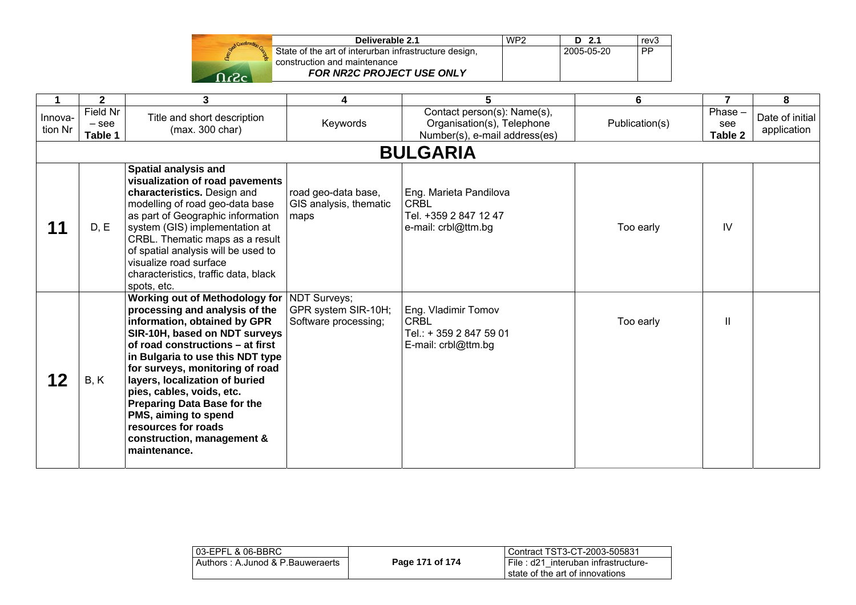| Deliverable 2.1                                                                       | WP2 | - 21<br>D  | rev3 |
|---------------------------------------------------------------------------------------|-----|------------|------|
| State of the art of interurban infrastructure design,<br>construction and maintenance |     | 2005-05-20 | PP   |
| <b>FOR NR2C PROJECT USE ONLY</b>                                                      |     |            |      |

|                    | $\mathbf{2}$                   | 3                                                                                                                                                                                                                                                                                                                                                                                                                                                                    | 4                                                     | 5                                                                                          | 6              | $\overline{7}$            | 8                              |  |
|--------------------|--------------------------------|----------------------------------------------------------------------------------------------------------------------------------------------------------------------------------------------------------------------------------------------------------------------------------------------------------------------------------------------------------------------------------------------------------------------------------------------------------------------|-------------------------------------------------------|--------------------------------------------------------------------------------------------|----------------|---------------------------|--------------------------------|--|
| Innova-<br>tion Nr | Field Nr<br>$-$ see<br>Table 1 | Title and short description<br>(max. 300 char)                                                                                                                                                                                                                                                                                                                                                                                                                       | Keywords                                              | Contact person(s): Name(s),<br>Organisation(s), Telephone<br>Number(s), e-mail address(es) | Publication(s) | Phase -<br>see<br>Table 2 | Date of initial<br>application |  |
|                    | <b>BULGARIA</b>                |                                                                                                                                                                                                                                                                                                                                                                                                                                                                      |                                                       |                                                                                            |                |                           |                                |  |
| 11                 | D, E                           | <b>Spatial analysis and</b><br>visualization of road pavements<br>characteristics. Design and<br>modelling of road geo-data base<br>as part of Geographic information<br>system (GIS) implementation at<br>CRBL. Thematic maps as a result<br>of spatial analysis will be used to<br>visualize road surface<br>characteristics, traffic data, black<br>spots, etc.                                                                                                   | road geo-data base,<br>GIS analysis, thematic<br>maps | Eng. Marieta Pandilova<br><b>CRBL</b><br>Tel. +359 2 847 12 47<br>e-mail: crbl@ttm.bg      | Too early      | IV                        |                                |  |
| 12                 | B, K                           | <b>Working out of Methodology for   NDT Surveys;</b><br>processing and analysis of the<br>information, obtained by GPR<br>SIR-10H, based on NDT surveys<br>of road constructions – at first<br>in Bulgaria to use this NDT type<br>for surveys, monitoring of road<br>layers, localization of buried<br>pies, cables, voids, etc.<br><b>Preparing Data Base for the</b><br>PMS, aiming to spend<br>resources for roads<br>construction, management &<br>maintenance. | GPR system SIR-10H;<br>Software processing;           | Eng. Vladimir Tomov<br><b>CRBL</b><br>Tel.: + 359 2 847 59 01<br>E-mail: crbl@ttm.bg       | Too early      | Ш                         |                                |  |

| 03-EPFL & 06-BBRC<br>Authors: A.Junod & P.Bauweraerts | Page 171 of 174 | l Contract TST3-CT-2003-505831<br>I File: d21 interuban infrastructure- |
|-------------------------------------------------------|-----------------|-------------------------------------------------------------------------|
|                                                       |                 | I state of the art of innovations                                       |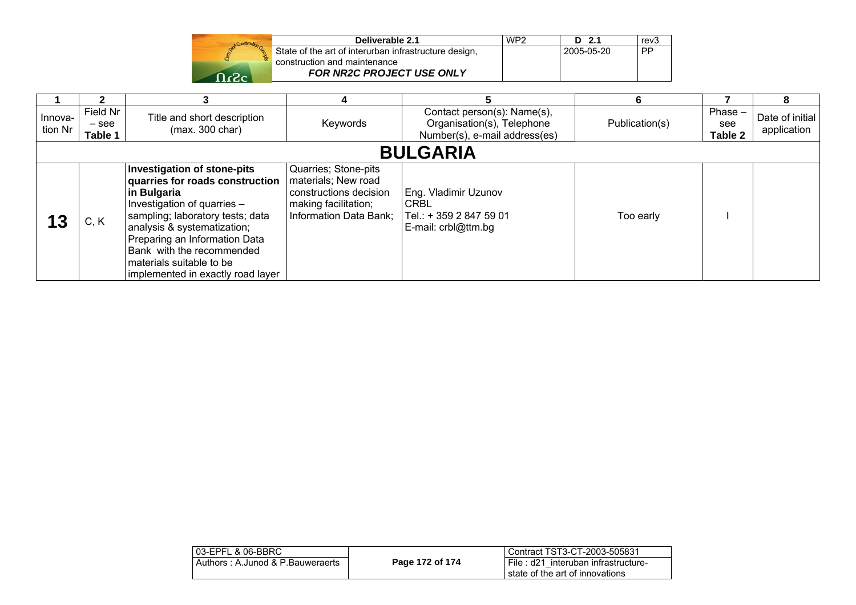|        | Deliverable 2.1                                                  | WP <sub>2</sub> | - 2.1<br>D | rev3      |
|--------|------------------------------------------------------------------|-----------------|------------|-----------|
|        | State of the art of interurban infrastructure design,            |                 | 2005-05-20 | <b>PP</b> |
| - כ- ר | construction and maintenance<br><b>FOR NR2C PROJECT USE ONLY</b> |                 |            |           |

|                    |                                |                                                                                                                                                                                                                                                                                                                       |                                                                                                                         |                                                                                            | 6              |                             |                                |  |
|--------------------|--------------------------------|-----------------------------------------------------------------------------------------------------------------------------------------------------------------------------------------------------------------------------------------------------------------------------------------------------------------------|-------------------------------------------------------------------------------------------------------------------------|--------------------------------------------------------------------------------------------|----------------|-----------------------------|--------------------------------|--|
| Innova-<br>tion Nr | Field Nr<br>$-$ see<br>Table 1 | Title and short description<br>(max. 300 char)                                                                                                                                                                                                                                                                        | Keywords                                                                                                                | Contact person(s): Name(s),<br>Organisation(s), Telephone<br>Number(s), e-mail address(es) | Publication(s) | $Phase -$<br>see<br>Table 2 | Date of initial<br>application |  |
|                    | <b>BULGARIA</b>                |                                                                                                                                                                                                                                                                                                                       |                                                                                                                         |                                                                                            |                |                             |                                |  |
|                    | C, K                           | <b>Investigation of stone-pits</b><br>quarries for roads construction<br>in Bulgaria<br>Investigation of quarries -<br>sampling; laboratory tests; data<br>analysis & systematization;<br>Preparing an Information Data<br>Bank with the recommended<br>materials suitable to be<br>implemented in exactly road layer | Quarries; Stone-pits<br>materials; New road<br>constructions decision<br>making facilitation;<br>Information Data Bank; | Eng. Vladimir Uzunov<br><b>CRBL</b><br>Tel.: + 359 2 847 59 01<br>E-mail: crbl@ttm.bg      | Too early      |                             |                                |  |

| 03-EPFL & 06-BBRC                   |                 | Contract TST3-CT-2003-505831                                              |
|-------------------------------------|-----------------|---------------------------------------------------------------------------|
| . Authors : A.Junod & P.Bauweraerts | Page 172 of 174 | I File : d21 interuban infrastructure-<br>state of the art of innovations |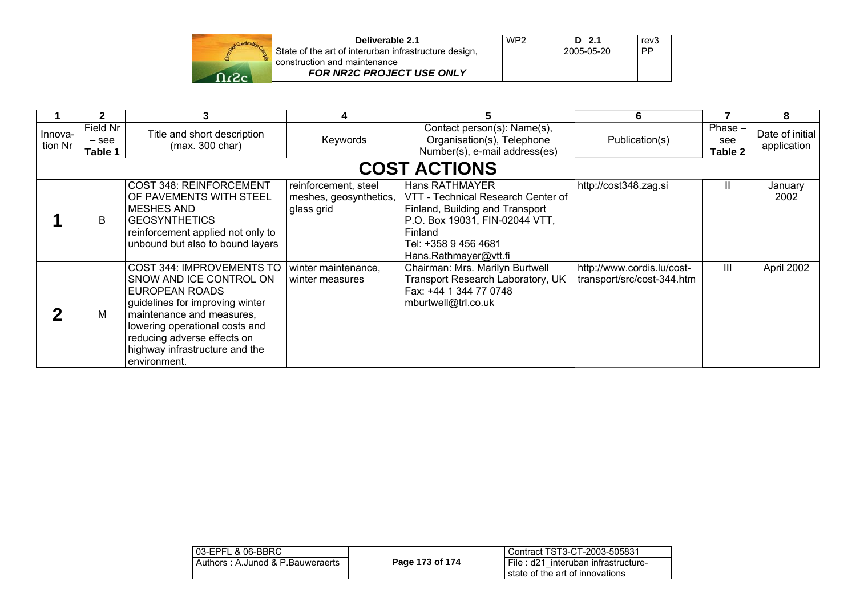|     | Deliverable 2.1                                                                       | WP <sub>2</sub> | $D$ 2.1    | rev3      |
|-----|---------------------------------------------------------------------------------------|-----------------|------------|-----------|
|     | State of the art of interurban infrastructure design,<br>construction and maintenance |                 | 2005-05-20 | <b>PP</b> |
| ∼י⊂ | FOR NR2C PROJECT USE ONLY                                                             |                 |            |           |

|                    |                                | 3                                                                                                                                                                                                                                                         |                                                              |                                                                                                                                                                                       | 6                                                        |                             | 8                              |  |
|--------------------|--------------------------------|-----------------------------------------------------------------------------------------------------------------------------------------------------------------------------------------------------------------------------------------------------------|--------------------------------------------------------------|---------------------------------------------------------------------------------------------------------------------------------------------------------------------------------------|----------------------------------------------------------|-----------------------------|--------------------------------|--|
| Innova-<br>tion Nr | Field Nr<br>$-$ see<br>Table 1 | Title and short description<br>(max. 300 char)                                                                                                                                                                                                            | Keywords                                                     | Contact person(s): Name(s),<br>Organisation(s), Telephone<br>Number(s), e-mail address(es)                                                                                            | Publication(s)                                           | $Phase -$<br>see<br>Table 2 | Date of initial<br>application |  |
|                    | <b>COST ACTIONS</b>            |                                                                                                                                                                                                                                                           |                                                              |                                                                                                                                                                                       |                                                          |                             |                                |  |
|                    | B                              | COST 348: REINFORCEMENT<br>OF PAVEMENTS WITH STEEL<br><b>MESHES AND</b><br><b>GEOSYNTHETICS</b><br>reinforcement applied not only to<br>unbound but also to bound layers                                                                                  | reinforcement, steel<br>meshes, geosynthetics,<br>glass grid | Hans RATHMAYER<br>VTT - Technical Research Center of<br>Finland, Building and Transport<br>P.O. Box 19031, FIN-02044 VTT,<br>Finland<br>Tel: +358 9 456 4681<br>Hans.Rathmayer@vtt.fi | http://cost348.zag.si                                    | Ш                           | January<br>2002                |  |
|                    | M                              | COST 344: IMPROVEMENTS TO<br>SNOW AND ICE CONTROL ON<br>EUROPEAN ROADS<br>guidelines for improving winter<br>maintenance and measures,<br>lowering operational costs and<br>reducing adverse effects on<br>highway infrastructure and the<br>environment. | winter maintenance,<br>winter measures                       | Chairman: Mrs. Marilyn Burtwell<br>Transport Research Laboratory, UK<br>Fax: +44 1 344 77 0748<br>mburtwell@trl.co.uk                                                                 | http://www.cordis.lu/cost-<br>transport/src/cost-344.htm | Ш                           | April 2002                     |  |

| 03-EPFL & 06-BBRC                |                 | Contract TST3-CT-2003-505831                                           |
|----------------------------------|-----------------|------------------------------------------------------------------------|
| Authors: A.Junod & P.Bauweraerts | Page 173 of 174 | File: d21 interuban infrastructure-<br>state of the art of innovations |